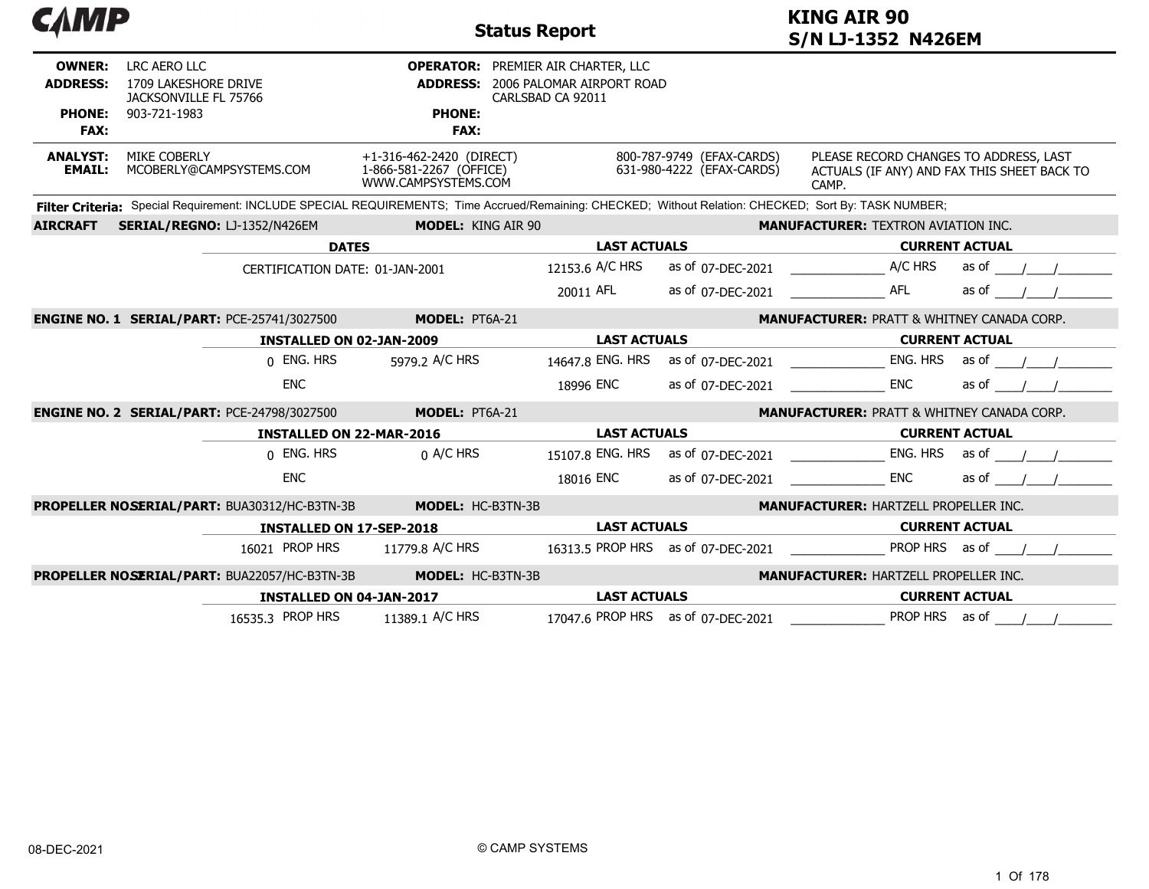| САМР<br><b>KING AIR 90</b><br><b>Status Report</b><br>S/N LJ-1352 N426EM |                                                                                                                                                       |                                                                            |                                                                                                             |                                                        |                                                                                                |       |
|--------------------------------------------------------------------------|-------------------------------------------------------------------------------------------------------------------------------------------------------|----------------------------------------------------------------------------|-------------------------------------------------------------------------------------------------------------|--------------------------------------------------------|------------------------------------------------------------------------------------------------|-------|
| <b>OWNER:</b><br><b>ADDRESS:</b>                                         | LRC AERO LLC<br>1709 LAKESHORE DRIVE<br>JACKSONVILLE FL 75766                                                                                         |                                                                            | <b>OPERATOR: PREMIER AIR CHARTER, LLC</b><br><b>ADDRESS: 2006 PALOMAR AIRPORT ROAD</b><br>CARLSBAD CA 92011 |                                                        |                                                                                                |       |
| <b>PHONE:</b><br><b>FAX:</b>                                             | 903-721-1983                                                                                                                                          | <b>PHONE:</b><br><b>FAX:</b>                                               |                                                                                                             |                                                        |                                                                                                |       |
| <b>ANALYST:</b><br><b>EMAIL:</b>                                         | MIKE COBERLY<br>MCOBERLY@CAMPSYSTEMS.COM                                                                                                              | +1-316-462-2420 (DIRECT)<br>1-866-581-2267 (OFFICE)<br>WWW.CAMPSYSTEMS.COM |                                                                                                             | 800-787-9749 (EFAX-CARDS)<br>631-980-4222 (EFAX-CARDS) | PLEASE RECORD CHANGES TO ADDRESS, LAST<br>ACTUALS (IF ANY) AND FAX THIS SHEET BACK TO<br>CAMP. |       |
|                                                                          | Filter Criteria: Special Requirement: INCLUDE SPECIAL REQUIREMENTS; Time Accrued/Remaining: CHECKED; Without Relation: CHECKED; Sort By: TASK NUMBER; |                                                                            |                                                                                                             |                                                        |                                                                                                |       |
| <b>AIRCRAFT</b>                                                          | SERIAL/REGNO: LJ-1352/N426EM                                                                                                                          | <b>MODEL: KING AIR 90</b>                                                  |                                                                                                             |                                                        | <b>MANUFACTURER: TEXTRON AVIATION INC.</b>                                                     |       |
|                                                                          |                                                                                                                                                       | <b>DATES</b>                                                               | <b>LAST ACTUALS</b>                                                                                         |                                                        | <b>CURRENT ACTUAL</b>                                                                          |       |
|                                                                          |                                                                                                                                                       | CERTIFICATION DATE: 01-JAN-2001                                            | 12153.6 A/C HRS                                                                                             | as of 07-DEC-2021                                      | A/C HRS                                                                                        | as of |
|                                                                          |                                                                                                                                                       |                                                                            | 20011 AFL                                                                                                   | as of 07-DEC-2021                                      | <b>AFL</b>                                                                                     | as of |
|                                                                          | <b>ENGINE NO. 1 SERIAL/PART: PCE-25741/3027500</b>                                                                                                    | MODEL: PT6A-21                                                             |                                                                                                             |                                                        | <b>MANUFACTURER: PRATT &amp; WHITNEY CANADA CORP.</b>                                          |       |
|                                                                          |                                                                                                                                                       | <b>INSTALLED ON 02-JAN-2009</b>                                            | <b>LAST ACTUALS</b>                                                                                         |                                                        | <b>CURRENT ACTUAL</b>                                                                          |       |
|                                                                          | 0 ENG. HRS                                                                                                                                            | 5979.2 A/C HRS                                                             | 14647.8 ENG. HRS                                                                                            | as of 07-DEC-2021                                      | ENG. HRS                                                                                       | as of |
|                                                                          | <b>ENC</b>                                                                                                                                            |                                                                            | 18996 ENC                                                                                                   | as of 07-DEC-2021                                      | <b>ENC</b>                                                                                     | as of |
|                                                                          | <b>ENGINE NO. 2 SERIAL/PART: PCE-24798/3027500</b>                                                                                                    | MODEL: PT6A-21                                                             |                                                                                                             |                                                        | <b>MANUFACTURER: PRATT &amp; WHITNEY CANADA CORP.</b>                                          |       |
|                                                                          |                                                                                                                                                       | <b>INSTALLED ON 22-MAR-2016</b>                                            | <b>LAST ACTUALS</b>                                                                                         |                                                        | <b>CURRENT ACTUAL</b>                                                                          |       |
|                                                                          | 0 ENG. HRS                                                                                                                                            | $0$ A/C HRS                                                                | 15107.8 ENG. HRS                                                                                            | as of 07-DEC-2021                                      | ENG. HRS                                                                                       | as of |
|                                                                          | <b>ENC</b>                                                                                                                                            |                                                                            | 18016 ENC                                                                                                   | as of 07-DEC-2021                                      | <b>ENC</b>                                                                                     | as of |
|                                                                          | PROPELLER NOSERIAL/PART: BUA30312/HC-B3TN-3B                                                                                                          | MODEL: HC-B3TN-3B                                                          |                                                                                                             |                                                        | <b>MANUFACTURER: HARTZELL PROPELLER INC.</b>                                                   |       |
|                                                                          |                                                                                                                                                       | <b>INSTALLED ON 17-SEP-2018</b>                                            | <b>LAST ACTUALS</b>                                                                                         |                                                        | <b>CURRENT ACTUAL</b>                                                                          |       |
|                                                                          | 16021 PROP HRS                                                                                                                                        | 11779.8 A/C HRS                                                            |                                                                                                             | 16313.5 PROP HRS as of 07-DEC-2021                     | PROP HRS as of                                                                                 |       |
|                                                                          | PROPELLER NOSERIAL/PART: BUA22057/HC-B3TN-3B                                                                                                          | MODEL: HC-B3TN-3B                                                          |                                                                                                             |                                                        | <b>MANUFACTURER: HARTZELL PROPELLER INC.</b>                                                   |       |
|                                                                          |                                                                                                                                                       | <b>INSTALLED ON 04-JAN-2017</b>                                            | <b>LAST ACTUALS</b>                                                                                         |                                                        | <b>CURRENT ACTUAL</b>                                                                          |       |
|                                                                          | 16535.3 PROP HRS                                                                                                                                      | 11389.1 A/C HRS                                                            |                                                                                                             | 17047.6 PROP HRS as of 07-DEC-2021                     | PROP HRS as of                                                                                 |       |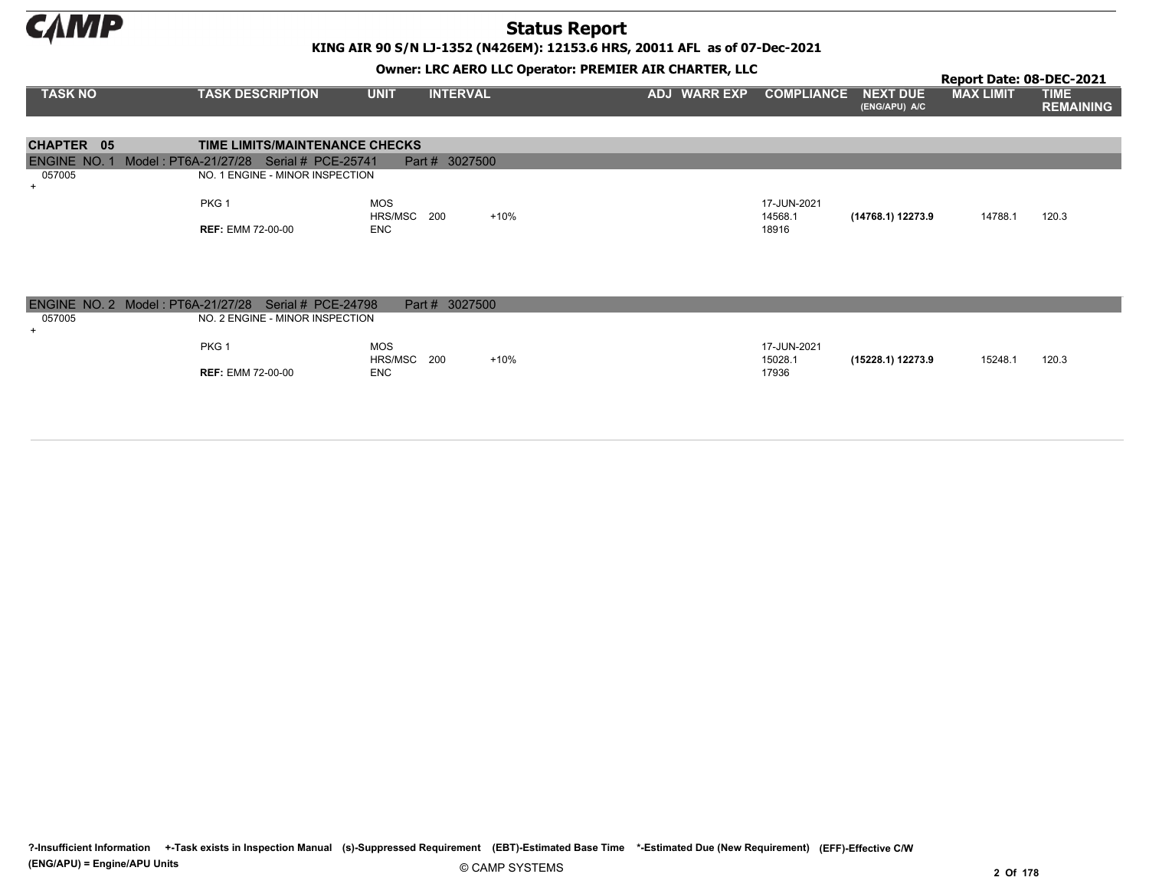**CAMP** 

## Status Report

KING AIR 90 S/N LJ-1352 (N426EM): 12153.6 HRS, 20011 AFL as of 07-Dec-2021

#### Owner: LRC AERO LLC Operator: PREMIER AIR CHARTER, LLC

|                                   |                                         |                                |                     |                   |                           | Report Date: 08-DEC-2021 |                                 |
|-----------------------------------|-----------------------------------------|--------------------------------|---------------------|-------------------|---------------------------|--------------------------|---------------------------------|
| <b>TASK NO</b>                    | <b>TASK DESCRIPTION</b>                 | <b>INTERVAL</b><br><b>UNIT</b> | <b>ADJ WARR EXP</b> | <b>COMPLIANCE</b> | NEXT DUE<br>(ENG/APU) A/C | <b>MAX LIMIT</b>         | <b>TIME</b><br><b>REMAINING</b> |
|                                   |                                         |                                |                     |                   |                           |                          |                                 |
| CHAPTER 05                        | TIME LIMITS/MAINTENANCE CHECKS          |                                |                     |                   |                           |                          |                                 |
| <b>ENGINE NO. 1</b>               | Model: PT6A-21/27/28 Serial # PCE-25741 | Part # 3027500                 |                     |                   |                           |                          |                                 |
| 057005                            | NO. 1 ENGINE - MINOR INSPECTION         |                                |                     |                   |                           |                          |                                 |
| $+$                               |                                         |                                |                     |                   |                           |                          |                                 |
|                                   | PKG <sub>1</sub>                        | <b>MOS</b>                     |                     | 17-JUN-2021       |                           |                          |                                 |
|                                   |                                         | HRS/MSC<br>200<br>+10%         |                     | 14568.1           | (14768.1) 12273.9         | 14788.1                  | 120.3                           |
|                                   | <b>REF: EMM 72-00-00</b>                | <b>ENC</b>                     |                     | 18916             |                           |                          |                                 |
|                                   |                                         |                                |                     |                   |                           |                          |                                 |
|                                   |                                         |                                |                     |                   |                           |                          |                                 |
|                                   |                                         |                                |                     |                   |                           |                          |                                 |
|                                   |                                         |                                |                     |                   |                           |                          |                                 |
| ENGINE NO. 2 Model: PT6A-21/27/28 | Serial # $PCE-24798$                    | Part # 3027500                 |                     |                   |                           |                          |                                 |
| 057005                            | NO. 2 ENGINE - MINOR INSPECTION         |                                |                     |                   |                           |                          |                                 |
| $+$                               |                                         |                                |                     |                   |                           |                          |                                 |
|                                   | PKG <sub>1</sub>                        | <b>MOS</b>                     |                     | 17-JUN-2021       |                           |                          |                                 |

200 15028.1

17936 (15228.1) 12273.9 +10% 15248.1 120.3

?-Insufficient Information +-Task exists in Inspection Manual (s)-Suppressed Requirement (EBT)-Estimated Base Time \*-Estimated Due (New Requirement) (EFF)-Effective C/W

HRS/MSC 200

ENC

REF: EMM 72-00-00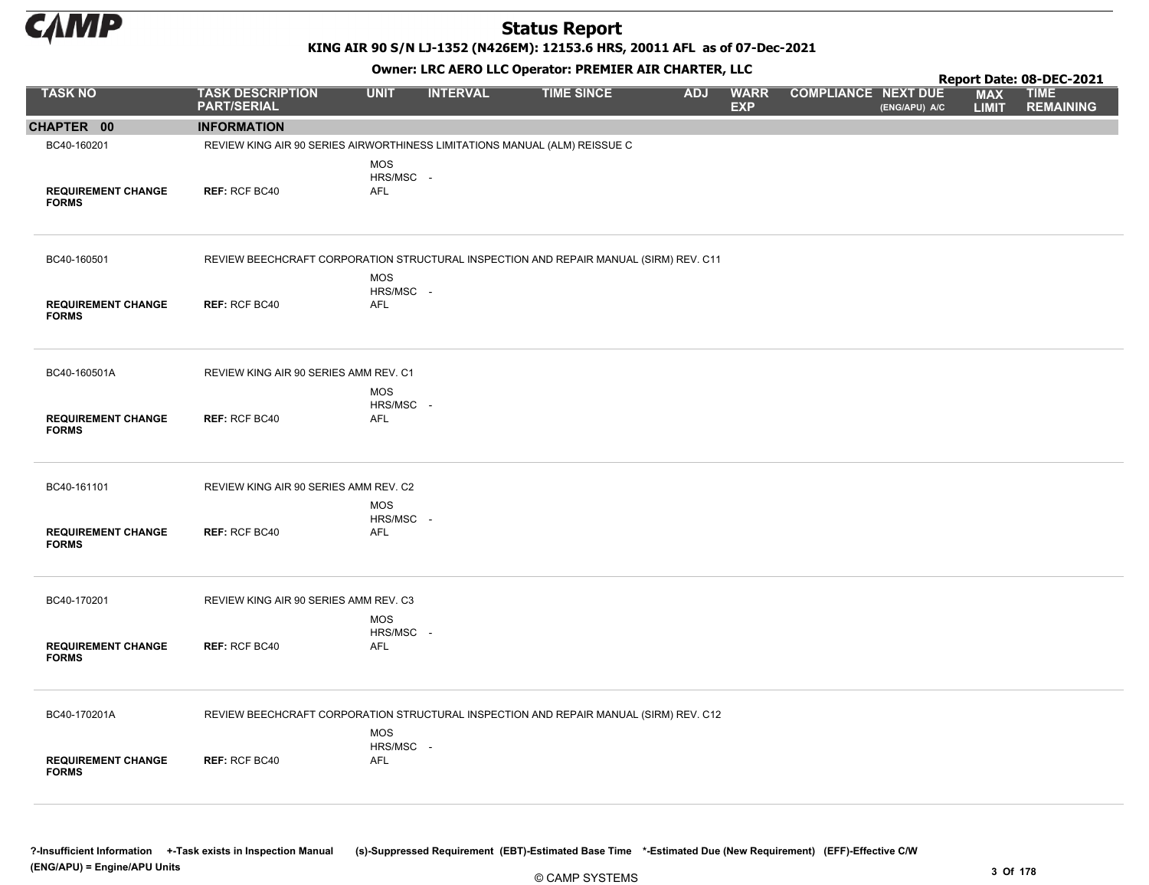

KING AIR 90 S/N LJ-1352 (N426EM): 12153.6 HRS, 20011 AFL as of 07-Dec-2021

| Owner: LRC AERO LLC Operator: PREMIER AIR CHARTER, LLC<br>Report Date: 08-DEC-2021 |                                                                                       |                                       |                 |                   |            |                           |                            |               |                            |                                 |  |  |
|------------------------------------------------------------------------------------|---------------------------------------------------------------------------------------|---------------------------------------|-----------------|-------------------|------------|---------------------------|----------------------------|---------------|----------------------------|---------------------------------|--|--|
| <b>TASK NO</b>                                                                     | <b>TASK DESCRIPTION</b><br><b>PART/SERIAL</b>                                         | <b>UNIT</b>                           | <b>INTERVAL</b> | <b>TIME SINCE</b> | <b>ADJ</b> | <b>WARR</b><br><b>EXP</b> | <b>COMPLIANCE NEXT DUE</b> | (ENG/APU) A/C | <b>MAX</b><br><b>LIMIT</b> | <b>TIME</b><br><b>REMAINING</b> |  |  |
| CHAPTER 00                                                                         | <b>INFORMATION</b>                                                                    |                                       |                 |                   |            |                           |                            |               |                            |                                 |  |  |
| BC40-160201                                                                        | REVIEW KING AIR 90 SERIES AIRWORTHINESS LIMITATIONS MANUAL (ALM) REISSUE C            |                                       |                 |                   |            |                           |                            |               |                            |                                 |  |  |
| <b>REQUIREMENT CHANGE</b><br><b>FORMS</b>                                          | <b>REF: RCF BC40</b>                                                                  | <b>MOS</b><br>HRS/MSC -<br>AFL        |                 |                   |            |                           |                            |               |                            |                                 |  |  |
| BC40-160501                                                                        | REVIEW BEECHCRAFT CORPORATION STRUCTURAL INSPECTION AND REPAIR MANUAL (SIRM) REV. C11 |                                       |                 |                   |            |                           |                            |               |                            |                                 |  |  |
| <b>REQUIREMENT CHANGE</b><br><b>FORMS</b>                                          | REF: RCF BC40                                                                         | <b>MOS</b><br>HRS/MSC -<br><b>AFL</b> |                 |                   |            |                           |                            |               |                            |                                 |  |  |
| BC40-160501A                                                                       | REVIEW KING AIR 90 SERIES AMM REV. C1                                                 | <b>MOS</b>                            |                 |                   |            |                           |                            |               |                            |                                 |  |  |
| <b>REQUIREMENT CHANGE</b><br><b>FORMS</b>                                          | <b>REF: RCF BC40</b>                                                                  | HRS/MSC -<br><b>AFL</b>               |                 |                   |            |                           |                            |               |                            |                                 |  |  |
| BC40-161101                                                                        | REVIEW KING AIR 90 SERIES AMM REV. C2                                                 |                                       |                 |                   |            |                           |                            |               |                            |                                 |  |  |
| <b>REQUIREMENT CHANGE</b><br><b>FORMS</b>                                          | <b>REF: RCF BC40</b>                                                                  | <b>MOS</b><br>HRS/MSC -<br><b>AFL</b> |                 |                   |            |                           |                            |               |                            |                                 |  |  |
| BC40-170201                                                                        | REVIEW KING AIR 90 SERIES AMM REV. C3                                                 |                                       |                 |                   |            |                           |                            |               |                            |                                 |  |  |
| <b>REQUIREMENT CHANGE</b><br><b>FORMS</b>                                          | REF: RCF BC40                                                                         | <b>MOS</b><br>HRS/MSC -<br><b>AFL</b> |                 |                   |            |                           |                            |               |                            |                                 |  |  |
| BC40-170201A                                                                       | REVIEW BEECHCRAFT CORPORATION STRUCTURAL INSPECTION AND REPAIR MANUAL (SIRM) REV. C12 |                                       |                 |                   |            |                           |                            |               |                            |                                 |  |  |
| <b>REQUIREMENT CHANGE</b><br><b>FORMS</b>                                          | <b>REF: RCF BC40</b>                                                                  | <b>MOS</b><br>HRS/MSC -<br><b>AFL</b> |                 |                   |            |                           |                            |               |                            |                                 |  |  |

?-Insufficient Information +-Task exists in Inspection Manual (s)-Suppressed Requirement (EBT)-Estimated Base Time \*-Estimated Due (New Requirement) (EFF)-Effective C/W (ENG/APU) = Engine/APU Units 3 Of 178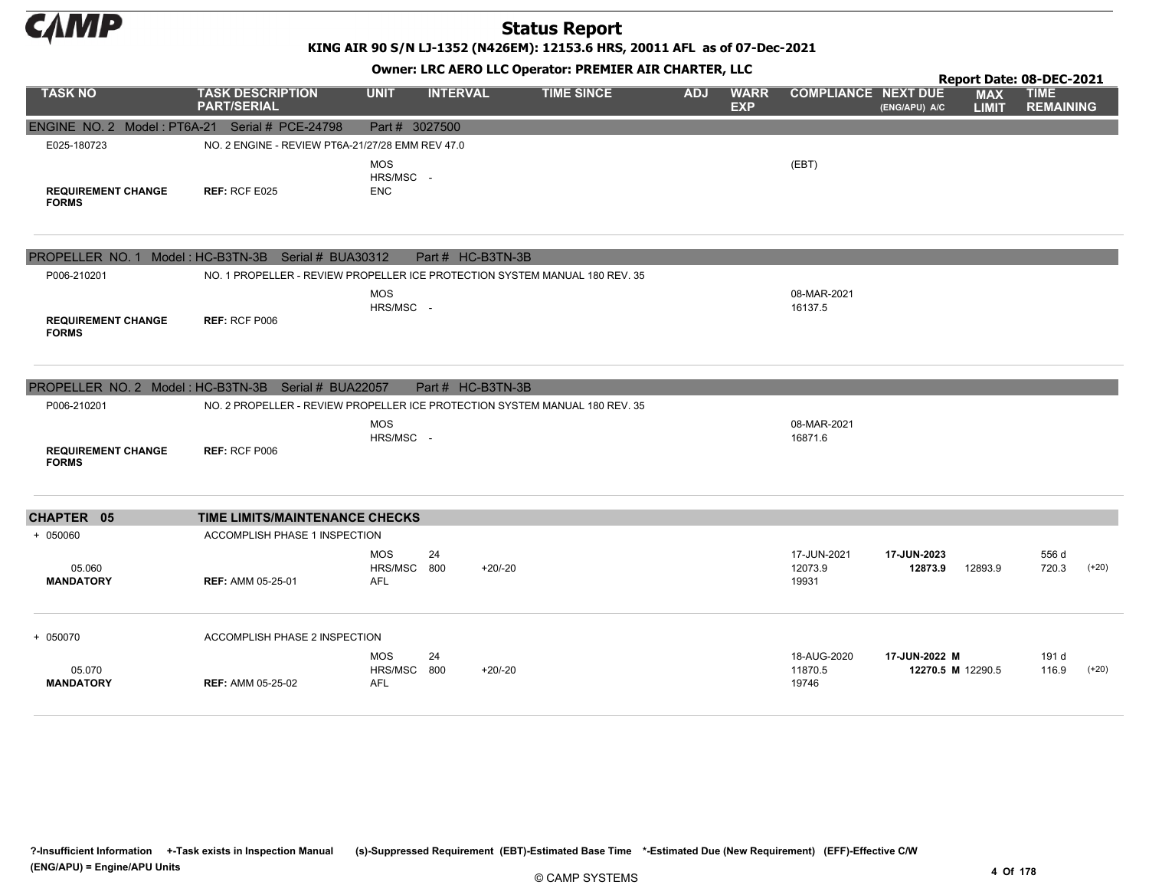

KING AIR 90 S/N LJ-1352 (N426EM): 12153.6 HRS, 20011 AFL as of 07-Dec-2021

| Owner: LRC AERO LLC Operator: PREMIER AIR CHARTER, LLC<br>Report Date: 08-DEC-2021 |                                                     |                                         |                   |                                                                             |            |                           |                                 |                                    |                            |                                 |         |
|------------------------------------------------------------------------------------|-----------------------------------------------------|-----------------------------------------|-------------------|-----------------------------------------------------------------------------|------------|---------------------------|---------------------------------|------------------------------------|----------------------------|---------------------------------|---------|
| <b>TASK NO</b>                                                                     | <b>TASK DESCRIPTION</b><br><b>PART/SERIAL</b>       | <b>UNIT</b>                             | <b>INTERVAL</b>   | <b>TIME SINCE</b>                                                           | <b>ADJ</b> | <b>WARR</b><br><b>EXP</b> | <b>COMPLIANCE NEXT DUE</b>      | (ENG/APU) A/C                      | <b>MAX</b><br><b>LIMIT</b> | <b>TIME</b><br><b>REMAINING</b> |         |
| ENGINE NO. 2 Model: PT6A-21 Serial # PCE-24798                                     |                                                     | Part # 3027500                          |                   |                                                                             |            |                           |                                 |                                    |                            |                                 |         |
| E025-180723                                                                        | NO. 2 ENGINE - REVIEW PT6A-21/27/28 EMM REV 47.0    |                                         |                   |                                                                             |            |                           |                                 |                                    |                            |                                 |         |
| <b>REQUIREMENT CHANGE</b><br><b>FORMS</b>                                          | REF: RCF E025                                       | <b>MOS</b><br>HRS/MSC -<br><b>ENC</b>   |                   |                                                                             |            |                           | (EBT)                           |                                    |                            |                                 |         |
|                                                                                    | PROPELLER NO. 1 Model: HC-B3TN-3B Serial # BUA30312 |                                         | Part # HC-B3TN-3B |                                                                             |            |                           |                                 |                                    |                            |                                 |         |
| P006-210201                                                                        |                                                     |                                         |                   | NO. 1 PROPELLER - REVIEW PROPELLER ICE PROTECTION SYSTEM MANUAL 180 REV. 35 |            |                           |                                 |                                    |                            |                                 |         |
| <b>REQUIREMENT CHANGE</b><br><b>FORMS</b>                                          | <b>REF: RCF P006</b>                                | <b>MOS</b><br>HRS/MSC -                 |                   |                                                                             |            |                           | 08-MAR-2021<br>16137.5          |                                    |                            |                                 |         |
|                                                                                    | PROPELLER NO. 2 Model: HC-B3TN-3B Serial # BUA22057 |                                         | Part # HC-B3TN-3B |                                                                             |            |                           |                                 |                                    |                            |                                 |         |
| P006-210201                                                                        |                                                     |                                         |                   | NO. 2 PROPELLER - REVIEW PROPELLER ICE PROTECTION SYSTEM MANUAL 180 REV. 35 |            |                           |                                 |                                    |                            |                                 |         |
| <b>REQUIREMENT CHANGE</b><br><b>FORMS</b>                                          | <b>REF: RCF P006</b>                                | <b>MOS</b><br>HRS/MSC -                 |                   |                                                                             |            |                           | 08-MAR-2021<br>16871.6          |                                    |                            |                                 |         |
| CHAPTER 05                                                                         | TIME LIMITS/MAINTENANCE CHECKS                      |                                         |                   |                                                                             |            |                           |                                 |                                    |                            |                                 |         |
| $+ 050060$                                                                         | <b>ACCOMPLISH PHASE 1 INSPECTION</b>                |                                         |                   |                                                                             |            |                           |                                 |                                    |                            |                                 |         |
| 05.060<br><b>MANDATORY</b>                                                         | <b>REF: AMM 05-25-01</b>                            | <b>MOS</b><br>HRS/MSC 800<br><b>AFL</b> | 24                | $+20/-20$                                                                   |            |                           | 17-JUN-2021<br>12073.9<br>19931 | 17-JUN-2023<br>12873.9             | 12893.9                    | 556 d<br>720.3                  | $(+20)$ |
| + 050070                                                                           | ACCOMPLISH PHASE 2 INSPECTION                       |                                         |                   |                                                                             |            |                           |                                 |                                    |                            |                                 |         |
| 05.070<br><b>MANDATORY</b>                                                         | <b>REF: AMM 05-25-02</b>                            | <b>MOS</b><br>HRS/MSC 800<br><b>AFL</b> | 24                | $+20/-20$                                                                   |            |                           | 18-AUG-2020<br>11870.5<br>19746 | 17-JUN-2022 M<br>12270.5 M 12290.5 |                            | 191 d<br>116.9                  | $(+20)$ |

?-Insufficient Information +-Task exists in Inspection Manual (s)-Suppressed Requirement (EBT)-Estimated Base Time \*-Estimated Due (New Requirement) (EFF)-Effective C/W (ENG/APU) = Engine/APU Units 4 Of 178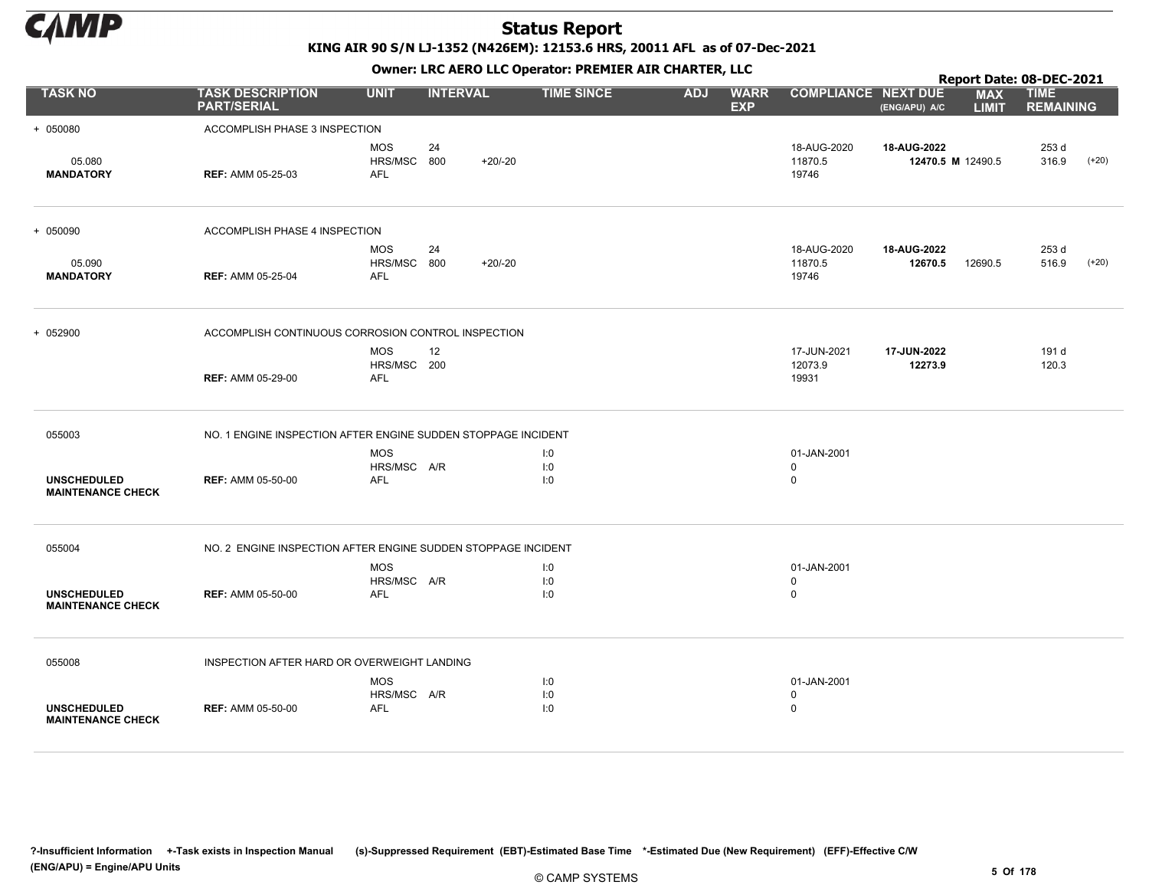

KING AIR 90 S/N LJ-1352 (N426EM): 12153.6 HRS, 20011 AFL as of 07-Dec-2021

|                                                |                                                               |                                         |                 |           | OWHER. LKC ALKO LLC OPERATOR. PREPILER AIR CHARTER, LLC |            |                           |                                           |                        | Report Date: 08-DEC-2021   |                                 |         |
|------------------------------------------------|---------------------------------------------------------------|-----------------------------------------|-----------------|-----------|---------------------------------------------------------|------------|---------------------------|-------------------------------------------|------------------------|----------------------------|---------------------------------|---------|
| <b>TASK NO</b>                                 | <b>TASK DESCRIPTION</b><br><b>PART/SERIAL</b>                 | <b>UNIT</b>                             | <b>INTERVAL</b> |           | <b>TIME SINCE</b>                                       | <b>ADJ</b> | <b>WARR</b><br><b>EXP</b> | <b>COMPLIANCE NEXT DUE</b>                | (ENG/APU) A/C          | <b>MAX</b><br><b>LIMIT</b> | <b>TIME</b><br><b>REMAINING</b> |         |
| + 050080                                       | ACCOMPLISH PHASE 3 INSPECTION                                 |                                         |                 |           |                                                         |            |                           |                                           |                        |                            |                                 |         |
| 05.080<br><b>MANDATORY</b>                     | <b>REF: AMM 05-25-03</b>                                      | <b>MOS</b><br>HRS/MSC 800<br>AFL        | 24              | $+20/-20$ |                                                         |            |                           | 18-AUG-2020<br>11870.5<br>19746           | 18-AUG-2022            | 12470.5 M 12490.5          | 253 d<br>316.9                  | $(+20)$ |
| + 050090                                       | ACCOMPLISH PHASE 4 INSPECTION                                 |                                         |                 |           |                                                         |            |                           |                                           |                        |                            |                                 |         |
| 05.090<br><b>MANDATORY</b>                     | <b>REF: AMM 05-25-04</b>                                      | <b>MOS</b><br>HRS/MSC 800<br><b>AFL</b> | 24              | $+20/-20$ |                                                         |            |                           | 18-AUG-2020<br>11870.5<br>19746           | 18-AUG-2022<br>12670.5 | 12690.5                    | 253 d<br>516.9                  | $(+20)$ |
| + 052900                                       | ACCOMPLISH CONTINUOUS CORROSION CONTROL INSPECTION            |                                         |                 |           |                                                         |            |                           |                                           |                        |                            |                                 |         |
|                                                | <b>REF: AMM 05-29-00</b>                                      | <b>MOS</b><br>HRS/MSC 200<br><b>AFL</b> | 12              |           |                                                         |            |                           | 17-JUN-2021<br>12073.9<br>19931           | 17-JUN-2022<br>12273.9 |                            | 191 d<br>120.3                  |         |
| 055003                                         | NO. 1 ENGINE INSPECTION AFTER ENGINE SUDDEN STOPPAGE INCIDENT |                                         |                 |           |                                                         |            |                           |                                           |                        |                            |                                 |         |
| <b>UNSCHEDULED</b><br><b>MAINTENANCE CHECK</b> | <b>REF: AMM 05-50-00</b>                                      | <b>MOS</b><br>HRS/MSC A/R<br>AFL        |                 |           | 1:0<br>1:0<br>1:0                                       |            |                           | 01-JAN-2001<br>0<br>$\mathbf 0$           |                        |                            |                                 |         |
| 055004                                         | NO. 2 ENGINE INSPECTION AFTER ENGINE SUDDEN STOPPAGE INCIDENT |                                         |                 |           |                                                         |            |                           |                                           |                        |                            |                                 |         |
| <b>UNSCHEDULED</b><br><b>MAINTENANCE CHECK</b> | <b>REF: AMM 05-50-00</b>                                      | <b>MOS</b><br>HRS/MSC A/R<br><b>AFL</b> |                 |           | 1:0<br>1:0<br>1:0                                       |            |                           | 01-JAN-2001<br>$\mathbf 0$<br>$\mathbf 0$ |                        |                            |                                 |         |
| 055008                                         | INSPECTION AFTER HARD OR OVERWEIGHT LANDING                   |                                         |                 |           |                                                         |            |                           |                                           |                        |                            |                                 |         |
| <b>UNSCHEDULED</b><br><b>MAINTENANCE CHECK</b> | <b>REF: AMM 05-50-00</b>                                      | <b>MOS</b><br>HRS/MSC A/R<br><b>AFL</b> |                 |           | 1:0<br>1:0<br>1:0                                       |            |                           | 01-JAN-2001<br>0<br>$\mathbf 0$           |                        |                            |                                 |         |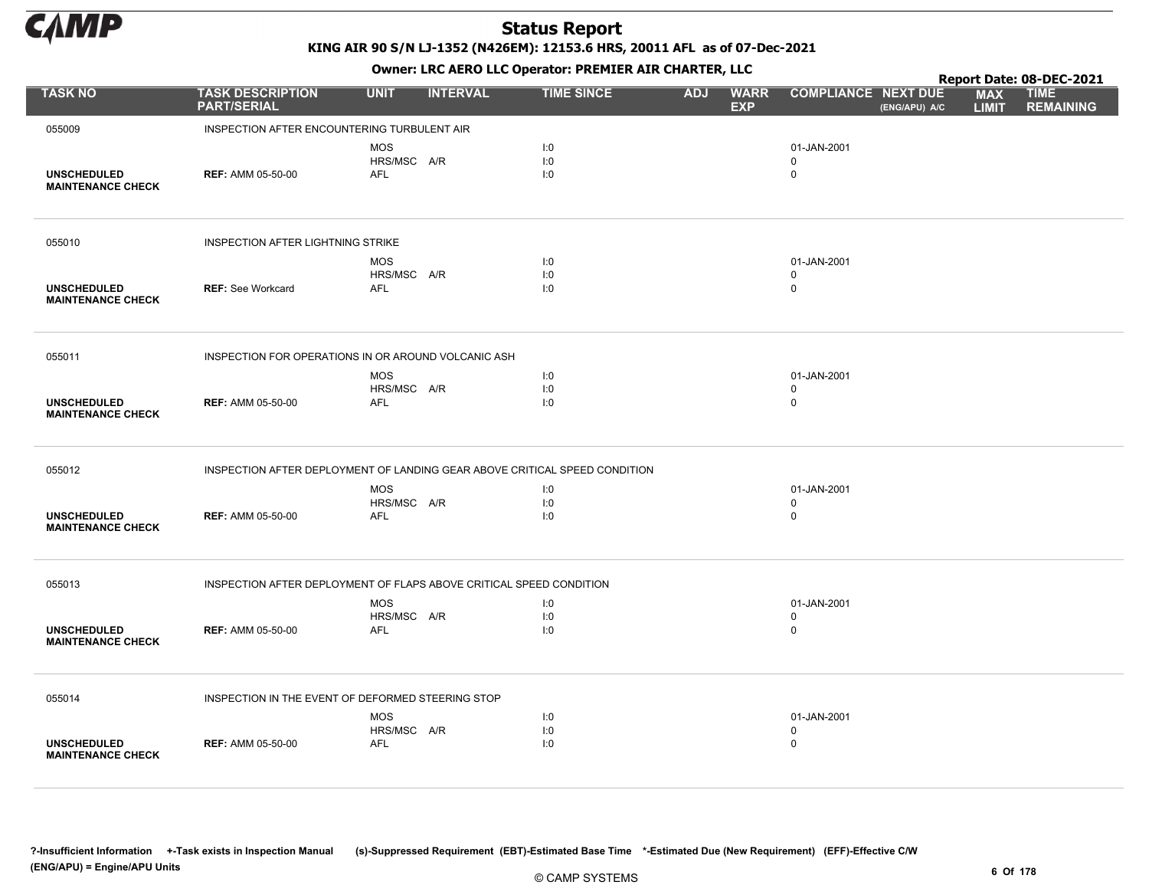

KING AIR 90 S/N LJ-1352 (N426EM): 12153.6 HRS, 20011 AFL as of 07-Dec-2021

Owner: LRC AERO LLC Operator: PREMIER AIR CHARTER, LLC

|                                                |                                                                            |                                         |                 |                   |            |                           |                                           |               |                            | Report Date: 08-DEC-2021        |
|------------------------------------------------|----------------------------------------------------------------------------|-----------------------------------------|-----------------|-------------------|------------|---------------------------|-------------------------------------------|---------------|----------------------------|---------------------------------|
| <b>TASK NO</b>                                 | <b>TASK DESCRIPTION</b><br><b>PART/SERIAL</b>                              | <b>UNIT</b>                             | <b>INTERVAL</b> | <b>TIME SINCE</b> | <b>ADJ</b> | <b>WARR</b><br><b>EXP</b> | <b>COMPLIANCE NEXT DUE</b>                | (ENG/APU) A/C | <b>MAX</b><br><b>LIMIT</b> | <b>TIME</b><br><b>REMAINING</b> |
| 055009                                         | INSPECTION AFTER ENCOUNTERING TURBULENT AIR                                |                                         |                 |                   |            |                           |                                           |               |                            |                                 |
| <b>UNSCHEDULED</b><br><b>MAINTENANCE CHECK</b> | <b>REF: AMM 05-50-00</b>                                                   | <b>MOS</b><br>HRS/MSC A/R<br><b>AFL</b> |                 | I:0<br>I:0<br>I:0 |            |                           | 01-JAN-2001<br>$\Omega$<br>$\mathbf 0$    |               |                            |                                 |
| 055010                                         | <b>INSPECTION AFTER LIGHTNING STRIKE</b>                                   |                                         |                 |                   |            |                           |                                           |               |                            |                                 |
| <b>UNSCHEDULED</b><br><b>MAINTENANCE CHECK</b> | <b>REF: See Workcard</b>                                                   | <b>MOS</b><br>HRS/MSC A/R<br>AFL        |                 | I:0<br>I:0<br>I:0 |            |                           | 01-JAN-2001<br>$\mathbf 0$<br>$\mathbf 0$ |               |                            |                                 |
| 055011                                         | INSPECTION FOR OPERATIONS IN OR AROUND VOLCANIC ASH                        |                                         |                 |                   |            |                           |                                           |               |                            |                                 |
| <b>UNSCHEDULED</b><br><b>MAINTENANCE CHECK</b> | <b>REF: AMM 05-50-00</b>                                                   | <b>MOS</b><br>HRS/MSC A/R<br><b>AFL</b> |                 | I:0<br>I:0<br>I:0 |            |                           | 01-JAN-2001<br>$\mathbf 0$<br>$\mathsf 0$ |               |                            |                                 |
| 055012                                         | INSPECTION AFTER DEPLOYMENT OF LANDING GEAR ABOVE CRITICAL SPEED CONDITION |                                         |                 |                   |            |                           |                                           |               |                            |                                 |
| <b>UNSCHEDULED</b><br><b>MAINTENANCE CHECK</b> | <b>REF: AMM 05-50-00</b>                                                   | <b>MOS</b><br>HRS/MSC A/R<br>AFL        |                 | I:0<br>I:0<br>I:0 |            |                           | 01-JAN-2001<br>$\mathbf 0$<br>$\mathbf 0$ |               |                            |                                 |
| 055013                                         | INSPECTION AFTER DEPLOYMENT OF FLAPS ABOVE CRITICAL SPEED CONDITION        |                                         |                 |                   |            |                           |                                           |               |                            |                                 |
| <b>UNSCHEDULED</b><br><b>MAINTENANCE CHECK</b> | <b>REF: AMM 05-50-00</b>                                                   | <b>MOS</b><br>HRS/MSC A/R<br><b>AFL</b> |                 | I:0<br>I:0<br>I:0 |            |                           | 01-JAN-2001<br>$\mathbf 0$<br>$\mathbf 0$ |               |                            |                                 |
| 055014                                         | INSPECTION IN THE EVENT OF DEFORMED STEERING STOP                          |                                         |                 |                   |            |                           |                                           |               |                            |                                 |
| <b>UNSCHEDULED</b><br><b>MAINTENANCE CHECK</b> | <b>REF: AMM 05-50-00</b>                                                   | <b>MOS</b><br>HRS/MSC A/R<br><b>AFL</b> |                 | I:0<br>I:0<br>1:0 |            |                           | 01-JAN-2001<br>$\mathbf 0$<br>$\mathbf 0$ |               |                            |                                 |

?-Insufficient Information +-Task exists in Inspection Manual (s)-Suppressed Requirement (EBT)-Estimated Base Time \*-Estimated Due (New Requirement) (EFF)-Effective C/W (ENG/APU) = Engine/APU Units 6 Of 178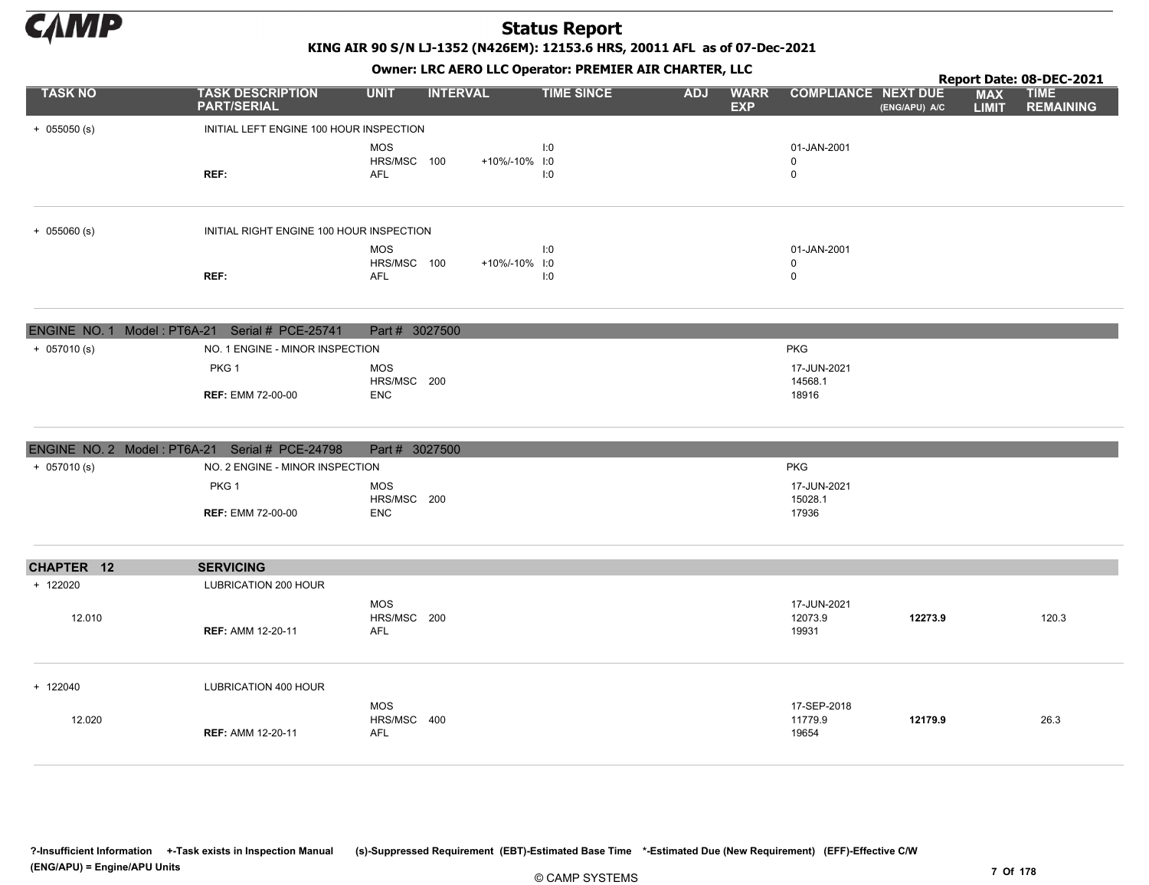

KING AIR 90 S/N LJ-1352 (N426EM): 12153.6 HRS, 20011 AFL as of 07-Dec-2021

|                | Owner: LRC AERO LLC Operator: PREMIER AIR CHARTER, LLC<br>Report Date: 08-DEC-2021 |                                         |                 |                   |            |                           |                                 |               |                            |                                 |  |  |  |
|----------------|------------------------------------------------------------------------------------|-----------------------------------------|-----------------|-------------------|------------|---------------------------|---------------------------------|---------------|----------------------------|---------------------------------|--|--|--|
| <b>TASK NO</b> | <b>TASK DESCRIPTION</b><br><b>PART/SERIAL</b>                                      | <b>UNIT</b>                             | <b>INTERVAL</b> | <b>TIME SINCE</b> | <b>ADJ</b> | <b>WARR</b><br><b>EXP</b> | <b>COMPLIANCE NEXT DUE</b>      | (ENG/APU) A/C | <b>MAX</b><br><b>LIMIT</b> | <b>TIME</b><br><b>REMAINING</b> |  |  |  |
| $+ 055050$ (s) | INITIAL LEFT ENGINE 100 HOUR INSPECTION                                            |                                         |                 |                   |            |                           |                                 |               |                            |                                 |  |  |  |
|                | REF:                                                                               | <b>MOS</b><br>HRS/MSC 100<br><b>AFL</b> | +10%/-10% I:0   | I:0<br>I:0        |            |                           | 01-JAN-2001<br>0<br>0           |               |                            |                                 |  |  |  |
| $+ 055060$ (s) | INITIAL RIGHT ENGINE 100 HOUR INSPECTION                                           |                                         |                 |                   |            |                           |                                 |               |                            |                                 |  |  |  |
|                |                                                                                    | <b>MOS</b>                              |                 | 1:0               |            |                           | 01-JAN-2001                     |               |                            |                                 |  |  |  |
|                | REF:                                                                               | HRS/MSC 100<br><b>AFL</b>               | +10%/-10% I:0   | I:0               |            |                           | 0<br>0                          |               |                            |                                 |  |  |  |
|                | ENGINE NO. 1 Model: PT6A-21 Serial # PCE-25741                                     | Part # 3027500                          |                 |                   |            |                           |                                 |               |                            |                                 |  |  |  |
| $+ 057010(s)$  | NO. 1 ENGINE - MINOR INSPECTION                                                    |                                         |                 |                   |            |                           | <b>PKG</b>                      |               |                            |                                 |  |  |  |
|                | PKG <sub>1</sub>                                                                   | <b>MOS</b>                              |                 |                   |            |                           | 17-JUN-2021                     |               |                            |                                 |  |  |  |
|                | <b>REF: EMM 72-00-00</b>                                                           | HRS/MSC 200<br><b>ENC</b>               |                 |                   |            |                           | 14568.1<br>18916                |               |                            |                                 |  |  |  |
|                | ENGINE NO. 2 Model: PT6A-21 Serial # PCE-24798                                     | Part # 3027500                          |                 |                   |            |                           |                                 |               |                            |                                 |  |  |  |
| $+ 057010(s)$  | NO. 2 ENGINE - MINOR INSPECTION                                                    |                                         |                 |                   |            |                           | <b>PKG</b>                      |               |                            |                                 |  |  |  |
|                | PKG 1                                                                              | <b>MOS</b><br>HRS/MSC 200               |                 |                   |            |                           | 17-JUN-2021<br>15028.1          |               |                            |                                 |  |  |  |
|                | <b>REF: EMM 72-00-00</b>                                                           | <b>ENC</b>                              |                 |                   |            |                           | 17936                           |               |                            |                                 |  |  |  |
| CHAPTER 12     | <b>SERVICING</b>                                                                   |                                         |                 |                   |            |                           |                                 |               |                            |                                 |  |  |  |
| + 122020       | LUBRICATION 200 HOUR                                                               |                                         |                 |                   |            |                           |                                 |               |                            |                                 |  |  |  |
| 12.010         | <b>REF: AMM 12-20-11</b>                                                           | <b>MOS</b><br>HRS/MSC 200<br><b>AFL</b> |                 |                   |            |                           | 17-JUN-2021<br>12073.9<br>19931 | 12273.9       |                            | 120.3                           |  |  |  |
| + 122040       | LUBRICATION 400 HOUR                                                               |                                         |                 |                   |            |                           |                                 |               |                            |                                 |  |  |  |
| 12.020         | <b>REF: AMM 12-20-11</b>                                                           | <b>MOS</b><br>HRS/MSC 400<br><b>AFL</b> |                 |                   |            |                           | 17-SEP-2018<br>11779.9<br>19654 | 12179.9       |                            | 26.3                            |  |  |  |

?-Insufficient Information +-Task exists in Inspection Manual (s)-Suppressed Requirement (EBT)-Estimated Base Time \*-Estimated Due (New Requirement) (EFF)-Effective C/W (ENG/APU) = Engine/APU Units 7 Of 178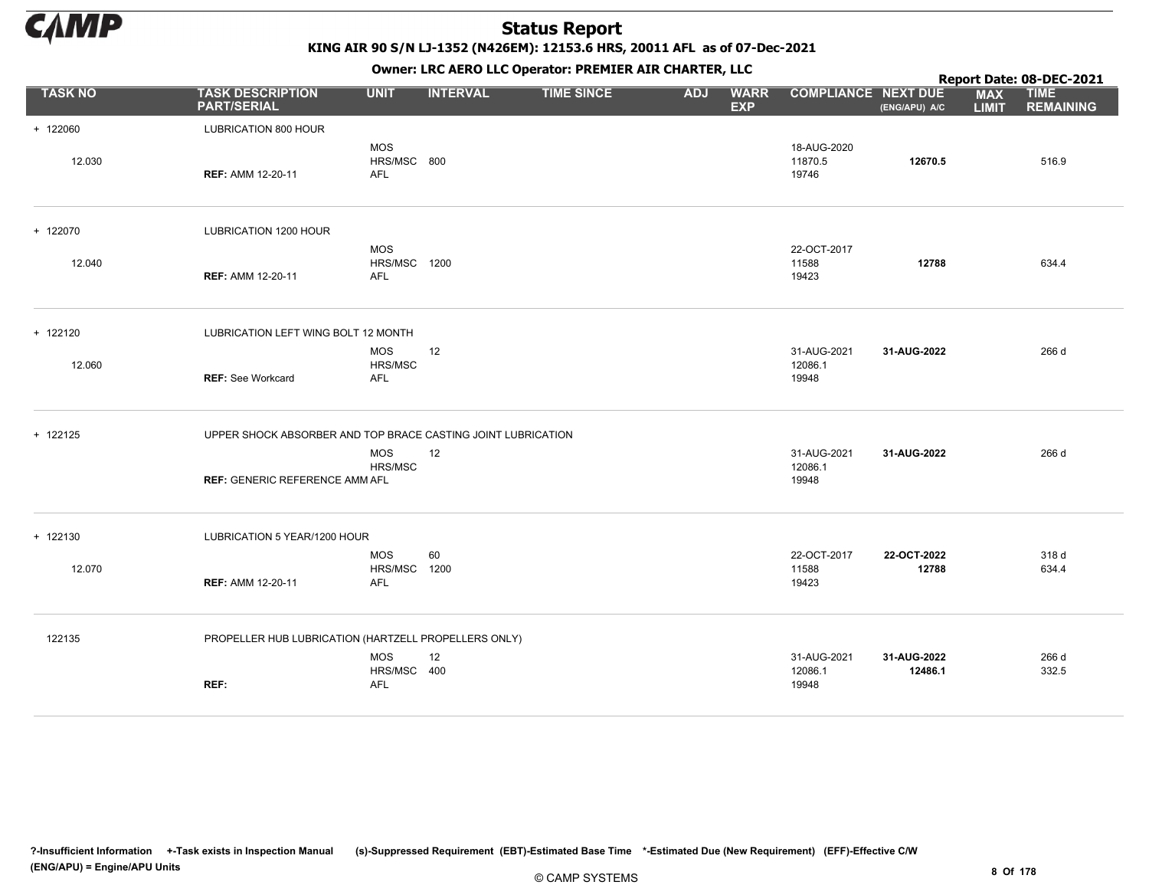

KING AIR 90 S/N LJ-1352 (N426EM): 12153.6 HRS, 20011 AFL as of 07-Dec-2021

|                |                                                              |                                          |                 | OWHER. LKC ALKO LLC OPERATOR. PREPILER AIR CHARTER, LLC |            |                           |                                 |                        |                            | Report Date: 08-DEC-2021        |
|----------------|--------------------------------------------------------------|------------------------------------------|-----------------|---------------------------------------------------------|------------|---------------------------|---------------------------------|------------------------|----------------------------|---------------------------------|
| <b>TASK NO</b> | <b>TASK DESCRIPTION</b><br><b>PART/SERIAL</b>                | <b>UNIT</b>                              | <b>INTERVAL</b> | <b>TIME SINCE</b>                                       | <b>ADJ</b> | <b>WARR</b><br><b>EXP</b> | <b>COMPLIANCE NEXT DUE</b>      | (ENG/APU) A/C          | <b>MAX</b><br><b>LIMIT</b> | <b>TIME</b><br><b>REMAINING</b> |
| + 122060       | LUBRICATION 800 HOUR                                         |                                          |                 |                                                         |            |                           |                                 |                        |                            |                                 |
| 12.030         | <b>REF: AMM 12-20-11</b>                                     | <b>MOS</b><br>HRS/MSC 800<br><b>AFL</b>  |                 |                                                         |            |                           | 18-AUG-2020<br>11870.5<br>19746 | 12670.5                |                            | 516.9                           |
| + 122070       | LUBRICATION 1200 HOUR                                        |                                          |                 |                                                         |            |                           |                                 |                        |                            |                                 |
| 12.040         | <b>REF: AMM 12-20-11</b>                                     | <b>MOS</b><br>HRS/MSC 1200<br><b>AFL</b> |                 |                                                         |            |                           | 22-OCT-2017<br>11588<br>19423   | 12788                  |                            | 634.4                           |
| + 122120       | LUBRICATION LEFT WING BOLT 12 MONTH                          |                                          |                 |                                                         |            |                           |                                 |                        |                            |                                 |
| 12.060         | <b>REF: See Workcard</b>                                     | <b>MOS</b><br>HRS/MSC<br><b>AFL</b>      | 12              |                                                         |            |                           | 31-AUG-2021<br>12086.1<br>19948 | 31-AUG-2022            |                            | 266 d                           |
| + 122125       | UPPER SHOCK ABSORBER AND TOP BRACE CASTING JOINT LUBRICATION |                                          |                 |                                                         |            |                           |                                 |                        |                            |                                 |
|                | <b>REF: GENERIC REFERENCE AMM AFL</b>                        | <b>MOS</b><br>HRS/MSC                    | 12              |                                                         |            |                           | 31-AUG-2021<br>12086.1<br>19948 | 31-AUG-2022            |                            | 266 d                           |
| + 122130       | LUBRICATION 5 YEAR/1200 HOUR                                 |                                          |                 |                                                         |            |                           |                                 |                        |                            |                                 |
| 12.070         | <b>REF: AMM 12-20-11</b>                                     | <b>MOS</b><br>HRS/MSC 1200<br><b>AFL</b> | 60              |                                                         |            |                           | 22-OCT-2017<br>11588<br>19423   | 22-OCT-2022<br>12788   |                            | 318 d<br>634.4                  |
| 122135         | PROPELLER HUB LUBRICATION (HARTZELL PROPELLERS ONLY)         |                                          |                 |                                                         |            |                           |                                 |                        |                            |                                 |
|                | REF:                                                         | <b>MOS</b><br>HRS/MSC 400<br><b>AFL</b>  | 12              |                                                         |            |                           | 31-AUG-2021<br>12086.1<br>19948 | 31-AUG-2022<br>12486.1 |                            | 266 d<br>332.5                  |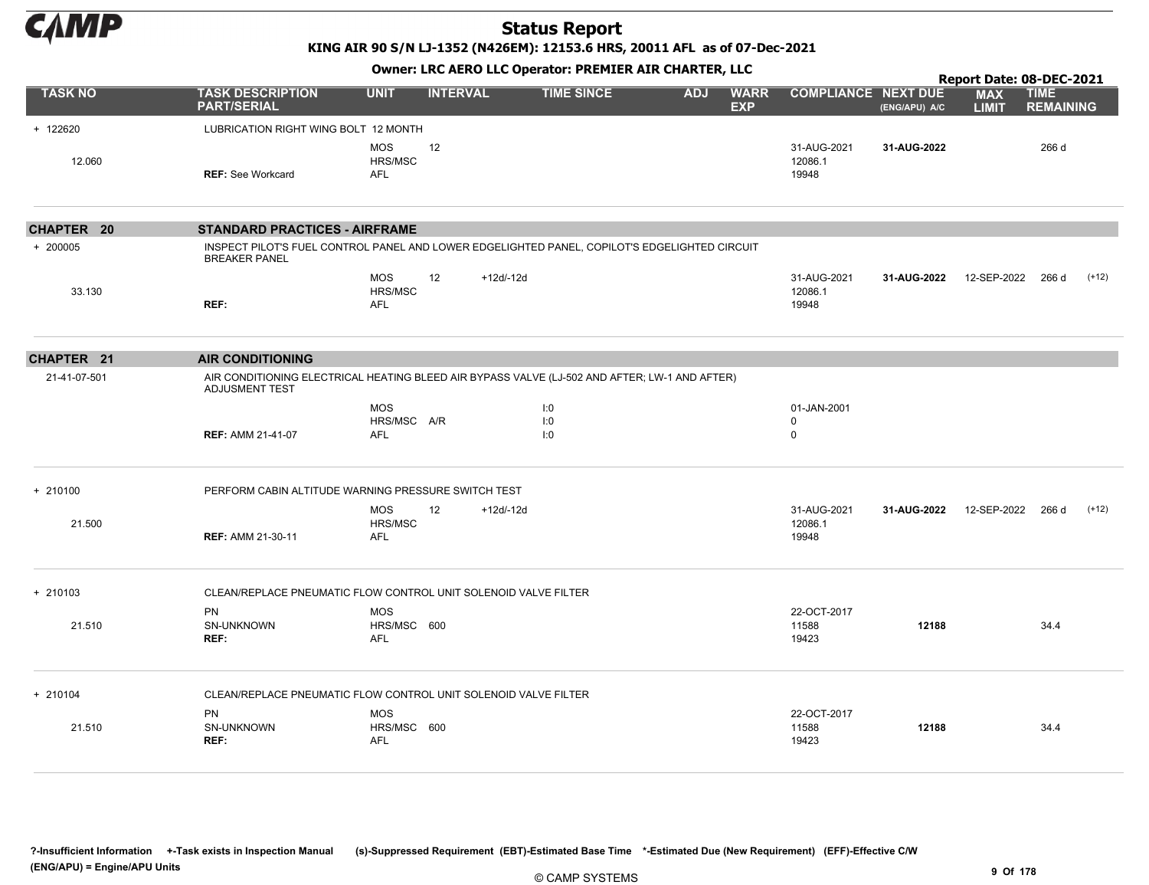

KING AIR 90 S/N LJ-1352 (N426EM): 12153.6 HRS, 20011 AFL as of 07-Dec-2021

|                   | Owner: LRC AERO LLC Operator: PREMIER AIR CHARTER, LLC<br>Report Date: 08-DEC-2021                                     |                                         |                 |              |                   |            |                           |                                           |               |                            |                                 |         |  |
|-------------------|------------------------------------------------------------------------------------------------------------------------|-----------------------------------------|-----------------|--------------|-------------------|------------|---------------------------|-------------------------------------------|---------------|----------------------------|---------------------------------|---------|--|
| <b>TASK NO</b>    | <b>TASK DESCRIPTION</b><br><b>PART/SERIAL</b>                                                                          | <b>UNIT</b>                             | <b>INTERVAL</b> |              | <b>TIME SINCE</b> | <b>ADJ</b> | <b>WARR</b><br><b>EXP</b> | <b>COMPLIANCE NEXT DUE</b>                | (ENG/APU) A/C | <b>MAX</b><br><b>LIMIT</b> | <b>TIME</b><br><b>REMAINING</b> |         |  |
| + 122620          | LUBRICATION RIGHT WING BOLT 12 MONTH                                                                                   |                                         |                 |              |                   |            |                           |                                           |               |                            |                                 |         |  |
| 12.060            | <b>REF: See Workcard</b>                                                                                               | <b>MOS</b><br>HRS/MSC<br><b>AFL</b>     | 12              |              |                   |            |                           | 31-AUG-2021<br>12086.1<br>19948           | 31-AUG-2022   |                            | 266 d                           |         |  |
| <b>CHAPTER 20</b> | <b>STANDARD PRACTICES - AIRFRAME</b>                                                                                   |                                         |                 |              |                   |            |                           |                                           |               |                            |                                 |         |  |
| + 200005          | INSPECT PILOT'S FUEL CONTROL PANEL AND LOWER EDGELIGHTED PANEL, COPILOT'S EDGELIGHTED CIRCUIT<br><b>BREAKER PANEL</b>  |                                         |                 |              |                   |            |                           |                                           |               |                            |                                 |         |  |
| 33.130            | REF:                                                                                                                   | <b>MOS</b><br>HRS/MSC<br><b>AFL</b>     | 12              | $+12d-12d$   |                   |            |                           | 31-AUG-2021<br>12086.1<br>19948           | 31-AUG-2022   | 12-SEP-2022                | 266 d                           | $(+12)$ |  |
| CHAPTER 21        | <b>AIR CONDITIONING</b>                                                                                                |                                         |                 |              |                   |            |                           |                                           |               |                            |                                 |         |  |
| 21-41-07-501      | AIR CONDITIONING ELECTRICAL HEATING BLEED AIR BYPASS VALVE (LJ-502 AND AFTER; LW-1 AND AFTER)<br><b>ADJUSMENT TEST</b> |                                         |                 |              |                   |            |                           |                                           |               |                            |                                 |         |  |
|                   | <b>REF: AMM 21-41-07</b>                                                                                               | <b>MOS</b><br>HRS/MSC A/R<br>AFL        |                 |              | I:0<br>1:0<br>1:0 |            |                           | 01-JAN-2001<br>$\mathbf 0$<br>$\mathbf 0$ |               |                            |                                 |         |  |
| $+ 210100$        | PERFORM CABIN ALTITUDE WARNING PRESSURE SWITCH TEST                                                                    |                                         |                 |              |                   |            |                           |                                           |               |                            |                                 |         |  |
| 21.500            | <b>REF: AMM 21-30-11</b>                                                                                               | <b>MOS</b><br>HRS/MSC<br><b>AFL</b>     | 12              | $+12d/ -12d$ |                   |            |                           | 31-AUG-2021<br>12086.1<br>19948           | 31-AUG-2022   | 12-SEP-2022                | 266 d                           | $(+12)$ |  |
| $+ 210103$        | CLEAN/REPLACE PNEUMATIC FLOW CONTROL UNIT SOLENOID VALVE FILTER                                                        |                                         |                 |              |                   |            |                           |                                           |               |                            |                                 |         |  |
| 21.510            | <b>PN</b><br>SN-UNKNOWN<br>REF:                                                                                        | <b>MOS</b><br>HRS/MSC 600<br><b>AFL</b> |                 |              |                   |            |                           | 22-OCT-2017<br>11588<br>19423             | 12188         |                            | 34.4                            |         |  |
| + 210104          | CLEAN/REPLACE PNEUMATIC FLOW CONTROL UNIT SOLENOID VALVE FILTER                                                        |                                         |                 |              |                   |            |                           |                                           |               |                            |                                 |         |  |
| 21.510            | <b>PN</b><br>SN-UNKNOWN<br>REF:                                                                                        | <b>MOS</b><br>HRS/MSC 600<br><b>AFL</b> |                 |              |                   |            |                           | 22-OCT-2017<br>11588<br>19423             | 12188         |                            | 34.4                            |         |  |

?-Insufficient Information +-Task exists in Inspection Manual (s)-Suppressed Requirement (EBT)-Estimated Base Time \*-Estimated Due (New Requirement) (EFF)-Effective C/W (ENG/APU) = Engine/APU Units 9 Of 178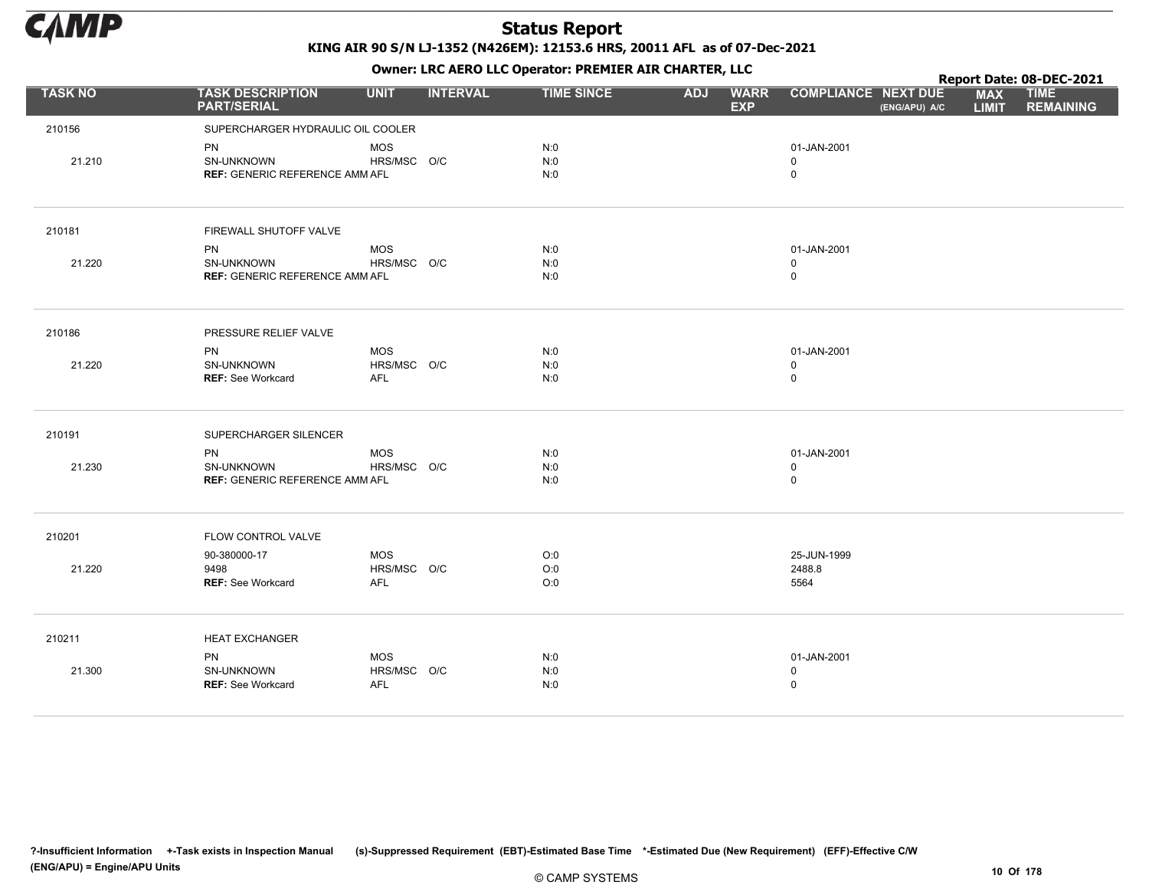

|                |                                                     |             |                 |                   | . .        |                           |                                             |                            | Report Date: 08-DEC-2021        |
|----------------|-----------------------------------------------------|-------------|-----------------|-------------------|------------|---------------------------|---------------------------------------------|----------------------------|---------------------------------|
| <b>TASK NO</b> | <b>TASK DESCRIPTION</b><br><b>PART/SERIAL</b>       | <b>UNIT</b> | <b>INTERVAL</b> | <b>TIME SINCE</b> | <b>ADJ</b> | <b>WARR</b><br><b>EXP</b> | <b>COMPLIANCE NEXT DUE</b><br>(ENG/APU) A/C | <b>MAX</b><br><b>LIMIT</b> | <b>TIME</b><br><b>REMAINING</b> |
| 210156         | SUPERCHARGER HYDRAULIC OIL COOLER                   |             |                 |                   |            |                           |                                             |                            |                                 |
|                | PN                                                  | <b>MOS</b>  |                 | N:0               |            |                           | 01-JAN-2001                                 |                            |                                 |
| 21.210         | SN-UNKNOWN                                          | HRS/MSC O/C |                 | N:0               |            |                           | $\mathbf 0$                                 |                            |                                 |
|                | <b>REF: GENERIC REFERENCE AMM AFL</b>               |             |                 | N:0               |            |                           | $\mathsf 0$                                 |                            |                                 |
| 210181         |                                                     |             |                 |                   |            |                           |                                             |                            |                                 |
|                | FIREWALL SHUTOFF VALVE                              |             |                 |                   |            |                           |                                             |                            |                                 |
|                | PN                                                  | <b>MOS</b>  |                 | N:0               |            |                           | 01-JAN-2001                                 |                            |                                 |
| 21.220         | SN-UNKNOWN<br><b>REF: GENERIC REFERENCE AMM AFL</b> | HRS/MSC O/C |                 | N:0<br>N:0        |            |                           | $\mathbf 0$<br>$\mathsf 0$                  |                            |                                 |
|                |                                                     |             |                 |                   |            |                           |                                             |                            |                                 |
| 210186         | PRESSURE RELIEF VALVE                               |             |                 |                   |            |                           |                                             |                            |                                 |
|                | <b>PN</b>                                           | <b>MOS</b>  |                 | N:0               |            |                           | 01-JAN-2001                                 |                            |                                 |
| 21.220         | SN-UNKNOWN                                          | HRS/MSC O/C |                 | N:0               |            |                           | $\mathbf 0$                                 |                            |                                 |
|                | <b>REF: See Workcard</b>                            | AFL         |                 | N:0               |            |                           | $\pmb{0}$                                   |                            |                                 |
| 210191         | SUPERCHARGER SILENCER                               |             |                 |                   |            |                           |                                             |                            |                                 |
|                | PN                                                  | <b>MOS</b>  |                 | N:0               |            |                           | 01-JAN-2001                                 |                            |                                 |
| 21.230         | <b>SN-UNKNOWN</b>                                   | HRS/MSC O/C |                 | N:0               |            |                           | $\mathsf 0$                                 |                            |                                 |
|                | <b>REF: GENERIC REFERENCE AMM AFL</b>               |             |                 | N:0               |            |                           | $\pmb{0}$                                   |                            |                                 |
| 210201         | FLOW CONTROL VALVE                                  |             |                 |                   |            |                           |                                             |                            |                                 |
|                | 90-380000-17                                        | <b>MOS</b>  |                 | O:0               |            |                           | 25-JUN-1999                                 |                            |                                 |
| 21.220         | 9498                                                | HRS/MSC O/C |                 | O:0               |            |                           | 2488.8                                      |                            |                                 |
|                | REF: See Workcard                                   | <b>AFL</b>  |                 | O:0               |            |                           | 5564                                        |                            |                                 |
| 210211         | <b>HEAT EXCHANGER</b>                               |             |                 |                   |            |                           |                                             |                            |                                 |
|                | <b>PN</b>                                           | <b>MOS</b>  |                 | N:0               |            |                           | 01-JAN-2001                                 |                            |                                 |
| 21.300         | SN-UNKNOWN                                          | HRS/MSC O/C |                 | N:0               |            |                           | $\mathbf 0$                                 |                            |                                 |
|                | <b>REF: See Workcard</b>                            | <b>AFL</b>  |                 | N:0               |            |                           | $\mathbf 0$                                 |                            |                                 |
|                |                                                     |             |                 |                   |            |                           |                                             |                            |                                 |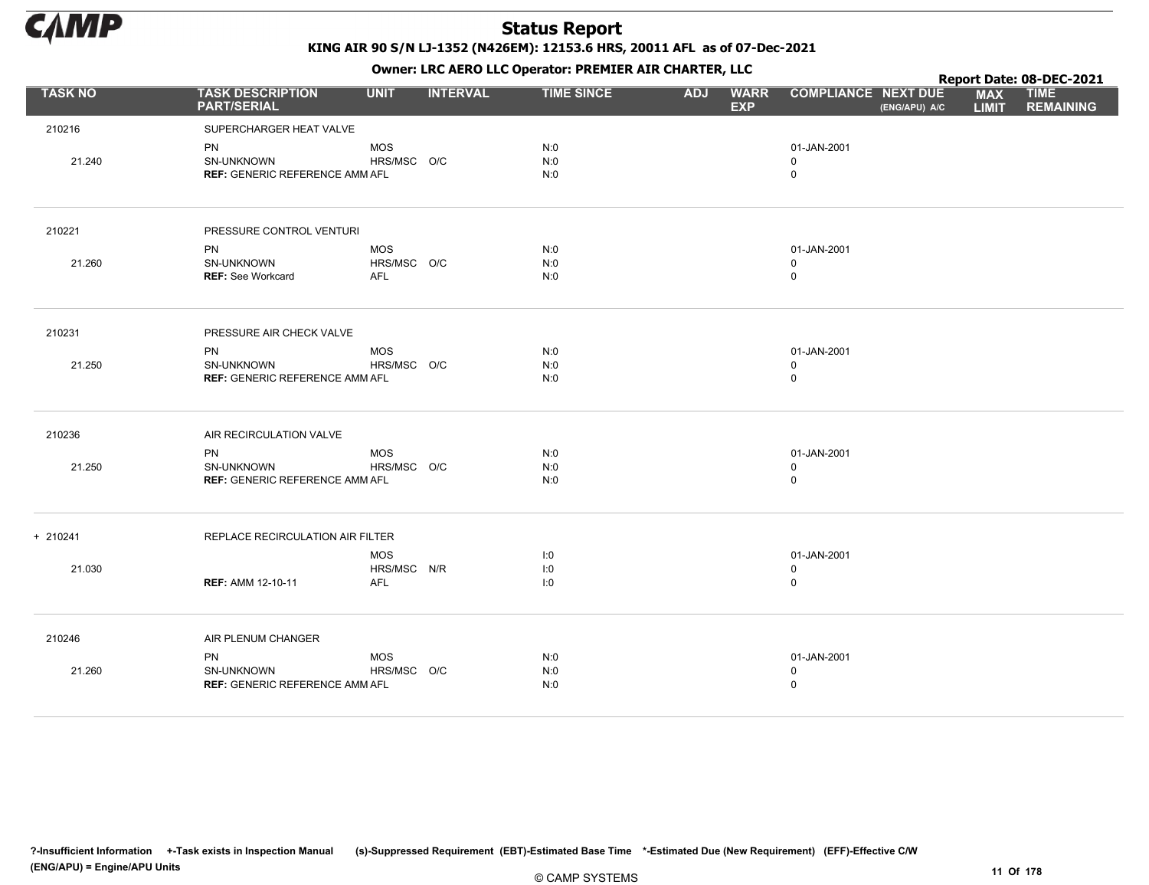

KING AIR 90 S/N LJ-1352 (N426EM): 12153.6 HRS, 20011 AFL as of 07-Dec-2021 Owner: LRC AERO LLC Operator: PREMIER AIR CHARTER, LLC

|                |                                                                  |                                         |                 | <b>OWNER.</b> LIVE ALIVE LECTORIBION. FINEPILEN AIN CHAINTER, LECT |            |                           |                                           |               |                            | Report Date: 08-DEC-2021        |
|----------------|------------------------------------------------------------------|-----------------------------------------|-----------------|--------------------------------------------------------------------|------------|---------------------------|-------------------------------------------|---------------|----------------------------|---------------------------------|
| <b>TASK NO</b> | <b>TASK DESCRIPTION</b><br><b>PART/SERIAL</b>                    | <b>UNIT</b>                             | <b>INTERVAL</b> | <b>TIME SINCE</b>                                                  | <b>ADJ</b> | <b>WARR</b><br><b>EXP</b> | <b>COMPLIANCE NEXT DUE</b>                | (ENG/APU) A/C | <b>MAX</b><br><b>LIMIT</b> | <b>TIME</b><br><b>REMAINING</b> |
| 210216         | SUPERCHARGER HEAT VALVE                                          |                                         |                 |                                                                    |            |                           |                                           |               |                            |                                 |
| 21.240         | PN<br>SN-UNKNOWN<br><b>REF: GENERIC REFERENCE AMM AFL</b>        | <b>MOS</b><br>HRS/MSC O/C               |                 | N:0<br>N:0<br>N:0                                                  |            |                           | 01-JAN-2001<br>$\mathbf 0$<br>$\mathbf 0$ |               |                            |                                 |
| 210221         | PRESSURE CONTROL VENTURI                                         |                                         |                 |                                                                    |            |                           |                                           |               |                            |                                 |
| 21.260         | <b>PN</b><br>SN-UNKNOWN<br><b>REF: See Workcard</b>              | <b>MOS</b><br>HRS/MSC O/C<br>AFL        |                 | N:0<br>N:0<br>N:0                                                  |            |                           | 01-JAN-2001<br>$\mathbf 0$<br>$\mathsf 0$ |               |                            |                                 |
| 210231         | PRESSURE AIR CHECK VALVE                                         |                                         |                 |                                                                    |            |                           |                                           |               |                            |                                 |
| 21.250         | <b>PN</b><br>SN-UNKNOWN<br><b>REF: GENERIC REFERENCE AMM AFL</b> | <b>MOS</b><br>HRS/MSC O/C               |                 | N:0<br>N:0<br>N:0                                                  |            |                           | 01-JAN-2001<br>$\mathsf 0$<br>$\mathsf 0$ |               |                            |                                 |
| 210236         | AIR RECIRCULATION VALVE                                          |                                         |                 |                                                                    |            |                           |                                           |               |                            |                                 |
| 21.250         | <b>PN</b><br>SN-UNKNOWN<br><b>REF: GENERIC REFERENCE AMM AFL</b> | <b>MOS</b><br>HRS/MSC O/C               |                 | N:0<br>N:0<br>N:0                                                  |            |                           | 01-JAN-2001<br>$\mathbf 0$<br>$\mathsf 0$ |               |                            |                                 |
| + 210241       | REPLACE RECIRCULATION AIR FILTER                                 |                                         |                 |                                                                    |            |                           |                                           |               |                            |                                 |
| 21.030         | <b>REF: AMM 12-10-11</b>                                         | <b>MOS</b><br>HRS/MSC N/R<br><b>AFL</b> |                 | I:0<br>I:0<br>1:0                                                  |            |                           | 01-JAN-2001<br>0<br>$\mathsf 0$           |               |                            |                                 |
| 210246         | AIR PLENUM CHANGER                                               |                                         |                 |                                                                    |            |                           |                                           |               |                            |                                 |
| 21.260         | <b>PN</b><br>SN-UNKNOWN<br><b>REF: GENERIC REFERENCE AMM AFL</b> | <b>MOS</b><br>HRS/MSC O/C               |                 | N:0<br>N:0<br>N:0                                                  |            |                           | 01-JAN-2001<br>$\mathbf 0$<br>$\mathsf 0$ |               |                            |                                 |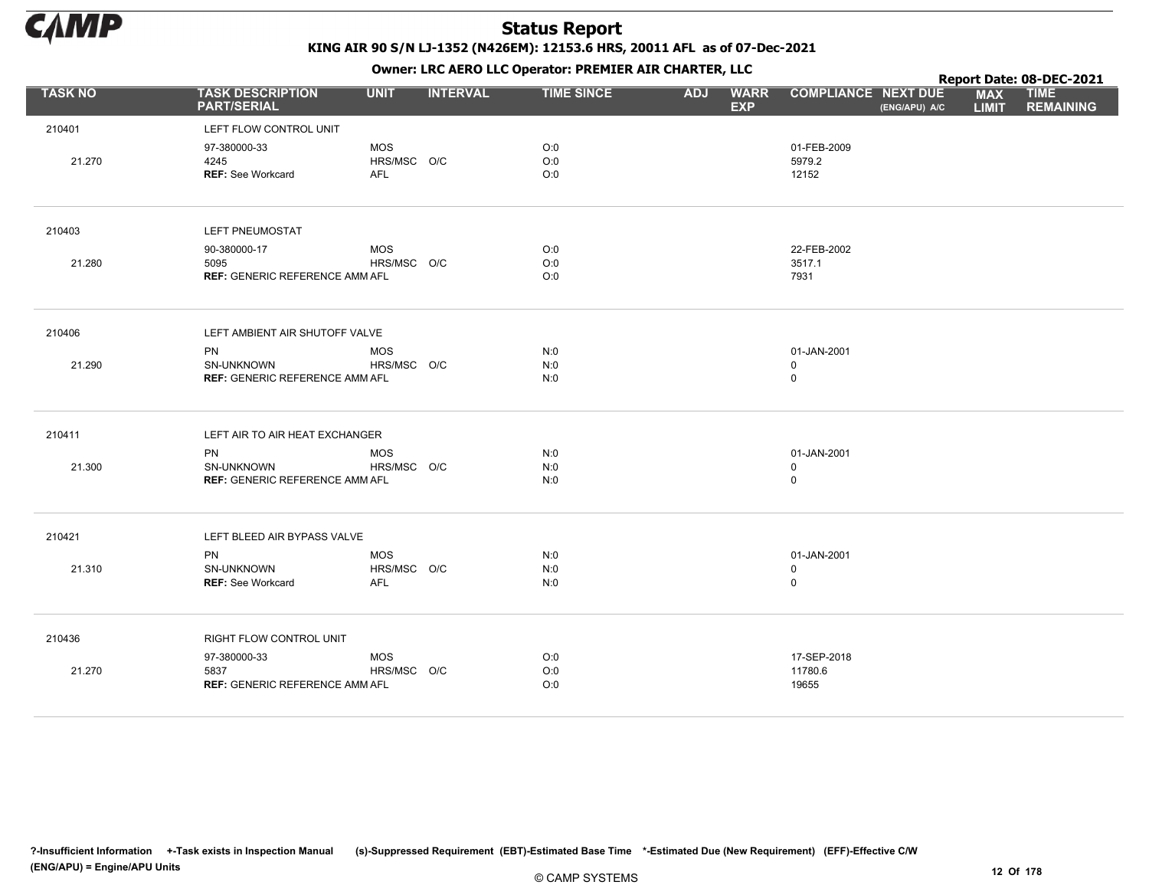

|                |                                               |             |                 |                   |            |                           |                            |               |                            | Report Date: 08-DEC-2021        |
|----------------|-----------------------------------------------|-------------|-----------------|-------------------|------------|---------------------------|----------------------------|---------------|----------------------------|---------------------------------|
| <b>TASK NO</b> | <b>TASK DESCRIPTION</b><br><b>PART/SERIAL</b> | <b>UNIT</b> | <b>INTERVAL</b> | <b>TIME SINCE</b> | <b>ADJ</b> | <b>WARR</b><br><b>EXP</b> | <b>COMPLIANCE NEXT DUE</b> | (ENG/APU) A/C | <b>MAX</b><br><b>LIMIT</b> | <b>TIME</b><br><b>REMAINING</b> |
| 210401         | LEFT FLOW CONTROL UNIT                        |             |                 |                   |            |                           |                            |               |                            |                                 |
|                | 97-380000-33                                  | <b>MOS</b>  |                 | O:0               |            |                           | 01-FEB-2009                |               |                            |                                 |
| 21.270         | 4245                                          | HRS/MSC O/C |                 | O:0               |            |                           | 5979.2                     |               |                            |                                 |
|                | <b>REF: See Workcard</b>                      | <b>AFL</b>  |                 | O:0               |            |                           | 12152                      |               |                            |                                 |
| 210403         | LEFT PNEUMOSTAT                               |             |                 |                   |            |                           |                            |               |                            |                                 |
|                | 90-380000-17                                  | <b>MOS</b>  |                 | O:0               |            |                           | 22-FEB-2002                |               |                            |                                 |
| 21.280         | 5095                                          | HRS/MSC O/C |                 | O:0               |            |                           | 3517.1                     |               |                            |                                 |
|                | <b>REF: GENERIC REFERENCE AMM AFL</b>         |             |                 | O:0               |            |                           | 7931                       |               |                            |                                 |
| 210406         | LEFT AMBIENT AIR SHUTOFF VALVE                |             |                 |                   |            |                           |                            |               |                            |                                 |
|                | PN                                            | <b>MOS</b>  |                 | N:0               |            |                           | 01-JAN-2001                |               |                            |                                 |
| 21.290         | SN-UNKNOWN                                    | HRS/MSC O/C |                 | N:0               |            |                           | $\mathbf 0$                |               |                            |                                 |
|                | <b>REF: GENERIC REFERENCE AMM AFL</b>         |             |                 | N:0               |            |                           | $\mathsf 0$                |               |                            |                                 |
| 210411         | LEFT AIR TO AIR HEAT EXCHANGER                |             |                 |                   |            |                           |                            |               |                            |                                 |
|                | PN                                            | <b>MOS</b>  |                 | N:0               |            |                           | 01-JAN-2001                |               |                            |                                 |
| 21.300         | SN-UNKNOWN                                    | HRS/MSC O/C |                 | N:0               |            |                           | $\mathbf 0$                |               |                            |                                 |
|                | <b>REF: GENERIC REFERENCE AMM AFL</b>         |             |                 | N:0               |            |                           | $\mathbf 0$                |               |                            |                                 |
| 210421         | LEFT BLEED AIR BYPASS VALVE                   |             |                 |                   |            |                           |                            |               |                            |                                 |
|                | PN                                            | <b>MOS</b>  |                 | N:0               |            |                           | 01-JAN-2001                |               |                            |                                 |
| 21.310         | SN-UNKNOWN                                    | HRS/MSC O/C |                 | N:0               |            |                           | $\mathbf 0$                |               |                            |                                 |
|                | <b>REF: See Workcard</b>                      | <b>AFL</b>  |                 | N:0               |            |                           | $\mathbf 0$                |               |                            |                                 |
| 210436         | RIGHT FLOW CONTROL UNIT                       |             |                 |                   |            |                           |                            |               |                            |                                 |
|                | 97-380000-33                                  | <b>MOS</b>  |                 | O:0               |            |                           | 17-SEP-2018                |               |                            |                                 |
| 21.270         | 5837                                          | HRS/MSC O/C |                 | O:0               |            |                           | 11780.6                    |               |                            |                                 |
|                | <b>REF: GENERIC REFERENCE AMM AFL</b>         |             |                 | O:0               |            |                           | 19655                      |               |                            |                                 |
|                |                                               |             |                 |                   |            |                           |                            |               |                            |                                 |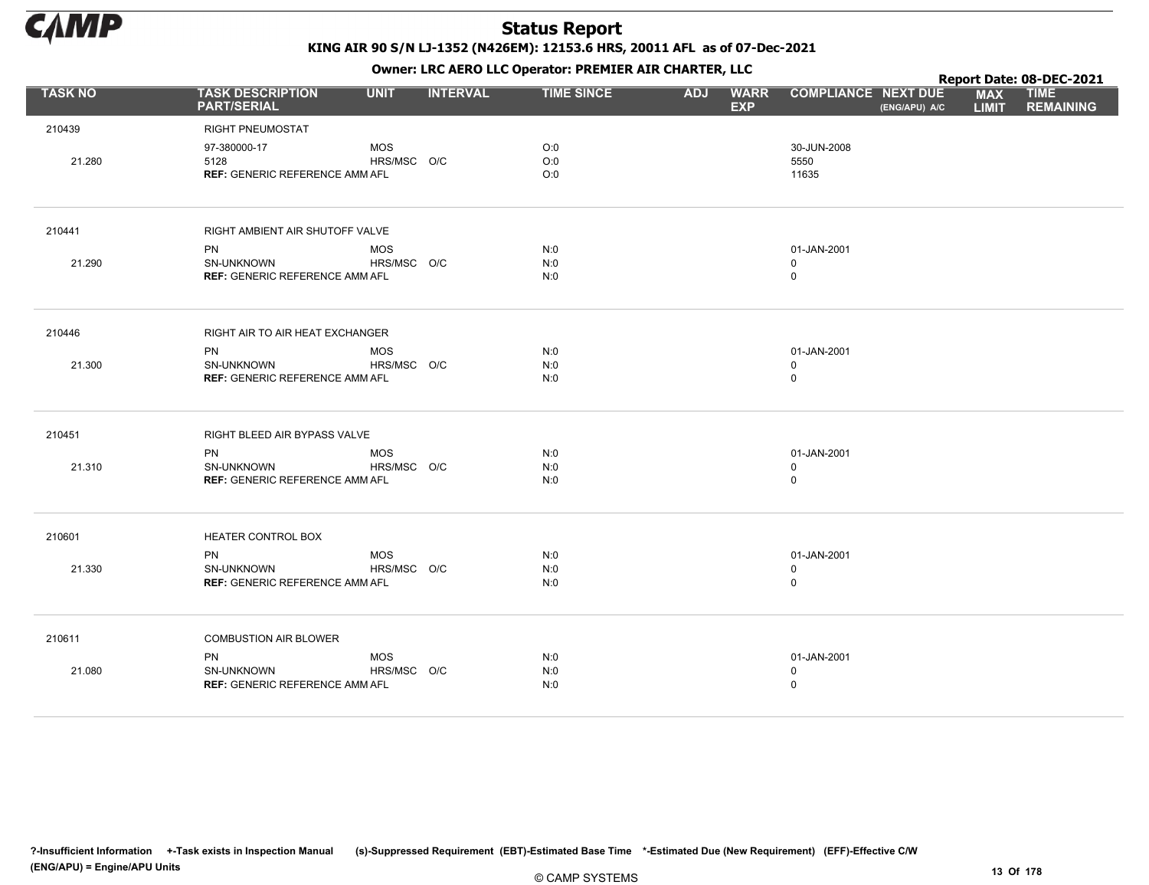

|                |                                               |             |                 |                   |            | . .                       |                                             |                            | Report Date: 08-DEC-2021        |
|----------------|-----------------------------------------------|-------------|-----------------|-------------------|------------|---------------------------|---------------------------------------------|----------------------------|---------------------------------|
| <b>TASK NO</b> | <b>TASK DESCRIPTION</b><br><b>PART/SERIAL</b> | <b>UNIT</b> | <b>INTERVAL</b> | <b>TIME SINCE</b> | <b>ADJ</b> | <b>WARR</b><br><b>EXP</b> | <b>COMPLIANCE NEXT DUE</b><br>(ENG/APU) A/C | <b>MAX</b><br><b>LIMIT</b> | <b>TIME</b><br><b>REMAINING</b> |
| 210439         | RIGHT PNEUMOSTAT                              |             |                 |                   |            |                           |                                             |                            |                                 |
|                | 97-380000-17                                  | <b>MOS</b>  |                 | O:0               |            |                           | 30-JUN-2008                                 |                            |                                 |
| 21.280         | 5128                                          | HRS/MSC O/C |                 | O:0               |            |                           | 5550                                        |                            |                                 |
|                | <b>REF: GENERIC REFERENCE AMM AFL</b>         |             |                 | O:0               |            |                           | 11635                                       |                            |                                 |
| 210441         | RIGHT AMBIENT AIR SHUTOFF VALVE               |             |                 |                   |            |                           |                                             |                            |                                 |
|                | <b>PN</b>                                     | <b>MOS</b>  |                 | N:0               |            |                           | 01-JAN-2001                                 |                            |                                 |
| 21.290         | SN-UNKNOWN                                    | HRS/MSC O/C |                 | N:0               |            |                           | $\mathbf 0$                                 |                            |                                 |
|                | <b>REF: GENERIC REFERENCE AMM AFL</b>         |             |                 | N:0               |            |                           | $\mathsf 0$                                 |                            |                                 |
| 210446         | RIGHT AIR TO AIR HEAT EXCHANGER               |             |                 |                   |            |                           |                                             |                            |                                 |
|                | <b>PN</b>                                     | <b>MOS</b>  |                 | N:0               |            |                           | 01-JAN-2001                                 |                            |                                 |
| 21.300         | <b>SN-UNKNOWN</b>                             | HRS/MSC O/C |                 | N:0               |            |                           | $\mathbf 0$                                 |                            |                                 |
|                | <b>REF: GENERIC REFERENCE AMM AFL</b>         |             |                 | N:0               |            |                           | $\mathsf 0$                                 |                            |                                 |
| 210451         | RIGHT BLEED AIR BYPASS VALVE                  |             |                 |                   |            |                           |                                             |                            |                                 |
|                | <b>PN</b>                                     | <b>MOS</b>  |                 | N:0               |            |                           | 01-JAN-2001                                 |                            |                                 |
| 21.310         | SN-UNKNOWN                                    | HRS/MSC O/C |                 | N:0               |            |                           | $\mathbf 0$                                 |                            |                                 |
|                | <b>REF: GENERIC REFERENCE AMM AFL</b>         |             |                 | N:0               |            |                           | $\mathsf 0$                                 |                            |                                 |
| 210601         | HEATER CONTROL BOX                            |             |                 |                   |            |                           |                                             |                            |                                 |
|                | <b>PN</b>                                     | <b>MOS</b>  |                 | N:0               |            |                           | 01-JAN-2001                                 |                            |                                 |
| 21.330         | SN-UNKNOWN                                    | HRS/MSC O/C |                 | N:0               |            |                           | $\mathbf 0$                                 |                            |                                 |
|                | <b>REF: GENERIC REFERENCE AMM AFL</b>         |             |                 | N:0               |            |                           | $\mathsf 0$                                 |                            |                                 |
| 210611         | <b>COMBUSTION AIR BLOWER</b>                  |             |                 |                   |            |                           |                                             |                            |                                 |
|                | PN                                            | <b>MOS</b>  |                 | N:0               |            |                           | 01-JAN-2001                                 |                            |                                 |
| 21.080         | SN-UNKNOWN                                    | HRS/MSC O/C |                 | N:0               |            |                           | $\mathsf 0$                                 |                            |                                 |
|                | <b>REF: GENERIC REFERENCE AMM AFL</b>         |             |                 | N:0               |            |                           | $\mathsf 0$                                 |                            |                                 |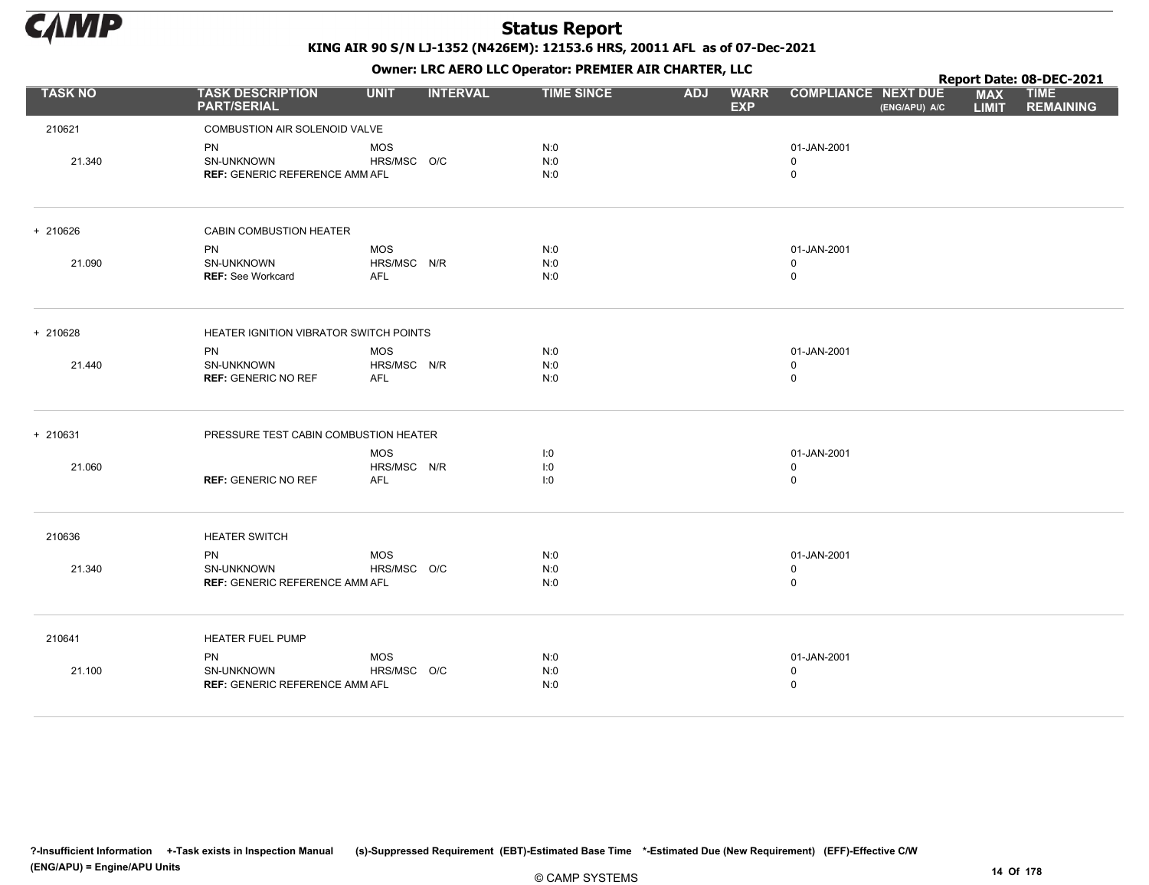

|                |                                                                  |                                         |                   |                                         |                                             | Report Date: 08-DEC-2021                                      |
|----------------|------------------------------------------------------------------|-----------------------------------------|-------------------|-----------------------------------------|---------------------------------------------|---------------------------------------------------------------|
| <b>TASK NO</b> | <b>TASK DESCRIPTION</b><br><b>PART/SERIAL</b>                    | <b>UNIT</b><br><b>INTERVAL</b>          | <b>TIME SINCE</b> | <b>ADJ</b><br><b>WARR</b><br><b>EXP</b> | <b>COMPLIANCE NEXT DUE</b><br>(ENG/APU) A/C | <b>MAX</b><br><b>TIME</b><br><b>LIMIT</b><br><b>REMAINING</b> |
| 210621         | COMBUSTION AIR SOLENOID VALVE                                    |                                         |                   |                                         |                                             |                                                               |
| 21.340         | <b>PN</b><br>SN-UNKNOWN<br><b>REF: GENERIC REFERENCE AMM AFL</b> | <b>MOS</b><br>HRS/MSC O/C               | N:0<br>N:0<br>N:0 |                                         | 01-JAN-2001<br>0<br>$\mathbf 0$             |                                                               |
| + 210626       | CABIN COMBUSTION HEATER                                          |                                         |                   |                                         |                                             |                                                               |
| 21.090         | <b>PN</b><br>SN-UNKNOWN<br><b>REF: See Workcard</b>              | <b>MOS</b><br>HRS/MSC N/R<br><b>AFL</b> | N:0<br>N:0<br>N:0 |                                         | 01-JAN-2001<br>$\mathbf 0$<br>$\pmb{0}$     |                                                               |
| + 210628       | HEATER IGNITION VIBRATOR SWITCH POINTS                           |                                         |                   |                                         |                                             |                                                               |
| 21.440         | <b>PN</b><br>SN-UNKNOWN<br><b>REF: GENERIC NO REF</b>            | <b>MOS</b><br>HRS/MSC N/R<br><b>AFL</b> | N:0<br>N:0<br>N:0 |                                         | 01-JAN-2001<br>$\mathbf 0$<br>$\pmb{0}$     |                                                               |
| + 210631       | PRESSURE TEST CABIN COMBUSTION HEATER                            |                                         |                   |                                         |                                             |                                                               |
| 21.060         | <b>REF: GENERIC NO REF</b>                                       | <b>MOS</b><br>HRS/MSC N/R<br><b>AFL</b> | 1:0<br>1:0<br>1:0 |                                         | 01-JAN-2001<br>$\mathbf 0$<br>$\mathsf 0$   |                                                               |
| 210636         | <b>HEATER SWITCH</b>                                             |                                         |                   |                                         |                                             |                                                               |
| 21.340         | <b>PN</b><br>SN-UNKNOWN<br><b>REF: GENERIC REFERENCE AMM AFL</b> | <b>MOS</b><br>HRS/MSC O/C               | N:0<br>N:0<br>N:0 |                                         | 01-JAN-2001<br>$\mathbf 0$<br>$\mathbf 0$   |                                                               |
| 210641         | HEATER FUEL PUMP                                                 |                                         |                   |                                         |                                             |                                                               |
| 21.100         | <b>PN</b><br>SN-UNKNOWN<br><b>REF: GENERIC REFERENCE AMM AFL</b> | <b>MOS</b><br>HRS/MSC O/C               | N:0<br>N:0<br>N:0 |                                         | 01-JAN-2001<br>$\mathbf 0$<br>$\mathbf 0$   |                                                               |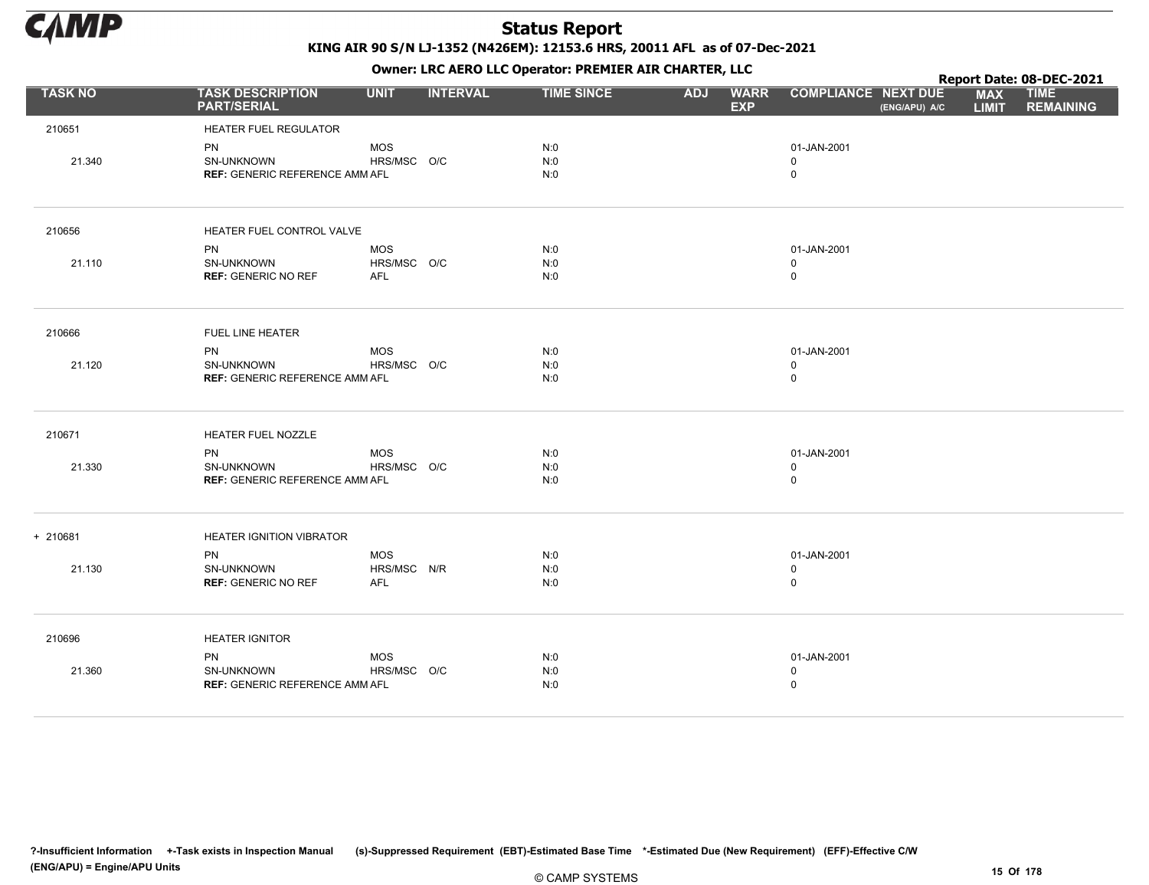

|                |                                               |             |                 |                   |            | $\mathbf{r}$              |                                             |                            | Report Date: 08-DEC-2021        |
|----------------|-----------------------------------------------|-------------|-----------------|-------------------|------------|---------------------------|---------------------------------------------|----------------------------|---------------------------------|
| <b>TASK NO</b> | <b>TASK DESCRIPTION</b><br><b>PART/SERIAL</b> | <b>UNIT</b> | <b>INTERVAL</b> | <b>TIME SINCE</b> | <b>ADJ</b> | <b>WARR</b><br><b>EXP</b> | <b>COMPLIANCE NEXT DUE</b><br>(ENG/APU) A/C | <b>MAX</b><br><b>LIMIT</b> | <b>TIME</b><br><b>REMAINING</b> |
| 210651         | <b>HEATER FUEL REGULATOR</b>                  |             |                 |                   |            |                           |                                             |                            |                                 |
|                | <b>PN</b>                                     | <b>MOS</b>  |                 | N:0               |            |                           | 01-JAN-2001                                 |                            |                                 |
| 21.340         | SN-UNKNOWN                                    | HRS/MSC O/C |                 | N:0               |            |                           | $\Omega$                                    |                            |                                 |
|                | <b>REF: GENERIC REFERENCE AMM AFL</b>         |             |                 | N:0               |            |                           | $\mathbf 0$                                 |                            |                                 |
| 210656         | HEATER FUEL CONTROL VALVE                     |             |                 |                   |            |                           |                                             |                            |                                 |
|                | PN                                            | MOS         |                 | N:0               |            |                           | 01-JAN-2001                                 |                            |                                 |
| 21.110         | SN-UNKNOWN                                    | HRS/MSC O/C |                 | N:0               |            |                           | $\mathbf 0$                                 |                            |                                 |
|                | <b>REF: GENERIC NO REF</b>                    | <b>AFL</b>  |                 | N:0               |            |                           | $\mathbf 0$                                 |                            |                                 |
| 210666         | FUEL LINE HEATER                              |             |                 |                   |            |                           |                                             |                            |                                 |
|                | <b>PN</b>                                     | <b>MOS</b>  |                 | N:0               |            |                           | 01-JAN-2001                                 |                            |                                 |
| 21.120         | SN-UNKNOWN                                    | HRS/MSC O/C |                 | N:0               |            |                           | $\mathbf 0$                                 |                            |                                 |
|                | <b>REF: GENERIC REFERENCE AMM AFL</b>         |             |                 | N:0               |            |                           | $\mathsf 0$                                 |                            |                                 |
| 210671         | HEATER FUEL NOZZLE                            |             |                 |                   |            |                           |                                             |                            |                                 |
|                | PN                                            | <b>MOS</b>  |                 | N:0               |            |                           | 01-JAN-2001                                 |                            |                                 |
| 21.330         | SN-UNKNOWN                                    | HRS/MSC O/C |                 | N:0               |            |                           | $\mathbf 0$                                 |                            |                                 |
|                | <b>REF: GENERIC REFERENCE AMM AFL</b>         |             |                 | N:0               |            |                           | $\mathbf 0$                                 |                            |                                 |
| + 210681       | <b>HEATER IGNITION VIBRATOR</b>               |             |                 |                   |            |                           |                                             |                            |                                 |
|                | <b>PN</b>                                     | <b>MOS</b>  |                 | N:0               |            |                           | 01-JAN-2001                                 |                            |                                 |
| 21.130         | SN-UNKNOWN                                    | HRS/MSC N/R |                 | N:0               |            |                           | $\mathbf 0$                                 |                            |                                 |
|                | <b>REF: GENERIC NO REF</b>                    | AFL         |                 | N:0               |            |                           | $\mathsf 0$                                 |                            |                                 |
| 210696         | <b>HEATER IGNITOR</b>                         |             |                 |                   |            |                           |                                             |                            |                                 |
|                | PN                                            | <b>MOS</b>  |                 | N:0               |            |                           | 01-JAN-2001                                 |                            |                                 |
| 21.360         | SN-UNKNOWN                                    | HRS/MSC O/C |                 | N:0               |            |                           | $\mathbf 0$                                 |                            |                                 |
|                | <b>REF: GENERIC REFERENCE AMM AFL</b>         |             |                 | N:0               |            |                           | $\mathbf 0$                                 |                            |                                 |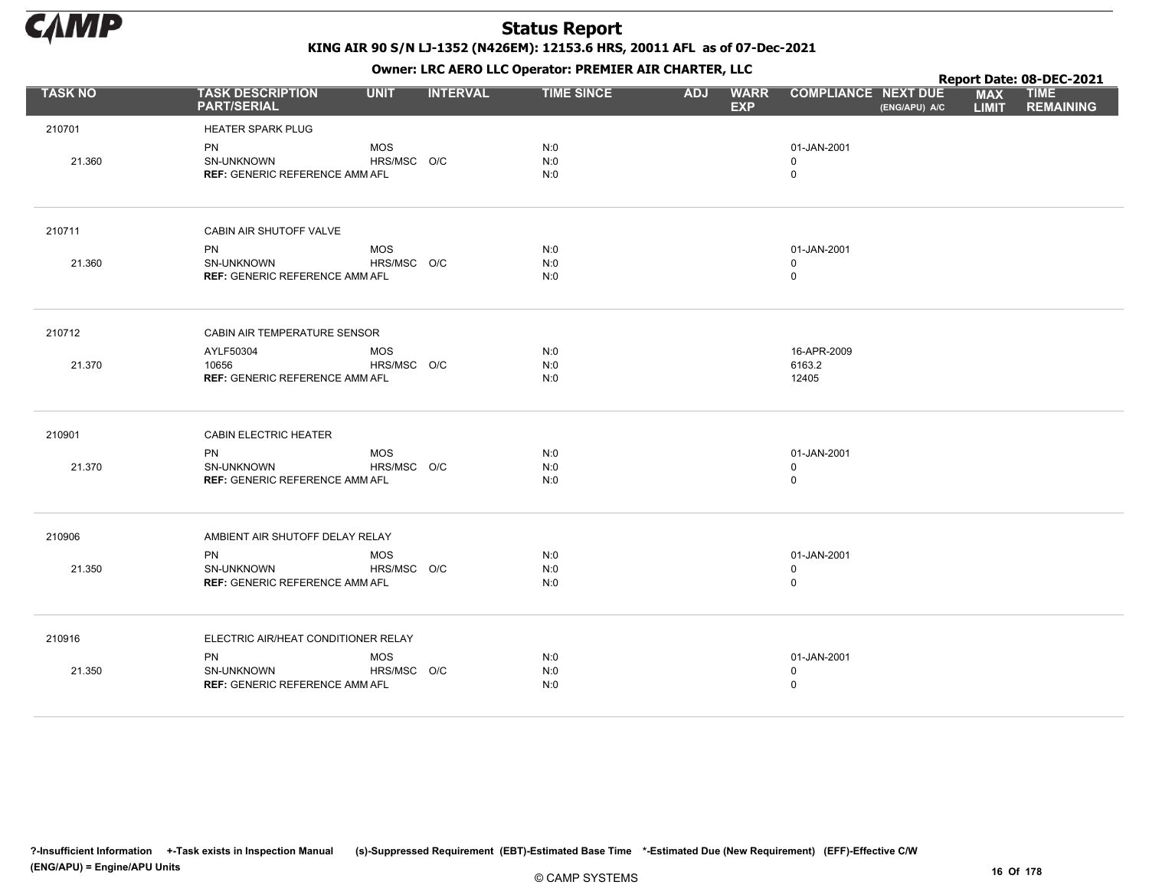

KING AIR 90 S/N LJ-1352 (N426EM): 12153.6 HRS, 20011 AFL as of 07-Dec-2021

|                |                                                                  |                           |                 | OWHER. LKC ALKO LLC OPERATOR. PREPILER AIR CHARTER, LLC |            |                           |                                           |               |                            | Report Date: 08-DEC-2021        |
|----------------|------------------------------------------------------------------|---------------------------|-----------------|---------------------------------------------------------|------------|---------------------------|-------------------------------------------|---------------|----------------------------|---------------------------------|
| <b>TASK NO</b> | <b>TASK DESCRIPTION</b><br><b>PART/SERIAL</b>                    | <b>UNIT</b>               | <b>INTERVAL</b> | <b>TIME SINCE</b>                                       | <b>ADJ</b> | <b>WARR</b><br><b>EXP</b> | <b>COMPLIANCE NEXT DUE</b>                | (ENG/APU) A/C | <b>MAX</b><br><b>LIMIT</b> | <b>TIME</b><br><b>REMAINING</b> |
| 210701         | <b>HEATER SPARK PLUG</b>                                         |                           |                 |                                                         |            |                           |                                           |               |                            |                                 |
| 21.360         | <b>PN</b><br>SN-UNKNOWN<br><b>REF: GENERIC REFERENCE AMM AFL</b> | <b>MOS</b><br>HRS/MSC O/C |                 | N:0<br>N:0<br>N:0                                       |            |                           | 01-JAN-2001<br>$\mathbf 0$<br>$\mathsf 0$ |               |                            |                                 |
| 210711         | CABIN AIR SHUTOFF VALVE                                          |                           |                 |                                                         |            |                           |                                           |               |                            |                                 |
|                | PN                                                               | MOS                       |                 | N:0                                                     |            |                           | 01-JAN-2001                               |               |                            |                                 |
| 21.360         | <b>SN-UNKNOWN</b>                                                | HRS/MSC O/C               |                 | N:0                                                     |            |                           | $\mathbf 0$                               |               |                            |                                 |
|                | <b>REF: GENERIC REFERENCE AMM AFL</b>                            |                           |                 | N:0                                                     |            |                           | $\mathsf 0$                               |               |                            |                                 |
| 210712         | CABIN AIR TEMPERATURE SENSOR                                     |                           |                 |                                                         |            |                           |                                           |               |                            |                                 |
|                | AYLF50304                                                        | MOS                       |                 | N:0                                                     |            |                           | 16-APR-2009                               |               |                            |                                 |
| 21.370         | 10656                                                            | HRS/MSC O/C               |                 | N:0                                                     |            |                           | 6163.2                                    |               |                            |                                 |
|                | <b>REF: GENERIC REFERENCE AMM AFL</b>                            |                           |                 | N:0                                                     |            |                           | 12405                                     |               |                            |                                 |
| 210901         | <b>CABIN ELECTRIC HEATER</b>                                     |                           |                 |                                                         |            |                           |                                           |               |                            |                                 |
|                | <b>PN</b>                                                        | <b>MOS</b>                |                 | N:0                                                     |            |                           | 01-JAN-2001                               |               |                            |                                 |
| 21.370         | SN-UNKNOWN<br><b>REF: GENERIC REFERENCE AMM AFL</b>              | HRS/MSC O/C               |                 | N:0<br>N:0                                              |            |                           | $\mathbf 0$<br>$\mathsf 0$                |               |                            |                                 |
|                |                                                                  |                           |                 |                                                         |            |                           |                                           |               |                            |                                 |
| 210906         | AMBIENT AIR SHUTOFF DELAY RELAY                                  |                           |                 |                                                         |            |                           |                                           |               |                            |                                 |
|                | <b>PN</b>                                                        | <b>MOS</b>                |                 | N:0                                                     |            |                           | 01-JAN-2001                               |               |                            |                                 |
| 21.350         | SN-UNKNOWN                                                       | HRS/MSC O/C               |                 | N:0                                                     |            |                           | $\mathbf 0$                               |               |                            |                                 |
|                | <b>REF: GENERIC REFERENCE AMM AFL</b>                            |                           |                 | N:0                                                     |            |                           | $\mathsf 0$                               |               |                            |                                 |
| 210916         | ELECTRIC AIR/HEAT CONDITIONER RELAY                              |                           |                 |                                                         |            |                           |                                           |               |                            |                                 |
|                | <b>PN</b>                                                        | <b>MOS</b>                |                 | N:0                                                     |            |                           | 01-JAN-2001                               |               |                            |                                 |
| 21.350         | SN-UNKNOWN                                                       | HRS/MSC O/C               |                 | N:0                                                     |            |                           | $\mathbf 0$                               |               |                            |                                 |
|                | <b>REF: GENERIC REFERENCE AMM AFL</b>                            |                           |                 | N:0                                                     |            |                           | $\mathsf 0$                               |               |                            |                                 |
|                |                                                                  |                           |                 |                                                         |            |                           |                                           |               |                            |                                 |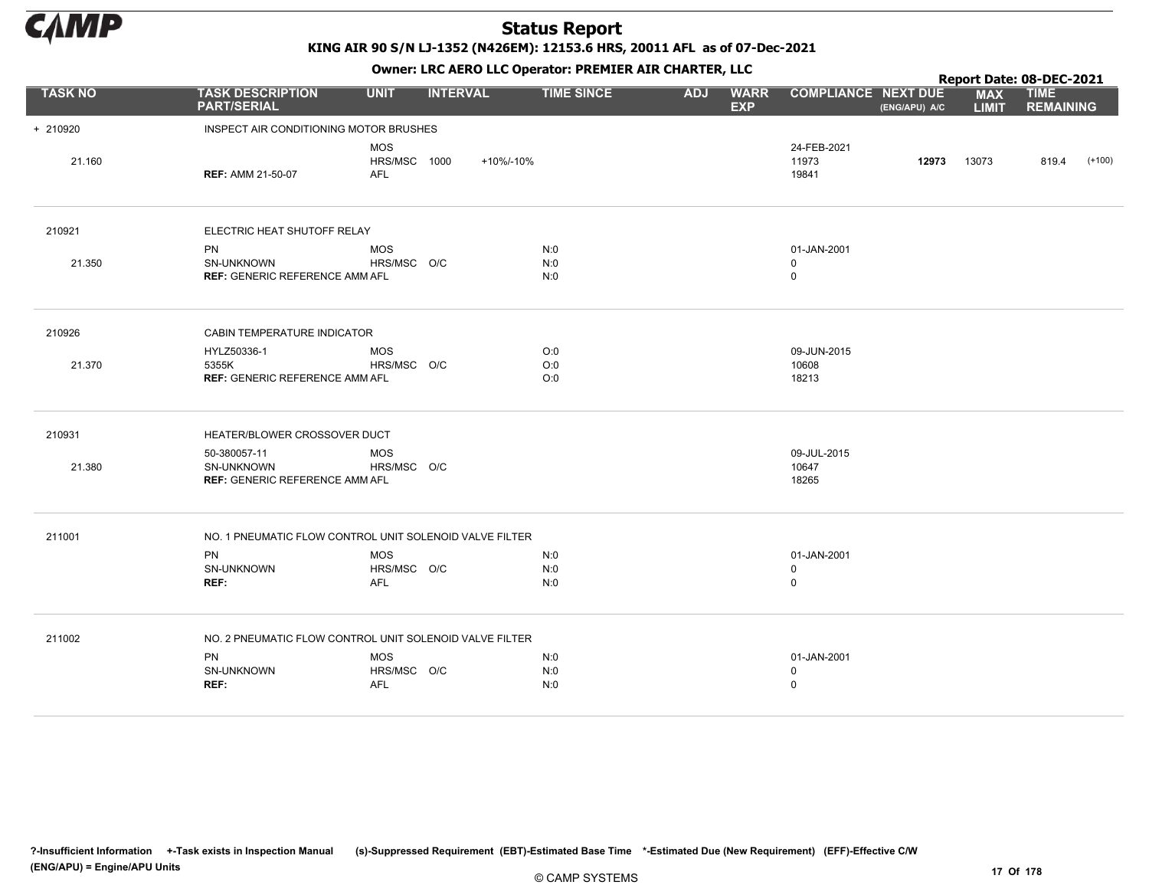

KING AIR 90 S/N LJ-1352 (N426EM): 12153.6 HRS, 20011 AFL as of 07-Dec-2021

| <b>TASK NO</b><br><b>COMPLIANCE NEXT DUE</b><br><b>TASK DESCRIPTION</b><br><b>UNIT</b><br><b>INTERVAL</b><br><b>TIME SINCE</b><br><b>ADJ</b><br><b>WARR</b><br><b>PART/SERIAL</b><br><b>EXP</b><br>(ENG/APU) A/C<br>INSPECT AIR CONDITIONING MOTOR BRUSHES<br>+ 210920<br><b>MOS</b><br>24-FEB-2021<br>21.160<br>HRS/MSC 1000<br>+10%/-10%<br>12973<br>11973<br><b>AFL</b><br>19841<br><b>REF: AMM 21-50-07</b><br>210921<br>ELECTRIC HEAT SHUTOFF RELAY<br><b>MOS</b><br>N:0<br><b>PN</b><br>01-JAN-2001<br>HRS/MSC O/C<br>N:0<br>21.350<br>SN-UNKNOWN<br>$\mathbf 0$<br><b>REF: GENERIC REFERENCE AMM AFL</b><br>N:0<br>$\mathbf 0$<br>210926<br>CABIN TEMPERATURE INDICATOR<br>HYLZ50336-1<br><b>MOS</b><br>O:0<br>09-JUN-2015<br>O:0<br>21.370<br>5355K<br>HRS/MSC O/C<br>10608<br><b>REF: GENERIC REFERENCE AMM AFL</b><br>O:0<br>18213<br>210931<br>HEATER/BLOWER CROSSOVER DUCT<br><b>MOS</b><br>09-JUL-2015<br>50-380057-11<br>21.380<br>HRS/MSC O/C<br>10647<br>SN-UNKNOWN<br>18265<br><b>REF: GENERIC REFERENCE AMM AFL</b><br>211001<br>NO. 1 PNEUMATIC FLOW CONTROL UNIT SOLENOID VALVE FILTER<br>PN<br><b>MOS</b><br>N:0<br>01-JAN-2001<br>SN-UNKNOWN<br>HRS/MSC O/C<br>N:0<br>$\mathbf 0$<br>REF:<br><b>AFL</b><br>N:0<br>$\mathbf 0$<br>NO. 2 PNEUMATIC FLOW CONTROL UNIT SOLENOID VALVE FILTER<br>211002 |           |            | OWHER. LKC ALKO LLC OPERATOR. PREPILER AIR CHARTER, LLC |             |  | Report Date: 08-DEC-2021   |                                 |  |
|--------------------------------------------------------------------------------------------------------------------------------------------------------------------------------------------------------------------------------------------------------------------------------------------------------------------------------------------------------------------------------------------------------------------------------------------------------------------------------------------------------------------------------------------------------------------------------------------------------------------------------------------------------------------------------------------------------------------------------------------------------------------------------------------------------------------------------------------------------------------------------------------------------------------------------------------------------------------------------------------------------------------------------------------------------------------------------------------------------------------------------------------------------------------------------------------------------------------------------------------------------------------------------------------------------------------------|-----------|------------|---------------------------------------------------------|-------------|--|----------------------------|---------------------------------|--|
|                                                                                                                                                                                                                                                                                                                                                                                                                                                                                                                                                                                                                                                                                                                                                                                                                                                                                                                                                                                                                                                                                                                                                                                                                                                                                                                          |           |            |                                                         |             |  | <b>MAX</b><br><b>LIMIT</b> | <b>TIME</b><br><b>REMAINING</b> |  |
|                                                                                                                                                                                                                                                                                                                                                                                                                                                                                                                                                                                                                                                                                                                                                                                                                                                                                                                                                                                                                                                                                                                                                                                                                                                                                                                          |           |            |                                                         |             |  |                            |                                 |  |
|                                                                                                                                                                                                                                                                                                                                                                                                                                                                                                                                                                                                                                                                                                                                                                                                                                                                                                                                                                                                                                                                                                                                                                                                                                                                                                                          |           |            |                                                         |             |  | 13073                      | 819.4<br>$(+100)$               |  |
|                                                                                                                                                                                                                                                                                                                                                                                                                                                                                                                                                                                                                                                                                                                                                                                                                                                                                                                                                                                                                                                                                                                                                                                                                                                                                                                          |           |            |                                                         |             |  |                            |                                 |  |
|                                                                                                                                                                                                                                                                                                                                                                                                                                                                                                                                                                                                                                                                                                                                                                                                                                                                                                                                                                                                                                                                                                                                                                                                                                                                                                                          |           |            |                                                         |             |  |                            |                                 |  |
|                                                                                                                                                                                                                                                                                                                                                                                                                                                                                                                                                                                                                                                                                                                                                                                                                                                                                                                                                                                                                                                                                                                                                                                                                                                                                                                          |           |            |                                                         |             |  |                            |                                 |  |
|                                                                                                                                                                                                                                                                                                                                                                                                                                                                                                                                                                                                                                                                                                                                                                                                                                                                                                                                                                                                                                                                                                                                                                                                                                                                                                                          |           |            |                                                         |             |  |                            |                                 |  |
|                                                                                                                                                                                                                                                                                                                                                                                                                                                                                                                                                                                                                                                                                                                                                                                                                                                                                                                                                                                                                                                                                                                                                                                                                                                                                                                          |           |            |                                                         |             |  |                            |                                 |  |
|                                                                                                                                                                                                                                                                                                                                                                                                                                                                                                                                                                                                                                                                                                                                                                                                                                                                                                                                                                                                                                                                                                                                                                                                                                                                                                                          |           |            |                                                         |             |  |                            |                                 |  |
|                                                                                                                                                                                                                                                                                                                                                                                                                                                                                                                                                                                                                                                                                                                                                                                                                                                                                                                                                                                                                                                                                                                                                                                                                                                                                                                          |           |            |                                                         |             |  |                            |                                 |  |
|                                                                                                                                                                                                                                                                                                                                                                                                                                                                                                                                                                                                                                                                                                                                                                                                                                                                                                                                                                                                                                                                                                                                                                                                                                                                                                                          |           |            |                                                         |             |  |                            |                                 |  |
|                                                                                                                                                                                                                                                                                                                                                                                                                                                                                                                                                                                                                                                                                                                                                                                                                                                                                                                                                                                                                                                                                                                                                                                                                                                                                                                          |           |            |                                                         |             |  |                            |                                 |  |
| SN-UNKNOWN<br>HRS/MSC O/C<br>N:0<br>$\mathbf 0$<br>REF:<br>N:0<br>$\mathbf 0$<br><b>AFL</b>                                                                                                                                                                                                                                                                                                                                                                                                                                                                                                                                                                                                                                                                                                                                                                                                                                                                                                                                                                                                                                                                                                                                                                                                                              | <b>PN</b> | <b>MOS</b> | N:0                                                     | 01-JAN-2001 |  |                            |                                 |  |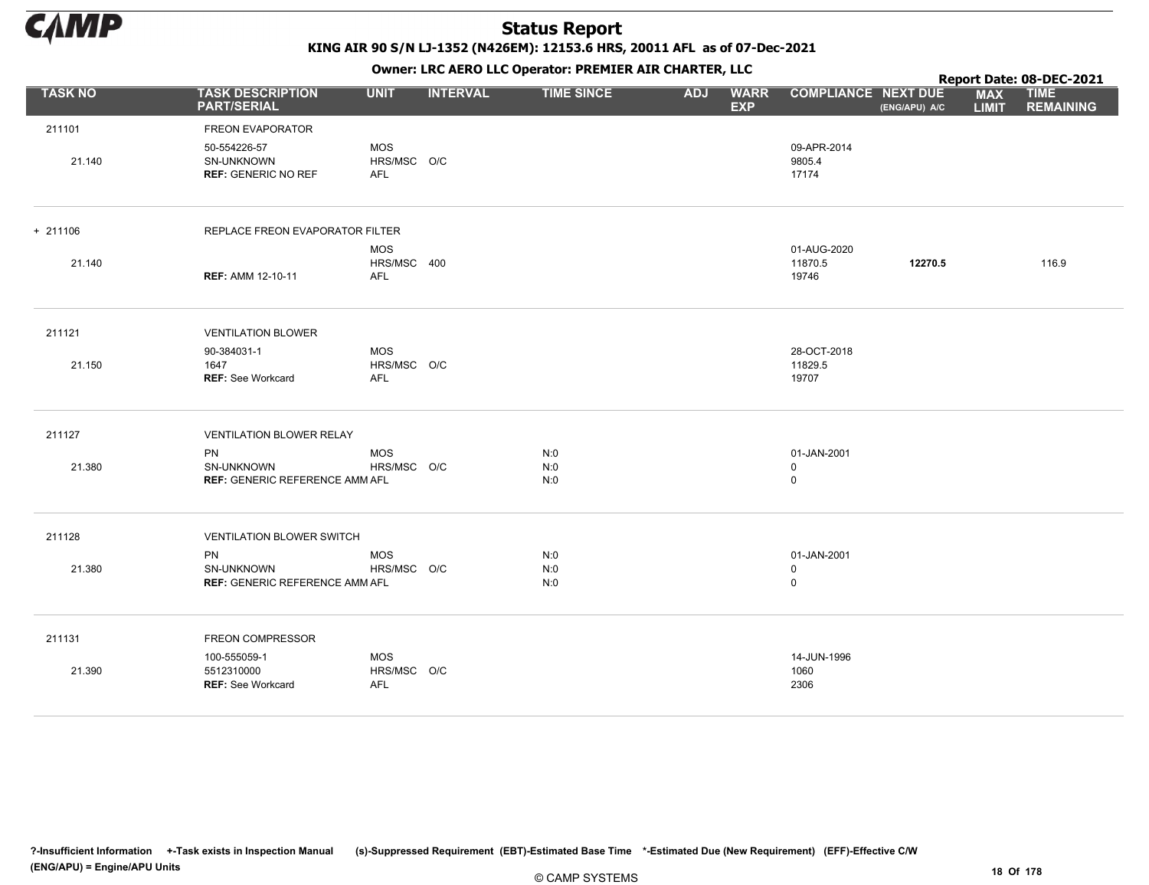

KING AIR 90 S/N LJ-1352 (N426EM): 12153.6 HRS, 20011 AFL as of 07-Dec-2021

|                |                                                           |                                         |                 | OWHER. LKC ALKO LLC OPERATOR. PREPILER AIR CHARTER, LLC |            |                           |                                            |               |                            | Report Date: 08-DEC-2021        |
|----------------|-----------------------------------------------------------|-----------------------------------------|-----------------|---------------------------------------------------------|------------|---------------------------|--------------------------------------------|---------------|----------------------------|---------------------------------|
| <b>TASK NO</b> | <b>TASK DESCRIPTION</b><br><b>PART/SERIAL</b>             | <b>UNIT</b>                             | <b>INTERVAL</b> | <b>TIME SINCE</b>                                       | <b>ADJ</b> | <b>WARR</b><br><b>EXP</b> | <b>COMPLIANCE NEXT DUE</b>                 | (ENG/APU) A/C | <b>MAX</b><br><b>LIMIT</b> | <b>TIME</b><br><b>REMAINING</b> |
| 211101         | FREON EVAPORATOR                                          |                                         |                 |                                                         |            |                           |                                            |               |                            |                                 |
| 21.140         | 50-554226-57<br>SN-UNKNOWN<br><b>REF: GENERIC NO REF</b>  | <b>MOS</b><br>HRS/MSC O/C<br><b>AFL</b> |                 |                                                         |            |                           | 09-APR-2014<br>9805.4<br>17174             |               |                            |                                 |
| $+ 211106$     | REPLACE FREON EVAPORATOR FILTER                           |                                         |                 |                                                         |            |                           |                                            |               |                            |                                 |
| 21.140         | <b>REF: AMM 12-10-11</b>                                  | <b>MOS</b><br>HRS/MSC 400<br>AFL        |                 |                                                         |            |                           | 01-AUG-2020<br>11870.5<br>19746            | 12270.5       |                            | 116.9                           |
| 211121         | <b>VENTILATION BLOWER</b>                                 |                                         |                 |                                                         |            |                           |                                            |               |                            |                                 |
| 21.150         | 90-384031-1<br>1647<br><b>REF: See Workcard</b>           | <b>MOS</b><br>HRS/MSC O/C<br><b>AFL</b> |                 |                                                         |            |                           | 28-OCT-2018<br>11829.5<br>19707            |               |                            |                                 |
| 211127         | <b>VENTILATION BLOWER RELAY</b>                           |                                         |                 |                                                         |            |                           |                                            |               |                            |                                 |
| 21.380         | PN<br>SN-UNKNOWN<br><b>REF: GENERIC REFERENCE AMM AFL</b> | <b>MOS</b><br>HRS/MSC O/C               |                 | N:0<br>N:0<br>N:0                                       |            |                           | 01-JAN-2001<br>0<br>$\mathsf{O}$           |               |                            |                                 |
| 211128         | <b>VENTILATION BLOWER SWITCH</b>                          |                                         |                 |                                                         |            |                           |                                            |               |                            |                                 |
| 21.380         | PN<br>SN-UNKNOWN<br><b>REF: GENERIC REFERENCE AMM AFL</b> | <b>MOS</b><br>HRS/MSC O/C               |                 | N:0<br>N:0<br>N:0                                       |            |                           | 01-JAN-2001<br>$\mathbf 0$<br>$\mathsf{O}$ |               |                            |                                 |
| 211131         | <b>FREON COMPRESSOR</b>                                   |                                         |                 |                                                         |            |                           |                                            |               |                            |                                 |
| 21.390         | 100-555059-1<br>5512310000<br><b>REF: See Workcard</b>    | <b>MOS</b><br>HRS/MSC O/C<br><b>AFL</b> |                 |                                                         |            |                           | 14-JUN-1996<br>1060<br>2306                |               |                            |                                 |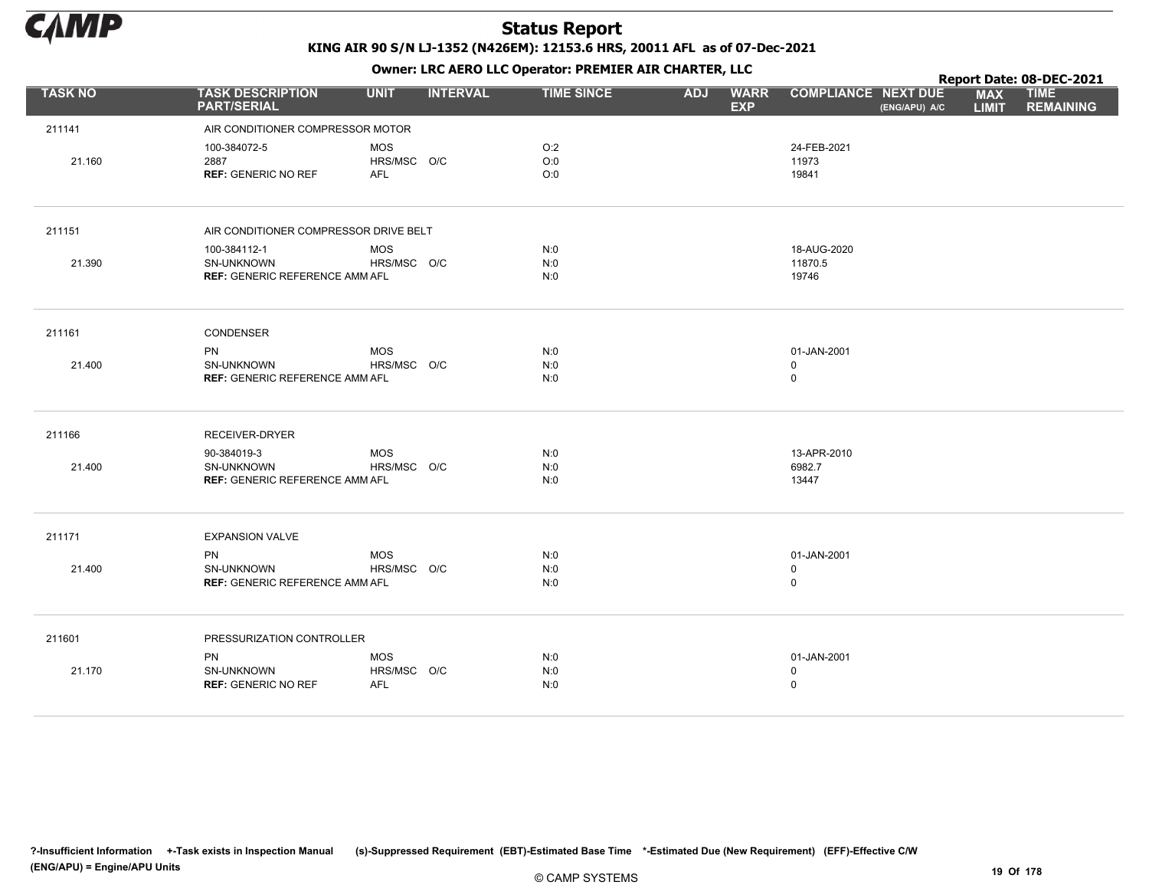

Owner: LRC AERO LLC Operator: PREMIER AIR CHARTER, LLC

|                |                                                                           |                                         |                 | OWHER, LKC ALKO LLC OPERATOR. PREPILER AIR CHARTER, LLC |                                         |                                 |               |                            | Report Date: 08-DEC-2021        |
|----------------|---------------------------------------------------------------------------|-----------------------------------------|-----------------|---------------------------------------------------------|-----------------------------------------|---------------------------------|---------------|----------------------------|---------------------------------|
| <b>TASK NO</b> | <b>TASK DESCRIPTION</b><br><b>PART/SERIAL</b>                             | <b>UNIT</b>                             | <b>INTERVAL</b> | <b>TIME SINCE</b>                                       | <b>ADJ</b><br><b>WARR</b><br><b>EXP</b> | <b>COMPLIANCE NEXT DUE</b>      | (ENG/APU) A/C | <b>MAX</b><br><b>LIMIT</b> | <b>TIME</b><br><b>REMAINING</b> |
| 211141         | AIR CONDITIONER COMPRESSOR MOTOR                                          |                                         |                 |                                                         |                                         |                                 |               |                            |                                 |
| 21.160         | 100-384072-5<br>2887<br><b>REF: GENERIC NO REF</b>                        | <b>MOS</b><br>HRS/MSC O/C<br><b>AFL</b> |                 | O:2<br>O:0<br>O:0                                       |                                         | 24-FEB-2021<br>11973<br>19841   |               |                            |                                 |
| 211151         | AIR CONDITIONER COMPRESSOR DRIVE BELT                                     |                                         |                 |                                                         |                                         |                                 |               |                            |                                 |
|                | 100-384112-1                                                              | <b>MOS</b>                              |                 | N:0                                                     |                                         | 18-AUG-2020                     |               |                            |                                 |
| 21.390         | <b>SN-UNKNOWN</b><br><b>REF: GENERIC REFERENCE AMM AFL</b>                | HRS/MSC O/C                             |                 | N:0<br>N:0                                              |                                         | 11870.5<br>19746                |               |                            |                                 |
| 211161         | CONDENSER                                                                 |                                         |                 |                                                         |                                         |                                 |               |                            |                                 |
| 21.400         | <b>PN</b><br>SN-UNKNOWN<br><b>REF: GENERIC REFERENCE AMM AFL</b>          | <b>MOS</b><br>HRS/MSC O/C               |                 | N:0<br>N:0<br>N:0                                       |                                         | 01-JAN-2001<br>0<br>$\mathbf 0$ |               |                            |                                 |
| 211166         | RECEIVER-DRYER                                                            |                                         |                 |                                                         |                                         |                                 |               |                            |                                 |
| 21.400         | 90-384019-3<br><b>SN-UNKNOWN</b><br><b>REF: GENERIC REFERENCE AMM AFL</b> | <b>MOS</b><br>HRS/MSC O/C               |                 | N:0<br>N:0<br>N:0                                       |                                         | 13-APR-2010<br>6982.7<br>13447  |               |                            |                                 |
| 211171         | <b>EXPANSION VALVE</b>                                                    |                                         |                 |                                                         |                                         |                                 |               |                            |                                 |
| 21.400         | <b>PN</b><br>SN-UNKNOWN<br><b>REF: GENERIC REFERENCE AMM AFL</b>          | <b>MOS</b><br>HRS/MSC O/C               |                 | N:0<br>N:0<br>N:0                                       |                                         | 01-JAN-2001<br>0<br>0           |               |                            |                                 |
| 211601         | PRESSURIZATION CONTROLLER                                                 |                                         |                 |                                                         |                                         |                                 |               |                            |                                 |
| 21.170         | PN<br>SN-UNKNOWN<br><b>REF: GENERIC NO REF</b>                            | <b>MOS</b><br>HRS/MSC O/C<br>AFL        |                 | N:0<br>N:0<br>N:0                                       |                                         | 01-JAN-2001<br>$\mathbf 0$<br>0 |               |                            |                                 |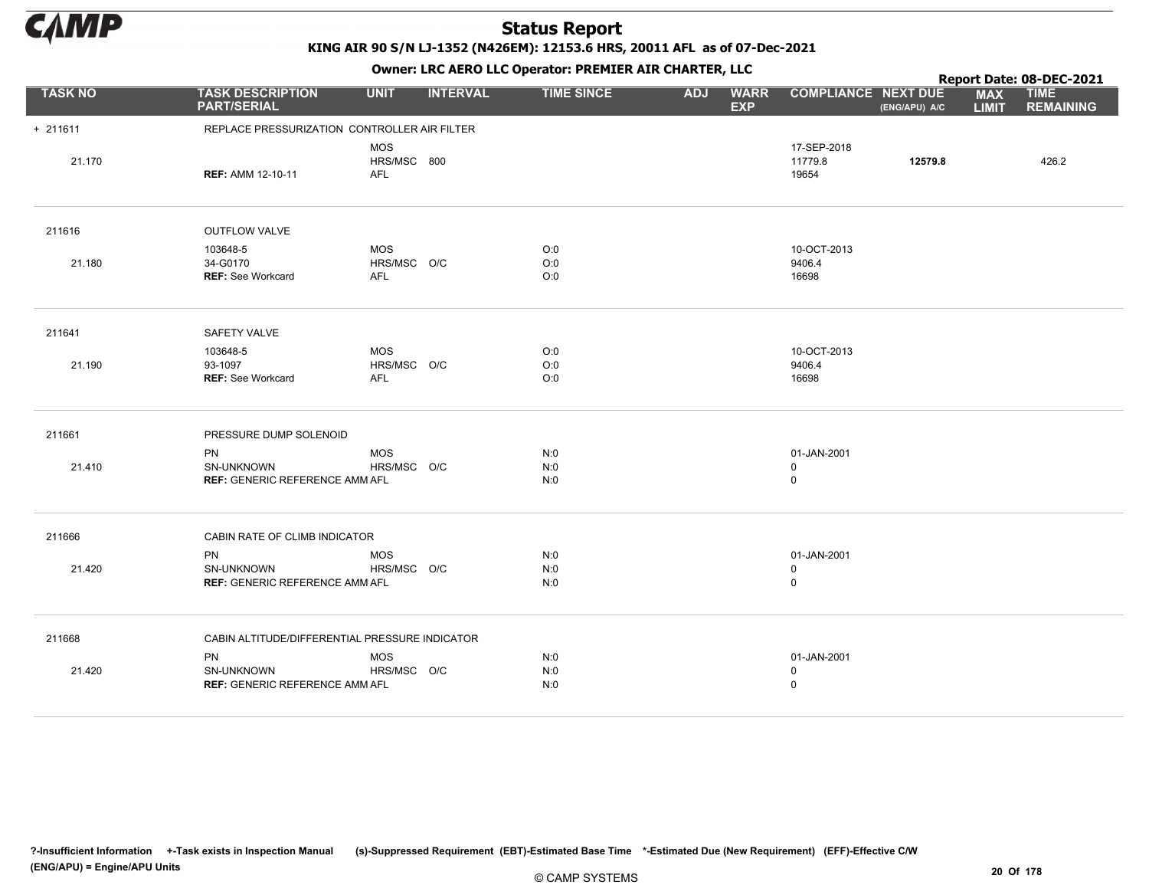

KING AIR 90 S/N LJ-1352 (N426EM): 12153.6 HRS, 20011 AFL as of 07-Dec-2021

|                |                                                                  |                                         |                 | OWHER, LKC AERO LLC OPERATOR, PREPILER AIR CHARTER, LLC |            |                           |                                 | <b>COMPLIANCE NEXT DUE</b> |                            | Report Date: 08-DEC-2021        |
|----------------|------------------------------------------------------------------|-----------------------------------------|-----------------|---------------------------------------------------------|------------|---------------------------|---------------------------------|----------------------------|----------------------------|---------------------------------|
| <b>TASK NO</b> | <b>TASK DESCRIPTION</b><br><b>PART/SERIAL</b>                    | <b>UNIT</b>                             | <b>INTERVAL</b> | <b>TIME SINCE</b>                                       | <b>ADJ</b> | <b>WARR</b><br><b>EXP</b> |                                 | (ENG/APU) A/C              | <b>MAX</b><br><b>LIMIT</b> | <b>TIME</b><br><b>REMAINING</b> |
| $+ 211611$     | REPLACE PRESSURIZATION CONTROLLER AIR FILTER                     |                                         |                 |                                                         |            |                           |                                 |                            |                            |                                 |
| 21.170         | <b>REF: AMM 12-10-11</b>                                         | <b>MOS</b><br>HRS/MSC 800<br><b>AFL</b> |                 |                                                         |            |                           | 17-SEP-2018<br>11779.8<br>19654 | 12579.8                    |                            | 426.2                           |
| 211616         | <b>OUTFLOW VALVE</b>                                             |                                         |                 |                                                         |            |                           |                                 |                            |                            |                                 |
| 21.180         | 103648-5<br>34-G0170<br><b>REF: See Workcard</b>                 | <b>MOS</b><br>HRS/MSC O/C<br><b>AFL</b> |                 | O:0<br>O:0<br>O:0                                       |            |                           | 10-OCT-2013<br>9406.4<br>16698  |                            |                            |                                 |
| 211641         | SAFETY VALVE                                                     |                                         |                 |                                                         |            |                           |                                 |                            |                            |                                 |
| 21.190         | 103648-5<br>93-1097<br>REF: See Workcard                         | <b>MOS</b><br>HRS/MSC O/C<br>AFL        |                 | O:0<br>O:0<br>O:0                                       |            |                           | 10-OCT-2013<br>9406.4<br>16698  |                            |                            |                                 |
| 211661         | PRESSURE DUMP SOLENOID                                           |                                         |                 |                                                         |            |                           |                                 |                            |                            |                                 |
| 21.410         | <b>PN</b><br>SN-UNKNOWN<br><b>REF: GENERIC REFERENCE AMM AFL</b> | <b>MOS</b><br>HRS/MSC O/C               |                 | N:0<br>N:0<br>N:0                                       |            |                           | 01-JAN-2001<br>0<br>$\mathsf 0$ |                            |                            |                                 |
| 211666         | CABIN RATE OF CLIMB INDICATOR                                    |                                         |                 |                                                         |            |                           |                                 |                            |                            |                                 |
| 21.420         | <b>PN</b><br>SN-UNKNOWN<br><b>REF: GENERIC REFERENCE AMM AFL</b> | <b>MOS</b><br>HRS/MSC O/C               |                 | N:0<br>N:0<br>N:0                                       |            |                           | 01-JAN-2001<br>$\mathbf 0$<br>0 |                            |                            |                                 |
| 211668         | CABIN ALTITUDE/DIFFERENTIAL PRESSURE INDICATOR                   |                                         |                 |                                                         |            |                           |                                 |                            |                            |                                 |
| 21.420         | <b>PN</b><br>SN-UNKNOWN<br><b>REF: GENERIC REFERENCE AMM AFL</b> | <b>MOS</b><br>HRS/MSC O/C               |                 | N:0<br>N:0<br>N:0                                       |            |                           | 01-JAN-2001<br>0<br>0           |                            |                            |                                 |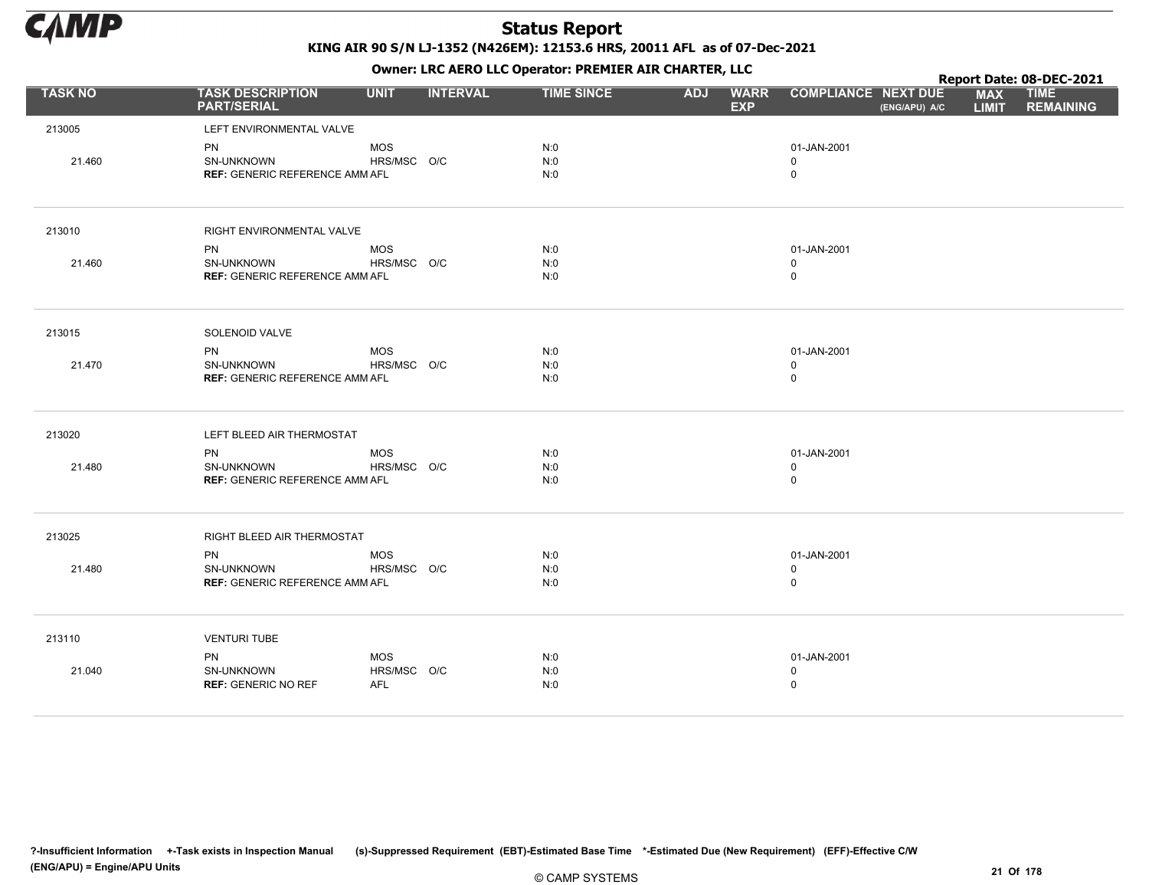

|                |                                               |                    |                 |                   | . .        |                           |                                             |                            | Report Date: 08-DEC-2021        |
|----------------|-----------------------------------------------|--------------------|-----------------|-------------------|------------|---------------------------|---------------------------------------------|----------------------------|---------------------------------|
| <b>TASK NO</b> | <b>TASK DESCRIPTION</b><br><b>PART/SERIAL</b> | <b>UNIT</b>        | <b>INTERVAL</b> | <b>TIME SINCE</b> | <b>ADJ</b> | <b>WARR</b><br><b>EXP</b> | <b>COMPLIANCE NEXT DUE</b><br>(ENG/APU) A/C | <b>MAX</b><br><b>LIMIT</b> | <b>TIME</b><br><b>REMAINING</b> |
| 213005         | LEFT ENVIRONMENTAL VALVE                      |                    |                 |                   |            |                           |                                             |                            |                                 |
|                | PN                                            | <b>MOS</b>         |                 | N:0               |            |                           | 01-JAN-2001                                 |                            |                                 |
| 21.460         | SN-UNKNOWN                                    | HRS/MSC O/C        |                 | N:0               |            |                           | 0                                           |                            |                                 |
|                | <b>REF: GENERIC REFERENCE AMM AFL</b>         |                    |                 | N:0               |            |                           | $\mathsf 0$                                 |                            |                                 |
|                |                                               |                    |                 |                   |            |                           |                                             |                            |                                 |
| 213010         | RIGHT ENVIRONMENTAL VALVE                     |                    |                 |                   |            |                           |                                             |                            |                                 |
|                | PN                                            | MOS                |                 | N:0               |            |                           | 01-JAN-2001                                 |                            |                                 |
| 21.460         | SN-UNKNOWN                                    | HRS/MSC O/C        |                 | N:0               |            |                           | $\mathbf 0$                                 |                            |                                 |
|                | <b>REF: GENERIC REFERENCE AMM AFL</b>         |                    |                 | N:0               |            |                           | $\mathsf 0$                                 |                            |                                 |
| 213015         | SOLENOID VALVE                                |                    |                 |                   |            |                           |                                             |                            |                                 |
|                |                                               |                    |                 |                   |            |                           |                                             |                            |                                 |
| 21.470         | <b>PN</b><br>SN-UNKNOWN                       | MOS<br>HRS/MSC O/C |                 | N:0<br>N:0        |            |                           | 01-JAN-2001<br>$\mathbf 0$                  |                            |                                 |
|                | <b>REF: GENERIC REFERENCE AMM AFL</b>         |                    |                 | N:0               |            |                           | $\mathsf 0$                                 |                            |                                 |
|                |                                               |                    |                 |                   |            |                           |                                             |                            |                                 |
| 213020         | LEFT BLEED AIR THERMOSTAT                     |                    |                 |                   |            |                           |                                             |                            |                                 |
|                | PN                                            | MOS                |                 | N:0               |            |                           | 01-JAN-2001                                 |                            |                                 |
| 21.480         | SN-UNKNOWN                                    | HRS/MSC O/C        |                 | N:0               |            |                           | $\mathbf 0$                                 |                            |                                 |
|                | <b>REF: GENERIC REFERENCE AMM AFL</b>         |                    |                 | N:0               |            |                           | $\mathsf 0$                                 |                            |                                 |
| 213025         | RIGHT BLEED AIR THERMOSTAT                    |                    |                 |                   |            |                           |                                             |                            |                                 |
|                | <b>PN</b>                                     | <b>MOS</b>         |                 | N:0               |            |                           | 01-JAN-2001                                 |                            |                                 |
| 21.480         | <b>SN-UNKNOWN</b>                             | HRS/MSC O/C        |                 | N:0               |            |                           | $\mathbf 0$                                 |                            |                                 |
|                | <b>REF: GENERIC REFERENCE AMM AFL</b>         |                    |                 | N:0               |            |                           | $\mathsf 0$                                 |                            |                                 |
|                |                                               |                    |                 |                   |            |                           |                                             |                            |                                 |
| 213110         | <b>VENTURI TUBE</b>                           |                    |                 |                   |            |                           |                                             |                            |                                 |
|                | PN                                            | MOS                |                 | N:0               |            |                           | 01-JAN-2001                                 |                            |                                 |
| 21.040         | SN-UNKNOWN                                    | HRS/MSC O/C        |                 | N:0               |            |                           | $\mathsf 0$                                 |                            |                                 |
|                | <b>REF: GENERIC NO REF</b>                    | AFL                |                 | N:0               |            |                           | $\mathsf 0$                                 |                            |                                 |
|                |                                               |                    |                 |                   |            |                           |                                             |                            |                                 |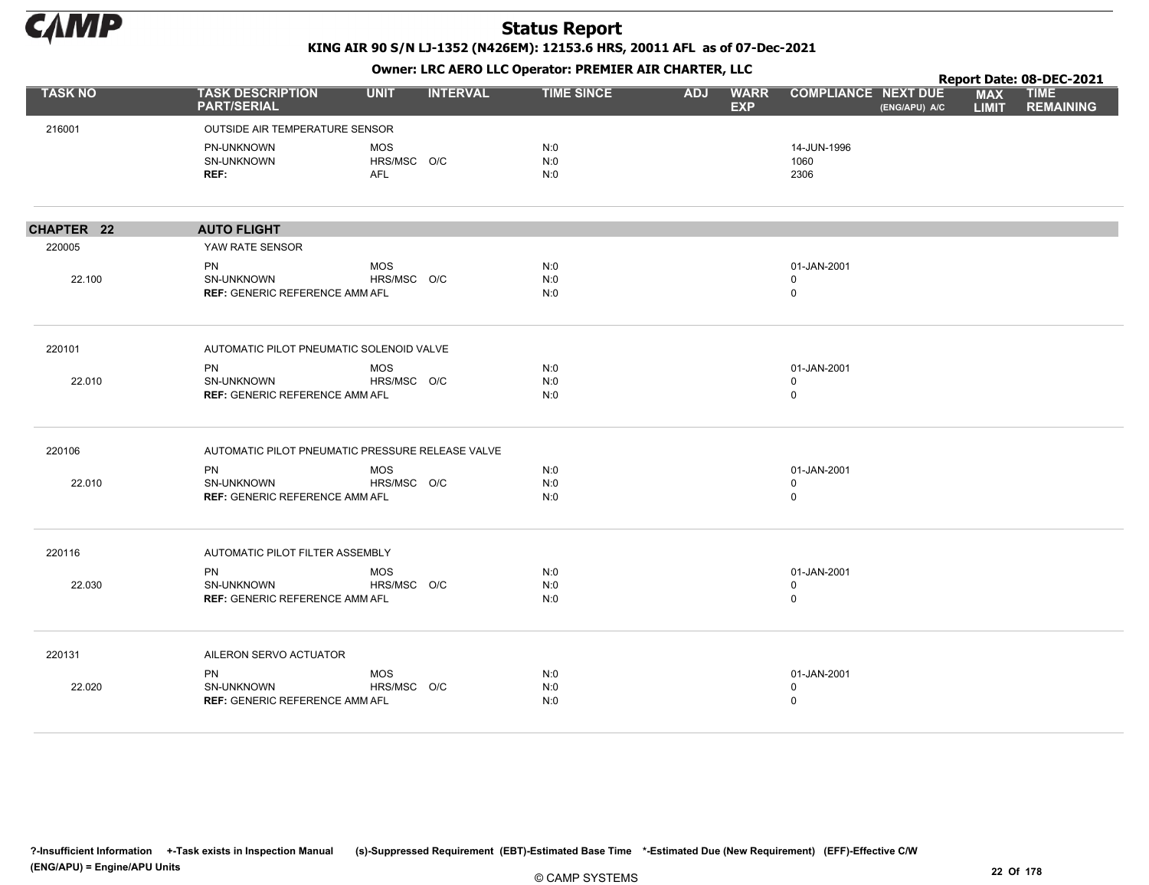

|                |                                                  |             |                 |                   |            | $\overline{\phantom{a}}$  |                            |               |                            | Report Date: 08-DEC-2021        |
|----------------|--------------------------------------------------|-------------|-----------------|-------------------|------------|---------------------------|----------------------------|---------------|----------------------------|---------------------------------|
| <b>TASK NO</b> | <b>TASK DESCRIPTION</b><br><b>PART/SERIAL</b>    | <b>UNIT</b> | <b>INTERVAL</b> | <b>TIME SINCE</b> | <b>ADJ</b> | <b>WARR</b><br><b>EXP</b> | <b>COMPLIANCE NEXT DUE</b> | (ENG/APU) A/C | <b>MAX</b><br><b>LIMIT</b> | <b>TIME</b><br><b>REMAINING</b> |
| 216001         | OUTSIDE AIR TEMPERATURE SENSOR                   |             |                 |                   |            |                           |                            |               |                            |                                 |
|                | PN-UNKNOWN                                       | <b>MOS</b>  |                 | N:0               |            |                           | 14-JUN-1996                |               |                            |                                 |
|                | SN-UNKNOWN                                       | HRS/MSC O/C |                 | N:0               |            |                           | 1060                       |               |                            |                                 |
|                | REF:                                             | <b>AFL</b>  |                 | N:0               |            |                           | 2306                       |               |                            |                                 |
| CHAPTER 22     | <b>AUTO FLIGHT</b>                               |             |                 |                   |            |                           |                            |               |                            |                                 |
| 220005         | YAW RATE SENSOR                                  |             |                 |                   |            |                           |                            |               |                            |                                 |
|                | <b>PN</b>                                        | <b>MOS</b>  |                 | N:0               |            |                           | 01-JAN-2001                |               |                            |                                 |
| 22.100         | SN-UNKNOWN                                       | HRS/MSC O/C |                 | N:0               |            |                           | $\mathbf 0$                |               |                            |                                 |
|                | <b>REF: GENERIC REFERENCE AMM AFL</b>            |             |                 | N:0               |            |                           | $\mathbf 0$                |               |                            |                                 |
| 220101         | AUTOMATIC PILOT PNEUMATIC SOLENOID VALVE         |             |                 |                   |            |                           |                            |               |                            |                                 |
|                | <b>PN</b>                                        | <b>MOS</b>  |                 | N:0               |            |                           | 01-JAN-2001                |               |                            |                                 |
| 22.010         | SN-UNKNOWN                                       | HRS/MSC O/C |                 | N:0               |            |                           | $\mathbf 0$                |               |                            |                                 |
|                | <b>REF: GENERIC REFERENCE AMM AFL</b>            |             |                 | N:0               |            |                           | $\mathbf 0$                |               |                            |                                 |
| 220106         | AUTOMATIC PILOT PNEUMATIC PRESSURE RELEASE VALVE |             |                 |                   |            |                           |                            |               |                            |                                 |
|                | PN                                               | <b>MOS</b>  |                 | N:0               |            |                           | 01-JAN-2001                |               |                            |                                 |
| 22.010         | <b>SN-UNKNOWN</b>                                | HRS/MSC O/C |                 | N:0               |            |                           | 0                          |               |                            |                                 |
|                | <b>REF: GENERIC REFERENCE AMM AFL</b>            |             |                 | N:0               |            |                           | $\mathbf 0$                |               |                            |                                 |
| 220116         | AUTOMATIC PILOT FILTER ASSEMBLY                  |             |                 |                   |            |                           |                            |               |                            |                                 |
|                | <b>PN</b>                                        | <b>MOS</b>  |                 | N:0               |            |                           | 01-JAN-2001                |               |                            |                                 |
| 22.030         | SN-UNKNOWN                                       | HRS/MSC O/C |                 | N:0               |            |                           | $\mathbf 0$                |               |                            |                                 |
|                | <b>REF: GENERIC REFERENCE AMM AFL</b>            |             |                 | N:0               |            |                           | $\mathbf 0$                |               |                            |                                 |
| 220131         | AILERON SERVO ACTUATOR                           |             |                 |                   |            |                           |                            |               |                            |                                 |
|                | <b>PN</b>                                        | <b>MOS</b>  |                 | N:0               |            |                           | 01-JAN-2001                |               |                            |                                 |
| 22.020         | SN-UNKNOWN                                       | HRS/MSC O/C |                 | N:0               |            |                           | $\mathbf 0$                |               |                            |                                 |
|                | <b>REF: GENERIC REFERENCE AMM AFL</b>            |             |                 | N:0               |            |                           | $\mathbf 0$                |               |                            |                                 |
|                |                                                  |             |                 |                   |            |                           |                            |               |                            |                                 |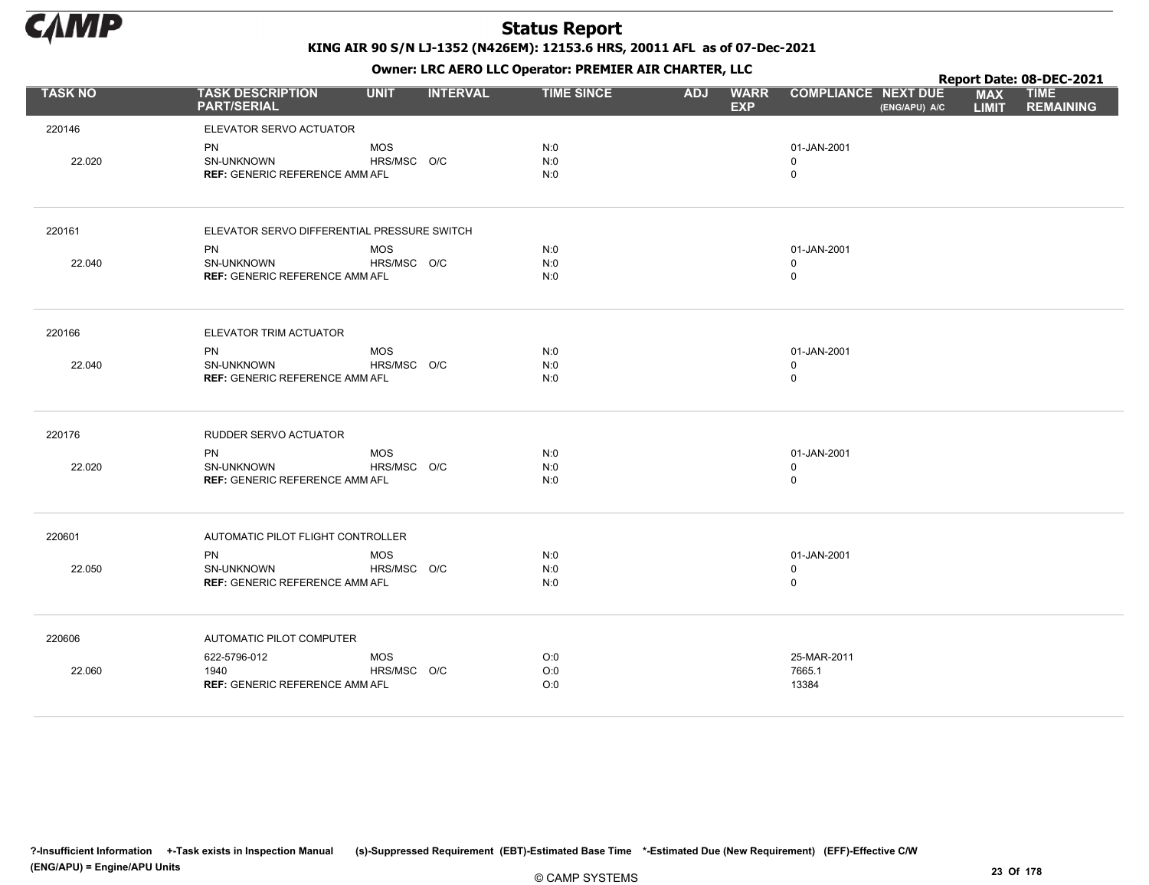

Owner: LRC AERO LLC Operator: PREMIER AIR CHARTER, LLC

|                |                                               |             |                 |                   |            | . .                       |                                             |                            | Report Date: 08-DEC-2021        |
|----------------|-----------------------------------------------|-------------|-----------------|-------------------|------------|---------------------------|---------------------------------------------|----------------------------|---------------------------------|
| <b>TASK NO</b> | <b>TASK DESCRIPTION</b><br><b>PART/SERIAL</b> | <b>UNIT</b> | <b>INTERVAL</b> | <b>TIME SINCE</b> | <b>ADJ</b> | <b>WARR</b><br><b>EXP</b> | <b>COMPLIANCE NEXT DUE</b><br>(ENG/APU) A/C | <b>MAX</b><br><b>LIMIT</b> | <b>TIME</b><br><b>REMAINING</b> |
| 220146         | ELEVATOR SERVO ACTUATOR                       |             |                 |                   |            |                           |                                             |                            |                                 |
|                | PN                                            | <b>MOS</b>  |                 | N:0               |            |                           | 01-JAN-2001                                 |                            |                                 |
| 22.020         | SN-UNKNOWN                                    | HRS/MSC O/C |                 | N:0               |            |                           | $\mathbf 0$                                 |                            |                                 |
|                | <b>REF: GENERIC REFERENCE AMM AFL</b>         |             |                 | N:0               |            |                           | $\mathbf 0$                                 |                            |                                 |
| 220161         | ELEVATOR SERVO DIFFERENTIAL PRESSURE SWITCH   |             |                 |                   |            |                           |                                             |                            |                                 |
|                | <b>PN</b>                                     | <b>MOS</b>  |                 | N:0               |            |                           | 01-JAN-2001                                 |                            |                                 |
| 22.040         | SN-UNKNOWN                                    | HRS/MSC O/C |                 | N:0               |            |                           | $\mathbf 0$                                 |                            |                                 |
|                | <b>REF: GENERIC REFERENCE AMM AFL</b>         |             |                 | N:0               |            |                           | $\mathbf 0$                                 |                            |                                 |
| 220166         | ELEVATOR TRIM ACTUATOR                        |             |                 |                   |            |                           |                                             |                            |                                 |
|                | <b>PN</b>                                     | <b>MOS</b>  |                 | N:0               |            |                           | 01-JAN-2001                                 |                            |                                 |
| 22.040         | SN-UNKNOWN                                    | HRS/MSC O/C |                 | N:0               |            |                           | $\mathbf 0$                                 |                            |                                 |
|                | <b>REF: GENERIC REFERENCE AMM AFL</b>         |             |                 | N:0               |            |                           | $\mathbf 0$                                 |                            |                                 |
| 220176         | RUDDER SERVO ACTUATOR                         |             |                 |                   |            |                           |                                             |                            |                                 |
|                | PN                                            | <b>MOS</b>  |                 | N:0               |            |                           | 01-JAN-2001                                 |                            |                                 |
| 22.020         | SN-UNKNOWN                                    | HRS/MSC O/C |                 | N:0               |            |                           | $\mathbf 0$                                 |                            |                                 |
|                | <b>REF: GENERIC REFERENCE AMM AFL</b>         |             |                 | N:0               |            |                           | $\mathbf 0$                                 |                            |                                 |
| 220601         | AUTOMATIC PILOT FLIGHT CONTROLLER             |             |                 |                   |            |                           |                                             |                            |                                 |
|                | PN                                            | <b>MOS</b>  |                 | N:0               |            |                           | 01-JAN-2001                                 |                            |                                 |
| 22.050         | SN-UNKNOWN                                    | HRS/MSC O/C |                 | N:0               |            |                           | $\mathbf 0$                                 |                            |                                 |
|                | <b>REF: GENERIC REFERENCE AMM AFL</b>         |             |                 | N:0               |            |                           | $\mathbf 0$                                 |                            |                                 |
| 220606         | AUTOMATIC PILOT COMPUTER                      |             |                 |                   |            |                           |                                             |                            |                                 |
|                | 622-5796-012                                  | <b>MOS</b>  |                 | O:0               |            |                           | 25-MAR-2011                                 |                            |                                 |
| 22.060         | 1940                                          | HRS/MSC O/C |                 | O:0               |            |                           | 7665.1                                      |                            |                                 |
|                | <b>REF: GENERIC REFERENCE AMM AFL</b>         |             |                 | O:0               |            |                           | 13384                                       |                            |                                 |

?-Insufficient Information +-Task exists in Inspection Manual (s)-Suppressed Requirement (EBT)-Estimated Base Time \*-Estimated Due (New Requirement) (EFF)-Effective C/W (ENG/APU) = Engine/APU Units 23 Of 178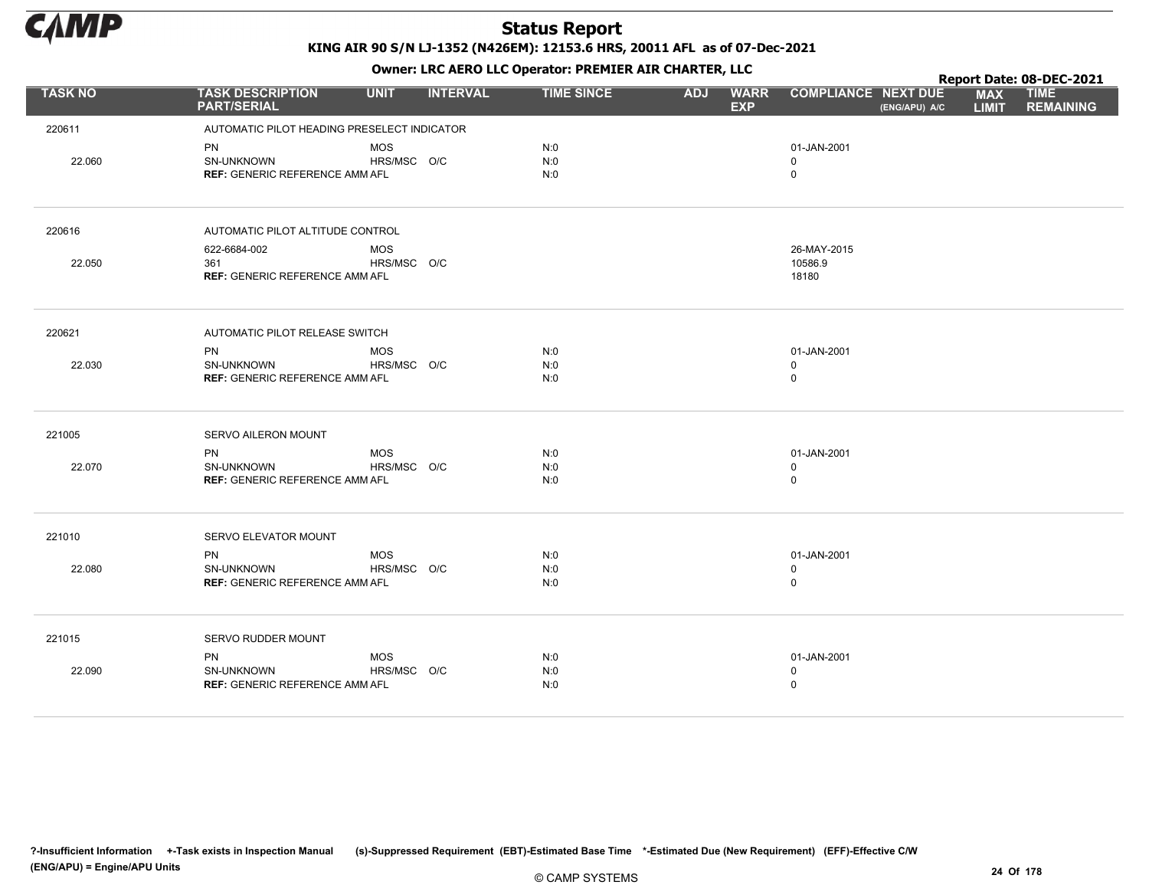

|                |                                                                         |                           |                 |                   |            | $\mathbf{r}$              |                                             |                            | Report Date: 08-DEC-2021        |
|----------------|-------------------------------------------------------------------------|---------------------------|-----------------|-------------------|------------|---------------------------|---------------------------------------------|----------------------------|---------------------------------|
| <b>TASK NO</b> | <b>TASK DESCRIPTION</b><br><b>PART/SERIAL</b>                           | <b>UNIT</b>               | <b>INTERVAL</b> | <b>TIME SINCE</b> | <b>ADJ</b> | <b>WARR</b><br><b>EXP</b> | <b>COMPLIANCE NEXT DUE</b><br>(ENG/APU) A/C | <b>MAX</b><br><b>LIMIT</b> | <b>TIME</b><br><b>REMAINING</b> |
| 220611         | AUTOMATIC PILOT HEADING PRESELECT INDICATOR                             |                           |                 |                   |            |                           |                                             |                            |                                 |
| 22.060         | <b>PN</b><br>SN-UNKNOWN<br><b>REF: GENERIC REFERENCE AMM AFL</b>        | <b>MOS</b><br>HRS/MSC O/C |                 | N:0<br>N:0<br>N:0 |            |                           | 01-JAN-2001<br>$\mathbf{0}$<br>$\mathbf 0$  |                            |                                 |
| 220616         | AUTOMATIC PILOT ALTITUDE CONTROL                                        |                           |                 |                   |            |                           |                                             |                            |                                 |
| 22.050         | 622-6684-002<br>361<br><b>REF: GENERIC REFERENCE AMM AFL</b>            | <b>MOS</b><br>HRS/MSC O/C |                 |                   |            |                           | 26-MAY-2015<br>10586.9<br>18180             |                            |                                 |
| 220621         | AUTOMATIC PILOT RELEASE SWITCH                                          |                           |                 |                   |            |                           |                                             |                            |                                 |
| 22.030         | <b>PN</b><br><b>SN-UNKNOWN</b><br><b>REF: GENERIC REFERENCE AMM AFL</b> | <b>MOS</b><br>HRS/MSC O/C |                 | N:0<br>N:0<br>N:0 |            |                           | 01-JAN-2001<br>$\mathbf 0$<br>$\mathsf 0$   |                            |                                 |
| 221005         | SERVO AILERON MOUNT                                                     |                           |                 |                   |            |                           |                                             |                            |                                 |
| 22.070         | <b>PN</b><br>SN-UNKNOWN<br><b>REF: GENERIC REFERENCE AMM AFL</b>        | <b>MOS</b><br>HRS/MSC O/C |                 | N:0<br>N:0<br>N:0 |            |                           | 01-JAN-2001<br>$\mathbf 0$<br>$\mathbf 0$   |                            |                                 |
| 221010         | SERVO ELEVATOR MOUNT                                                    |                           |                 |                   |            |                           |                                             |                            |                                 |
| 22.080         | <b>PN</b><br><b>SN-UNKNOWN</b><br><b>REF: GENERIC REFERENCE AMM AFL</b> | <b>MOS</b><br>HRS/MSC O/C |                 | N:0<br>N:0<br>N:0 |            |                           | 01-JAN-2001<br>$\mathbf 0$<br>$\mathsf 0$   |                            |                                 |
| 221015         | SERVO RUDDER MOUNT                                                      |                           |                 |                   |            |                           |                                             |                            |                                 |
| 22.090         | <b>PN</b><br>SN-UNKNOWN<br><b>REF: GENERIC REFERENCE AMM AFL</b>        | <b>MOS</b><br>HRS/MSC O/C |                 | N:0<br>N:0<br>N:0 |            |                           | 01-JAN-2001<br>$\mathbf 0$<br>$\mathbf 0$   |                            |                                 |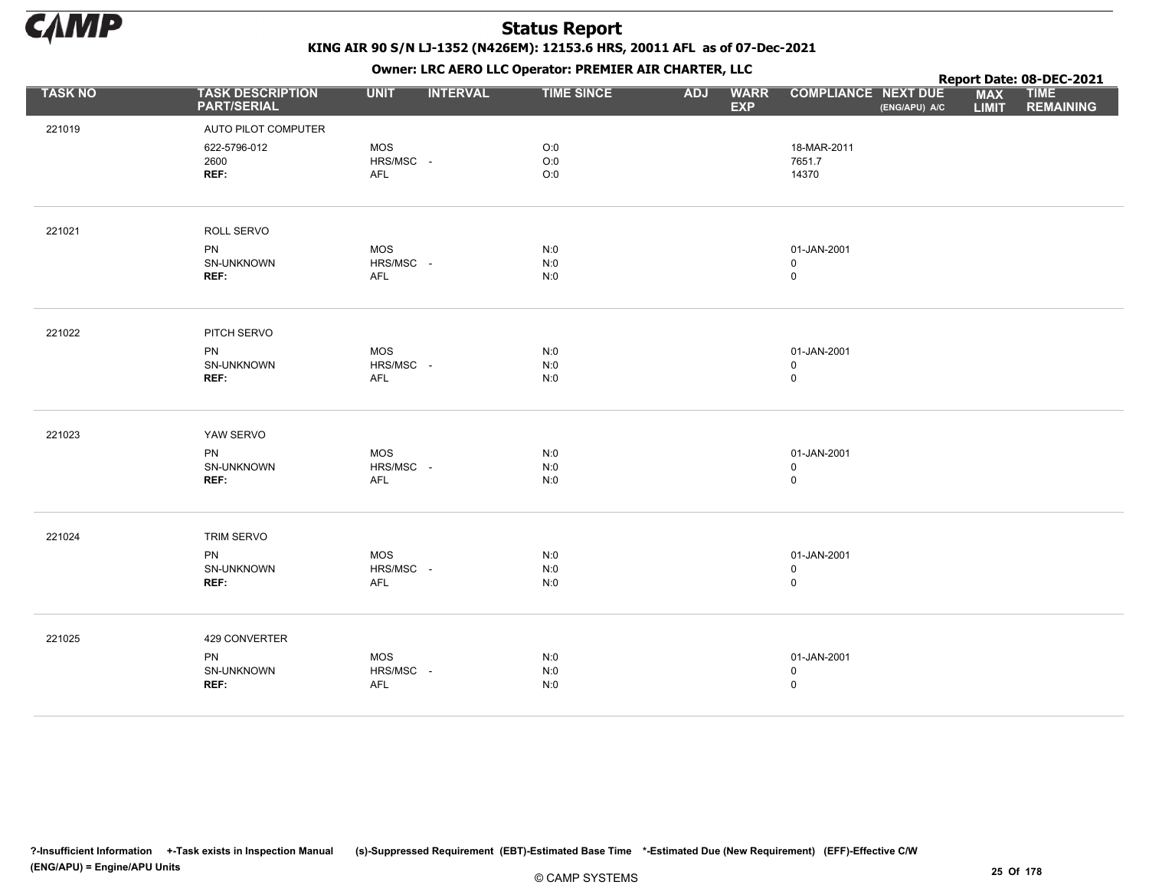

|                |                                               |                                | - - - -           |            | $\mathbf{r}$              |                                             |                            | Report Date: 08-DEC-2021        |
|----------------|-----------------------------------------------|--------------------------------|-------------------|------------|---------------------------|---------------------------------------------|----------------------------|---------------------------------|
| <b>TASK NO</b> | <b>TASK DESCRIPTION</b><br><b>PART/SERIAL</b> | <b>UNIT</b><br><b>INTERVAL</b> | <b>TIME SINCE</b> | <b>ADJ</b> | <b>WARR</b><br><b>EXP</b> | <b>COMPLIANCE NEXT DUE</b><br>(ENG/APU) A/C | <b>MAX</b><br><b>LIMIT</b> | <b>TIME</b><br><b>REMAINING</b> |
| 221019         | AUTO PILOT COMPUTER                           |                                |                   |            |                           |                                             |                            |                                 |
|                | 622-5796-012                                  | MOS                            | O:0               |            |                           | 18-MAR-2011                                 |                            |                                 |
|                | 2600                                          | HRS/MSC -                      | O:0               |            |                           | 7651.7                                      |                            |                                 |
|                | REF:                                          | AFL                            | O:0               |            |                           | 14370                                       |                            |                                 |
|                |                                               |                                |                   |            |                           |                                             |                            |                                 |
| 221021         | ROLL SERVO                                    |                                |                   |            |                           |                                             |                            |                                 |
|                | <b>PN</b>                                     | MOS                            | N:0               |            |                           | 01-JAN-2001                                 |                            |                                 |
|                | SN-UNKNOWN                                    | HRS/MSC -                      | $N:0$             |            |                           | $\mathbf 0$                                 |                            |                                 |
|                | REF:                                          | AFL                            | N:0               |            |                           | $\mathsf 0$                                 |                            |                                 |
|                |                                               |                                |                   |            |                           |                                             |                            |                                 |
| 221022         | PITCH SERVO                                   |                                |                   |            |                           |                                             |                            |                                 |
|                | <b>PN</b>                                     | <b>MOS</b>                     | N:0               |            |                           | 01-JAN-2001                                 |                            |                                 |
|                | SN-UNKNOWN                                    | HRS/MSC -                      | N:0               |            |                           | $\mathbf 0$                                 |                            |                                 |
|                | REF:                                          | AFL                            | N:0               |            |                           | $\mathsf 0$                                 |                            |                                 |
| 221023         | YAW SERVO                                     |                                |                   |            |                           |                                             |                            |                                 |
|                |                                               |                                |                   |            |                           |                                             |                            |                                 |
|                | <b>PN</b><br>SN-UNKNOWN                       | MOS<br>HRS/MSC -               | N:0<br>N:0        |            |                           | 01-JAN-2001<br>$\mathbf 0$                  |                            |                                 |
|                | REF:                                          | AFL                            | N:0               |            |                           | $\mathsf 0$                                 |                            |                                 |
|                |                                               |                                |                   |            |                           |                                             |                            |                                 |
| 221024         | TRIM SERVO                                    |                                |                   |            |                           |                                             |                            |                                 |
|                | <b>PN</b>                                     | <b>MOS</b>                     | N:0               |            |                           | 01-JAN-2001                                 |                            |                                 |
|                | SN-UNKNOWN                                    | HRS/MSC -                      | N:0               |            |                           | $\mathbf 0$                                 |                            |                                 |
|                | REF:                                          | AFL                            | N:0               |            |                           | $\pmb{0}$                                   |                            |                                 |
|                |                                               |                                |                   |            |                           |                                             |                            |                                 |
| 221025         | 429 CONVERTER                                 |                                |                   |            |                           |                                             |                            |                                 |
|                | PN                                            | MOS                            | N:0               |            |                           | 01-JAN-2001                                 |                            |                                 |
|                | SN-UNKNOWN                                    | HRS/MSC -                      | $N:0$             |            |                           | $\mathsf 0$                                 |                            |                                 |
|                | REF:                                          | <b>AFL</b>                     | N:0               |            |                           | $\mathsf 0$                                 |                            |                                 |
|                |                                               |                                |                   |            |                           |                                             |                            |                                 |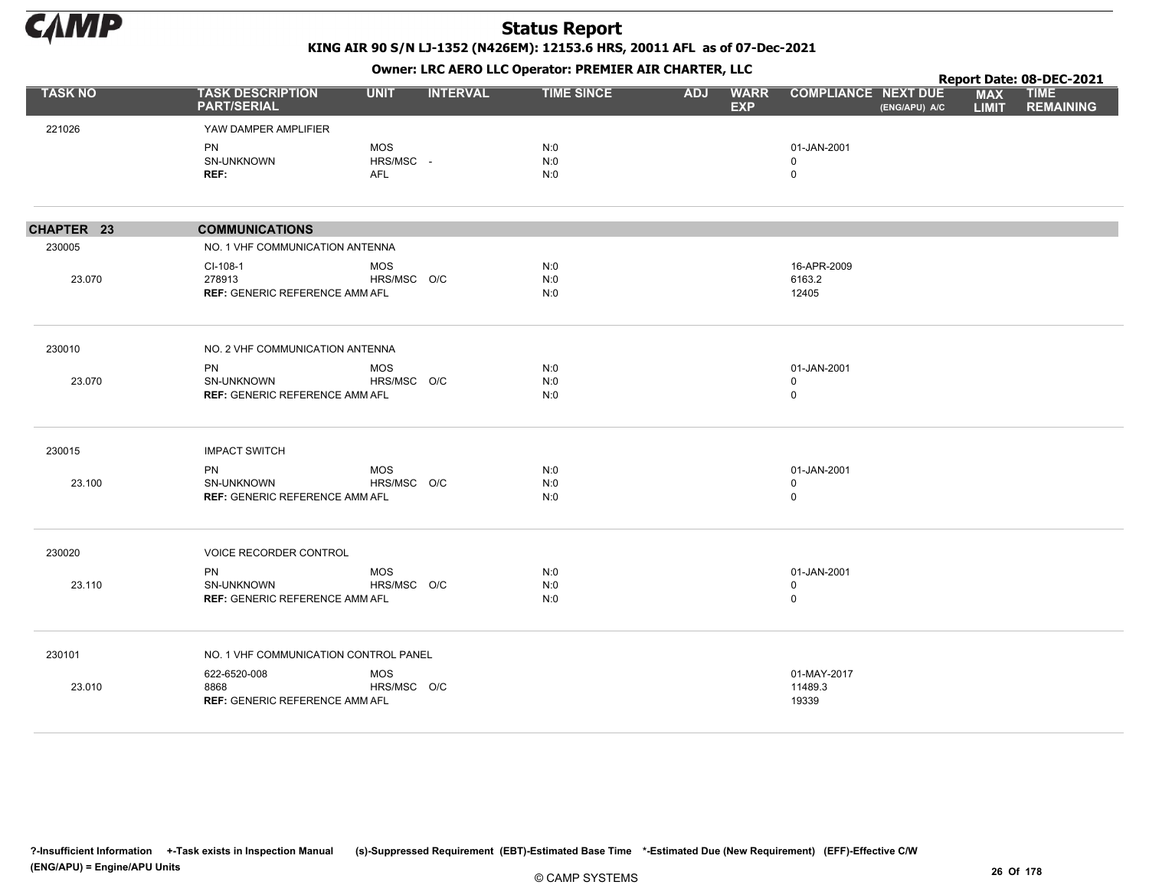

|                |                                               |             | ------------------ |                   |            |                           |                                             |                            | Report Date: 08-DEC-2021        |
|----------------|-----------------------------------------------|-------------|--------------------|-------------------|------------|---------------------------|---------------------------------------------|----------------------------|---------------------------------|
| <b>TASK NO</b> | <b>TASK DESCRIPTION</b><br><b>PART/SERIAL</b> | <b>UNIT</b> | <b>INTERVAL</b>    | <b>TIME SINCE</b> | <b>ADJ</b> | <b>WARR</b><br><b>EXP</b> | <b>COMPLIANCE NEXT DUE</b><br>(ENG/APU) A/C | <b>MAX</b><br><b>LIMIT</b> | <b>TIME</b><br><b>REMAINING</b> |
| 221026         | YAW DAMPER AMPLIFIER                          |             |                    |                   |            |                           |                                             |                            |                                 |
|                | <b>PN</b>                                     | <b>MOS</b>  |                    | N:0               |            |                           | 01-JAN-2001                                 |                            |                                 |
|                | SN-UNKNOWN                                    | HRS/MSC -   |                    | N:0               |            |                           | $\mathbf 0$                                 |                            |                                 |
|                | REF:                                          | <b>AFL</b>  |                    | N:0               |            |                           | $\mathbf 0$                                 |                            |                                 |
| CHAPTER 23     | <b>COMMUNICATIONS</b>                         |             |                    |                   |            |                           |                                             |                            |                                 |
| 230005         | NO. 1 VHF COMMUNICATION ANTENNA               |             |                    |                   |            |                           |                                             |                            |                                 |
|                | CI-108-1                                      | <b>MOS</b>  |                    | N:0               |            |                           | 16-APR-2009                                 |                            |                                 |
| 23.070         | 278913                                        | HRS/MSC O/C |                    | N:0               |            |                           | 6163.2                                      |                            |                                 |
|                | <b>REF: GENERIC REFERENCE AMM AFL</b>         |             |                    | N:0               |            |                           | 12405                                       |                            |                                 |
| 230010         | NO. 2 VHF COMMUNICATION ANTENNA               |             |                    |                   |            |                           |                                             |                            |                                 |
|                | PN                                            | <b>MOS</b>  |                    | N:0               |            |                           | 01-JAN-2001                                 |                            |                                 |
| 23.070         | SN-UNKNOWN                                    | HRS/MSC O/C |                    | N:0               |            |                           | $\mathbf 0$                                 |                            |                                 |
|                | REF: GENERIC REFERENCE AMM AFL                |             |                    | N:0               |            |                           | $\mathsf 0$                                 |                            |                                 |
| 230015         | <b>IMPACT SWITCH</b>                          |             |                    |                   |            |                           |                                             |                            |                                 |
|                | <b>PN</b>                                     | <b>MOS</b>  |                    | N:0               |            |                           | 01-JAN-2001                                 |                            |                                 |
| 23.100         | <b>SN-UNKNOWN</b>                             | HRS/MSC O/C |                    | N:0               |            |                           | $\mathbf 0$                                 |                            |                                 |
|                | <b>REF: GENERIC REFERENCE AMM AFL</b>         |             |                    | N:0               |            |                           | $\mathbf 0$                                 |                            |                                 |
| 230020         | <b>VOICE RECORDER CONTROL</b>                 |             |                    |                   |            |                           |                                             |                            |                                 |
|                | <b>PN</b>                                     | <b>MOS</b>  |                    | N:0               |            |                           | 01-JAN-2001                                 |                            |                                 |
| 23.110         | SN-UNKNOWN                                    | HRS/MSC O/C |                    | N:0               |            |                           | $\mathbf 0$                                 |                            |                                 |
|                | <b>REF: GENERIC REFERENCE AMM AFL</b>         |             |                    | N:0               |            |                           | $\mathsf 0$                                 |                            |                                 |
| 230101         | NO. 1 VHF COMMUNICATION CONTROL PANEL         |             |                    |                   |            |                           |                                             |                            |                                 |
|                | 622-6520-008                                  | <b>MOS</b>  |                    |                   |            |                           | 01-MAY-2017                                 |                            |                                 |
| 23.010         | 8868                                          | HRS/MSC O/C |                    |                   |            |                           | 11489.3                                     |                            |                                 |
|                | <b>REF: GENERIC REFERENCE AMM AFL</b>         |             |                    |                   |            |                           | 19339                                       |                            |                                 |
|                |                                               |             |                    |                   |            |                           |                                             |                            |                                 |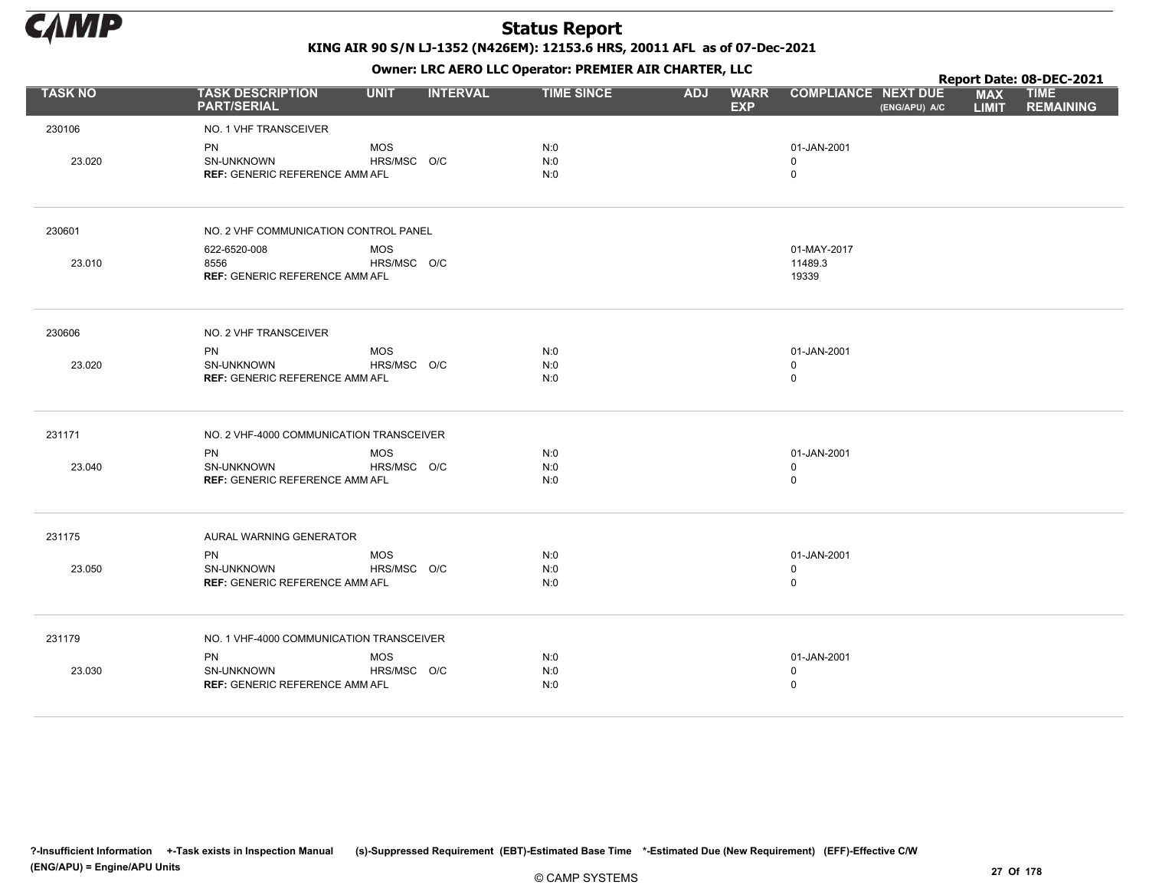

Owner: LRC AERO LLC Operator: PREMIER AIR CHARTER, LLC

|                |                                                     |             |                 |                   |            |                           |                                             |                            | Report Date: 08-DEC-2021        |
|----------------|-----------------------------------------------------|-------------|-----------------|-------------------|------------|---------------------------|---------------------------------------------|----------------------------|---------------------------------|
| <b>TASK NO</b> | <b>TASK DESCRIPTION</b><br><b>PART/SERIAL</b>       | <b>UNIT</b> | <b>INTERVAL</b> | <b>TIME SINCE</b> | <b>ADJ</b> | <b>WARR</b><br><b>EXP</b> | <b>COMPLIANCE NEXT DUE</b><br>(ENG/APU) A/C | <b>MAX</b><br><b>LIMIT</b> | <b>TIME</b><br><b>REMAINING</b> |
| 230106         | NO. 1 VHF TRANSCEIVER                               |             |                 |                   |            |                           |                                             |                            |                                 |
|                | PN                                                  | <b>MOS</b>  |                 | N:0               |            |                           | 01-JAN-2001                                 |                            |                                 |
| 23.020         | SN-UNKNOWN<br>REF: GENERIC REFERENCE AMM AFL        | HRS/MSC O/C |                 | N:0<br>N:0        |            |                           | 0<br>$\mathbf 0$                            |                            |                                 |
|                |                                                     |             |                 |                   |            |                           |                                             |                            |                                 |
| 230601         | NO. 2 VHF COMMUNICATION CONTROL PANEL               |             |                 |                   |            |                           |                                             |                            |                                 |
|                | 622-6520-008                                        | <b>MOS</b>  |                 |                   |            |                           | 01-MAY-2017                                 |                            |                                 |
| 23.010         | 8556<br><b>REF: GENERIC REFERENCE AMM AFL</b>       | HRS/MSC O/C |                 |                   |            |                           | 11489.3<br>19339                            |                            |                                 |
|                |                                                     |             |                 |                   |            |                           |                                             |                            |                                 |
| 230606         | NO. 2 VHF TRANSCEIVER                               |             |                 |                   |            |                           |                                             |                            |                                 |
|                | <b>PN</b>                                           | <b>MOS</b>  |                 | N:0               |            |                           | 01-JAN-2001                                 |                            |                                 |
| 23.020         | SN-UNKNOWN                                          | HRS/MSC O/C |                 | N:0               |            |                           | $\mathbf 0$<br>$\mathsf 0$                  |                            |                                 |
|                | <b>REF: GENERIC REFERENCE AMM AFL</b>               |             |                 | N:0               |            |                           |                                             |                            |                                 |
| 231171         | NO. 2 VHF-4000 COMMUNICATION TRANSCEIVER            |             |                 |                   |            |                           |                                             |                            |                                 |
|                | <b>PN</b>                                           | <b>MOS</b>  |                 | N:0               |            |                           | 01-JAN-2001                                 |                            |                                 |
| 23.040         | SN-UNKNOWN<br><b>REF: GENERIC REFERENCE AMM AFL</b> | HRS/MSC O/C |                 | N:0<br>N:0        |            |                           | $\mathbf 0$<br>$\mathbf 0$                  |                            |                                 |
|                |                                                     |             |                 |                   |            |                           |                                             |                            |                                 |
| 231175         | AURAL WARNING GENERATOR                             |             |                 |                   |            |                           |                                             |                            |                                 |
|                | <b>PN</b>                                           | <b>MOS</b>  |                 | N:0               |            |                           | 01-JAN-2001                                 |                            |                                 |
| 23.050         | SN-UNKNOWN                                          | HRS/MSC O/C |                 | N:0               |            |                           | $\mathbf 0$                                 |                            |                                 |
|                | <b>REF: GENERIC REFERENCE AMM AFL</b>               |             |                 | N:0               |            |                           | $\mathbf 0$                                 |                            |                                 |
| 231179         | NO. 1 VHF-4000 COMMUNICATION TRANSCEIVER            |             |                 |                   |            |                           |                                             |                            |                                 |
|                | <b>PN</b>                                           | <b>MOS</b>  |                 | N:0               |            |                           | 01-JAN-2001                                 |                            |                                 |
| 23.030         | <b>SN-UNKNOWN</b>                                   | HRS/MSC O/C |                 | N:0               |            |                           | $\mathbf 0$                                 |                            |                                 |
|                | <b>REF: GENERIC REFERENCE AMM AFL</b>               |             |                 | N:0               |            |                           | $\mathbf 0$                                 |                            |                                 |
|                |                                                     |             |                 |                   |            |                           |                                             |                            |                                 |

© CAMP SYSTEMS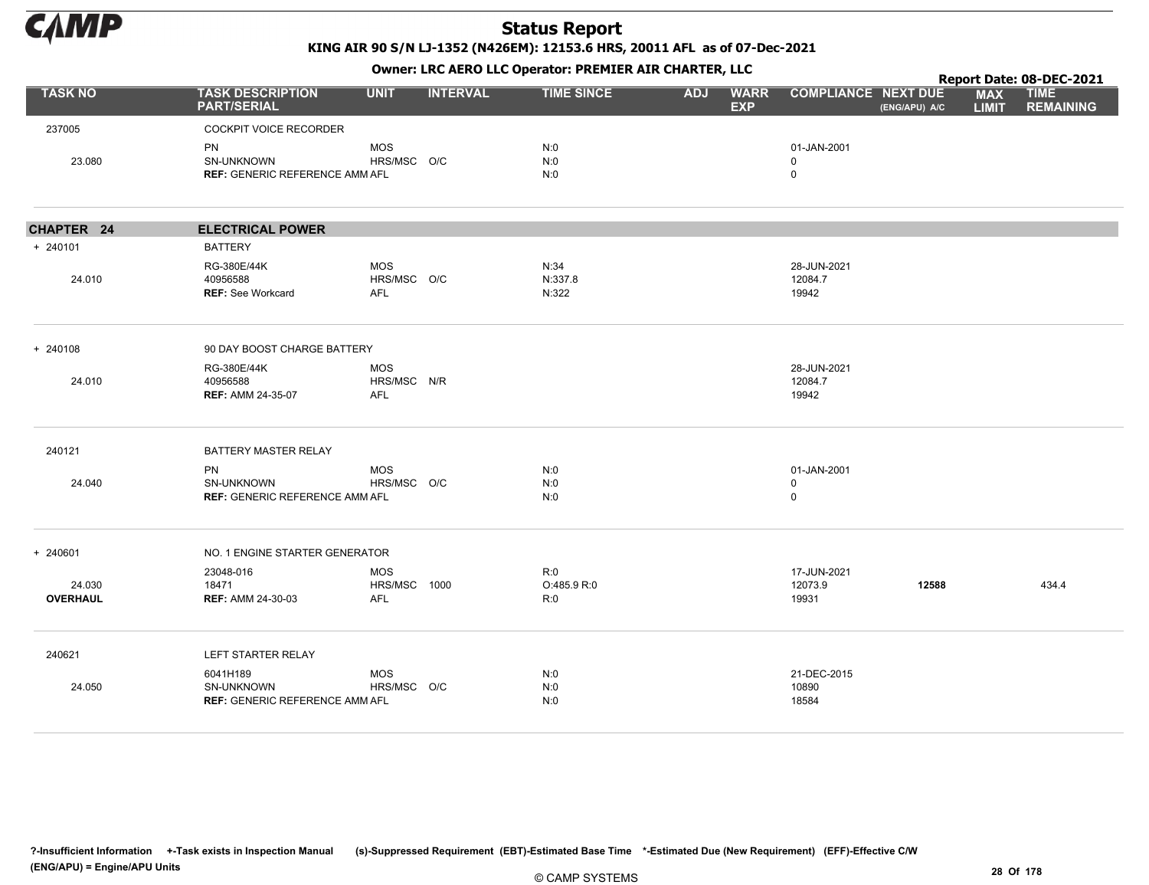

KING AIR 90 S/N LJ-1352 (N426EM): 12153.6 HRS, 20011 AFL as of 07-Dec-2021

|                           |                                                                  |                                         |                 |                           |            | $\mathbf{r}$              |                                           |               |                            | Report Date: 08-DEC-2021        |
|---------------------------|------------------------------------------------------------------|-----------------------------------------|-----------------|---------------------------|------------|---------------------------|-------------------------------------------|---------------|----------------------------|---------------------------------|
| <b>TASK NO</b>            | <b>TASK DESCRIPTION</b><br><b>PART/SERIAL</b>                    | <b>UNIT</b>                             | <b>INTERVAL</b> | <b>TIME SINCE</b>         | <b>ADJ</b> | <b>WARR</b><br><b>EXP</b> | <b>COMPLIANCE NEXT DUE</b>                | (ENG/APU) A/C | <b>MAX</b><br><b>LIMIT</b> | <b>TIME</b><br><b>REMAINING</b> |
| 237005                    | <b>COCKPIT VOICE RECORDER</b>                                    |                                         |                 |                           |            |                           |                                           |               |                            |                                 |
| 23.080                    | <b>PN</b><br>SN-UNKNOWN<br><b>REF: GENERIC REFERENCE AMM AFL</b> | <b>MOS</b><br>HRS/MSC O/C               |                 | N:0<br>N:0<br>N:0         |            |                           | 01-JAN-2001<br>0<br>0                     |               |                            |                                 |
| CHAPTER 24                | <b>ELECTRICAL POWER</b>                                          |                                         |                 |                           |            |                           |                                           |               |                            |                                 |
| + 240101                  | <b>BATTERY</b>                                                   |                                         |                 |                           |            |                           |                                           |               |                            |                                 |
| 24.010                    | RG-380E/44K<br>40956588<br><b>REF: See Workcard</b>              | <b>MOS</b><br>HRS/MSC O/C<br><b>AFL</b> |                 | N:34<br>N:337.8<br>N:322  |            |                           | 28-JUN-2021<br>12084.7<br>19942           |               |                            |                                 |
| + 240108                  | 90 DAY BOOST CHARGE BATTERY                                      |                                         |                 |                           |            |                           |                                           |               |                            |                                 |
| 24.010                    | RG-380E/44K<br>40956588<br><b>REF: AMM 24-35-07</b>              | <b>MOS</b><br>HRS/MSC N/R<br><b>AFL</b> |                 |                           |            |                           | 28-JUN-2021<br>12084.7<br>19942           |               |                            |                                 |
| 240121                    | BATTERY MASTER RELAY                                             |                                         |                 |                           |            |                           |                                           |               |                            |                                 |
| 24.040                    | <b>PN</b><br>SN-UNKNOWN<br><b>REF: GENERIC REFERENCE AMM AFL</b> | <b>MOS</b><br>HRS/MSC O/C               |                 | N:0<br>N:0<br>N:0         |            |                           | 01-JAN-2001<br>$\mathbf 0$<br>$\mathbf 0$ |               |                            |                                 |
| + 240601                  | NO. 1 ENGINE STARTER GENERATOR                                   |                                         |                 |                           |            |                           |                                           |               |                            |                                 |
| 24.030<br><b>OVERHAUL</b> | 23048-016<br>18471<br><b>REF: AMM 24-30-03</b>                   | <b>MOS</b><br>HRS/MSC 1000<br>AFL       |                 | R:0<br>O:485.9 R:0<br>R:0 |            |                           | 17-JUN-2021<br>12073.9<br>19931           | 12588         |                            | 434.4                           |
| 240621                    | LEFT STARTER RELAY                                               |                                         |                 |                           |            |                           |                                           |               |                            |                                 |
| 24.050                    | 6041H189<br>SN-UNKNOWN<br><b>REF: GENERIC REFERENCE AMM AFL</b>  | <b>MOS</b><br>HRS/MSC O/C               |                 | N:0<br>N:0<br>N:0         |            |                           | 21-DEC-2015<br>10890<br>18584             |               |                            |                                 |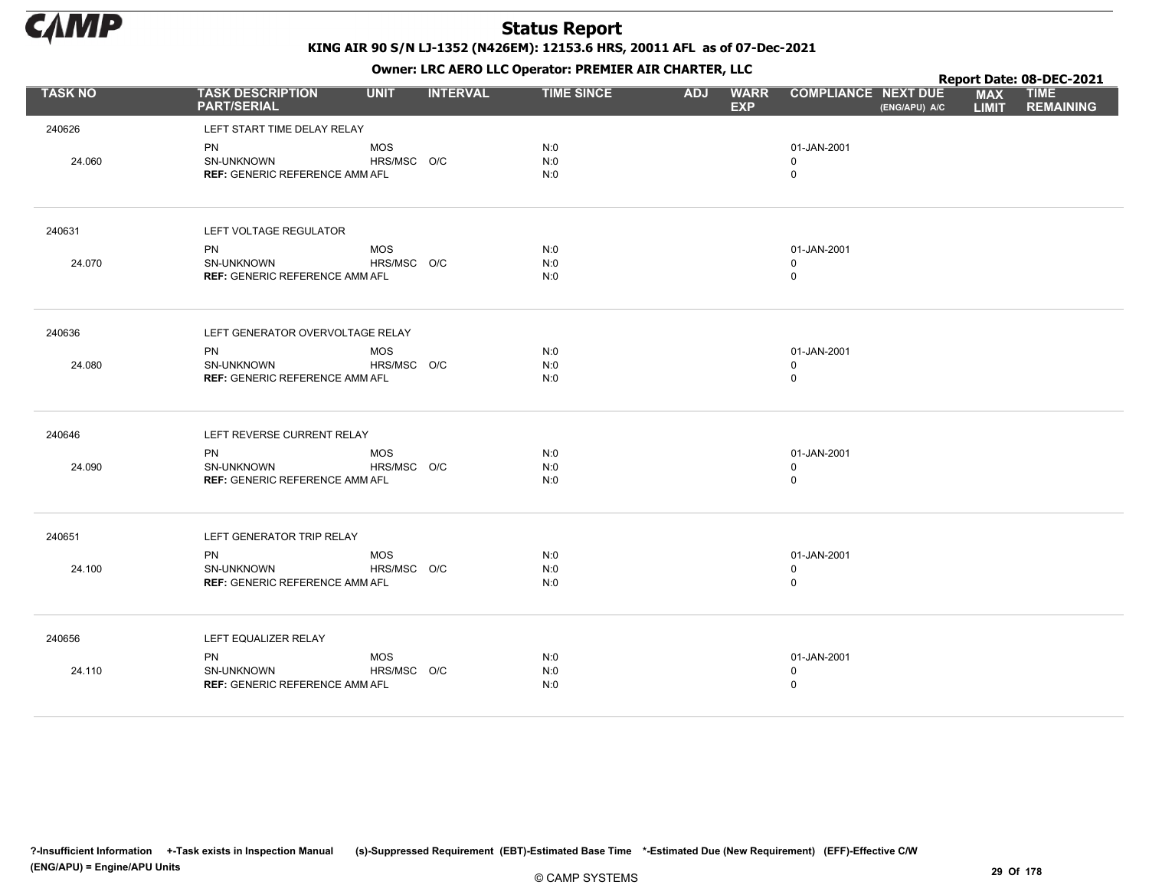

KING AIR 90 S/N LJ-1352 (N426EM): 12153.6 HRS, 20011 AFL as of 07-Dec-2021

Owner: LRC AERO LLC Operator: PREMIER AIR CHARTER, LLC

|                |                                                                  |                           |                 | OWHER. LKC ALKO LLC OPERATOR. PREPILER AIR CHARTER, LLC |            |                           |                                           |               |                            | Report Date: 08-DEC-2021        |
|----------------|------------------------------------------------------------------|---------------------------|-----------------|---------------------------------------------------------|------------|---------------------------|-------------------------------------------|---------------|----------------------------|---------------------------------|
| <b>TASK NO</b> | <b>TASK DESCRIPTION</b><br><b>PART/SERIAL</b>                    | <b>UNIT</b>               | <b>INTERVAL</b> | <b>TIME SINCE</b>                                       | <b>ADJ</b> | <b>WARR</b><br><b>EXP</b> | <b>COMPLIANCE NEXT DUE</b>                | (ENG/APU) A/C | <b>MAX</b><br><b>LIMIT</b> | <b>TIME</b><br><b>REMAINING</b> |
| 240626         | LEFT START TIME DELAY RELAY                                      |                           |                 |                                                         |            |                           |                                           |               |                            |                                 |
| 24.060         | <b>PN</b><br>SN-UNKNOWN<br><b>REF: GENERIC REFERENCE AMM AFL</b> | <b>MOS</b><br>HRS/MSC O/C |                 | N:0<br>N:0<br>N:0                                       |            |                           | 01-JAN-2001<br>$\mathbf 0$<br>$\mathsf 0$ |               |                            |                                 |
| 240631         | LEFT VOLTAGE REGULATOR                                           |                           |                 |                                                         |            |                           |                                           |               |                            |                                 |
| 24.070         | PN<br>SN-UNKNOWN<br><b>REF: GENERIC REFERENCE AMM AFL</b>        | MOS<br>HRS/MSC O/C        |                 | N:0<br>N:0<br>N:0                                       |            |                           | 01-JAN-2001<br>$\mathbf 0$<br>$\mathsf 0$ |               |                            |                                 |
| 240636         | LEFT GENERATOR OVERVOLTAGE RELAY                                 |                           |                 |                                                         |            |                           |                                           |               |                            |                                 |
| 24.080         | PN<br>SN-UNKNOWN<br><b>REF: GENERIC REFERENCE AMM AFL</b>        | MOS<br>HRS/MSC O/C        |                 | N:0<br>N:0<br>N:0                                       |            |                           | 01-JAN-2001<br>$\mathbf 0$<br>$\mathsf 0$ |               |                            |                                 |
| 240646         | LEFT REVERSE CURRENT RELAY                                       |                           |                 |                                                         |            |                           |                                           |               |                            |                                 |
| 24.090         | <b>PN</b><br>SN-UNKNOWN<br><b>REF: GENERIC REFERENCE AMM AFL</b> | <b>MOS</b><br>HRS/MSC O/C |                 | N:0<br>N:0<br>N:0                                       |            |                           | 01-JAN-2001<br>$\mathsf 0$<br>$\mathsf 0$ |               |                            |                                 |
| 240651         | LEFT GENERATOR TRIP RELAY                                        |                           |                 |                                                         |            |                           |                                           |               |                            |                                 |
| 24.100         | <b>PN</b><br>SN-UNKNOWN<br><b>REF: GENERIC REFERENCE AMM AFL</b> | <b>MOS</b><br>HRS/MSC O/C |                 | N:0<br>N:0<br>N:0                                       |            |                           | 01-JAN-2001<br>$\mathbf 0$<br>$\mathsf 0$ |               |                            |                                 |
| 240656         | LEFT EQUALIZER RELAY                                             |                           |                 |                                                         |            |                           |                                           |               |                            |                                 |
| 24.110         | PN<br>SN-UNKNOWN<br><b>REF: GENERIC REFERENCE AMM AFL</b>        | MOS<br>HRS/MSC O/C        |                 | N:0<br>N:0<br>N:0                                       |            |                           | 01-JAN-2001<br>0<br>$\mathsf 0$           |               |                            |                                 |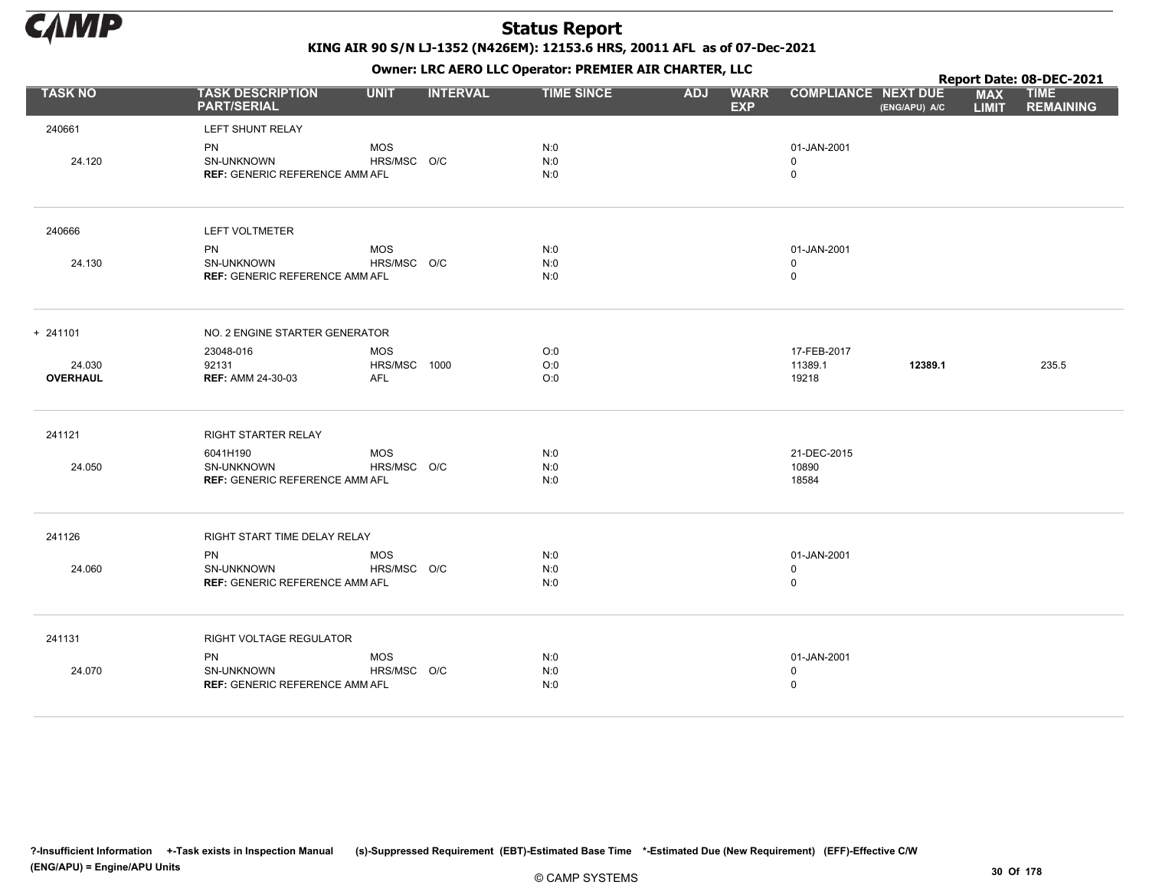

KING AIR 90 S/N LJ-1352 (N426EM): 12153.6 HRS, 20011 AFL as of 07-Dec-2021

Owner: LRC AERO LLC Operator: PREMIER AIR CHARTER, LLC

|                 |                                                           |                           |                 | OWHER. LKC ALKO LLC OPERATOR. PREPILER AIR CHARTER, LLC |            |                           |                                           |               |                            | Report Date: 08-DEC-2021        |
|-----------------|-----------------------------------------------------------|---------------------------|-----------------|---------------------------------------------------------|------------|---------------------------|-------------------------------------------|---------------|----------------------------|---------------------------------|
| <b>TASK NO</b>  | <b>TASK DESCRIPTION</b><br><b>PART/SERIAL</b>             | <b>UNIT</b>               | <b>INTERVAL</b> | <b>TIME SINCE</b>                                       | <b>ADJ</b> | <b>WARR</b><br><b>EXP</b> | <b>COMPLIANCE NEXT DUE</b>                | (ENG/APU) A/C | <b>MAX</b><br><b>LIMIT</b> | <b>TIME</b><br><b>REMAINING</b> |
| 240661          | LEFT SHUNT RELAY                                          |                           |                 |                                                         |            |                           |                                           |               |                            |                                 |
| 24.120          | PN<br>SN-UNKNOWN<br><b>REF: GENERIC REFERENCE AMM AFL</b> | <b>MOS</b><br>HRS/MSC O/C |                 | N:0<br>N:0<br>N:0                                       |            |                           | 01-JAN-2001<br>$\mathbf 0$<br>$\mathbf 0$ |               |                            |                                 |
| 240666          | LEFT VOLTMETER                                            |                           |                 |                                                         |            |                           |                                           |               |                            |                                 |
|                 | <b>PN</b>                                                 | <b>MOS</b>                |                 | N:0                                                     |            |                           | 01-JAN-2001                               |               |                            |                                 |
| 24.130          | SN-UNKNOWN<br><b>REF: GENERIC REFERENCE AMM AFL</b>       | HRS/MSC O/C               |                 | N:0<br>N:0                                              |            |                           | $\mathbf 0$<br>$\mathsf 0$                |               |                            |                                 |
| $+ 241101$      | NO. 2 ENGINE STARTER GENERATOR                            |                           |                 |                                                         |            |                           |                                           |               |                            |                                 |
|                 | 23048-016                                                 | <b>MOS</b>                |                 | O:0                                                     |            |                           | 17-FEB-2017                               |               |                            |                                 |
| 24.030          | 92131                                                     | HRS/MSC 1000              |                 | O:0                                                     |            |                           | 11389.1                                   | 12389.1       |                            | 235.5                           |
| <b>OVERHAUL</b> | <b>REF: AMM 24-30-03</b>                                  | <b>AFL</b>                |                 | O:0                                                     |            |                           | 19218                                     |               |                            |                                 |
| 241121          | RIGHT STARTER RELAY                                       |                           |                 |                                                         |            |                           |                                           |               |                            |                                 |
|                 | 6041H190                                                  | <b>MOS</b>                |                 | N:0                                                     |            |                           | 21-DEC-2015                               |               |                            |                                 |
| 24.050          | SN-UNKNOWN<br><b>REF: GENERIC REFERENCE AMM AFL</b>       | HRS/MSC O/C               |                 | N:0<br>N:0                                              |            |                           | 10890<br>18584                            |               |                            |                                 |
| 241126          | RIGHT START TIME DELAY RELAY                              |                           |                 |                                                         |            |                           |                                           |               |                            |                                 |
|                 | <b>PN</b>                                                 | <b>MOS</b>                |                 | N:0                                                     |            |                           | 01-JAN-2001                               |               |                            |                                 |
| 24.060          | SN-UNKNOWN                                                | HRS/MSC O/C               |                 | N:0                                                     |            |                           | $\mathbf 0$                               |               |                            |                                 |
|                 | <b>REF: GENERIC REFERENCE AMM AFL</b>                     |                           |                 | N:0                                                     |            |                           | $\mathsf 0$                               |               |                            |                                 |
| 241131          | RIGHT VOLTAGE REGULATOR                                   |                           |                 |                                                         |            |                           |                                           |               |                            |                                 |
|                 | <b>PN</b>                                                 | <b>MOS</b>                |                 | N:0                                                     |            |                           | 01-JAN-2001                               |               |                            |                                 |
| 24.070          | SN-UNKNOWN<br><b>REF: GENERIC REFERENCE AMM AFL</b>       | HRS/MSC O/C               |                 | N:0                                                     |            |                           | 0                                         |               |                            |                                 |
|                 |                                                           |                           |                 | N:0                                                     |            |                           | $\pmb{0}$                                 |               |                            |                                 |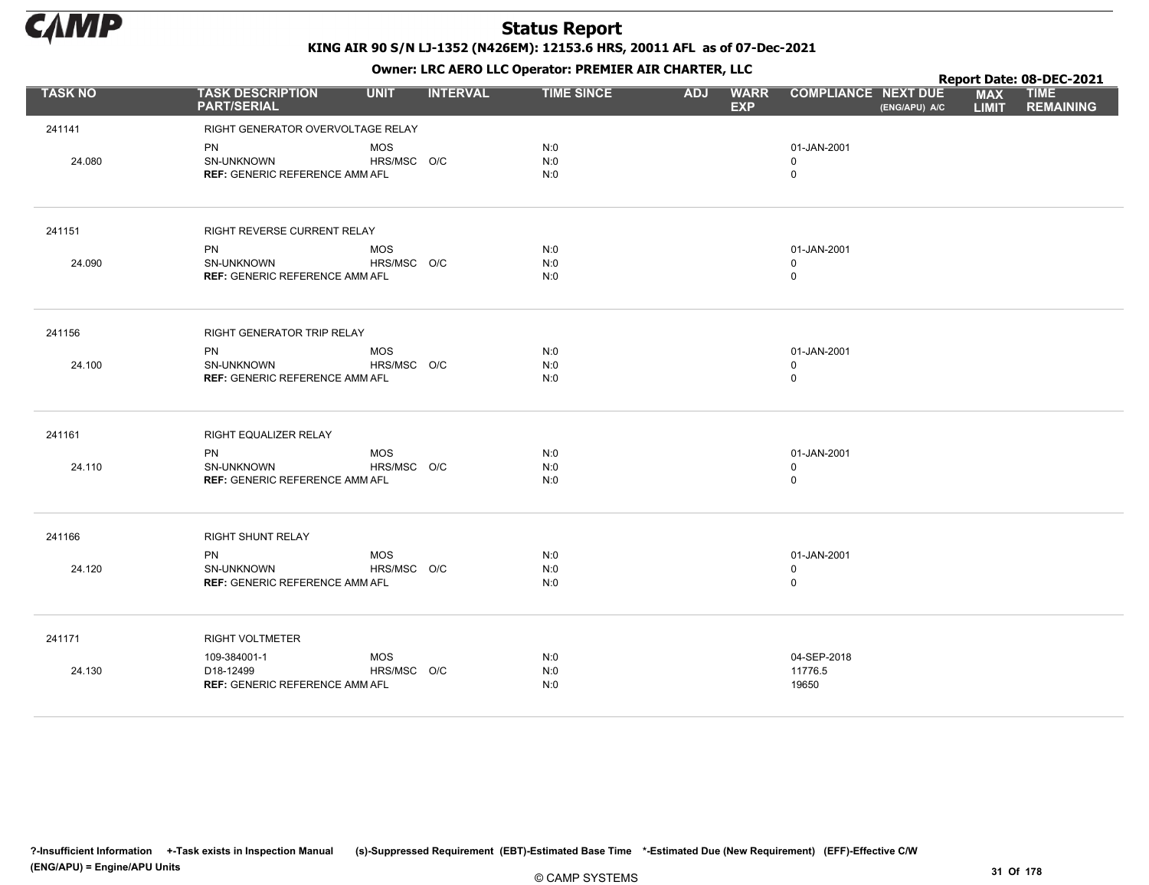

|                |                                               |             |                 |                   |            | . .                       |                            |               |                            | Report Date: 08-DEC-2021        |
|----------------|-----------------------------------------------|-------------|-----------------|-------------------|------------|---------------------------|----------------------------|---------------|----------------------------|---------------------------------|
| <b>TASK NO</b> | <b>TASK DESCRIPTION</b><br><b>PART/SERIAL</b> | <b>UNIT</b> | <b>INTERVAL</b> | <b>TIME SINCE</b> | <b>ADJ</b> | <b>WARR</b><br><b>EXP</b> | <b>COMPLIANCE NEXT DUE</b> | (ENG/APU) A/C | <b>MAX</b><br><b>LIMIT</b> | <b>TIME</b><br><b>REMAINING</b> |
| 241141         | RIGHT GENERATOR OVERVOLTAGE RELAY             |             |                 |                   |            |                           |                            |               |                            |                                 |
|                | PN                                            | <b>MOS</b>  |                 | N:0               |            |                           | 01-JAN-2001                |               |                            |                                 |
| 24.080         | SN-UNKNOWN                                    | HRS/MSC O/C |                 | N:0               |            |                           | $\mathbf 0$                |               |                            |                                 |
|                | <b>REF: GENERIC REFERENCE AMM AFL</b>         |             |                 | N:0               |            |                           | $\mathbf 0$                |               |                            |                                 |
| 241151         | RIGHT REVERSE CURRENT RELAY                   |             |                 |                   |            |                           |                            |               |                            |                                 |
|                | <b>PN</b>                                     | <b>MOS</b>  |                 | N:0               |            |                           | 01-JAN-2001                |               |                            |                                 |
| 24.090         | SN-UNKNOWN                                    | HRS/MSC O/C |                 | N:0               |            |                           | $\mathbf 0$                |               |                            |                                 |
|                | <b>REF: GENERIC REFERENCE AMM AFL</b>         |             |                 | N:0               |            |                           | $\mathbf 0$                |               |                            |                                 |
| 241156         | RIGHT GENERATOR TRIP RELAY                    |             |                 |                   |            |                           |                            |               |                            |                                 |
|                | <b>PN</b>                                     | <b>MOS</b>  |                 | N:0               |            |                           | 01-JAN-2001                |               |                            |                                 |
| 24.100         | SN-UNKNOWN                                    | HRS/MSC O/C |                 | N:0               |            |                           | $\mathbf 0$                |               |                            |                                 |
|                | <b>REF: GENERIC REFERENCE AMM AFL</b>         |             |                 | N:0               |            |                           | $\mathbf 0$                |               |                            |                                 |
| 241161         | RIGHT EQUALIZER RELAY                         |             |                 |                   |            |                           |                            |               |                            |                                 |
|                | <b>PN</b>                                     | <b>MOS</b>  |                 | N:0               |            |                           | 01-JAN-2001                |               |                            |                                 |
| 24.110         | SN-UNKNOWN                                    | HRS/MSC O/C |                 | N:0               |            |                           | $\mathbf 0$                |               |                            |                                 |
|                | <b>REF: GENERIC REFERENCE AMM AFL</b>         |             |                 | N:0               |            |                           | $\mathbf 0$                |               |                            |                                 |
| 241166         | RIGHT SHUNT RELAY                             |             |                 |                   |            |                           |                            |               |                            |                                 |
|                | <b>PN</b>                                     | <b>MOS</b>  |                 | N:0               |            |                           | 01-JAN-2001                |               |                            |                                 |
| 24.120         | SN-UNKNOWN                                    | HRS/MSC O/C |                 | N:0               |            |                           | 0                          |               |                            |                                 |
|                | <b>REF: GENERIC REFERENCE AMM AFL</b>         |             |                 | N:0               |            |                           | $\mathbf 0$                |               |                            |                                 |
| 241171         | <b>RIGHT VOLTMETER</b>                        |             |                 |                   |            |                           |                            |               |                            |                                 |
|                | 109-384001-1                                  | <b>MOS</b>  |                 | N:0               |            |                           | 04-SEP-2018                |               |                            |                                 |
| 24.130         | D18-12499                                     | HRS/MSC O/C |                 | N:0               |            |                           | 11776.5                    |               |                            |                                 |
|                | <b>REF: GENERIC REFERENCE AMM AFL</b>         |             |                 | N:0               |            |                           | 19650                      |               |                            |                                 |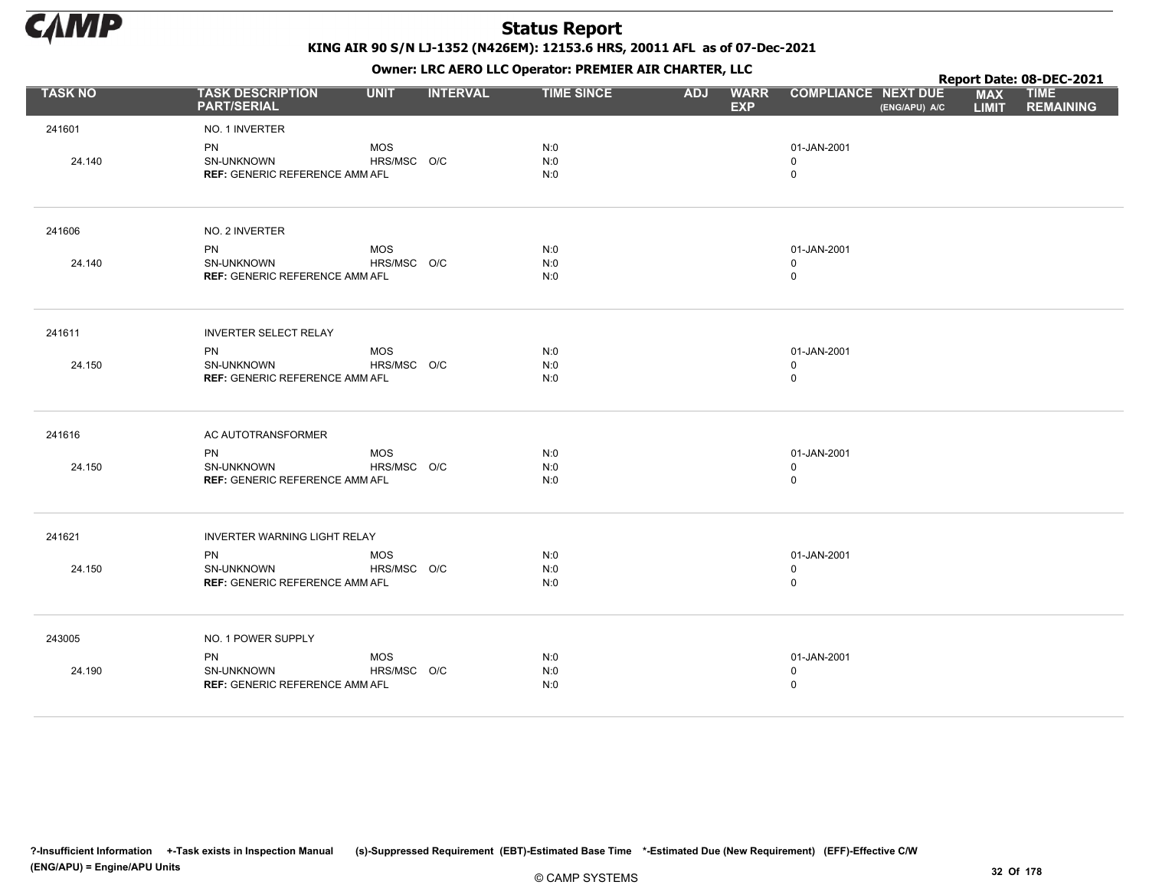

KING AIR 90 S/N LJ-1352 (N426EM): 12153.6 HRS, 20011 AFL as of 07-Dec-2021

Owner: LRC AERO LLC Operator: PREMIER AIR CHARTER, LLC

|                |                                                                  |                           |                 | OWHER. LKC ALKO LLC OPERATOR. PREPILER AIR CHARTER, LLC |            |                           |                                            |               |                            | Report Date: 08-DEC-2021        |
|----------------|------------------------------------------------------------------|---------------------------|-----------------|---------------------------------------------------------|------------|---------------------------|--------------------------------------------|---------------|----------------------------|---------------------------------|
| <b>TASK NO</b> | <b>TASK DESCRIPTION</b><br><b>PART/SERIAL</b>                    | <b>UNIT</b>               | <b>INTERVAL</b> | <b>TIME SINCE</b>                                       | <b>ADJ</b> | <b>WARR</b><br><b>EXP</b> | <b>COMPLIANCE NEXT DUE</b>                 | (ENG/APU) A/C | <b>MAX</b><br><b>LIMIT</b> | <b>TIME</b><br><b>REMAINING</b> |
| 241601         | NO. 1 INVERTER                                                   |                           |                 |                                                         |            |                           |                                            |               |                            |                                 |
| 24.140         | <b>PN</b><br>SN-UNKNOWN<br>REF: GENERIC REFERENCE AMM AFL        | <b>MOS</b><br>HRS/MSC O/C |                 | N:0<br>N:0<br>N:0                                       |            |                           | 01-JAN-2001<br>$\mathbf 0$<br>$\mathsf{O}$ |               |                            |                                 |
| 241606         | NO. 2 INVERTER                                                   |                           |                 |                                                         |            |                           |                                            |               |                            |                                 |
|                | <b>PN</b>                                                        | <b>MOS</b>                |                 | N:0                                                     |            |                           | 01-JAN-2001                                |               |                            |                                 |
| 24.140         | SN-UNKNOWN<br><b>REF: GENERIC REFERENCE AMM AFL</b>              | HRS/MSC O/C               |                 | N:0<br>N:0                                              |            |                           | $\mathbf 0$<br>$\mathsf{O}$                |               |                            |                                 |
| 241611         | <b>INVERTER SELECT RELAY</b>                                     |                           |                 |                                                         |            |                           |                                            |               |                            |                                 |
| 24.150         | PN<br>SN-UNKNOWN<br><b>REF: GENERIC REFERENCE AMM AFL</b>        | <b>MOS</b><br>HRS/MSC O/C |                 | N:0<br>N:0<br>N:0                                       |            |                           | 01-JAN-2001<br>0<br>$\mathsf{O}$           |               |                            |                                 |
| 241616         | AC AUTOTRANSFORMER                                               |                           |                 |                                                         |            |                           |                                            |               |                            |                                 |
| 24.150         | <b>PN</b><br>SN-UNKNOWN<br><b>REF: GENERIC REFERENCE AMM AFL</b> | <b>MOS</b><br>HRS/MSC O/C |                 | N:0<br>N:0<br>N:0                                       |            |                           | 01-JAN-2001<br>0<br>0                      |               |                            |                                 |
| 241621         | <b>INVERTER WARNING LIGHT RELAY</b>                              |                           |                 |                                                         |            |                           |                                            |               |                            |                                 |
| 24.150         | <b>PN</b><br>SN-UNKNOWN<br><b>REF: GENERIC REFERENCE AMM AFL</b> | <b>MOS</b><br>HRS/MSC O/C |                 | N:0<br>N:0<br>N:0                                       |            |                           | 01-JAN-2001<br>0<br>0                      |               |                            |                                 |
| 243005         | NO. 1 POWER SUPPLY                                               |                           |                 |                                                         |            |                           |                                            |               |                            |                                 |
| 24.190         | PN<br>SN-UNKNOWN<br><b>REF: GENERIC REFERENCE AMM AFL</b>        | <b>MOS</b><br>HRS/MSC O/C |                 | N:0<br>N:0<br>N:0                                       |            |                           | 01-JAN-2001<br>0<br>0                      |               |                            |                                 |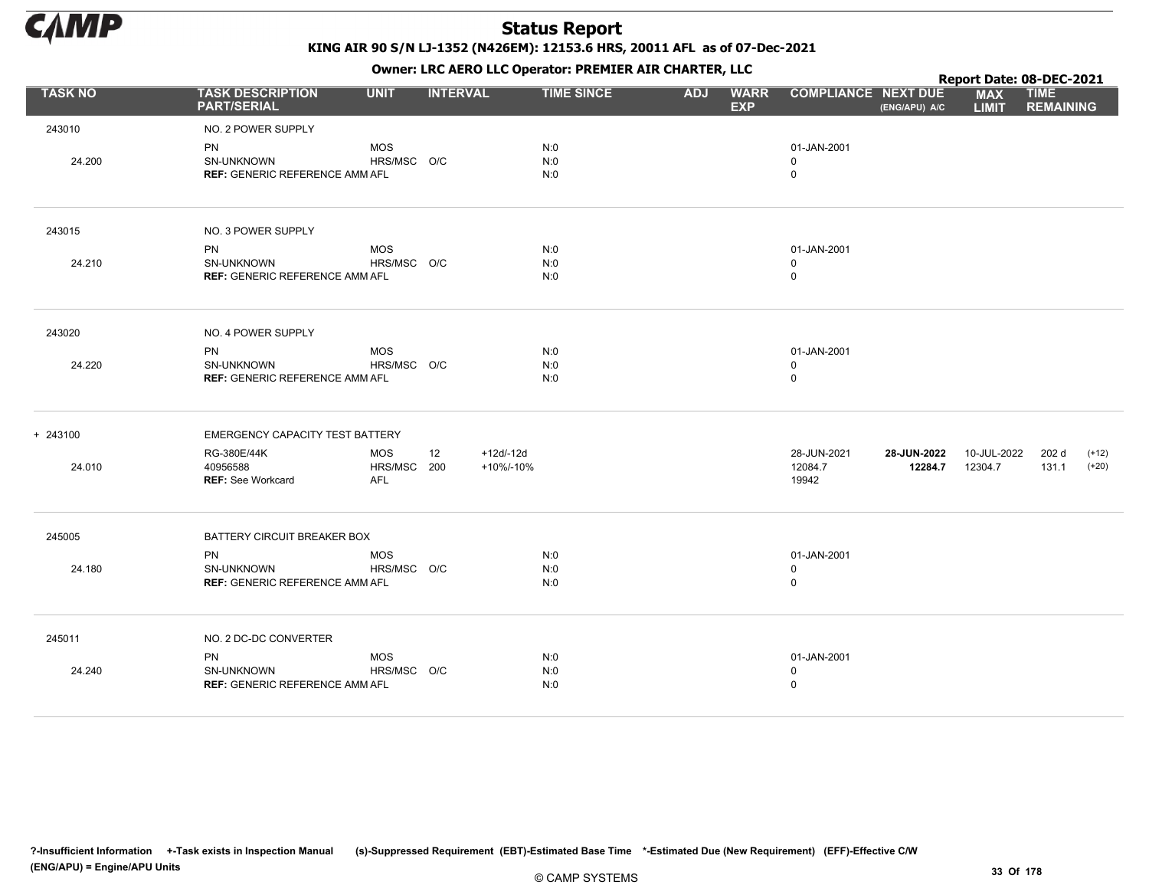

KING AIR 90 S/N LJ-1352 (N426EM): 12153.6 HRS, 20011 AFL as of 07-Dec-2021

Owner: LRC AERO LLC Operator: PREMIER AIR CHARTER, LLC

|                |                                                                  |                                         |                 |                         | OWHER, LKC ALKO LLC OPERATOR, PREPILER AIR CHARTER, LLC |            |                           |                                            |                        | Report Date: 08-DEC-2021   |                                 |                    |
|----------------|------------------------------------------------------------------|-----------------------------------------|-----------------|-------------------------|---------------------------------------------------------|------------|---------------------------|--------------------------------------------|------------------------|----------------------------|---------------------------------|--------------------|
| <b>TASK NO</b> | <b>TASK DESCRIPTION</b><br><b>PART/SERIAL</b>                    | <b>UNIT</b>                             | <b>INTERVAL</b> |                         | <b>TIME SINCE</b>                                       | <b>ADJ</b> | <b>WARR</b><br><b>EXP</b> | <b>COMPLIANCE NEXT DUE</b>                 | (ENG/APU) A/C          | <b>MAX</b><br><b>LIMIT</b> | <b>TIME</b><br><b>REMAINING</b> |                    |
| 243010         | NO. 2 POWER SUPPLY                                               |                                         |                 |                         |                                                         |            |                           |                                            |                        |                            |                                 |                    |
| 24.200         | <b>PN</b><br>SN-UNKNOWN<br><b>REF: GENERIC REFERENCE AMM AFL</b> | <b>MOS</b><br>HRS/MSC O/C               |                 |                         | N:0<br>N:0<br>N:0                                       |            |                           | 01-JAN-2001<br>$\mathbf 0$<br>$\mathsf{O}$ |                        |                            |                                 |                    |
| 243015         | NO. 3 POWER SUPPLY                                               |                                         |                 |                         |                                                         |            |                           |                                            |                        |                            |                                 |                    |
|                | <b>PN</b>                                                        | <b>MOS</b>                              |                 |                         | N:0                                                     |            |                           | 01-JAN-2001                                |                        |                            |                                 |                    |
| 24.210         | <b>SN-UNKNOWN</b><br><b>REF: GENERIC REFERENCE AMM AFL</b>       | HRS/MSC O/C                             |                 |                         | N:0<br>N:0                                              |            |                           | 0<br>0                                     |                        |                            |                                 |                    |
| 243020         | NO. 4 POWER SUPPLY                                               |                                         |                 |                         |                                                         |            |                           |                                            |                        |                            |                                 |                    |
| 24.220         | <b>PN</b><br>SN-UNKNOWN                                          | <b>MOS</b><br>HRS/MSC O/C               |                 |                         | N:0<br>N:0                                              |            |                           | 01-JAN-2001<br>0                           |                        |                            |                                 |                    |
|                | <b>REF: GENERIC REFERENCE AMM AFL</b>                            |                                         |                 |                         | N:0                                                     |            |                           | 0                                          |                        |                            |                                 |                    |
| + 243100       | EMERGENCY CAPACITY TEST BATTERY                                  |                                         |                 |                         |                                                         |            |                           |                                            |                        |                            |                                 |                    |
| 24.010         | RG-380E/44K<br>40956588<br><b>REF: See Workcard</b>              | <b>MOS</b><br>HRS/MSC 200<br><b>AFL</b> | 12              | $+12d/12d$<br>+10%/-10% |                                                         |            |                           | 28-JUN-2021<br>12084.7<br>19942            | 28-JUN-2022<br>12284.7 | 10-JUL-2022<br>12304.7     | 202 d<br>131.1                  | $(+12)$<br>$(+20)$ |
| 245005         | BATTERY CIRCUIT BREAKER BOX                                      |                                         |                 |                         |                                                         |            |                           |                                            |                        |                            |                                 |                    |
|                | <b>PN</b>                                                        | <b>MOS</b>                              |                 |                         | N:0                                                     |            |                           | 01-JAN-2001                                |                        |                            |                                 |                    |
| 24.180         | SN-UNKNOWN<br><b>REF: GENERIC REFERENCE AMM AFL</b>              | HRS/MSC O/C                             |                 |                         | N:0<br>N:0                                              |            |                           | 0<br>0                                     |                        |                            |                                 |                    |
| 245011         | NO. 2 DC-DC CONVERTER                                            |                                         |                 |                         |                                                         |            |                           |                                            |                        |                            |                                 |                    |
|                | <b>PN</b>                                                        | <b>MOS</b>                              |                 |                         | N:0                                                     |            |                           | 01-JAN-2001                                |                        |                            |                                 |                    |
| 24.240         | SN-UNKNOWN<br><b>REF: GENERIC REFERENCE AMM AFL</b>              | HRS/MSC O/C                             |                 |                         | N:0<br>N:0                                              |            |                           | 0<br>0                                     |                        |                            |                                 |                    |
|                |                                                                  |                                         |                 |                         |                                                         |            |                           |                                            |                        |                            |                                 |                    |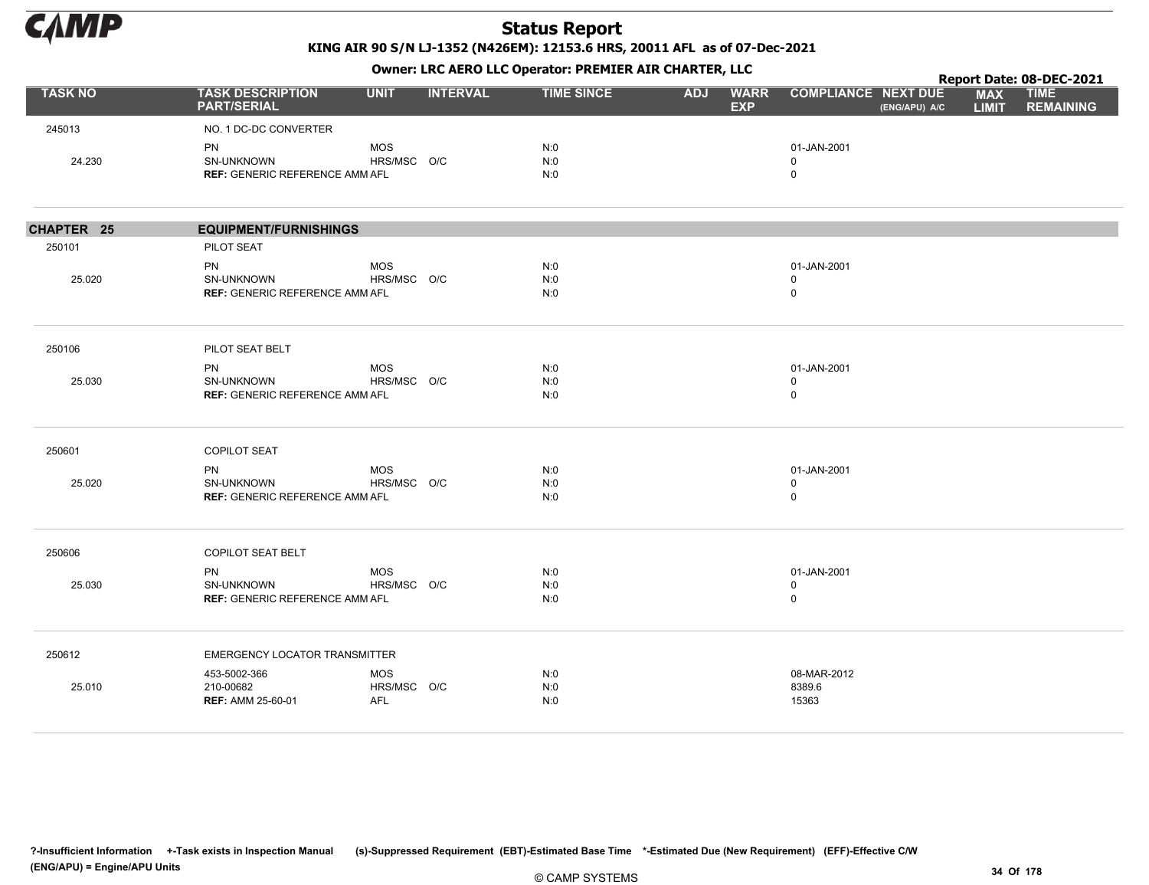

KING AIR 90 S/N LJ-1352 (N426EM): 12153.6 HRS, 20011 AFL as of 07-Dec-2021

|                   |                                                     |             |                 |                   |            | $\mathbf{r}$              |                            |               |                            | Report Date: 08-DEC-2021        |
|-------------------|-----------------------------------------------------|-------------|-----------------|-------------------|------------|---------------------------|----------------------------|---------------|----------------------------|---------------------------------|
| <b>TASK NO</b>    | <b>TASK DESCRIPTION</b><br><b>PART/SERIAL</b>       | <b>UNIT</b> | <b>INTERVAL</b> | <b>TIME SINCE</b> | <b>ADJ</b> | <b>WARR</b><br><b>EXP</b> | <b>COMPLIANCE NEXT DUE</b> | (ENG/APU) A/C | <b>MAX</b><br><b>LIMIT</b> | <b>TIME</b><br><b>REMAINING</b> |
| 245013            | NO. 1 DC-DC CONVERTER                               |             |                 |                   |            |                           |                            |               |                            |                                 |
|                   | PN                                                  | <b>MOS</b>  |                 | N:0               |            |                           | 01-JAN-2001                |               |                            |                                 |
| 24.230            | SN-UNKNOWN<br><b>REF: GENERIC REFERENCE AMM AFL</b> | HRS/MSC O/C |                 | N:0<br>N:0        |            |                           | 0<br>$\mathbf 0$           |               |                            |                                 |
|                   |                                                     |             |                 |                   |            |                           |                            |               |                            |                                 |
| <b>CHAPTER 25</b> | <b>EQUIPMENT/FURNISHINGS</b>                        |             |                 |                   |            |                           |                            |               |                            |                                 |
| 250101            | PILOT SEAT                                          |             |                 |                   |            |                           |                            |               |                            |                                 |
|                   | PN                                                  | <b>MOS</b>  |                 | N:0               |            |                           | 01-JAN-2001                |               |                            |                                 |
| 25.020            | SN-UNKNOWN                                          | HRS/MSC O/C |                 | N:0               |            |                           | $\mathbf 0$                |               |                            |                                 |
|                   | <b>REF: GENERIC REFERENCE AMM AFL</b>               |             |                 | N:0               |            |                           | $\mathbf 0$                |               |                            |                                 |
| 250106            | PILOT SEAT BELT                                     |             |                 |                   |            |                           |                            |               |                            |                                 |
|                   | <b>PN</b>                                           | <b>MOS</b>  |                 | N:0               |            |                           | 01-JAN-2001                |               |                            |                                 |
| 25.030            | SN-UNKNOWN                                          | HRS/MSC O/C |                 | N:0               |            |                           | $\mathbf 0$                |               |                            |                                 |
|                   | <b>REF: GENERIC REFERENCE AMM AFL</b>               |             |                 | N:0               |            |                           | $\mathbf 0$                |               |                            |                                 |
| 250601            | <b>COPILOT SEAT</b>                                 |             |                 |                   |            |                           |                            |               |                            |                                 |
|                   | PN                                                  | <b>MOS</b>  |                 | N:0               |            |                           | 01-JAN-2001                |               |                            |                                 |
| 25.020            | SN-UNKNOWN                                          | HRS/MSC O/C |                 | N:0               |            |                           | $\mathbf 0$                |               |                            |                                 |
|                   | <b>REF: GENERIC REFERENCE AMM AFL</b>               |             |                 | N:0               |            |                           | $\mathbf 0$                |               |                            |                                 |
| 250606            | COPILOT SEAT BELT                                   |             |                 |                   |            |                           |                            |               |                            |                                 |
|                   | PN                                                  | <b>MOS</b>  |                 | N:0               |            |                           | 01-JAN-2001                |               |                            |                                 |
| 25.030            | SN-UNKNOWN                                          | HRS/MSC O/C |                 | N:0               |            |                           | $\mathbf 0$                |               |                            |                                 |
|                   | <b>REF: GENERIC REFERENCE AMM AFL</b>               |             |                 | N:0               |            |                           | $\mathbf 0$                |               |                            |                                 |
| 250612            | <b>EMERGENCY LOCATOR TRANSMITTER</b>                |             |                 |                   |            |                           |                            |               |                            |                                 |
|                   | 453-5002-366                                        | <b>MOS</b>  |                 | N:0               |            |                           | 08-MAR-2012                |               |                            |                                 |
| 25.010            | 210-00682                                           | HRS/MSC O/C |                 | N:0               |            |                           | 8389.6                     |               |                            |                                 |
|                   | <b>REF: AMM 25-60-01</b>                            | AFL         |                 | N:0               |            |                           | 15363                      |               |                            |                                 |
|                   |                                                     |             |                 |                   |            |                           |                            |               |                            |                                 |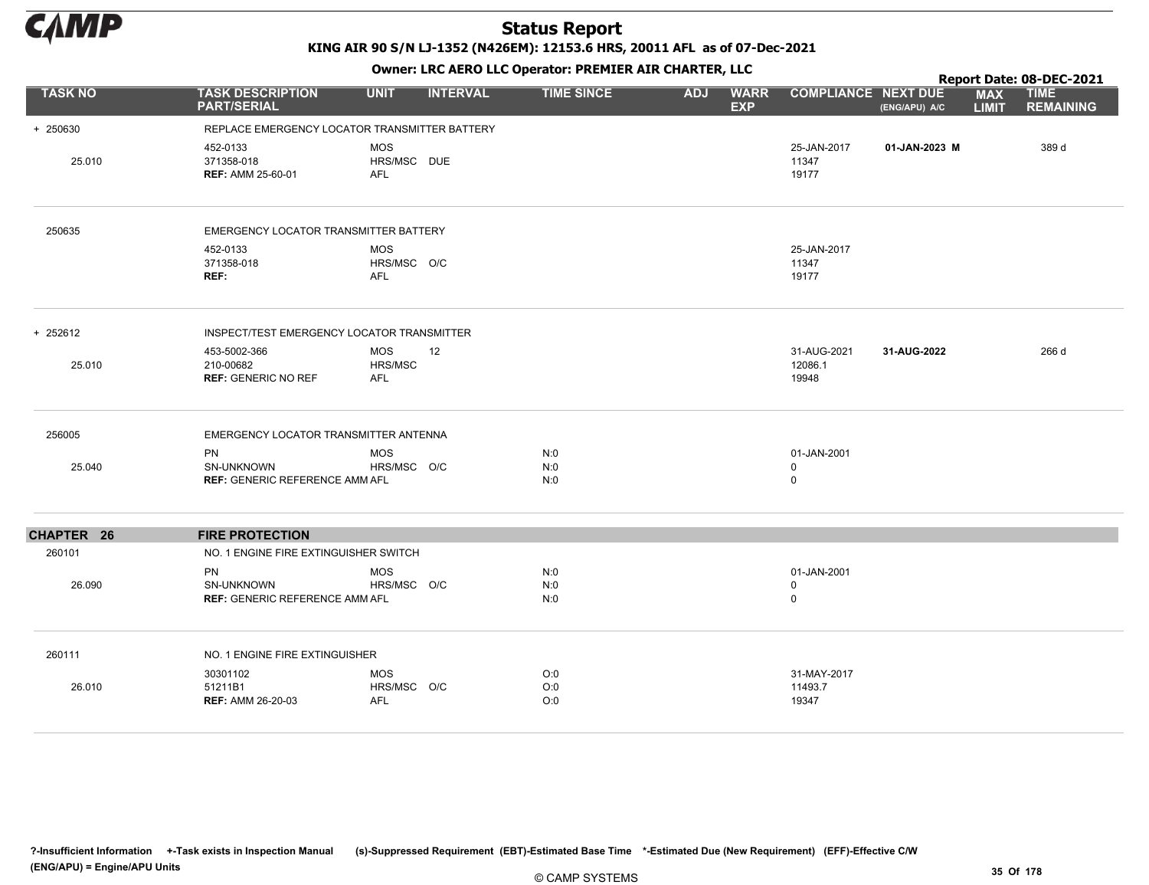

KING AIR 90 S/N LJ-1352 (N426EM): 12153.6 HRS, 20011 AFL as of 07-Dec-2021

|                   |                                                                  |                                         |                 | OWHER. LKC ALKO LLC OPERATOR. PREPILER AIR CHARTER, LLC |            |                           |                                 |               |                            | Report Date: 08-DEC-2021        |
|-------------------|------------------------------------------------------------------|-----------------------------------------|-----------------|---------------------------------------------------------|------------|---------------------------|---------------------------------|---------------|----------------------------|---------------------------------|
| <b>TASK NO</b>    | <b>TASK DESCRIPTION</b><br><b>PART/SERIAL</b>                    | <b>UNIT</b>                             | <b>INTERVAL</b> | <b>TIME SINCE</b>                                       | <b>ADJ</b> | <b>WARR</b><br><b>EXP</b> | <b>COMPLIANCE NEXT DUE</b>      | (ENG/APU) A/C | <b>MAX</b><br><b>LIMIT</b> | <b>TIME</b><br><b>REMAINING</b> |
| + 250630          | REPLACE EMERGENCY LOCATOR TRANSMITTER BATTERY                    |                                         |                 |                                                         |            |                           |                                 |               |                            |                                 |
| 25.010            | 452-0133<br>371358-018<br><b>REF: AMM 25-60-01</b>               | MOS<br>HRS/MSC DUE<br><b>AFL</b>        |                 |                                                         |            |                           | 25-JAN-2017<br>11347<br>19177   | 01-JAN-2023 M |                            | 389 d                           |
| 250635            | EMERGENCY LOCATOR TRANSMITTER BATTERY                            |                                         |                 |                                                         |            |                           |                                 |               |                            |                                 |
|                   | 452-0133<br>371358-018<br>REF:                                   | MOS<br>HRS/MSC O/C<br><b>AFL</b>        |                 |                                                         |            |                           | 25-JAN-2017<br>11347<br>19177   |               |                            |                                 |
| + 252612          | INSPECT/TEST EMERGENCY LOCATOR TRANSMITTER                       |                                         |                 |                                                         |            |                           |                                 |               |                            |                                 |
| 25.010            | 453-5002-366<br>210-00682<br><b>REF: GENERIC NO REF</b>          | MOS<br>HRS/MSC<br><b>AFL</b>            | 12              |                                                         |            |                           | 31-AUG-2021<br>12086.1<br>19948 | 31-AUG-2022   |                            | 266 d                           |
| 256005            | EMERGENCY LOCATOR TRANSMITTER ANTENNA                            |                                         |                 |                                                         |            |                           |                                 |               |                            |                                 |
| 25.040            | <b>PN</b><br>SN-UNKNOWN<br><b>REF: GENERIC REFERENCE AMM AFL</b> | MOS<br>HRS/MSC O/C                      |                 | N:0<br>N:0<br>N:0                                       |            |                           | 01-JAN-2001<br>0<br>$\mathbf 0$ |               |                            |                                 |
| <b>CHAPTER 26</b> | <b>FIRE PROTECTION</b>                                           |                                         |                 |                                                         |            |                           |                                 |               |                            |                                 |
| 260101            | NO. 1 ENGINE FIRE EXTINGUISHER SWITCH                            |                                         |                 |                                                         |            |                           |                                 |               |                            |                                 |
| 26.090            | <b>PN</b><br>SN-UNKNOWN<br><b>REF: GENERIC REFERENCE AMM AFL</b> | <b>MOS</b><br>HRS/MSC O/C               |                 | N:0<br>N:0<br>N:0                                       |            |                           | 01-JAN-2001<br>0<br>$\mathbf 0$ |               |                            |                                 |
| 260111            | NO. 1 ENGINE FIRE EXTINGUISHER                                   |                                         |                 |                                                         |            |                           |                                 |               |                            |                                 |
| 26.010            | 30301102<br>51211B1<br><b>REF: AMM 26-20-03</b>                  | <b>MOS</b><br>HRS/MSC O/C<br><b>AFL</b> |                 | O:0<br>O:0<br>O:0                                       |            |                           | 31-MAY-2017<br>11493.7<br>19347 |               |                            |                                 |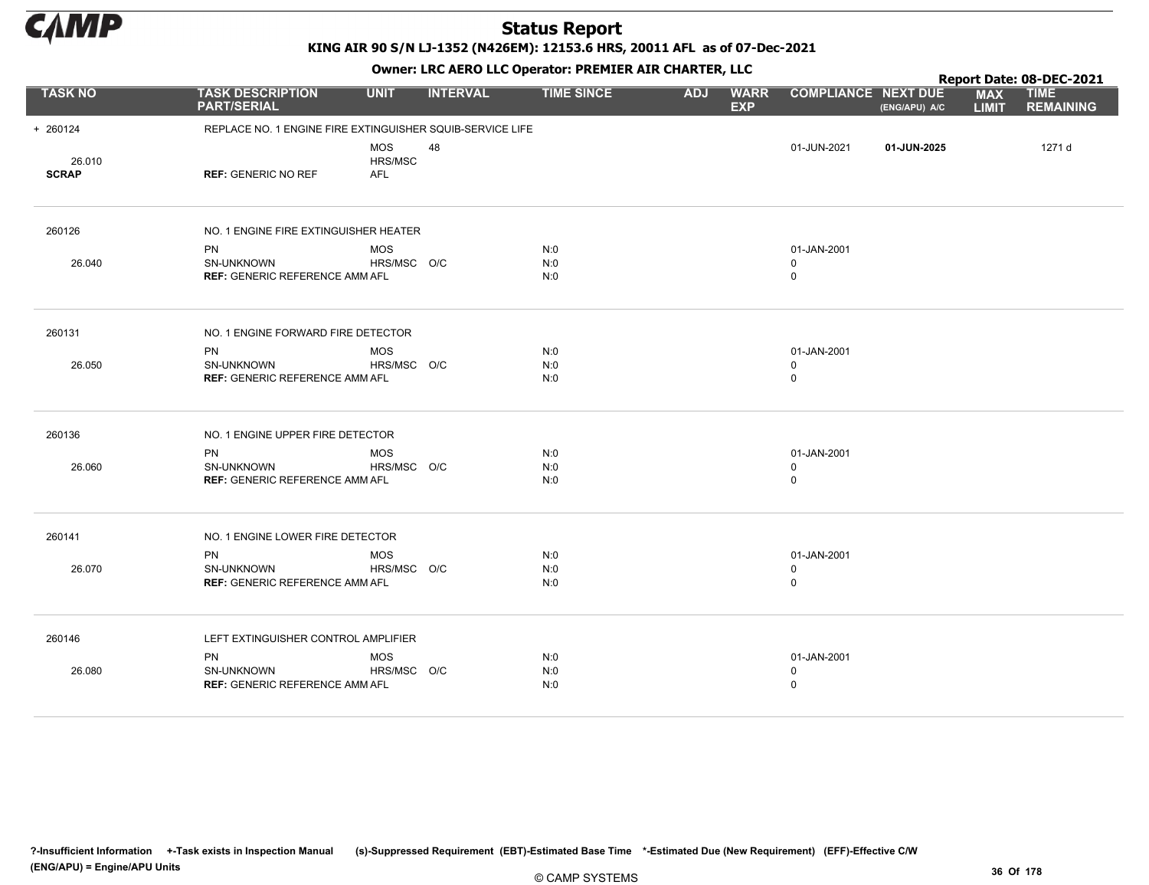

KING AIR 90 S/N LJ-1352 (N426EM): 12153.6 HRS, 20011 AFL as of 07-Dec-2021

|                        |                                                                  |                                     |                 | OWHER, LKC AERO LLC OPERATOR, PREPILER AIR CHARTER, LLC |            |                           |                                 |               |                            | Report Date: 08-DEC-2021        |
|------------------------|------------------------------------------------------------------|-------------------------------------|-----------------|---------------------------------------------------------|------------|---------------------------|---------------------------------|---------------|----------------------------|---------------------------------|
| <b>TASK NO</b>         | <b>TASK DESCRIPTION</b><br><b>PART/SERIAL</b>                    | <b>UNIT</b>                         | <b>INTERVAL</b> | <b>TIME SINCE</b>                                       | <b>ADJ</b> | <b>WARR</b><br><b>EXP</b> | <b>COMPLIANCE NEXT DUE</b>      | (ENG/APU) A/C | <b>MAX</b><br><b>LIMIT</b> | <b>TIME</b><br><b>REMAINING</b> |
| + 260124               | REPLACE NO. 1 ENGINE FIRE EXTINGUISHER SQUIB-SERVICE LIFE        |                                     |                 |                                                         |            |                           |                                 |               |                            |                                 |
| 26.010<br><b>SCRAP</b> | <b>REF: GENERIC NO REF</b>                                       | <b>MOS</b><br>HRS/MSC<br><b>AFL</b> | 48              |                                                         |            |                           | 01-JUN-2021                     | 01-JUN-2025   |                            | 1271 d                          |
| 260126                 | NO. 1 ENGINE FIRE EXTINGUISHER HEATER                            |                                     |                 |                                                         |            |                           |                                 |               |                            |                                 |
| 26.040                 | <b>PN</b><br>SN-UNKNOWN<br><b>REF: GENERIC REFERENCE AMM AFL</b> | <b>MOS</b><br>HRS/MSC O/C           |                 | N:0<br>N:0<br>N:0                                       |            |                           | 01-JAN-2001<br>0<br>$\mathbf 0$ |               |                            |                                 |
| 260131                 | NO. 1 ENGINE FORWARD FIRE DETECTOR                               |                                     |                 |                                                         |            |                           |                                 |               |                            |                                 |
| 26.050                 | PN<br>SN-UNKNOWN<br><b>REF: GENERIC REFERENCE AMM AFL</b>        | <b>MOS</b><br>HRS/MSC O/C           |                 | N:0<br>N:0<br>N:0                                       |            |                           | 01-JAN-2001<br>0<br>$\mathbf 0$ |               |                            |                                 |
| 260136                 | NO. 1 ENGINE UPPER FIRE DETECTOR                                 |                                     |                 |                                                         |            |                           |                                 |               |                            |                                 |
| 26.060                 | PN<br>SN-UNKNOWN<br><b>REF: GENERIC REFERENCE AMM AFL</b>        | <b>MOS</b><br>HRS/MSC O/C           |                 | N:0<br>N:0<br>N:0                                       |            |                           | 01-JAN-2001<br>0<br>$\mathbf 0$ |               |                            |                                 |
| 260141                 | NO. 1 ENGINE LOWER FIRE DETECTOR                                 |                                     |                 |                                                         |            |                           |                                 |               |                            |                                 |
| 26.070                 | <b>PN</b><br>SN-UNKNOWN<br><b>REF: GENERIC REFERENCE AMM AFL</b> | <b>MOS</b><br>HRS/MSC O/C           |                 | N:0<br>N:0<br>N:0                                       |            |                           | 01-JAN-2001<br>$\mathbf 0$<br>0 |               |                            |                                 |
| 260146                 | LEFT EXTINGUISHER CONTROL AMPLIFIER                              |                                     |                 |                                                         |            |                           |                                 |               |                            |                                 |
| 26.080                 | <b>PN</b><br>SN-UNKNOWN<br><b>REF: GENERIC REFERENCE AMM AFL</b> | <b>MOS</b><br>HRS/MSC O/C           |                 | N:0<br>N:0<br>N:0                                       |            |                           | 01-JAN-2001<br>0<br>0           |               |                            |                                 |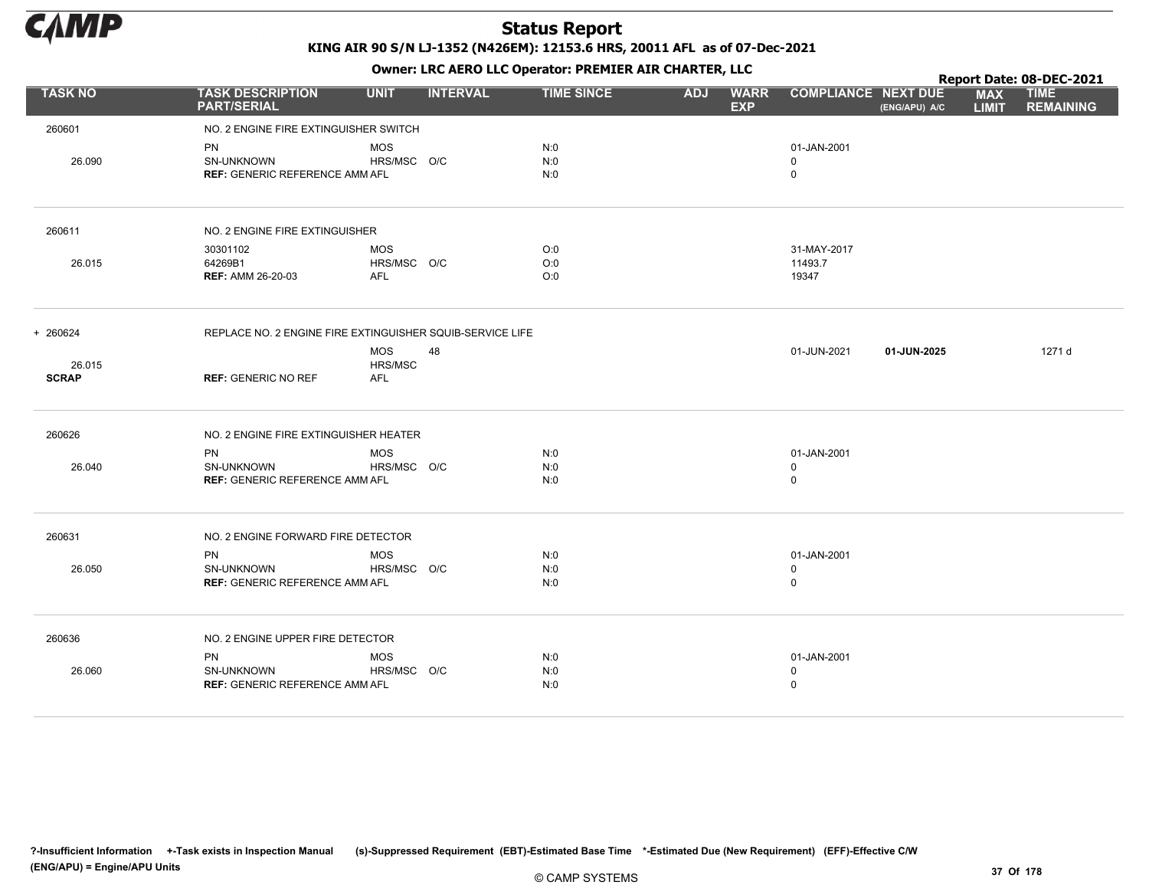

|                        |                                                                         |                                         |                 |                   |            | . .                       |                                           |               |                            | Report Date: 08-DEC-2021        |
|------------------------|-------------------------------------------------------------------------|-----------------------------------------|-----------------|-------------------|------------|---------------------------|-------------------------------------------|---------------|----------------------------|---------------------------------|
| <b>TASK NO</b>         | <b>TASK DESCRIPTION</b><br><b>PART/SERIAL</b>                           | <b>UNIT</b>                             | <b>INTERVAL</b> | <b>TIME SINCE</b> | <b>ADJ</b> | <b>WARR</b><br><b>EXP</b> | <b>COMPLIANCE NEXT DUE</b>                | (ENG/APU) A/C | <b>MAX</b><br><b>LIMIT</b> | <b>TIME</b><br><b>REMAINING</b> |
| 260601                 | NO. 2 ENGINE FIRE EXTINGUISHER SWITCH                                   |                                         |                 |                   |            |                           |                                           |               |                            |                                 |
| 26.090                 | <b>PN</b><br>SN-UNKNOWN<br><b>REF: GENERIC REFERENCE AMM AFL</b>        | <b>MOS</b><br>HRS/MSC O/C               |                 | N:0<br>N:0<br>N:0 |            |                           | 01-JAN-2001<br>0<br>$\mathbf 0$           |               |                            |                                 |
| 260611                 | NO. 2 ENGINE FIRE EXTINGUISHER                                          |                                         |                 |                   |            |                           |                                           |               |                            |                                 |
| 26.015                 | 30301102<br>64269B1<br><b>REF: AMM 26-20-03</b>                         | <b>MOS</b><br>HRS/MSC O/C<br><b>AFL</b> |                 | O:0<br>O:0<br>O:0 |            |                           | 31-MAY-2017<br>11493.7<br>19347           |               |                            |                                 |
| + 260624               | REPLACE NO. 2 ENGINE FIRE EXTINGUISHER SQUIB-SERVICE LIFE               |                                         |                 |                   |            |                           |                                           |               |                            |                                 |
| 26.015<br><b>SCRAP</b> | <b>REF: GENERIC NO REF</b>                                              | <b>MOS</b><br>HRS/MSC<br><b>AFL</b>     | 48              |                   |            |                           | 01-JUN-2021                               | 01-JUN-2025   |                            | 1271 d                          |
| 260626                 | NO. 2 ENGINE FIRE EXTINGUISHER HEATER                                   |                                         |                 |                   |            |                           |                                           |               |                            |                                 |
| 26.040                 | <b>PN</b><br><b>SN-UNKNOWN</b><br><b>REF: GENERIC REFERENCE AMM AFL</b> | <b>MOS</b><br>HRS/MSC O/C               |                 | N:0<br>N:0<br>N:0 |            |                           | 01-JAN-2001<br>$\mathbf 0$<br>$\mathbf 0$ |               |                            |                                 |
| 260631                 | NO. 2 ENGINE FORWARD FIRE DETECTOR                                      |                                         |                 |                   |            |                           |                                           |               |                            |                                 |
| 26.050                 | <b>PN</b><br>SN-UNKNOWN<br><b>REF: GENERIC REFERENCE AMM AFL</b>        | <b>MOS</b><br>HRS/MSC O/C               |                 | N:0<br>N:0<br>N:0 |            |                           | 01-JAN-2001<br>$\mathbf 0$<br>0           |               |                            |                                 |
| 260636                 | NO. 2 ENGINE UPPER FIRE DETECTOR                                        |                                         |                 |                   |            |                           |                                           |               |                            |                                 |
| 26.060                 | <b>PN</b><br>SN-UNKNOWN<br><b>REF: GENERIC REFERENCE AMM AFL</b>        | <b>MOS</b><br>HRS/MSC O/C               |                 | N:0<br>N:0<br>N:0 |            |                           | 01-JAN-2001<br>$\mathbf 0$<br>$\Omega$    |               |                            |                                 |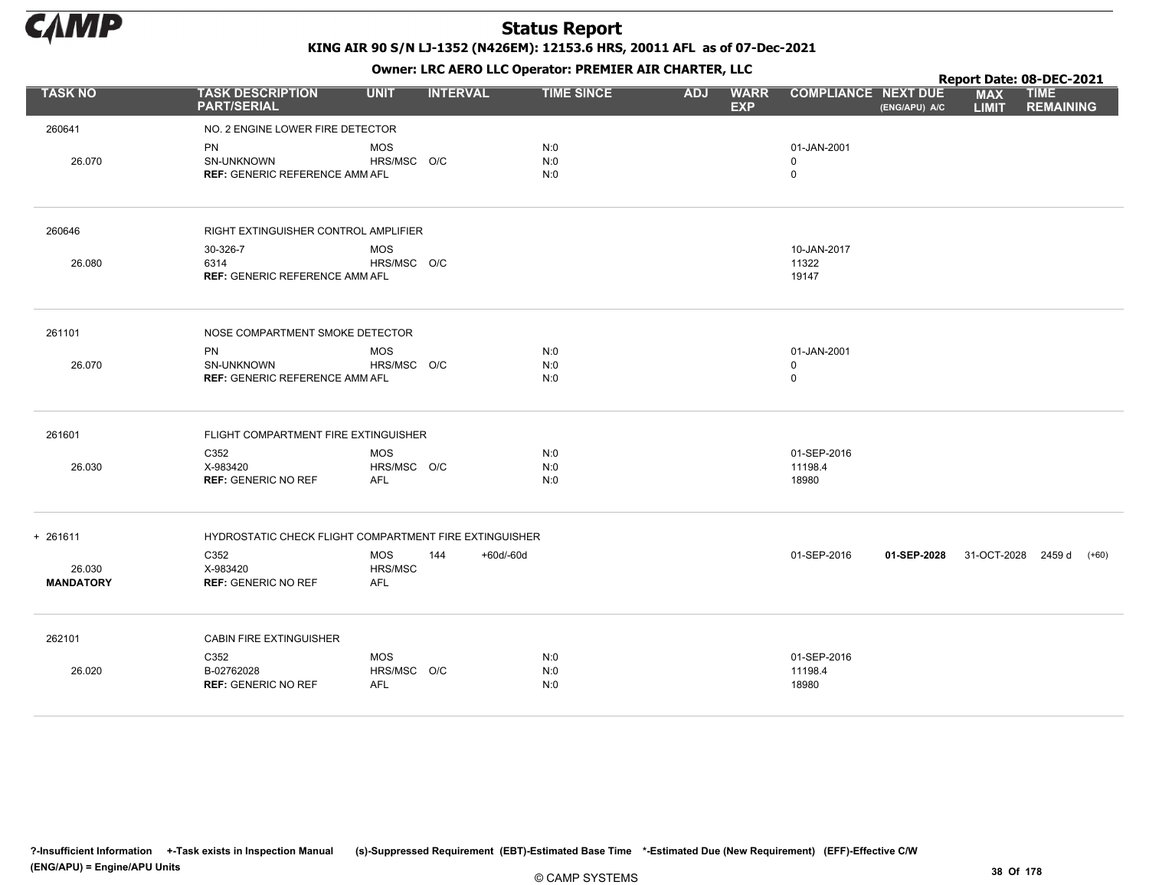

|                            |                                                                  |                                            |                                      |                                         |                                           |               |                            | Report Date: 08-DEC-2021        |
|----------------------------|------------------------------------------------------------------|--------------------------------------------|--------------------------------------|-----------------------------------------|-------------------------------------------|---------------|----------------------------|---------------------------------|
| <b>TASK NO</b>             | <b>TASK DESCRIPTION</b><br><b>PART/SERIAL</b>                    | <b>UNIT</b>                                | <b>INTERVAL</b><br><b>TIME SINCE</b> | <b>ADJ</b><br><b>WARR</b><br><b>EXP</b> | <b>COMPLIANCE NEXT DUE</b>                | (ENG/APU) A/C | <b>MAX</b><br><b>LIMIT</b> | <b>TIME</b><br><b>REMAINING</b> |
| 260641                     | NO. 2 ENGINE LOWER FIRE DETECTOR                                 |                                            |                                      |                                         |                                           |               |                            |                                 |
| 26.070                     | PN<br>SN-UNKNOWN<br><b>REF: GENERIC REFERENCE AMM AFL</b>        | <b>MOS</b><br>HRS/MSC O/C                  | N:0<br>N:0<br>N:0                    |                                         | 01-JAN-2001<br>$\mathbf 0$<br>$\mathbf 0$ |               |                            |                                 |
| 260646                     | RIGHT EXTINGUISHER CONTROL AMPLIFIER                             |                                            |                                      |                                         |                                           |               |                            |                                 |
| 26.080                     | 30-326-7<br>6314<br><b>REF: GENERIC REFERENCE AMM AFL</b>        | <b>MOS</b><br>HRS/MSC O/C                  |                                      |                                         | 10-JAN-2017<br>11322<br>19147             |               |                            |                                 |
| 261101                     | NOSE COMPARTMENT SMOKE DETECTOR                                  |                                            |                                      |                                         |                                           |               |                            |                                 |
| 26.070                     | <b>PN</b><br>SN-UNKNOWN<br><b>REF: GENERIC REFERENCE AMM AFL</b> | <b>MOS</b><br>HRS/MSC O/C                  | N:0<br>N:0<br>N:0                    |                                         | 01-JAN-2001<br>$\mathbf 0$<br>$\mathbf 0$ |               |                            |                                 |
| 261601                     | FLIGHT COMPARTMENT FIRE EXTINGUISHER                             |                                            |                                      |                                         |                                           |               |                            |                                 |
| 26.030                     | C352<br>X-983420<br><b>REF: GENERIC NO REF</b>                   | <b>MOS</b><br>HRS/MSC O/C<br><b>AFL</b>    | N:0<br>N:0<br>N:0                    |                                         | 01-SEP-2016<br>11198.4<br>18980           |               |                            |                                 |
| $+ 261611$                 | HYDROSTATIC CHECK FLIGHT COMPARTMENT FIRE EXTINGUISHER           |                                            |                                      |                                         |                                           |               |                            |                                 |
| 26.030<br><b>MANDATORY</b> | C352<br>X-983420<br><b>REF: GENERIC NO REF</b>                   | <b>MOS</b><br>144<br>HRS/MSC<br><b>AFL</b> | +60d/-60d                            |                                         | 01-SEP-2016                               | 01-SEP-2028   |                            | $(+60)$<br>31-OCT-2028 2459 d   |
| 262101                     | CABIN FIRE EXTINGUISHER                                          |                                            |                                      |                                         |                                           |               |                            |                                 |
| 26.020                     | C352<br>B-02762028<br><b>REF: GENERIC NO REF</b>                 | <b>MOS</b><br>HRS/MSC O/C<br><b>AFL</b>    | N:0<br>N:0<br>N:0                    |                                         | 01-SEP-2016<br>11198.4<br>18980           |               |                            |                                 |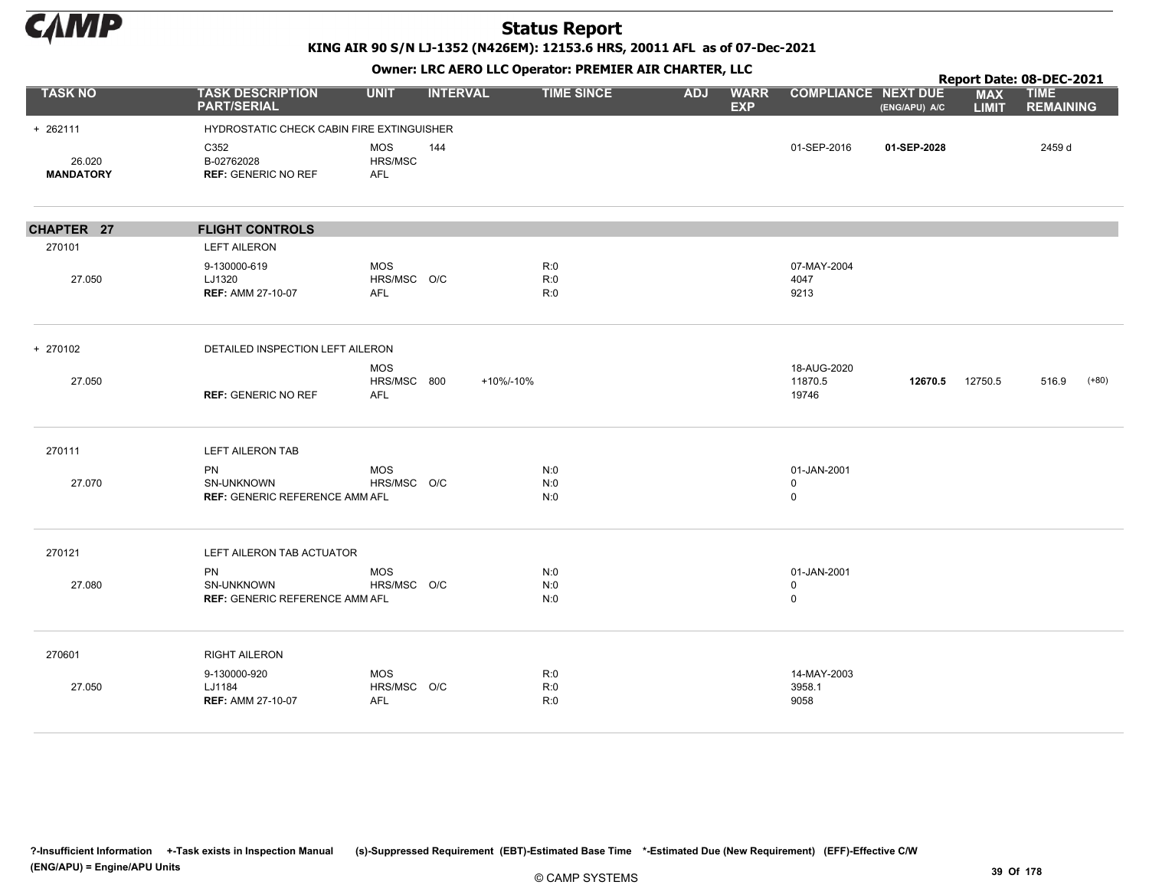

KING AIR 90 S/N LJ-1352 (N426EM): 12153.6 HRS, 20011 AFL as of 07-Dec-2021

|                            |                                                                  |                                         |                 |                   |            | $\mathbf{r}$              |                                 |               |                            | Report Date: 08-DEC-2021        |
|----------------------------|------------------------------------------------------------------|-----------------------------------------|-----------------|-------------------|------------|---------------------------|---------------------------------|---------------|----------------------------|---------------------------------|
| <b>TASK NO</b>             | <b>TASK DESCRIPTION</b><br><b>PART/SERIAL</b>                    | <b>UNIT</b>                             | <b>INTERVAL</b> | <b>TIME SINCE</b> | <b>ADJ</b> | <b>WARR</b><br><b>EXP</b> | <b>COMPLIANCE NEXT DUE</b>      | (ENG/APU) A/C | <b>MAX</b><br><b>LIMIT</b> | <b>TIME</b><br><b>REMAINING</b> |
| $+ 262111$                 | HYDROSTATIC CHECK CABIN FIRE EXTINGUISHER                        |                                         |                 |                   |            |                           |                                 |               |                            |                                 |
| 26.020<br><b>MANDATORY</b> | C352<br>B-02762028<br><b>REF: GENERIC NO REF</b>                 | <b>MOS</b><br>HRS/MSC<br>AFL            | 144             |                   |            |                           | 01-SEP-2016                     | 01-SEP-2028   |                            | 2459 d                          |
| CHAPTER 27                 | <b>FLIGHT CONTROLS</b>                                           |                                         |                 |                   |            |                           |                                 |               |                            |                                 |
| 270101                     | <b>LEFT AILERON</b>                                              |                                         |                 |                   |            |                           |                                 |               |                            |                                 |
| 27.050                     | 9-130000-619<br>LJ1320<br><b>REF: AMM 27-10-07</b>               | <b>MOS</b><br>HRS/MSC O/C<br><b>AFL</b> |                 | R:0<br>R:0<br>R:0 |            |                           | 07-MAY-2004<br>4047<br>9213     |               |                            |                                 |
| + 270102                   | DETAILED INSPECTION LEFT AILERON                                 |                                         |                 |                   |            |                           |                                 |               |                            |                                 |
| 27.050                     | <b>REF: GENERIC NO REF</b>                                       | <b>MOS</b><br>HRS/MSC 800<br><b>AFL</b> | +10%/-10%       |                   |            |                           | 18-AUG-2020<br>11870.5<br>19746 | 12670.5       | 12750.5                    | 516.9<br>$(+80)$                |
| 270111                     | <b>LEFT AILERON TAB</b>                                          |                                         |                 |                   |            |                           |                                 |               |                            |                                 |
| 27.070                     | <b>PN</b><br>SN-UNKNOWN<br><b>REF: GENERIC REFERENCE AMM AFL</b> | <b>MOS</b><br>HRS/MSC O/C               |                 | N:0<br>N:0<br>N:0 |            |                           | 01-JAN-2001<br>0<br>$\mathbf 0$ |               |                            |                                 |
| 270121                     | LEFT AILERON TAB ACTUATOR                                        |                                         |                 |                   |            |                           |                                 |               |                            |                                 |
| 27.080                     | PN<br>SN-UNKNOWN<br><b>REF: GENERIC REFERENCE AMM AFL</b>        | <b>MOS</b><br>HRS/MSC O/C               |                 | N:0<br>N:0<br>N:0 |            |                           | 01-JAN-2001<br>0<br>$\mathbf 0$ |               |                            |                                 |
| 270601                     | <b>RIGHT AILERON</b>                                             |                                         |                 |                   |            |                           |                                 |               |                            |                                 |
| 27.050                     | 9-130000-920<br>LJ1184<br><b>REF: AMM 27-10-07</b>               | <b>MOS</b><br>HRS/MSC O/C<br><b>AFL</b> |                 | R:0<br>R:0<br>R:0 |            |                           | 14-MAY-2003<br>3958.1<br>9058   |               |                            |                                 |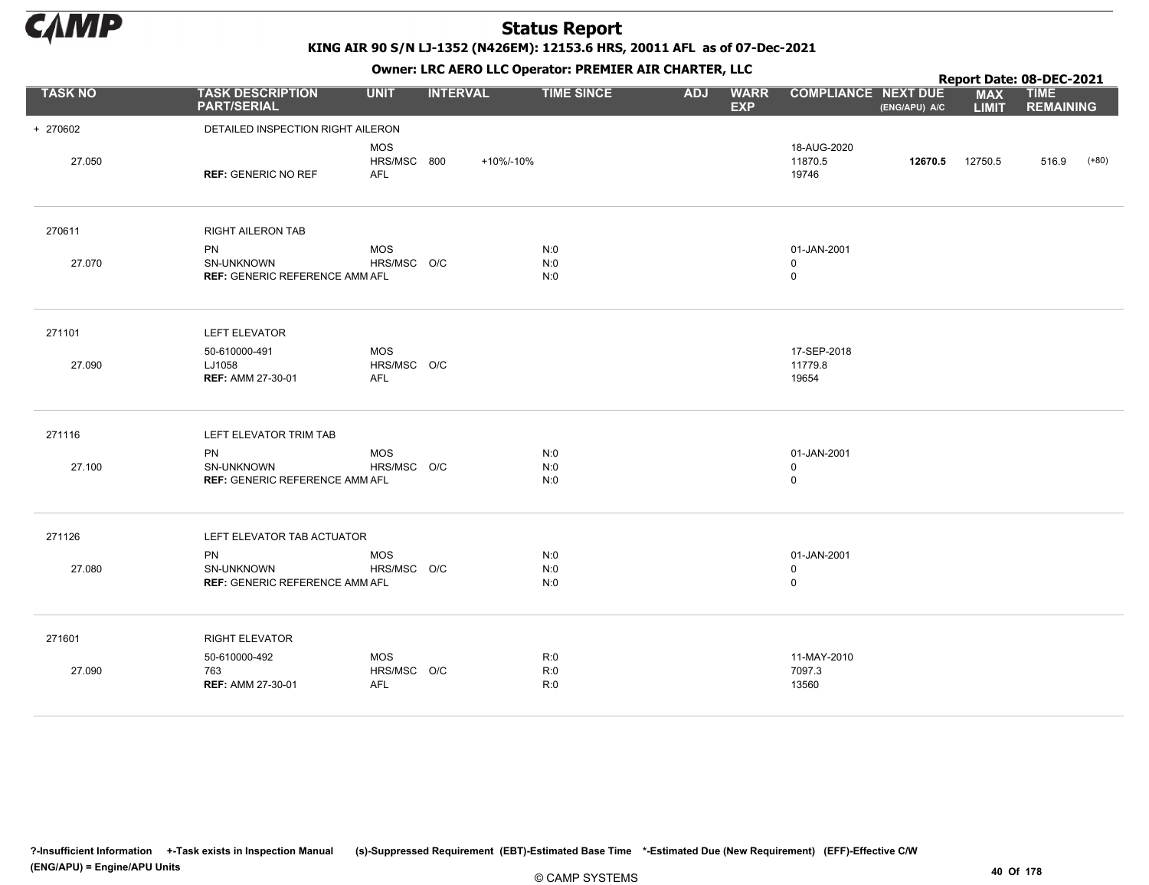

KING AIR 90 S/N LJ-1352 (N426EM): 12153.6 HRS, 20011 AFL as of 07-Dec-2021

Owner: LRC AERO LLC Operator: PREMIER AIR CHARTER, LLC

|                |                                                                         |                                         | OWHER LIKE ALKO LLC OPERATOR PREPILER AIR CHARTER, LLC |                   |            |                           |                                           |               |                            | Report Date: 08-DEC-2021        |         |
|----------------|-------------------------------------------------------------------------|-----------------------------------------|--------------------------------------------------------|-------------------|------------|---------------------------|-------------------------------------------|---------------|----------------------------|---------------------------------|---------|
| <b>TASK NO</b> | <b>TASK DESCRIPTION</b><br><b>PART/SERIAL</b>                           | <b>UNIT</b>                             | <b>INTERVAL</b>                                        | <b>TIME SINCE</b> | <b>ADJ</b> | <b>WARR</b><br><b>EXP</b> | <b>COMPLIANCE NEXT DUE</b>                | (ENG/APU) A/C | <b>MAX</b><br><b>LIMIT</b> | <b>TIME</b><br><b>REMAINING</b> |         |
| + 270602       | DETAILED INSPECTION RIGHT AILERON                                       |                                         |                                                        |                   |            |                           |                                           |               |                            |                                 |         |
| 27.050         | <b>REF: GENERIC NO REF</b>                                              | <b>MOS</b><br>HRS/MSC 800<br><b>AFL</b> | +10%/-10%                                              |                   |            |                           | 18-AUG-2020<br>11870.5<br>19746           | 12670.5       | 12750.5                    | 516.9                           | $(+80)$ |
| 270611         | <b>RIGHT AILERON TAB</b>                                                |                                         |                                                        |                   |            |                           |                                           |               |                            |                                 |         |
| 27.070         | <b>PN</b><br>SN-UNKNOWN<br><b>REF: GENERIC REFERENCE AMM AFL</b>        | <b>MOS</b><br>HRS/MSC O/C               |                                                        | N:0<br>N:0<br>N:0 |            |                           | 01-JAN-2001<br>$\mathbf 0$<br>$\mathsf 0$ |               |                            |                                 |         |
| 271101         | <b>LEFT ELEVATOR</b>                                                    |                                         |                                                        |                   |            |                           |                                           |               |                            |                                 |         |
| 27.090         | 50-610000-491<br>LJ1058<br><b>REF: AMM 27-30-01</b>                     | <b>MOS</b><br>HRS/MSC O/C<br><b>AFL</b> |                                                        |                   |            |                           | 17-SEP-2018<br>11779.8<br>19654           |               |                            |                                 |         |
| 271116         | LEFT ELEVATOR TRIM TAB                                                  |                                         |                                                        |                   |            |                           |                                           |               |                            |                                 |         |
| 27.100         | PN<br>SN-UNKNOWN<br><b>REF: GENERIC REFERENCE AMM AFL</b>               | <b>MOS</b><br>HRS/MSC O/C               |                                                        | N:0<br>N:0<br>N:0 |            |                           | 01-JAN-2001<br>0<br>0                     |               |                            |                                 |         |
| 271126         | LEFT ELEVATOR TAB ACTUATOR                                              |                                         |                                                        |                   |            |                           |                                           |               |                            |                                 |         |
| 27.080         | <b>PN</b><br><b>SN-UNKNOWN</b><br><b>REF: GENERIC REFERENCE AMM AFL</b> | <b>MOS</b><br>HRS/MSC O/C               |                                                        | N:0<br>N:0<br>N:0 |            |                           | 01-JAN-2001<br>$\mathbf 0$<br>0           |               |                            |                                 |         |
| 271601         | <b>RIGHT ELEVATOR</b>                                                   |                                         |                                                        |                   |            |                           |                                           |               |                            |                                 |         |
| 27.090         | 50-610000-492<br>763<br><b>REF: AMM 27-30-01</b>                        | <b>MOS</b><br>HRS/MSC O/C<br><b>AFL</b> |                                                        | R:0<br>R:0<br>R:0 |            |                           | 11-MAY-2010<br>7097.3<br>13560            |               |                            |                                 |         |

?-Insufficient Information +-Task exists in Inspection Manual (s)-Suppressed Requirement (EBT)-Estimated Base Time \*-Estimated Due (New Requirement) (EFF)-Effective C/W (ENG/APU) = Engine/APU Units 40 Of 178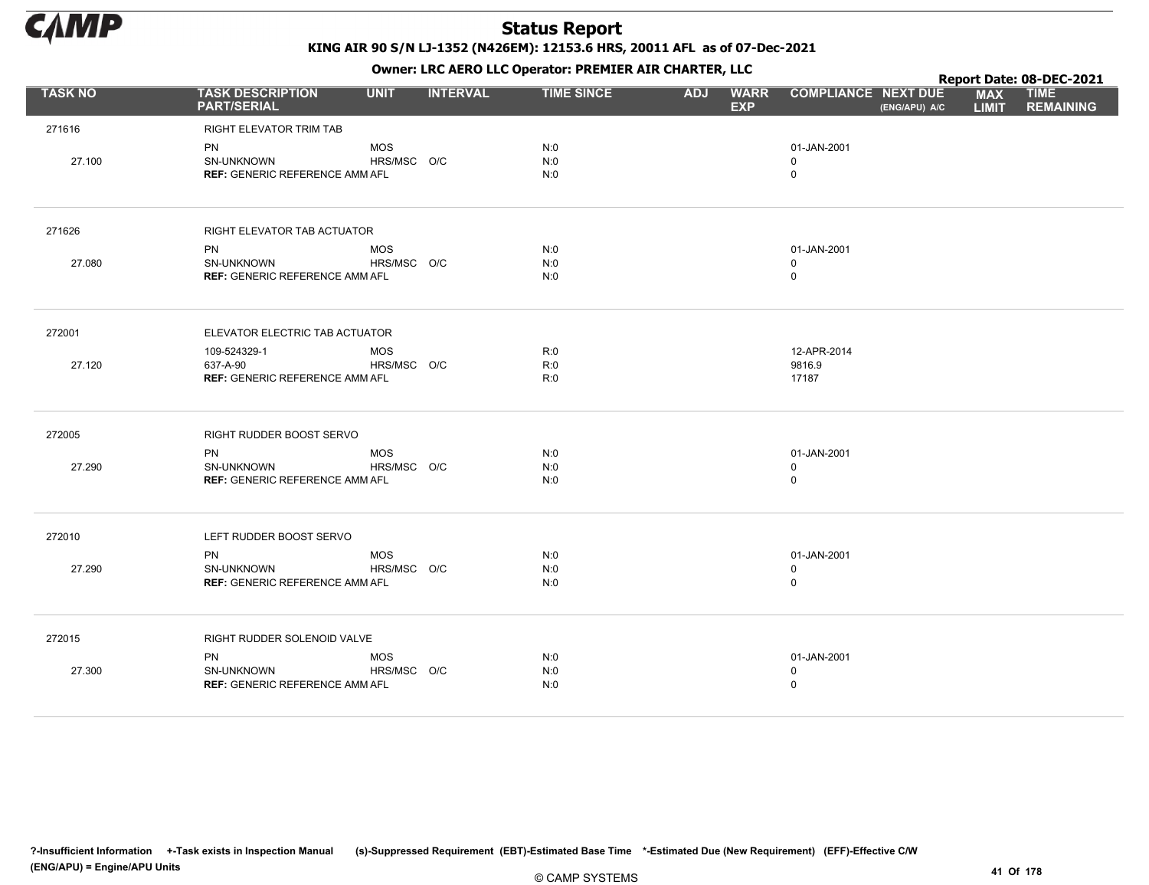

|                |                                               |             |                 |                   |            | . .                       |                                             |                            | Report Date: 08-DEC-2021        |
|----------------|-----------------------------------------------|-------------|-----------------|-------------------|------------|---------------------------|---------------------------------------------|----------------------------|---------------------------------|
| <b>TASK NO</b> | <b>TASK DESCRIPTION</b><br><b>PART/SERIAL</b> | <b>UNIT</b> | <b>INTERVAL</b> | <b>TIME SINCE</b> | <b>ADJ</b> | <b>WARR</b><br><b>EXP</b> | <b>COMPLIANCE NEXT DUE</b><br>(ENG/APU) A/C | <b>MAX</b><br><b>LIMIT</b> | <b>TIME</b><br><b>REMAINING</b> |
| 271616         | RIGHT ELEVATOR TRIM TAB                       |             |                 |                   |            |                           |                                             |                            |                                 |
|                | PN                                            | <b>MOS</b>  |                 | N:0               |            |                           | 01-JAN-2001                                 |                            |                                 |
| 27.100         | SN-UNKNOWN                                    | HRS/MSC O/C |                 | N:0               |            |                           | 0                                           |                            |                                 |
|                | <b>REF: GENERIC REFERENCE AMM AFL</b>         |             |                 | N:0               |            |                           | $\mathsf 0$                                 |                            |                                 |
| 271626         | RIGHT ELEVATOR TAB ACTUATOR                   |             |                 |                   |            |                           |                                             |                            |                                 |
|                | <b>PN</b>                                     | <b>MOS</b>  |                 | N:0               |            |                           | 01-JAN-2001                                 |                            |                                 |
| 27.080         | SN-UNKNOWN                                    | HRS/MSC O/C |                 | N:0               |            |                           | $\mathbf 0$                                 |                            |                                 |
|                | <b>REF: GENERIC REFERENCE AMM AFL</b>         |             |                 | N:0               |            |                           | $\mathsf 0$                                 |                            |                                 |
| 272001         | ELEVATOR ELECTRIC TAB ACTUATOR                |             |                 |                   |            |                           |                                             |                            |                                 |
|                | 109-524329-1                                  | <b>MOS</b>  |                 | R:0               |            |                           | 12-APR-2014                                 |                            |                                 |
| 27.120         | 637-A-90                                      | HRS/MSC O/C |                 | R:0               |            |                           | 9816.9                                      |                            |                                 |
|                | <b>REF: GENERIC REFERENCE AMM AFL</b>         |             |                 | R:0               |            |                           | 17187                                       |                            |                                 |
| 272005         | RIGHT RUDDER BOOST SERVO                      |             |                 |                   |            |                           |                                             |                            |                                 |
|                | <b>PN</b>                                     | <b>MOS</b>  |                 | N:0               |            |                           | 01-JAN-2001                                 |                            |                                 |
| 27.290         | <b>SN-UNKNOWN</b>                             | HRS/MSC O/C |                 | N:0               |            |                           | $\mathbf 0$                                 |                            |                                 |
|                | <b>REF: GENERIC REFERENCE AMM AFL</b>         |             |                 | N:0               |            |                           | $\mathsf 0$                                 |                            |                                 |
| 272010         | LEFT RUDDER BOOST SERVO                       |             |                 |                   |            |                           |                                             |                            |                                 |
|                | <b>PN</b>                                     | <b>MOS</b>  |                 | N:0               |            |                           | 01-JAN-2001                                 |                            |                                 |
| 27.290         | SN-UNKNOWN                                    | HRS/MSC O/C |                 | N:0               |            |                           | $\mathbf 0$                                 |                            |                                 |
|                | <b>REF: GENERIC REFERENCE AMM AFL</b>         |             |                 | N:0               |            |                           | $\mathsf 0$                                 |                            |                                 |
| 272015         | RIGHT RUDDER SOLENOID VALVE                   |             |                 |                   |            |                           |                                             |                            |                                 |
|                | <b>PN</b>                                     | <b>MOS</b>  |                 | N:0               |            |                           | 01-JAN-2001                                 |                            |                                 |
| 27.300         | SN-UNKNOWN                                    | HRS/MSC O/C |                 | N:0               |            |                           | $\mathbf 0$                                 |                            |                                 |
|                | <b>REF: GENERIC REFERENCE AMM AFL</b>         |             |                 | N:0               |            |                           | $\mathbf 0$                                 |                            |                                 |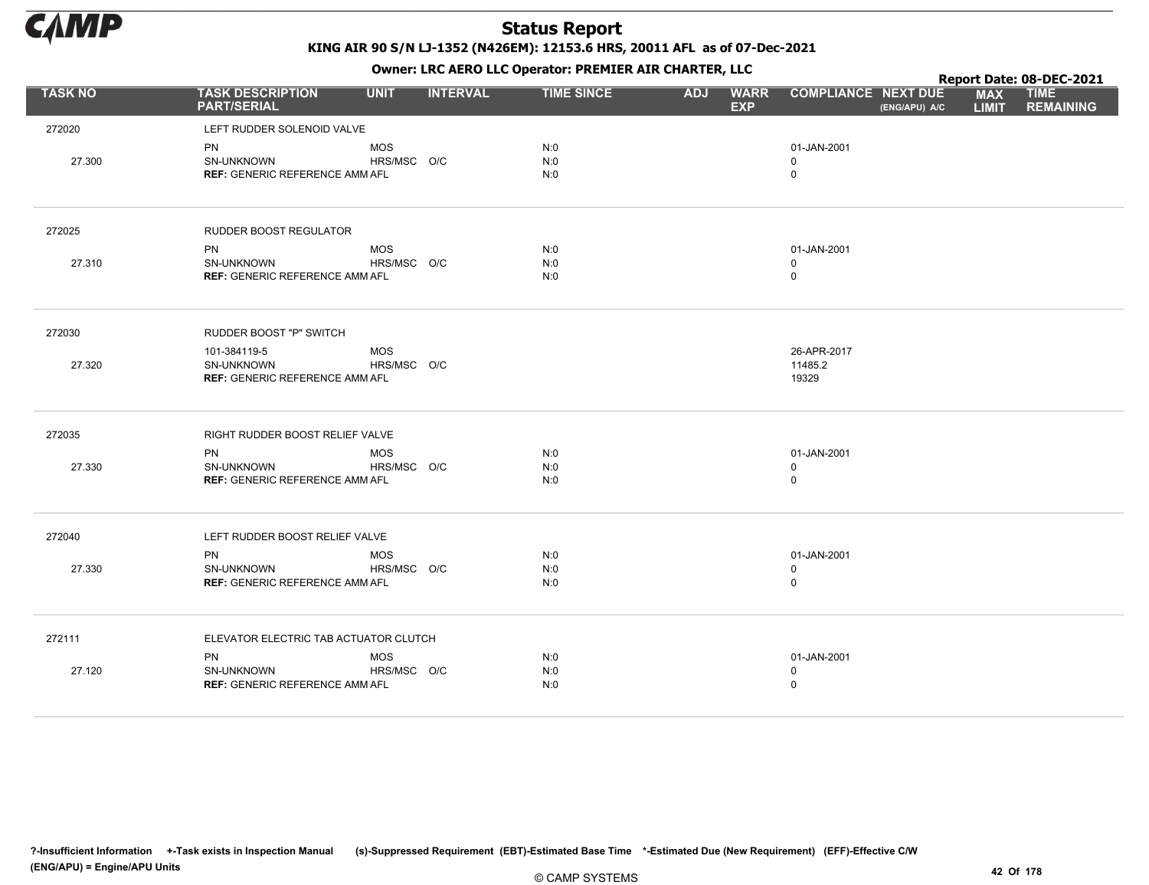

|                |                                                     |             |                 |                   |            |                           |                                             | Report Date: 08-DEC-2021   |                                 |
|----------------|-----------------------------------------------------|-------------|-----------------|-------------------|------------|---------------------------|---------------------------------------------|----------------------------|---------------------------------|
| <b>TASK NO</b> | <b>TASK DESCRIPTION</b><br><b>PART/SERIAL</b>       | <b>UNIT</b> | <b>INTERVAL</b> | <b>TIME SINCE</b> | <b>ADJ</b> | <b>WARR</b><br><b>EXP</b> | <b>COMPLIANCE NEXT DUE</b><br>(ENG/APU) A/C | <b>MAX</b><br><b>LIMIT</b> | <b>TIME</b><br><b>REMAINING</b> |
| 272020         | LEFT RUDDER SOLENOID VALVE                          |             |                 |                   |            |                           |                                             |                            |                                 |
|                | PN                                                  | <b>MOS</b>  |                 | N:0               |            |                           | 01-JAN-2001                                 |                            |                                 |
| 27.300         | SN-UNKNOWN                                          | HRS/MSC O/C |                 | N:0               |            |                           | $\mathbf 0$                                 |                            |                                 |
|                | <b>REF: GENERIC REFERENCE AMM AFL</b>               |             |                 | N:0               |            |                           | $\mathbf 0$                                 |                            |                                 |
| 272025         | RUDDER BOOST REGULATOR                              |             |                 |                   |            |                           |                                             |                            |                                 |
|                | <b>PN</b>                                           | <b>MOS</b>  |                 | N:0               |            |                           | 01-JAN-2001                                 |                            |                                 |
| 27.310         | <b>SN-UNKNOWN</b>                                   | HRS/MSC O/C |                 | N:0               |            |                           | $\Omega$                                    |                            |                                 |
|                | <b>REF: GENERIC REFERENCE AMM AFL</b>               |             |                 | N:0               |            |                           | $\mathsf 0$                                 |                            |                                 |
| 272030         | <b>RUDDER BOOST "P" SWITCH</b>                      |             |                 |                   |            |                           |                                             |                            |                                 |
|                | 101-384119-5                                        | <b>MOS</b>  |                 |                   |            |                           | 26-APR-2017                                 |                            |                                 |
| 27.320         | SN-UNKNOWN                                          | HRS/MSC O/C |                 |                   |            |                           | 11485.2                                     |                            |                                 |
|                | <b>REF: GENERIC REFERENCE AMM AFL</b>               |             |                 |                   |            |                           | 19329                                       |                            |                                 |
| 272035         | RIGHT RUDDER BOOST RELIEF VALVE                     |             |                 |                   |            |                           |                                             |                            |                                 |
|                | <b>PN</b>                                           | <b>MOS</b>  |                 | N:0               |            |                           | 01-JAN-2001                                 |                            |                                 |
| 27.330         | SN-UNKNOWN<br><b>REF: GENERIC REFERENCE AMM AFL</b> | HRS/MSC O/C |                 | N:0<br>N:0        |            |                           | $\mathbf 0$<br>$\mathsf 0$                  |                            |                                 |
|                |                                                     |             |                 |                   |            |                           |                                             |                            |                                 |
| 272040         | LEFT RUDDER BOOST RELIEF VALVE                      |             |                 |                   |            |                           |                                             |                            |                                 |
|                | <b>PN</b>                                           | <b>MOS</b>  |                 | N:0               |            |                           | 01-JAN-2001                                 |                            |                                 |
| 27.330         | SN-UNKNOWN                                          | HRS/MSC O/C |                 | N:0               |            |                           | $\mathbf 0$                                 |                            |                                 |
|                | <b>REF: GENERIC REFERENCE AMM AFL</b>               |             |                 | N:0               |            |                           | $\mathsf 0$                                 |                            |                                 |
| 272111         | ELEVATOR ELECTRIC TAB ACTUATOR CLUTCH               |             |                 |                   |            |                           |                                             |                            |                                 |
|                | <b>PN</b>                                           | <b>MOS</b>  |                 | N:0               |            |                           | 01-JAN-2001                                 |                            |                                 |
| 27.120         | SN-UNKNOWN                                          | HRS/MSC O/C |                 | N:0               |            |                           | $\mathbf 0$                                 |                            |                                 |
|                | <b>REF: GENERIC REFERENCE AMM AFL</b>               |             |                 | N:0               |            |                           | $\mathbf 0$                                 |                            |                                 |
|                |                                                     |             |                 |                   |            |                           |                                             |                            |                                 |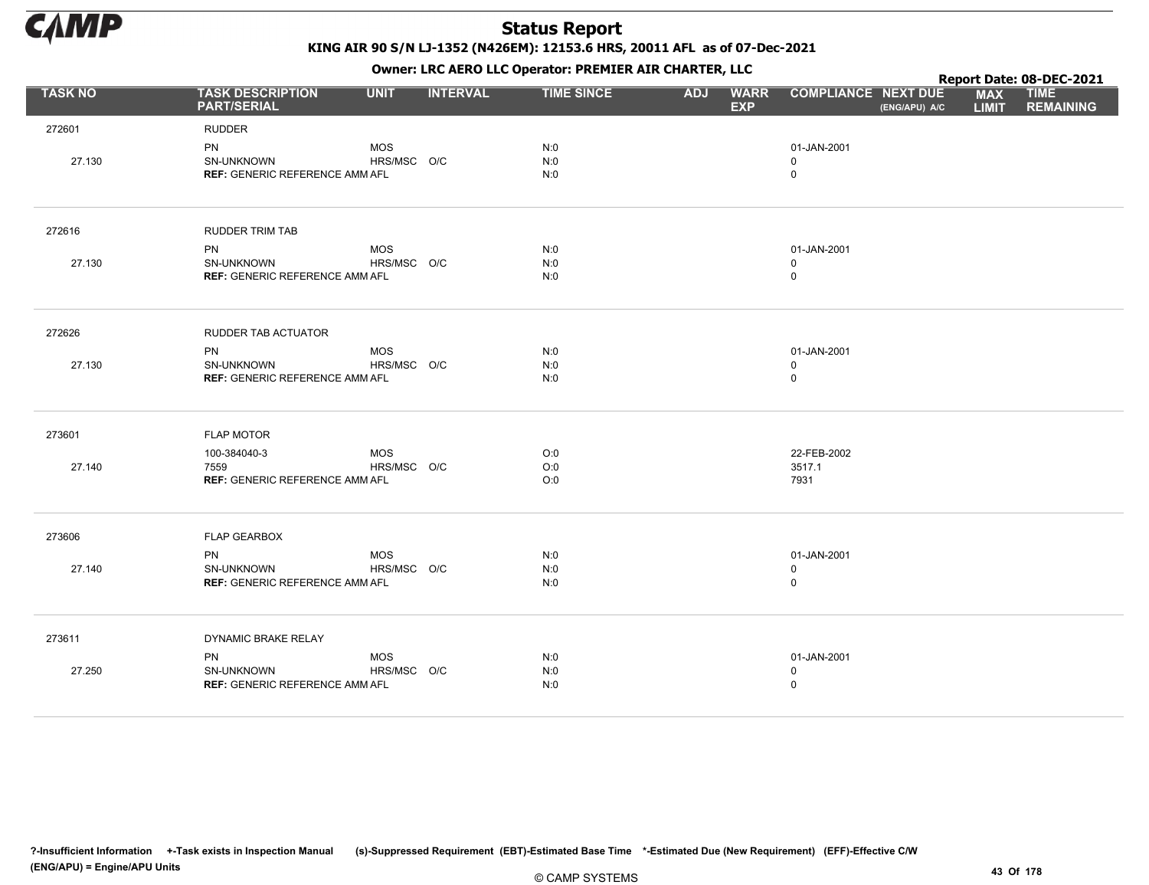

KING AIR 90 S/N LJ-1352 (N426EM): 12153.6 HRS, 20011 AFL as of 07-Dec-2021

Owner: LRC AERO LLC Operator: PREMIER AIR CHARTER, LLC

|                |                                                                  |                           |                 | OWHER. LKC ALKO LLC OPERATOR. PREPILER AIR CHARTER, LLC<br>Report Date: 08-DEC-2021<br><b>TIME SINCE</b><br><b>COMPLIANCE NEXT DUE</b><br><b>ADJ</b><br><b>WARR</b><br><b>MAX</b><br><b>TIME</b><br><b>EXP</b><br><b>LIMIT</b><br>(ENG/APU) A/C<br>N:0<br>01-JAN-2001<br>N:0<br>$\mathbf 0$<br>N:0<br>$\mathbf 0$<br>N:0<br>01-JAN-2001<br>N:0<br>$\mathbf 0$<br>N:0<br>0<br>N:0<br>01-JAN-2001<br>N:0<br>$\mathbf 0$<br>N:0<br>0<br>O:0<br>22-FEB-2002<br>O:0<br>3517.1 |  |  |                                           |  |  |                  |
|----------------|------------------------------------------------------------------|---------------------------|-----------------|--------------------------------------------------------------------------------------------------------------------------------------------------------------------------------------------------------------------------------------------------------------------------------------------------------------------------------------------------------------------------------------------------------------------------------------------------------------------------|--|--|-------------------------------------------|--|--|------------------|
| <b>TASK NO</b> | <b>TASK DESCRIPTION</b><br><b>PART/SERIAL</b>                    | <b>UNIT</b>               | <b>INTERVAL</b> |                                                                                                                                                                                                                                                                                                                                                                                                                                                                          |  |  |                                           |  |  | <b>REMAINING</b> |
| 272601         | <b>RUDDER</b>                                                    |                           |                 |                                                                                                                                                                                                                                                                                                                                                                                                                                                                          |  |  |                                           |  |  |                  |
| 27.130         | PN<br>SN-UNKNOWN<br><b>REF: GENERIC REFERENCE AMM AFL</b>        | <b>MOS</b><br>HRS/MSC O/C |                 |                                                                                                                                                                                                                                                                                                                                                                                                                                                                          |  |  |                                           |  |  |                  |
| 272616         | <b>RUDDER TRIM TAB</b>                                           |                           |                 |                                                                                                                                                                                                                                                                                                                                                                                                                                                                          |  |  |                                           |  |  |                  |
| 27.130         | <b>PN</b><br>SN-UNKNOWN<br><b>REF: GENERIC REFERENCE AMM AFL</b> | <b>MOS</b><br>HRS/MSC O/C |                 |                                                                                                                                                                                                                                                                                                                                                                                                                                                                          |  |  |                                           |  |  |                  |
| 272626         | RUDDER TAB ACTUATOR                                              |                           |                 |                                                                                                                                                                                                                                                                                                                                                                                                                                                                          |  |  |                                           |  |  |                  |
| 27.130         | PN<br>SN-UNKNOWN<br><b>REF: GENERIC REFERENCE AMM AFL</b>        | <b>MOS</b><br>HRS/MSC O/C |                 |                                                                                                                                                                                                                                                                                                                                                                                                                                                                          |  |  |                                           |  |  |                  |
| 273601         | <b>FLAP MOTOR</b>                                                |                           |                 |                                                                                                                                                                                                                                                                                                                                                                                                                                                                          |  |  |                                           |  |  |                  |
| 27.140         | 100-384040-3<br>7559<br><b>REF: GENERIC REFERENCE AMM AFL</b>    | <b>MOS</b><br>HRS/MSC O/C |                 | O:0                                                                                                                                                                                                                                                                                                                                                                                                                                                                      |  |  | 7931                                      |  |  |                  |
| 273606         | <b>FLAP GEARBOX</b>                                              |                           |                 |                                                                                                                                                                                                                                                                                                                                                                                                                                                                          |  |  |                                           |  |  |                  |
| 27.140         | <b>PN</b><br>SN-UNKNOWN<br><b>REF: GENERIC REFERENCE AMM AFL</b> | <b>MOS</b><br>HRS/MSC O/C |                 | N:0<br>N:0<br>N:0                                                                                                                                                                                                                                                                                                                                                                                                                                                        |  |  | 01-JAN-2001<br>0<br>$\mathbf 0$           |  |  |                  |
| 273611         | DYNAMIC BRAKE RELAY                                              |                           |                 |                                                                                                                                                                                                                                                                                                                                                                                                                                                                          |  |  |                                           |  |  |                  |
| 27.250         | <b>PN</b><br>SN-UNKNOWN<br><b>REF: GENERIC REFERENCE AMM AFL</b> | <b>MOS</b><br>HRS/MSC O/C |                 | N:0<br>N:0<br>N:0                                                                                                                                                                                                                                                                                                                                                                                                                                                        |  |  | 01-JAN-2001<br>$\mathbf 0$<br>$\mathsf 0$ |  |  |                  |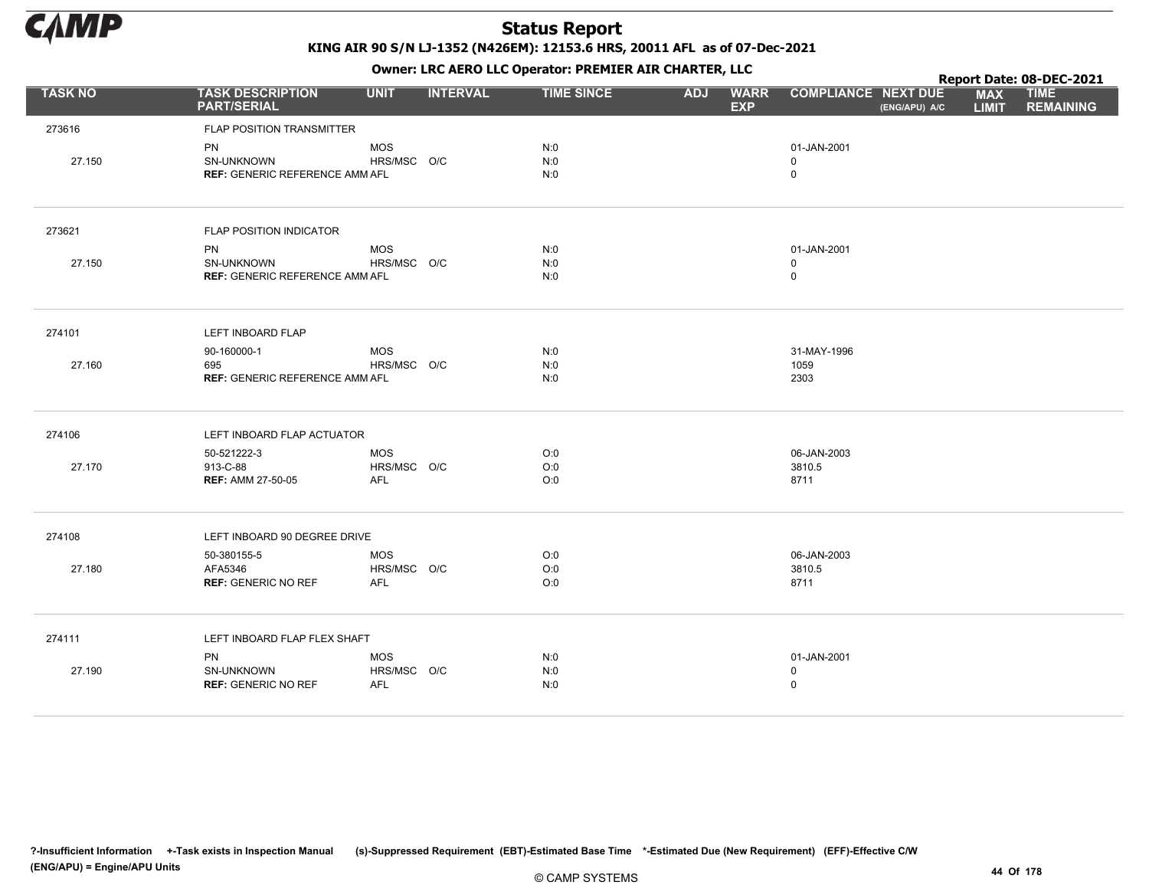

KING AIR 90 S/N LJ-1352 (N426EM): 12153.6 HRS, 20011 AFL as of 07-Dec-2021

Owner: LRC AERO LLC Operator: PREMIER AIR CHARTER, LLC

|                |                                                                  |                                  |                 |                   | <b>OWNER.</b> LIVE ALIVE LEE OPERADE. FIXEPILER ALIV CHAINTER, LEE<br>Report Date: 08-DEC-2021<br><b>COMPLIANCE NEXT DUE</b><br><b>TIME SINCE</b><br><b>ADJ</b><br><b>WARR</b><br><b>MAX</b><br><b>TIME</b><br><b>EXP</b><br><b>LIMIT</b><br>(ENG/APU) A/C<br>N:0<br>01-JAN-2001<br>N:0<br>$\mathbf 0$<br>N:0<br>$\mathsf 0$<br>N:0<br>01-JAN-2001<br>N:0<br>$\mathbf 0$<br>$\mathsf 0$<br>N:0<br>N:0<br>31-MAY-1996<br>N:0<br>1059<br>N:0<br>2303<br>O:0<br>06-JAN-2003<br>O:0<br>3810.5<br>O:0<br>8711<br>O:0<br>06-JAN-2003<br>O:0<br>3810.5<br>8711<br>O:0 |  |                                           |  |  |                  |
|----------------|------------------------------------------------------------------|----------------------------------|-----------------|-------------------|----------------------------------------------------------------------------------------------------------------------------------------------------------------------------------------------------------------------------------------------------------------------------------------------------------------------------------------------------------------------------------------------------------------------------------------------------------------------------------------------------------------------------------------------------------------|--|-------------------------------------------|--|--|------------------|
| <b>TASK NO</b> | <b>TASK DESCRIPTION</b><br><b>PART/SERIAL</b>                    | <b>UNIT</b>                      | <b>INTERVAL</b> |                   |                                                                                                                                                                                                                                                                                                                                                                                                                                                                                                                                                                |  |                                           |  |  | <b>REMAINING</b> |
| 273616         | FLAP POSITION TRANSMITTER                                        |                                  |                 |                   |                                                                                                                                                                                                                                                                                                                                                                                                                                                                                                                                                                |  |                                           |  |  |                  |
| 27.150         | PN<br><b>SN-UNKNOWN</b><br><b>REF: GENERIC REFERENCE AMM AFL</b> | <b>MOS</b><br>HRS/MSC O/C        |                 |                   |                                                                                                                                                                                                                                                                                                                                                                                                                                                                                                                                                                |  |                                           |  |  |                  |
| 273621         | <b>FLAP POSITION INDICATOR</b>                                   |                                  |                 |                   |                                                                                                                                                                                                                                                                                                                                                                                                                                                                                                                                                                |  |                                           |  |  |                  |
| 27.150         | PN<br><b>SN-UNKNOWN</b><br><b>REF: GENERIC REFERENCE AMM AFL</b> | <b>MOS</b><br>HRS/MSC O/C        |                 |                   |                                                                                                                                                                                                                                                                                                                                                                                                                                                                                                                                                                |  |                                           |  |  |                  |
| 274101         | LEFT INBOARD FLAP                                                |                                  |                 |                   |                                                                                                                                                                                                                                                                                                                                                                                                                                                                                                                                                                |  |                                           |  |  |                  |
| 27.160         | 90-160000-1<br>695<br><b>REF: GENERIC REFERENCE AMM AFL</b>      | <b>MOS</b><br>HRS/MSC O/C        |                 |                   |                                                                                                                                                                                                                                                                                                                                                                                                                                                                                                                                                                |  |                                           |  |  |                  |
| 274106         | LEFT INBOARD FLAP ACTUATOR                                       |                                  |                 |                   |                                                                                                                                                                                                                                                                                                                                                                                                                                                                                                                                                                |  |                                           |  |  |                  |
| 27.170         | 50-521222-3<br>913-C-88<br><b>REF: AMM 27-50-05</b>              | <b>MOS</b><br>HRS/MSC O/C<br>AFL |                 |                   |                                                                                                                                                                                                                                                                                                                                                                                                                                                                                                                                                                |  |                                           |  |  |                  |
| 274108         | LEFT INBOARD 90 DEGREE DRIVE                                     |                                  |                 |                   |                                                                                                                                                                                                                                                                                                                                                                                                                                                                                                                                                                |  |                                           |  |  |                  |
| 27.180         | 50-380155-5<br>AFA5346<br><b>REF: GENERIC NO REF</b>             | <b>MOS</b><br>HRS/MSC O/C<br>AFL |                 |                   |                                                                                                                                                                                                                                                                                                                                                                                                                                                                                                                                                                |  |                                           |  |  |                  |
| 274111         | LEFT INBOARD FLAP FLEX SHAFT                                     |                                  |                 |                   |                                                                                                                                                                                                                                                                                                                                                                                                                                                                                                                                                                |  |                                           |  |  |                  |
| 27.190         | PN<br>SN-UNKNOWN<br><b>REF: GENERIC NO REF</b>                   | MOS<br>HRS/MSC O/C<br><b>AFL</b> |                 | N:0<br>N:0<br>N:0 |                                                                                                                                                                                                                                                                                                                                                                                                                                                                                                                                                                |  | 01-JAN-2001<br>$\mathbf 0$<br>$\mathsf 0$ |  |  |                  |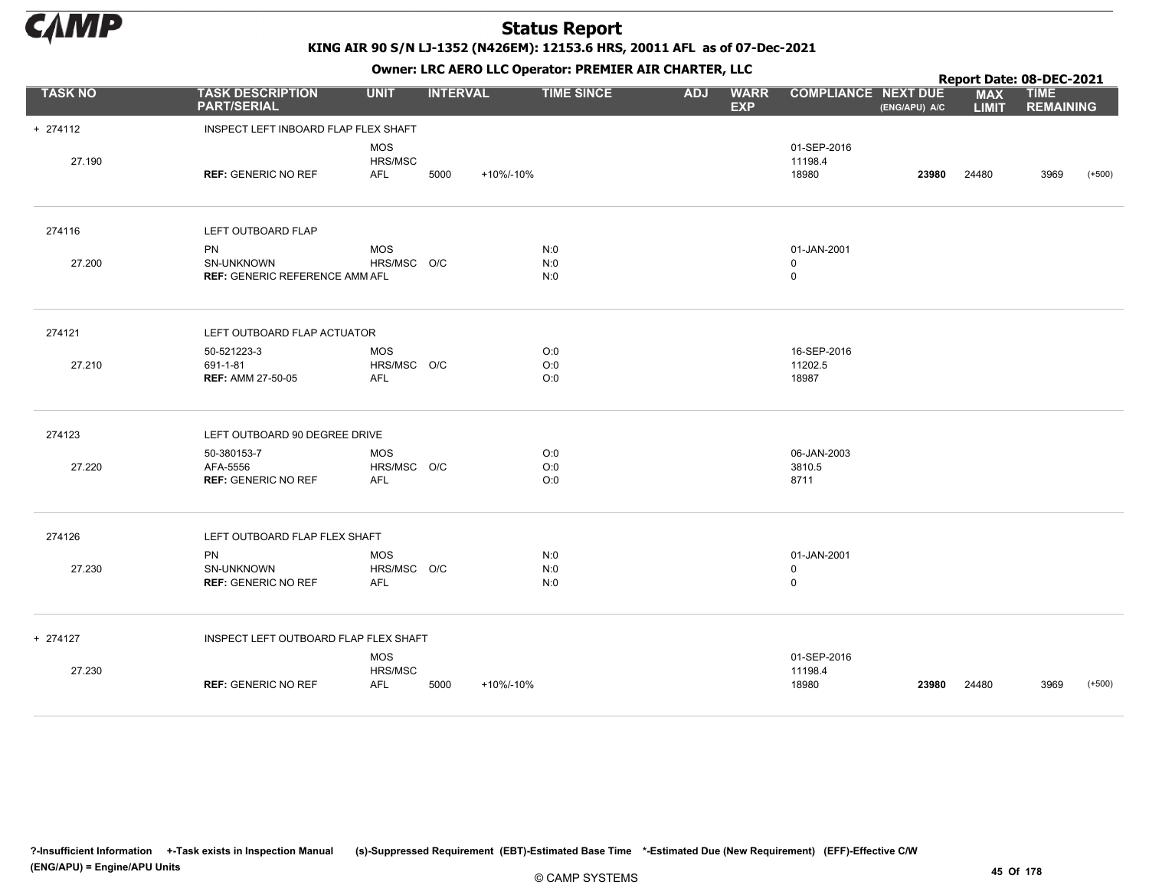

KING AIR 90 S/N LJ-1352 (N426EM): 12153.6 HRS, 20011 AFL as of 07-Dec-2021

| OWHER. LKC ALKO LLC OPERATOR. PREPILER AIR CHARTER, LLC |                                                                  |                                         |                   |                   |            |                           | Report Date: 08-DEC-2021        |               |                            |                                 |          |
|---------------------------------------------------------|------------------------------------------------------------------|-----------------------------------------|-------------------|-------------------|------------|---------------------------|---------------------------------|---------------|----------------------------|---------------------------------|----------|
| <b>TASK NO</b>                                          | <b>TASK DESCRIPTION</b><br><b>PART/SERIAL</b>                    | <b>UNIT</b>                             | <b>INTERVAL</b>   | <b>TIME SINCE</b> | <b>ADJ</b> | <b>WARR</b><br><b>EXP</b> | <b>COMPLIANCE NEXT DUE</b>      | (ENG/APU) A/C | <b>MAX</b><br><b>LIMIT</b> | <b>TIME</b><br><b>REMAINING</b> |          |
| + 274112                                                | INSPECT LEFT INBOARD FLAP FLEX SHAFT                             |                                         |                   |                   |            |                           |                                 |               |                            |                                 |          |
| 27.190                                                  | <b>REF: GENERIC NO REF</b>                                       | <b>MOS</b><br>HRS/MSC<br><b>AFL</b>     | 5000<br>+10%/-10% |                   |            |                           | 01-SEP-2016<br>11198.4<br>18980 | 23980         | 24480                      | 3969                            | $(+500)$ |
| 274116                                                  | LEFT OUTBOARD FLAP                                               |                                         |                   |                   |            |                           |                                 |               |                            |                                 |          |
| 27.200                                                  | <b>PN</b><br>SN-UNKNOWN<br><b>REF: GENERIC REFERENCE AMM AFL</b> | <b>MOS</b><br>HRS/MSC O/C               |                   | N:0<br>N:0<br>N:0 |            |                           | 01-JAN-2001<br>0<br>$\mathbf 0$ |               |                            |                                 |          |
| 274121                                                  | LEFT OUTBOARD FLAP ACTUATOR                                      |                                         |                   |                   |            |                           |                                 |               |                            |                                 |          |
| 27.210                                                  | 50-521223-3<br>691-1-81<br><b>REF: AMM 27-50-05</b>              | <b>MOS</b><br>HRS/MSC O/C<br><b>AFL</b> |                   | O:0<br>O:0<br>O:0 |            |                           | 16-SEP-2016<br>11202.5<br>18987 |               |                            |                                 |          |
| 274123                                                  | LEFT OUTBOARD 90 DEGREE DRIVE                                    |                                         |                   |                   |            |                           |                                 |               |                            |                                 |          |
| 27.220                                                  | 50-380153-7<br>AFA-5556<br><b>REF: GENERIC NO REF</b>            | <b>MOS</b><br>HRS/MSC O/C<br><b>AFL</b> |                   | O:0<br>O:0<br>O:0 |            |                           | 06-JAN-2003<br>3810.5<br>8711   |               |                            |                                 |          |
| 274126                                                  | LEFT OUTBOARD FLAP FLEX SHAFT                                    |                                         |                   |                   |            |                           |                                 |               |                            |                                 |          |
| 27.230                                                  | <b>PN</b><br>SN-UNKNOWN<br><b>REF: GENERIC NO REF</b>            | <b>MOS</b><br>HRS/MSC O/C<br><b>AFL</b> |                   | N:0<br>N:0<br>N:0 |            |                           | 01-JAN-2001<br>0<br>$\mathbf 0$ |               |                            |                                 |          |
| + 274127                                                | INSPECT LEFT OUTBOARD FLAP FLEX SHAFT                            |                                         |                   |                   |            |                           |                                 |               |                            |                                 |          |
| 27.230                                                  | <b>REF: GENERIC NO REF</b>                                       | <b>MOS</b><br>HRS/MSC<br><b>AFL</b>     | 5000<br>+10%/-10% |                   |            |                           | 01-SEP-2016<br>11198.4<br>18980 | 23980         | 24480                      | 3969                            | $(+500)$ |
|                                                         |                                                                  |                                         |                   |                   |            |                           |                                 |               |                            |                                 |          |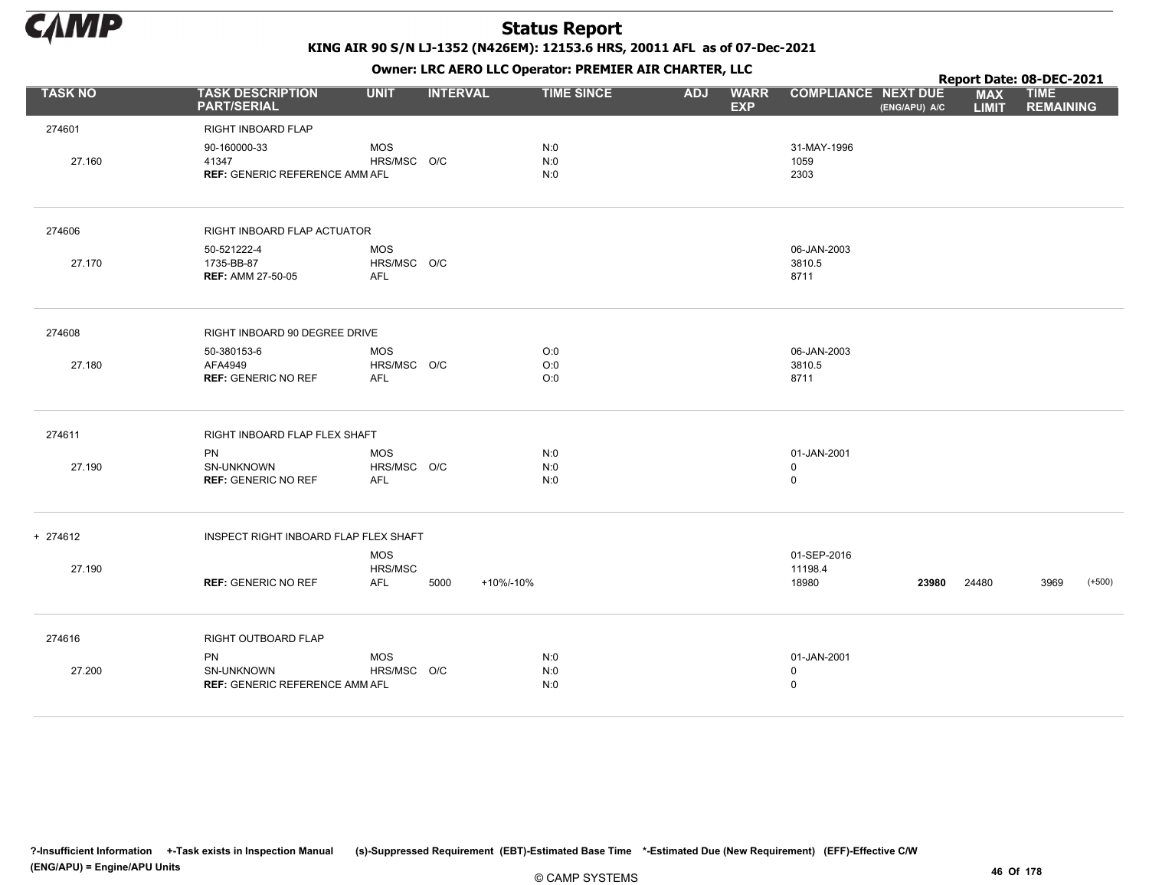

|                |                                                       |                                         |                 |                   |            | . .                       |                               |               |                            | Report Date: 08-DEC-2021        |          |
|----------------|-------------------------------------------------------|-----------------------------------------|-----------------|-------------------|------------|---------------------------|-------------------------------|---------------|----------------------------|---------------------------------|----------|
| <b>TASK NO</b> | <b>TASK DESCRIPTION</b><br><b>PART/SERIAL</b>         | <b>UNIT</b>                             | <b>INTERVAL</b> | <b>TIME SINCE</b> | <b>ADJ</b> | <b>WARR</b><br><b>EXP</b> | <b>COMPLIANCE NEXT DUE</b>    | (ENG/APU) A/C | <b>MAX</b><br><b>LIMIT</b> | <b>TIME</b><br><b>REMAINING</b> |          |
| 274601         | RIGHT INBOARD FLAP                                    |                                         |                 |                   |            |                           |                               |               |                            |                                 |          |
| 27.160         | 90-160000-33<br>41347                                 | <b>MOS</b><br>HRS/MSC O/C               |                 | N:0<br>N:0        |            |                           | 31-MAY-1996<br>1059           |               |                            |                                 |          |
|                | <b>REF: GENERIC REFERENCE AMM AFL</b>                 |                                         |                 | N:0               |            |                           | 2303                          |               |                            |                                 |          |
| 274606         | RIGHT INBOARD FLAP ACTUATOR                           |                                         |                 |                   |            |                           |                               |               |                            |                                 |          |
| 27.170         | 50-521222-4<br>1735-BB-87<br><b>REF: AMM 27-50-05</b> | <b>MOS</b><br>HRS/MSC O/C<br><b>AFL</b> |                 |                   |            |                           | 06-JAN-2003<br>3810.5<br>8711 |               |                            |                                 |          |
| 274608         | RIGHT INBOARD 90 DEGREE DRIVE                         |                                         |                 |                   |            |                           |                               |               |                            |                                 |          |
|                | 50-380153-6                                           | <b>MOS</b>                              |                 | O:0               |            |                           | 06-JAN-2003                   |               |                            |                                 |          |
| 27.180         | AFA4949<br><b>REF: GENERIC NO REF</b>                 | HRS/MSC O/C<br>AFL                      |                 | O:0<br>O:0        |            |                           | 3810.5<br>8711                |               |                            |                                 |          |
| 274611         | RIGHT INBOARD FLAP FLEX SHAFT                         |                                         |                 |                   |            |                           |                               |               |                            |                                 |          |
|                | PN                                                    | <b>MOS</b>                              |                 | N:0               |            |                           | 01-JAN-2001                   |               |                            |                                 |          |
| 27.190         | SN-UNKNOWN<br><b>REF: GENERIC NO REF</b>              | HRS/MSC O/C<br>AFL                      |                 | N:0<br>N:0        |            |                           | $\mathsf 0$<br>$\mathsf 0$    |               |                            |                                 |          |
| + 274612       | INSPECT RIGHT INBOARD FLAP FLEX SHAFT                 |                                         |                 |                   |            |                           |                               |               |                            |                                 |          |
|                |                                                       | MOS                                     |                 |                   |            |                           | 01-SEP-2016                   |               |                            |                                 |          |
| 27.190         | <b>REF: GENERIC NO REF</b>                            | HRS/MSC<br>AFL                          | 5000            | +10%/-10%         |            |                           | 11198.4<br>18980              | 23980         | 24480                      | 3969                            | $(+500)$ |
| 274616         | RIGHT OUTBOARD FLAP                                   |                                         |                 |                   |            |                           |                               |               |                            |                                 |          |
|                | <b>PN</b>                                             | <b>MOS</b>                              |                 | N:0               |            |                           | 01-JAN-2001                   |               |                            |                                 |          |
| 27.200         | SN-UNKNOWN<br><b>REF: GENERIC REFERENCE AMM AFL</b>   | HRS/MSC O/C                             |                 | N:0<br>N:0        |            |                           | $\mathbf 0$<br>$\mathsf 0$    |               |                            |                                 |          |
|                |                                                       |                                         |                 |                   |            |                           |                               |               |                            |                                 |          |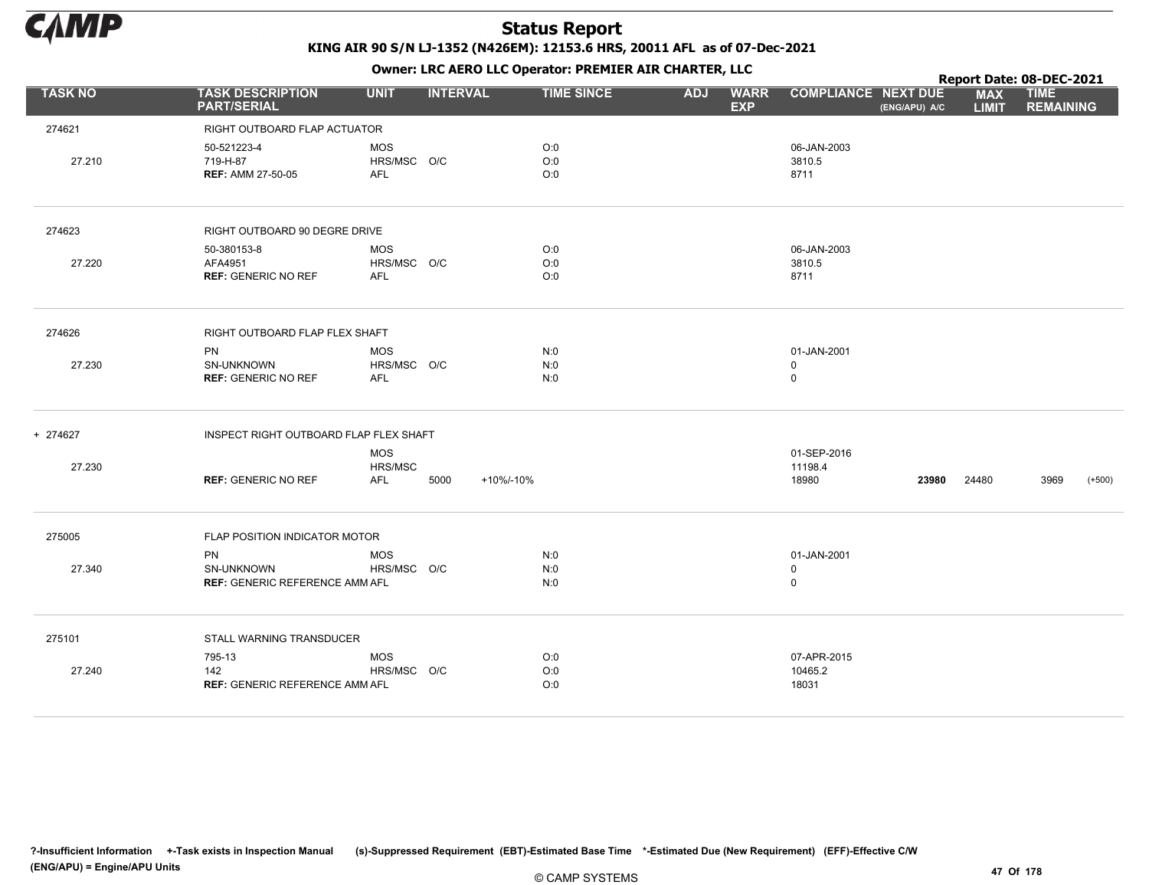

|                |                                                           |                                             |                   |            | . .                       |                                             |                            | Report Date: 08-DEC-2021        |
|----------------|-----------------------------------------------------------|---------------------------------------------|-------------------|------------|---------------------------|---------------------------------------------|----------------------------|---------------------------------|
| <b>TASK NO</b> | <b>TASK DESCRIPTION</b><br><b>PART/SERIAL</b>             | <b>UNIT</b><br><b>INTERVAL</b>              | <b>TIME SINCE</b> | <b>ADJ</b> | <b>WARR</b><br><b>EXP</b> | <b>COMPLIANCE NEXT DUE</b><br>(ENG/APU) A/C | <b>MAX</b><br><b>LIMIT</b> | <b>TIME</b><br><b>REMAINING</b> |
| 274621         | RIGHT OUTBOARD FLAP ACTUATOR                              |                                             |                   |            |                           |                                             |                            |                                 |
| 27.210         | 50-521223-4<br>719-H-87<br><b>REF: AMM 27-50-05</b>       | MOS<br>HRS/MSC O/C<br><b>AFL</b>            | O:0<br>O:0<br>O:0 |            |                           | 06-JAN-2003<br>3810.5<br>8711               |                            |                                 |
| 274623         | RIGHT OUTBOARD 90 DEGRE DRIVE                             |                                             |                   |            |                           |                                             |                            |                                 |
| 27.220         | 50-380153-8<br>AFA4951<br><b>REF: GENERIC NO REF</b>      | MOS<br>HRS/MSC O/C<br>AFL                   | O:0<br>O:0<br>O:0 |            |                           | 06-JAN-2003<br>3810.5<br>8711               |                            |                                 |
| 274626         | RIGHT OUTBOARD FLAP FLEX SHAFT                            |                                             |                   |            |                           |                                             |                            |                                 |
| 27.230         | PN<br>SN-UNKNOWN<br><b>REF: GENERIC NO REF</b>            | <b>MOS</b><br>HRS/MSC O/C<br>AFL            | N:0<br>N:0<br>N:0 |            |                           | 01-JAN-2001<br>$\mathsf 0$<br>$\mathsf 0$   |                            |                                 |
| + 274627       | INSPECT RIGHT OUTBOARD FLAP FLEX SHAFT                    |                                             |                   |            |                           |                                             |                            |                                 |
| 27.230         | <b>REF: GENERIC NO REF</b>                                | <b>MOS</b><br>HRS/MSC<br><b>AFL</b><br>5000 | +10%/-10%         |            |                           | 01-SEP-2016<br>11198.4<br>18980<br>23980    | 24480                      | 3969<br>$(+500)$                |
| 275005         | FLAP POSITION INDICATOR MOTOR                             |                                             |                   |            |                           |                                             |                            |                                 |
| 27.340         | PN<br>SN-UNKNOWN<br><b>REF: GENERIC REFERENCE AMM AFL</b> | <b>MOS</b><br>HRS/MSC O/C                   | N:0<br>N:0<br>N:0 |            |                           | 01-JAN-2001<br>$\mathbf 0$<br>$\mathsf 0$   |                            |                                 |
| 275101         | STALL WARNING TRANSDUCER                                  |                                             |                   |            |                           |                                             |                            |                                 |
| 27.240         | 795-13<br>142<br><b>REF: GENERIC REFERENCE AMM AFL</b>    | <b>MOS</b><br>HRS/MSC O/C                   | O:0<br>O:0<br>O:0 |            |                           | 07-APR-2015<br>10465.2<br>18031             |                            |                                 |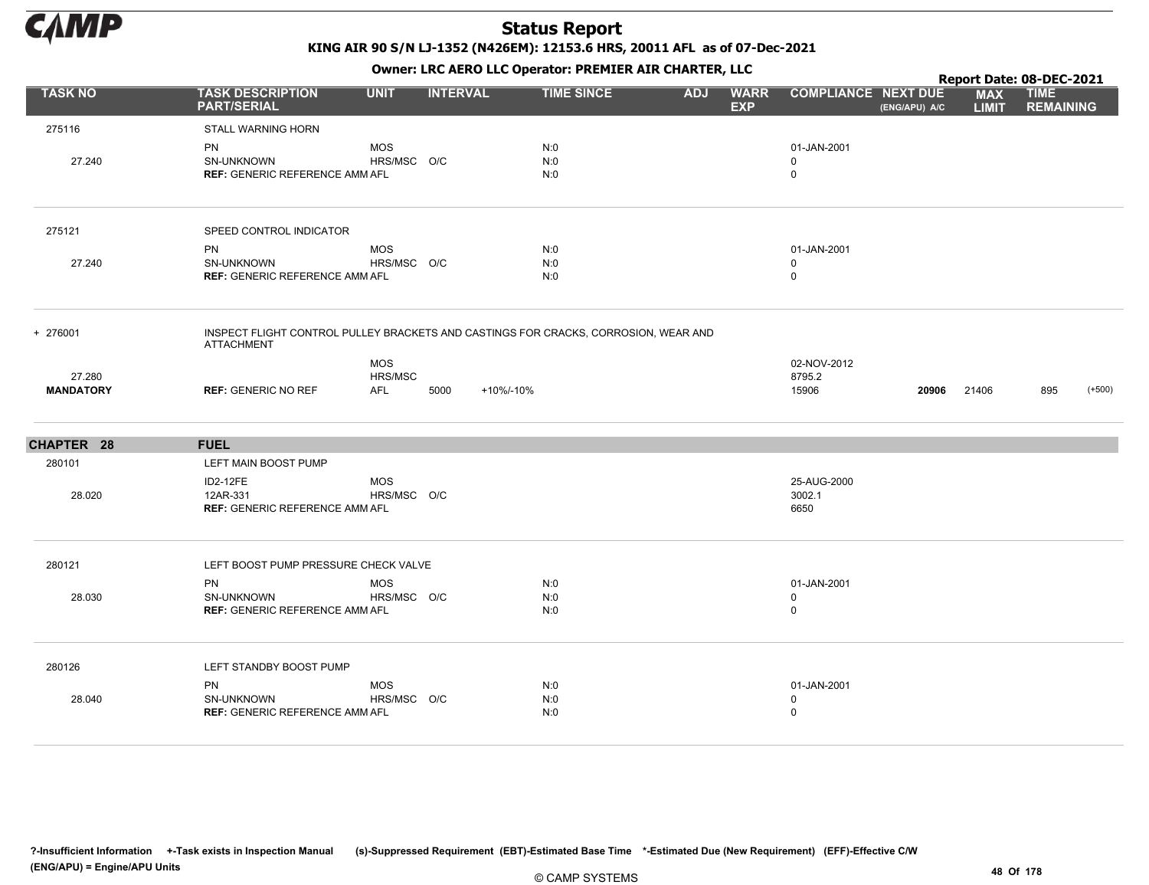

KING AIR 90 S/N LJ-1352 (N426EM): 12153.6 HRS, 20011 AFL as of 07-Dec-2021

|                            |                                                                      |                              |                 | OWHER. LKC ALKO LLC OPERATOR. PREPILER AIR CHARTER, LLC                             |            |                           |                                           |               | Report Date: 08-DEC-2021   |                                 |          |
|----------------------------|----------------------------------------------------------------------|------------------------------|-----------------|-------------------------------------------------------------------------------------|------------|---------------------------|-------------------------------------------|---------------|----------------------------|---------------------------------|----------|
| <b>TASK NO</b>             | <b>TASK DESCRIPTION</b><br><b>PART/SERIAL</b>                        | <b>UNIT</b>                  | <b>INTERVAL</b> | <b>TIME SINCE</b>                                                                   | <b>ADJ</b> | <b>WARR</b><br><b>EXP</b> | <b>COMPLIANCE NEXT DUE</b>                | (ENG/APU) A/C | <b>MAX</b><br><b>LIMIT</b> | <b>TIME</b><br><b>REMAINING</b> |          |
| 275116                     | STALL WARNING HORN                                                   |                              |                 |                                                                                     |            |                           |                                           |               |                            |                                 |          |
| 27.240                     | <b>PN</b><br>SN-UNKNOWN<br><b>REF: GENERIC REFERENCE AMM AFL</b>     | <b>MOS</b><br>HRS/MSC O/C    |                 | N:0<br>N:0<br>N:0                                                                   |            |                           | 01-JAN-2001<br>0<br>$\mathbf 0$           |               |                            |                                 |          |
| 275121                     | SPEED CONTROL INDICATOR                                              |                              |                 |                                                                                     |            |                           |                                           |               |                            |                                 |          |
| 27.240                     | <b>PN</b><br>SN-UNKNOWN<br><b>REF: GENERIC REFERENCE AMM AFL</b>     | <b>MOS</b><br>HRS/MSC O/C    |                 | N:0<br>N:0<br>N:0                                                                   |            |                           | 01-JAN-2001<br>0<br>$\mathbf 0$           |               |                            |                                 |          |
| + 276001                   | <b>ATTACHMENT</b>                                                    |                              |                 | INSPECT FLIGHT CONTROL PULLEY BRACKETS AND CASTINGS FOR CRACKS, CORROSION, WEAR AND |            |                           |                                           |               |                            |                                 |          |
| 27.280<br><b>MANDATORY</b> | <b>REF: GENERIC NO REF</b>                                           | <b>MOS</b><br>HRS/MSC<br>AFL | 5000            | +10%/-10%                                                                           |            |                           | 02-NOV-2012<br>8795.2<br>15906            | 20906         | 21406                      | 895                             | $(+500)$ |
| CHAPTER 28                 | <b>FUEL</b>                                                          |                              |                 |                                                                                     |            |                           |                                           |               |                            |                                 |          |
| 280101                     | LEFT MAIN BOOST PUMP                                                 |                              |                 |                                                                                     |            |                           |                                           |               |                            |                                 |          |
| 28.020                     | <b>ID2-12FE</b><br>12AR-331<br><b>REF: GENERIC REFERENCE AMM AFL</b> | <b>MOS</b><br>HRS/MSC O/C    |                 |                                                                                     |            |                           | 25-AUG-2000<br>3002.1<br>6650             |               |                            |                                 |          |
| 280121                     | LEFT BOOST PUMP PRESSURE CHECK VALVE                                 |                              |                 |                                                                                     |            |                           |                                           |               |                            |                                 |          |
| 28.030                     | <b>PN</b><br>SN-UNKNOWN<br><b>REF: GENERIC REFERENCE AMM AFL</b>     | <b>MOS</b><br>HRS/MSC O/C    |                 | N:0<br>N:0<br>N:0                                                                   |            |                           | 01-JAN-2001<br>$\mathbf 0$<br>$\mathbf 0$ |               |                            |                                 |          |
| 280126                     | LEFT STANDBY BOOST PUMP                                              |                              |                 |                                                                                     |            |                           |                                           |               |                            |                                 |          |
| 28.040                     | <b>PN</b><br>SN-UNKNOWN<br><b>REF: GENERIC REFERENCE AMM AFL</b>     | <b>MOS</b><br>HRS/MSC O/C    |                 | N:0<br>N:0<br>N:0                                                                   |            |                           | 01-JAN-2001<br>$\mathbf 0$<br>$\mathbf 0$ |               |                            |                                 |          |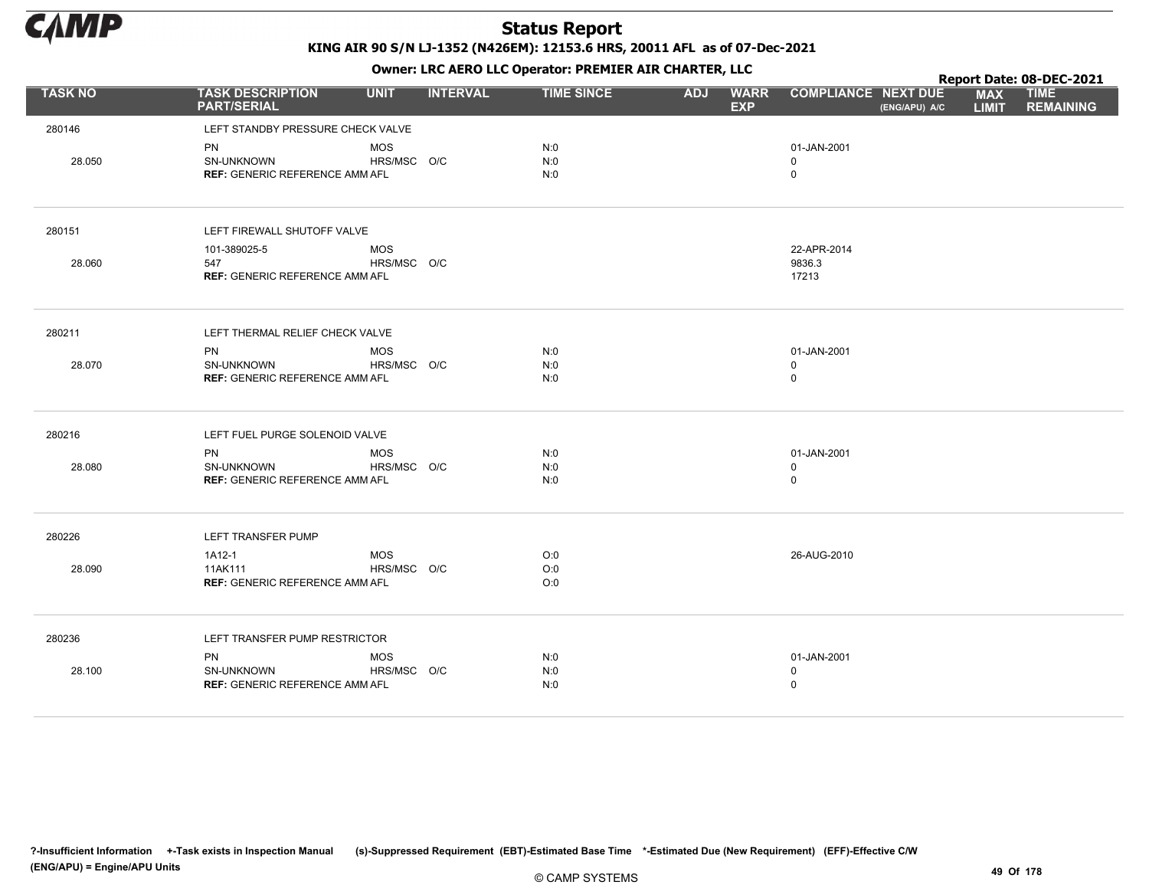

KING AIR 90 S/N LJ-1352 (N426EM): 12153.6 HRS, 20011 AFL as of 07-Dec-2021

|                | OWHER. LKC ALKO LLC OPERATOR. PREPILER AIR CHARTER, LLC          |                           |                 |                   |            |                           |                                           |               |                            | Report Date: 08-DEC-2021        |  |  |  |
|----------------|------------------------------------------------------------------|---------------------------|-----------------|-------------------|------------|---------------------------|-------------------------------------------|---------------|----------------------------|---------------------------------|--|--|--|
| <b>TASK NO</b> | <b>TASK DESCRIPTION</b><br><b>PART/SERIAL</b>                    | <b>UNIT</b>               | <b>INTERVAL</b> | <b>TIME SINCE</b> | <b>ADJ</b> | <b>WARR</b><br><b>EXP</b> | <b>COMPLIANCE NEXT DUE</b>                | (ENG/APU) A/C | <b>MAX</b><br><b>LIMIT</b> | <b>TIME</b><br><b>REMAINING</b> |  |  |  |
| 280146         | LEFT STANDBY PRESSURE CHECK VALVE                                |                           |                 |                   |            |                           |                                           |               |                            |                                 |  |  |  |
| 28.050         | <b>PN</b><br>SN-UNKNOWN<br><b>REF: GENERIC REFERENCE AMM AFL</b> | <b>MOS</b><br>HRS/MSC O/C |                 | N:0<br>N:0<br>N:0 |            |                           | 01-JAN-2001<br>$\mathbf 0$<br>$\mathsf 0$ |               |                            |                                 |  |  |  |
| 280151         | LEFT FIREWALL SHUTOFF VALVE                                      |                           |                 |                   |            |                           |                                           |               |                            |                                 |  |  |  |
| 28.060         | 101-389025-5<br>547<br><b>REF: GENERIC REFERENCE AMM AFL</b>     | <b>MOS</b><br>HRS/MSC O/C |                 |                   |            |                           | 22-APR-2014<br>9836.3<br>17213            |               |                            |                                 |  |  |  |
| 280211         | LEFT THERMAL RELIEF CHECK VALVE                                  |                           |                 |                   |            |                           |                                           |               |                            |                                 |  |  |  |
| 28.070         | <b>PN</b><br>SN-UNKNOWN<br><b>REF: GENERIC REFERENCE AMM AFL</b> | <b>MOS</b><br>HRS/MSC O/C |                 | N:0<br>N:0<br>N:0 |            |                           | 01-JAN-2001<br>$\mathbf 0$<br>$\mathsf 0$ |               |                            |                                 |  |  |  |
| 280216         | LEFT FUEL PURGE SOLENOID VALVE                                   |                           |                 |                   |            |                           |                                           |               |                            |                                 |  |  |  |
| 28.080         | PN<br>SN-UNKNOWN<br><b>REF: GENERIC REFERENCE AMM AFL</b>        | <b>MOS</b><br>HRS/MSC O/C |                 | N:0<br>N:0<br>N:0 |            |                           | 01-JAN-2001<br>$\mathsf 0$<br>$\mathsf 0$ |               |                            |                                 |  |  |  |
| 280226         | LEFT TRANSFER PUMP                                               |                           |                 |                   |            |                           |                                           |               |                            |                                 |  |  |  |
| 28.090         | 1A12-1<br>11AK111<br><b>REF: GENERIC REFERENCE AMM AFL</b>       | MOS<br>HRS/MSC O/C        |                 | O:0<br>O:0<br>O:0 |            |                           | 26-AUG-2010                               |               |                            |                                 |  |  |  |
| 280236         | LEFT TRANSFER PUMP RESTRICTOR                                    |                           |                 |                   |            |                           |                                           |               |                            |                                 |  |  |  |
| 28.100         | PN<br><b>SN-UNKNOWN</b><br><b>REF: GENERIC REFERENCE AMM AFL</b> | MOS<br>HRS/MSC O/C        |                 | N:0<br>N:0<br>N:0 |            |                           | 01-JAN-2001<br>$\mathbf 0$<br>$\mathsf 0$ |               |                            |                                 |  |  |  |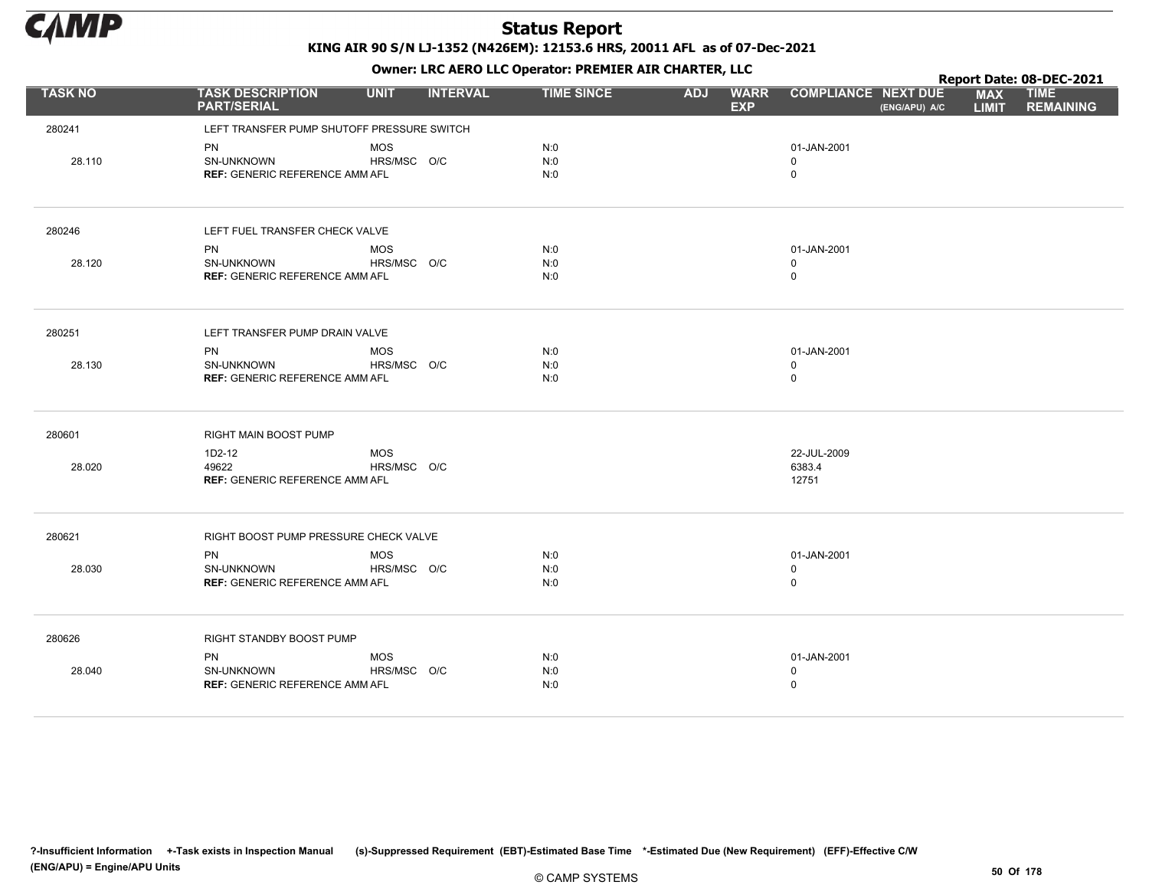

|                |                                               |             |                 |                   | . .        |                           |                            |               |                            | Report Date: 08-DEC-2021        |
|----------------|-----------------------------------------------|-------------|-----------------|-------------------|------------|---------------------------|----------------------------|---------------|----------------------------|---------------------------------|
| <b>TASK NO</b> | <b>TASK DESCRIPTION</b><br><b>PART/SERIAL</b> | <b>UNIT</b> | <b>INTERVAL</b> | <b>TIME SINCE</b> | <b>ADJ</b> | <b>WARR</b><br><b>EXP</b> | <b>COMPLIANCE NEXT DUE</b> | (ENG/APU) A/C | <b>MAX</b><br><b>LIMIT</b> | <b>TIME</b><br><b>REMAINING</b> |
| 280241         | LEFT TRANSFER PUMP SHUTOFF PRESSURE SWITCH    |             |                 |                   |            |                           |                            |               |                            |                                 |
|                | PN                                            | <b>MOS</b>  |                 | N:0               |            |                           | 01-JAN-2001                |               |                            |                                 |
| 28.110         | SN-UNKNOWN                                    | HRS/MSC O/C |                 | N:0               |            |                           | 0                          |               |                            |                                 |
|                | <b>REF: GENERIC REFERENCE AMM AFL</b>         |             |                 | N:0               |            |                           | $\mathsf 0$                |               |                            |                                 |
| 280246         | LEFT FUEL TRANSFER CHECK VALVE                |             |                 |                   |            |                           |                            |               |                            |                                 |
|                | <b>PN</b>                                     | <b>MOS</b>  |                 | N:0               |            |                           | 01-JAN-2001                |               |                            |                                 |
| 28.120         | SN-UNKNOWN                                    | HRS/MSC O/C |                 | N:0               |            |                           | $\mathbf 0$                |               |                            |                                 |
|                | <b>REF: GENERIC REFERENCE AMM AFL</b>         |             |                 | N:0               |            |                           | $\mathsf 0$                |               |                            |                                 |
| 280251         | LEFT TRANSFER PUMP DRAIN VALVE                |             |                 |                   |            |                           |                            |               |                            |                                 |
|                | <b>PN</b>                                     | <b>MOS</b>  |                 | N:0               |            |                           | 01-JAN-2001                |               |                            |                                 |
| 28.130         | SN-UNKNOWN                                    | HRS/MSC O/C |                 | N:0               |            |                           | $\mathbf 0$                |               |                            |                                 |
|                | <b>REF: GENERIC REFERENCE AMM AFL</b>         |             |                 | N:0               |            |                           | $\mathsf 0$                |               |                            |                                 |
| 280601         | RIGHT MAIN BOOST PUMP                         |             |                 |                   |            |                           |                            |               |                            |                                 |
|                | 1D2-12                                        | <b>MOS</b>  |                 |                   |            |                           | 22-JUL-2009                |               |                            |                                 |
| 28.020         | 49622                                         | HRS/MSC O/C |                 |                   |            |                           | 6383.4                     |               |                            |                                 |
|                | <b>REF: GENERIC REFERENCE AMM AFL</b>         |             |                 |                   |            |                           | 12751                      |               |                            |                                 |
| 280621         | RIGHT BOOST PUMP PRESSURE CHECK VALVE         |             |                 |                   |            |                           |                            |               |                            |                                 |
|                | <b>PN</b>                                     | <b>MOS</b>  |                 | N:0               |            |                           | 01-JAN-2001                |               |                            |                                 |
| 28.030         | SN-UNKNOWN                                    | HRS/MSC O/C |                 | N:0               |            |                           | $\mathsf 0$                |               |                            |                                 |
|                | <b>REF: GENERIC REFERENCE AMM AFL</b>         |             |                 | N:0               |            |                           | $\mathsf 0$                |               |                            |                                 |
| 280626         | RIGHT STANDBY BOOST PUMP                      |             |                 |                   |            |                           |                            |               |                            |                                 |
|                | PN                                            | <b>MOS</b>  |                 | N:0               |            |                           | 01-JAN-2001                |               |                            |                                 |
| 28.040         | SN-UNKNOWN                                    | HRS/MSC O/C |                 | N:0               |            |                           | $\mathsf 0$                |               |                            |                                 |
|                | <b>REF: GENERIC REFERENCE AMM AFL</b>         |             |                 | N:0               |            |                           | $\mathbf 0$                |               |                            |                                 |
|                |                                               |             |                 |                   |            |                           |                            |               |                            |                                 |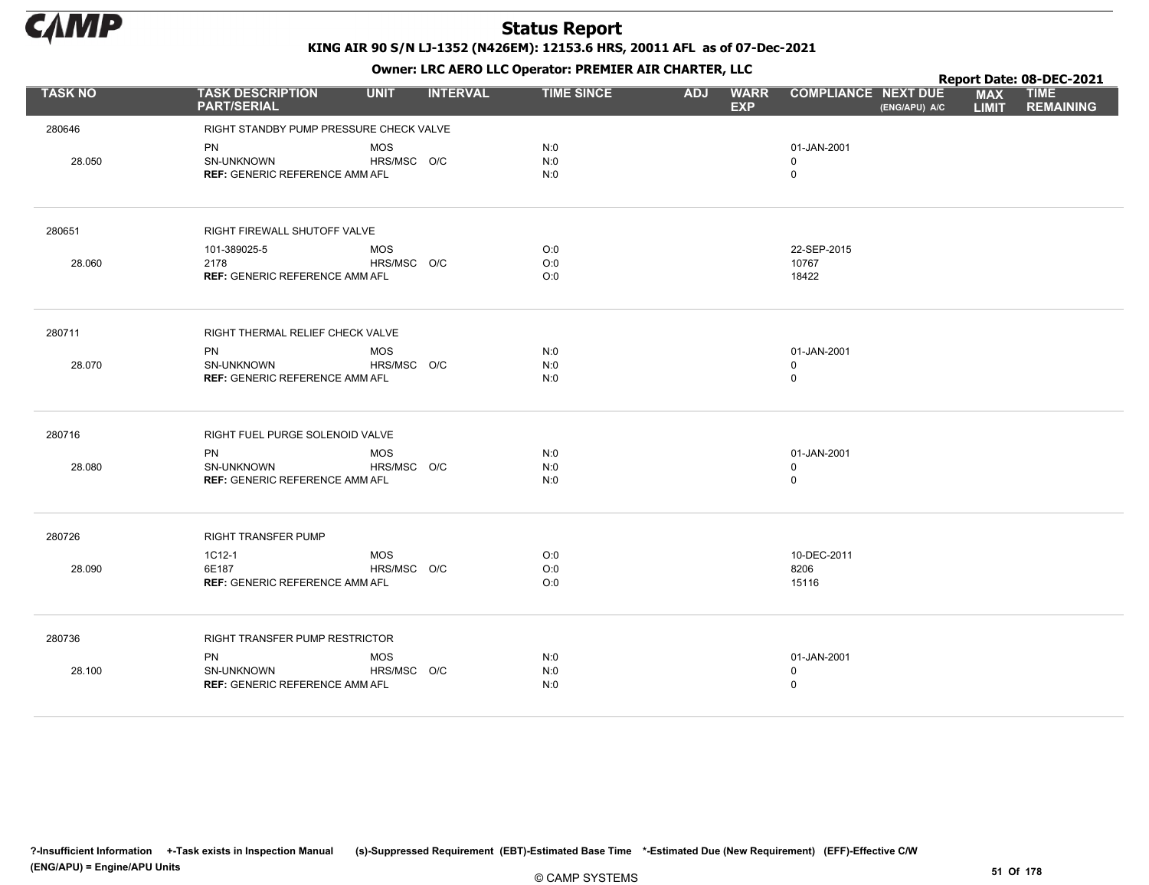

|                |                                                     |             |                 |                   |            |                           |                            | Report Date: 08-DEC-2021 |                            |                                 |  |
|----------------|-----------------------------------------------------|-------------|-----------------|-------------------|------------|---------------------------|----------------------------|--------------------------|----------------------------|---------------------------------|--|
| <b>TASK NO</b> | <b>TASK DESCRIPTION</b><br><b>PART/SERIAL</b>       | <b>UNIT</b> | <b>INTERVAL</b> | <b>TIME SINCE</b> | <b>ADJ</b> | <b>WARR</b><br><b>EXP</b> | <b>COMPLIANCE NEXT DUE</b> | (ENG/APU) A/C            | <b>MAX</b><br><b>LIMIT</b> | <b>TIME</b><br><b>REMAINING</b> |  |
| 280646         | RIGHT STANDBY PUMP PRESSURE CHECK VALVE             |             |                 |                   |            |                           |                            |                          |                            |                                 |  |
|                | <b>PN</b>                                           | <b>MOS</b>  |                 | N:0               |            |                           | 01-JAN-2001                |                          |                            |                                 |  |
| 28.050         | SN-UNKNOWN                                          | HRS/MSC O/C |                 | N:0               |            |                           | $\mathbf 0$                |                          |                            |                                 |  |
|                | <b>REF: GENERIC REFERENCE AMM AFL</b>               |             |                 | N:0               |            |                           | $\mathsf 0$                |                          |                            |                                 |  |
| 280651         | RIGHT FIREWALL SHUTOFF VALVE                        |             |                 |                   |            |                           |                            |                          |                            |                                 |  |
|                | 101-389025-5                                        | <b>MOS</b>  |                 | O:0               |            |                           | 22-SEP-2015                |                          |                            |                                 |  |
| 28.060         | 2178                                                | HRS/MSC O/C |                 | O:0               |            |                           | 10767                      |                          |                            |                                 |  |
|                | <b>REF: GENERIC REFERENCE AMM AFL</b>               |             |                 | O:0               |            |                           | 18422                      |                          |                            |                                 |  |
| 280711         | RIGHT THERMAL RELIEF CHECK VALVE                    |             |                 |                   |            |                           |                            |                          |                            |                                 |  |
|                | <b>PN</b>                                           | <b>MOS</b>  |                 | N:0               |            |                           | 01-JAN-2001                |                          |                            |                                 |  |
| 28.070         | SN-UNKNOWN                                          | HRS/MSC O/C |                 | N:0               |            |                           | $\mathbf 0$                |                          |                            |                                 |  |
|                | <b>REF: GENERIC REFERENCE AMM AFL</b>               |             |                 | N:0               |            |                           | $\mathsf 0$                |                          |                            |                                 |  |
| 280716         | RIGHT FUEL PURGE SOLENOID VALVE                     |             |                 |                   |            |                           |                            |                          |                            |                                 |  |
|                | <b>PN</b>                                           | <b>MOS</b>  |                 | N:0               |            |                           | 01-JAN-2001                |                          |                            |                                 |  |
| 28.080         | SN-UNKNOWN<br><b>REF: GENERIC REFERENCE AMM AFL</b> | HRS/MSC O/C |                 | N:0<br>N:0        |            |                           | $\mathbf 0$<br>$\mathsf 0$ |                          |                            |                                 |  |
|                |                                                     |             |                 |                   |            |                           |                            |                          |                            |                                 |  |
| 280726         | RIGHT TRANSFER PUMP                                 |             |                 |                   |            |                           |                            |                          |                            |                                 |  |
|                | 1C12-1                                              | <b>MOS</b>  |                 | O:0               |            |                           | 10-DEC-2011                |                          |                            |                                 |  |
| 28.090         | 6E187                                               | HRS/MSC O/C |                 | O:0               |            |                           | 8206                       |                          |                            |                                 |  |
|                | <b>REF: GENERIC REFERENCE AMM AFL</b>               |             |                 | O:0               |            |                           | 15116                      |                          |                            |                                 |  |
| 280736         | <b>RIGHT TRANSFER PUMP RESTRICTOR</b>               |             |                 |                   |            |                           |                            |                          |                            |                                 |  |
|                | PN                                                  | <b>MOS</b>  |                 | N:0               |            |                           | 01-JAN-2001                |                          |                            |                                 |  |
| 28.100         | SN-UNKNOWN                                          | HRS/MSC O/C |                 | N:0               |            |                           | $\mathbf 0$                |                          |                            |                                 |  |
|                | <b>REF: GENERIC REFERENCE AMM AFL</b>               |             |                 | N:0               |            |                           | $\mathbf 0$                |                          |                            |                                 |  |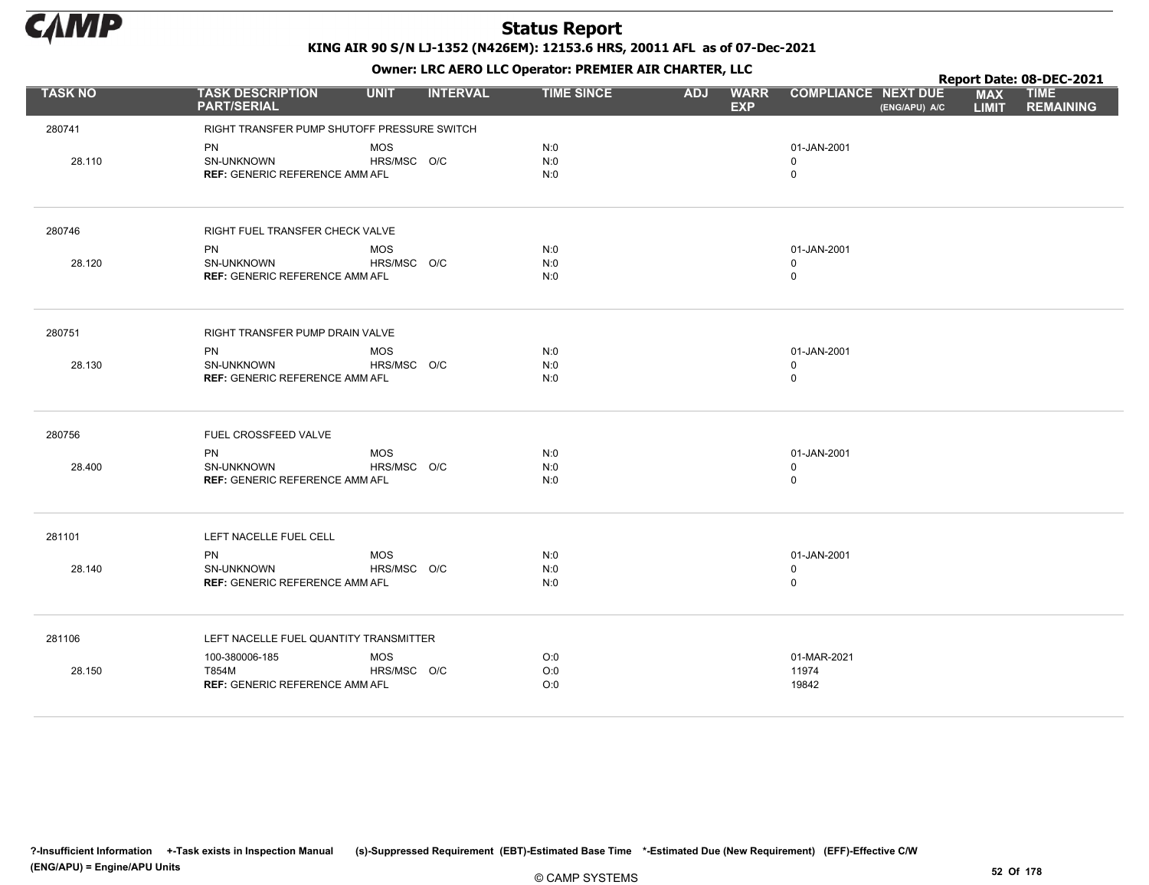

|                |                                                                  |                           |                 | . .               |            |                           | Report Date: 08-DEC-2021                    |                            |                                 |
|----------------|------------------------------------------------------------------|---------------------------|-----------------|-------------------|------------|---------------------------|---------------------------------------------|----------------------------|---------------------------------|
| <b>TASK NO</b> | <b>TASK DESCRIPTION</b><br><b>PART/SERIAL</b>                    | <b>UNIT</b>               | <b>INTERVAL</b> | <b>TIME SINCE</b> | <b>ADJ</b> | <b>WARR</b><br><b>EXP</b> | <b>COMPLIANCE NEXT DUE</b><br>(ENG/APU) A/C | <b>MAX</b><br><b>LIMIT</b> | <b>TIME</b><br><b>REMAINING</b> |
| 280741         | RIGHT TRANSFER PUMP SHUTOFF PRESSURE SWITCH                      |                           |                 |                   |            |                           |                                             |                            |                                 |
| 28.110         | PN<br>SN-UNKNOWN<br><b>REF: GENERIC REFERENCE AMM AFL</b>        | MOS<br>HRS/MSC O/C        |                 | N:0<br>N:0<br>N:0 |            |                           | 01-JAN-2001<br>$\mathbf 0$<br>$\mathsf 0$   |                            |                                 |
| 280746         | RIGHT FUEL TRANSFER CHECK VALVE                                  |                           |                 |                   |            |                           |                                             |                            |                                 |
| 28.120         | PN<br>SN-UNKNOWN<br><b>REF: GENERIC REFERENCE AMM AFL</b>        | MOS<br>HRS/MSC O/C        |                 | N:0<br>N:0<br>N:0 |            |                           | 01-JAN-2001<br>$\mathbf 0$<br>$\mathsf 0$   |                            |                                 |
| 280751         | RIGHT TRANSFER PUMP DRAIN VALVE                                  |                           |                 |                   |            |                           |                                             |                            |                                 |
| 28.130         | <b>PN</b><br>SN-UNKNOWN<br><b>REF: GENERIC REFERENCE AMM AFL</b> | <b>MOS</b><br>HRS/MSC O/C |                 | N:0<br>N:0<br>N:0 |            |                           | 01-JAN-2001<br>$\mathsf 0$<br>$\mathsf 0$   |                            |                                 |
| 280756         | FUEL CROSSFEED VALVE                                             |                           |                 |                   |            |                           |                                             |                            |                                 |
| 28.400         | <b>PN</b><br>SN-UNKNOWN<br><b>REF: GENERIC REFERENCE AMM AFL</b> | <b>MOS</b><br>HRS/MSC O/C |                 | N:0<br>N:0<br>N:0 |            |                           | 01-JAN-2001<br>$\mathsf 0$<br>$\mathsf 0$   |                            |                                 |
| 281101         | LEFT NACELLE FUEL CELL                                           |                           |                 |                   |            |                           |                                             |                            |                                 |
| 28.140         | PN<br><b>SN-UNKNOWN</b><br><b>REF: GENERIC REFERENCE AMM AFL</b> | <b>MOS</b><br>HRS/MSC O/C |                 | N:0<br>N:0<br>N:0 |            |                           | 01-JAN-2001<br>$\mathbf 0$<br>$\mathsf 0$   |                            |                                 |
| 281106         | LEFT NACELLE FUEL QUANTITY TRANSMITTER                           |                           |                 |                   |            |                           |                                             |                            |                                 |
| 28.150         | 100-380006-185<br>T854M<br><b>REF: GENERIC REFERENCE AMM AFL</b> | MOS<br>HRS/MSC O/C        |                 | O:0<br>O:0<br>O:0 |            |                           | 01-MAR-2021<br>11974<br>19842               |                            |                                 |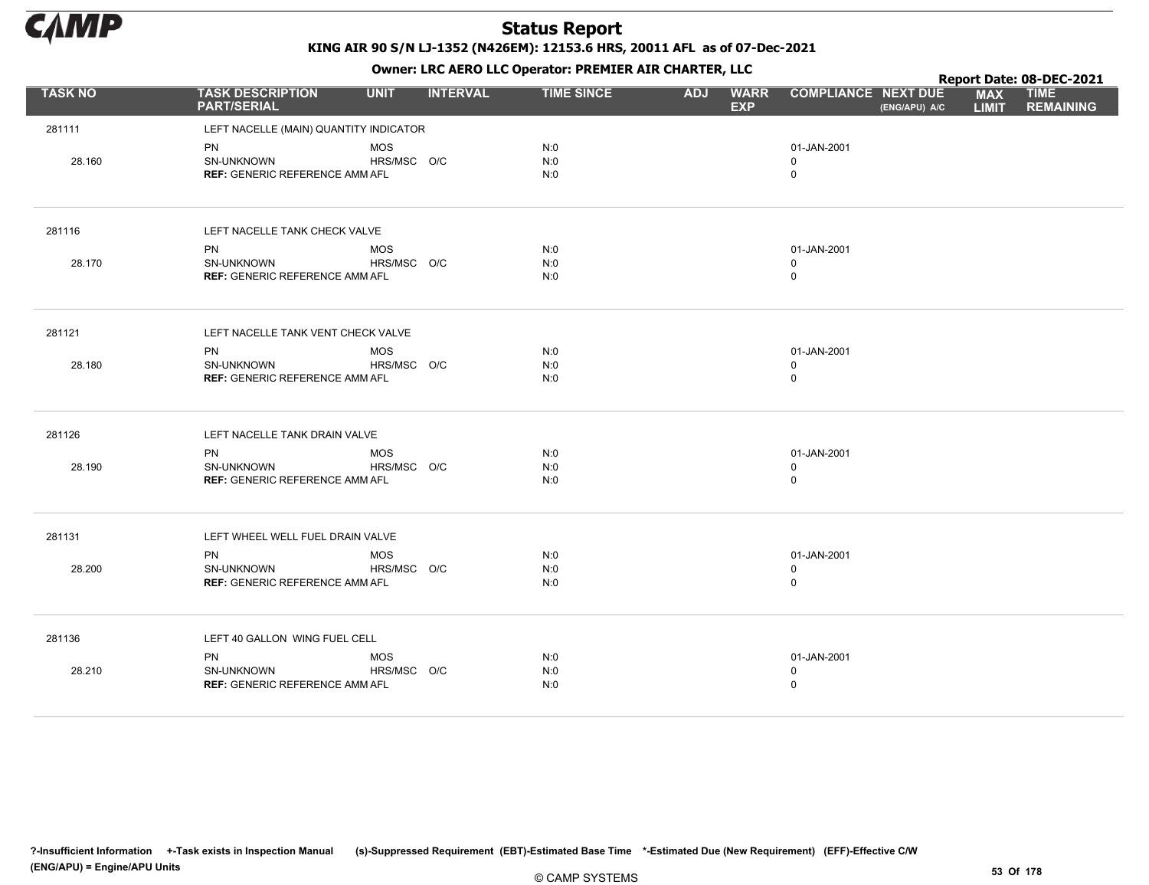

Owner: LRC AERO LLC Operator: PREMIER AIR CHARTER, LLC

|                | OWHER, LKC AERO LLC OPERATOR, PREPILER AIR CHARTER, LLC                 |                           |                 |                   |            |                           |                                           |               | Report Date: 08-DEC-2021   |                                 |  |  |
|----------------|-------------------------------------------------------------------------|---------------------------|-----------------|-------------------|------------|---------------------------|-------------------------------------------|---------------|----------------------------|---------------------------------|--|--|
| <b>TASK NO</b> | <b>TASK DESCRIPTION</b><br><b>PART/SERIAL</b>                           | <b>UNIT</b>               | <b>INTERVAL</b> | <b>TIME SINCE</b> | <b>ADJ</b> | <b>WARR</b><br><b>EXP</b> | <b>COMPLIANCE NEXT DUE</b>                | (ENG/APU) A/C | <b>MAX</b><br><b>LIMIT</b> | <b>TIME</b><br><b>REMAINING</b> |  |  |
| 281111         | LEFT NACELLE (MAIN) QUANTITY INDICATOR                                  |                           |                 |                   |            |                           |                                           |               |                            |                                 |  |  |
| 28.160         | PN<br>SN-UNKNOWN<br><b>REF: GENERIC REFERENCE AMM AFL</b>               | <b>MOS</b><br>HRS/MSC O/C |                 | N:0<br>N:0<br>N:0 |            |                           | 01-JAN-2001<br>$\mathbf 0$<br>$\mathbf 0$ |               |                            |                                 |  |  |
| 281116         | LEFT NACELLE TANK CHECK VALVE                                           |                           |                 |                   |            |                           |                                           |               |                            |                                 |  |  |
| 28.170         | <b>PN</b><br>SN-UNKNOWN<br><b>REF: GENERIC REFERENCE AMM AFL</b>        | <b>MOS</b><br>HRS/MSC O/C |                 | N:0<br>N:0<br>N:0 |            |                           | 01-JAN-2001<br>$\mathbf 0$<br>$\mathsf 0$ |               |                            |                                 |  |  |
| 281121         | LEFT NACELLE TANK VENT CHECK VALVE                                      |                           |                 |                   |            |                           |                                           |               |                            |                                 |  |  |
| 28.180         | <b>PN</b><br>SN-UNKNOWN<br><b>REF: GENERIC REFERENCE AMM AFL</b>        | <b>MOS</b><br>HRS/MSC O/C |                 | N:0<br>N:0<br>N:0 |            |                           | 01-JAN-2001<br>$\mathbf 0$<br>$\mathsf 0$ |               |                            |                                 |  |  |
| 281126         | LEFT NACELLE TANK DRAIN VALVE                                           |                           |                 |                   |            |                           |                                           |               |                            |                                 |  |  |
| 28.190         | <b>PN</b><br>SN-UNKNOWN<br><b>REF: GENERIC REFERENCE AMM AFL</b>        | <b>MOS</b><br>HRS/MSC O/C |                 | N:0<br>N:0<br>N:0 |            |                           | 01-JAN-2001<br>$\mathbf 0$<br>0           |               |                            |                                 |  |  |
| 281131         | LEFT WHEEL WELL FUEL DRAIN VALVE                                        |                           |                 |                   |            |                           |                                           |               |                            |                                 |  |  |
| 28.200         | <b>PN</b><br><b>SN-UNKNOWN</b><br><b>REF: GENERIC REFERENCE AMM AFL</b> | <b>MOS</b><br>HRS/MSC O/C |                 | N:0<br>N:0<br>N:0 |            |                           | 01-JAN-2001<br>$\mathbf 0$<br>0           |               |                            |                                 |  |  |
| 281136         | LEFT 40 GALLON WING FUEL CELL                                           |                           |                 |                   |            |                           |                                           |               |                            |                                 |  |  |
| 28.210         | PN<br><b>SN-UNKNOWN</b><br><b>REF: GENERIC REFERENCE AMM AFL</b>        | <b>MOS</b><br>HRS/MSC O/C |                 | N:0<br>N:0<br>N:0 |            |                           | 01-JAN-2001<br>0<br>0                     |               |                            |                                 |  |  |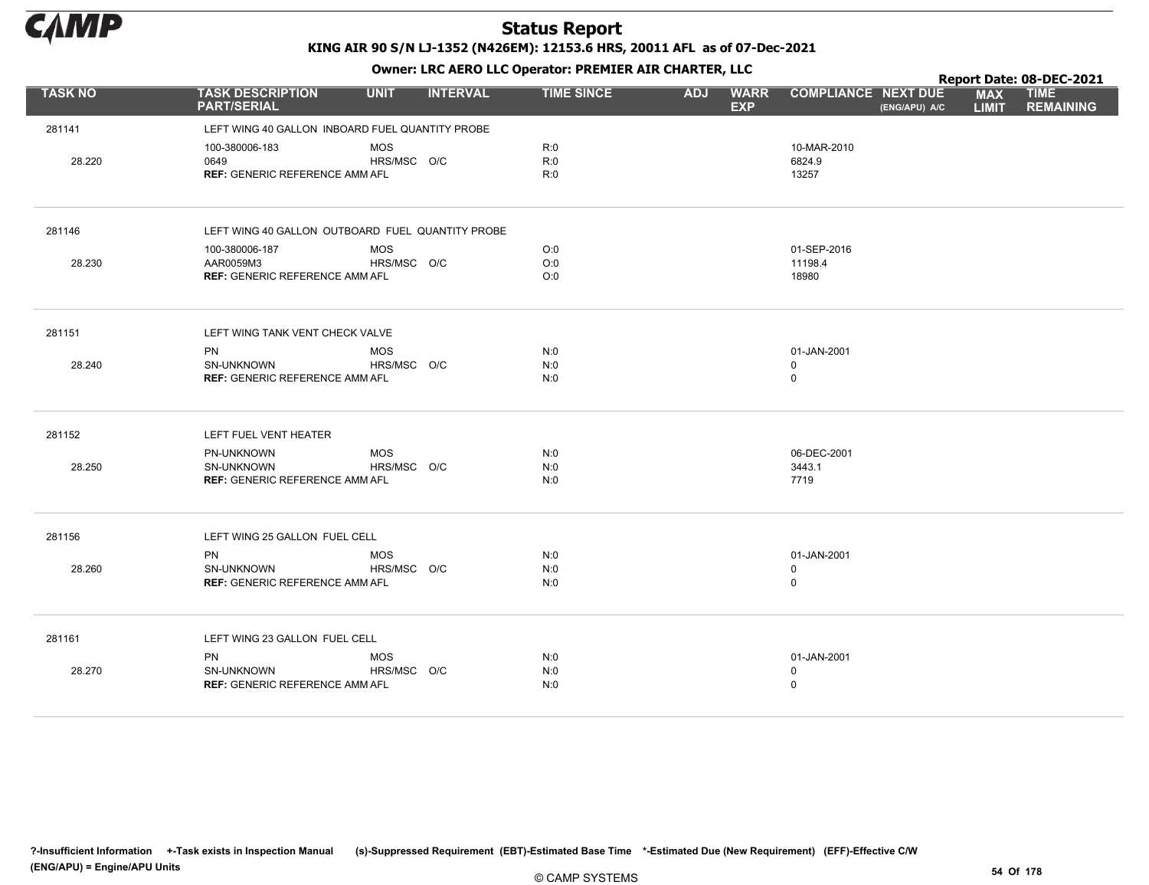

|                |                                                     |             |                 |                   |            |                           |                                             |  |                            | Report Date: 08-DEC-2021        |
|----------------|-----------------------------------------------------|-------------|-----------------|-------------------|------------|---------------------------|---------------------------------------------|--|----------------------------|---------------------------------|
| <b>TASK NO</b> | <b>TASK DESCRIPTION</b><br><b>PART/SERIAL</b>       | <b>UNIT</b> | <b>INTERVAL</b> | <b>TIME SINCE</b> | <b>ADJ</b> | <b>WARR</b><br><b>EXP</b> | <b>COMPLIANCE NEXT DUE</b><br>(ENG/APU) A/C |  | <b>MAX</b><br><b>LIMIT</b> | <b>TIME</b><br><b>REMAINING</b> |
| 281141         | LEFT WING 40 GALLON INBOARD FUEL QUANTITY PROBE     |             |                 |                   |            |                           |                                             |  |                            |                                 |
|                | 100-380006-183                                      | <b>MOS</b>  |                 | R:0               |            |                           | 10-MAR-2010                                 |  |                            |                                 |
| 28.220         | 0649                                                | HRS/MSC O/C |                 | R:0               |            |                           | 6824.9                                      |  |                            |                                 |
|                | <b>REF: GENERIC REFERENCE AMM AFL</b>               |             |                 | R:0               |            |                           | 13257                                       |  |                            |                                 |
| 281146         | LEFT WING 40 GALLON OUTBOARD FUEL QUANTITY PROBE    |             |                 |                   |            |                           |                                             |  |                            |                                 |
|                | 100-380006-187                                      | <b>MOS</b>  |                 | O:0               |            |                           | 01-SEP-2016                                 |  |                            |                                 |
| 28.230         | AAR0059M3                                           | HRS/MSC O/C |                 | O:0               |            |                           | 11198.4                                     |  |                            |                                 |
|                | <b>REF: GENERIC REFERENCE AMM AFL</b>               |             |                 | O:0               |            |                           | 18980                                       |  |                            |                                 |
| 281151         | LEFT WING TANK VENT CHECK VALVE                     |             |                 |                   |            |                           |                                             |  |                            |                                 |
|                | PN                                                  | <b>MOS</b>  |                 | N:0               |            |                           | 01-JAN-2001                                 |  |                            |                                 |
| 28.240         | <b>SN-UNKNOWN</b>                                   | HRS/MSC O/C |                 | N:0               |            |                           | 0                                           |  |                            |                                 |
|                | <b>REF: GENERIC REFERENCE AMM AFL</b>               |             |                 | N:0               |            |                           | $\mathsf 0$                                 |  |                            |                                 |
| 281152         | LEFT FUEL VENT HEATER                               |             |                 |                   |            |                           |                                             |  |                            |                                 |
|                | PN-UNKNOWN                                          | <b>MOS</b>  |                 | N:0               |            |                           | 06-DEC-2001                                 |  |                            |                                 |
| 28.250         | SN-UNKNOWN<br><b>REF: GENERIC REFERENCE AMM AFL</b> | HRS/MSC O/C |                 | N:0               |            |                           | 3443.1<br>7719                              |  |                            |                                 |
|                |                                                     |             |                 | N:0               |            |                           |                                             |  |                            |                                 |
| 281156         | LEFT WING 25 GALLON FUEL CELL                       |             |                 |                   |            |                           |                                             |  |                            |                                 |
|                | <b>PN</b>                                           | <b>MOS</b>  |                 | N:0               |            |                           | 01-JAN-2001                                 |  |                            |                                 |
| 28.260         | SN-UNKNOWN                                          | HRS/MSC O/C |                 | N:0               |            |                           | $\mathbf 0$                                 |  |                            |                                 |
|                | <b>REF: GENERIC REFERENCE AMM AFL</b>               |             |                 | N:0               |            |                           | $\mathsf 0$                                 |  |                            |                                 |
| 281161         | LEFT WING 23 GALLON FUEL CELL                       |             |                 |                   |            |                           |                                             |  |                            |                                 |
|                | PN                                                  | <b>MOS</b>  |                 | N:0               |            |                           | 01-JAN-2001                                 |  |                            |                                 |
| 28.270         | SN-UNKNOWN                                          | HRS/MSC O/C |                 | N:0               |            |                           | $\mathbf 0$                                 |  |                            |                                 |
|                | <b>REF: GENERIC REFERENCE AMM AFL</b>               |             |                 | N:0               |            |                           | $\mathsf 0$                                 |  |                            |                                 |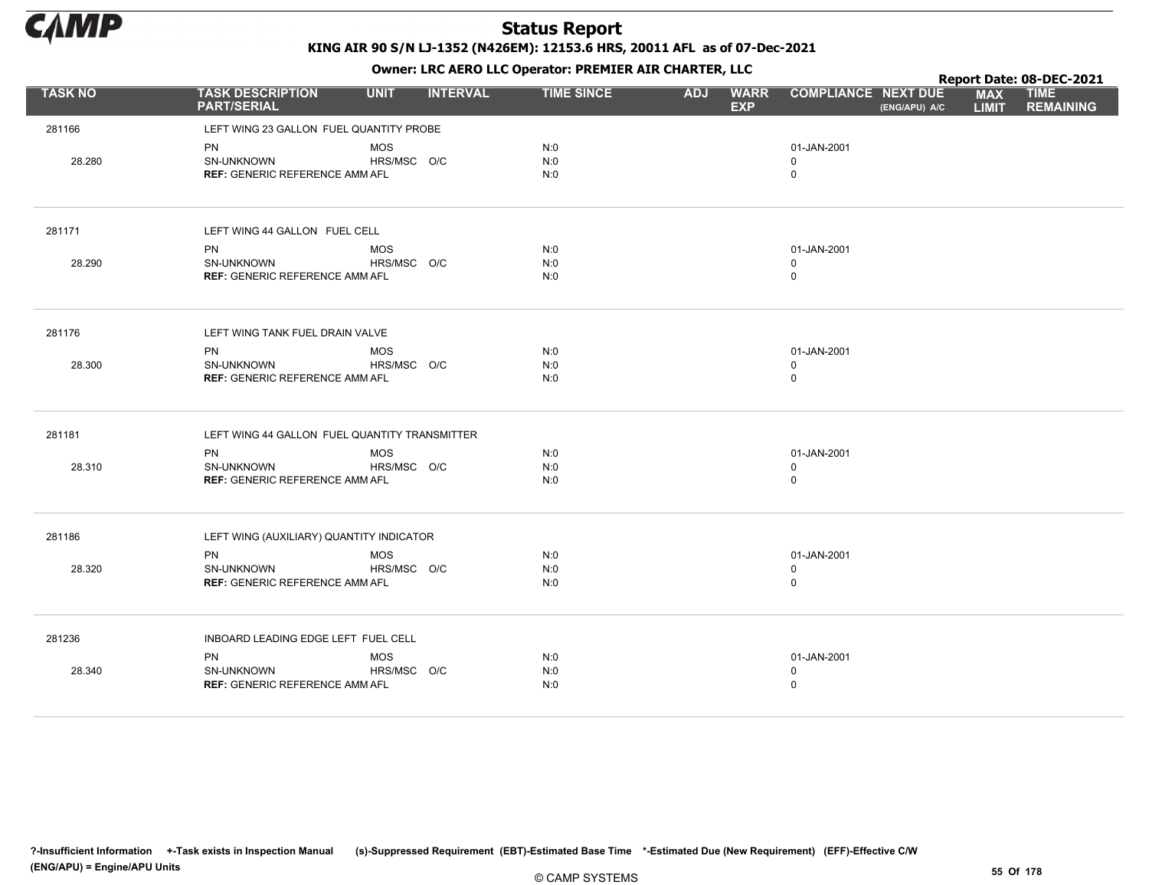

Owner: LRC AERO LLC Operator: PREMIER AIR CHARTER, LLC

|                |                                               |             |                 |                   |            | . .                       |                                             |                            | Report Date: 08-DEC-2021        |
|----------------|-----------------------------------------------|-------------|-----------------|-------------------|------------|---------------------------|---------------------------------------------|----------------------------|---------------------------------|
| <b>TASK NO</b> | <b>TASK DESCRIPTION</b><br><b>PART/SERIAL</b> | <b>UNIT</b> | <b>INTERVAL</b> | <b>TIME SINCE</b> | <b>ADJ</b> | <b>WARR</b><br><b>EXP</b> | <b>COMPLIANCE NEXT DUE</b><br>(ENG/APU) A/C | <b>MAX</b><br><b>LIMIT</b> | <b>TIME</b><br><b>REMAINING</b> |
| 281166         | LEFT WING 23 GALLON FUEL QUANTITY PROBE       |             |                 |                   |            |                           |                                             |                            |                                 |
|                | <b>PN</b>                                     | <b>MOS</b>  |                 | N:0               |            |                           | 01-JAN-2001                                 |                            |                                 |
| 28.280         | SN-UNKNOWN                                    | HRS/MSC O/C |                 | N:0               |            |                           | 0                                           |                            |                                 |
|                | <b>REF: GENERIC REFERENCE AMM AFL</b>         |             |                 | N:0               |            |                           | $\mathbf 0$                                 |                            |                                 |
| 281171         | LEFT WING 44 GALLON FUEL CELL                 |             |                 |                   |            |                           |                                             |                            |                                 |
|                | PN                                            | <b>MOS</b>  |                 | N:0               |            |                           | 01-JAN-2001                                 |                            |                                 |
| 28.290         | SN-UNKNOWN                                    | HRS/MSC O/C |                 | N:0               |            |                           | 0                                           |                            |                                 |
|                | <b>REF: GENERIC REFERENCE AMM AFL</b>         |             |                 | N:0               |            |                           | $\mathbf 0$                                 |                            |                                 |
| 281176         | LEFT WING TANK FUEL DRAIN VALVE               |             |                 |                   |            |                           |                                             |                            |                                 |
|                | PN                                            | <b>MOS</b>  |                 | N:0               |            |                           | 01-JAN-2001                                 |                            |                                 |
| 28.300         | <b>SN-UNKNOWN</b>                             | HRS/MSC O/C |                 | N:0               |            |                           | 0                                           |                            |                                 |
|                | <b>REF: GENERIC REFERENCE AMM AFL</b>         |             |                 | N:0               |            |                           | $\mathbf 0$                                 |                            |                                 |
| 281181         | LEFT WING 44 GALLON FUEL QUANTITY TRANSMITTER |             |                 |                   |            |                           |                                             |                            |                                 |
|                | PN                                            | <b>MOS</b>  |                 | N:0               |            |                           | 01-JAN-2001                                 |                            |                                 |
| 28.310         | SN-UNKNOWN                                    | HRS/MSC O/C |                 | N:0               |            |                           | 0                                           |                            |                                 |
|                | <b>REF: GENERIC REFERENCE AMM AFL</b>         |             |                 | N:0               |            |                           | $\mathbf 0$                                 |                            |                                 |
| 281186         | LEFT WING (AUXILIARY) QUANTITY INDICATOR      |             |                 |                   |            |                           |                                             |                            |                                 |
|                | PN                                            | MOS         |                 | N:0               |            |                           | 01-JAN-2001                                 |                            |                                 |
| 28.320         | SN-UNKNOWN                                    | HRS/MSC O/C |                 | N:0               |            |                           | $\mathbf 0$                                 |                            |                                 |
|                | <b>REF: GENERIC REFERENCE AMM AFL</b>         |             |                 | N:0               |            |                           | $\mathsf 0$                                 |                            |                                 |
| 281236         | INBOARD LEADING EDGE LEFT FUEL CELL           |             |                 |                   |            |                           |                                             |                            |                                 |
|                | <b>PN</b>                                     | <b>MOS</b>  |                 | N:0               |            |                           | 01-JAN-2001                                 |                            |                                 |
| 28.340         | SN-UNKNOWN                                    | HRS/MSC O/C |                 | N:0               |            |                           | 0                                           |                            |                                 |
|                | <b>REF: GENERIC REFERENCE AMM AFL</b>         |             |                 | N:0               |            |                           | $\mathbf 0$                                 |                            |                                 |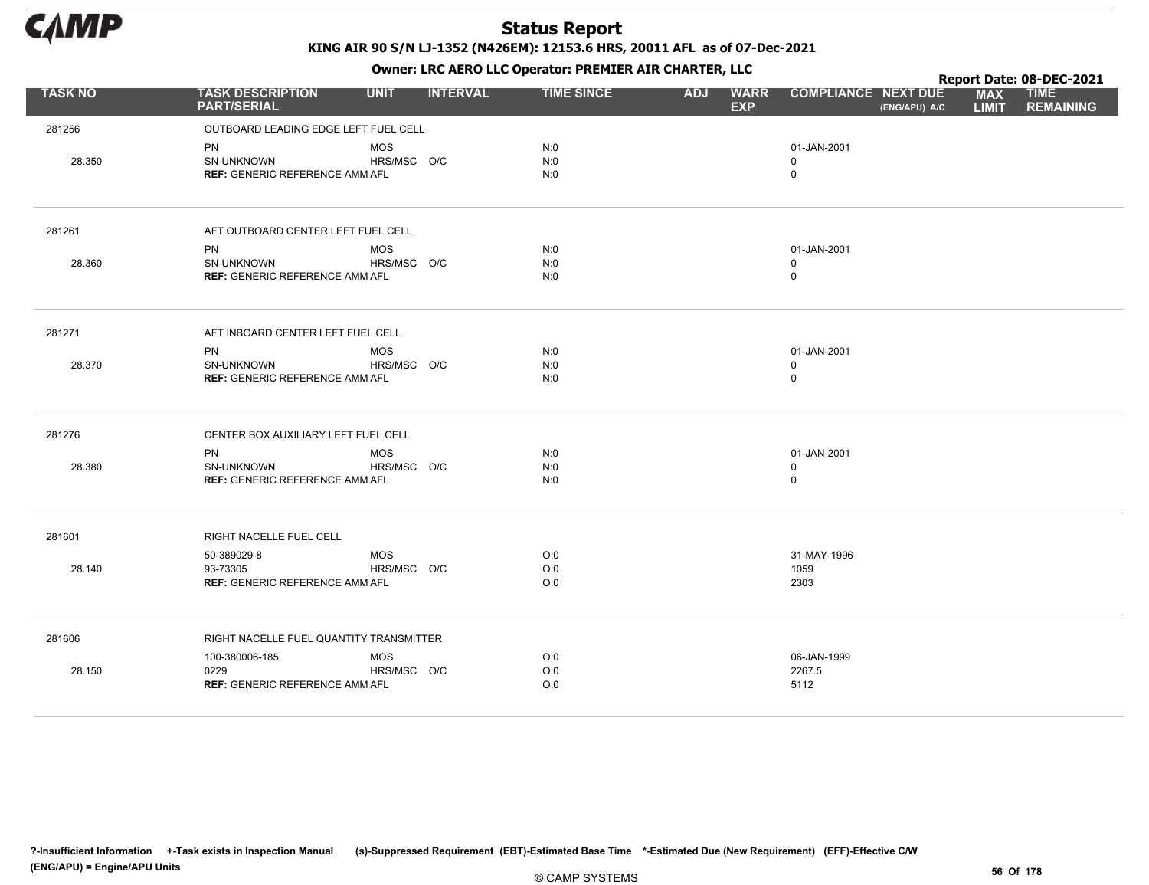

Owner: LRC AERO LLC Operator: PREMIER AIR CHARTER, LLC

|                |                                               |             |                 |                   | $\mathbf{r}$ |                           |                                             |                            | Report Date: 08-DEC-2021        |  |  |
|----------------|-----------------------------------------------|-------------|-----------------|-------------------|--------------|---------------------------|---------------------------------------------|----------------------------|---------------------------------|--|--|
| <b>TASK NO</b> | <b>TASK DESCRIPTION</b><br><b>PART/SERIAL</b> | <b>UNIT</b> | <b>INTERVAL</b> | <b>TIME SINCE</b> | <b>ADJ</b>   | <b>WARR</b><br><b>EXP</b> | <b>COMPLIANCE NEXT DUE</b><br>(ENG/APU) A/C | <b>MAX</b><br><b>LIMIT</b> | <b>TIME</b><br><b>REMAINING</b> |  |  |
| 281256         | OUTBOARD LEADING EDGE LEFT FUEL CELL          |             |                 |                   |              |                           |                                             |                            |                                 |  |  |
|                | PN                                            | <b>MOS</b>  |                 | N:0               |              |                           | 01-JAN-2001                                 |                            |                                 |  |  |
| 28.350         | SN-UNKNOWN                                    | HRS/MSC O/C |                 | N:0               |              |                           | $\mathbf 0$                                 |                            |                                 |  |  |
|                | <b>REF: GENERIC REFERENCE AMM AFL</b>         |             |                 | N:0               |              |                           | $\mathbf 0$                                 |                            |                                 |  |  |
| 281261         | AFT OUTBOARD CENTER LEFT FUEL CELL            |             |                 |                   |              |                           |                                             |                            |                                 |  |  |
|                | <b>PN</b>                                     | <b>MOS</b>  |                 | N:0               |              |                           | 01-JAN-2001                                 |                            |                                 |  |  |
| 28.360         | SN-UNKNOWN                                    | HRS/MSC O/C |                 | N:0               |              |                           | $\mathbf 0$                                 |                            |                                 |  |  |
|                | <b>REF: GENERIC REFERENCE AMM AFL</b>         |             |                 | N:0               |              |                           | $\mathbf 0$                                 |                            |                                 |  |  |
| 281271         | AFT INBOARD CENTER LEFT FUEL CELL             |             |                 |                   |              |                           |                                             |                            |                                 |  |  |
|                | <b>PN</b>                                     | <b>MOS</b>  |                 | N:0               |              |                           | 01-JAN-2001                                 |                            |                                 |  |  |
| 28.370         | SN-UNKNOWN                                    | HRS/MSC O/C |                 | N:0               |              |                           | $\mathbf 0$                                 |                            |                                 |  |  |
|                | <b>REF: GENERIC REFERENCE AMM AFL</b>         |             |                 | N:0               |              |                           | $\mathsf 0$                                 |                            |                                 |  |  |
| 281276         | CENTER BOX AUXILIARY LEFT FUEL CELL           |             |                 |                   |              |                           |                                             |                            |                                 |  |  |
|                | <b>PN</b>                                     | <b>MOS</b>  |                 | N:0               |              |                           | 01-JAN-2001                                 |                            |                                 |  |  |
| 28.380         | <b>SN-UNKNOWN</b>                             | HRS/MSC O/C |                 | N:0               |              |                           | $\mathbf 0$                                 |                            |                                 |  |  |
|                | <b>REF: GENERIC REFERENCE AMM AFL</b>         |             |                 | N:0               |              |                           | $\mathbf 0$                                 |                            |                                 |  |  |
| 281601         | RIGHT NACELLE FUEL CELL                       |             |                 |                   |              |                           |                                             |                            |                                 |  |  |
|                | 50-389029-8                                   | <b>MOS</b>  |                 | O:0               |              |                           | 31-MAY-1996                                 |                            |                                 |  |  |
| 28.140         | 93-73305                                      | HRS/MSC O/C |                 | O:0               |              |                           | 1059                                        |                            |                                 |  |  |
|                | <b>REF: GENERIC REFERENCE AMM AFL</b>         |             |                 | O:0               |              |                           | 2303                                        |                            |                                 |  |  |
| 281606         | RIGHT NACELLE FUEL QUANTITY TRANSMITTER       |             |                 |                   |              |                           |                                             |                            |                                 |  |  |
|                | 100-380006-185                                | <b>MOS</b>  |                 | O:0               |              |                           | 06-JAN-1999                                 |                            |                                 |  |  |
| 28.150         | 0229                                          | HRS/MSC O/C |                 | O:0               |              |                           | 2267.5                                      |                            |                                 |  |  |
|                | <b>REF: GENERIC REFERENCE AMM AFL</b>         |             |                 | O:0               |              |                           | 5112                                        |                            |                                 |  |  |

?-Insufficient Information +-Task exists in Inspection Manual (s)-Suppressed Requirement (EBT)-Estimated Base Time \*-Estimated Due (New Requirement) (EFF)-Effective C/W (ENG/APU) = Engine/APU Units 56 Of 178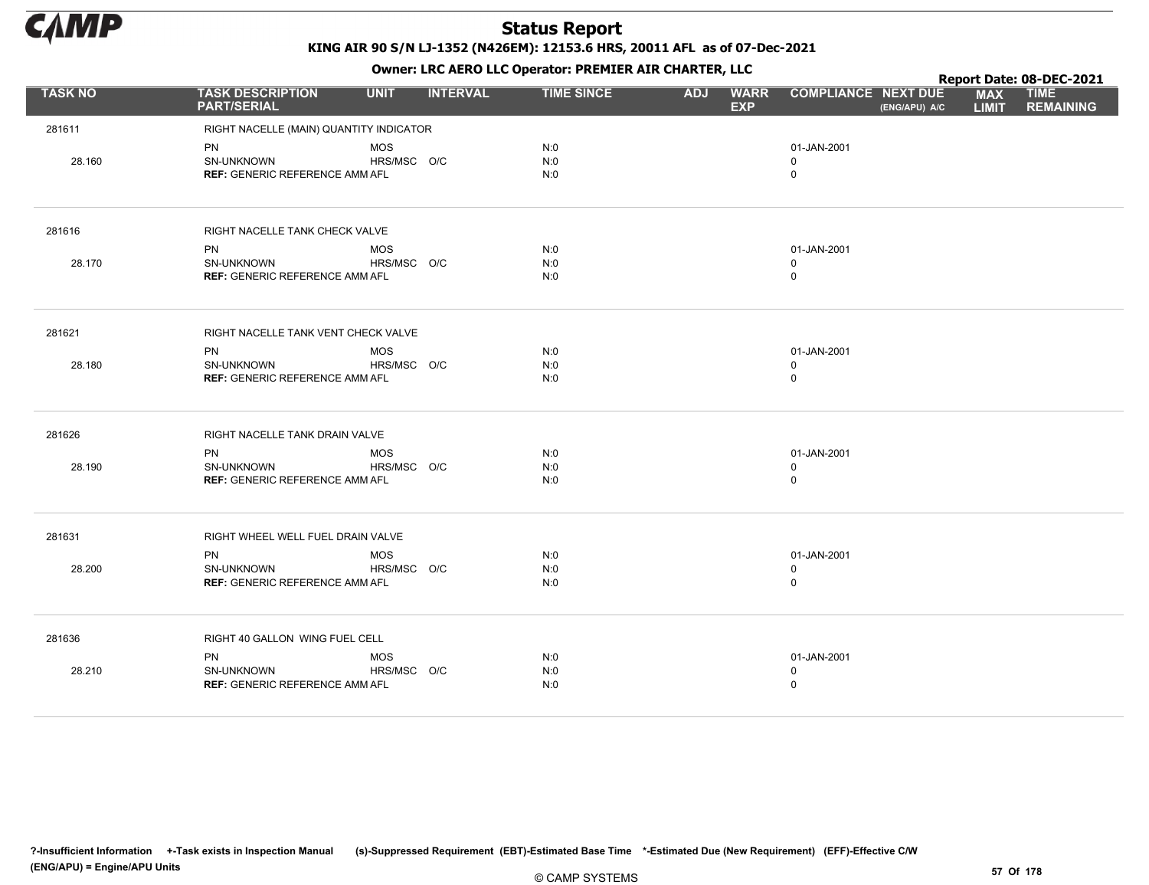

|                |                                               |             |                 |                   | . .        |                           |                            |               |                            | Report Date: 08-DEC-2021        |
|----------------|-----------------------------------------------|-------------|-----------------|-------------------|------------|---------------------------|----------------------------|---------------|----------------------------|---------------------------------|
| <b>TASK NO</b> | <b>TASK DESCRIPTION</b><br><b>PART/SERIAL</b> | <b>UNIT</b> | <b>INTERVAL</b> | <b>TIME SINCE</b> | <b>ADJ</b> | <b>WARR</b><br><b>EXP</b> | <b>COMPLIANCE NEXT DUE</b> | (ENG/APU) A/C | <b>MAX</b><br><b>LIMIT</b> | <b>TIME</b><br><b>REMAINING</b> |
| 281611         | RIGHT NACELLE (MAIN) QUANTITY INDICATOR       |             |                 |                   |            |                           |                            |               |                            |                                 |
|                | PN                                            | <b>MOS</b>  |                 | N:0               |            |                           | 01-JAN-2001                |               |                            |                                 |
| 28.160         | SN-UNKNOWN                                    | HRS/MSC O/C |                 | N:0               |            |                           | 0                          |               |                            |                                 |
|                | <b>REF: GENERIC REFERENCE AMM AFL</b>         |             |                 | N:0               |            |                           | $\mathsf 0$                |               |                            |                                 |
| 281616         | RIGHT NACELLE TANK CHECK VALVE                |             |                 |                   |            |                           |                            |               |                            |                                 |
|                | <b>PN</b>                                     | <b>MOS</b>  |                 | N:0               |            |                           | 01-JAN-2001                |               |                            |                                 |
| 28.170         | SN-UNKNOWN                                    | HRS/MSC O/C |                 | N:0               |            |                           | $\mathbf 0$                |               |                            |                                 |
|                | <b>REF: GENERIC REFERENCE AMM AFL</b>         |             |                 | N:0               |            |                           | $\mathsf 0$                |               |                            |                                 |
| 281621         | RIGHT NACELLE TANK VENT CHECK VALVE           |             |                 |                   |            |                           |                            |               |                            |                                 |
|                | <b>PN</b>                                     | <b>MOS</b>  |                 | N:0               |            |                           | 01-JAN-2001                |               |                            |                                 |
| 28.180         | <b>SN-UNKNOWN</b>                             | HRS/MSC O/C |                 | N:0               |            |                           | $\mathbf 0$                |               |                            |                                 |
|                | <b>REF: GENERIC REFERENCE AMM AFL</b>         |             |                 | N:0               |            |                           | $\mathsf 0$                |               |                            |                                 |
| 281626         | RIGHT NACELLE TANK DRAIN VALVE                |             |                 |                   |            |                           |                            |               |                            |                                 |
|                | <b>PN</b>                                     | <b>MOS</b>  |                 | N:0               |            |                           | 01-JAN-2001                |               |                            |                                 |
| 28.190         | SN-UNKNOWN                                    | HRS/MSC O/C |                 | N:0               |            |                           | $\mathbf 0$                |               |                            |                                 |
|                | <b>REF: GENERIC REFERENCE AMM AFL</b>         |             |                 | N:0               |            |                           | $\mathsf 0$                |               |                            |                                 |
| 281631         | RIGHT WHEEL WELL FUEL DRAIN VALVE             |             |                 |                   |            |                           |                            |               |                            |                                 |
|                | <b>PN</b>                                     | <b>MOS</b>  |                 | N:0               |            |                           | 01-JAN-2001                |               |                            |                                 |
| 28.200         | SN-UNKNOWN                                    | HRS/MSC O/C |                 | N:0               |            |                           | $\mathbf 0$                |               |                            |                                 |
|                | <b>REF: GENERIC REFERENCE AMM AFL</b>         |             |                 | N:0               |            |                           | $\mathsf 0$                |               |                            |                                 |
| 281636         | RIGHT 40 GALLON WING FUEL CELL                |             |                 |                   |            |                           |                            |               |                            |                                 |
|                | PN                                            | <b>MOS</b>  |                 | N:0               |            |                           | 01-JAN-2001                |               |                            |                                 |
| 28.210         | SN-UNKNOWN                                    | HRS/MSC O/C |                 | N:0               |            |                           | $\mathsf 0$                |               |                            |                                 |
|                | <b>REF: GENERIC REFERENCE AMM AFL</b>         |             |                 | N:0               |            |                           | $\mathsf 0$                |               |                            |                                 |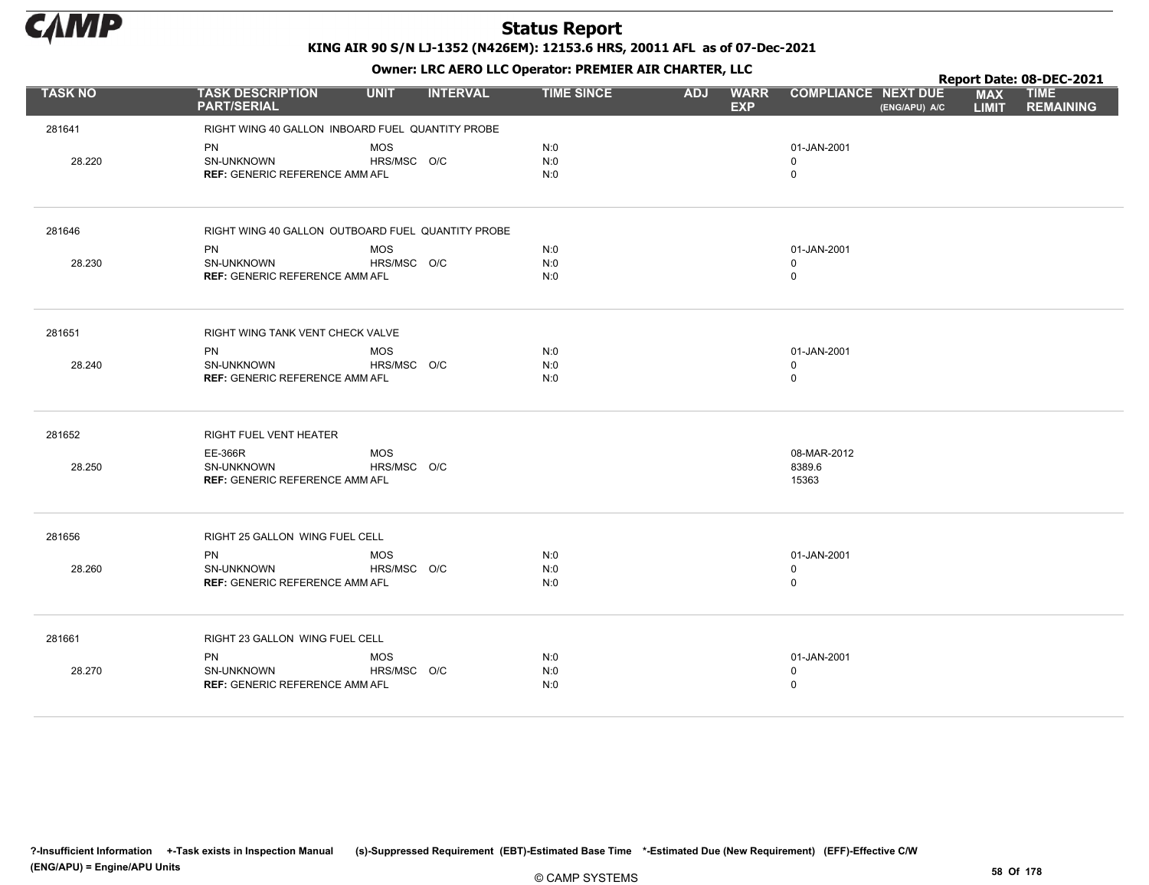

|                |                                                            |             |                 |                   | . .        |                           |                            |               |                            | Report Date: 08-DEC-2021        |
|----------------|------------------------------------------------------------|-------------|-----------------|-------------------|------------|---------------------------|----------------------------|---------------|----------------------------|---------------------------------|
| <b>TASK NO</b> | <b>TASK DESCRIPTION</b><br><b>PART/SERIAL</b>              | <b>UNIT</b> | <b>INTERVAL</b> | <b>TIME SINCE</b> | <b>ADJ</b> | <b>WARR</b><br><b>EXP</b> | <b>COMPLIANCE NEXT DUE</b> | (ENG/APU) A/C | <b>MAX</b><br><b>LIMIT</b> | <b>TIME</b><br><b>REMAINING</b> |
| 281641         | RIGHT WING 40 GALLON INBOARD FUEL QUANTITY PROBE           |             |                 |                   |            |                           |                            |               |                            |                                 |
|                | <b>PN</b>                                                  | <b>MOS</b>  |                 | N:0               |            |                           | 01-JAN-2001                |               |                            |                                 |
| 28.220         | <b>SN-UNKNOWN</b>                                          | HRS/MSC O/C |                 | N:0               |            |                           | $\mathbf 0$                |               |                            |                                 |
|                | <b>REF: GENERIC REFERENCE AMM AFL</b>                      |             |                 | N:0               |            |                           | $\mathbf 0$                |               |                            |                                 |
| 281646         | RIGHT WING 40 GALLON OUTBOARD FUEL QUANTITY PROBE          |             |                 |                   |            |                           |                            |               |                            |                                 |
|                | PN                                                         | <b>MOS</b>  |                 | N:0               |            |                           | 01-JAN-2001                |               |                            |                                 |
| 28.230         | SN-UNKNOWN                                                 | HRS/MSC O/C |                 | N:0               |            |                           | $\mathbf 0$                |               |                            |                                 |
|                | <b>REF: GENERIC REFERENCE AMM AFL</b>                      |             |                 | N:0               |            |                           | $\mathbf 0$                |               |                            |                                 |
| 281651         | RIGHT WING TANK VENT CHECK VALVE                           |             |                 |                   |            |                           |                            |               |                            |                                 |
|                | PN                                                         | <b>MOS</b>  |                 | N:0               |            |                           | 01-JAN-2001                |               |                            |                                 |
| 28.240         | <b>SN-UNKNOWN</b><br><b>REF: GENERIC REFERENCE AMM AFL</b> | HRS/MSC O/C |                 | N:0<br>N:0        |            |                           | $\mathbf 0$<br>$\mathbf 0$ |               |                            |                                 |
|                |                                                            |             |                 |                   |            |                           |                            |               |                            |                                 |
| 281652         | RIGHT FUEL VENT HEATER                                     |             |                 |                   |            |                           |                            |               |                            |                                 |
|                | EE-366R                                                    | <b>MOS</b>  |                 |                   |            |                           | 08-MAR-2012                |               |                            |                                 |
| 28.250         | SN-UNKNOWN<br><b>REF: GENERIC REFERENCE AMM AFL</b>        | HRS/MSC O/C |                 |                   |            |                           | 8389.6<br>15363            |               |                            |                                 |
|                |                                                            |             |                 |                   |            |                           |                            |               |                            |                                 |
| 281656         | RIGHT 25 GALLON WING FUEL CELL                             |             |                 |                   |            |                           |                            |               |                            |                                 |
|                | <b>PN</b>                                                  | <b>MOS</b>  |                 | N:0               |            |                           | 01-JAN-2001                |               |                            |                                 |
| 28.260         | SN-UNKNOWN                                                 | HRS/MSC O/C |                 | N:0               |            |                           | $\mathbf 0$                |               |                            |                                 |
|                | <b>REF: GENERIC REFERENCE AMM AFL</b>                      |             |                 | N:0               |            |                           | $\mathbf 0$                |               |                            |                                 |
| 281661         | RIGHT 23 GALLON WING FUEL CELL                             |             |                 |                   |            |                           |                            |               |                            |                                 |
|                | PN                                                         | <b>MOS</b>  |                 | N:0               |            |                           | 01-JAN-2001                |               |                            |                                 |
| 28.270         | SN-UNKNOWN                                                 | HRS/MSC O/C |                 | N:0               |            |                           | $\mathbf 0$                |               |                            |                                 |
|                | <b>REF: GENERIC REFERENCE AMM AFL</b>                      |             |                 | N:0               |            |                           | $\mathbf 0$                |               |                            |                                 |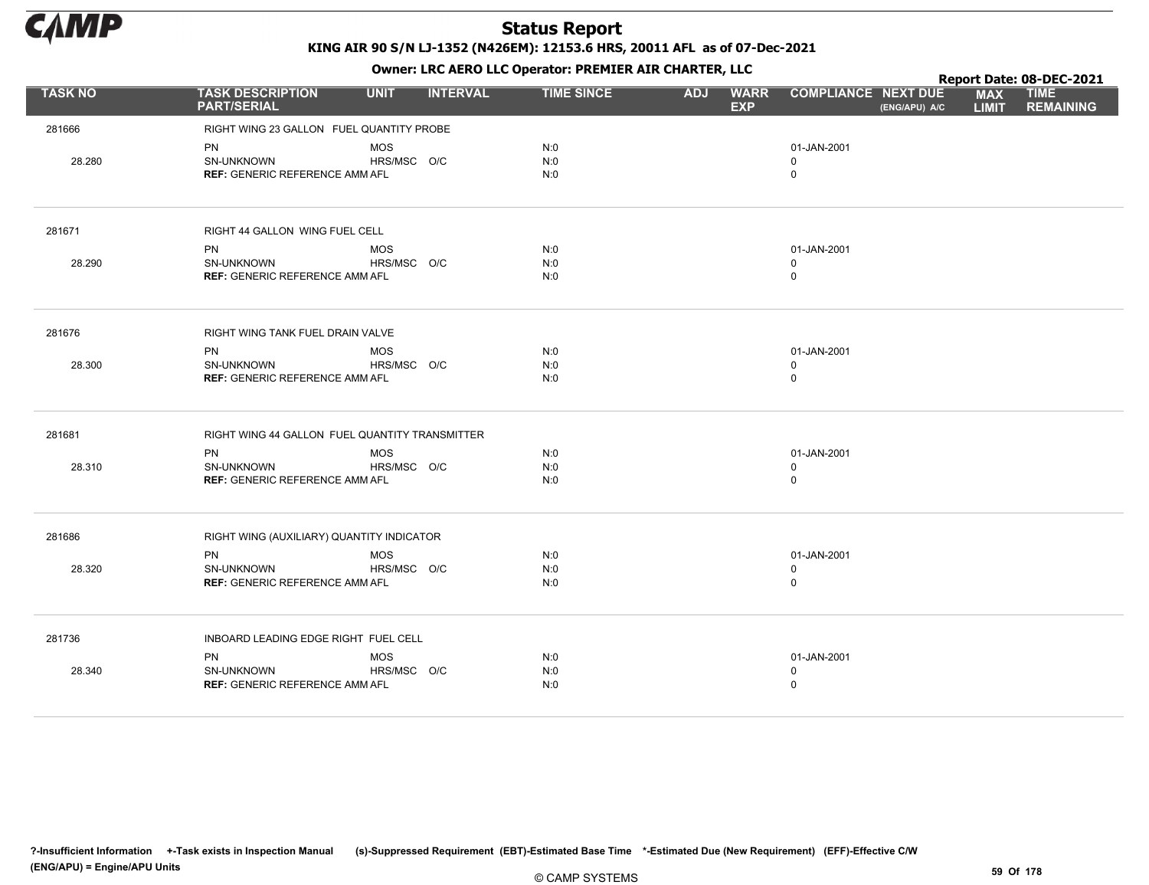

|                |                                                |             |                 |                   |            | . .                       |                                             |                            | Report Date: 08-DEC-2021        |
|----------------|------------------------------------------------|-------------|-----------------|-------------------|------------|---------------------------|---------------------------------------------|----------------------------|---------------------------------|
| <b>TASK NO</b> | <b>TASK DESCRIPTION</b><br><b>PART/SERIAL</b>  | <b>UNIT</b> | <b>INTERVAL</b> | <b>TIME SINCE</b> | <b>ADJ</b> | <b>WARR</b><br><b>EXP</b> | <b>COMPLIANCE NEXT DUE</b><br>(ENG/APU) A/C | <b>MAX</b><br><b>LIMIT</b> | <b>TIME</b><br><b>REMAINING</b> |
| 281666         | RIGHT WING 23 GALLON FUEL QUANTITY PROBE       |             |                 |                   |            |                           |                                             |                            |                                 |
|                | PN                                             | <b>MOS</b>  |                 | N:0               |            |                           | 01-JAN-2001                                 |                            |                                 |
| 28.280         | <b>SN-UNKNOWN</b>                              | HRS/MSC O/C |                 | N:0               |            |                           | $\mathbf 0$                                 |                            |                                 |
|                | <b>REF: GENERIC REFERENCE AMM AFL</b>          |             |                 | N:0               |            |                           | $\mathbf 0$                                 |                            |                                 |
| 281671         | RIGHT 44 GALLON WING FUEL CELL                 |             |                 |                   |            |                           |                                             |                            |                                 |
|                | <b>PN</b>                                      | <b>MOS</b>  |                 | N:0               |            |                           | 01-JAN-2001                                 |                            |                                 |
| 28.290         | SN-UNKNOWN                                     | HRS/MSC O/C |                 | N:0               |            |                           | $\mathbf 0$                                 |                            |                                 |
|                | <b>REF: GENERIC REFERENCE AMM AFL</b>          |             |                 | N:0               |            |                           | $\mathbf 0$                                 |                            |                                 |
| 281676         | RIGHT WING TANK FUEL DRAIN VALVE               |             |                 |                   |            |                           |                                             |                            |                                 |
|                | PN                                             | <b>MOS</b>  |                 | N:0               |            |                           | 01-JAN-2001                                 |                            |                                 |
| 28.300         | <b>SN-UNKNOWN</b>                              | HRS/MSC O/C |                 | N:0               |            |                           | $\mathbf 0$                                 |                            |                                 |
|                | <b>REF: GENERIC REFERENCE AMM AFL</b>          |             |                 | N:0               |            |                           | $\mathsf 0$                                 |                            |                                 |
| 281681         | RIGHT WING 44 GALLON FUEL QUANTITY TRANSMITTER |             |                 |                   |            |                           |                                             |                            |                                 |
|                | PN                                             | <b>MOS</b>  |                 | N:0               |            |                           | 01-JAN-2001                                 |                            |                                 |
| 28.310         | SN-UNKNOWN                                     | HRS/MSC O/C |                 | N:0               |            |                           | $\mathbf 0$                                 |                            |                                 |
|                | <b>REF: GENERIC REFERENCE AMM AFL</b>          |             |                 | N:0               |            |                           | $\mathbf 0$                                 |                            |                                 |
| 281686         | RIGHT WING (AUXILIARY) QUANTITY INDICATOR      |             |                 |                   |            |                           |                                             |                            |                                 |
|                | <b>PN</b>                                      | <b>MOS</b>  |                 | N:0               |            |                           | 01-JAN-2001                                 |                            |                                 |
| 28.320         | SN-UNKNOWN                                     | HRS/MSC O/C |                 | N:0               |            |                           | $\mathbf 0$                                 |                            |                                 |
|                | <b>REF: GENERIC REFERENCE AMM AFL</b>          |             |                 | N:0               |            |                           | $\mathsf 0$                                 |                            |                                 |
| 281736         | INBOARD LEADING EDGE RIGHT FUEL CELL           |             |                 |                   |            |                           |                                             |                            |                                 |
|                | PN                                             | <b>MOS</b>  |                 | N:0               |            |                           | 01-JAN-2001                                 |                            |                                 |
| 28.340         | SN-UNKNOWN                                     | HRS/MSC O/C |                 | N:0               |            |                           | $\mathbf 0$                                 |                            |                                 |
|                | <b>REF: GENERIC REFERENCE AMM AFL</b>          |             |                 | N:0               |            |                           | $\mathbf 0$                                 |                            |                                 |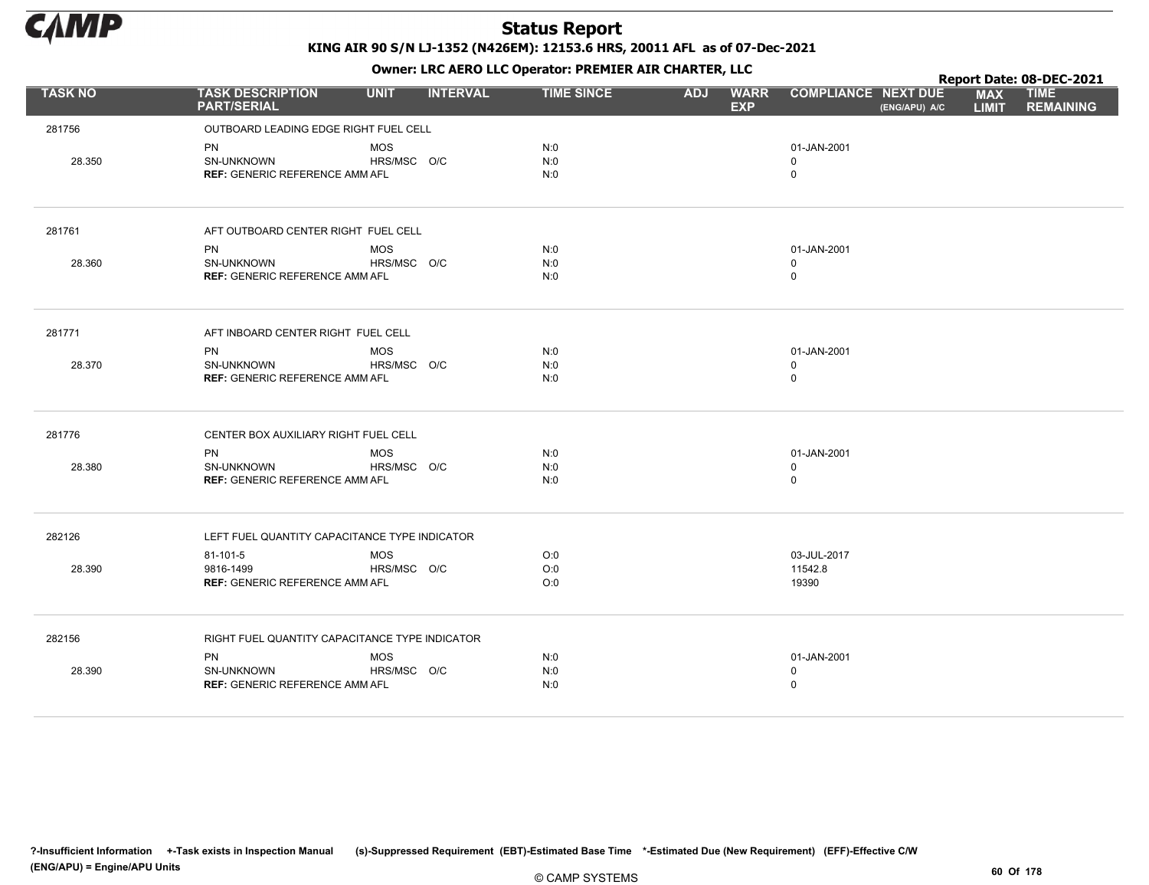

|                |                                                |             |                 |                   |            | . .                       |                            |               |                            | Report Date: 08-DEC-2021        |
|----------------|------------------------------------------------|-------------|-----------------|-------------------|------------|---------------------------|----------------------------|---------------|----------------------------|---------------------------------|
| <b>TASK NO</b> | <b>TASK DESCRIPTION</b><br><b>PART/SERIAL</b>  | <b>UNIT</b> | <b>INTERVAL</b> | <b>TIME SINCE</b> | <b>ADJ</b> | <b>WARR</b><br><b>EXP</b> | <b>COMPLIANCE NEXT DUE</b> | (ENG/APU) A/C | <b>MAX</b><br><b>LIMIT</b> | <b>TIME</b><br><b>REMAINING</b> |
| 281756         | OUTBOARD LEADING EDGE RIGHT FUEL CELL          |             |                 |                   |            |                           |                            |               |                            |                                 |
|                | PN                                             | <b>MOS</b>  |                 | N:0               |            |                           | 01-JAN-2001                |               |                            |                                 |
| 28.350         | <b>SN-UNKNOWN</b>                              | HRS/MSC O/C |                 | N:0               |            |                           | $\mathbf 0$                |               |                            |                                 |
|                | <b>REF: GENERIC REFERENCE AMM AFL</b>          |             |                 | N:0               |            |                           | $\mathbf 0$                |               |                            |                                 |
| 281761         | AFT OUTBOARD CENTER RIGHT FUEL CELL            |             |                 |                   |            |                           |                            |               |                            |                                 |
|                | <b>PN</b>                                      | <b>MOS</b>  |                 | N:0               |            |                           | 01-JAN-2001                |               |                            |                                 |
| 28.360         | SN-UNKNOWN                                     | HRS/MSC O/C |                 | N:0               |            |                           | $\mathbf 0$                |               |                            |                                 |
|                | <b>REF: GENERIC REFERENCE AMM AFL</b>          |             |                 | N:0               |            |                           | $\mathbf 0$                |               |                            |                                 |
| 281771         | AFT INBOARD CENTER RIGHT FUEL CELL             |             |                 |                   |            |                           |                            |               |                            |                                 |
|                | PN                                             | <b>MOS</b>  |                 | N:0               |            |                           | 01-JAN-2001                |               |                            |                                 |
| 28.370         | <b>SN-UNKNOWN</b>                              | HRS/MSC O/C |                 | N:0               |            |                           | $\mathbf 0$                |               |                            |                                 |
|                | <b>REF: GENERIC REFERENCE AMM AFL</b>          |             |                 | N:0               |            |                           | $\mathbf 0$                |               |                            |                                 |
| 281776         | CENTER BOX AUXILIARY RIGHT FUEL CELL           |             |                 |                   |            |                           |                            |               |                            |                                 |
|                | <b>PN</b>                                      | <b>MOS</b>  |                 | N:0               |            |                           | 01-JAN-2001                |               |                            |                                 |
| 28.380         | SN-UNKNOWN                                     | HRS/MSC O/C |                 | N:0               |            |                           | $\mathbf 0$                |               |                            |                                 |
|                | <b>REF: GENERIC REFERENCE AMM AFL</b>          |             |                 | N:0               |            |                           | $\mathbf 0$                |               |                            |                                 |
| 282126         | LEFT FUEL QUANTITY CAPACITANCE TYPE INDICATOR  |             |                 |                   |            |                           |                            |               |                            |                                 |
|                | 81-101-5                                       | <b>MOS</b>  |                 | O:0               |            |                           | 03-JUL-2017                |               |                            |                                 |
| 28.390         | 9816-1499                                      | HRS/MSC O/C |                 | O:0               |            |                           | 11542.8                    |               |                            |                                 |
|                | <b>REF: GENERIC REFERENCE AMM AFL</b>          |             |                 | O:0               |            |                           | 19390                      |               |                            |                                 |
| 282156         | RIGHT FUEL QUANTITY CAPACITANCE TYPE INDICATOR |             |                 |                   |            |                           |                            |               |                            |                                 |
|                | PN                                             | <b>MOS</b>  |                 | N:0               |            |                           | 01-JAN-2001                |               |                            |                                 |
| 28.390         | SN-UNKNOWN                                     | HRS/MSC O/C |                 | N:0               |            |                           | $\mathbf 0$                |               |                            |                                 |
|                | <b>REF: GENERIC REFERENCE AMM AFL</b>          |             |                 | N:0               |            |                           | $\mathbf 0$                |               |                            |                                 |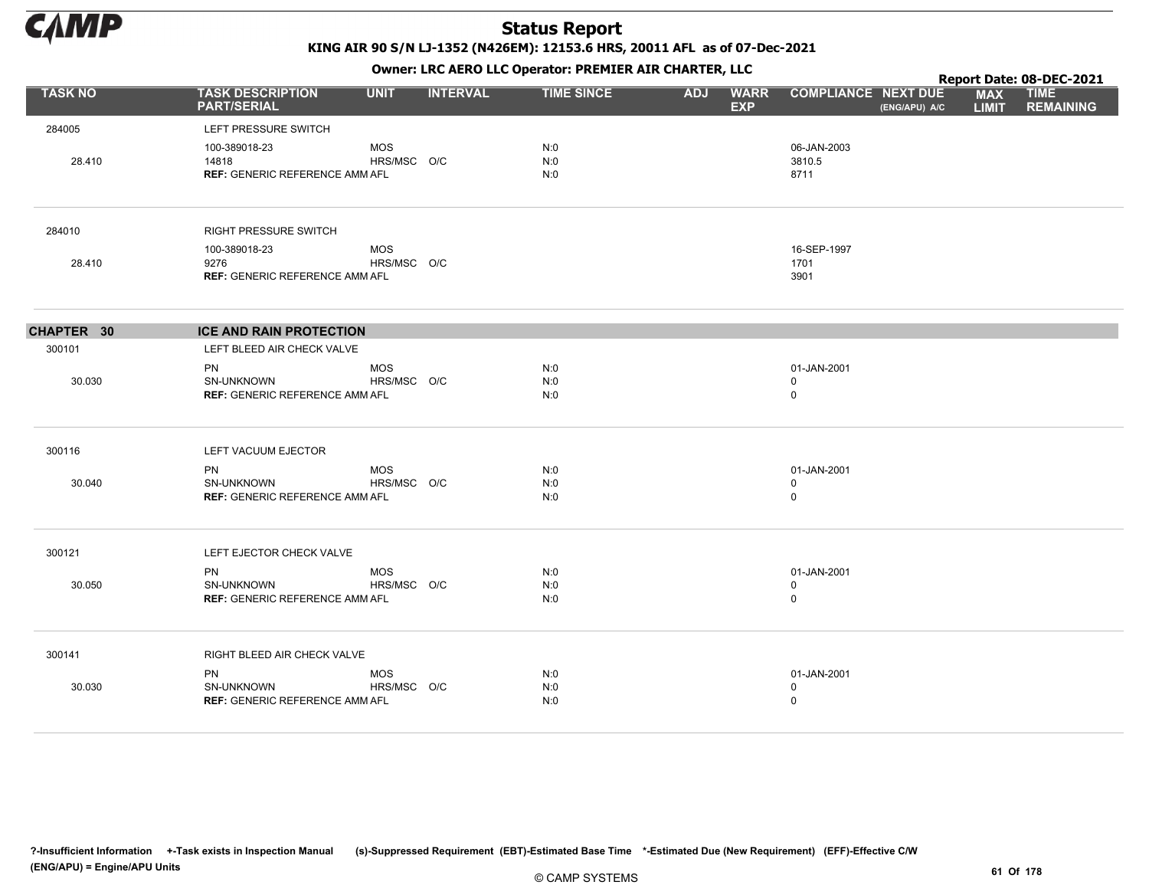

KING AIR 90 S/N LJ-1352 (N426EM): 12153.6 HRS, 20011 AFL as of 07-Dec-2021

Owner: LRC AERO LLC Operator: PREMIER AIR CHARTER, LLC

|                |                                                                         |                           |                 | OWHER, LKC AERO LLC OPERATOR, PREPILER AIR CHARTER, LLC |            |                           |                                           |               |                            | Report Date: 08-DEC-2021        |
|----------------|-------------------------------------------------------------------------|---------------------------|-----------------|---------------------------------------------------------|------------|---------------------------|-------------------------------------------|---------------|----------------------------|---------------------------------|
| <b>TASK NO</b> | <b>TASK DESCRIPTION</b><br><b>PART/SERIAL</b>                           | <b>UNIT</b>               | <b>INTERVAL</b> | <b>TIME SINCE</b>                                       | <b>ADJ</b> | <b>WARR</b><br><b>EXP</b> | <b>COMPLIANCE NEXT DUE</b>                | (ENG/APU) A/C | <b>MAX</b><br><b>LIMIT</b> | <b>TIME</b><br><b>REMAINING</b> |
| 284005         | LEFT PRESSURE SWITCH                                                    |                           |                 |                                                         |            |                           |                                           |               |                            |                                 |
| 28.410         | 100-389018-23<br>14818<br><b>REF: GENERIC REFERENCE AMM AFL</b>         | MOS<br>HRS/MSC O/C        |                 | N:0<br>N:0<br>N:0                                       |            |                           | 06-JAN-2003<br>3810.5<br>8711             |               |                            |                                 |
| 284010         | <b>RIGHT PRESSURE SWITCH</b>                                            |                           |                 |                                                         |            |                           |                                           |               |                            |                                 |
| 28.410         | 100-389018-23<br>9276<br><b>REF: GENERIC REFERENCE AMM AFL</b>          | <b>MOS</b><br>HRS/MSC O/C |                 |                                                         |            |                           | 16-SEP-1997<br>1701<br>3901               |               |                            |                                 |
| CHAPTER 30     | <b>ICE AND RAIN PROTECTION</b>                                          |                           |                 |                                                         |            |                           |                                           |               |                            |                                 |
| 300101         | LEFT BLEED AIR CHECK VALVE                                              |                           |                 |                                                         |            |                           |                                           |               |                            |                                 |
| 30.030         | <b>PN</b><br><b>SN-UNKNOWN</b><br><b>REF: GENERIC REFERENCE AMM AFL</b> | <b>MOS</b><br>HRS/MSC O/C |                 | N:0<br>N:0<br>N:0                                       |            |                           | 01-JAN-2001<br>$\mathbf 0$<br>$\mathbf 0$ |               |                            |                                 |
| 300116         | LEFT VACUUM EJECTOR                                                     |                           |                 |                                                         |            |                           |                                           |               |                            |                                 |
| 30.040         | <b>PN</b><br><b>SN-UNKNOWN</b><br><b>REF: GENERIC REFERENCE AMM AFL</b> | MOS<br>HRS/MSC O/C        |                 | N:0<br>N:0<br>N:0                                       |            |                           | 01-JAN-2001<br>0<br>$\mathbf 0$           |               |                            |                                 |
| 300121         | LEFT EJECTOR CHECK VALVE                                                |                           |                 |                                                         |            |                           |                                           |               |                            |                                 |
| 30.050         | <b>PN</b><br>SN-UNKNOWN<br><b>REF: GENERIC REFERENCE AMM AFL</b>        | <b>MOS</b><br>HRS/MSC O/C |                 | N:0<br>N:0<br>N:0                                       |            |                           | 01-JAN-2001<br>$\mathbf 0$<br>$\mathsf 0$ |               |                            |                                 |
| 300141         | RIGHT BLEED AIR CHECK VALVE                                             |                           |                 |                                                         |            |                           |                                           |               |                            |                                 |
| 30.030         | <b>PN</b><br>SN-UNKNOWN<br><b>REF: GENERIC REFERENCE AMM AFL</b>        | <b>MOS</b><br>HRS/MSC O/C |                 | N:0<br>N:0<br>N:0                                       |            |                           | 01-JAN-2001<br>$\mathbf 0$<br>$\mathbf 0$ |               |                            |                                 |

?-Insufficient Information +-Task exists in Inspection Manual (s)-Suppressed Requirement (EBT)-Estimated Base Time \*-Estimated Due (New Requirement) (EFF)-Effective C/W (ENG/APU) = Engine/APU Units 61 Of 178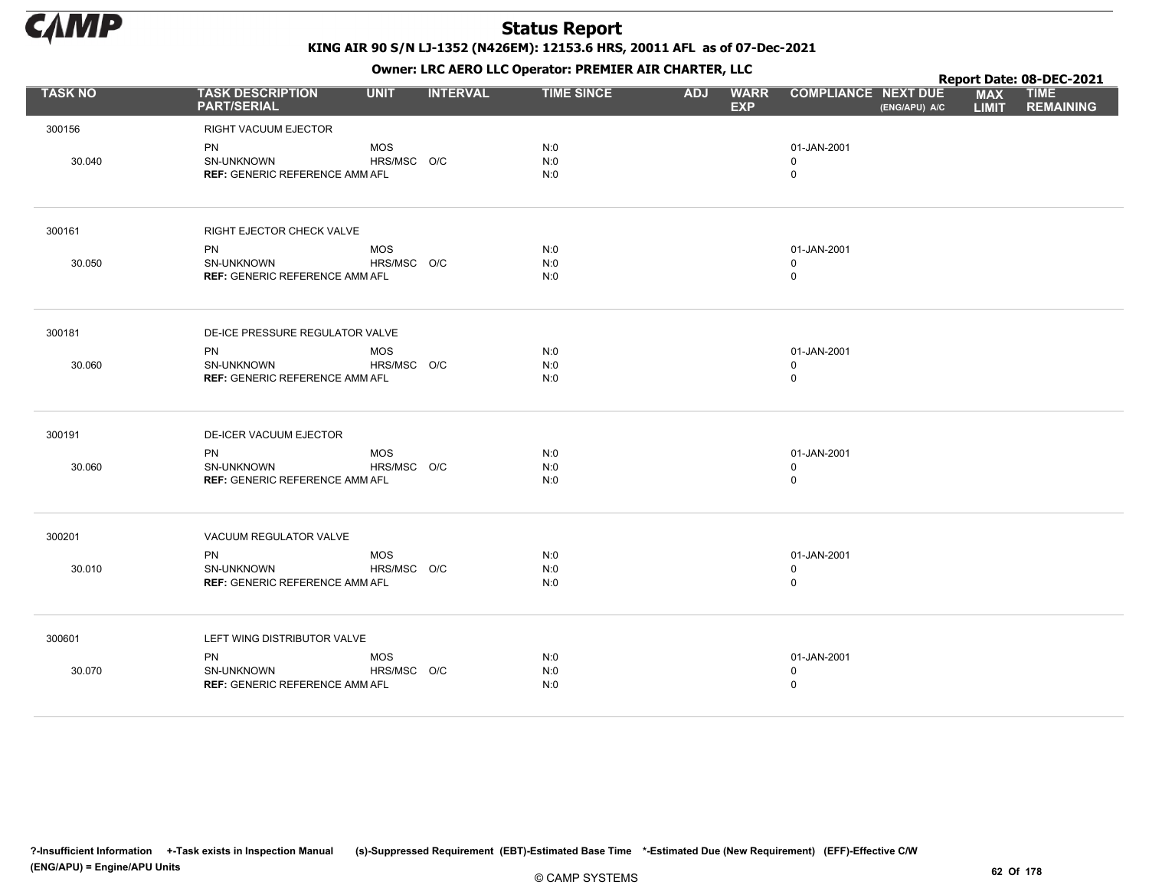

KING AIR 90 S/N LJ-1352 (N426EM): 12153.6 HRS, 20011 AFL as of 07-Dec-2021

|                |                                                           |                           |                 | OWHER. LKC ALKO LLC OPERATOR. PREPILER AIR CHARTER, LLC |            |                           |                                           |               |                            | Report Date: 08-DEC-2021        |
|----------------|-----------------------------------------------------------|---------------------------|-----------------|---------------------------------------------------------|------------|---------------------------|-------------------------------------------|---------------|----------------------------|---------------------------------|
| <b>TASK NO</b> | <b>TASK DESCRIPTION</b><br><b>PART/SERIAL</b>             | <b>UNIT</b>               | <b>INTERVAL</b> | <b>TIME SINCE</b>                                       | <b>ADJ</b> | <b>WARR</b><br><b>EXP</b> | <b>COMPLIANCE NEXT DUE</b>                | (ENG/APU) A/C | <b>MAX</b><br><b>LIMIT</b> | <b>TIME</b><br><b>REMAINING</b> |
| 300156         | RIGHT VACUUM EJECTOR                                      |                           |                 |                                                         |            |                           |                                           |               |                            |                                 |
| 30.040         | PN<br>SN-UNKNOWN<br><b>REF: GENERIC REFERENCE AMM AFL</b> | <b>MOS</b><br>HRS/MSC O/C |                 | N:0<br>N:0<br>N:0                                       |            |                           | 01-JAN-2001<br>$\mathsf 0$<br>$\mathsf 0$ |               |                            |                                 |
| 300161         | RIGHT EJECTOR CHECK VALVE                                 |                           |                 |                                                         |            |                           |                                           |               |                            |                                 |
|                | <b>PN</b>                                                 | <b>MOS</b>                |                 | N:0                                                     |            |                           | 01-JAN-2001                               |               |                            |                                 |
| 30.050         | <b>SN-UNKNOWN</b>                                         | HRS/MSC O/C               |                 | N:0                                                     |            |                           | $\mathbf 0$                               |               |                            |                                 |
|                | <b>REF: GENERIC REFERENCE AMM AFL</b>                     |                           |                 | N:0                                                     |            |                           | $\mathsf 0$                               |               |                            |                                 |
| 300181         | DE-ICE PRESSURE REGULATOR VALVE                           |                           |                 |                                                         |            |                           |                                           |               |                            |                                 |
|                | <b>PN</b>                                                 | <b>MOS</b>                |                 | N:0                                                     |            |                           | 01-JAN-2001                               |               |                            |                                 |
| 30.060         | SN-UNKNOWN                                                | HRS/MSC O/C               |                 | N:0                                                     |            |                           | $\mathbf 0$                               |               |                            |                                 |
|                | <b>REF: GENERIC REFERENCE AMM AFL</b>                     |                           |                 | N:0                                                     |            |                           | $\mathsf 0$                               |               |                            |                                 |
| 300191         | DE-ICER VACUUM EJECTOR                                    |                           |                 |                                                         |            |                           |                                           |               |                            |                                 |
|                | <b>PN</b>                                                 | <b>MOS</b>                |                 | N:0                                                     |            |                           | 01-JAN-2001                               |               |                            |                                 |
| 30.060         | SN-UNKNOWN                                                | HRS/MSC O/C               |                 | N:0                                                     |            |                           | $\mathbf 0$                               |               |                            |                                 |
|                | <b>REF: GENERIC REFERENCE AMM AFL</b>                     |                           |                 | N:0                                                     |            |                           | $\mathsf 0$                               |               |                            |                                 |
| 300201         | VACUUM REGULATOR VALVE                                    |                           |                 |                                                         |            |                           |                                           |               |                            |                                 |
|                | <b>PN</b>                                                 | <b>MOS</b>                |                 | N:0                                                     |            |                           | 01-JAN-2001                               |               |                            |                                 |
| 30.010         | SN-UNKNOWN                                                | HRS/MSC O/C               |                 | N:0                                                     |            |                           | $\mathbf 0$                               |               |                            |                                 |
|                | <b>REF: GENERIC REFERENCE AMM AFL</b>                     |                           |                 | N:0                                                     |            |                           | $\mathbf 0$                               |               |                            |                                 |
| 300601         | LEFT WING DISTRIBUTOR VALVE                               |                           |                 |                                                         |            |                           |                                           |               |                            |                                 |
|                | <b>PN</b>                                                 | <b>MOS</b>                |                 | N:0                                                     |            |                           | 01-JAN-2001                               |               |                            |                                 |
| 30.070         | SN-UNKNOWN                                                | HRS/MSC O/C               |                 | N:0                                                     |            |                           | $\mathbf 0$                               |               |                            |                                 |
|                | <b>REF: GENERIC REFERENCE AMM AFL</b>                     |                           |                 | N:0                                                     |            |                           | $\mathbf 0$                               |               |                            |                                 |
|                |                                                           |                           |                 |                                                         |            |                           |                                           |               |                            |                                 |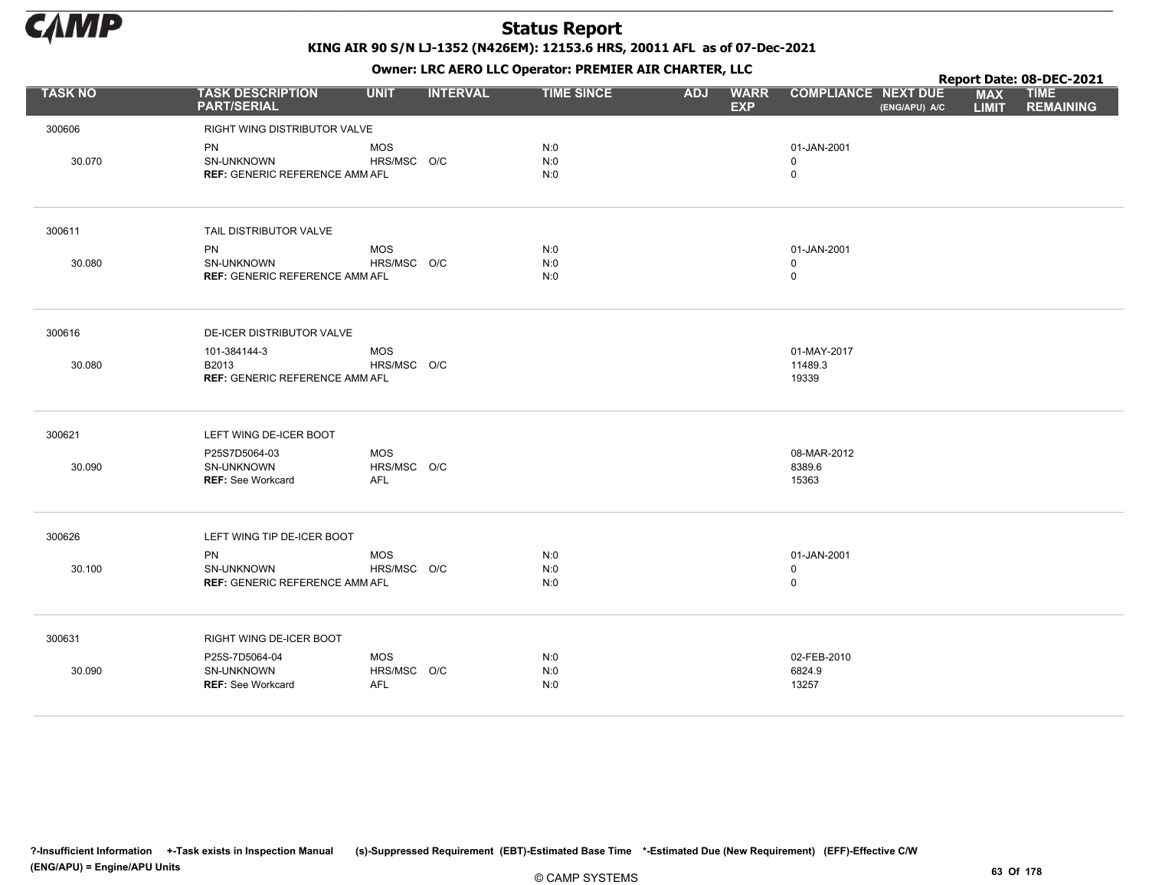

KING AIR 90 S/N LJ-1352 (N426EM): 12153.6 HRS, 20011 AFL as of 07-Dec-2021 Owner: LRC AERO LLC Operator: PREMIER AIR CHARTER, LLC

|                |                                                                |                                         |                 | <b>OWNER.</b> LIVE ALIVE LLC Operator. FIXEPILER AIR CHARTER, LLC |                          |             |                                 |               |                            | Report Date: 08-DEC-2021        |
|----------------|----------------------------------------------------------------|-----------------------------------------|-----------------|-------------------------------------------------------------------|--------------------------|-------------|---------------------------------|---------------|----------------------------|---------------------------------|
| <b>TASK NO</b> | <b>TASK DESCRIPTION</b><br><b>PART/SERIAL</b>                  | <b>UNIT</b>                             | <b>INTERVAL</b> | <b>TIME SINCE</b>                                                 | <b>ADJ</b><br><b>EXP</b> | <b>WARR</b> | <b>COMPLIANCE NEXT DUE</b>      | (ENG/APU) A/C | <b>MAX</b><br><b>LIMIT</b> | <b>TIME</b><br><b>REMAINING</b> |
| 300606         | RIGHT WING DISTRIBUTOR VALVE                                   |                                         |                 |                                                                   |                          |             |                                 |               |                            |                                 |
| 30.070         | PN<br>SN-UNKNOWN<br><b>REF: GENERIC REFERENCE AMM AFL</b>      | <b>MOS</b><br>HRS/MSC O/C               |                 | N:0<br>N:0<br>N:0                                                 |                          |             | 01-JAN-2001<br>0<br>0           |               |                            |                                 |
| 300611         | TAIL DISTRIBUTOR VALVE                                         |                                         |                 |                                                                   |                          |             |                                 |               |                            |                                 |
| 30.080         | PN<br>SN-UNKNOWN<br><b>REF: GENERIC REFERENCE AMM AFL</b>      | <b>MOS</b><br>HRS/MSC O/C               |                 | N:0<br>N:0<br>N:0                                                 |                          |             | 01-JAN-2001<br>$\mathbf 0$<br>0 |               |                            |                                 |
| 300616         | DE-ICER DISTRIBUTOR VALVE                                      |                                         |                 |                                                                   |                          |             |                                 |               |                            |                                 |
| 30.080         | 101-384144-3<br>B2013<br><b>REF: GENERIC REFERENCE AMM AFL</b> | <b>MOS</b><br>HRS/MSC O/C               |                 |                                                                   |                          |             | 01-MAY-2017<br>11489.3<br>19339 |               |                            |                                 |
| 300621         | LEFT WING DE-ICER BOOT                                         |                                         |                 |                                                                   |                          |             |                                 |               |                            |                                 |
| 30.090         | P25S7D5064-03<br>SN-UNKNOWN<br><b>REF: See Workcard</b>        | <b>MOS</b><br>HRS/MSC O/C<br>AFL        |                 |                                                                   |                          |             | 08-MAR-2012<br>8389.6<br>15363  |               |                            |                                 |
| 300626         | LEFT WING TIP DE-ICER BOOT                                     |                                         |                 |                                                                   |                          |             |                                 |               |                            |                                 |
| 30.100         | PN<br>SN-UNKNOWN<br><b>REF: GENERIC REFERENCE AMM AFL</b>      | <b>MOS</b><br>HRS/MSC O/C               |                 | N:0<br>N:0<br>N:0                                                 |                          |             | 01-JAN-2001<br>0<br>0           |               |                            |                                 |
| 300631         | RIGHT WING DE-ICER BOOT                                        |                                         |                 |                                                                   |                          |             |                                 |               |                            |                                 |
| 30.090         | P25S-7D5064-04<br>SN-UNKNOWN<br><b>REF: See Workcard</b>       | <b>MOS</b><br>HRS/MSC O/C<br><b>AFL</b> |                 | N:0<br>N:0<br>N:0                                                 |                          |             | 02-FEB-2010<br>6824.9<br>13257  |               |                            |                                 |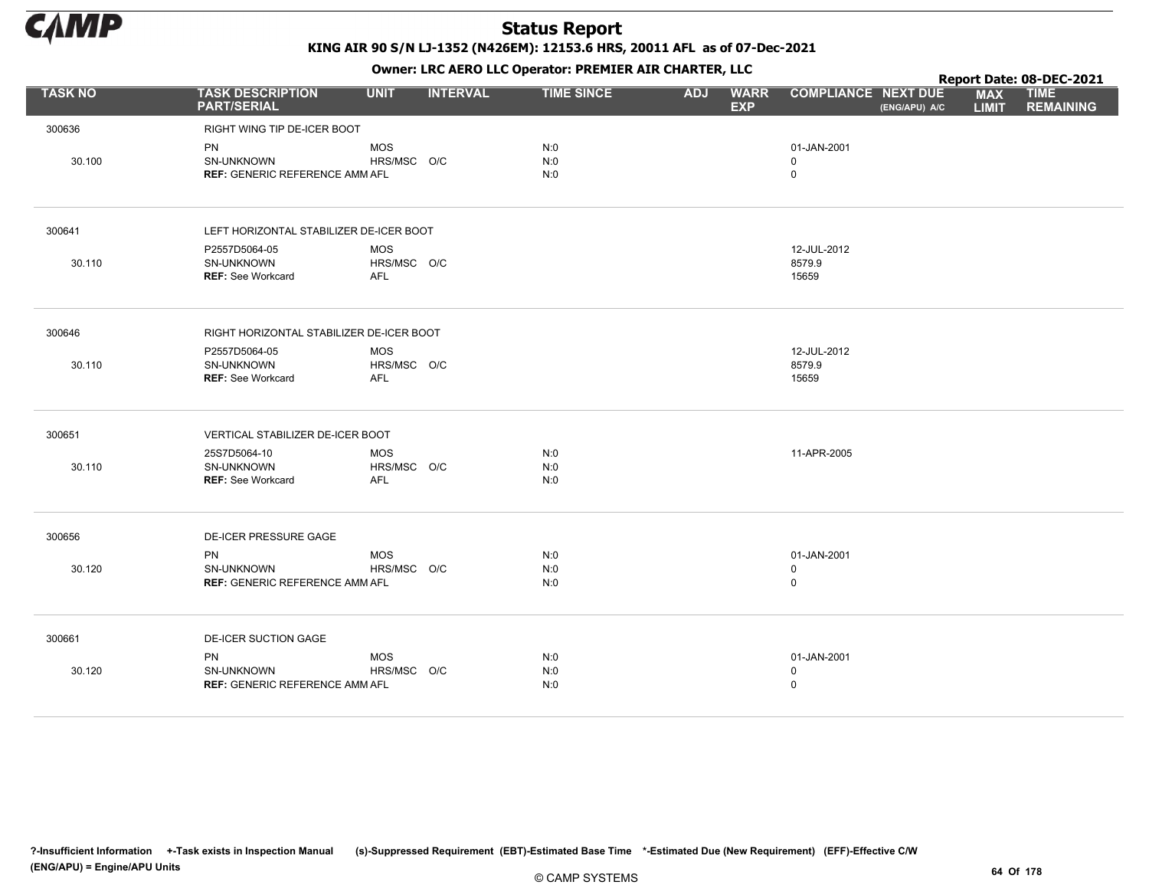

|                |                                               |                           |                 |                   |            | $\mathbf{r}$              |                                             |                            | Report Date: 08-DEC-2021        |
|----------------|-----------------------------------------------|---------------------------|-----------------|-------------------|------------|---------------------------|---------------------------------------------|----------------------------|---------------------------------|
| <b>TASK NO</b> | <b>TASK DESCRIPTION</b><br><b>PART/SERIAL</b> | <b>UNIT</b>               | <b>INTERVAL</b> | <b>TIME SINCE</b> | <b>ADJ</b> | <b>WARR</b><br><b>EXP</b> | <b>COMPLIANCE NEXT DUE</b><br>(ENG/APU) A/C | <b>MAX</b><br><b>LIMIT</b> | <b>TIME</b><br><b>REMAINING</b> |
| 300636         | RIGHT WING TIP DE-ICER BOOT                   |                           |                 |                   |            |                           |                                             |                            |                                 |
|                | PN                                            | <b>MOS</b>                |                 | N:0               |            |                           | 01-JAN-2001                                 |                            |                                 |
| 30.100         | SN-UNKNOWN                                    | HRS/MSC O/C               |                 | N:0               |            |                           | $\mathbf 0$                                 |                            |                                 |
|                | <b>REF: GENERIC REFERENCE AMM AFL</b>         |                           |                 | N:0               |            |                           | $\mathbf 0$                                 |                            |                                 |
| 300641         | LEFT HORIZONTAL STABILIZER DE-ICER BOOT       |                           |                 |                   |            |                           |                                             |                            |                                 |
|                | P2557D5064-05                                 | MOS                       |                 |                   |            |                           | 12-JUL-2012                                 |                            |                                 |
| 30.110         | <b>SN-UNKNOWN</b>                             | HRS/MSC O/C               |                 |                   |            |                           | 8579.9                                      |                            |                                 |
|                | <b>REF: See Workcard</b>                      | AFL                       |                 |                   |            |                           | 15659                                       |                            |                                 |
| 300646         | RIGHT HORIZONTAL STABILIZER DE-ICER BOOT      |                           |                 |                   |            |                           |                                             |                            |                                 |
|                | P2557D5064-05                                 | MOS                       |                 |                   |            |                           | 12-JUL-2012                                 |                            |                                 |
| 30.110         | SN-UNKNOWN                                    | HRS/MSC O/C               |                 |                   |            |                           | 8579.9                                      |                            |                                 |
|                | <b>REF:</b> See Workcard                      | <b>AFL</b>                |                 |                   |            |                           | 15659                                       |                            |                                 |
| 300651         | VERTICAL STABILIZER DE-ICER BOOT              |                           |                 |                   |            |                           |                                             |                            |                                 |
|                | 25S7D5064-10                                  | MOS                       |                 | N:0               |            |                           | 11-APR-2005                                 |                            |                                 |
| 30.110         | SN-UNKNOWN<br><b>REF: See Workcard</b>        | HRS/MSC O/C<br><b>AFL</b> |                 | N:0<br>N:0        |            |                           |                                             |                            |                                 |
|                |                                               |                           |                 |                   |            |                           |                                             |                            |                                 |
| 300656         | DE-ICER PRESSURE GAGE                         |                           |                 |                   |            |                           |                                             |                            |                                 |
|                | PN                                            | MOS                       |                 | N:0               |            |                           | 01-JAN-2001                                 |                            |                                 |
| 30.120         | <b>SN-UNKNOWN</b>                             | HRS/MSC O/C               |                 | N:0               |            |                           | $\mathbf 0$                                 |                            |                                 |
|                | <b>REF: GENERIC REFERENCE AMM AFL</b>         |                           |                 | N:0               |            |                           | $\mathsf 0$                                 |                            |                                 |
| 300661         | <b>DE-ICER SUCTION GAGE</b>                   |                           |                 |                   |            |                           |                                             |                            |                                 |
|                | <b>PN</b>                                     | MOS                       |                 | N:0               |            |                           | 01-JAN-2001                                 |                            |                                 |
| 30.120         | SN-UNKNOWN                                    | HRS/MSC O/C               |                 | N:0               |            |                           | $\mathbf 0$                                 |                            |                                 |
|                | <b>REF: GENERIC REFERENCE AMM AFL</b>         |                           |                 | N:0               |            |                           | $\mathbf 0$                                 |                            |                                 |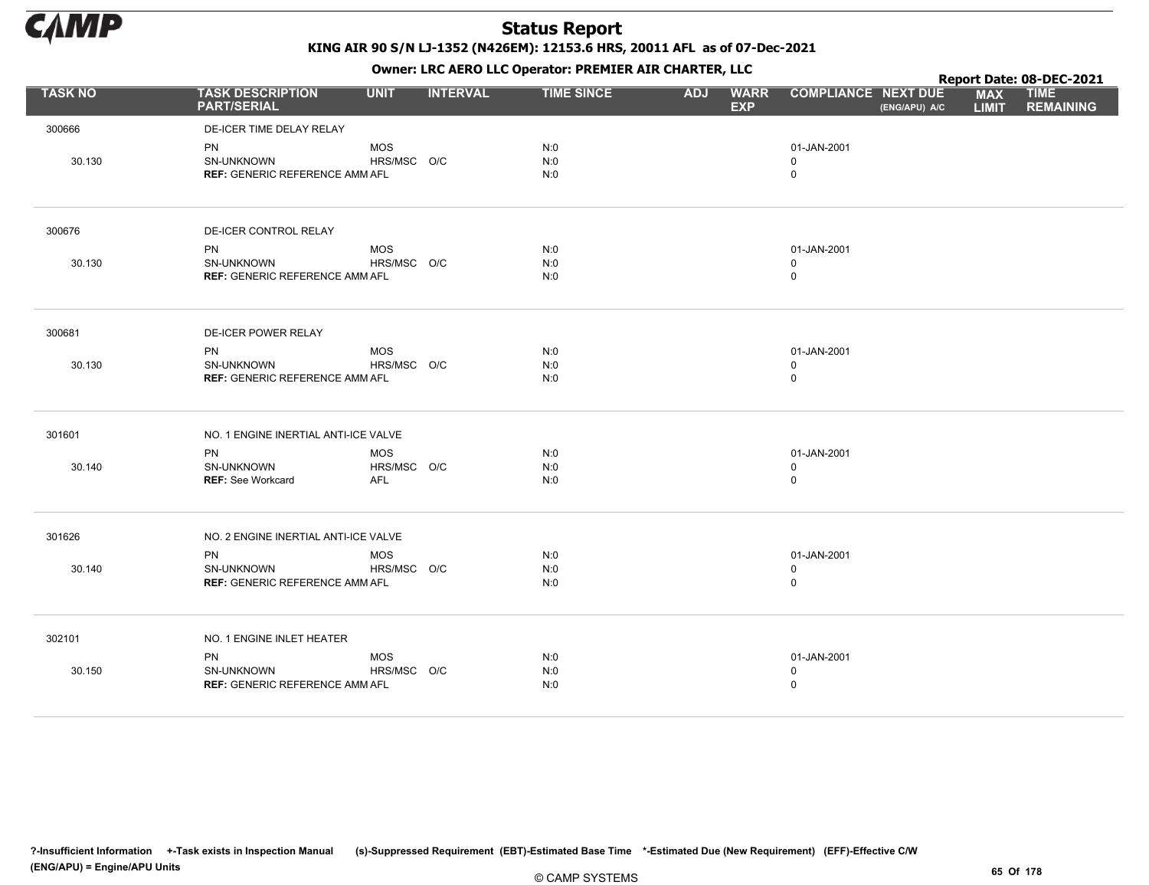

|                |                                               |             |                 |                   |            | $\mathbf{r}$              |                                             |                            | Report Date: 08-DEC-2021        |
|----------------|-----------------------------------------------|-------------|-----------------|-------------------|------------|---------------------------|---------------------------------------------|----------------------------|---------------------------------|
| <b>TASK NO</b> | <b>TASK DESCRIPTION</b><br><b>PART/SERIAL</b> | <b>UNIT</b> | <b>INTERVAL</b> | <b>TIME SINCE</b> | <b>ADJ</b> | <b>WARR</b><br><b>EXP</b> | <b>COMPLIANCE NEXT DUE</b><br>(ENG/APU) A/C | <b>MAX</b><br><b>LIMIT</b> | <b>TIME</b><br><b>REMAINING</b> |
| 300666         | DE-ICER TIME DELAY RELAY                      |             |                 |                   |            |                           |                                             |                            |                                 |
|                | PN                                            | <b>MOS</b>  |                 | N:0               |            |                           | 01-JAN-2001                                 |                            |                                 |
| 30.130         | SN-UNKNOWN                                    | HRS/MSC O/C |                 | N:0               |            |                           | $\mathbf 0$                                 |                            |                                 |
|                | <b>REF: GENERIC REFERENCE AMM AFL</b>         |             |                 | N:0               |            |                           | $\mathbf 0$                                 |                            |                                 |
| 300676         | DE-ICER CONTROL RELAY                         |             |                 |                   |            |                           |                                             |                            |                                 |
|                | <b>PN</b>                                     | <b>MOS</b>  |                 | N:0               |            |                           | 01-JAN-2001                                 |                            |                                 |
| 30.130         | SN-UNKNOWN                                    | HRS/MSC O/C |                 | N:0               |            |                           | $\mathbf 0$                                 |                            |                                 |
|                | <b>REF: GENERIC REFERENCE AMM AFL</b>         |             |                 | N:0               |            |                           | $\mathbf 0$                                 |                            |                                 |
| 300681         | <b>DE-ICER POWER RELAY</b>                    |             |                 |                   |            |                           |                                             |                            |                                 |
|                | PN                                            | <b>MOS</b>  |                 | N:0               |            |                           | 01-JAN-2001                                 |                            |                                 |
| 30.130         | SN-UNKNOWN                                    | HRS/MSC O/C |                 | N:0               |            |                           | $\mathbf 0$                                 |                            |                                 |
|                | <b>REF: GENERIC REFERENCE AMM AFL</b>         |             |                 | N:0               |            |                           | $\mathsf 0$                                 |                            |                                 |
| 301601         | NO. 1 ENGINE INERTIAL ANTI-ICE VALVE          |             |                 |                   |            |                           |                                             |                            |                                 |
|                | PN                                            | <b>MOS</b>  |                 | N:0               |            |                           | 01-JAN-2001                                 |                            |                                 |
| 30.140         | SN-UNKNOWN                                    | HRS/MSC O/C |                 | N:0               |            |                           | $\mathbf 0$                                 |                            |                                 |
|                | <b>REF: See Workcard</b>                      | <b>AFL</b>  |                 | N:0               |            |                           | $\mathbf 0$                                 |                            |                                 |
| 301626         | NO. 2 ENGINE INERTIAL ANTI-ICE VALVE          |             |                 |                   |            |                           |                                             |                            |                                 |
|                | <b>PN</b>                                     | <b>MOS</b>  |                 | N:0               |            |                           | 01-JAN-2001                                 |                            |                                 |
| 30.140         | SN-UNKNOWN                                    | HRS/MSC O/C |                 | N:0               |            |                           | $\mathbf 0$                                 |                            |                                 |
|                | <b>REF: GENERIC REFERENCE AMM AFL</b>         |             |                 | N:0               |            |                           | $\mathbf 0$                                 |                            |                                 |
| 302101         | NO. 1 ENGINE INLET HEATER                     |             |                 |                   |            |                           |                                             |                            |                                 |
|                | <b>PN</b>                                     | <b>MOS</b>  |                 | N:0               |            |                           | 01-JAN-2001                                 |                            |                                 |
| 30.150         | <b>SN-UNKNOWN</b>                             | HRS/MSC O/C |                 | N:0               |            |                           | $\mathbf 0$                                 |                            |                                 |
|                | <b>REF: GENERIC REFERENCE AMM AFL</b>         |             |                 | N:0               |            |                           | $\mathbf 0$                                 |                            |                                 |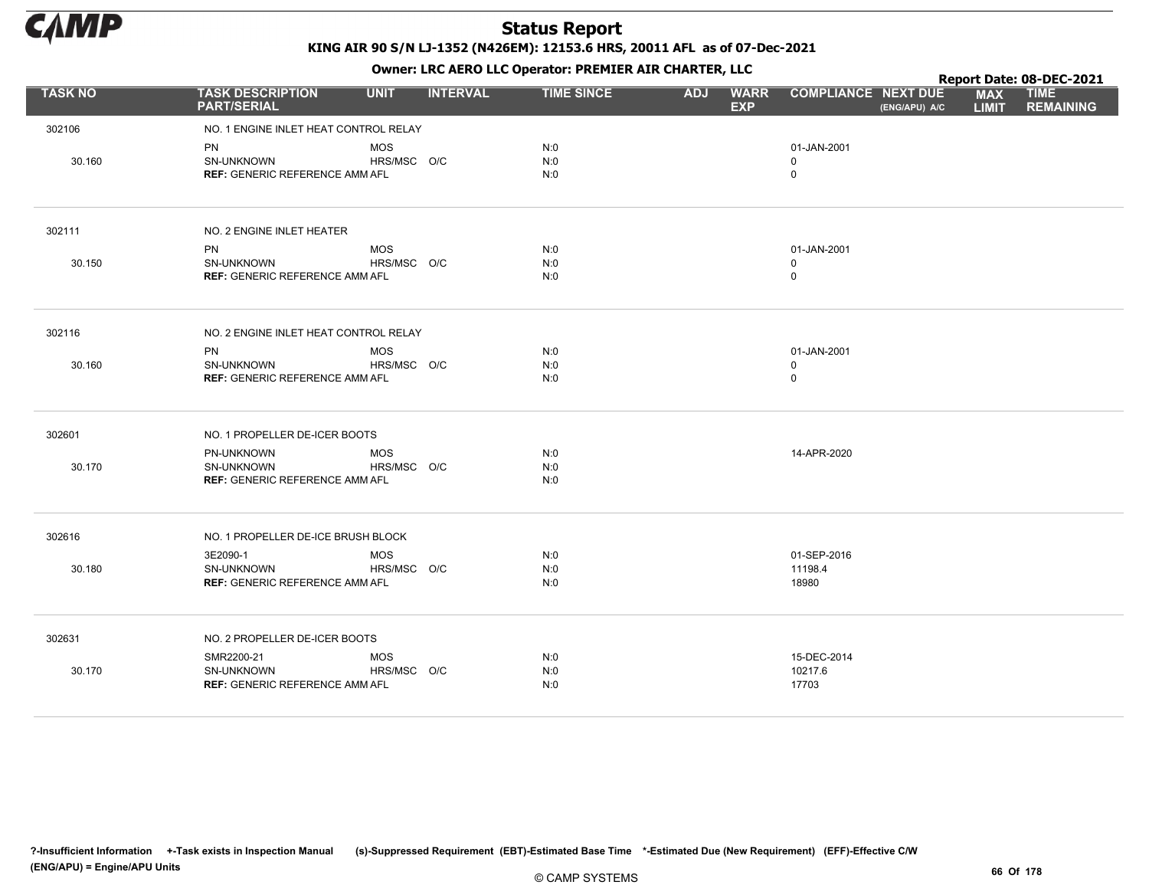

|                |                                                     |             |                 |                   |            |                           |                            |               |                            | Report Date: 08-DEC-2021        |
|----------------|-----------------------------------------------------|-------------|-----------------|-------------------|------------|---------------------------|----------------------------|---------------|----------------------------|---------------------------------|
| <b>TASK NO</b> | <b>TASK DESCRIPTION</b><br><b>PART/SERIAL</b>       | <b>UNIT</b> | <b>INTERVAL</b> | <b>TIME SINCE</b> | <b>ADJ</b> | <b>WARR</b><br><b>EXP</b> | <b>COMPLIANCE NEXT DUE</b> | (ENG/APU) A/C | <b>MAX</b><br><b>LIMIT</b> | <b>TIME</b><br><b>REMAINING</b> |
| 302106         | NO. 1 ENGINE INLET HEAT CONTROL RELAY               |             |                 |                   |            |                           |                            |               |                            |                                 |
|                | PN                                                  | <b>MOS</b>  |                 | N:0               |            |                           | 01-JAN-2001                |               |                            |                                 |
| 30.160         | <b>SN-UNKNOWN</b>                                   | HRS/MSC O/C |                 | N:0               |            |                           | 0                          |               |                            |                                 |
|                | <b>REF: GENERIC REFERENCE AMM AFL</b>               |             |                 | N:0               |            |                           | $\mathsf 0$                |               |                            |                                 |
| 302111         | NO. 2 ENGINE INLET HEATER                           |             |                 |                   |            |                           |                            |               |                            |                                 |
|                | <b>PN</b>                                           | <b>MOS</b>  |                 | N:0               |            |                           | 01-JAN-2001                |               |                            |                                 |
| 30.150         | SN-UNKNOWN                                          | HRS/MSC O/C |                 | N:0               |            |                           | $\mathbf 0$                |               |                            |                                 |
|                | <b>REF: GENERIC REFERENCE AMM AFL</b>               |             |                 | N:0               |            |                           | $\mathbf 0$                |               |                            |                                 |
| 302116         | NO. 2 ENGINE INLET HEAT CONTROL RELAY               |             |                 |                   |            |                           |                            |               |                            |                                 |
|                | PN                                                  | <b>MOS</b>  |                 | N:0               |            |                           | 01-JAN-2001                |               |                            |                                 |
| 30.160         | <b>SN-UNKNOWN</b>                                   | HRS/MSC O/C |                 | N:0<br>N:0        |            |                           | 0                          |               |                            |                                 |
|                | <b>REF: GENERIC REFERENCE AMM AFL</b>               |             |                 |                   |            |                           | $\mathsf 0$                |               |                            |                                 |
| 302601         | NO. 1 PROPELLER DE-ICER BOOTS                       |             |                 |                   |            |                           |                            |               |                            |                                 |
|                | PN-UNKNOWN                                          | <b>MOS</b>  |                 | N:0               |            |                           | 14-APR-2020                |               |                            |                                 |
| 30.170         | SN-UNKNOWN<br><b>REF: GENERIC REFERENCE AMM AFL</b> | HRS/MSC O/C |                 | N:0<br>N:0        |            |                           |                            |               |                            |                                 |
|                |                                                     |             |                 |                   |            |                           |                            |               |                            |                                 |
| 302616         | NO. 1 PROPELLER DE-ICE BRUSH BLOCK                  |             |                 |                   |            |                           |                            |               |                            |                                 |
|                | 3E2090-1                                            | <b>MOS</b>  |                 | N:0               |            |                           | 01-SEP-2016                |               |                            |                                 |
| 30.180         | SN-UNKNOWN                                          | HRS/MSC O/C |                 | N:0               |            |                           | 11198.4                    |               |                            |                                 |
|                | <b>REF: GENERIC REFERENCE AMM AFL</b>               |             |                 | N:0               |            |                           | 18980                      |               |                            |                                 |
| 302631         | NO. 2 PROPELLER DE-ICER BOOTS                       |             |                 |                   |            |                           |                            |               |                            |                                 |
|                | SMR2200-21                                          | <b>MOS</b>  |                 | N:0               |            |                           | 15-DEC-2014                |               |                            |                                 |
| 30.170         | SN-UNKNOWN                                          | HRS/MSC O/C |                 | N:0               |            |                           | 10217.6                    |               |                            |                                 |
|                | <b>REF: GENERIC REFERENCE AMM AFL</b>               |             |                 | N:0               |            |                           | 17703                      |               |                            |                                 |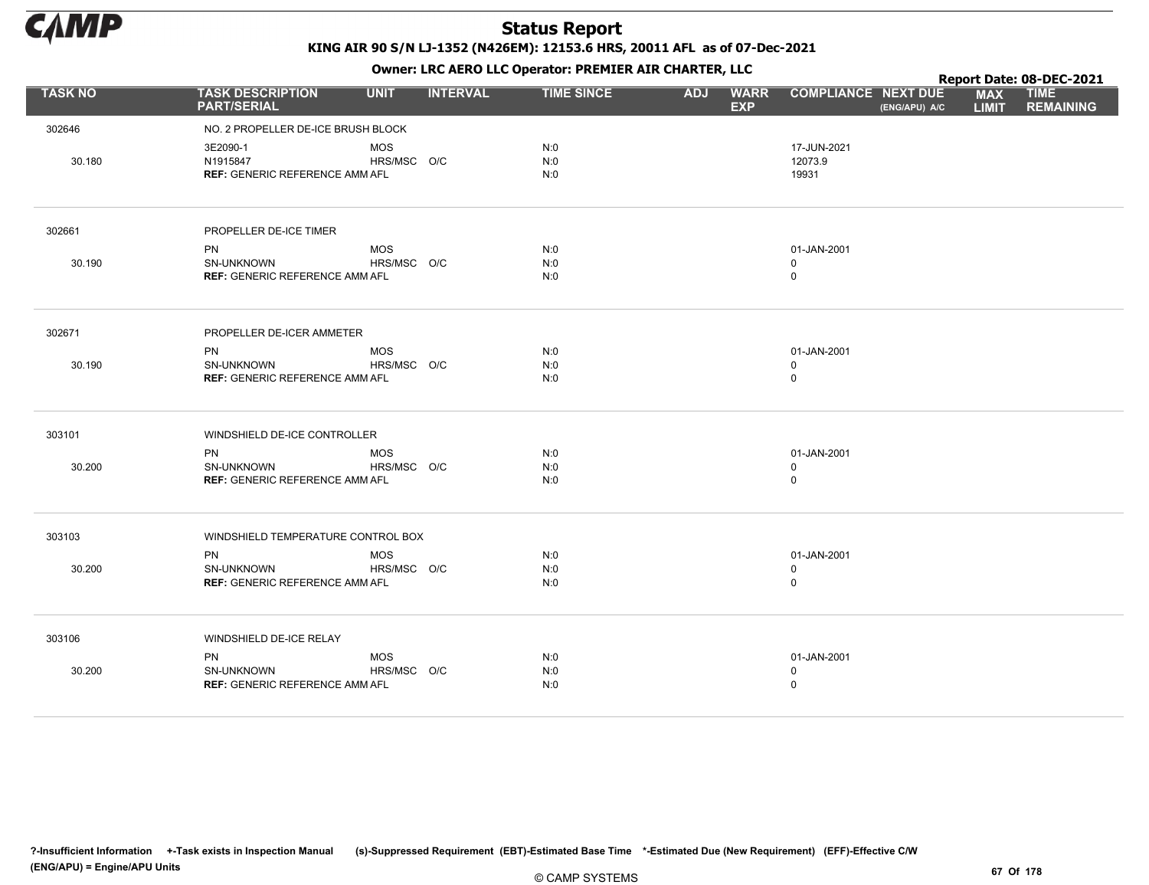

Owner: LRC AERO LLC Operator: PREMIER AIR CHARTER, LLC

|                |                                                     |                           |                 |                   | . .        |                           |                            |               |                            | Report Date: 08-DEC-2021        |
|----------------|-----------------------------------------------------|---------------------------|-----------------|-------------------|------------|---------------------------|----------------------------|---------------|----------------------------|---------------------------------|
| <b>TASK NO</b> | <b>TASK DESCRIPTION</b><br><b>PART/SERIAL</b>       | <b>UNIT</b>               | <b>INTERVAL</b> | <b>TIME SINCE</b> | <b>ADJ</b> | <b>WARR</b><br><b>EXP</b> | <b>COMPLIANCE NEXT DUE</b> | (ENG/APU) A/C | <b>MAX</b><br><b>LIMIT</b> | <b>TIME</b><br><b>REMAINING</b> |
| 302646         | NO. 2 PROPELLER DE-ICE BRUSH BLOCK                  |                           |                 |                   |            |                           |                            |               |                            |                                 |
|                | 3E2090-1                                            | <b>MOS</b>                |                 | N:0               |            |                           | 17-JUN-2021                |               |                            |                                 |
| 30.180         | N1915847                                            | HRS/MSC O/C               |                 | N:0               |            |                           | 12073.9                    |               |                            |                                 |
|                | <b>REF: GENERIC REFERENCE AMM AFL</b>               |                           |                 | N:0               |            |                           | 19931                      |               |                            |                                 |
|                |                                                     |                           |                 |                   |            |                           |                            |               |                            |                                 |
| 302661         | PROPELLER DE-ICE TIMER                              |                           |                 |                   |            |                           |                            |               |                            |                                 |
|                | <b>PN</b>                                           | <b>MOS</b>                |                 | N:0               |            |                           | 01-JAN-2001                |               |                            |                                 |
| 30.190         | <b>SN-UNKNOWN</b>                                   | HRS/MSC O/C               |                 | N:0               |            |                           | 0                          |               |                            |                                 |
|                | <b>REF: GENERIC REFERENCE AMM AFL</b>               |                           |                 | N:0               |            |                           | 0                          |               |                            |                                 |
| 302671         | PROPELLER DE-ICER AMMETER                           |                           |                 |                   |            |                           |                            |               |                            |                                 |
|                |                                                     |                           |                 |                   |            |                           |                            |               |                            |                                 |
| 30.190         | PN<br><b>SN-UNKNOWN</b>                             | <b>MOS</b><br>HRS/MSC O/C |                 | N:0<br>N:0        |            |                           | 01-JAN-2001<br>0           |               |                            |                                 |
|                | <b>REF: GENERIC REFERENCE AMM AFL</b>               |                           |                 | N:0               |            |                           | 0                          |               |                            |                                 |
| 303101         | WINDSHIELD DE-ICE CONTROLLER                        |                           |                 |                   |            |                           |                            |               |                            |                                 |
|                | PN                                                  | <b>MOS</b>                |                 | N:0               |            |                           | 01-JAN-2001                |               |                            |                                 |
| 30.200         | <b>SN-UNKNOWN</b>                                   | HRS/MSC O/C               |                 | N:0               |            |                           | 0                          |               |                            |                                 |
|                | <b>REF: GENERIC REFERENCE AMM AFL</b>               |                           |                 | N:0               |            |                           | 0                          |               |                            |                                 |
| 303103         | WINDSHIELD TEMPERATURE CONTROL BOX                  |                           |                 |                   |            |                           |                            |               |                            |                                 |
|                |                                                     |                           |                 |                   |            |                           |                            |               |                            |                                 |
|                | PN                                                  | <b>MOS</b><br>HRS/MSC O/C |                 | N:0               |            |                           | 01-JAN-2001                |               |                            |                                 |
| 30.200         | SN-UNKNOWN<br><b>REF: GENERIC REFERENCE AMM AFL</b> |                           |                 | N:0<br>N:0        |            |                           | 0<br>0                     |               |                            |                                 |
|                |                                                     |                           |                 |                   |            |                           |                            |               |                            |                                 |
| 303106         | WINDSHIELD DE-ICE RELAY                             |                           |                 |                   |            |                           |                            |               |                            |                                 |
|                | <b>PN</b>                                           | <b>MOS</b>                |                 | N:0               |            |                           | 01-JAN-2001                |               |                            |                                 |
| 30.200         | SN-UNKNOWN                                          | HRS/MSC O/C               |                 | N:0               |            |                           | 0                          |               |                            |                                 |
|                | <b>REF: GENERIC REFERENCE AMM AFL</b>               |                           |                 | N:0               |            |                           | 0                          |               |                            |                                 |
|                |                                                     |                           |                 |                   |            |                           |                            |               |                            |                                 |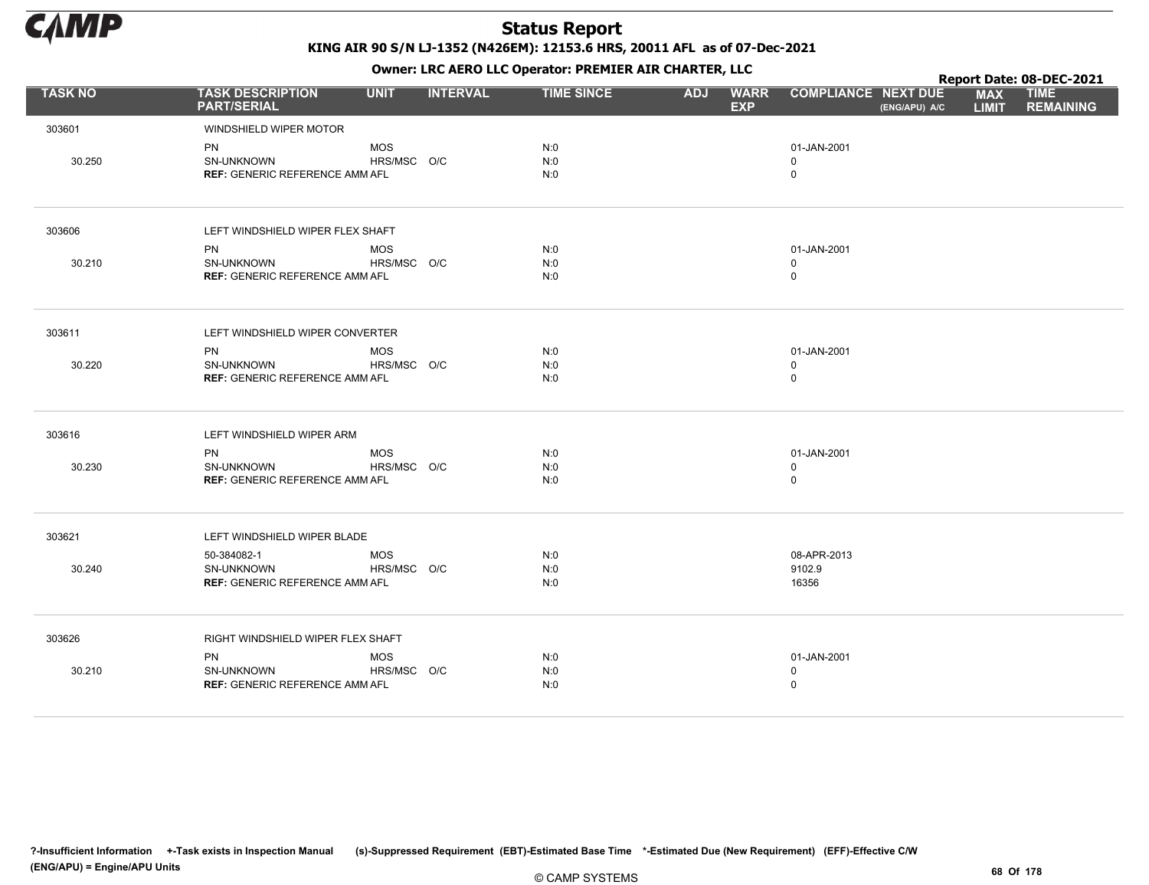

|                |                                                     |             |                 |                   |            | . .                       |                            |               |                            | Report Date: 08-DEC-2021        |
|----------------|-----------------------------------------------------|-------------|-----------------|-------------------|------------|---------------------------|----------------------------|---------------|----------------------------|---------------------------------|
| <b>TASK NO</b> | <b>TASK DESCRIPTION</b><br><b>PART/SERIAL</b>       | <b>UNIT</b> | <b>INTERVAL</b> | <b>TIME SINCE</b> | <b>ADJ</b> | <b>WARR</b><br><b>EXP</b> | <b>COMPLIANCE NEXT DUE</b> | (ENG/APU) A/C | <b>MAX</b><br><b>LIMIT</b> | <b>TIME</b><br><b>REMAINING</b> |
| 303601         | WINDSHIELD WIPER MOTOR                              |             |                 |                   |            |                           |                            |               |                            |                                 |
|                | PN                                                  | <b>MOS</b>  |                 | N:0               |            |                           | 01-JAN-2001                |               |                            |                                 |
| 30.250         | SN-UNKNOWN                                          | HRS/MSC O/C |                 | N:0               |            |                           | 0                          |               |                            |                                 |
|                | <b>REF: GENERIC REFERENCE AMM AFL</b>               |             |                 | N:0               |            |                           | 0                          |               |                            |                                 |
| 303606         | LEFT WINDSHIELD WIPER FLEX SHAFT                    |             |                 |                   |            |                           |                            |               |                            |                                 |
|                | <b>PN</b>                                           | <b>MOS</b>  |                 | N:0               |            |                           | 01-JAN-2001                |               |                            |                                 |
| 30.210         | SN-UNKNOWN                                          | HRS/MSC O/C |                 | N:0               |            |                           | 0                          |               |                            |                                 |
|                | <b>REF: GENERIC REFERENCE AMM AFL</b>               |             |                 | N:0               |            |                           | 0                          |               |                            |                                 |
| 303611         | LEFT WINDSHIELD WIPER CONVERTER                     |             |                 |                   |            |                           |                            |               |                            |                                 |
|                | <b>PN</b>                                           | <b>MOS</b>  |                 | N:0               |            |                           | 01-JAN-2001                |               |                            |                                 |
| 30.220         | <b>SN-UNKNOWN</b>                                   | HRS/MSC O/C |                 | N:0               |            |                           | $\mathbf 0$                |               |                            |                                 |
|                | <b>REF: GENERIC REFERENCE AMM AFL</b>               |             |                 | N:0               |            |                           | 0                          |               |                            |                                 |
| 303616         | LEFT WINDSHIELD WIPER ARM                           |             |                 |                   |            |                           |                            |               |                            |                                 |
|                | <b>PN</b>                                           | <b>MOS</b>  |                 | N:0               |            |                           | 01-JAN-2001                |               |                            |                                 |
| 30.230         | SN-UNKNOWN<br><b>REF: GENERIC REFERENCE AMM AFL</b> | HRS/MSC O/C |                 | N:0<br>N:0        |            |                           | 0<br>0                     |               |                            |                                 |
|                |                                                     |             |                 |                   |            |                           |                            |               |                            |                                 |
| 303621         | LEFT WINDSHIELD WIPER BLADE                         |             |                 |                   |            |                           |                            |               |                            |                                 |
|                | 50-384082-1                                         | <b>MOS</b>  |                 | N:0               |            |                           | 08-APR-2013                |               |                            |                                 |
| 30.240         | SN-UNKNOWN                                          | HRS/MSC O/C |                 | N:0               |            |                           | 9102.9                     |               |                            |                                 |
|                | <b>REF: GENERIC REFERENCE AMM AFL</b>               |             |                 | N:0               |            |                           | 16356                      |               |                            |                                 |
| 303626         | RIGHT WINDSHIELD WIPER FLEX SHAFT                   |             |                 |                   |            |                           |                            |               |                            |                                 |
|                | PN                                                  | <b>MOS</b>  |                 | N:0               |            |                           | 01-JAN-2001                |               |                            |                                 |
| 30.210         | SN-UNKNOWN                                          | HRS/MSC O/C |                 | N:0               |            |                           | 0                          |               |                            |                                 |
|                | <b>REF: GENERIC REFERENCE AMM AFL</b>               |             |                 | N:0               |            |                           | $\mathbf 0$                |               |                            |                                 |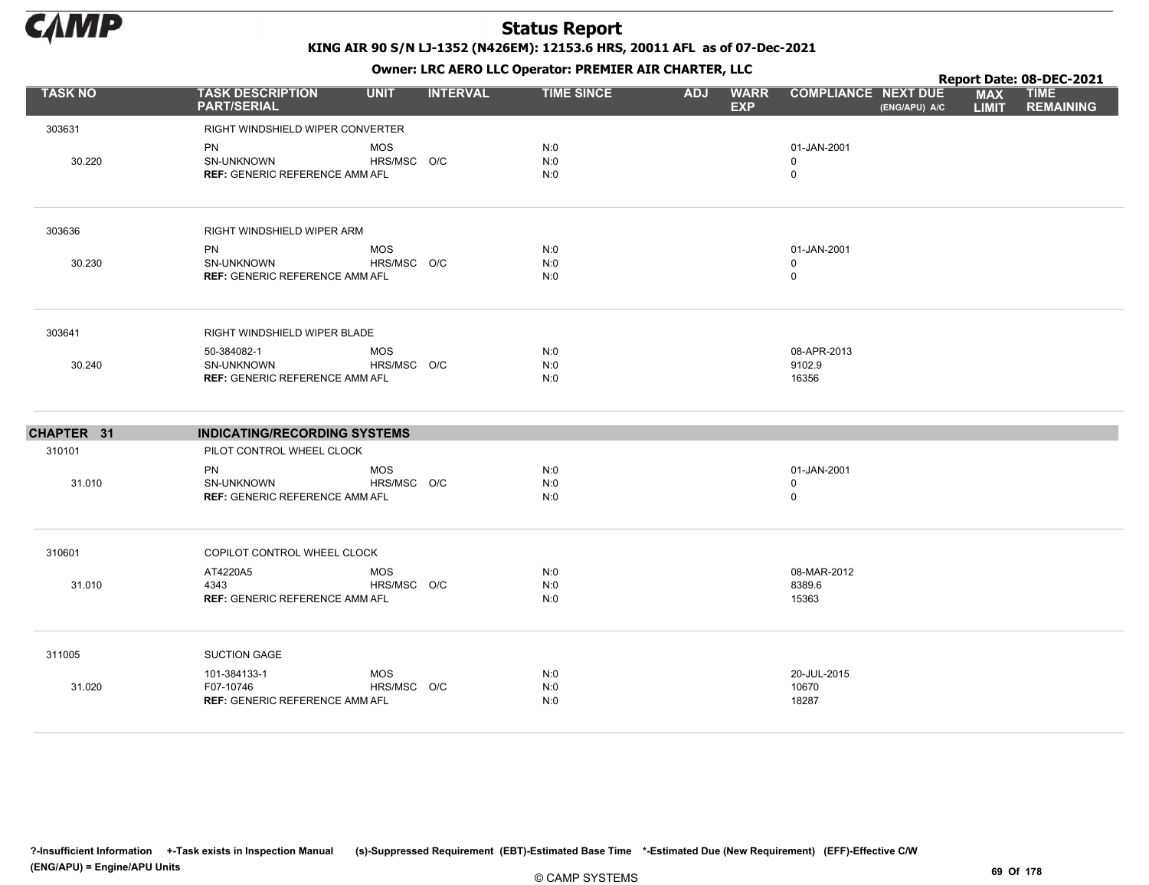

|                |                                                     |             |                 |                   |            | . .                       |                            |               |                            | Report Date: 08-DEC-2021        |
|----------------|-----------------------------------------------------|-------------|-----------------|-------------------|------------|---------------------------|----------------------------|---------------|----------------------------|---------------------------------|
| <b>TASK NO</b> | <b>TASK DESCRIPTION</b><br><b>PART/SERIAL</b>       | <b>UNIT</b> | <b>INTERVAL</b> | <b>TIME SINCE</b> | <b>ADJ</b> | <b>WARR</b><br><b>EXP</b> | <b>COMPLIANCE NEXT DUE</b> | (ENG/APU) A/C | <b>MAX</b><br><b>LIMIT</b> | <b>TIME</b><br><b>REMAINING</b> |
| 303631         | RIGHT WINDSHIELD WIPER CONVERTER                    |             |                 |                   |            |                           |                            |               |                            |                                 |
|                | <b>PN</b>                                           | <b>MOS</b>  |                 | N:0               |            |                           | 01-JAN-2001                |               |                            |                                 |
| 30.220         | SN-UNKNOWN                                          | HRS/MSC O/C |                 | N:0               |            |                           | $\mathbf 0$                |               |                            |                                 |
|                | <b>REF: GENERIC REFERENCE AMM AFL</b>               |             |                 | N:0               |            |                           | $\mathbf 0$                |               |                            |                                 |
| 303636         | RIGHT WINDSHIELD WIPER ARM                          |             |                 |                   |            |                           |                            |               |                            |                                 |
|                | PN                                                  | <b>MOS</b>  |                 | N:0               |            |                           | 01-JAN-2001                |               |                            |                                 |
| 30.230         | SN-UNKNOWN                                          | HRS/MSC O/C |                 | N:0               |            |                           | $\mathbf 0$                |               |                            |                                 |
|                | <b>REF: GENERIC REFERENCE AMM AFL</b>               |             |                 | N:0               |            |                           | $\mathbf 0$                |               |                            |                                 |
| 303641         | RIGHT WINDSHIELD WIPER BLADE                        |             |                 |                   |            |                           |                            |               |                            |                                 |
|                | 50-384082-1                                         | MOS         |                 | N:0               |            |                           | 08-APR-2013                |               |                            |                                 |
| 30.240         | SN-UNKNOWN                                          | HRS/MSC O/C |                 | N:0<br>N:0        |            |                           | 9102.9<br>16356            |               |                            |                                 |
|                | <b>REF: GENERIC REFERENCE AMM AFL</b>               |             |                 |                   |            |                           |                            |               |                            |                                 |
| CHAPTER 31     | <b>INDICATING/RECORDING SYSTEMS</b>                 |             |                 |                   |            |                           |                            |               |                            |                                 |
| 310101         | PILOT CONTROL WHEEL CLOCK                           |             |                 |                   |            |                           |                            |               |                            |                                 |
|                | <b>PN</b>                                           | <b>MOS</b>  |                 | N:0               |            |                           | 01-JAN-2001                |               |                            |                                 |
| 31.010         | SN-UNKNOWN<br><b>REF: GENERIC REFERENCE AMM AFL</b> | HRS/MSC O/C |                 | N:0<br>N:0        |            |                           | 0<br>$\mathbf 0$           |               |                            |                                 |
|                |                                                     |             |                 |                   |            |                           |                            |               |                            |                                 |
| 310601         | COPILOT CONTROL WHEEL CLOCK                         |             |                 |                   |            |                           |                            |               |                            |                                 |
|                | AT4220A5                                            | <b>MOS</b>  |                 | N:0               |            |                           | 08-MAR-2012                |               |                            |                                 |
| 31.010         | 4343                                                | HRS/MSC O/C |                 | N:0               |            |                           | 8389.6                     |               |                            |                                 |
|                | <b>REF: GENERIC REFERENCE AMM AFL</b>               |             |                 | N:0               |            |                           | 15363                      |               |                            |                                 |
| 311005         | <b>SUCTION GAGE</b>                                 |             |                 |                   |            |                           |                            |               |                            |                                 |
|                | 101-384133-1                                        | MOS         |                 | N:0               |            |                           | 20-JUL-2015                |               |                            |                                 |
| 31.020         | F07-10746                                           | HRS/MSC O/C |                 | N:0               |            |                           | 10670                      |               |                            |                                 |
|                | <b>REF: GENERIC REFERENCE AMM AFL</b>               |             |                 | N:0               |            |                           | 18287                      |               |                            |                                 |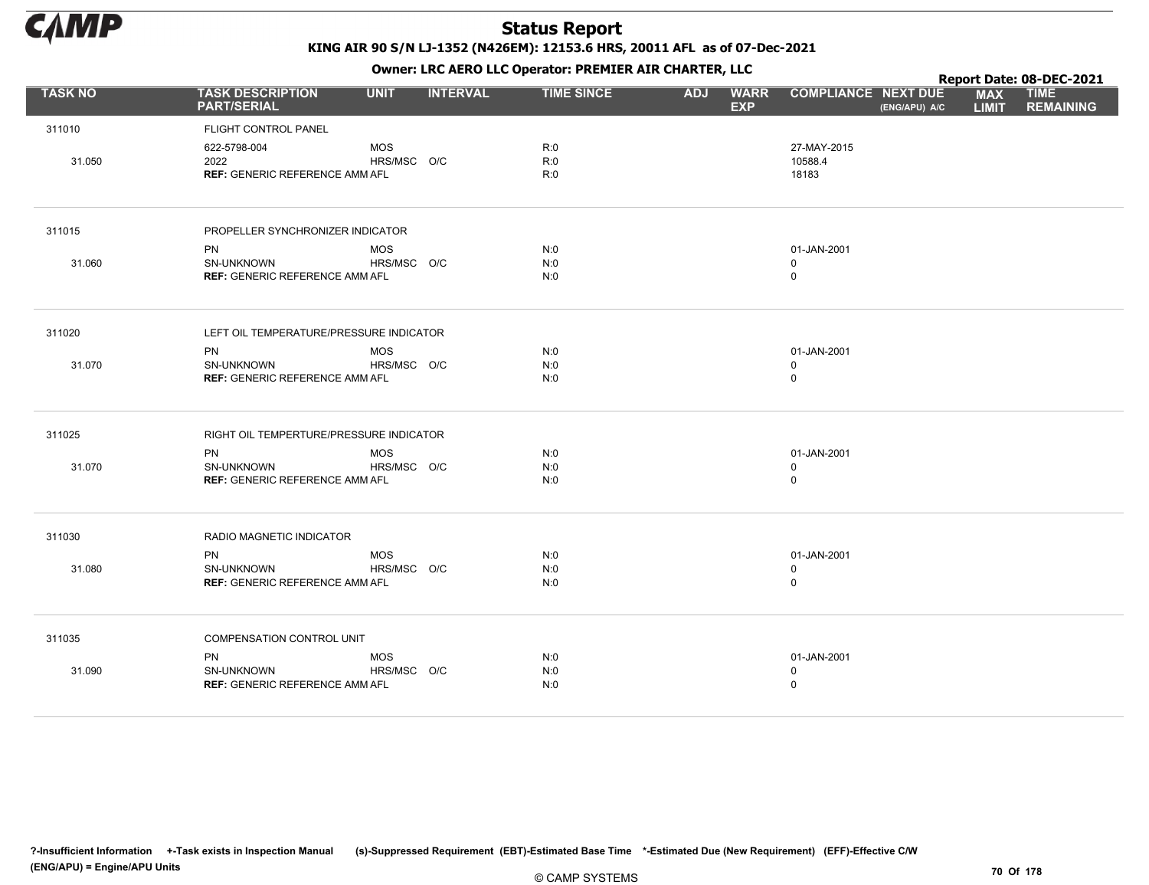

Owner: LRC AERO LLC Operator: PREMIER AIR CHARTER, LLC

|                |                                                                         |                           |                 | OWHER. LKC ALKO LLC OPERATOR. PREPILER AIR CHARTER, LLC |            |                           |                                 |               |                            | Report Date: 08-DEC-2021        |
|----------------|-------------------------------------------------------------------------|---------------------------|-----------------|---------------------------------------------------------|------------|---------------------------|---------------------------------|---------------|----------------------------|---------------------------------|
| <b>TASK NO</b> | <b>TASK DESCRIPTION</b><br><b>PART/SERIAL</b>                           | <b>UNIT</b>               | <b>INTERVAL</b> | <b>TIME SINCE</b>                                       | <b>ADJ</b> | <b>WARR</b><br><b>EXP</b> | <b>COMPLIANCE NEXT DUE</b>      | (ENG/APU) A/C | <b>MAX</b><br><b>LIMIT</b> | <b>TIME</b><br><b>REMAINING</b> |
| 311010         | FLIGHT CONTROL PANEL                                                    |                           |                 |                                                         |            |                           |                                 |               |                            |                                 |
| 31.050         | 622-5798-004<br>2022<br><b>REF: GENERIC REFERENCE AMM AFL</b>           | <b>MOS</b><br>HRS/MSC O/C |                 | R:0<br>R:0<br>R:0                                       |            |                           | 27-MAY-2015<br>10588.4<br>18183 |               |                            |                                 |
| 311015         | PROPELLER SYNCHRONIZER INDICATOR                                        |                           |                 |                                                         |            |                           |                                 |               |                            |                                 |
|                | <b>PN</b>                                                               | <b>MOS</b>                |                 | N:0                                                     |            |                           | 01-JAN-2001                     |               |                            |                                 |
| 31.060         | <b>SN-UNKNOWN</b><br><b>REF: GENERIC REFERENCE AMM AFL</b>              | HRS/MSC O/C               |                 | N:0<br>N:0                                              |            |                           | $\Omega$<br>0                   |               |                            |                                 |
| 311020         | LEFT OIL TEMPERATURE/PRESSURE INDICATOR                                 |                           |                 |                                                         |            |                           |                                 |               |                            |                                 |
| 31.070         | <b>PN</b><br><b>SN-UNKNOWN</b><br><b>REF: GENERIC REFERENCE AMM AFL</b> | <b>MOS</b><br>HRS/MSC O/C |                 | N:0<br>N:0<br>N:0                                       |            |                           | 01-JAN-2001<br>$\mathbf 0$<br>0 |               |                            |                                 |
| 311025         | RIGHT OIL TEMPERTURE/PRESSURE INDICATOR                                 |                           |                 |                                                         |            |                           |                                 |               |                            |                                 |
| 31.070         | <b>PN</b><br>SN-UNKNOWN<br><b>REF: GENERIC REFERENCE AMM AFL</b>        | <b>MOS</b><br>HRS/MSC O/C |                 | N:0<br>N:0<br>N:0                                       |            |                           | 01-JAN-2001<br>$\mathbf 0$<br>0 |               |                            |                                 |
| 311030         | RADIO MAGNETIC INDICATOR                                                |                           |                 |                                                         |            |                           |                                 |               |                            |                                 |
| 31.080         | <b>PN</b><br>SN-UNKNOWN<br><b>REF: GENERIC REFERENCE AMM AFL</b>        | <b>MOS</b><br>HRS/MSC O/C |                 | N:0<br>N:0<br>N:0                                       |            |                           | 01-JAN-2001<br>0<br>$\mathbf 0$ |               |                            |                                 |
| 311035         | COMPENSATION CONTROL UNIT                                               |                           |                 |                                                         |            |                           |                                 |               |                            |                                 |
| 31.090         | <b>PN</b><br>SN-UNKNOWN<br><b>REF: GENERIC REFERENCE AMM AFL</b>        | <b>MOS</b><br>HRS/MSC O/C |                 | N:0<br>N:0<br>N:0                                       |            |                           | 01-JAN-2001<br>0<br>0           |               |                            |                                 |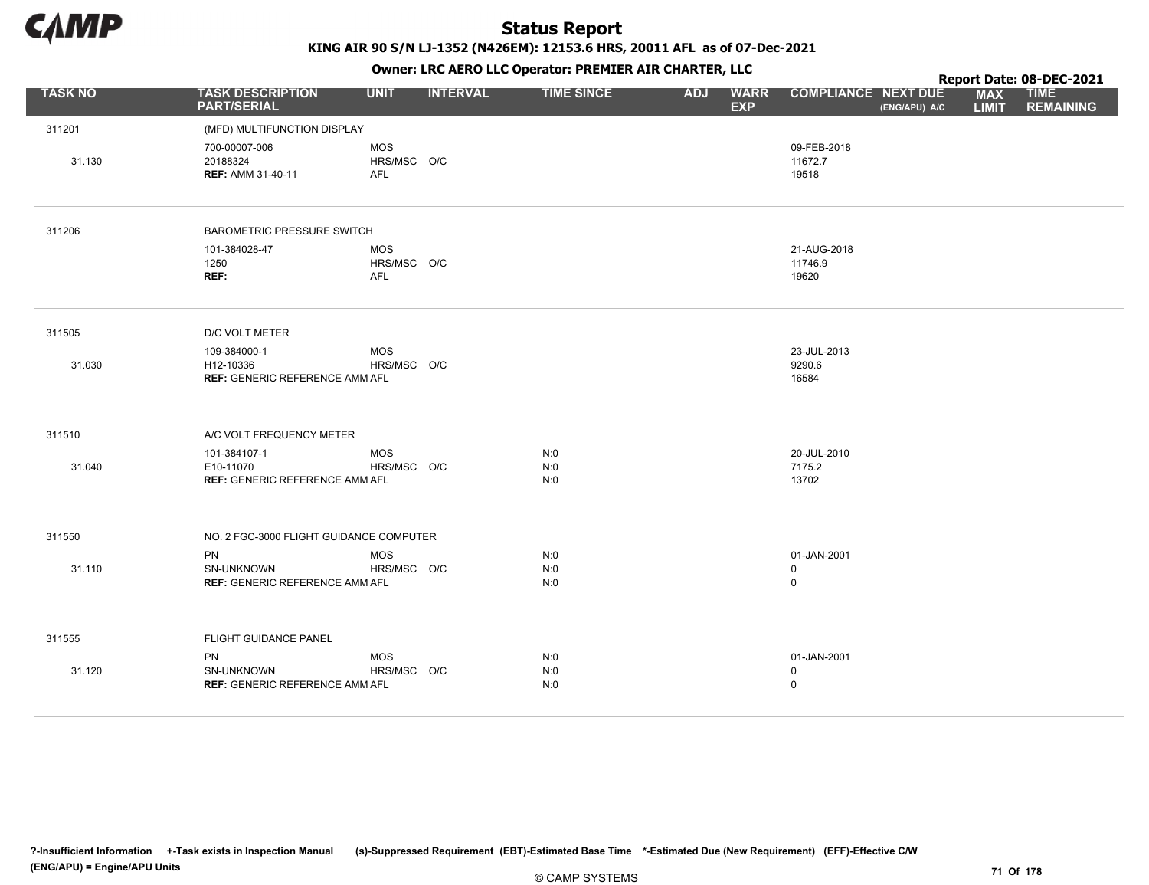

KING AIR 90 S/N LJ-1352 (N426EM): 12153.6 HRS, 20011 AFL as of 07-Dec-2021

|                |                                                                    |                                  |                 | OWHER. LKC ALKO LLC OPERATOR. PREPILER AIR CHARTER, LLC |            |                           |                                           |               |                            | Report Date: 08-DEC-2021        |
|----------------|--------------------------------------------------------------------|----------------------------------|-----------------|---------------------------------------------------------|------------|---------------------------|-------------------------------------------|---------------|----------------------------|---------------------------------|
| <b>TASK NO</b> | <b>TASK DESCRIPTION</b><br><b>PART/SERIAL</b>                      | <b>UNIT</b>                      | <b>INTERVAL</b> | <b>TIME SINCE</b>                                       | <b>ADJ</b> | <b>WARR</b><br><b>EXP</b> | <b>COMPLIANCE NEXT DUE</b>                | (ENG/APU) A/C | <b>MAX</b><br><b>LIMIT</b> | <b>TIME</b><br><b>REMAINING</b> |
| 311201         | (MFD) MULTIFUNCTION DISPLAY                                        |                                  |                 |                                                         |            |                           |                                           |               |                            |                                 |
| 31.130         | 700-00007-006<br>20188324<br><b>REF: AMM 31-40-11</b>              | MOS<br>HRS/MSC O/C<br>AFL        |                 |                                                         |            |                           | 09-FEB-2018<br>11672.7<br>19518           |               |                            |                                 |
| 311206         | <b>BAROMETRIC PRESSURE SWITCH</b>                                  |                                  |                 |                                                         |            |                           |                                           |               |                            |                                 |
|                | 101-384028-47<br>1250<br>REF:                                      | MOS<br>HRS/MSC O/C<br><b>AFL</b> |                 |                                                         |            |                           | 21-AUG-2018<br>11746.9<br>19620           |               |                            |                                 |
| 311505         | D/C VOLT METER                                                     |                                  |                 |                                                         |            |                           |                                           |               |                            |                                 |
| 31.030         | 109-384000-1<br>H12-10336<br><b>REF: GENERIC REFERENCE AMM AFL</b> | MOS<br>HRS/MSC O/C               |                 |                                                         |            |                           | 23-JUL-2013<br>9290.6<br>16584            |               |                            |                                 |
| 311510         | A/C VOLT FREQUENCY METER                                           |                                  |                 |                                                         |            |                           |                                           |               |                            |                                 |
| 31.040         | 101-384107-1<br>E10-11070<br><b>REF: GENERIC REFERENCE AMM AFL</b> | MOS<br>HRS/MSC O/C               |                 | N:0<br>N:0<br>N:0                                       |            |                           | 20-JUL-2010<br>7175.2<br>13702            |               |                            |                                 |
| 311550         | NO. 2 FGC-3000 FLIGHT GUIDANCE COMPUTER                            |                                  |                 |                                                         |            |                           |                                           |               |                            |                                 |
| 31.110         | <b>PN</b><br>SN-UNKNOWN<br><b>REF: GENERIC REFERENCE AMM AFL</b>   | <b>MOS</b><br>HRS/MSC O/C        |                 | N:0<br>N:0<br>N:0                                       |            |                           | 01-JAN-2001<br>$\mathsf 0$<br>$\mathsf 0$ |               |                            |                                 |
| 311555         | FLIGHT GUIDANCE PANEL                                              |                                  |                 |                                                         |            |                           |                                           |               |                            |                                 |
| 31.120         | <b>PN</b><br>SN-UNKNOWN<br><b>REF: GENERIC REFERENCE AMM AFL</b>   | MOS<br>HRS/MSC O/C               |                 | N:0<br>N:0<br>N:0                                       |            |                           | 01-JAN-2001<br>$\mathbf 0$<br>$\mathsf 0$ |               |                            |                                 |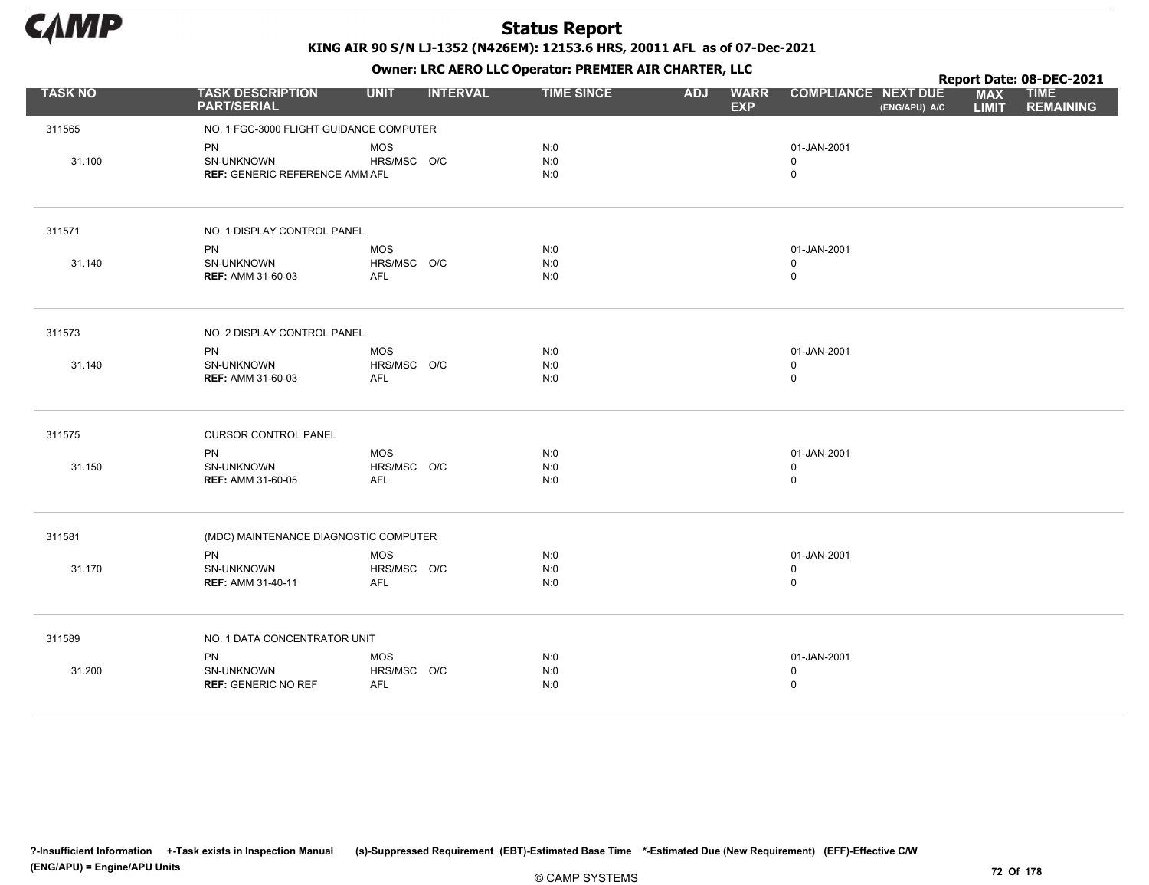

|                |                                               |                                |                   |            | $\mathbf{r}$              |                                             |                            | Report Date: 08-DEC-2021        |
|----------------|-----------------------------------------------|--------------------------------|-------------------|------------|---------------------------|---------------------------------------------|----------------------------|---------------------------------|
| <b>TASK NO</b> | <b>TASK DESCRIPTION</b><br><b>PART/SERIAL</b> | <b>UNIT</b><br><b>INTERVAL</b> | <b>TIME SINCE</b> | <b>ADJ</b> | <b>WARR</b><br><b>EXP</b> | <b>COMPLIANCE NEXT DUE</b><br>(ENG/APU) A/C | <b>MAX</b><br><b>LIMIT</b> | <b>TIME</b><br><b>REMAINING</b> |
| 311565         | NO. 1 FGC-3000 FLIGHT GUIDANCE COMPUTER       |                                |                   |            |                           |                                             |                            |                                 |
|                | PN                                            | <b>MOS</b>                     | N:0               |            |                           | 01-JAN-2001                                 |                            |                                 |
| 31.100         | SN-UNKNOWN                                    | HRS/MSC O/C                    | N:0               |            |                           | $\mathbf 0$                                 |                            |                                 |
|                | <b>REF: GENERIC REFERENCE AMM AFL</b>         |                                | N:0               |            |                           | 0                                           |                            |                                 |
| 311571         | NO. 1 DISPLAY CONTROL PANEL                   |                                |                   |            |                           |                                             |                            |                                 |
|                | <b>PN</b>                                     | MOS                            | N:0               |            |                           | 01-JAN-2001                                 |                            |                                 |
| 31.140         | SN-UNKNOWN                                    | HRS/MSC O/C                    | N:0               |            |                           | $\mathbf 0$                                 |                            |                                 |
|                | <b>REF: AMM 31-60-03</b>                      | <b>AFL</b>                     | N:0               |            |                           | $\mathbf 0$                                 |                            |                                 |
| 311573         | NO. 2 DISPLAY CONTROL PANEL                   |                                |                   |            |                           |                                             |                            |                                 |
|                | PN                                            | MOS                            | N:0               |            |                           | 01-JAN-2001                                 |                            |                                 |
| 31.140         | SN-UNKNOWN                                    | HRS/MSC O/C                    | N:0               |            |                           | $\mathbf 0$                                 |                            |                                 |
|                | <b>REF: AMM 31-60-03</b>                      | <b>AFL</b>                     | N:0               |            |                           | $\mathsf{O}$                                |                            |                                 |
| 311575         | <b>CURSOR CONTROL PANEL</b>                   |                                |                   |            |                           |                                             |                            |                                 |
|                | <b>PN</b>                                     | MOS                            | N:0               |            |                           | 01-JAN-2001                                 |                            |                                 |
| 31.150         | SN-UNKNOWN                                    | HRS/MSC O/C                    | N:0               |            |                           | $\mathbf 0$                                 |                            |                                 |
|                | <b>REF: AMM 31-60-05</b>                      | <b>AFL</b>                     | N:0               |            |                           | $\mathbf 0$                                 |                            |                                 |
| 311581         | (MDC) MAINTENANCE DIAGNOSTIC COMPUTER         |                                |                   |            |                           |                                             |                            |                                 |
|                | <b>PN</b>                                     | <b>MOS</b>                     | N:0               |            |                           | 01-JAN-2001                                 |                            |                                 |
| 31.170         | <b>SN-UNKNOWN</b>                             | HRS/MSC O/C                    | N:0               |            |                           | $\mathbf 0$                                 |                            |                                 |
|                | <b>REF: AMM 31-40-11</b>                      | <b>AFL</b>                     | N:0               |            |                           | $\mathsf{O}$                                |                            |                                 |
| 311589         | NO. 1 DATA CONCENTRATOR UNIT                  |                                |                   |            |                           |                                             |                            |                                 |
|                | PN                                            | MOS                            | N:0               |            |                           | 01-JAN-2001                                 |                            |                                 |
| 31.200         | SN-UNKNOWN                                    | HRS/MSC O/C                    | N:0               |            |                           | $\mathbf 0$                                 |                            |                                 |
|                | <b>REF: GENERIC NO REF</b>                    | <b>AFL</b>                     | N:0               |            |                           | $\mathbf 0$                                 |                            |                                 |
|                |                                               |                                |                   |            |                           |                                             |                            |                                 |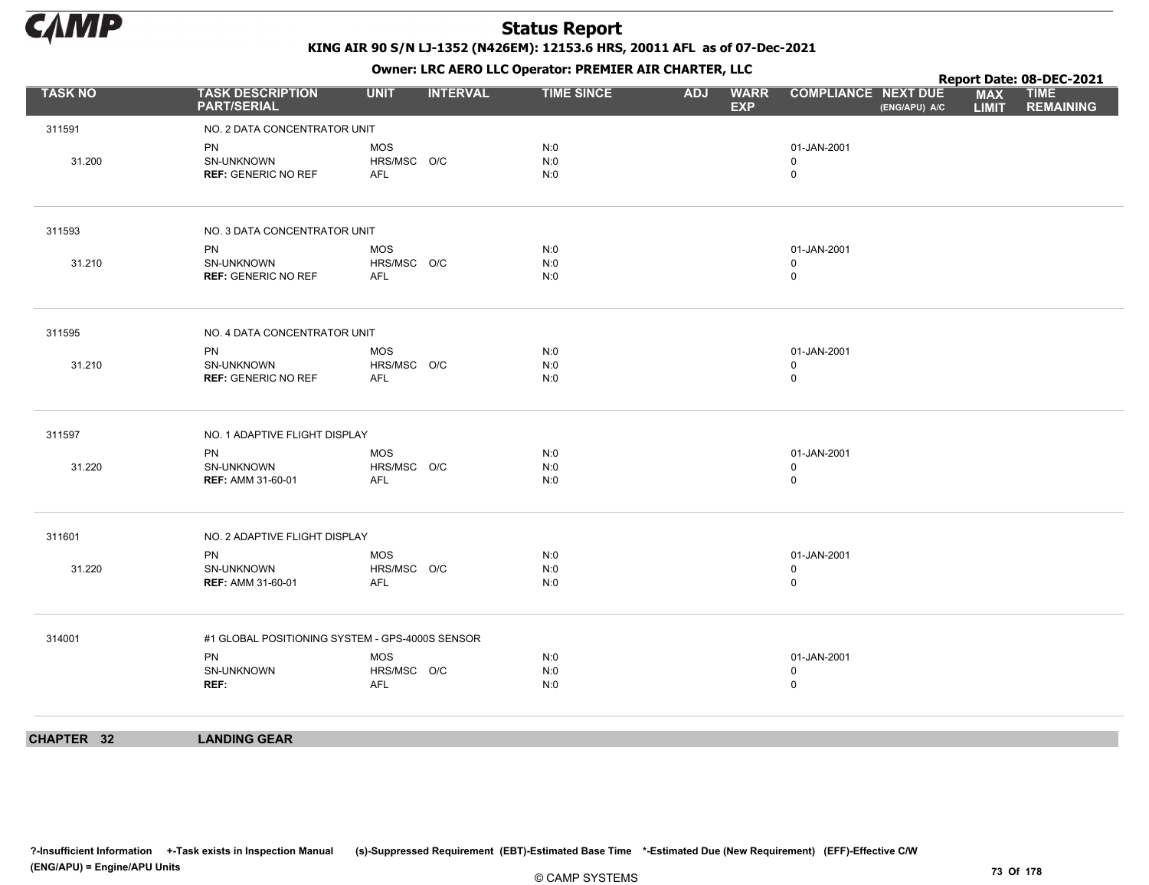

Owner: LRC AERO LLC Operator: PREMIER AIR CHARTER, LLC

|                |                                                       |                                                 |                   | $\mathbf{r}$           |                                             | Report Date: 08-DEC-2021                                      |
|----------------|-------------------------------------------------------|-------------------------------------------------|-------------------|------------------------|---------------------------------------------|---------------------------------------------------------------|
| <b>TASK NO</b> | <b>TASK DESCRIPTION</b><br><b>PART/SERIAL</b>         | <b>UNIT</b><br><b>INTERVAL</b>                  | <b>TIME SINCE</b> | ADJ WARR<br><b>EXP</b> | <b>COMPLIANCE NEXT DUE</b><br>(ENG/APU) A/C | <b>MAX</b><br><b>TIME</b><br><b>REMAINING</b><br><b>LIMIT</b> |
| 311591         | NO. 2 DATA CONCENTRATOR UNIT                          |                                                 |                   |                        |                                             |                                                               |
| 31.200         | PN<br>SN-UNKNOWN<br><b>REF: GENERIC NO REF</b>        | <b>MOS</b><br>HRS/MSC O/C<br>AFL                | N:0<br>N:0<br>N:0 |                        | 01-JAN-2001<br>0<br>$\mathbf 0$             |                                                               |
| 311593         | NO. 3 DATA CONCENTRATOR UNIT                          |                                                 |                   |                        |                                             |                                                               |
| 31.210         | <b>PN</b><br>SN-UNKNOWN<br><b>REF: GENERIC NO REF</b> | <b>MOS</b><br>HRS/MSC O/C<br>AFL                | N:0<br>N:0<br>N:0 |                        | 01-JAN-2001<br>0<br>$\mathsf 0$             |                                                               |
| 311595         | NO. 4 DATA CONCENTRATOR UNIT                          |                                                 |                   |                        |                                             |                                                               |
| 31.210         | PN<br>SN-UNKNOWN<br><b>REF: GENERIC NO REF</b>        | <b>MOS</b><br>HRS/MSC O/C<br>AFL                | N:0<br>N:0<br>N:0 |                        | 01-JAN-2001<br>0<br>$\mathbf 0$             |                                                               |
| 311597         | NO. 1 ADAPTIVE FLIGHT DISPLAY                         |                                                 |                   |                        |                                             |                                                               |
| 31.220         | PN<br>SN-UNKNOWN<br><b>REF: AMM 31-60-01</b>          | MOS<br>HRS/MSC O/C<br>AFL                       | N:0<br>N:0<br>N:0 |                        | 01-JAN-2001<br>$\mathbf 0$<br>0             |                                                               |
| 311601         | NO. 2 ADAPTIVE FLIGHT DISPLAY                         |                                                 |                   |                        |                                             |                                                               |
| 31.220         | <b>PN</b><br>SN-UNKNOWN<br><b>REF: AMM 31-60-01</b>   | <b>MOS</b><br>HRS/MSC O/C<br>AFL                | N:0<br>N:0<br>N:0 |                        | 01-JAN-2001<br>$\mathbf 0$<br>$\mathbf 0$   |                                                               |
| 314001         |                                                       | #1 GLOBAL POSITIONING SYSTEM - GPS-4000S SENSOR |                   |                        |                                             |                                                               |
|                | PN<br>SN-UNKNOWN<br>REF:                              | <b>MOS</b><br>HRS/MSC O/C<br><b>AFL</b>         | N:0<br>N:0<br>N:0 |                        | 01-JAN-2001<br>$\mathbf 0$<br>$\mathsf 0$   |                                                               |
| CHAPTER 32     | <b>LANDING GEAR</b>                                   |                                                 |                   |                        |                                             |                                                               |
|                |                                                       |                                                 |                   |                        |                                             |                                                               |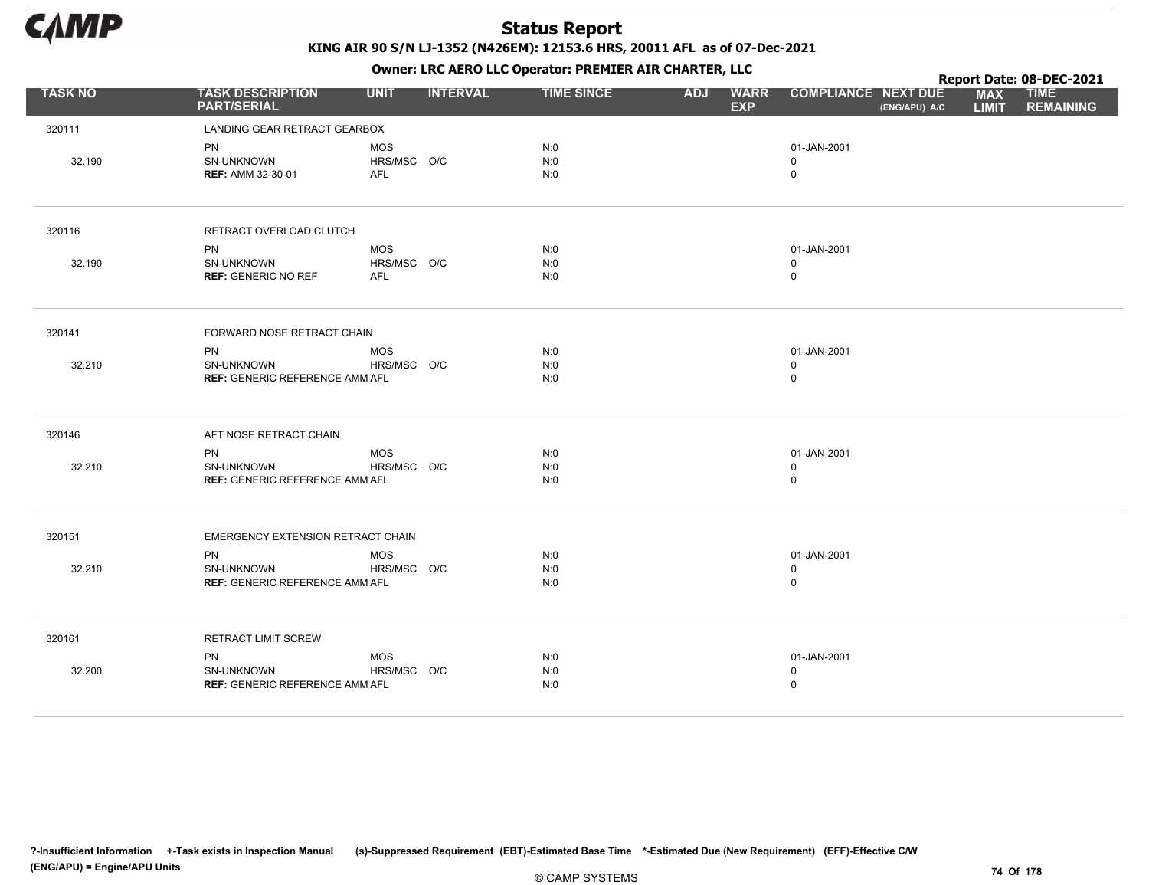

|                |                                               |             |                 |                   |            | . .                       |                                             |                            | Report Date: 08-DEC-2021        |
|----------------|-----------------------------------------------|-------------|-----------------|-------------------|------------|---------------------------|---------------------------------------------|----------------------------|---------------------------------|
| <b>TASK NO</b> | <b>TASK DESCRIPTION</b><br><b>PART/SERIAL</b> | <b>UNIT</b> | <b>INTERVAL</b> | <b>TIME SINCE</b> | <b>ADJ</b> | <b>WARR</b><br><b>EXP</b> | <b>COMPLIANCE NEXT DUE</b><br>(ENG/APU) A/C | <b>MAX</b><br><b>LIMIT</b> | <b>TIME</b><br><b>REMAINING</b> |
| 320111         | LANDING GEAR RETRACT GEARBOX                  |             |                 |                   |            |                           |                                             |                            |                                 |
|                | <b>PN</b>                                     | <b>MOS</b>  |                 | N:0               |            |                           | 01-JAN-2001                                 |                            |                                 |
| 32.190         | SN-UNKNOWN                                    | HRS/MSC O/C |                 | N:0               |            |                           | 0                                           |                            |                                 |
|                | <b>REF: AMM 32-30-01</b>                      | AFL         |                 | N:0               |            |                           | $\mathbf 0$                                 |                            |                                 |
| 320116         | RETRACT OVERLOAD CLUTCH                       |             |                 |                   |            |                           |                                             |                            |                                 |
|                | <b>PN</b>                                     | MOS         |                 | N:0               |            |                           | 01-JAN-2001                                 |                            |                                 |
| 32.190         | SN-UNKNOWN                                    | HRS/MSC O/C |                 | N:0               |            |                           | $\mathbf 0$                                 |                            |                                 |
|                | <b>REF: GENERIC NO REF</b>                    | <b>AFL</b>  |                 | N:0               |            |                           | $\mathbf 0$                                 |                            |                                 |
| 320141         | FORWARD NOSE RETRACT CHAIN                    |             |                 |                   |            |                           |                                             |                            |                                 |
|                | PN                                            | <b>MOS</b>  |                 | N:0               |            |                           | 01-JAN-2001                                 |                            |                                 |
| 32.210         | <b>SN-UNKNOWN</b>                             | HRS/MSC O/C |                 | N:0               |            |                           | $\mathbf 0$                                 |                            |                                 |
|                | <b>REF: GENERIC REFERENCE AMM AFL</b>         |             |                 | N:0               |            |                           | $\mathsf 0$                                 |                            |                                 |
| 320146         | AFT NOSE RETRACT CHAIN                        |             |                 |                   |            |                           |                                             |                            |                                 |
|                | PN                                            | <b>MOS</b>  |                 | N:0               |            |                           | 01-JAN-2001                                 |                            |                                 |
| 32.210         | SN-UNKNOWN                                    | HRS/MSC O/C |                 | N:0               |            |                           | $\mathbf 0$                                 |                            |                                 |
|                | <b>REF: GENERIC REFERENCE AMM AFL</b>         |             |                 | N:0               |            |                           | $\mathsf 0$                                 |                            |                                 |
| 320151         | EMERGENCY EXTENSION RETRACT CHAIN             |             |                 |                   |            |                           |                                             |                            |                                 |
|                | <b>PN</b>                                     | <b>MOS</b>  |                 | N:0               |            |                           | 01-JAN-2001                                 |                            |                                 |
| 32.210         | SN-UNKNOWN                                    | HRS/MSC O/C |                 | N:0               |            |                           | $\mathbf 0$                                 |                            |                                 |
|                | <b>REF: GENERIC REFERENCE AMM AFL</b>         |             |                 | N:0               |            |                           | $\mathsf 0$                                 |                            |                                 |
| 320161         | <b>RETRACT LIMIT SCREW</b>                    |             |                 |                   |            |                           |                                             |                            |                                 |
|                | PN                                            | <b>MOS</b>  |                 | N:0               |            |                           | 01-JAN-2001                                 |                            |                                 |
| 32.200         | SN-UNKNOWN                                    | HRS/MSC O/C |                 | N:0               |            |                           | $\mathbf 0$                                 |                            |                                 |
|                | <b>REF: GENERIC REFERENCE AMM AFL</b>         |             |                 | N:0               |            |                           | $\mathbf 0$                                 |                            |                                 |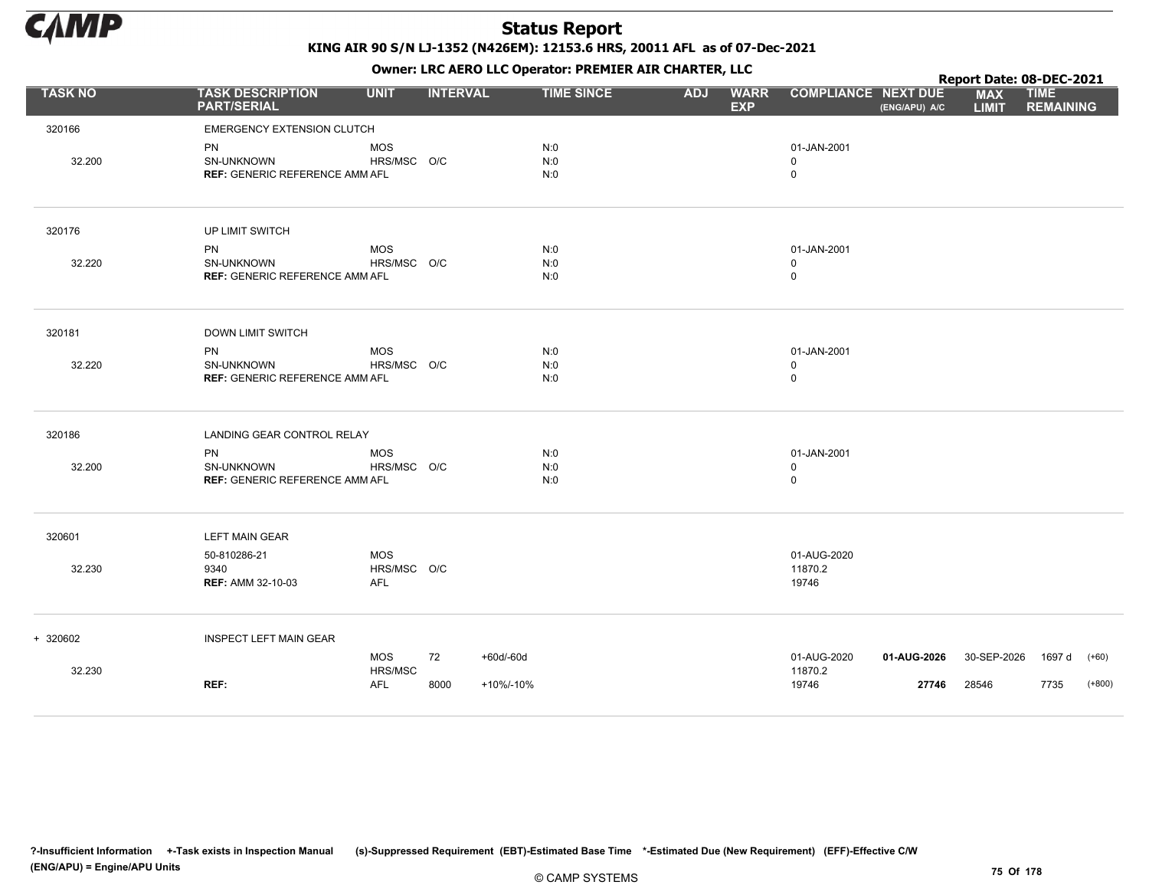

|                |                                                                  |                                     |                 |                        |            | . .                       |                                            |                      | Report Date: 08-DEC-2021   |                                 |                     |
|----------------|------------------------------------------------------------------|-------------------------------------|-----------------|------------------------|------------|---------------------------|--------------------------------------------|----------------------|----------------------------|---------------------------------|---------------------|
| <b>TASK NO</b> | <b>TASK DESCRIPTION</b><br><b>PART/SERIAL</b>                    | <b>UNIT</b>                         | <b>INTERVAL</b> | <b>TIME SINCE</b>      | <b>ADJ</b> | <b>WARR</b><br><b>EXP</b> | <b>COMPLIANCE NEXT DUE</b>                 | (ENG/APU) A/C        | <b>MAX</b><br><b>LIMIT</b> | <b>TIME</b><br><b>REMAINING</b> |                     |
| 320166         | <b>EMERGENCY EXTENSION CLUTCH</b>                                |                                     |                 |                        |            |                           |                                            |                      |                            |                                 |                     |
| 32.200         | PN<br>SN-UNKNOWN<br><b>REF: GENERIC REFERENCE AMM AFL</b>        | <b>MOS</b><br>HRS/MSC O/C           |                 | N:0<br>N:0<br>N:0      |            |                           | 01-JAN-2001<br>0<br>$\mathbf 0$            |                      |                            |                                 |                     |
| 320176         | UP LIMIT SWITCH                                                  |                                     |                 |                        |            |                           |                                            |                      |                            |                                 |                     |
| 32.220         | <b>PN</b><br>SN-UNKNOWN<br><b>REF: GENERIC REFERENCE AMM AFL</b> | <b>MOS</b><br>HRS/MSC O/C           |                 | N:0<br>N:0<br>N:0      |            |                           | 01-JAN-2001<br>0<br>$\mathbf 0$            |                      |                            |                                 |                     |
| 320181         | <b>DOWN LIMIT SWITCH</b>                                         |                                     |                 |                        |            |                           |                                            |                      |                            |                                 |                     |
| 32.220         | PN<br>SN-UNKNOWN<br><b>REF: GENERIC REFERENCE AMM AFL</b>        | <b>MOS</b><br>HRS/MSC O/C           |                 | N:0<br>N:0<br>N:0      |            |                           | 01-JAN-2001<br>0<br>$\mathsf 0$            |                      |                            |                                 |                     |
| 320186         | LANDING GEAR CONTROL RELAY                                       |                                     |                 |                        |            |                           |                                            |                      |                            |                                 |                     |
| 32.200         | <b>PN</b><br>SN-UNKNOWN<br><b>REF: GENERIC REFERENCE AMM AFL</b> | <b>MOS</b><br>HRS/MSC O/C           |                 | N:0<br>N:0<br>N:0      |            |                           | 01-JAN-2001<br>$\mathbf 0$<br>$\mathsf{O}$ |                      |                            |                                 |                     |
| 320601         | <b>LEFT MAIN GEAR</b>                                            |                                     |                 |                        |            |                           |                                            |                      |                            |                                 |                     |
| 32.230         | 50-810286-21<br>9340<br><b>REF: AMM 32-10-03</b>                 | <b>MOS</b><br>HRS/MSC O/C<br>AFL    |                 |                        |            |                           | 01-AUG-2020<br>11870.2<br>19746            |                      |                            |                                 |                     |
| + 320602       | <b>INSPECT LEFT MAIN GEAR</b>                                    |                                     |                 |                        |            |                           |                                            |                      |                            |                                 |                     |
| 32.230         | REF:                                                             | <b>MOS</b><br>HRS/MSC<br><b>AFL</b> | 72<br>8000      | +60d/-60d<br>+10%/-10% |            |                           | 01-AUG-2020<br>11870.2<br>19746            | 01-AUG-2026<br>27746 | 30-SEP-2026<br>28546       | 1697 d<br>7735                  | $(+60)$<br>$(+800)$ |
|                |                                                                  |                                     |                 |                        |            |                           |                                            |                      |                            |                                 |                     |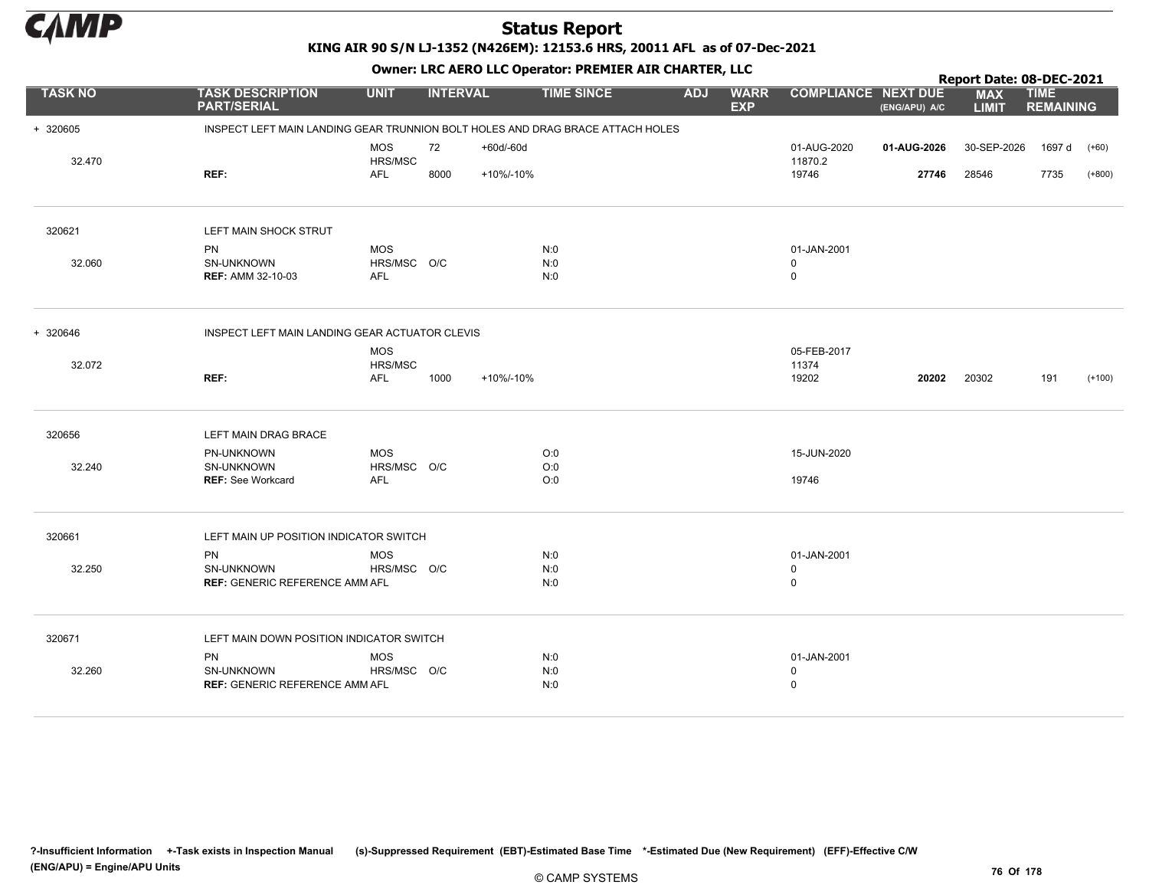

# KING AIR 90 S/N LJ-1352 (N426EM): 12153.6 HRS, 20011 AFL as of 07-Dec-2021

|                |                                                                                |                       |                 |           |                   |            |                           |                            |               | Report Date: 08-DEC-2021   |                                 |          |
|----------------|--------------------------------------------------------------------------------|-----------------------|-----------------|-----------|-------------------|------------|---------------------------|----------------------------|---------------|----------------------------|---------------------------------|----------|
| <b>TASK NO</b> | <b>TASK DESCRIPTION</b><br><b>PART/SERIAL</b>                                  | <b>UNIT</b>           | <b>INTERVAL</b> |           | <b>TIME SINCE</b> | <b>ADJ</b> | <b>WARR</b><br><b>EXP</b> | <b>COMPLIANCE NEXT DUE</b> | (ENG/APU) A/C | <b>MAX</b><br><b>LIMIT</b> | <b>TIME</b><br><b>REMAINING</b> |          |
| + 320605       | INSPECT LEFT MAIN LANDING GEAR TRUNNION BOLT HOLES AND DRAG BRACE ATTACH HOLES |                       |                 |           |                   |            |                           |                            |               |                            |                                 |          |
|                |                                                                                | <b>MOS</b>            | 72              | +60d/-60d |                   |            |                           | 01-AUG-2020                | 01-AUG-2026   | 30-SEP-2026                | 1697 d                          | $(+60)$  |
| 32.470         | REF:                                                                           | HRS/MSC<br><b>AFL</b> |                 |           |                   |            |                           | 11870.2<br>19746           |               |                            |                                 | $(+800)$ |
|                |                                                                                |                       | 8000            | +10%/-10% |                   |            |                           |                            | 27746         | 28546                      | 7735                            |          |
| 320621         | LEFT MAIN SHOCK STRUT                                                          |                       |                 |           |                   |            |                           |                            |               |                            |                                 |          |
|                | PN                                                                             | <b>MOS</b>            |                 |           | N:0               |            |                           | 01-JAN-2001                |               |                            |                                 |          |
| 32.060         | SN-UNKNOWN                                                                     | HRS/MSC O/C           |                 |           | N:0               |            |                           | 0                          |               |                            |                                 |          |
|                | <b>REF: AMM 32-10-03</b>                                                       | <b>AFL</b>            |                 |           | N:0               |            |                           | $\mathbf 0$                |               |                            |                                 |          |
| + 320646       | INSPECT LEFT MAIN LANDING GEAR ACTUATOR CLEVIS                                 |                       |                 |           |                   |            |                           |                            |               |                            |                                 |          |
|                |                                                                                | <b>MOS</b>            |                 |           |                   |            |                           | 05-FEB-2017                |               |                            |                                 |          |
| 32.072         |                                                                                | HRS/MSC               |                 |           |                   |            |                           | 11374                      |               |                            |                                 |          |
|                | REF:                                                                           | <b>AFL</b>            | 1000            | +10%/-10% |                   |            |                           | 19202                      | 20202         | 20302                      | 191                             | $(+100)$ |
| 320656         | LEFT MAIN DRAG BRACE                                                           |                       |                 |           |                   |            |                           |                            |               |                            |                                 |          |
|                | PN-UNKNOWN                                                                     | <b>MOS</b>            |                 |           | O:0               |            |                           | 15-JUN-2020                |               |                            |                                 |          |
| 32.240         | SN-UNKNOWN                                                                     | HRS/MSC O/C           |                 |           | O:0               |            |                           |                            |               |                            |                                 |          |
|                | <b>REF: See Workcard</b>                                                       | <b>AFL</b>            |                 |           | O:0               |            |                           | 19746                      |               |                            |                                 |          |
| 320661         | LEFT MAIN UP POSITION INDICATOR SWITCH                                         |                       |                 |           |                   |            |                           |                            |               |                            |                                 |          |
|                | <b>PN</b>                                                                      | <b>MOS</b>            |                 |           | N:0               |            |                           | 01-JAN-2001                |               |                            |                                 |          |
| 32.250         | SN-UNKNOWN                                                                     | HRS/MSC O/C           |                 |           | N:0               |            |                           | $\mathbf 0$                |               |                            |                                 |          |
|                | <b>REF: GENERIC REFERENCE AMM AFL</b>                                          |                       |                 |           | N:0               |            |                           | $\mathbf 0$                |               |                            |                                 |          |
| 320671         | LEFT MAIN DOWN POSITION INDICATOR SWITCH                                       |                       |                 |           |                   |            |                           |                            |               |                            |                                 |          |
|                | <b>PN</b>                                                                      | <b>MOS</b>            |                 |           | N:0               |            |                           | 01-JAN-2001                |               |                            |                                 |          |
| 32.260         | SN-UNKNOWN                                                                     | HRS/MSC O/C           |                 |           | N:0               |            |                           | $\mathbf 0$                |               |                            |                                 |          |
|                | <b>REF: GENERIC REFERENCE AMM AFL</b>                                          |                       |                 |           | N:0               |            |                           | $\mathbf 0$                |               |                            |                                 |          |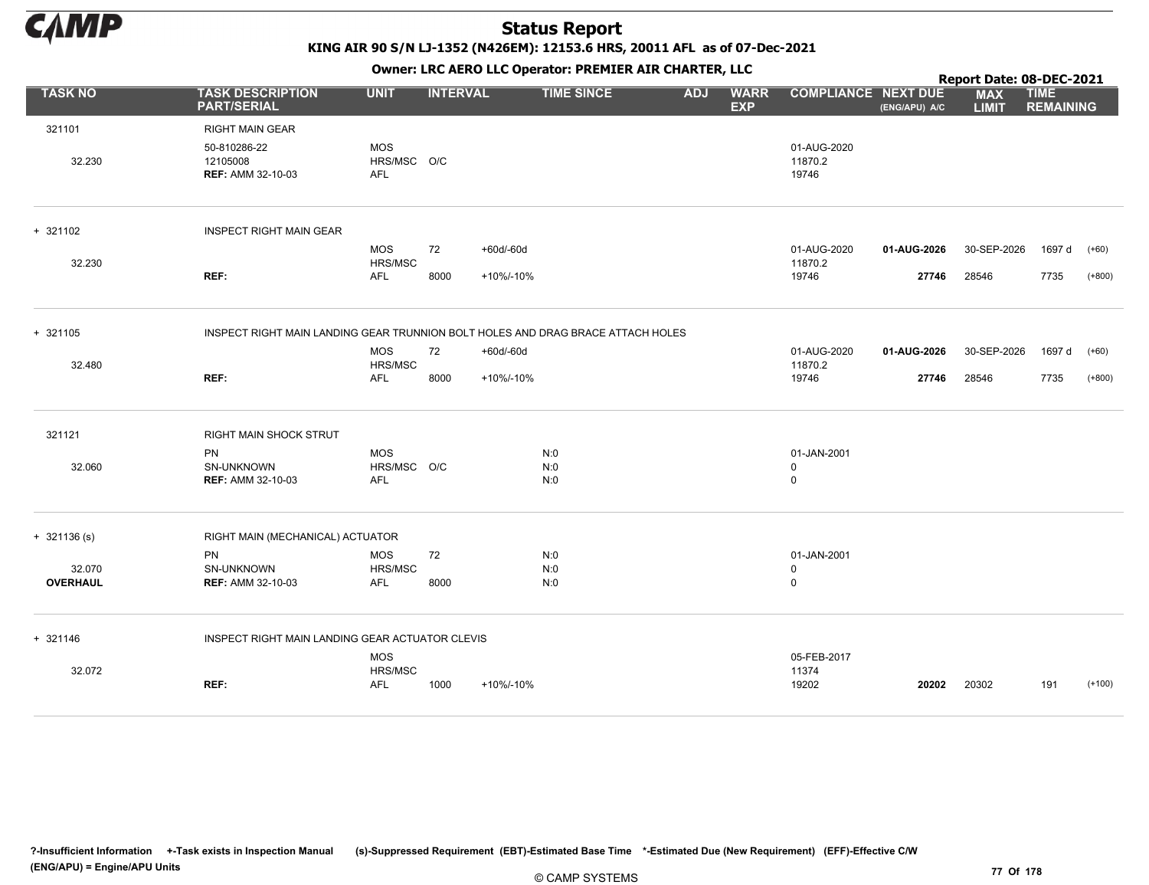

KING AIR 90 S/N LJ-1352 (N426EM): 12153.6 HRS, 20011 AFL as of 07-Dec-2021

|                           |                                                                                 |                                         |                 |           | OWHER LIKE ALKO LLC OPERATOR PREPILER AIR CHARTER, LLC |            |                           |                                 |               | Report Date: 08-DEC-2021   |                                 |          |
|---------------------------|---------------------------------------------------------------------------------|-----------------------------------------|-----------------|-----------|--------------------------------------------------------|------------|---------------------------|---------------------------------|---------------|----------------------------|---------------------------------|----------|
| <b>TASK NO</b>            | <b>TASK DESCRIPTION</b><br><b>PART/SERIAL</b>                                   | <b>UNIT</b>                             | <b>INTERVAL</b> |           | <b>TIME SINCE</b>                                      | <b>ADJ</b> | <b>WARR</b><br><b>EXP</b> | <b>COMPLIANCE NEXT DUE</b>      | (ENG/APU) A/C | <b>MAX</b><br><b>LIMIT</b> | <b>TIME</b><br><b>REMAINING</b> |          |
| 321101                    | <b>RIGHT MAIN GEAR</b>                                                          |                                         |                 |           |                                                        |            |                           |                                 |               |                            |                                 |          |
| 32.230                    | 50-810286-22<br>12105008<br><b>REF: AMM 32-10-03</b>                            | <b>MOS</b><br>HRS/MSC O/C<br><b>AFL</b> |                 |           |                                                        |            |                           | 01-AUG-2020<br>11870.2<br>19746 |               |                            |                                 |          |
| + 321102                  | <b>INSPECT RIGHT MAIN GEAR</b>                                                  |                                         |                 |           |                                                        |            |                           |                                 |               |                            |                                 |          |
| 32.230                    |                                                                                 | <b>MOS</b><br>HRS/MSC                   | 72              | +60d/-60d |                                                        |            |                           | 01-AUG-2020<br>11870.2          | 01-AUG-2026   | 30-SEP-2026                | 1697 d                          | $(+60)$  |
|                           | REF:                                                                            | <b>AFL</b>                              | 8000            | +10%/-10% |                                                        |            |                           | 19746                           | 27746         | 28546                      | 7735                            | $(+800)$ |
| + 321105                  | INSPECT RIGHT MAIN LANDING GEAR TRUNNION BOLT HOLES AND DRAG BRACE ATTACH HOLES |                                         |                 |           |                                                        |            |                           |                                 |               |                            |                                 |          |
| 32.480                    |                                                                                 | <b>MOS</b><br>HRS/MSC                   | 72              | +60d/-60d |                                                        |            |                           | 01-AUG-2020<br>11870.2          | 01-AUG-2026   | 30-SEP-2026                | 1697 d                          | $(+60)$  |
|                           | REF:                                                                            | <b>AFL</b>                              | 8000            | +10%/-10% |                                                        |            |                           | 19746                           | 27746         | 28546                      | 7735                            | $(+800)$ |
| 321121                    | RIGHT MAIN SHOCK STRUT                                                          |                                         |                 |           |                                                        |            |                           |                                 |               |                            |                                 |          |
| 32.060                    | <b>PN</b><br>SN-UNKNOWN                                                         | <b>MOS</b><br>HRS/MSC O/C               |                 |           | N:0<br>N:0                                             |            |                           | 01-JAN-2001<br>0                |               |                            |                                 |          |
|                           | <b>REF: AMM 32-10-03</b>                                                        | AFL                                     |                 |           | N:0                                                    |            |                           | 0                               |               |                            |                                 |          |
| $+ 321136 (s)$            | RIGHT MAIN (MECHANICAL) ACTUATOR                                                |                                         |                 |           |                                                        |            |                           |                                 |               |                            |                                 |          |
|                           | PN                                                                              | <b>MOS</b>                              | 72              |           | N:0                                                    |            |                           | 01-JAN-2001                     |               |                            |                                 |          |
| 32.070<br><b>OVERHAUL</b> | SN-UNKNOWN<br><b>REF: AMM 32-10-03</b>                                          | HRS/MSC<br><b>AFL</b>                   | 8000            |           | N:0<br>N:0                                             |            |                           | 0<br>0                          |               |                            |                                 |          |
| + 321146                  | INSPECT RIGHT MAIN LANDING GEAR ACTUATOR CLEVIS                                 |                                         |                 |           |                                                        |            |                           |                                 |               |                            |                                 |          |
|                           |                                                                                 | <b>MOS</b>                              |                 |           |                                                        |            |                           | 05-FEB-2017                     |               |                            |                                 |          |
| 32.072                    | REF:                                                                            | HRS/MSC<br><b>AFL</b>                   | 1000            | +10%/-10% |                                                        |            |                           | 11374<br>19202                  | 20202         | 20302                      | 191                             | $(+100)$ |
|                           |                                                                                 |                                         |                 |           |                                                        |            |                           |                                 |               |                            |                                 |          |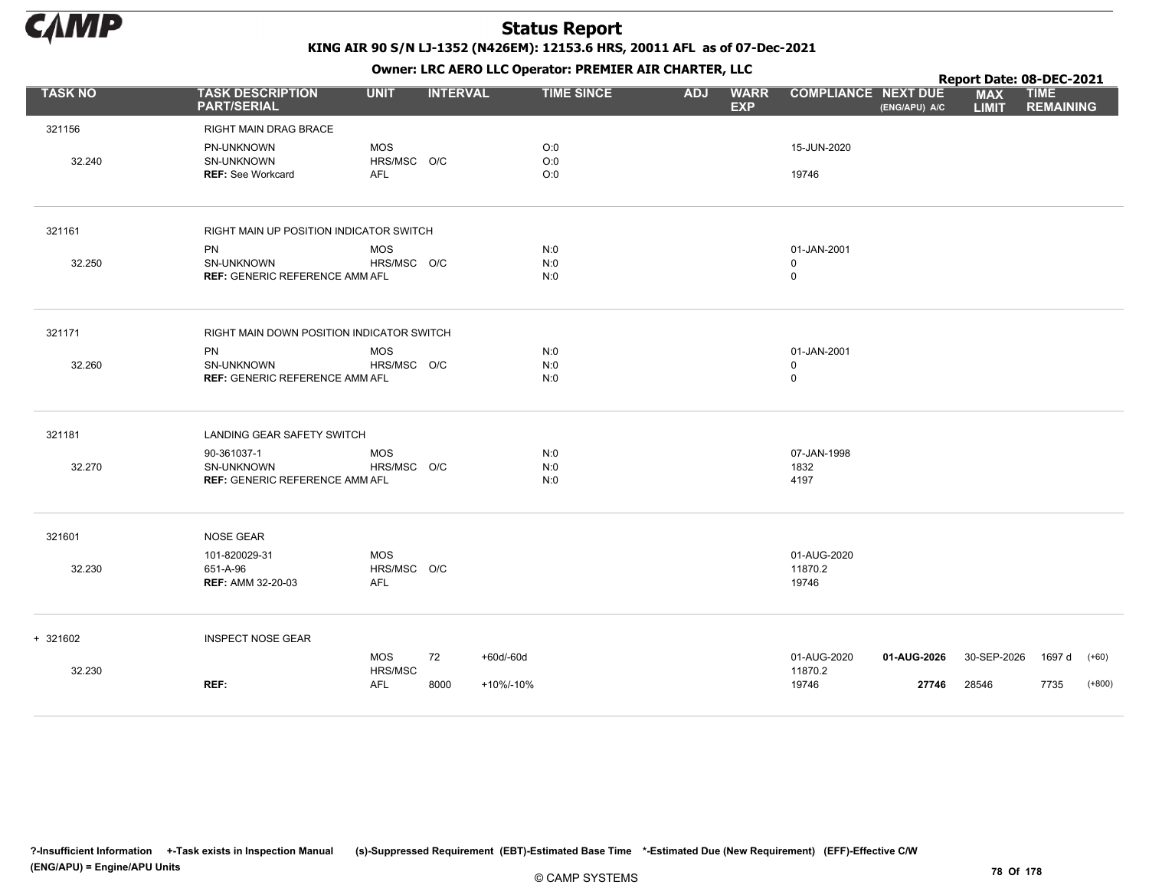

Owner: LRC AERO LLC Operator: PREMIER AIR CHARTER, LLC

|                |                                                                    |                                         |                 | OWHER LIKE ALKO LLC OPERATOR PREPILER AIR CHARTER, LLC |                          |                                           |                                             | Report Date: 08-DEC-2021   |                                 |                     |
|----------------|--------------------------------------------------------------------|-----------------------------------------|-----------------|--------------------------------------------------------|--------------------------|-------------------------------------------|---------------------------------------------|----------------------------|---------------------------------|---------------------|
| <b>TASK NO</b> | <b>TASK DESCRIPTION</b><br><b>PART/SERIAL</b>                      | <b>UNIT</b>                             | <b>INTERVAL</b> | <b>TIME SINCE</b>                                      | <b>ADJ</b><br><b>EXP</b> | <b>WARR</b>                               | <b>COMPLIANCE NEXT DUE</b><br>(ENG/APU) A/C | <b>MAX</b><br><b>LIMIT</b> | <b>TIME</b><br><b>REMAINING</b> |                     |
| 321156         | RIGHT MAIN DRAG BRACE                                              |                                         |                 |                                                        |                          |                                           |                                             |                            |                                 |                     |
| 32.240         | PN-UNKNOWN<br>SN-UNKNOWN<br><b>REF: See Workcard</b>               | <b>MOS</b><br>HRS/MSC O/C<br><b>AFL</b> |                 | O:0<br>O:0<br>O:0                                      |                          | 15-JUN-2020<br>19746                      |                                             |                            |                                 |                     |
| 321161         | RIGHT MAIN UP POSITION INDICATOR SWITCH                            |                                         |                 |                                                        |                          |                                           |                                             |                            |                                 |                     |
| 32.250         | <b>PN</b><br>SN-UNKNOWN<br><b>REF: GENERIC REFERENCE AMM AFL</b>   | <b>MOS</b><br>HRS/MSC O/C               |                 | N:0<br>N:0<br>N:0                                      |                          | 01-JAN-2001<br>$\mathbf 0$<br>$\mathsf 0$ |                                             |                            |                                 |                     |
| 321171         | RIGHT MAIN DOWN POSITION INDICATOR SWITCH                          |                                         |                 |                                                        |                          |                                           |                                             |                            |                                 |                     |
| 32.260         | <b>PN</b><br>SN-UNKNOWN<br><b>REF: GENERIC REFERENCE AMM AFL</b>   | <b>MOS</b><br>HRS/MSC O/C               |                 | N:0<br>N:0<br>N:0                                      |                          | 01-JAN-2001<br>$\mathbf 0$<br>$\mathsf 0$ |                                             |                            |                                 |                     |
| 321181         | LANDING GEAR SAFETY SWITCH                                         |                                         |                 |                                                        |                          |                                           |                                             |                            |                                 |                     |
| 32.270         | 90-361037-1<br>SN-UNKNOWN<br><b>REF: GENERIC REFERENCE AMM AFL</b> | <b>MOS</b><br>HRS/MSC O/C               |                 | N:0<br>N:0<br>N:0                                      |                          | 07-JAN-1998<br>1832<br>4197               |                                             |                            |                                 |                     |
| 321601         | NOSE GEAR                                                          |                                         |                 |                                                        |                          |                                           |                                             |                            |                                 |                     |
| 32.230         | 101-820029-31<br>651-A-96<br><b>REF: AMM 32-20-03</b>              | <b>MOS</b><br>HRS/MSC O/C<br>AFL        |                 |                                                        |                          | 01-AUG-2020<br>11870.2<br>19746           |                                             |                            |                                 |                     |
| $+ 321602$     | <b>INSPECT NOSE GEAR</b>                                           |                                         |                 |                                                        |                          |                                           |                                             |                            |                                 |                     |
| 32.230         | REF:                                                               | <b>MOS</b><br>HRS/MSC<br><b>AFL</b>     | 72<br>8000      | +60d/-60d<br>+10%/-10%                                 |                          | 01-AUG-2020<br>11870.2<br>19746           | 01-AUG-2026<br>27746                        | 30-SEP-2026<br>28546       | 1697 d<br>7735                  | $(+60)$<br>$(+800)$ |
|                |                                                                    |                                         |                 |                                                        |                          |                                           |                                             |                            |                                 |                     |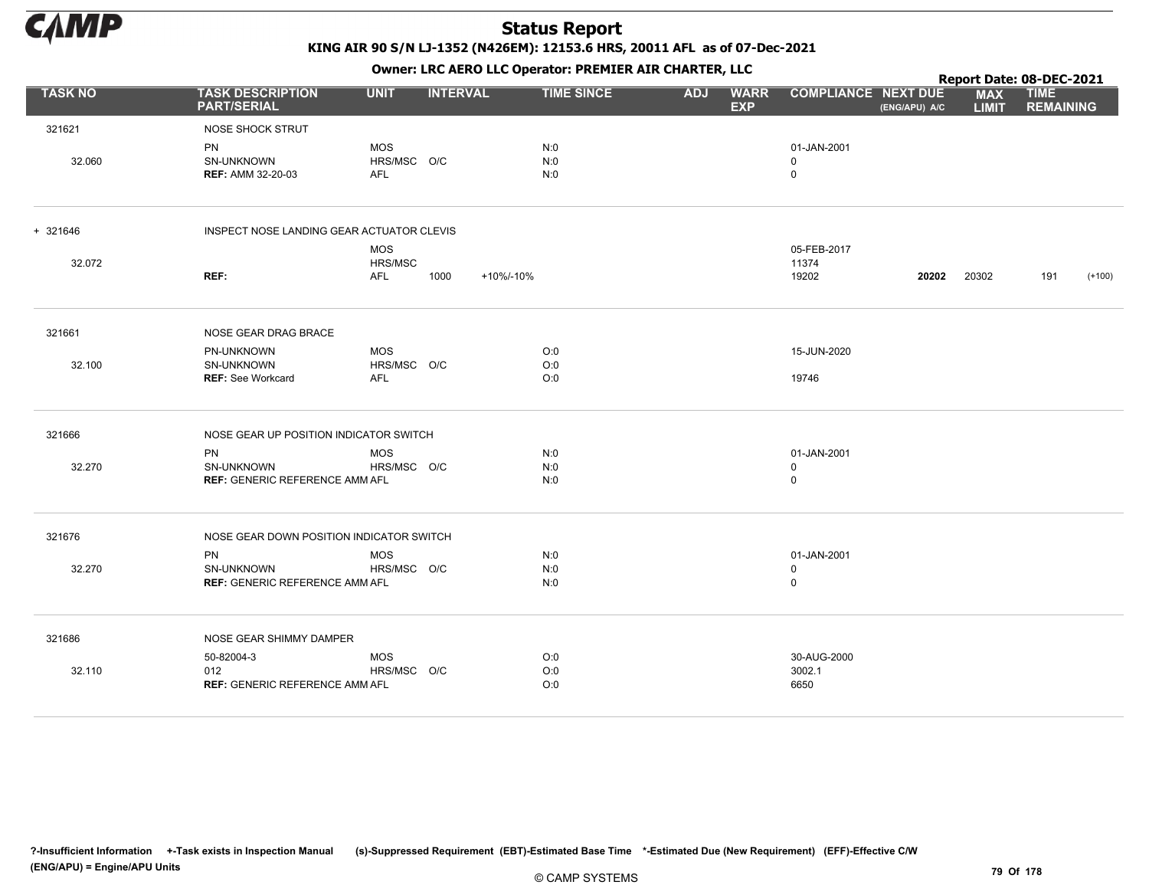

|                |                                                           |                                         |                   |                   |            |                           |                                           |               | Report Date: 08-DEC-2021   |                                 |          |
|----------------|-----------------------------------------------------------|-----------------------------------------|-------------------|-------------------|------------|---------------------------|-------------------------------------------|---------------|----------------------------|---------------------------------|----------|
| <b>TASK NO</b> | <b>TASK DESCRIPTION</b><br><b>PART/SERIAL</b>             | <b>UNIT</b>                             | <b>INTERVAL</b>   | <b>TIME SINCE</b> | <b>ADJ</b> | <b>WARR</b><br><b>EXP</b> | <b>COMPLIANCE NEXT DUE</b>                | (ENG/APU) A/C | <b>MAX</b><br><b>LIMIT</b> | <b>TIME</b><br><b>REMAINING</b> |          |
| 321621         | NOSE SHOCK STRUT                                          |                                         |                   |                   |            |                           |                                           |               |                            |                                 |          |
| 32.060         | PN<br>SN-UNKNOWN<br><b>REF: AMM 32-20-03</b>              | <b>MOS</b><br>HRS/MSC O/C<br><b>AFL</b> |                   | N:0<br>N:0<br>N:0 |            |                           | 01-JAN-2001<br>0<br>$\mathsf 0$           |               |                            |                                 |          |
| + 321646       | INSPECT NOSE LANDING GEAR ACTUATOR CLEVIS                 |                                         |                   |                   |            |                           |                                           |               |                            |                                 |          |
|                |                                                           | <b>MOS</b>                              |                   |                   |            |                           | 05-FEB-2017                               |               |                            |                                 |          |
| 32.072         | REF:                                                      | HRS/MSC<br><b>AFL</b>                   | 1000<br>+10%/-10% |                   |            |                           | 11374<br>19202                            | 20202         | 20302                      | 191                             | $(+100)$ |
| 321661         | NOSE GEAR DRAG BRACE                                      |                                         |                   |                   |            |                           |                                           |               |                            |                                 |          |
|                | PN-UNKNOWN                                                | <b>MOS</b>                              |                   | O:0               |            |                           | 15-JUN-2020                               |               |                            |                                 |          |
| 32.100         | SN-UNKNOWN<br><b>REF: See Workcard</b>                    | HRS/MSC O/C<br>AFL                      |                   | O:0<br>O:0        |            |                           | 19746                                     |               |                            |                                 |          |
| 321666         | NOSE GEAR UP POSITION INDICATOR SWITCH                    |                                         |                   |                   |            |                           |                                           |               |                            |                                 |          |
| 32.270         | PN<br>SN-UNKNOWN<br><b>REF: GENERIC REFERENCE AMM AFL</b> | <b>MOS</b><br>HRS/MSC O/C               |                   | N:0<br>N:0<br>N:0 |            |                           | 01-JAN-2001<br>$\mathbf 0$<br>$\mathsf 0$ |               |                            |                                 |          |
| 321676         | NOSE GEAR DOWN POSITION INDICATOR SWITCH                  |                                         |                   |                   |            |                           |                                           |               |                            |                                 |          |
| 32.270         | PN<br>SN-UNKNOWN                                          | <b>MOS</b><br>HRS/MSC O/C               |                   | N:0<br>N:0        |            |                           | 01-JAN-2001<br>$\mathbf 0$                |               |                            |                                 |          |
|                | <b>REF: GENERIC REFERENCE AMM AFL</b>                     |                                         |                   | N:0               |            |                           | $\mathsf 0$                               |               |                            |                                 |          |
| 321686         | NOSE GEAR SHIMMY DAMPER                                   |                                         |                   |                   |            |                           |                                           |               |                            |                                 |          |
|                | 50-82004-3                                                | <b>MOS</b>                              |                   | O:0               |            |                           | 30-AUG-2000                               |               |                            |                                 |          |
| 32.110         | 012<br><b>REF: GENERIC REFERENCE AMM AFL</b>              | HRS/MSC O/C                             |                   | O:0<br>O:0        |            |                           | 3002.1<br>6650                            |               |                            |                                 |          |
|                |                                                           |                                         |                   |                   |            |                           |                                           |               |                            |                                 |          |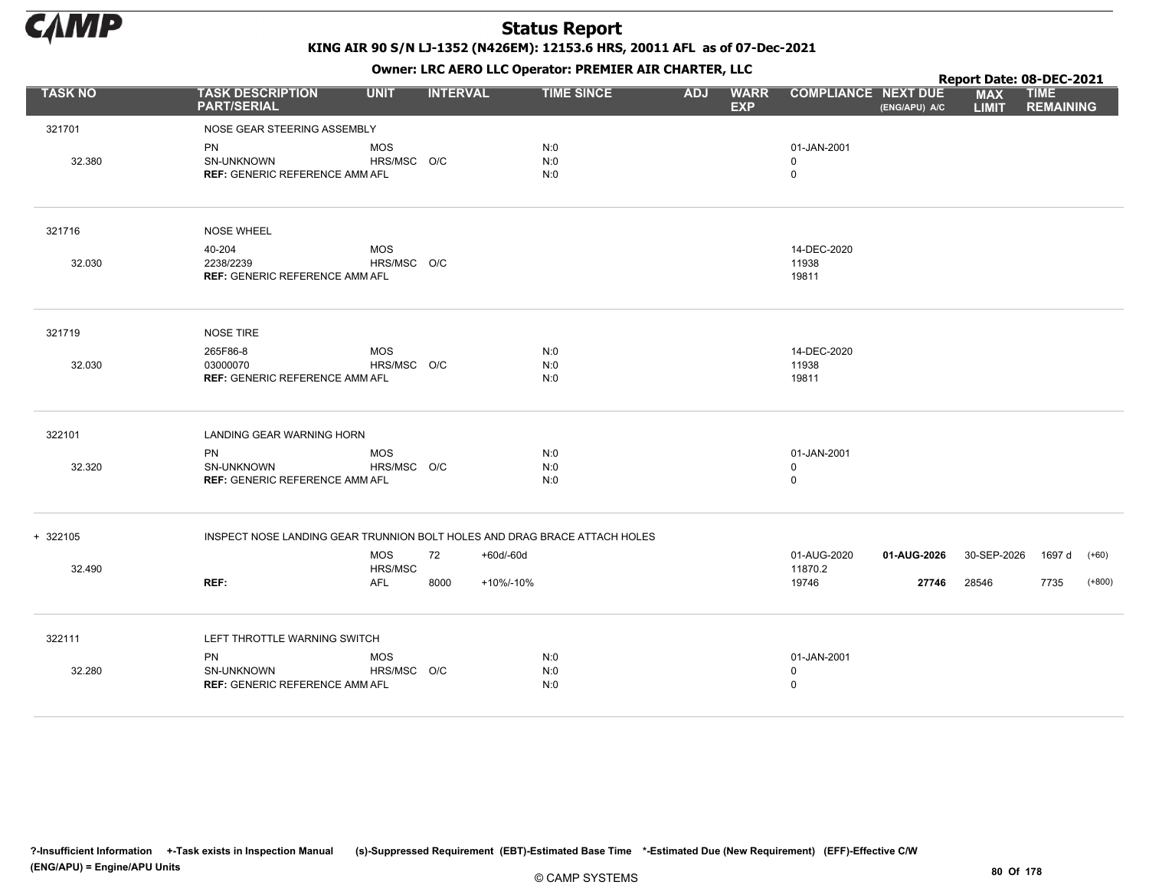

KING AIR 90 S/N LJ-1352 (N426EM): 12153.6 HRS, 20011 AFL as of 07-Dec-2021

|                |                                                                           |                       |                 |                   |            |                           |                            |               | Report Date: 08-DEC-2021   |                                 |          |
|----------------|---------------------------------------------------------------------------|-----------------------|-----------------|-------------------|------------|---------------------------|----------------------------|---------------|----------------------------|---------------------------------|----------|
| <b>TASK NO</b> | <b>TASK DESCRIPTION</b><br><b>PART/SERIAL</b>                             | <b>UNIT</b>           | <b>INTERVAL</b> | <b>TIME SINCE</b> | <b>ADJ</b> | <b>WARR</b><br><b>EXP</b> | <b>COMPLIANCE NEXT DUE</b> | (ENG/APU) A/C | <b>MAX</b><br><b>LIMIT</b> | <b>TIME</b><br><b>REMAINING</b> |          |
| 321701         | NOSE GEAR STEERING ASSEMBLY                                               |                       |                 |                   |            |                           |                            |               |                            |                                 |          |
|                | PN                                                                        | <b>MOS</b>            |                 | N:0               |            |                           | 01-JAN-2001                |               |                            |                                 |          |
| 32.380         | <b>SN-UNKNOWN</b>                                                         | HRS/MSC O/C           |                 | N:0               |            |                           | $\mathbf 0$                |               |                            |                                 |          |
|                | <b>REF: GENERIC REFERENCE AMM AFL</b>                                     |                       |                 | N:0               |            |                           | $\mathbf 0$                |               |                            |                                 |          |
| 321716         | <b>NOSE WHEEL</b>                                                         |                       |                 |                   |            |                           |                            |               |                            |                                 |          |
|                | 40-204                                                                    | <b>MOS</b>            |                 |                   |            |                           | 14-DEC-2020                |               |                            |                                 |          |
| 32.030         | 2238/2239                                                                 | HRS/MSC O/C           |                 |                   |            |                           | 11938                      |               |                            |                                 |          |
|                | <b>REF: GENERIC REFERENCE AMM AFL</b>                                     |                       |                 |                   |            |                           | 19811                      |               |                            |                                 |          |
| 321719         | NOSE TIRE                                                                 |                       |                 |                   |            |                           |                            |               |                            |                                 |          |
|                | 265F86-8                                                                  | <b>MOS</b>            |                 | N:0               |            |                           | 14-DEC-2020                |               |                            |                                 |          |
| 32.030         | 03000070                                                                  | HRS/MSC O/C           |                 | N:0               |            |                           | 11938                      |               |                            |                                 |          |
|                | <b>REF: GENERIC REFERENCE AMM AFL</b>                                     |                       |                 | N:0               |            |                           | 19811                      |               |                            |                                 |          |
| 322101         | LANDING GEAR WARNING HORN                                                 |                       |                 |                   |            |                           |                            |               |                            |                                 |          |
|                | PN                                                                        | <b>MOS</b>            |                 | N:0               |            |                           | 01-JAN-2001                |               |                            |                                 |          |
| 32.320         | <b>SN-UNKNOWN</b>                                                         | HRS/MSC O/C           |                 | N:0               |            |                           | $\mathbf 0$                |               |                            |                                 |          |
|                | <b>REF: GENERIC REFERENCE AMM AFL</b>                                     |                       |                 | N:0               |            |                           | $\mathbf 0$                |               |                            |                                 |          |
| + 322105       | INSPECT NOSE LANDING GEAR TRUNNION BOLT HOLES AND DRAG BRACE ATTACH HOLES |                       |                 |                   |            |                           |                            |               |                            |                                 |          |
|                |                                                                           | <b>MOS</b>            | 72              | +60d/-60d         |            |                           | 01-AUG-2020                | 01-AUG-2026   | 30-SEP-2026                | 1697 d                          | $(+60)$  |
| 32.490         | REF:                                                                      | HRS/MSC<br><b>AFL</b> | 8000            | +10%/-10%         |            |                           | 11870.2<br>19746           | 27746         | 28546                      | 7735                            | $(+800)$ |
|                |                                                                           |                       |                 |                   |            |                           |                            |               |                            |                                 |          |
| 322111         | LEFT THROTTLE WARNING SWITCH                                              |                       |                 |                   |            |                           |                            |               |                            |                                 |          |
|                | <b>PN</b>                                                                 | <b>MOS</b>            |                 | N:0               |            |                           | 01-JAN-2001                |               |                            |                                 |          |
| 32.280         | SN-UNKNOWN                                                                | HRS/MSC O/C           |                 | N:0               |            |                           | $\mathbf 0$                |               |                            |                                 |          |
|                | <b>REF: GENERIC REFERENCE AMM AFL</b>                                     |                       |                 | N:0               |            |                           | $\mathbf 0$                |               |                            |                                 |          |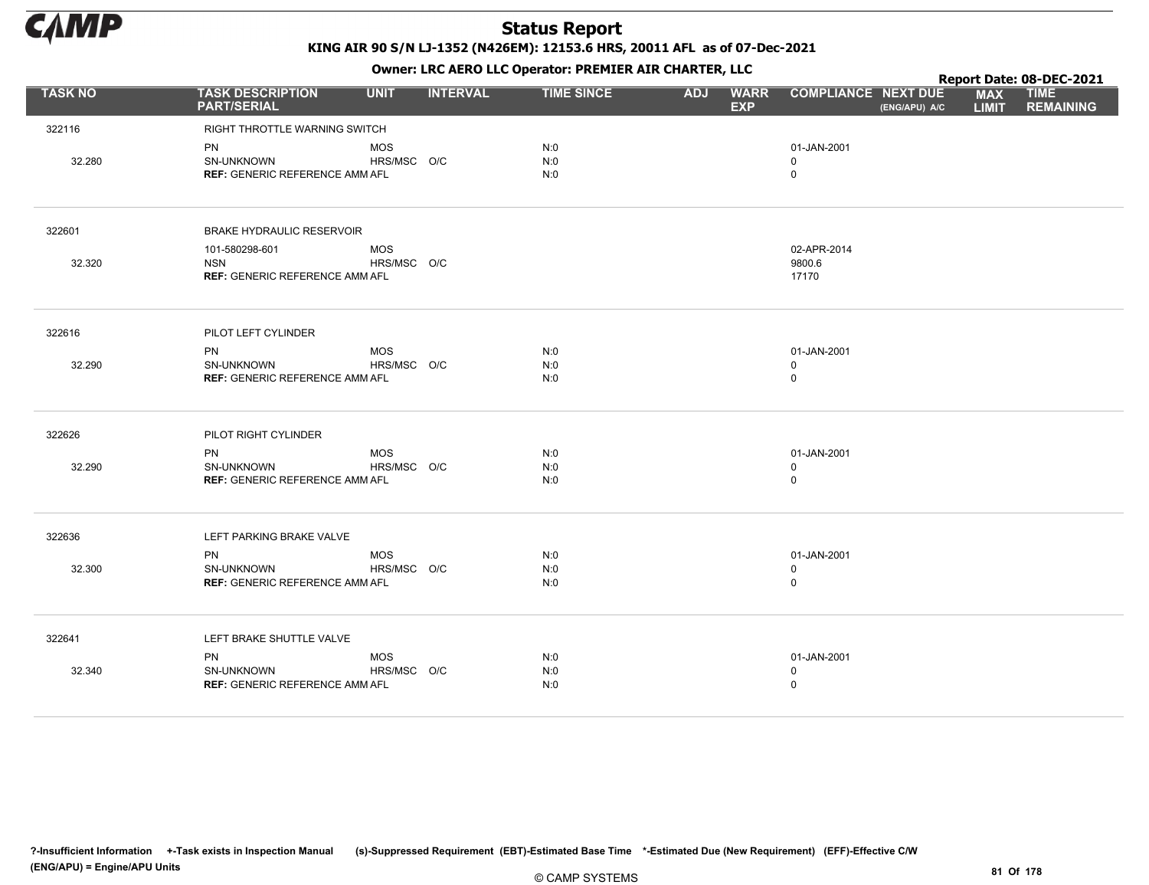

|                |                                               |             |                 |                   | . .        |                           |                                             |                            | Report Date: 08-DEC-2021        |
|----------------|-----------------------------------------------|-------------|-----------------|-------------------|------------|---------------------------|---------------------------------------------|----------------------------|---------------------------------|
| <b>TASK NO</b> | <b>TASK DESCRIPTION</b><br><b>PART/SERIAL</b> | <b>UNIT</b> | <b>INTERVAL</b> | <b>TIME SINCE</b> | <b>ADJ</b> | <b>WARR</b><br><b>EXP</b> | <b>COMPLIANCE NEXT DUE</b><br>(ENG/APU) A/C | <b>MAX</b><br><b>LIMIT</b> | <b>TIME</b><br><b>REMAINING</b> |
| 322116         | RIGHT THROTTLE WARNING SWITCH                 |             |                 |                   |            |                           |                                             |                            |                                 |
|                | PN                                            | <b>MOS</b>  |                 | N:0               |            |                           | 01-JAN-2001                                 |                            |                                 |
| 32.280         | SN-UNKNOWN                                    | HRS/MSC O/C |                 | N:0               |            |                           | 0                                           |                            |                                 |
|                | <b>REF: GENERIC REFERENCE AMM AFL</b>         |             |                 | N:0               |            |                           | $\mathbf 0$                                 |                            |                                 |
| 322601         | <b>BRAKE HYDRAULIC RESERVOIR</b>              |             |                 |                   |            |                           |                                             |                            |                                 |
|                | 101-580298-601                                | <b>MOS</b>  |                 |                   |            |                           | 02-APR-2014                                 |                            |                                 |
| 32.320         | <b>NSN</b>                                    | HRS/MSC O/C |                 |                   |            |                           | 9800.6                                      |                            |                                 |
|                | <b>REF: GENERIC REFERENCE AMM AFL</b>         |             |                 |                   |            |                           | 17170                                       |                            |                                 |
| 322616         | PILOT LEFT CYLINDER                           |             |                 |                   |            |                           |                                             |                            |                                 |
|                | <b>PN</b>                                     | <b>MOS</b>  |                 | N:0               |            |                           | 01-JAN-2001                                 |                            |                                 |
| 32.290         | SN-UNKNOWN                                    | HRS/MSC O/C |                 | N:0               |            |                           | $\mathbf 0$                                 |                            |                                 |
|                | <b>REF: GENERIC REFERENCE AMM AFL</b>         |             |                 | N:0               |            |                           | $\mathsf 0$                                 |                            |                                 |
| 322626         | PILOT RIGHT CYLINDER                          |             |                 |                   |            |                           |                                             |                            |                                 |
|                | <b>PN</b>                                     | <b>MOS</b>  |                 | N:0               |            |                           | 01-JAN-2001                                 |                            |                                 |
| 32.290         | SN-UNKNOWN                                    | HRS/MSC O/C |                 | N:0               |            |                           | $\mathbf 0$                                 |                            |                                 |
|                | <b>REF: GENERIC REFERENCE AMM AFL</b>         |             |                 | N:0               |            |                           | $\mathsf 0$                                 |                            |                                 |
| 322636         | LEFT PARKING BRAKE VALVE                      |             |                 |                   |            |                           |                                             |                            |                                 |
|                | <b>PN</b>                                     | <b>MOS</b>  |                 | N:0               |            |                           | 01-JAN-2001                                 |                            |                                 |
| 32.300         | SN-UNKNOWN                                    | HRS/MSC O/C |                 | N:0               |            |                           | $\pmb{0}$                                   |                            |                                 |
|                | <b>REF: GENERIC REFERENCE AMM AFL</b>         |             |                 | N:0               |            |                           | $\mathsf 0$                                 |                            |                                 |
| 322641         | LEFT BRAKE SHUTTLE VALVE                      |             |                 |                   |            |                           |                                             |                            |                                 |
|                | PN                                            | <b>MOS</b>  |                 | N:0               |            |                           | 01-JAN-2001                                 |                            |                                 |
| 32.340         | SN-UNKNOWN                                    | HRS/MSC O/C |                 | N:0               |            |                           | $\mathbf 0$                                 |                            |                                 |
|                | <b>REF: GENERIC REFERENCE AMM AFL</b>         |             |                 | N:0               |            |                           | $\mathbf 0$                                 |                            |                                 |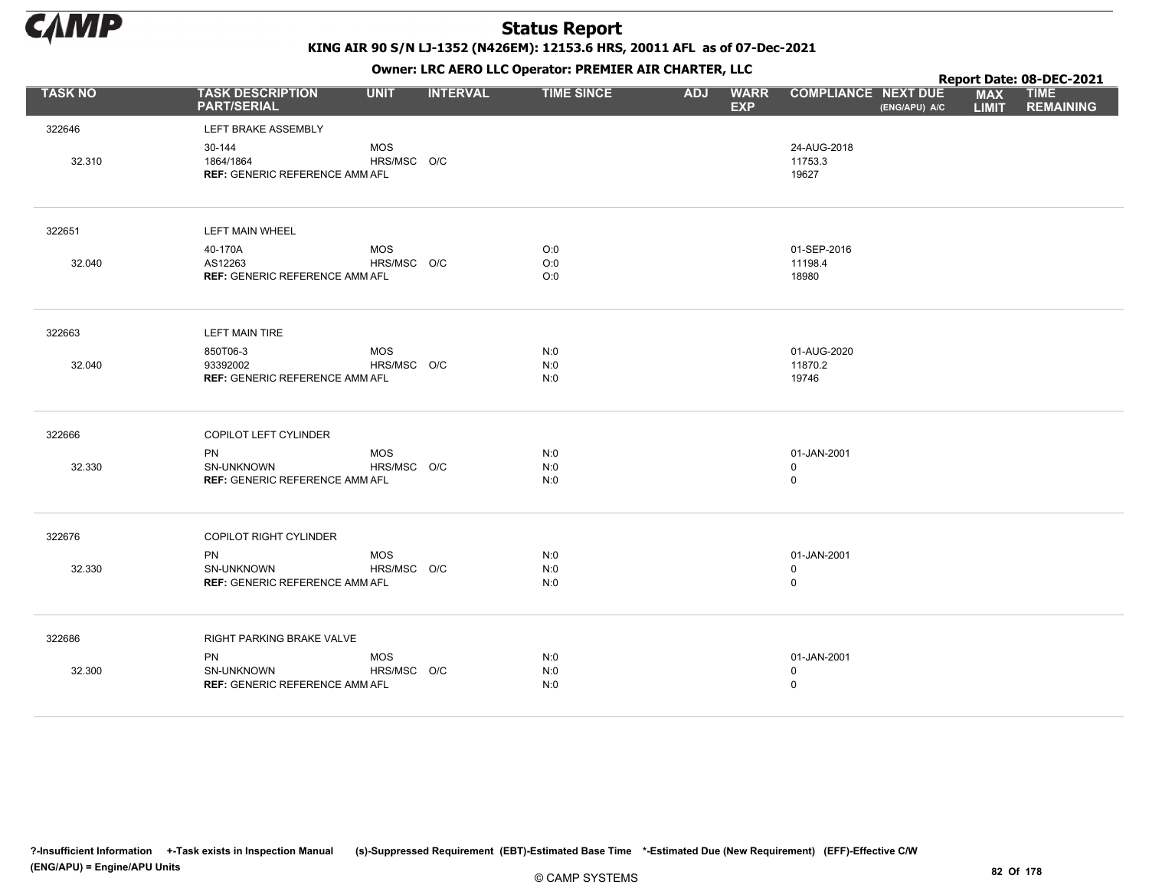

KING AIR 90 S/N LJ-1352 (N426EM): 12153.6 HRS, 20011 AFL as of 07-Dec-2021

|                |                                                              |                           |                 | OWHER. LKC ALKO LLC OPERATOR. PREPILER AIR CHARTER, LLC |            |                           |                                 |               |                            | Report Date: 08-DEC-2021        |
|----------------|--------------------------------------------------------------|---------------------------|-----------------|---------------------------------------------------------|------------|---------------------------|---------------------------------|---------------|----------------------------|---------------------------------|
| <b>TASK NO</b> | <b>TASK DESCRIPTION</b><br><b>PART/SERIAL</b>                | <b>UNIT</b>               | <b>INTERVAL</b> | <b>TIME SINCE</b>                                       | <b>ADJ</b> | <b>WARR</b><br><b>EXP</b> | <b>COMPLIANCE NEXT DUE</b>      | (ENG/APU) A/C | <b>MAX</b><br><b>LIMIT</b> | <b>TIME</b><br><b>REMAINING</b> |
| 322646         | LEFT BRAKE ASSEMBLY                                          |                           |                 |                                                         |            |                           |                                 |               |                            |                                 |
| 32.310         | 30-144<br>1864/1864<br><b>REF: GENERIC REFERENCE AMM AFL</b> | <b>MOS</b><br>HRS/MSC O/C |                 |                                                         |            |                           | 24-AUG-2018<br>11753.3<br>19627 |               |                            |                                 |
| 322651         | LEFT MAIN WHEEL                                              |                           |                 |                                                         |            |                           |                                 |               |                            |                                 |
|                | 40-170A                                                      | MOS                       |                 | O:0                                                     |            |                           | 01-SEP-2016                     |               |                            |                                 |
| 32.040         | AS12263                                                      | HRS/MSC O/C               |                 | O:0                                                     |            |                           | 11198.4                         |               |                            |                                 |
|                | <b>REF: GENERIC REFERENCE AMM AFL</b>                        |                           |                 | O:0                                                     |            |                           | 18980                           |               |                            |                                 |
| 322663         | <b>LEFT MAIN TIRE</b>                                        |                           |                 |                                                         |            |                           |                                 |               |                            |                                 |
|                | 850T06-3                                                     | MOS                       |                 | N:0                                                     |            |                           | 01-AUG-2020                     |               |                            |                                 |
| 32.040         | 93392002                                                     | HRS/MSC O/C               |                 | N:0                                                     |            |                           | 11870.2                         |               |                            |                                 |
|                | <b>REF: GENERIC REFERENCE AMM AFL</b>                        |                           |                 | N:0                                                     |            |                           | 19746                           |               |                            |                                 |
| 322666         | COPILOT LEFT CYLINDER                                        |                           |                 |                                                         |            |                           |                                 |               |                            |                                 |
|                | <b>PN</b>                                                    | MOS                       |                 | N:0                                                     |            |                           | 01-JAN-2001                     |               |                            |                                 |
| 32.330         | SN-UNKNOWN                                                   | HRS/MSC O/C               |                 | N:0                                                     |            |                           | $\mathbf 0$                     |               |                            |                                 |
|                | <b>REF: GENERIC REFERENCE AMM AFL</b>                        |                           |                 | N:0                                                     |            |                           | $\mathsf 0$                     |               |                            |                                 |
| 322676         | COPILOT RIGHT CYLINDER                                       |                           |                 |                                                         |            |                           |                                 |               |                            |                                 |
|                | <b>PN</b>                                                    | <b>MOS</b>                |                 | N:0                                                     |            |                           | 01-JAN-2001                     |               |                            |                                 |
| 32.330         | SN-UNKNOWN                                                   | HRS/MSC O/C               |                 | N:0                                                     |            |                           | $\mathbf 0$                     |               |                            |                                 |
|                | <b>REF: GENERIC REFERENCE AMM AFL</b>                        |                           |                 | N:0                                                     |            |                           | $\mathsf 0$                     |               |                            |                                 |
| 322686         | RIGHT PARKING BRAKE VALVE                                    |                           |                 |                                                         |            |                           |                                 |               |                            |                                 |
|                | <b>PN</b>                                                    | MOS                       |                 | N:0                                                     |            |                           | 01-JAN-2001                     |               |                            |                                 |
| 32.300         | SN-UNKNOWN                                                   | HRS/MSC O/C               |                 | N:0                                                     |            |                           | $\mathsf 0$                     |               |                            |                                 |
|                | <b>REF: GENERIC REFERENCE AMM AFL</b>                        |                           |                 | N:0                                                     |            |                           | $\mathsf 0$                     |               |                            |                                 |
|                |                                                              |                           |                 |                                                         |            |                           |                                 |               |                            |                                 |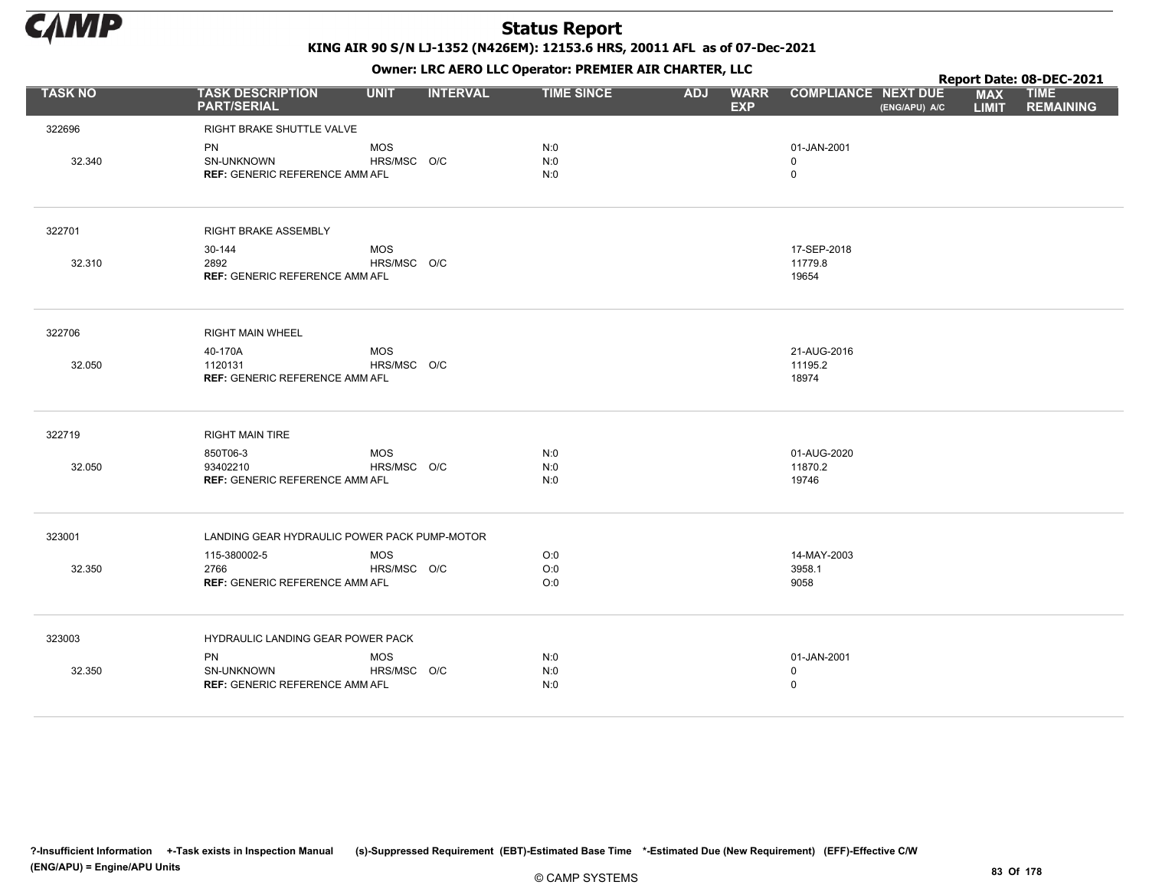

KING AIR 90 S/N LJ-1352 (N426EM): 12153.6 HRS, 20011 AFL as of 07-Dec-2021

|                |                                                                  | OWHER, LKC ALKO LLC OPERATOR PREPILER AIR CHARTER, LLC |                 |                   |            |                           |                                 |               |                            | Report Date: 08-DEC-2021        |
|----------------|------------------------------------------------------------------|--------------------------------------------------------|-----------------|-------------------|------------|---------------------------|---------------------------------|---------------|----------------------------|---------------------------------|
| <b>TASK NO</b> | <b>TASK DESCRIPTION</b><br><b>PART/SERIAL</b>                    | <b>UNIT</b>                                            | <b>INTERVAL</b> | <b>TIME SINCE</b> | <b>ADJ</b> | <b>WARR</b><br><b>EXP</b> | <b>COMPLIANCE NEXT DUE</b>      | (ENG/APU) A/C | <b>MAX</b><br><b>LIMIT</b> | <b>TIME</b><br><b>REMAINING</b> |
| 322696         | RIGHT BRAKE SHUTTLE VALVE                                        |                                                        |                 |                   |            |                           |                                 |               |                            |                                 |
| 32.340         | <b>PN</b><br>SN-UNKNOWN<br><b>REF: GENERIC REFERENCE AMM AFL</b> | <b>MOS</b><br>HRS/MSC O/C                              |                 | N:0<br>N:0<br>N:0 |            |                           | 01-JAN-2001<br>$\mathbf 0$<br>0 |               |                            |                                 |
| 322701         | RIGHT BRAKE ASSEMBLY                                             |                                                        |                 |                   |            |                           |                                 |               |                            |                                 |
| 32.310         | 30-144<br>2892<br><b>REF: GENERIC REFERENCE AMM AFL</b>          | <b>MOS</b><br>HRS/MSC O/C                              |                 |                   |            |                           | 17-SEP-2018<br>11779.8<br>19654 |               |                            |                                 |
| 322706         | <b>RIGHT MAIN WHEEL</b>                                          |                                                        |                 |                   |            |                           |                                 |               |                            |                                 |
| 32.050         | 40-170A<br>1120131<br><b>REF: GENERIC REFERENCE AMM AFL</b>      | <b>MOS</b><br>HRS/MSC O/C                              |                 |                   |            |                           | 21-AUG-2016<br>11195.2<br>18974 |               |                            |                                 |
| 322719         | <b>RIGHT MAIN TIRE</b>                                           |                                                        |                 |                   |            |                           |                                 |               |                            |                                 |
| 32.050         | 850T06-3<br>93402210<br><b>REF: GENERIC REFERENCE AMM AFL</b>    | <b>MOS</b><br>HRS/MSC O/C                              |                 | N:0<br>N:0<br>N:0 |            |                           | 01-AUG-2020<br>11870.2<br>19746 |               |                            |                                 |
| 323001         | LANDING GEAR HYDRAULIC POWER PACK PUMP-MOTOR                     |                                                        |                 |                   |            |                           |                                 |               |                            |                                 |
| 32.350         | 115-380002-5<br>2766<br><b>REF: GENERIC REFERENCE AMM AFL</b>    | <b>MOS</b><br>HRS/MSC O/C                              |                 | O:0<br>O:0<br>O:0 |            |                           | 14-MAY-2003<br>3958.1<br>9058   |               |                            |                                 |
| 323003         | HYDRAULIC LANDING GEAR POWER PACK                                |                                                        |                 |                   |            |                           |                                 |               |                            |                                 |
| 32.350         | <b>PN</b><br>SN-UNKNOWN<br><b>REF: GENERIC REFERENCE AMM AFL</b> | <b>MOS</b><br>HRS/MSC O/C                              |                 | N:0<br>N:0<br>N:0 |            |                           | 01-JAN-2001<br>0<br>0           |               |                            |                                 |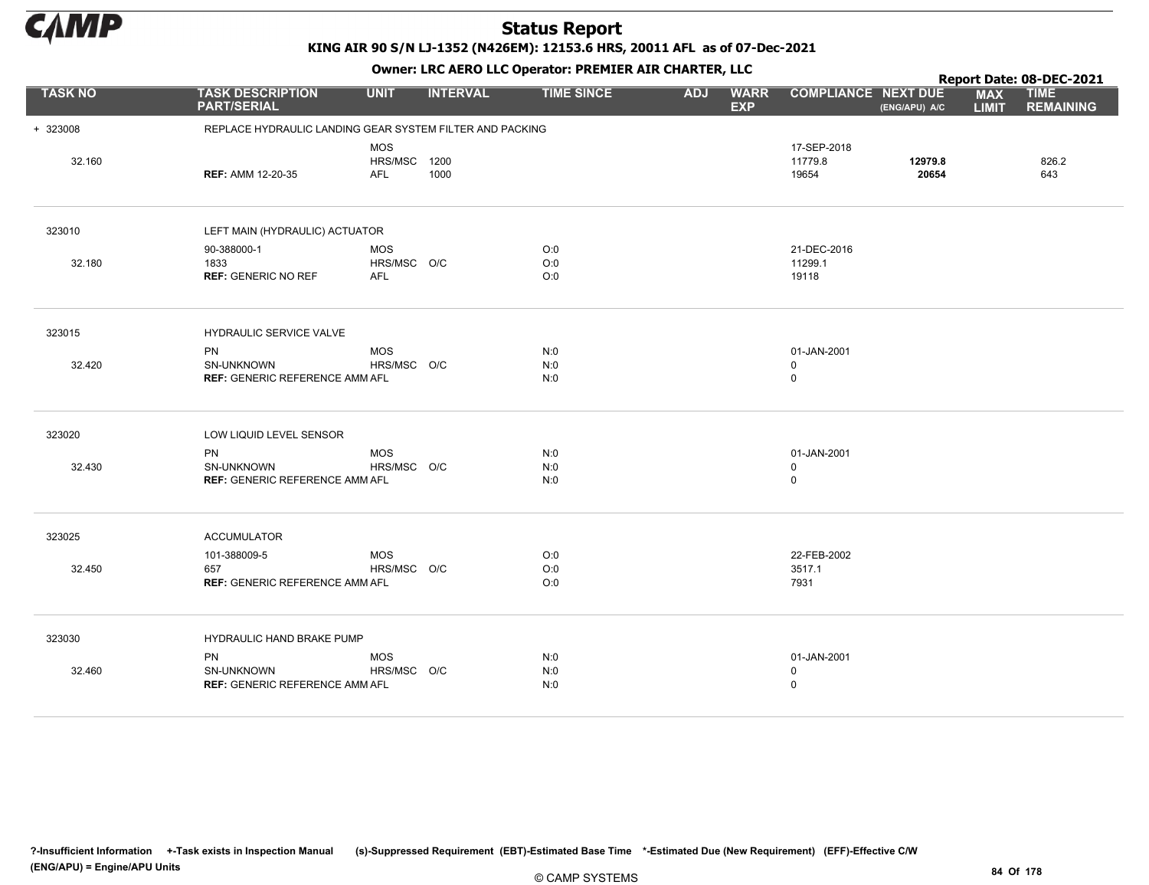

KING AIR 90 S/N LJ-1352 (N426EM): 12153.6 HRS, 20011 AFL as of 07-Dec-2021

|                |                                                                  |                                          |                 |                   |            | . .                       |                                 |                  |                            | Report Date: 08-DEC-2021        |
|----------------|------------------------------------------------------------------|------------------------------------------|-----------------|-------------------|------------|---------------------------|---------------------------------|------------------|----------------------------|---------------------------------|
| <b>TASK NO</b> | <b>TASK DESCRIPTION</b><br><b>PART/SERIAL</b>                    | <b>UNIT</b>                              | <b>INTERVAL</b> | <b>TIME SINCE</b> | <b>ADJ</b> | <b>WARR</b><br><b>EXP</b> | <b>COMPLIANCE NEXT DUE</b>      | (ENG/APU) A/C    | <b>MAX</b><br><b>LIMIT</b> | <b>TIME</b><br><b>REMAINING</b> |
| + 323008       | REPLACE HYDRAULIC LANDING GEAR SYSTEM FILTER AND PACKING         |                                          |                 |                   |            |                           |                                 |                  |                            |                                 |
| 32.160         | <b>REF: AMM 12-20-35</b>                                         | <b>MOS</b><br>HRS/MSC 1200<br><b>AFL</b> | 1000            |                   |            |                           | 17-SEP-2018<br>11779.8<br>19654 | 12979.8<br>20654 |                            | 826.2<br>643                    |
| 323010         | LEFT MAIN (HYDRAULIC) ACTUATOR                                   |                                          |                 |                   |            |                           |                                 |                  |                            |                                 |
| 32.180         | 90-388000-1<br>1833<br><b>REF: GENERIC NO REF</b>                | <b>MOS</b><br>HRS/MSC O/C<br><b>AFL</b>  |                 | O:0<br>O:0<br>O:0 |            |                           | 21-DEC-2016<br>11299.1<br>19118 |                  |                            |                                 |
| 323015         | HYDRAULIC SERVICE VALVE                                          |                                          |                 |                   |            |                           |                                 |                  |                            |                                 |
| 32.420         | <b>PN</b><br>SN-UNKNOWN<br><b>REF: GENERIC REFERENCE AMM AFL</b> | <b>MOS</b><br>HRS/MSC O/C                |                 | N:0<br>N:0<br>N:0 |            |                           | 01-JAN-2001<br>0<br>0           |                  |                            |                                 |
| 323020         | LOW LIQUID LEVEL SENSOR                                          |                                          |                 |                   |            |                           |                                 |                  |                            |                                 |
| 32.430         | <b>PN</b><br>SN-UNKNOWN<br><b>REF: GENERIC REFERENCE AMM AFL</b> | <b>MOS</b><br>HRS/MSC O/C                |                 | N:0<br>N:0<br>N:0 |            |                           | 01-JAN-2001<br>0<br>0           |                  |                            |                                 |
| 323025         | <b>ACCUMULATOR</b>                                               |                                          |                 |                   |            |                           |                                 |                  |                            |                                 |
| 32.450         | 101-388009-5<br>657<br><b>REF: GENERIC REFERENCE AMM AFL</b>     | <b>MOS</b><br>HRS/MSC O/C                |                 | O:0<br>O:0<br>O:0 |            |                           | 22-FEB-2002<br>3517.1<br>7931   |                  |                            |                                 |
| 323030         | HYDRAULIC HAND BRAKE PUMP                                        |                                          |                 |                   |            |                           |                                 |                  |                            |                                 |
| 32.460         | <b>PN</b><br>SN-UNKNOWN<br><b>REF: GENERIC REFERENCE AMM AFL</b> | <b>MOS</b><br>HRS/MSC O/C                |                 | N:0<br>N:0<br>N:0 |            |                           | 01-JAN-2001<br>$\mathbf 0$<br>0 |                  |                            |                                 |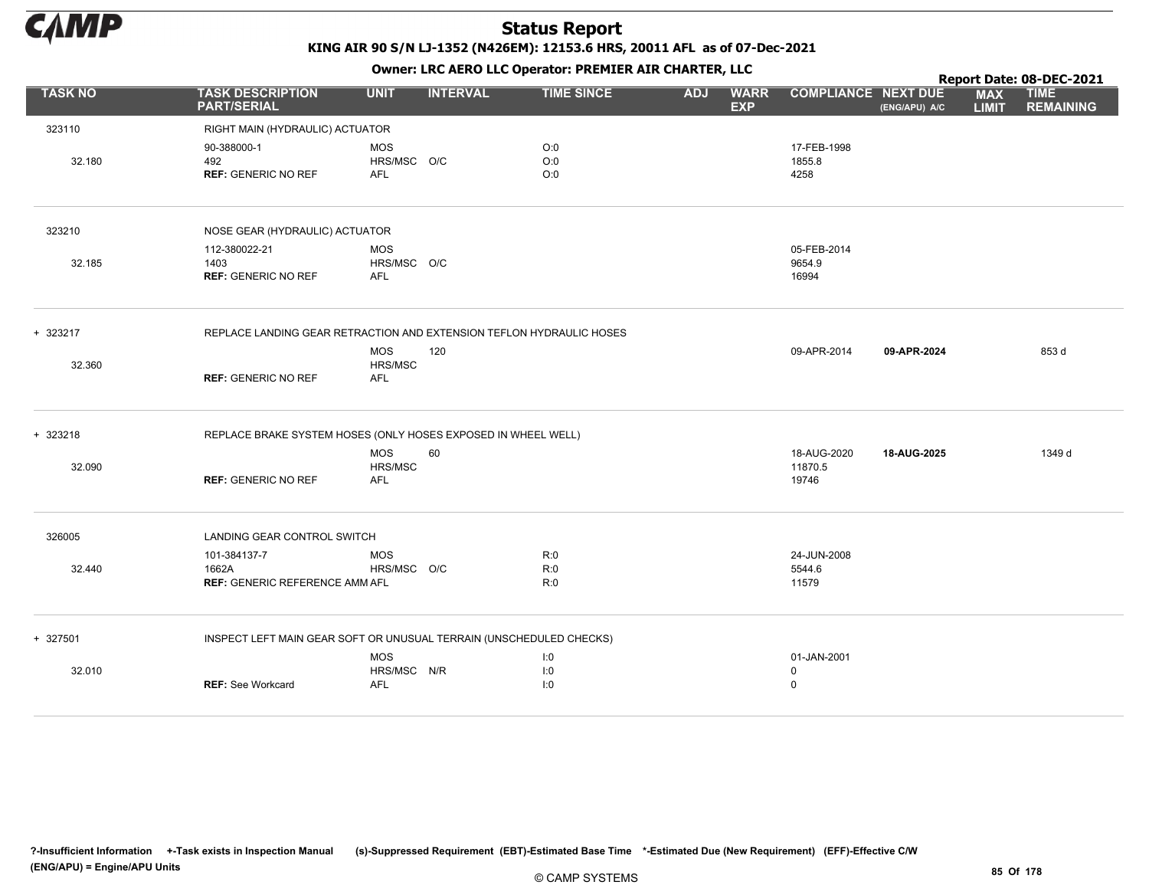

|                |                                                               |                                            |                                                                      |            |                           |                                |               |                            | Report Date: 08-DEC-2021        |
|----------------|---------------------------------------------------------------|--------------------------------------------|----------------------------------------------------------------------|------------|---------------------------|--------------------------------|---------------|----------------------------|---------------------------------|
| <b>TASK NO</b> | <b>TASK DESCRIPTION</b><br><b>PART/SERIAL</b>                 | <b>UNIT</b><br><b>INTERVAL</b>             | <b>TIME SINCE</b>                                                    | <b>ADJ</b> | <b>WARR</b><br><b>EXP</b> | <b>COMPLIANCE NEXT DUE</b>     | (ENG/APU) A/C | <b>MAX</b><br><b>LIMIT</b> | <b>TIME</b><br><b>REMAINING</b> |
| 323110         | RIGHT MAIN (HYDRAULIC) ACTUATOR                               |                                            |                                                                      |            |                           |                                |               |                            |                                 |
| 32.180         | 90-388000-1<br>492<br><b>REF: GENERIC NO REF</b>              | <b>MOS</b><br>HRS/MSC O/C<br><b>AFL</b>    | O:0<br>O:0<br>O:0                                                    |            |                           | 17-FEB-1998<br>1855.8<br>4258  |               |                            |                                 |
| 323210         | NOSE GEAR (HYDRAULIC) ACTUATOR                                |                                            |                                                                      |            |                           |                                |               |                            |                                 |
| 32.185         | 112-380022-21<br>1403<br><b>REF: GENERIC NO REF</b>           | <b>MOS</b><br>HRS/MSC O/C<br>AFL           |                                                                      |            |                           | 05-FEB-2014<br>9654.9<br>16994 |               |                            |                                 |
| + 323217       |                                                               |                                            | REPLACE LANDING GEAR RETRACTION AND EXTENSION TEFLON HYDRAULIC HOSES |            |                           |                                |               |                            |                                 |
| 32.360         | <b>REF: GENERIC NO REF</b>                                    | <b>MOS</b><br>120<br>HRS/MSC<br><b>AFL</b> |                                                                      |            |                           | 09-APR-2014                    | 09-APR-2024   |                            | 853 d                           |
| + 323218       | REPLACE BRAKE SYSTEM HOSES (ONLY HOSES EXPOSED IN WHEEL WELL) |                                            |                                                                      |            |                           |                                |               |                            |                                 |
|                |                                                               | 60<br><b>MOS</b>                           |                                                                      |            |                           | 18-AUG-2020                    | 18-AUG-2025   |                            | 1349 d                          |
| 32.090         | <b>REF: GENERIC NO REF</b>                                    | HRS/MSC<br><b>AFL</b>                      |                                                                      |            |                           | 11870.5<br>19746               |               |                            |                                 |
| 326005         | LANDING GEAR CONTROL SWITCH                                   |                                            |                                                                      |            |                           |                                |               |                            |                                 |
|                | 101-384137-7                                                  | <b>MOS</b>                                 | R:0                                                                  |            |                           | 24-JUN-2008                    |               |                            |                                 |
| 32.440         | 1662A<br><b>REF: GENERIC REFERENCE AMM AFL</b>                | HRS/MSC O/C                                | R:0<br>R:0                                                           |            |                           | 5544.6<br>11579                |               |                            |                                 |
| + 327501       |                                                               |                                            | INSPECT LEFT MAIN GEAR SOFT OR UNUSUAL TERRAIN (UNSCHEDULED CHECKS)  |            |                           |                                |               |                            |                                 |
|                |                                                               | <b>MOS</b>                                 | I:0                                                                  |            |                           | 01-JAN-2001                    |               |                            |                                 |
| 32.010         | <b>REF: See Workcard</b>                                      | HRS/MSC N/R<br><b>AFL</b>                  | I:0<br>1:0                                                           |            |                           | $\mathbf 0$<br>$\mathbf 0$     |               |                            |                                 |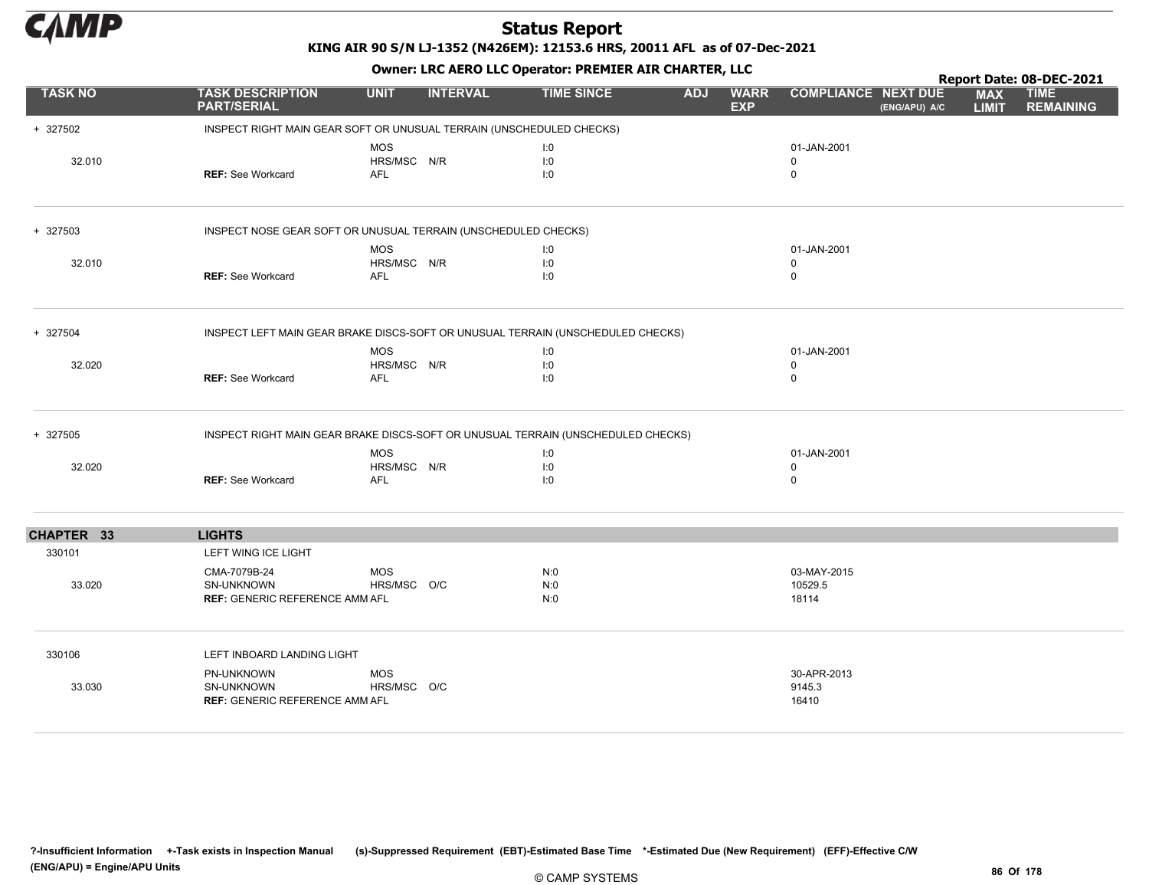

|                |                                                                                  |                           |                 |                   |            |                           |                            |               |                            | Report Date: 08-DEC-2021        |
|----------------|----------------------------------------------------------------------------------|---------------------------|-----------------|-------------------|------------|---------------------------|----------------------------|---------------|----------------------------|---------------------------------|
| <b>TASK NO</b> | <b>TASK DESCRIPTION</b><br><b>PART/SERIAL</b>                                    | <b>UNIT</b>               | <b>INTERVAL</b> | <b>TIME SINCE</b> | <b>ADJ</b> | <b>WARR</b><br><b>EXP</b> | <b>COMPLIANCE NEXT DUE</b> | (ENG/APU) A/C | <b>MAX</b><br><b>LIMIT</b> | <b>TIME</b><br><b>REMAINING</b> |
| + 327502       | INSPECT RIGHT MAIN GEAR SOFT OR UNUSUAL TERRAIN (UNSCHEDULED CHECKS)             |                           |                 |                   |            |                           |                            |               |                            |                                 |
|                |                                                                                  | <b>MOS</b>                |                 | 1:0               |            |                           | 01-JAN-2001                |               |                            |                                 |
| 32.010         |                                                                                  | HRS/MSC N/R               |                 | 1:0               |            |                           | $\mathbf 0$                |               |                            |                                 |
|                | <b>REF: See Workcard</b>                                                         | <b>AFL</b>                |                 | 1:0               |            |                           | 0                          |               |                            |                                 |
| + 327503       | INSPECT NOSE GEAR SOFT OR UNUSUAL TERRAIN (UNSCHEDULED CHECKS)                   |                           |                 |                   |            |                           |                            |               |                            |                                 |
|                |                                                                                  | <b>MOS</b>                |                 | 1:0               |            |                           | 01-JAN-2001                |               |                            |                                 |
| 32.010         |                                                                                  | HRS/MSC N/R               |                 | I:0               |            |                           | $\mathbf 0$                |               |                            |                                 |
|                | <b>REF: See Workcard</b>                                                         | <b>AFL</b>                |                 | 1:0               |            |                           | $\mathbf 0$                |               |                            |                                 |
| + 327504       | INSPECT LEFT MAIN GEAR BRAKE DISCS-SOFT OR UNUSUAL TERRAIN (UNSCHEDULED CHECKS)  |                           |                 |                   |            |                           |                            |               |                            |                                 |
|                |                                                                                  | <b>MOS</b>                |                 | 1:0               |            |                           | 01-JAN-2001                |               |                            |                                 |
| 32.020         | <b>REF: See Workcard</b>                                                         | HRS/MSC N/R<br><b>AFL</b> |                 | 1:0<br>1:0        |            |                           | $\mathbf 0$<br>0           |               |                            |                                 |
|                |                                                                                  |                           |                 |                   |            |                           |                            |               |                            |                                 |
| + 327505       | INSPECT RIGHT MAIN GEAR BRAKE DISCS-SOFT OR UNUSUAL TERRAIN (UNSCHEDULED CHECKS) |                           |                 |                   |            |                           |                            |               |                            |                                 |
|                |                                                                                  | <b>MOS</b>                |                 | 1:0               |            |                           | 01-JAN-2001                |               |                            |                                 |
| 32.020         |                                                                                  | HRS/MSC N/R               |                 | I:0               |            |                           | $\mathbf 0$                |               |                            |                                 |
|                | <b>REF: See Workcard</b>                                                         | <b>AFL</b>                |                 | 1:0               |            |                           | 0                          |               |                            |                                 |
| CHAPTER 33     | <b>LIGHTS</b>                                                                    |                           |                 |                   |            |                           |                            |               |                            |                                 |
| 330101         | LEFT WING ICE LIGHT                                                              |                           |                 |                   |            |                           |                            |               |                            |                                 |
|                | CMA-7079B-24                                                                     | <b>MOS</b>                |                 | N:0               |            |                           | 03-MAY-2015                |               |                            |                                 |
| 33.020         | <b>SN-UNKNOWN</b>                                                                | HRS/MSC O/C               |                 | N:0               |            |                           | 10529.5                    |               |                            |                                 |
|                | <b>REF: GENERIC REFERENCE AMM AFL</b>                                            |                           |                 | N:0               |            |                           | 18114                      |               |                            |                                 |
| 330106         | LEFT INBOARD LANDING LIGHT                                                       |                           |                 |                   |            |                           |                            |               |                            |                                 |
|                | PN-UNKNOWN                                                                       | <b>MOS</b>                |                 |                   |            |                           | 30-APR-2013                |               |                            |                                 |
| 33.030         | SN-UNKNOWN                                                                       | HRS/MSC O/C               |                 |                   |            |                           | 9145.3                     |               |                            |                                 |
|                | <b>REF: GENERIC REFERENCE AMM AFL</b>                                            |                           |                 |                   |            |                           | 16410                      |               |                            |                                 |
|                |                                                                                  |                           |                 |                   |            |                           |                            |               |                            |                                 |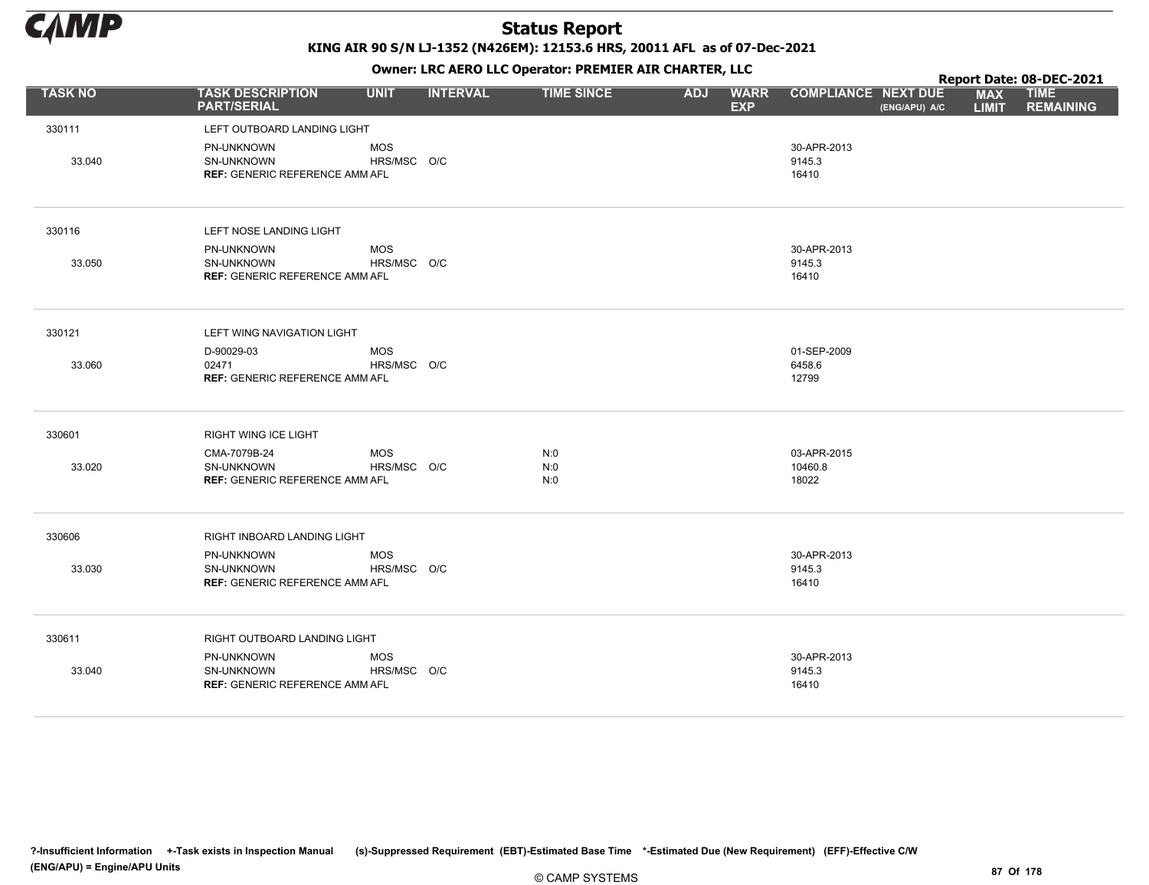

KING AIR 90 S/N LJ-1352 (N426EM): 12153.6 HRS, 20011 AFL as of 07-Dec-2021

|                |                                                                          |                           |                 | OWHER LIKE ALKO LLC OPERATOR PREPILER AIR CHARTER, LLC |            |                           |                                 |               |                            | Report Date: 08-DEC-2021        |
|----------------|--------------------------------------------------------------------------|---------------------------|-----------------|--------------------------------------------------------|------------|---------------------------|---------------------------------|---------------|----------------------------|---------------------------------|
| <b>TASK NO</b> | <b>TASK DESCRIPTION</b><br><b>PART/SERIAL</b>                            | <b>UNIT</b>               | <b>INTERVAL</b> | <b>TIME SINCE</b>                                      | <b>ADJ</b> | <b>WARR</b><br><b>EXP</b> | <b>COMPLIANCE NEXT DUE</b>      | (ENG/APU) A/C | <b>MAX</b><br><b>LIMIT</b> | <b>TIME</b><br><b>REMAINING</b> |
| 330111         | LEFT OUTBOARD LANDING LIGHT                                              |                           |                 |                                                        |            |                           |                                 |               |                            |                                 |
| 33.040         | PN-UNKNOWN<br>SN-UNKNOWN<br><b>REF: GENERIC REFERENCE AMM AFL</b>        | <b>MOS</b><br>HRS/MSC O/C |                 |                                                        |            |                           | 30-APR-2013<br>9145.3<br>16410  |               |                            |                                 |
| 330116         | LEFT NOSE LANDING LIGHT                                                  |                           |                 |                                                        |            |                           |                                 |               |                            |                                 |
| 33.050         | PN-UNKNOWN<br><b>SN-UNKNOWN</b><br><b>REF: GENERIC REFERENCE AMM AFL</b> | <b>MOS</b><br>HRS/MSC O/C |                 |                                                        |            |                           | 30-APR-2013<br>9145.3<br>16410  |               |                            |                                 |
| 330121         | LEFT WING NAVIGATION LIGHT                                               |                           |                 |                                                        |            |                           |                                 |               |                            |                                 |
| 33.060         | D-90029-03<br>02471<br><b>REF: GENERIC REFERENCE AMM AFL</b>             | <b>MOS</b><br>HRS/MSC O/C |                 |                                                        |            |                           | 01-SEP-2009<br>6458.6<br>12799  |               |                            |                                 |
| 330601         | RIGHT WING ICE LIGHT                                                     |                           |                 |                                                        |            |                           |                                 |               |                            |                                 |
| 33.020         | CMA-7079B-24<br>SN-UNKNOWN<br><b>REF: GENERIC REFERENCE AMM AFL</b>      | <b>MOS</b><br>HRS/MSC O/C |                 | N:0<br>N:0<br>N:0                                      |            |                           | 03-APR-2015<br>10460.8<br>18022 |               |                            |                                 |
| 330606         | RIGHT INBOARD LANDING LIGHT                                              |                           |                 |                                                        |            |                           |                                 |               |                            |                                 |
| 33.030         | PN-UNKNOWN<br>SN-UNKNOWN<br><b>REF: GENERIC REFERENCE AMM AFL</b>        | <b>MOS</b><br>HRS/MSC O/C |                 |                                                        |            |                           | 30-APR-2013<br>9145.3<br>16410  |               |                            |                                 |
| 330611         | RIGHT OUTBOARD LANDING LIGHT                                             |                           |                 |                                                        |            |                           |                                 |               |                            |                                 |
| 33.040         | PN-UNKNOWN<br>SN-UNKNOWN<br><b>REF: GENERIC REFERENCE AMM AFL</b>        | <b>MOS</b><br>HRS/MSC O/C |                 |                                                        |            |                           | 30-APR-2013<br>9145.3<br>16410  |               |                            |                                 |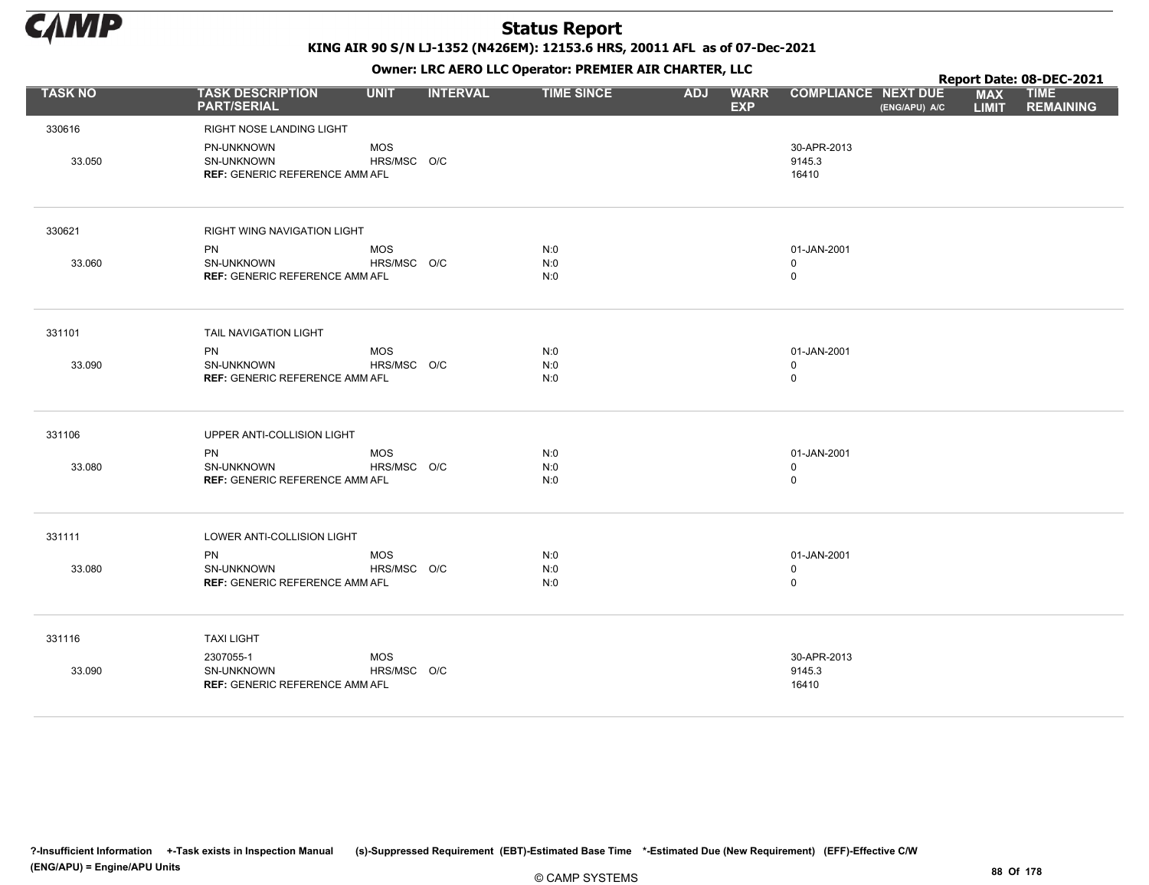

KING AIR 90 S/N LJ-1352 (N426EM): 12153.6 HRS, 20011 AFL as of 07-Dec-2021

|                |                                                                   |                           |                 |                   |            |                           |                                |               |                            | Report Date: 08-DEC-2021        |
|----------------|-------------------------------------------------------------------|---------------------------|-----------------|-------------------|------------|---------------------------|--------------------------------|---------------|----------------------------|---------------------------------|
| <b>TASK NO</b> | <b>TASK DESCRIPTION</b><br><b>PART/SERIAL</b>                     | <b>UNIT</b>               | <b>INTERVAL</b> | <b>TIME SINCE</b> | <b>ADJ</b> | <b>WARR</b><br><b>EXP</b> | <b>COMPLIANCE NEXT DUE</b>     | (ENG/APU) A/C | <b>MAX</b><br><b>LIMIT</b> | <b>TIME</b><br><b>REMAINING</b> |
| 330616         | RIGHT NOSE LANDING LIGHT                                          |                           |                 |                   |            |                           |                                |               |                            |                                 |
| 33.050         | PN-UNKNOWN<br>SN-UNKNOWN<br><b>REF: GENERIC REFERENCE AMM AFL</b> | <b>MOS</b><br>HRS/MSC O/C |                 |                   |            |                           | 30-APR-2013<br>9145.3<br>16410 |               |                            |                                 |
| 330621         | RIGHT WING NAVIGATION LIGHT                                       |                           |                 |                   |            |                           |                                |               |                            |                                 |
|                | PN                                                                | <b>MOS</b>                |                 | N:0               |            |                           | 01-JAN-2001                    |               |                            |                                 |
| 33.060         | SN-UNKNOWN<br><b>REF: GENERIC REFERENCE AMM AFL</b>               | HRS/MSC O/C               |                 | N:0<br>N:0        |            |                           | 0<br>$\mathbf 0$               |               |                            |                                 |
|                |                                                                   |                           |                 |                   |            |                           |                                |               |                            |                                 |
| 331101         | TAIL NAVIGATION LIGHT                                             |                           |                 |                   |            |                           |                                |               |                            |                                 |
|                | <b>PN</b>                                                         | <b>MOS</b>                |                 | N:0               |            |                           | 01-JAN-2001                    |               |                            |                                 |
| 33.090         | SN-UNKNOWN<br><b>REF: GENERIC REFERENCE AMM AFL</b>               | HRS/MSC O/C               |                 | N:0<br>N:0        |            |                           | 0<br>$\mathbf 0$               |               |                            |                                 |
|                |                                                                   |                           |                 |                   |            |                           |                                |               |                            |                                 |
| 331106         | UPPER ANTI-COLLISION LIGHT                                        |                           |                 |                   |            |                           |                                |               |                            |                                 |
|                | PN                                                                | <b>MOS</b>                |                 | N:0               |            |                           | 01-JAN-2001                    |               |                            |                                 |
| 33.080         | SN-UNKNOWN<br><b>REF: GENERIC REFERENCE AMM AFL</b>               | HRS/MSC O/C               |                 | N:0<br>N:0        |            |                           | 0<br>$\mathbf 0$               |               |                            |                                 |
|                |                                                                   |                           |                 |                   |            |                           |                                |               |                            |                                 |
| 331111         | LOWER ANTI-COLLISION LIGHT                                        |                           |                 |                   |            |                           |                                |               |                            |                                 |
|                | PN                                                                | <b>MOS</b>                |                 | N:0               |            |                           | 01-JAN-2001                    |               |                            |                                 |
| 33.080         | SN-UNKNOWN<br><b>REF: GENERIC REFERENCE AMM AFL</b>               | HRS/MSC O/C               |                 | N:0<br>N:0        |            |                           | 0<br>$\mathbf 0$               |               |                            |                                 |
|                |                                                                   |                           |                 |                   |            |                           |                                |               |                            |                                 |
| 331116         | <b>TAXI LIGHT</b>                                                 |                           |                 |                   |            |                           |                                |               |                            |                                 |
|                | 2307055-1                                                         | <b>MOS</b>                |                 |                   |            |                           | 30-APR-2013                    |               |                            |                                 |
| 33.090         | SN-UNKNOWN<br><b>REF: GENERIC REFERENCE AMM AFL</b>               | HRS/MSC O/C               |                 |                   |            |                           | 9145.3<br>16410                |               |                            |                                 |
|                |                                                                   |                           |                 |                   |            |                           |                                |               |                            |                                 |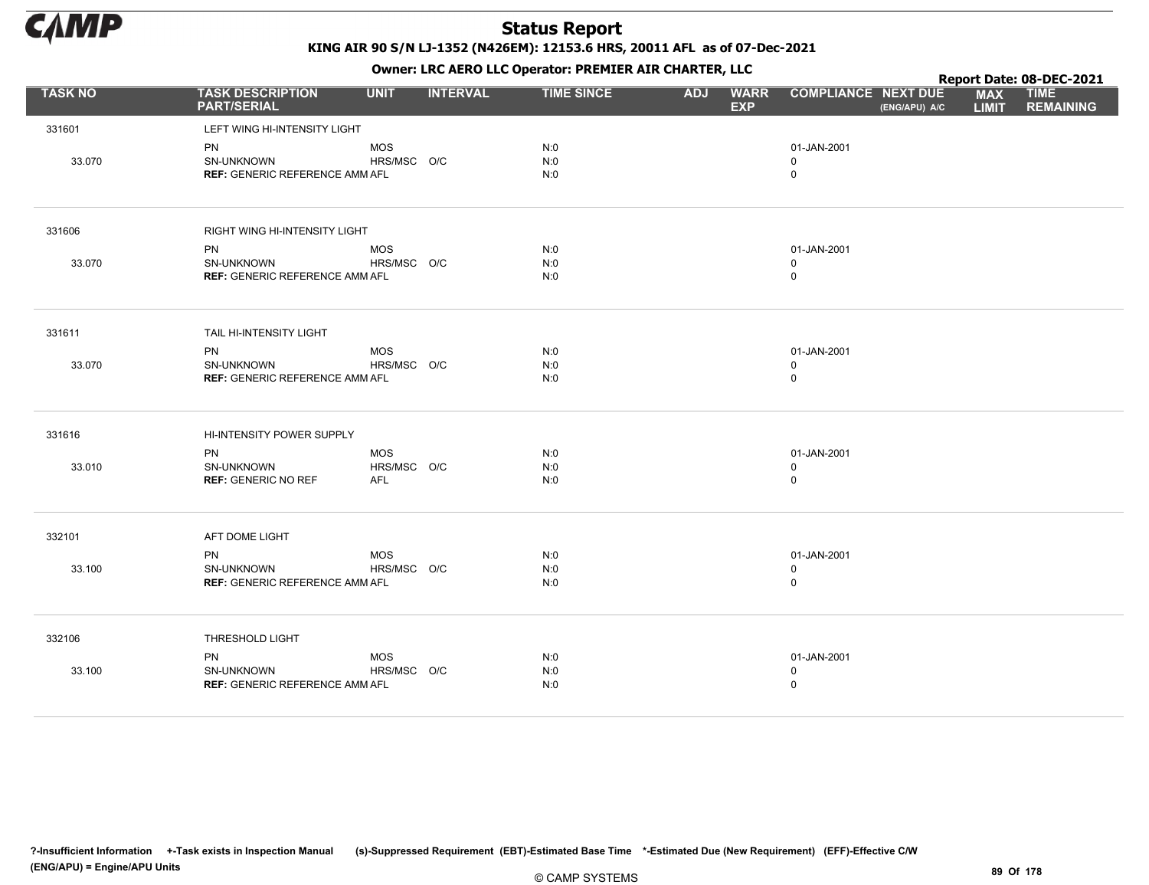

|                |                                               |             |                 |                   |            | . .                       |                                             |                            | Report Date: 08-DEC-2021        |
|----------------|-----------------------------------------------|-------------|-----------------|-------------------|------------|---------------------------|---------------------------------------------|----------------------------|---------------------------------|
| <b>TASK NO</b> | <b>TASK DESCRIPTION</b><br><b>PART/SERIAL</b> | <b>UNIT</b> | <b>INTERVAL</b> | <b>TIME SINCE</b> | <b>ADJ</b> | <b>WARR</b><br><b>EXP</b> | <b>COMPLIANCE NEXT DUE</b><br>(ENG/APU) A/C | <b>MAX</b><br><b>LIMIT</b> | <b>TIME</b><br><b>REMAINING</b> |
| 331601         | LEFT WING HI-INTENSITY LIGHT                  |             |                 |                   |            |                           |                                             |                            |                                 |
|                | PN                                            | <b>MOS</b>  |                 | N:0               |            |                           | 01-JAN-2001                                 |                            |                                 |
| 33.070         | SN-UNKNOWN                                    | HRS/MSC O/C |                 | N:0               |            |                           | 0                                           |                            |                                 |
|                | <b>REF: GENERIC REFERENCE AMM AFL</b>         |             |                 | N:0               |            |                           | $\mathsf 0$                                 |                            |                                 |
| 331606         | RIGHT WING HI-INTENSITY LIGHT                 |             |                 |                   |            |                           |                                             |                            |                                 |
|                | PN                                            | MOS         |                 | N:0               |            |                           | 01-JAN-2001                                 |                            |                                 |
| 33.070         | SN-UNKNOWN                                    | HRS/MSC O/C |                 | N:0               |            |                           | $\mathbf 0$                                 |                            |                                 |
|                | <b>REF: GENERIC REFERENCE AMM AFL</b>         |             |                 | N:0               |            |                           | $\mathsf 0$                                 |                            |                                 |
| 331611         | TAIL HI-INTENSITY LIGHT                       |             |                 |                   |            |                           |                                             |                            |                                 |
|                | PN                                            | MOS         |                 | N:0               |            |                           | 01-JAN-2001                                 |                            |                                 |
| 33.070         | SN-UNKNOWN                                    | HRS/MSC O/C |                 | N:0               |            |                           | $\mathbf 0$                                 |                            |                                 |
|                | <b>REF: GENERIC REFERENCE AMM AFL</b>         |             |                 | N:0               |            |                           | $\mathsf 0$                                 |                            |                                 |
| 331616         | HI-INTENSITY POWER SUPPLY                     |             |                 |                   |            |                           |                                             |                            |                                 |
|                | PN                                            | MOS         |                 | N:0               |            |                           | 01-JAN-2001                                 |                            |                                 |
| 33.010         | SN-UNKNOWN                                    | HRS/MSC O/C |                 | N:0               |            |                           | $\mathbf 0$                                 |                            |                                 |
|                | <b>REF: GENERIC NO REF</b>                    | AFL         |                 | N:0               |            |                           | $\mathsf 0$                                 |                            |                                 |
| 332101         | AFT DOME LIGHT                                |             |                 |                   |            |                           |                                             |                            |                                 |
|                | <b>PN</b>                                     | <b>MOS</b>  |                 | N:0               |            |                           | 01-JAN-2001                                 |                            |                                 |
| 33.100         | <b>SN-UNKNOWN</b>                             | HRS/MSC O/C |                 | N:0               |            |                           | $\mathbf 0$                                 |                            |                                 |
|                | <b>REF: GENERIC REFERENCE AMM AFL</b>         |             |                 | N:0               |            |                           | $\mathsf 0$                                 |                            |                                 |
| 332106         | THRESHOLD LIGHT                               |             |                 |                   |            |                           |                                             |                            |                                 |
|                | PN                                            | <b>MOS</b>  |                 | N:0               |            |                           | 01-JAN-2001                                 |                            |                                 |
| 33.100         | SN-UNKNOWN                                    | HRS/MSC O/C |                 | N:0               |            |                           | $\mathsf 0$                                 |                            |                                 |
|                | <b>REF: GENERIC REFERENCE AMM AFL</b>         |             |                 | N:0               |            |                           | $\mathsf 0$                                 |                            |                                 |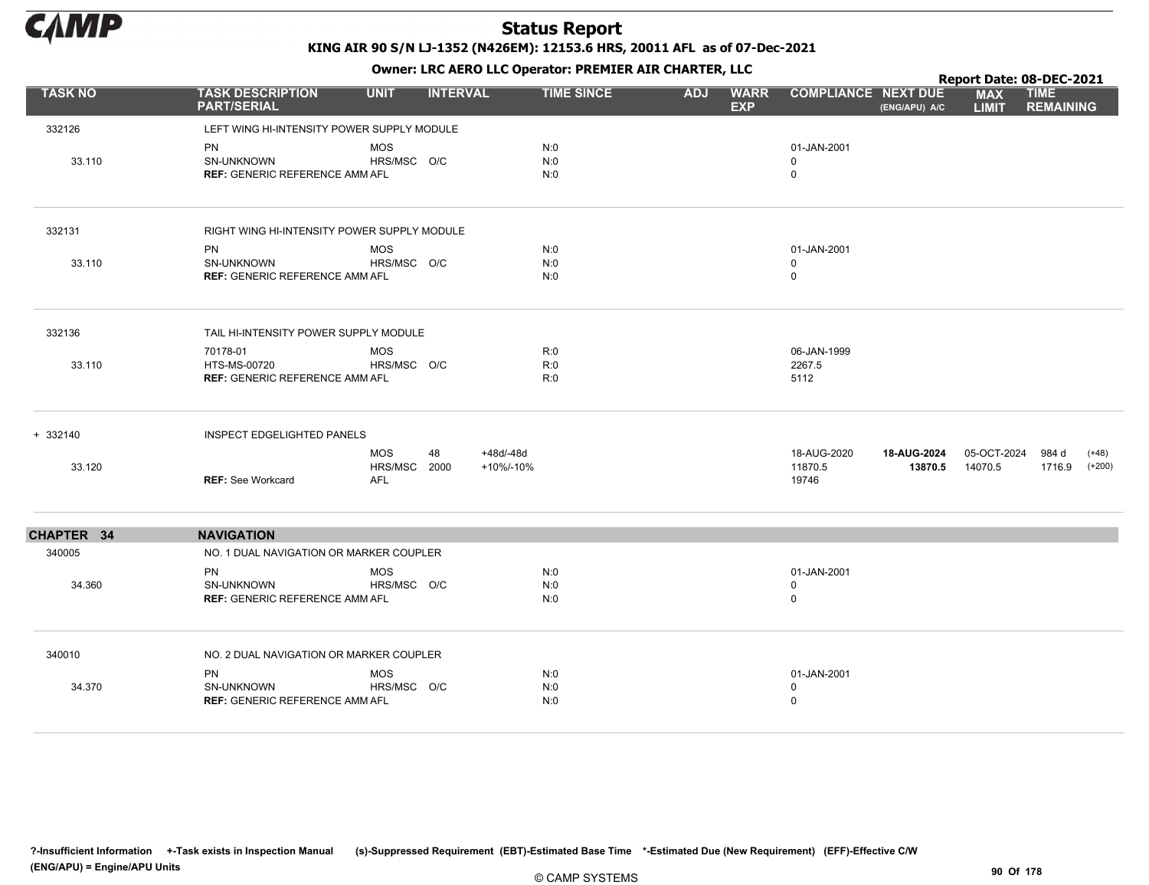

|                |                                                                   |                                          |                              |                   |            | . .                       |                                           |                        |                            | Report Date: 08-DEC-2021               |  |
|----------------|-------------------------------------------------------------------|------------------------------------------|------------------------------|-------------------|------------|---------------------------|-------------------------------------------|------------------------|----------------------------|----------------------------------------|--|
| <b>TASK NO</b> | <b>TASK DESCRIPTION</b><br><b>PART/SERIAL</b>                     | <b>UNIT</b>                              | <b>INTERVAL</b>              | <b>TIME SINCE</b> | <b>ADJ</b> | <b>WARR</b><br><b>EXP</b> | <b>COMPLIANCE NEXT DUE</b>                | (ENG/APU) A/C          | <b>MAX</b><br><b>LIMIT</b> | <b>TIME</b><br><b>REMAINING</b>        |  |
| 332126         | LEFT WING HI-INTENSITY POWER SUPPLY MODULE                        |                                          |                              |                   |            |                           |                                           |                        |                            |                                        |  |
| 33.110         | <b>PN</b><br>SN-UNKNOWN<br><b>REF: GENERIC REFERENCE AMM AFL</b>  | <b>MOS</b><br>HRS/MSC O/C                |                              | N:0<br>N:0<br>N:0 |            |                           | 01-JAN-2001<br>$\mathbf 0$<br>$\mathbf 0$ |                        |                            |                                        |  |
| 332131         | RIGHT WING HI-INTENSITY POWER SUPPLY MODULE                       |                                          |                              |                   |            |                           |                                           |                        |                            |                                        |  |
| 33.110         | <b>PN</b><br>SN-UNKNOWN<br><b>REF: GENERIC REFERENCE AMM AFL</b>  | <b>MOS</b><br>HRS/MSC O/C                |                              | N:0<br>N:0<br>N:0 |            |                           | 01-JAN-2001<br>$\mathbf 0$<br>$\mathbf 0$ |                        |                            |                                        |  |
| 332136         | TAIL HI-INTENSITY POWER SUPPLY MODULE                             |                                          |                              |                   |            |                           |                                           |                        |                            |                                        |  |
| 33.110         | 70178-01<br>HTS-MS-00720<br><b>REF: GENERIC REFERENCE AMM AFL</b> | <b>MOS</b><br>HRS/MSC O/C                |                              | R:0<br>R:0<br>R:0 |            |                           | 06-JAN-1999<br>2267.5<br>5112             |                        |                            |                                        |  |
| $+ 332140$     | <b>INSPECT EDGELIGHTED PANELS</b>                                 |                                          |                              |                   |            |                           |                                           |                        |                            |                                        |  |
| 33.120         | <b>REF: See Workcard</b>                                          | <b>MOS</b><br>HRS/MSC 2000<br><b>AFL</b> | 48<br>+48d/-48d<br>+10%/-10% |                   |            |                           | 18-AUG-2020<br>11870.5<br>19746           | 18-AUG-2024<br>13870.5 | 05-OCT-2024<br>14070.5     | $(+48)$<br>984 d<br>1716.9<br>$(+200)$ |  |
| CHAPTER 34     | <b>NAVIGATION</b>                                                 |                                          |                              |                   |            |                           |                                           |                        |                            |                                        |  |
| 340005         | NO. 1 DUAL NAVIGATION OR MARKER COUPLER                           |                                          |                              |                   |            |                           |                                           |                        |                            |                                        |  |
| 34.360         | <b>PN</b><br>SN-UNKNOWN<br><b>REF: GENERIC REFERENCE AMM AFL</b>  | <b>MOS</b><br>HRS/MSC O/C                |                              | N:0<br>N:0<br>N:0 |            |                           | 01-JAN-2001<br>0<br>$\mathbf 0$           |                        |                            |                                        |  |
| 340010         | NO. 2 DUAL NAVIGATION OR MARKER COUPLER                           |                                          |                              |                   |            |                           |                                           |                        |                            |                                        |  |
| 34.370         | <b>PN</b><br>SN-UNKNOWN<br><b>REF: GENERIC REFERENCE AMM AFL</b>  | <b>MOS</b><br>HRS/MSC O/C                |                              | N:0<br>N:0<br>N:0 |            |                           | 01-JAN-2001<br>0<br>0                     |                        |                            |                                        |  |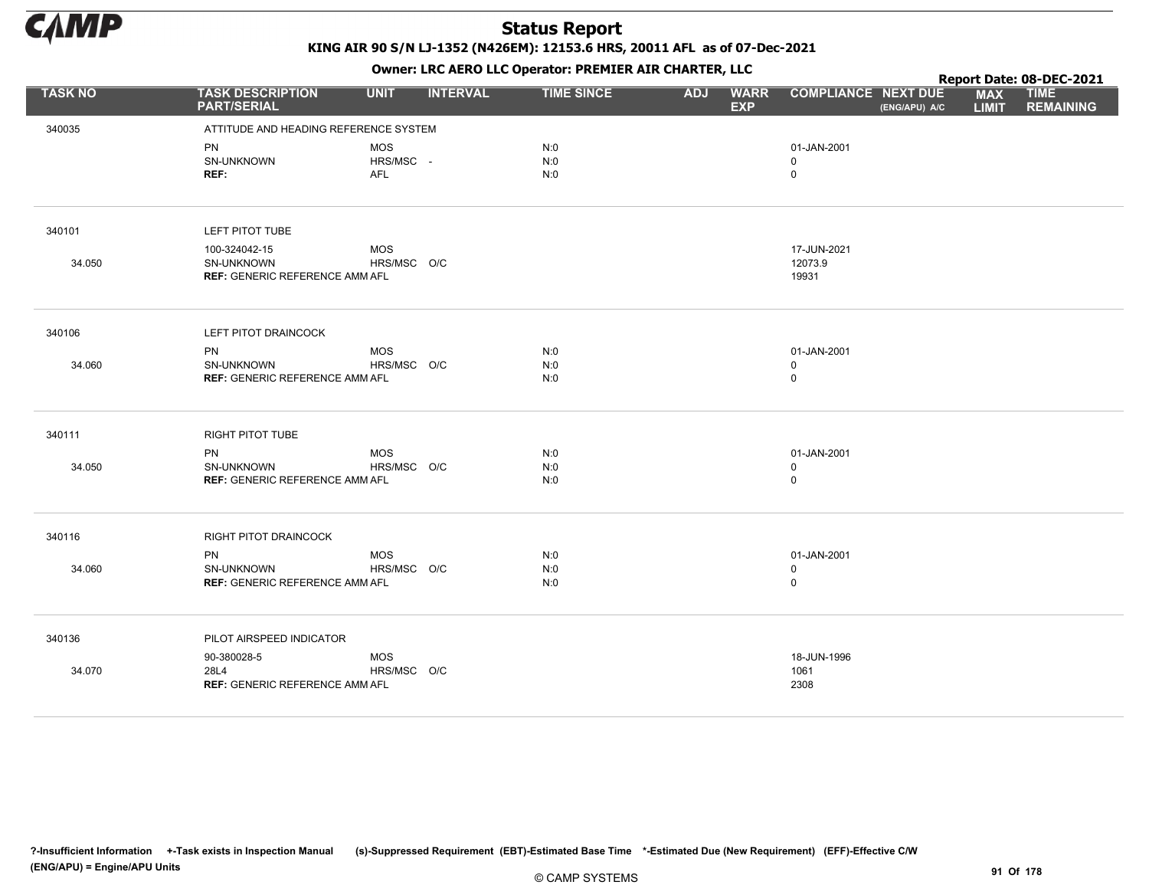

|                |                                                     |                           |                 |                   | . .        |                           |                            |               |                            | Report Date: 08-DEC-2021        |
|----------------|-----------------------------------------------------|---------------------------|-----------------|-------------------|------------|---------------------------|----------------------------|---------------|----------------------------|---------------------------------|
| <b>TASK NO</b> | <b>TASK DESCRIPTION</b><br><b>PART/SERIAL</b>       | <b>UNIT</b>               | <b>INTERVAL</b> | <b>TIME SINCE</b> | <b>ADJ</b> | <b>WARR</b><br><b>EXP</b> | <b>COMPLIANCE NEXT DUE</b> | (ENG/APU) A/C | <b>MAX</b><br><b>LIMIT</b> | <b>TIME</b><br><b>REMAINING</b> |
| 340035         | ATTITUDE AND HEADING REFERENCE SYSTEM               |                           |                 |                   |            |                           |                            |               |                            |                                 |
|                | PN                                                  | <b>MOS</b>                |                 | N:0               |            |                           | 01-JAN-2001                |               |                            |                                 |
|                | SN-UNKNOWN                                          | HRS/MSC -                 |                 | N:0               |            |                           | $\mathbf 0$                |               |                            |                                 |
|                | REF:                                                | AFL                       |                 | N:0               |            |                           | $\mathsf 0$                |               |                            |                                 |
|                |                                                     |                           |                 |                   |            |                           |                            |               |                            |                                 |
| 340101         | LEFT PITOT TUBE                                     |                           |                 |                   |            |                           |                            |               |                            |                                 |
|                | 100-324042-15                                       | <b>MOS</b>                |                 |                   |            |                           | 17-JUN-2021                |               |                            |                                 |
| 34.050         | SN-UNKNOWN<br><b>REF: GENERIC REFERENCE AMM AFL</b> | HRS/MSC O/C               |                 |                   |            |                           | 12073.9                    |               |                            |                                 |
|                |                                                     |                           |                 |                   |            |                           | 19931                      |               |                            |                                 |
| 340106         | LEFT PITOT DRAINCOCK                                |                           |                 |                   |            |                           |                            |               |                            |                                 |
|                |                                                     |                           |                 |                   |            |                           |                            |               |                            |                                 |
| 34.060         | PN<br>SN-UNKNOWN                                    | <b>MOS</b><br>HRS/MSC O/C |                 | N:0<br>N:0        |            |                           | 01-JAN-2001<br>$\mathbf 0$ |               |                            |                                 |
|                | <b>REF: GENERIC REFERENCE AMM AFL</b>               |                           |                 | N:0               |            |                           | $\mathbf 0$                |               |                            |                                 |
|                |                                                     |                           |                 |                   |            |                           |                            |               |                            |                                 |
| 340111         | RIGHT PITOT TUBE                                    |                           |                 |                   |            |                           |                            |               |                            |                                 |
|                | <b>PN</b>                                           | <b>MOS</b>                |                 | N:0               |            |                           | 01-JAN-2001                |               |                            |                                 |
| 34.050         | SN-UNKNOWN<br><b>REF: GENERIC REFERENCE AMM AFL</b> | HRS/MSC O/C               |                 | N:0<br>N:0        |            |                           | $\mathbf 0$<br>$\mathsf 0$ |               |                            |                                 |
|                |                                                     |                           |                 |                   |            |                           |                            |               |                            |                                 |
| 340116         | RIGHT PITOT DRAINCOCK                               |                           |                 |                   |            |                           |                            |               |                            |                                 |
|                | <b>PN</b>                                           | <b>MOS</b>                |                 | N:0               |            |                           | 01-JAN-2001                |               |                            |                                 |
| 34.060         | SN-UNKNOWN                                          | HRS/MSC O/C               |                 | N:0               |            |                           | $\mathbf 0$                |               |                            |                                 |
|                | <b>REF: GENERIC REFERENCE AMM AFL</b>               |                           |                 | N:0               |            |                           | $\mathsf 0$                |               |                            |                                 |
| 340136         | PILOT AIRSPEED INDICATOR                            |                           |                 |                   |            |                           |                            |               |                            |                                 |
|                | 90-380028-5                                         | <b>MOS</b>                |                 |                   |            |                           | 18-JUN-1996                |               |                            |                                 |
| 34.070         | 28L4                                                | HRS/MSC O/C               |                 |                   |            |                           | 1061                       |               |                            |                                 |
|                | <b>REF: GENERIC REFERENCE AMM AFL</b>               |                           |                 |                   |            |                           | 2308                       |               |                            |                                 |
|                |                                                     |                           |                 |                   |            |                           |                            |               |                            |                                 |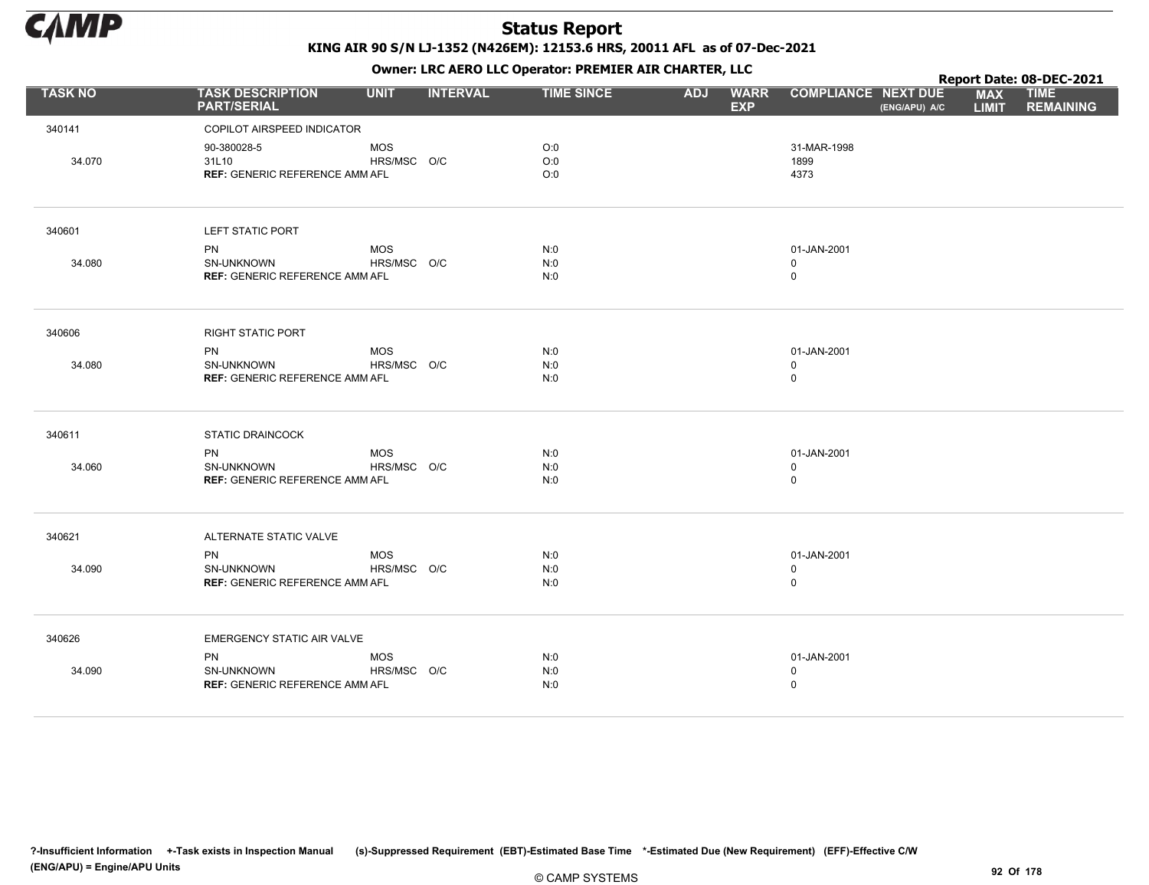

|                |                                               |             |                 |                   |            | . .                       |                                             |                            | Report Date: 08-DEC-2021        |
|----------------|-----------------------------------------------|-------------|-----------------|-------------------|------------|---------------------------|---------------------------------------------|----------------------------|---------------------------------|
| <b>TASK NO</b> | <b>TASK DESCRIPTION</b><br><b>PART/SERIAL</b> | <b>UNIT</b> | <b>INTERVAL</b> | <b>TIME SINCE</b> | <b>ADJ</b> | <b>WARR</b><br><b>EXP</b> | <b>COMPLIANCE NEXT DUE</b><br>(ENG/APU) A/C | <b>MAX</b><br><b>LIMIT</b> | <b>TIME</b><br><b>REMAINING</b> |
| 340141         | COPILOT AIRSPEED INDICATOR                    |             |                 |                   |            |                           |                                             |                            |                                 |
|                | 90-380028-5                                   | <b>MOS</b>  |                 | O:0               |            |                           | 31-MAR-1998                                 |                            |                                 |
| 34.070         | 31L10                                         | HRS/MSC O/C |                 | O:0               |            |                           | 1899                                        |                            |                                 |
|                | <b>REF: GENERIC REFERENCE AMM AFL</b>         |             |                 | O:0               |            |                           | 4373                                        |                            |                                 |
| 340601         | LEFT STATIC PORT                              |             |                 |                   |            |                           |                                             |                            |                                 |
|                | <b>PN</b>                                     | MOS         |                 | N:0               |            |                           | 01-JAN-2001                                 |                            |                                 |
| 34.080         | SN-UNKNOWN                                    | HRS/MSC O/C |                 | N:0               |            |                           | $\mathbf 0$                                 |                            |                                 |
|                | <b>REF: GENERIC REFERENCE AMM AFL</b>         |             |                 | N:0               |            |                           | $\mathbf 0$                                 |                            |                                 |
| 340606         | <b>RIGHT STATIC PORT</b>                      |             |                 |                   |            |                           |                                             |                            |                                 |
|                | PN                                            | MOS         |                 | N:0               |            |                           | 01-JAN-2001                                 |                            |                                 |
| 34.080         | <b>SN-UNKNOWN</b>                             | HRS/MSC O/C |                 | N:0               |            |                           | 0                                           |                            |                                 |
|                | <b>REF: GENERIC REFERENCE AMM AFL</b>         |             |                 | N:0               |            |                           | $\mathsf 0$                                 |                            |                                 |
| 340611         | <b>STATIC DRAINCOCK</b>                       |             |                 |                   |            |                           |                                             |                            |                                 |
|                | <b>PN</b>                                     | <b>MOS</b>  |                 | N:0               |            |                           | 01-JAN-2001                                 |                            |                                 |
| 34.060         | SN-UNKNOWN                                    | HRS/MSC O/C |                 | N:0               |            |                           | $\mathbf 0$                                 |                            |                                 |
|                | <b>REF: GENERIC REFERENCE AMM AFL</b>         |             |                 | N:0               |            |                           | $\mathbf 0$                                 |                            |                                 |
| 340621         | ALTERNATE STATIC VALVE                        |             |                 |                   |            |                           |                                             |                            |                                 |
|                | <b>PN</b>                                     | <b>MOS</b>  |                 | N:0               |            |                           | 01-JAN-2001                                 |                            |                                 |
| 34.090         | <b>SN-UNKNOWN</b>                             | HRS/MSC O/C |                 | N:0               |            |                           | $\mathbf 0$                                 |                            |                                 |
|                | <b>REF: GENERIC REFERENCE AMM AFL</b>         |             |                 | N:0               |            |                           | $\mathsf 0$                                 |                            |                                 |
| 340626         | EMERGENCY STATIC AIR VALVE                    |             |                 |                   |            |                           |                                             |                            |                                 |
|                | PN                                            | <b>MOS</b>  |                 | N:0               |            |                           | 01-JAN-2001                                 |                            |                                 |
| 34.090         | SN-UNKNOWN                                    | HRS/MSC O/C |                 | N:0               |            |                           | $\mathsf 0$                                 |                            |                                 |
|                | <b>REF: GENERIC REFERENCE AMM AFL</b>         |             |                 | N:0               |            |                           | $\mathsf 0$                                 |                            |                                 |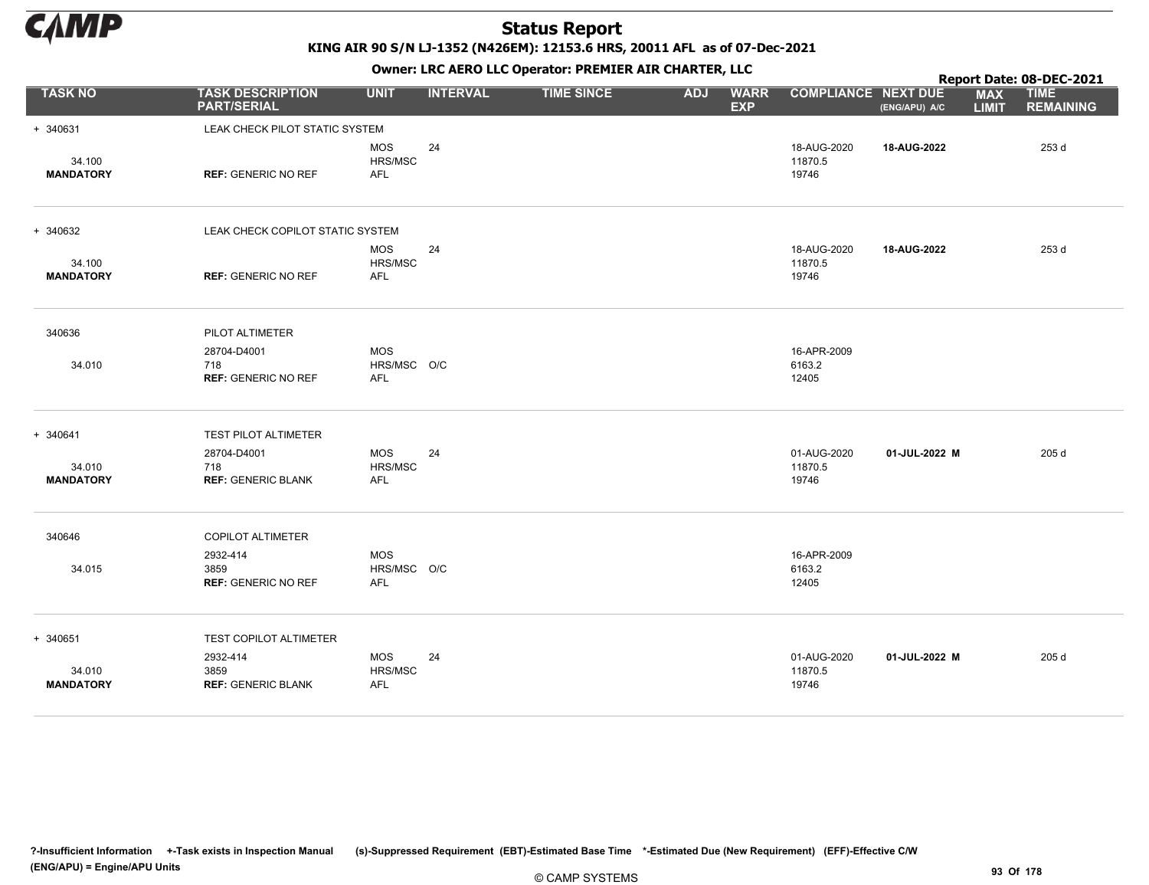

KING AIR 90 S/N LJ-1352 (N426EM): 12153.6 HRS, 20011 AFL as of 07-Dec-2021

|                            |                                                  |                                         |                 | OWHER. LKC ALKO LLC OPERATOR. PREPILER AIR CHARTER, LLC |            |                           |                                 |               |                            | Report Date: 08-DEC-2021        |
|----------------------------|--------------------------------------------------|-----------------------------------------|-----------------|---------------------------------------------------------|------------|---------------------------|---------------------------------|---------------|----------------------------|---------------------------------|
| <b>TASK NO</b>             | <b>TASK DESCRIPTION</b><br><b>PART/SERIAL</b>    | <b>UNIT</b>                             | <b>INTERVAL</b> | <b>TIME SINCE</b>                                       | <b>ADJ</b> | <b>WARR</b><br><b>EXP</b> | <b>COMPLIANCE NEXT DUE</b>      | (ENG/APU) A/C | <b>MAX</b><br><b>LIMIT</b> | <b>TIME</b><br><b>REMAINING</b> |
| + 340631                   | LEAK CHECK PILOT STATIC SYSTEM                   |                                         |                 |                                                         |            |                           |                                 |               |                            |                                 |
| 34.100<br><b>MANDATORY</b> | <b>REF: GENERIC NO REF</b>                       | <b>MOS</b><br>HRS/MSC<br><b>AFL</b>     | 24              |                                                         |            |                           | 18-AUG-2020<br>11870.5<br>19746 | 18-AUG-2022   |                            | 253 d                           |
| + 340632                   | LEAK CHECK COPILOT STATIC SYSTEM                 |                                         |                 |                                                         |            |                           |                                 |               |                            |                                 |
| 34.100<br><b>MANDATORY</b> | <b>REF: GENERIC NO REF</b>                       | <b>MOS</b><br>HRS/MSC<br><b>AFL</b>     | 24              |                                                         |            |                           | 18-AUG-2020<br>11870.5<br>19746 | 18-AUG-2022   |                            | 253 d                           |
| 340636                     | PILOT ALTIMETER                                  |                                         |                 |                                                         |            |                           |                                 |               |                            |                                 |
| 34.010                     | 28704-D4001<br>718<br><b>REF: GENERIC NO REF</b> | <b>MOS</b><br>HRS/MSC O/C<br><b>AFL</b> |                 |                                                         |            |                           | 16-APR-2009<br>6163.2<br>12405  |               |                            |                                 |
| + 340641                   | <b>TEST PILOT ALTIMETER</b>                      |                                         |                 |                                                         |            |                           |                                 |               |                            |                                 |
| 34.010<br><b>MANDATORY</b> | 28704-D4001<br>718<br><b>REF: GENERIC BLANK</b>  | <b>MOS</b><br>HRS/MSC<br>AFL            | 24              |                                                         |            |                           | 01-AUG-2020<br>11870.5<br>19746 | 01-JUL-2022 M |                            | 205 d                           |
| 340646                     | <b>COPILOT ALTIMETER</b>                         |                                         |                 |                                                         |            |                           |                                 |               |                            |                                 |
| 34.015                     | 2932-414<br>3859<br><b>REF: GENERIC NO REF</b>   | <b>MOS</b><br>HRS/MSC O/C<br>AFL        |                 |                                                         |            |                           | 16-APR-2009<br>6163.2<br>12405  |               |                            |                                 |
| + 340651                   | TEST COPILOT ALTIMETER                           |                                         |                 |                                                         |            |                           |                                 |               |                            |                                 |
| 34.010<br><b>MANDATORY</b> | 2932-414<br>3859<br><b>REF: GENERIC BLANK</b>    | <b>MOS</b><br>HRS/MSC<br><b>AFL</b>     | 24              |                                                         |            |                           | 01-AUG-2020<br>11870.5<br>19746 | 01-JUL-2022 M |                            | 205 d                           |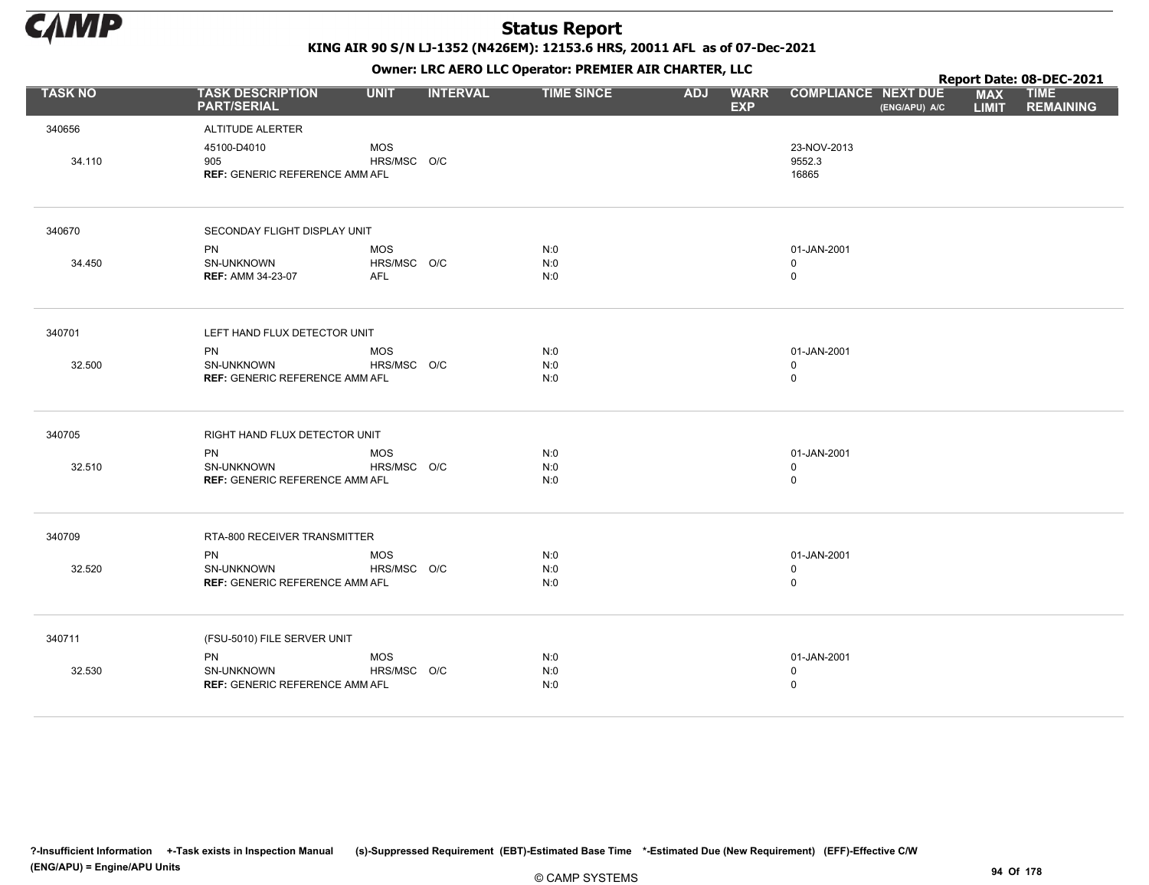

KING AIR 90 S/N LJ-1352 (N426EM): 12153.6 HRS, 20011 AFL as of 07-Dec-2021

|                |                                                                         |                                         |                 | OWHER. LKC ALKO LLC OPERATOR. PREPILER AIR CHARTER, LLC |            |                           |                                           |               |                            | Report Date: 08-DEC-2021        |
|----------------|-------------------------------------------------------------------------|-----------------------------------------|-----------------|---------------------------------------------------------|------------|---------------------------|-------------------------------------------|---------------|----------------------------|---------------------------------|
| <b>TASK NO</b> | <b>TASK DESCRIPTION</b><br><b>PART/SERIAL</b>                           | <b>UNIT</b>                             | <b>INTERVAL</b> | <b>TIME SINCE</b>                                       | <b>ADJ</b> | <b>WARR</b><br><b>EXP</b> | <b>COMPLIANCE NEXT DUE</b>                | (ENG/APU) A/C | <b>MAX</b><br><b>LIMIT</b> | <b>TIME</b><br><b>REMAINING</b> |
| 340656         | ALTITUDE ALERTER                                                        |                                         |                 |                                                         |            |                           |                                           |               |                            |                                 |
| 34.110         | 45100-D4010<br>905<br><b>REF: GENERIC REFERENCE AMM AFL</b>             | <b>MOS</b><br>HRS/MSC O/C               |                 |                                                         |            |                           | 23-NOV-2013<br>9552.3<br>16865            |               |                            |                                 |
| 340670         | SECONDAY FLIGHT DISPLAY UNIT                                            |                                         |                 |                                                         |            |                           |                                           |               |                            |                                 |
| 34.450         | <b>PN</b><br>SN-UNKNOWN<br><b>REF: AMM 34-23-07</b>                     | <b>MOS</b><br>HRS/MSC O/C<br><b>AFL</b> |                 | N:0<br>N:0<br>N:0                                       |            |                           | 01-JAN-2001<br>$\mathbf 0$<br>$\mathsf 0$ |               |                            |                                 |
| 340701         | LEFT HAND FLUX DETECTOR UNIT                                            |                                         |                 |                                                         |            |                           |                                           |               |                            |                                 |
| 32.500         | <b>PN</b><br>SN-UNKNOWN<br><b>REF: GENERIC REFERENCE AMM AFL</b>        | <b>MOS</b><br>HRS/MSC O/C               |                 | N:0<br>N:0<br>N:0                                       |            |                           | 01-JAN-2001<br>$\mathbf 0$<br>$\mathsf 0$ |               |                            |                                 |
| 340705         | RIGHT HAND FLUX DETECTOR UNIT                                           |                                         |                 |                                                         |            |                           |                                           |               |                            |                                 |
| 32.510         | PN<br>SN-UNKNOWN<br><b>REF: GENERIC REFERENCE AMM AFL</b>               | <b>MOS</b><br>HRS/MSC O/C               |                 | N:0<br>N:0<br>N:0                                       |            |                           | 01-JAN-2001<br>$\mathsf 0$<br>$\mathsf 0$ |               |                            |                                 |
| 340709         | RTA-800 RECEIVER TRANSMITTER                                            |                                         |                 |                                                         |            |                           |                                           |               |                            |                                 |
| 32.520         | <b>PN</b><br><b>SN-UNKNOWN</b><br><b>REF: GENERIC REFERENCE AMM AFL</b> | <b>MOS</b><br>HRS/MSC O/C               |                 | N:0<br>N:0<br>N:0                                       |            |                           | 01-JAN-2001<br>$\mathbf 0$<br>$\mathsf 0$ |               |                            |                                 |
| 340711         | (FSU-5010) FILE SERVER UNIT                                             |                                         |                 |                                                         |            |                           |                                           |               |                            |                                 |
| 32.530         | <b>PN</b><br><b>SN-UNKNOWN</b><br><b>REF: GENERIC REFERENCE AMM AFL</b> | <b>MOS</b><br>HRS/MSC O/C               |                 | N:0<br>N:0<br>N:0                                       |            |                           | 01-JAN-2001<br>$\mathbf 0$<br>$\pmb{0}$   |               |                            |                                 |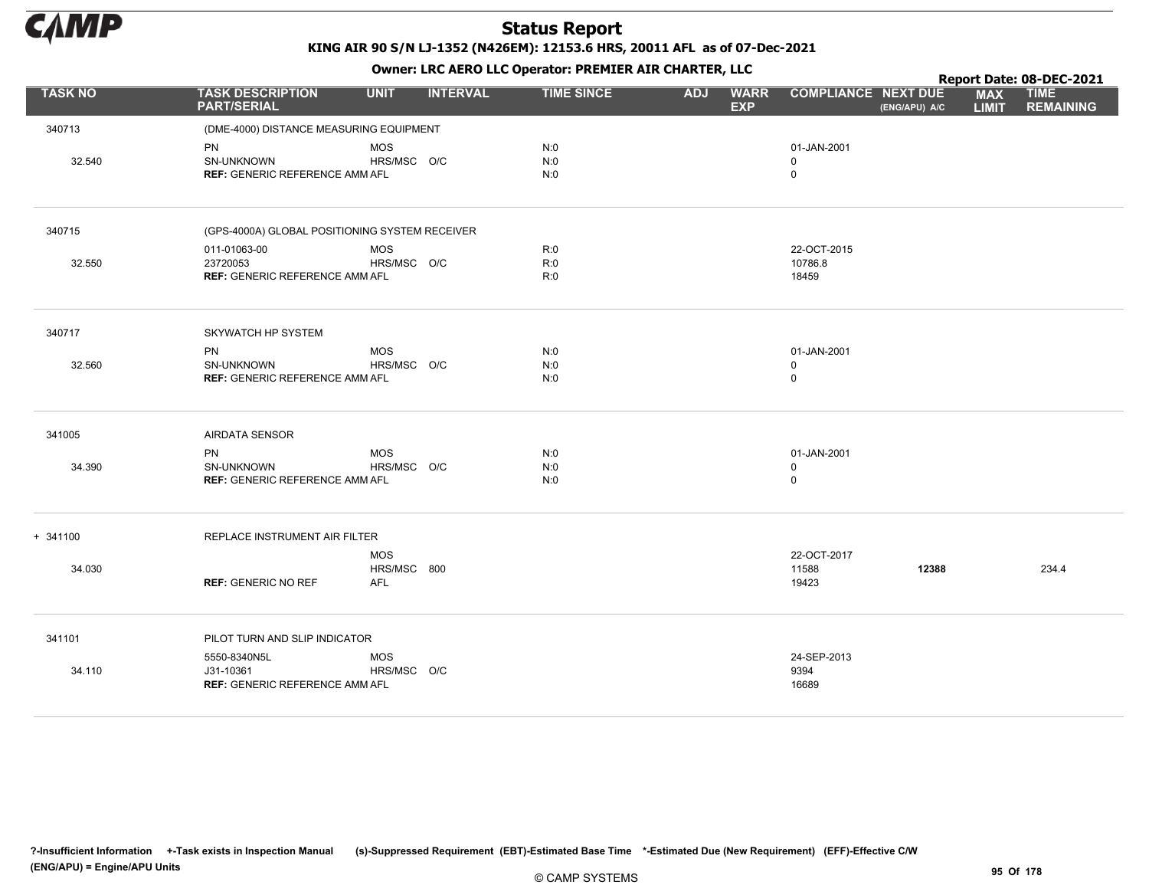

Owner: LRC AERO LLC Operator: PREMIER AIR CHARTER, LLC

|                |                                                                    |                                         |                 | OWHER LIKE ALKO LLC OPERATOR PREPILER AIR CHARTER, LLC |            |                           |                                           |               |                            | Report Date: 08-DEC-2021        |
|----------------|--------------------------------------------------------------------|-----------------------------------------|-----------------|--------------------------------------------------------|------------|---------------------------|-------------------------------------------|---------------|----------------------------|---------------------------------|
| <b>TASK NO</b> | <b>TASK DESCRIPTION</b><br><b>PART/SERIAL</b>                      | <b>UNIT</b>                             | <b>INTERVAL</b> | <b>TIME SINCE</b>                                      | <b>ADJ</b> | <b>WARR</b><br><b>EXP</b> | <b>COMPLIANCE NEXT DUE</b>                | (ENG/APU) A/C | <b>MAX</b><br><b>LIMIT</b> | <b>TIME</b><br><b>REMAINING</b> |
| 340713         | (DME-4000) DISTANCE MEASURING EQUIPMENT                            |                                         |                 |                                                        |            |                           |                                           |               |                            |                                 |
| 32.540         | PN<br>SN-UNKNOWN<br><b>REF: GENERIC REFERENCE AMM AFL</b>          | <b>MOS</b><br>HRS/MSC O/C               |                 | N:0<br>N:0<br>N:0                                      |            |                           | 01-JAN-2001<br>$\mathbf 0$<br>$\mathbf 0$ |               |                            |                                 |
| 340715         | (GPS-4000A) GLOBAL POSITIONING SYSTEM RECEIVER                     |                                         |                 |                                                        |            |                           |                                           |               |                            |                                 |
|                | 011-01063-00                                                       | <b>MOS</b>                              |                 | R:0                                                    |            |                           | 22-OCT-2015                               |               |                            |                                 |
| 32.550         | 23720053<br><b>REF: GENERIC REFERENCE AMM AFL</b>                  | HRS/MSC O/C                             |                 | R:0<br>R:0                                             |            |                           | 10786.8<br>18459                          |               |                            |                                 |
| 340717         | SKYWATCH HP SYSTEM                                                 |                                         |                 |                                                        |            |                           |                                           |               |                            |                                 |
| 32.560         | <b>PN</b><br>SN-UNKNOWN<br><b>REF: GENERIC REFERENCE AMM AFL</b>   | <b>MOS</b><br>HRS/MSC O/C               |                 | N:0<br>N:0<br>N:0                                      |            |                           | 01-JAN-2001<br>$\mathbf 0$<br>$\mathsf 0$ |               |                            |                                 |
| 341005         | <b>AIRDATA SENSOR</b>                                              |                                         |                 |                                                        |            |                           |                                           |               |                            |                                 |
| 34.390         | <b>PN</b><br>SN-UNKNOWN<br><b>REF: GENERIC REFERENCE AMM AFL</b>   | <b>MOS</b><br>HRS/MSC O/C               |                 | N:0<br>N:0<br>N:0                                      |            |                           | 01-JAN-2001<br>0<br>0                     |               |                            |                                 |
| $+ 341100$     | REPLACE INSTRUMENT AIR FILTER                                      |                                         |                 |                                                        |            |                           |                                           |               |                            |                                 |
| 34.030         | <b>REF: GENERIC NO REF</b>                                         | <b>MOS</b><br>HRS/MSC 800<br><b>AFL</b> |                 |                                                        |            |                           | 22-OCT-2017<br>11588<br>19423             | 12388         |                            | 234.4                           |
| 341101         | PILOT TURN AND SLIP INDICATOR                                      |                                         |                 |                                                        |            |                           |                                           |               |                            |                                 |
| 34.110         | 5550-8340N5L<br>J31-10361<br><b>REF: GENERIC REFERENCE AMM AFL</b> | <b>MOS</b><br>HRS/MSC O/C               |                 |                                                        |            |                           | 24-SEP-2013<br>9394<br>16689              |               |                            |                                 |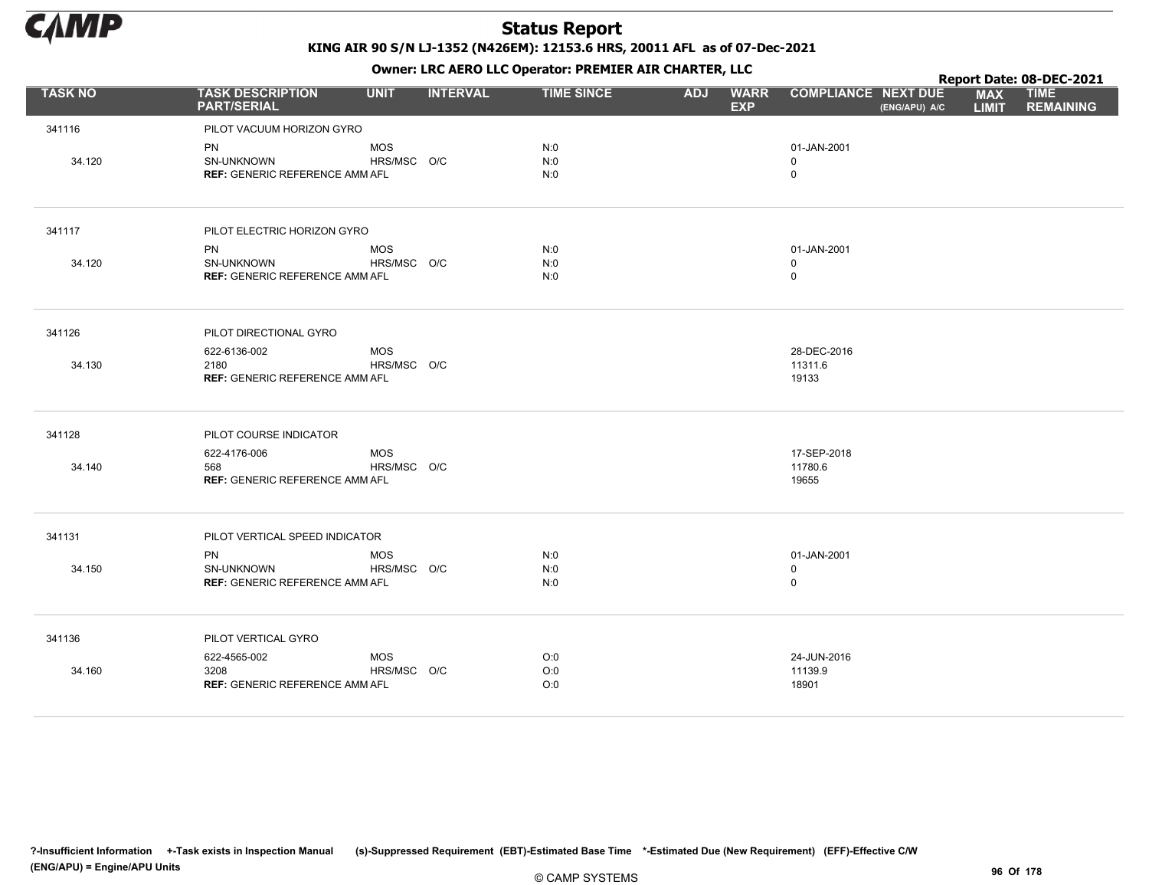

|                |                                               |             |                 |                   | . .        |                           |                            |               |                            | Report Date: 08-DEC-2021        |
|----------------|-----------------------------------------------|-------------|-----------------|-------------------|------------|---------------------------|----------------------------|---------------|----------------------------|---------------------------------|
| <b>TASK NO</b> | <b>TASK DESCRIPTION</b><br><b>PART/SERIAL</b> | <b>UNIT</b> | <b>INTERVAL</b> | <b>TIME SINCE</b> | <b>ADJ</b> | <b>WARR</b><br><b>EXP</b> | <b>COMPLIANCE NEXT DUE</b> | (ENG/APU) A/C | <b>MAX</b><br><b>LIMIT</b> | <b>TIME</b><br><b>REMAINING</b> |
| 341116         | PILOT VACUUM HORIZON GYRO                     |             |                 |                   |            |                           |                            |               |                            |                                 |
|                | PN                                            | <b>MOS</b>  |                 | N:0               |            |                           | 01-JAN-2001                |               |                            |                                 |
| 34.120         | SN-UNKNOWN                                    | HRS/MSC O/C |                 | N:0               |            |                           | $\mathbf 0$                |               |                            |                                 |
|                | <b>REF: GENERIC REFERENCE AMM AFL</b>         |             |                 | N:0               |            |                           | $\mathsf 0$                |               |                            |                                 |
| 341117         | PILOT ELECTRIC HORIZON GYRO                   |             |                 |                   |            |                           |                            |               |                            |                                 |
|                | <b>PN</b>                                     | <b>MOS</b>  |                 | N:0               |            |                           | 01-JAN-2001                |               |                            |                                 |
| 34.120         | SN-UNKNOWN                                    | HRS/MSC O/C |                 | N:0               |            |                           | $\mathbf 0$                |               |                            |                                 |
|                | <b>REF: GENERIC REFERENCE AMM AFL</b>         |             |                 | N:0               |            |                           | $\mathbf 0$                |               |                            |                                 |
| 341126         | PILOT DIRECTIONAL GYRO                        |             |                 |                   |            |                           |                            |               |                            |                                 |
|                | 622-6136-002                                  | <b>MOS</b>  |                 |                   |            |                           | 28-DEC-2016                |               |                            |                                 |
| 34.130         | 2180<br><b>REF: GENERIC REFERENCE AMM AFL</b> | HRS/MSC O/C |                 |                   |            |                           | 11311.6<br>19133           |               |                            |                                 |
|                |                                               |             |                 |                   |            |                           |                            |               |                            |                                 |
| 341128         | PILOT COURSE INDICATOR                        |             |                 |                   |            |                           |                            |               |                            |                                 |
|                | 622-4176-006                                  | <b>MOS</b>  |                 |                   |            |                           | 17-SEP-2018                |               |                            |                                 |
| 34.140         | 568<br><b>REF: GENERIC REFERENCE AMM AFL</b>  | HRS/MSC O/C |                 |                   |            |                           | 11780.6<br>19655           |               |                            |                                 |
|                |                                               |             |                 |                   |            |                           |                            |               |                            |                                 |
| 341131         | PILOT VERTICAL SPEED INDICATOR                |             |                 |                   |            |                           |                            |               |                            |                                 |
|                | <b>PN</b>                                     | <b>MOS</b>  |                 | N:0               |            |                           | 01-JAN-2001                |               |                            |                                 |
| 34.150         | SN-UNKNOWN                                    | HRS/MSC O/C |                 | N:0               |            |                           | $\mathbf 0$                |               |                            |                                 |
|                | <b>REF: GENERIC REFERENCE AMM AFL</b>         |             |                 | N:0               |            |                           | $\mathsf 0$                |               |                            |                                 |
| 341136         | PILOT VERTICAL GYRO                           |             |                 |                   |            |                           |                            |               |                            |                                 |
|                | 622-4565-002                                  | <b>MOS</b>  |                 | O:0               |            |                           | 24-JUN-2016                |               |                            |                                 |
| 34.160         | 3208                                          | HRS/MSC O/C |                 | O:0               |            |                           | 11139.9                    |               |                            |                                 |
|                | <b>REF: GENERIC REFERENCE AMM AFL</b>         |             |                 | O:0               |            |                           | 18901                      |               |                            |                                 |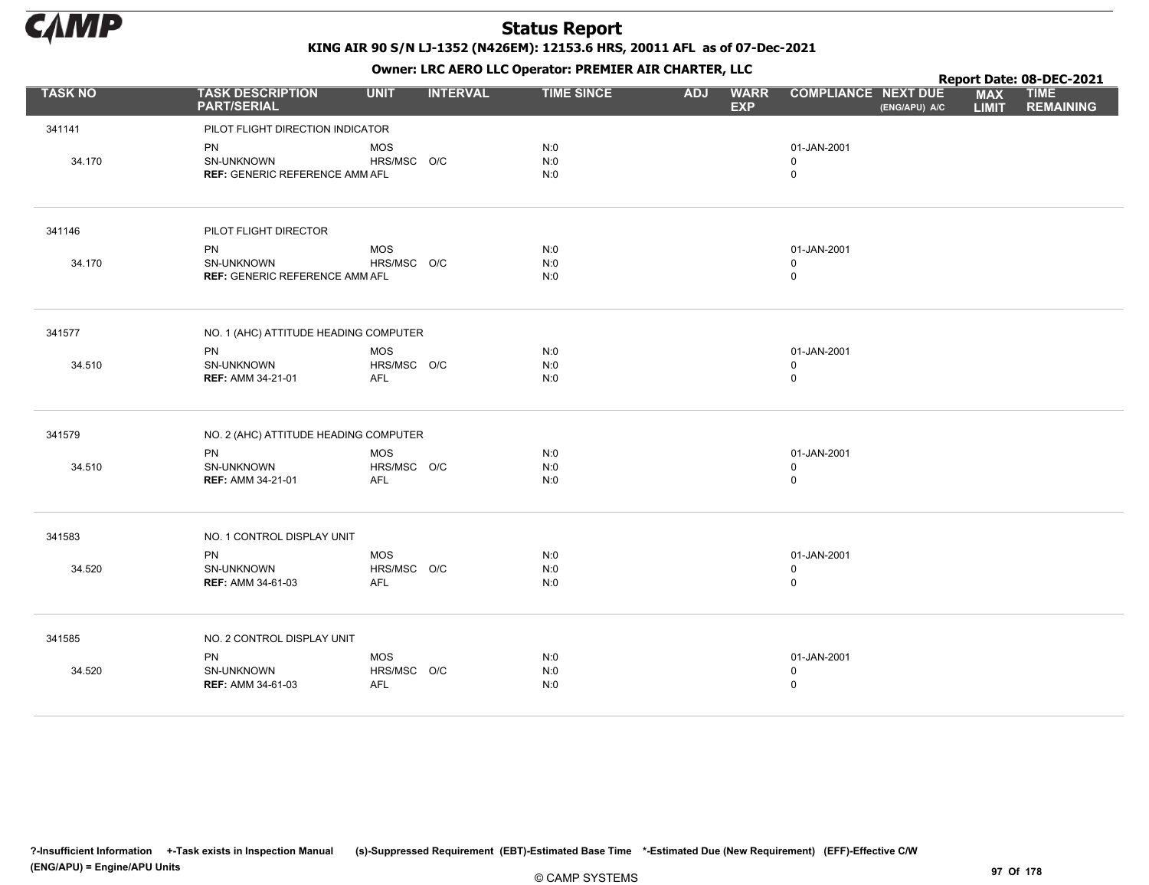

|                |                                               |                    |                 |                   |            | . .                       |                                             |                            | Report Date: 08-DEC-2021        |
|----------------|-----------------------------------------------|--------------------|-----------------|-------------------|------------|---------------------------|---------------------------------------------|----------------------------|---------------------------------|
| <b>TASK NO</b> | <b>TASK DESCRIPTION</b><br><b>PART/SERIAL</b> | <b>UNIT</b>        | <b>INTERVAL</b> | <b>TIME SINCE</b> | <b>ADJ</b> | <b>WARR</b><br><b>EXP</b> | <b>COMPLIANCE NEXT DUE</b><br>(ENG/APU) A/C | <b>MAX</b><br><b>LIMIT</b> | <b>TIME</b><br><b>REMAINING</b> |
| 341141         | PILOT FLIGHT DIRECTION INDICATOR              |                    |                 |                   |            |                           |                                             |                            |                                 |
|                | PN                                            | <b>MOS</b>         |                 | N:0               |            |                           | 01-JAN-2001                                 |                            |                                 |
| 34.170         | SN-UNKNOWN                                    | HRS/MSC O/C        |                 | N:0               |            |                           | $\mathbf 0$                                 |                            |                                 |
|                | <b>REF: GENERIC REFERENCE AMM AFL</b>         |                    |                 | N:0               |            |                           | $\mathsf 0$                                 |                            |                                 |
| 341146         | PILOT FLIGHT DIRECTOR                         |                    |                 |                   |            |                           |                                             |                            |                                 |
|                | <b>PN</b>                                     | <b>MOS</b>         |                 | N:0               |            |                           | 01-JAN-2001                                 |                            |                                 |
| 34.170         | SN-UNKNOWN                                    | HRS/MSC O/C        |                 | N:0               |            |                           | $\mathbf 0$                                 |                            |                                 |
|                | <b>REF: GENERIC REFERENCE AMM AFL</b>         |                    |                 | N:0               |            |                           | $\mathbf 0$                                 |                            |                                 |
| 341577         | NO. 1 (AHC) ATTITUDE HEADING COMPUTER         |                    |                 |                   |            |                           |                                             |                            |                                 |
|                | <b>PN</b>                                     | <b>MOS</b>         |                 | N:0               |            |                           | 01-JAN-2001                                 |                            |                                 |
| 34.510         | SN-UNKNOWN                                    | HRS/MSC O/C        |                 | N:0               |            |                           | $\mathbf 0$<br>$\mathsf 0$                  |                            |                                 |
|                | <b>REF: AMM 34-21-01</b>                      | AFL                |                 | N:0               |            |                           |                                             |                            |                                 |
| 341579         | NO. 2 (AHC) ATTITUDE HEADING COMPUTER         |                    |                 |                   |            |                           |                                             |                            |                                 |
|                | <b>PN</b>                                     | <b>MOS</b>         |                 | N:0               |            |                           | 01-JAN-2001                                 |                            |                                 |
| 34.510         | SN-UNKNOWN<br><b>REF: AMM 34-21-01</b>        | HRS/MSC O/C<br>AFL |                 | N:0<br>N:0        |            |                           | $\mathbf 0$<br>$\mathsf 0$                  |                            |                                 |
|                |                                               |                    |                 |                   |            |                           |                                             |                            |                                 |
| 341583         | NO. 1 CONTROL DISPLAY UNIT                    |                    |                 |                   |            |                           |                                             |                            |                                 |
|                | <b>PN</b>                                     | <b>MOS</b>         |                 | N:0               |            |                           | 01-JAN-2001                                 |                            |                                 |
| 34.520         | SN-UNKNOWN                                    | HRS/MSC O/C        |                 | N:0               |            |                           | $\mathbf 0$                                 |                            |                                 |
|                | <b>REF: AMM 34-61-03</b>                      | AFL                |                 | N:0               |            |                           | $\mathsf 0$                                 |                            |                                 |
| 341585         | NO. 2 CONTROL DISPLAY UNIT                    |                    |                 |                   |            |                           |                                             |                            |                                 |
|                | PN                                            | <b>MOS</b>         |                 | N:0               |            |                           | 01-JAN-2001                                 |                            |                                 |
| 34.520         | SN-UNKNOWN                                    | HRS/MSC O/C        |                 | N:0               |            |                           | $\mathsf 0$                                 |                            |                                 |
|                | <b>REF: AMM 34-61-03</b>                      | AFL                |                 | N:0               |            |                           | $\mathbf 0$                                 |                            |                                 |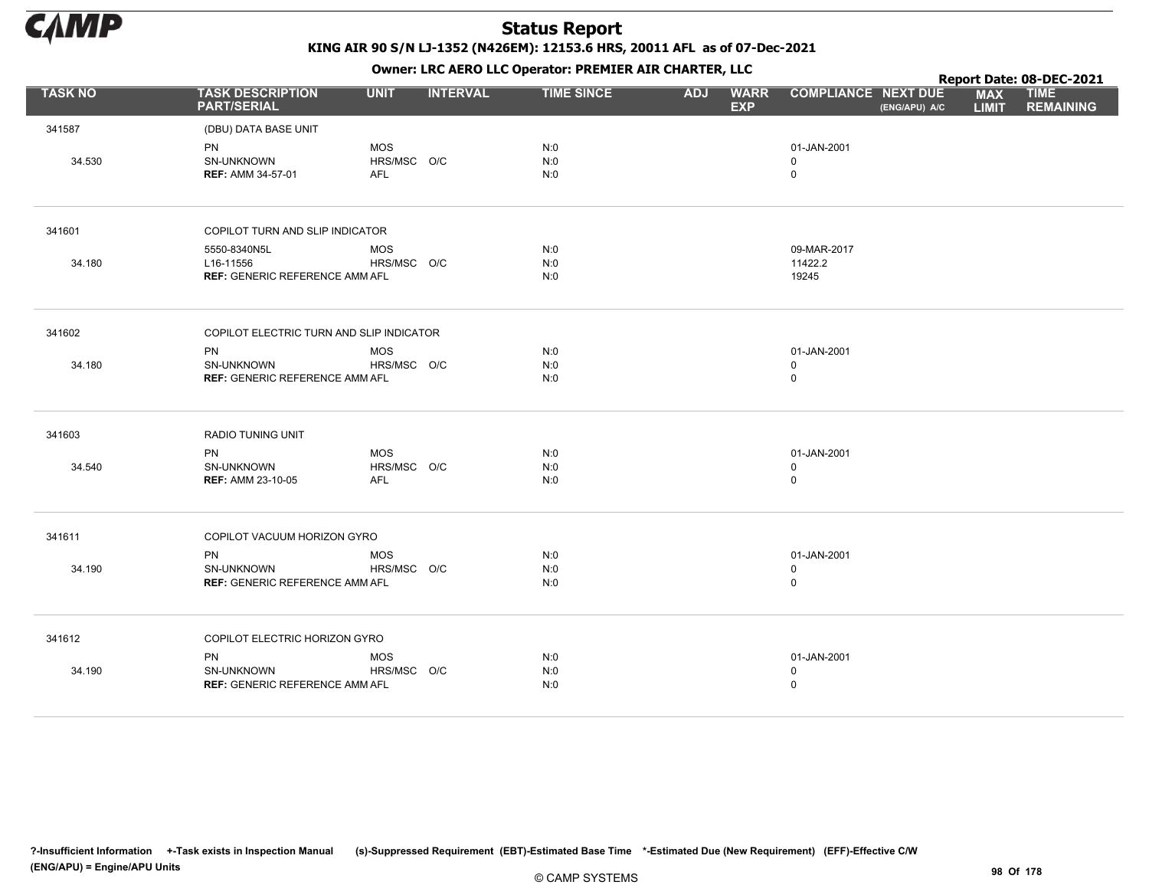

Owner: LRC AERO LLC Operator: PREMIER AIR CHARTER, LLC

|                |                                               |             |                 |                   |            |                           |                            |               |                            | Report Date: 08-DEC-2021        |
|----------------|-----------------------------------------------|-------------|-----------------|-------------------|------------|---------------------------|----------------------------|---------------|----------------------------|---------------------------------|
| <b>TASK NO</b> | <b>TASK DESCRIPTION</b><br><b>PART/SERIAL</b> | <b>UNIT</b> | <b>INTERVAL</b> | <b>TIME SINCE</b> | <b>ADJ</b> | <b>WARR</b><br><b>EXP</b> | <b>COMPLIANCE NEXT DUE</b> | (ENG/APU) A/C | <b>MAX</b><br><b>LIMIT</b> | <b>TIME</b><br><b>REMAINING</b> |
| 341587         | (DBU) DATA BASE UNIT                          |             |                 |                   |            |                           |                            |               |                            |                                 |
|                | <b>PN</b>                                     | <b>MOS</b>  |                 | N:0               |            |                           | 01-JAN-2001                |               |                            |                                 |
| 34.530         | SN-UNKNOWN                                    | HRS/MSC O/C |                 | N:0               |            |                           | $\mathbf 0$                |               |                            |                                 |
|                | <b>REF: AMM 34-57-01</b>                      | <b>AFL</b>  |                 | N:0               |            |                           | $\mathsf 0$                |               |                            |                                 |
| 341601         | COPILOT TURN AND SLIP INDICATOR               |             |                 |                   |            |                           |                            |               |                            |                                 |
|                | 5550-8340N5L                                  | <b>MOS</b>  |                 | N:0               |            |                           | 09-MAR-2017                |               |                            |                                 |
| 34.180         | L16-11556                                     | HRS/MSC O/C |                 | N:0               |            |                           | 11422.2                    |               |                            |                                 |
|                | <b>REF: GENERIC REFERENCE AMM AFL</b>         |             |                 | N:0               |            |                           | 19245                      |               |                            |                                 |
| 341602         | COPILOT ELECTRIC TURN AND SLIP INDICATOR      |             |                 |                   |            |                           |                            |               |                            |                                 |
|                | PN                                            | <b>MOS</b>  |                 | N:0               |            |                           | 01-JAN-2001                |               |                            |                                 |
| 34.180         | <b>SN-UNKNOWN</b>                             | HRS/MSC O/C |                 | N:0               |            |                           | $\mathbf 0$                |               |                            |                                 |
|                | <b>REF: GENERIC REFERENCE AMM AFL</b>         |             |                 | N:0               |            |                           | $\mathsf 0$                |               |                            |                                 |
| 341603         | <b>RADIO TUNING UNIT</b>                      |             |                 |                   |            |                           |                            |               |                            |                                 |
|                | <b>PN</b>                                     | <b>MOS</b>  |                 | N:0               |            |                           | 01-JAN-2001                |               |                            |                                 |
| 34.540         | SN-UNKNOWN                                    | HRS/MSC O/C |                 | N:0               |            |                           | $\mathbf 0$                |               |                            |                                 |
|                | <b>REF: AMM 23-10-05</b>                      | <b>AFL</b>  |                 | N:0               |            |                           | $\mathbf 0$                |               |                            |                                 |
| 341611         | COPILOT VACUUM HORIZON GYRO                   |             |                 |                   |            |                           |                            |               |                            |                                 |
|                | <b>PN</b>                                     | <b>MOS</b>  |                 | N:0               |            |                           | 01-JAN-2001                |               |                            |                                 |
| 34.190         | <b>SN-UNKNOWN</b>                             | HRS/MSC O/C |                 | N:0               |            |                           | $\mathbf 0$                |               |                            |                                 |
|                | <b>REF: GENERIC REFERENCE AMM AFL</b>         |             |                 | N:0               |            |                           | $\mathsf 0$                |               |                            |                                 |
| 341612         | COPILOT ELECTRIC HORIZON GYRO                 |             |                 |                   |            |                           |                            |               |                            |                                 |
|                | PN                                            | <b>MOS</b>  |                 | N:0               |            |                           | 01-JAN-2001                |               |                            |                                 |
| 34.190         | SN-UNKNOWN                                    | HRS/MSC O/C |                 | N:0               |            |                           | $\mathsf 0$                |               |                            |                                 |
|                | <b>REF: GENERIC REFERENCE AMM AFL</b>         |             |                 | N:0               |            |                           | $\mathbf 0$                |               |                            |                                 |

?-Insufficient Information +-Task exists in Inspection Manual (s)-Suppressed Requirement (EBT)-Estimated Base Time \*-Estimated Due (New Requirement) (EFF)-Effective C/W (ENG/APU) = Engine/APU Units 98 Of 178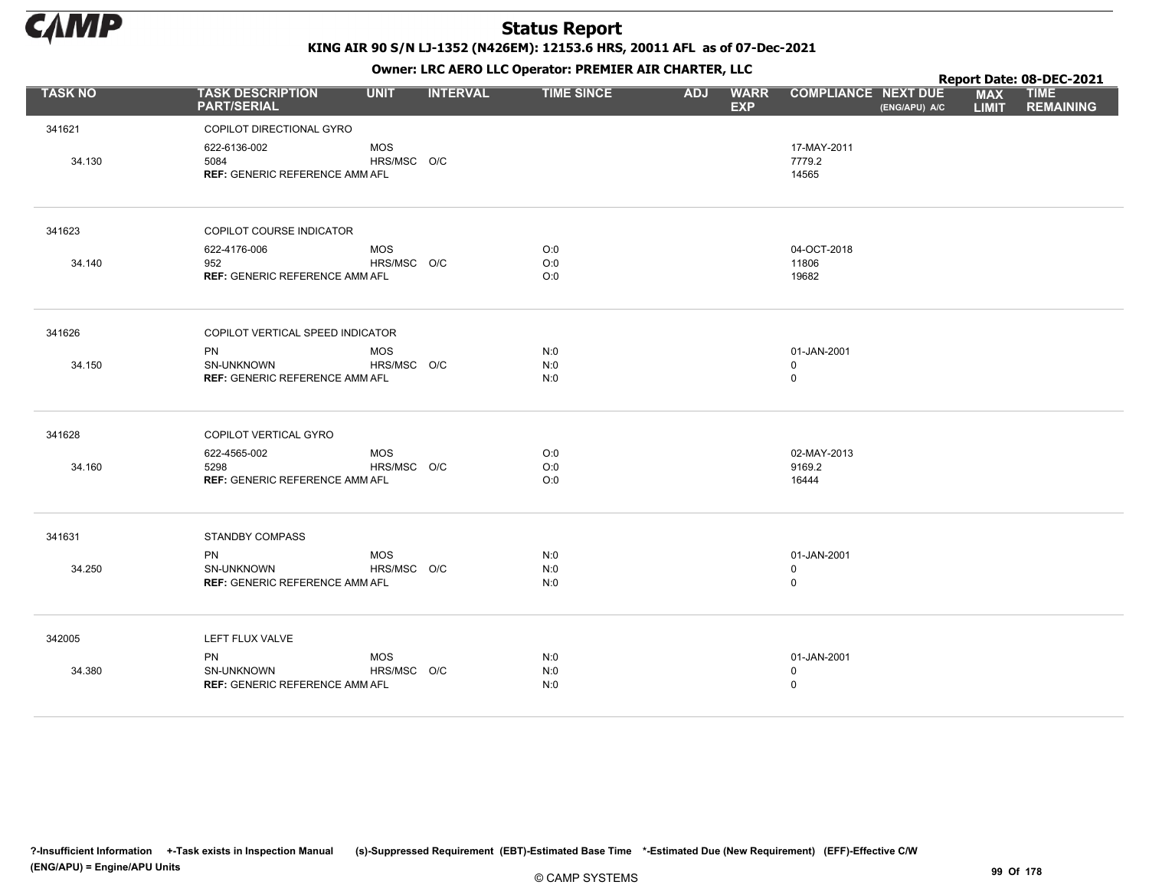

KING AIR 90 S/N LJ-1352 (N426EM): 12153.6 HRS, 20011 AFL as of 07-Dec-2021

|                | OWHER, LKC ALKO LLC OPERATOR. PREPILER AIR CHARTER, LLC       |                           |                 |                   |            |                           |                                |               | Report Date: 08-DEC-2021   |                                 |  |  |
|----------------|---------------------------------------------------------------|---------------------------|-----------------|-------------------|------------|---------------------------|--------------------------------|---------------|----------------------------|---------------------------------|--|--|
| <b>TASK NO</b> | <b>TASK DESCRIPTION</b><br><b>PART/SERIAL</b>                 | <b>UNIT</b>               | <b>INTERVAL</b> | <b>TIME SINCE</b> | <b>ADJ</b> | <b>WARR</b><br><b>EXP</b> | <b>COMPLIANCE NEXT DUE</b>     | (ENG/APU) A/C | <b>MAX</b><br><b>LIMIT</b> | <b>TIME</b><br><b>REMAINING</b> |  |  |
| 341621         | COPILOT DIRECTIONAL GYRO                                      |                           |                 |                   |            |                           |                                |               |                            |                                 |  |  |
| 34.130         | 622-6136-002<br>5084<br><b>REF: GENERIC REFERENCE AMM AFL</b> | <b>MOS</b><br>HRS/MSC O/C |                 |                   |            |                           | 17-MAY-2011<br>7779.2<br>14565 |               |                            |                                 |  |  |
| 341623         | COPILOT COURSE INDICATOR                                      |                           |                 |                   |            |                           |                                |               |                            |                                 |  |  |
|                | 622-4176-006                                                  | <b>MOS</b>                |                 | O:0               |            |                           | 04-OCT-2018                    |               |                            |                                 |  |  |
| 34.140         | 952                                                           | HRS/MSC O/C               |                 | O:0               |            |                           | 11806                          |               |                            |                                 |  |  |
|                | REF: GENERIC REFERENCE AMM AFL                                |                           |                 | O:0               |            |                           | 19682                          |               |                            |                                 |  |  |
| 341626         | COPILOT VERTICAL SPEED INDICATOR                              |                           |                 |                   |            |                           |                                |               |                            |                                 |  |  |
|                | <b>PN</b>                                                     | <b>MOS</b>                |                 | N:0               |            |                           | 01-JAN-2001                    |               |                            |                                 |  |  |
| 34.150         | SN-UNKNOWN                                                    | HRS/MSC O/C               |                 | N:0               |            |                           | $\mathbf 0$                    |               |                            |                                 |  |  |
|                | <b>REF: GENERIC REFERENCE AMM AFL</b>                         |                           |                 | N:0               |            |                           | $\mathsf 0$                    |               |                            |                                 |  |  |
| 341628         | COPILOT VERTICAL GYRO                                         |                           |                 |                   |            |                           |                                |               |                            |                                 |  |  |
|                | 622-4565-002                                                  | <b>MOS</b>                |                 | O:0               |            |                           | 02-MAY-2013                    |               |                            |                                 |  |  |
| 34.160         | 5298                                                          | HRS/MSC O/C               |                 | O:0               |            |                           | 9169.2                         |               |                            |                                 |  |  |
|                | <b>REF: GENERIC REFERENCE AMM AFL</b>                         |                           |                 | O:0               |            |                           | 16444                          |               |                            |                                 |  |  |
| 341631         | <b>STANDBY COMPASS</b>                                        |                           |                 |                   |            |                           |                                |               |                            |                                 |  |  |
|                | <b>PN</b>                                                     | <b>MOS</b>                |                 | N:0               |            |                           | 01-JAN-2001                    |               |                            |                                 |  |  |
| 34.250         | <b>SN-UNKNOWN</b>                                             | HRS/MSC O/C               |                 | N:0               |            |                           | $\mathbf 0$                    |               |                            |                                 |  |  |
|                | <b>REF: GENERIC REFERENCE AMM AFL</b>                         |                           |                 | N:0               |            |                           | $\mathsf 0$                    |               |                            |                                 |  |  |
| 342005         | LEFT FLUX VALVE                                               |                           |                 |                   |            |                           |                                |               |                            |                                 |  |  |
|                | <b>PN</b>                                                     | <b>MOS</b>                |                 | N:0               |            |                           | 01-JAN-2001                    |               |                            |                                 |  |  |
| 34.380         | SN-UNKNOWN                                                    | HRS/MSC O/C               |                 | N:0               |            |                           | $\mathbf 0$                    |               |                            |                                 |  |  |
|                | <b>REF: GENERIC REFERENCE AMM AFL</b>                         |                           |                 | N:0               |            |                           | $\pmb{0}$                      |               |                            |                                 |  |  |
|                |                                                               |                           |                 |                   |            |                           |                                |               |                            |                                 |  |  |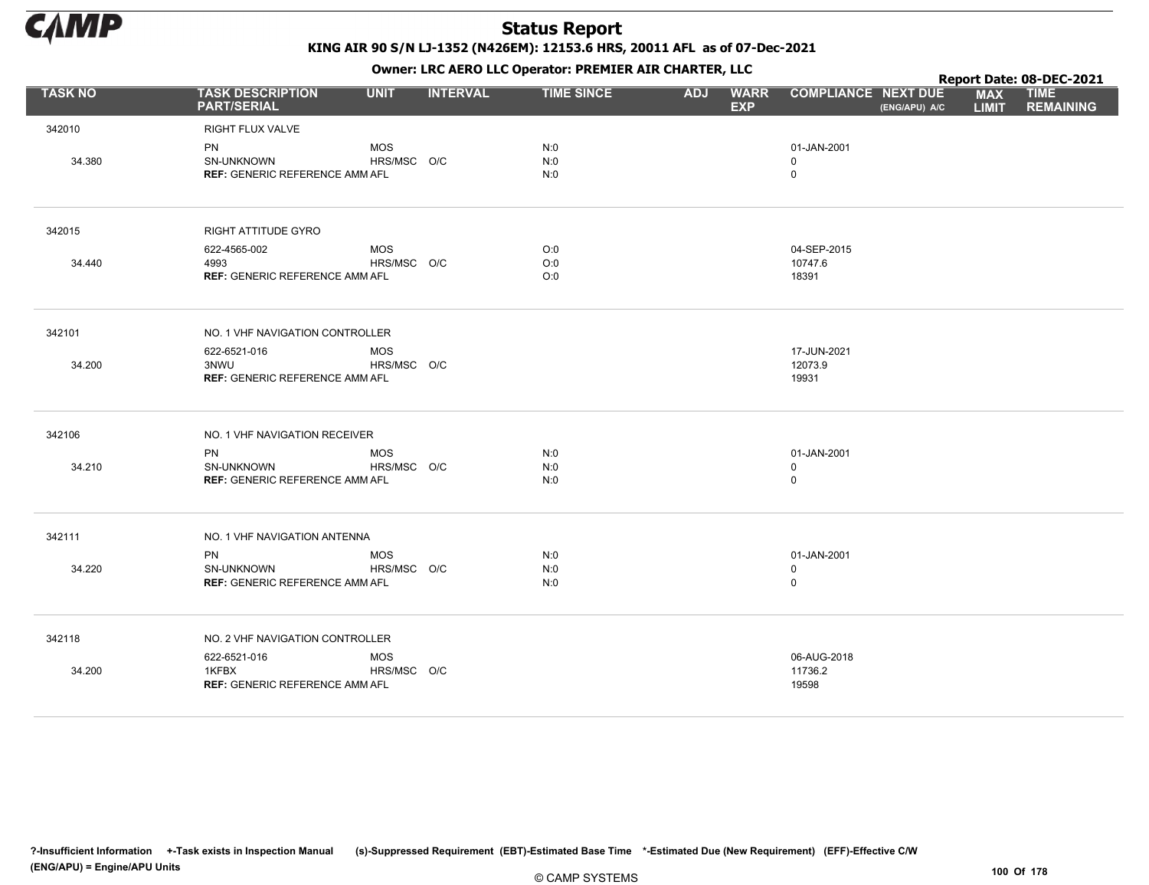

KING AIR 90 S/N LJ-1352 (N426EM): 12153.6 HRS, 20011 AFL as of 07-Dec-2021

Owner: LRC AERO LLC Operator: PREMIER AIR CHARTER, LLC

|                | OWHER LIKE ALKO LLC OPERATOR PREPILER AIR CHARTER, LLC           |                           |                 |                   |            |                           |                                           |               | Report Date: 08-DEC-2021   |                                 |  |  |
|----------------|------------------------------------------------------------------|---------------------------|-----------------|-------------------|------------|---------------------------|-------------------------------------------|---------------|----------------------------|---------------------------------|--|--|
| <b>TASK NO</b> | <b>TASK DESCRIPTION</b><br><b>PART/SERIAL</b>                    | <b>UNIT</b>               | <b>INTERVAL</b> | <b>TIME SINCE</b> | <b>ADJ</b> | <b>WARR</b><br><b>EXP</b> | <b>COMPLIANCE NEXT DUE</b>                | (ENG/APU) A/C | <b>MAX</b><br><b>LIMIT</b> | <b>TIME</b><br><b>REMAINING</b> |  |  |
| 342010         | RIGHT FLUX VALVE                                                 |                           |                 |                   |            |                           |                                           |               |                            |                                 |  |  |
| 34.380         | PN<br>SN-UNKNOWN<br><b>REF: GENERIC REFERENCE AMM AFL</b>        | <b>MOS</b><br>HRS/MSC O/C |                 | N:0<br>N:0<br>N:0 |            |                           | 01-JAN-2001<br>$\mathbf 0$<br>$\mathbf 0$ |               |                            |                                 |  |  |
| 342015         | <b>RIGHT ATTITUDE GYRO</b>                                       |                           |                 |                   |            |                           |                                           |               |                            |                                 |  |  |
|                | 622-4565-002                                                     | <b>MOS</b>                |                 | O:0               |            |                           | 04-SEP-2015                               |               |                            |                                 |  |  |
| 34.440         | 4993<br><b>REF: GENERIC REFERENCE AMM AFL</b>                    | HRS/MSC O/C               |                 | O:0<br>O:0        |            |                           | 10747.6<br>18391                          |               |                            |                                 |  |  |
| 342101         | NO. 1 VHF NAVIGATION CONTROLLER                                  |                           |                 |                   |            |                           |                                           |               |                            |                                 |  |  |
| 34.200         | 622-6521-016<br>3NWU<br><b>REF: GENERIC REFERENCE AMM AFL</b>    | <b>MOS</b><br>HRS/MSC O/C |                 |                   |            |                           | 17-JUN-2021<br>12073.9<br>19931           |               |                            |                                 |  |  |
| 342106         | NO. 1 VHF NAVIGATION RECEIVER                                    |                           |                 |                   |            |                           |                                           |               |                            |                                 |  |  |
| 34.210         | <b>PN</b><br>SN-UNKNOWN<br><b>REF: GENERIC REFERENCE AMM AFL</b> | <b>MOS</b><br>HRS/MSC O/C |                 | N:0<br>N:0<br>N:0 |            |                           | 01-JAN-2001<br>0<br>0                     |               |                            |                                 |  |  |
| 342111         | NO. 1 VHF NAVIGATION ANTENNA                                     |                           |                 |                   |            |                           |                                           |               |                            |                                 |  |  |
| 34.220         | <b>PN</b><br>SN-UNKNOWN<br><b>REF: GENERIC REFERENCE AMM AFL</b> | <b>MOS</b><br>HRS/MSC O/C |                 | N:0<br>N:0<br>N:0 |            |                           | 01-JAN-2001<br>0<br>$\mathbf 0$           |               |                            |                                 |  |  |
| 342118         | NO. 2 VHF NAVIGATION CONTROLLER                                  |                           |                 |                   |            |                           |                                           |               |                            |                                 |  |  |
| 34.200         | 622-6521-016<br>1KFBX<br><b>REF: GENERIC REFERENCE AMM AFL</b>   | <b>MOS</b><br>HRS/MSC O/C |                 |                   |            |                           | 06-AUG-2018<br>11736.2<br>19598           |               |                            |                                 |  |  |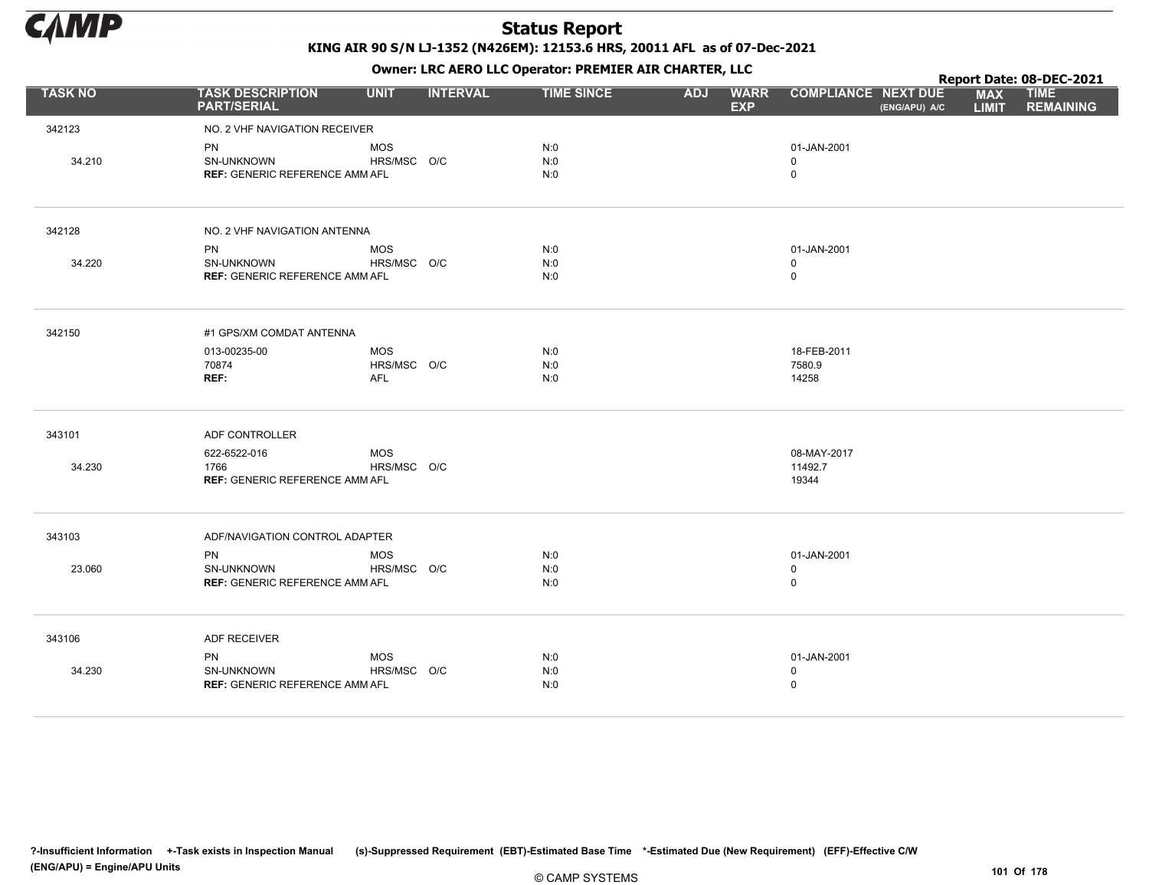

|                |                                                     |                           |                 |                   |            |                           |                            |               |                            | Report Date: 08-DEC-2021        |
|----------------|-----------------------------------------------------|---------------------------|-----------------|-------------------|------------|---------------------------|----------------------------|---------------|----------------------------|---------------------------------|
| <b>TASK NO</b> | <b>TASK DESCRIPTION</b><br><b>PART/SERIAL</b>       | <b>UNIT</b>               | <b>INTERVAL</b> | <b>TIME SINCE</b> | <b>ADJ</b> | <b>WARR</b><br><b>EXP</b> | <b>COMPLIANCE NEXT DUE</b> | (ENG/APU) A/C | <b>MAX</b><br><b>LIMIT</b> | <b>TIME</b><br><b>REMAINING</b> |
| 342123         | NO. 2 VHF NAVIGATION RECEIVER                       |                           |                 |                   |            |                           |                            |               |                            |                                 |
|                | <b>PN</b>                                           | <b>MOS</b>                |                 | N:0               |            |                           | 01-JAN-2001                |               |                            |                                 |
| 34.210         | SN-UNKNOWN<br><b>REF: GENERIC REFERENCE AMM AFL</b> | HRS/MSC O/C               |                 | N:0<br>N:0        |            |                           | 0<br>0                     |               |                            |                                 |
| 342128         | NO. 2 VHF NAVIGATION ANTENNA                        |                           |                 |                   |            |                           |                            |               |                            |                                 |
|                | <b>PN</b>                                           | <b>MOS</b>                |                 | N:0               |            |                           | 01-JAN-2001                |               |                            |                                 |
| 34.220         | SN-UNKNOWN<br><b>REF: GENERIC REFERENCE AMM AFL</b> | HRS/MSC O/C               |                 | N:0<br>N:0        |            |                           | 0<br>0                     |               |                            |                                 |
| 342150         | #1 GPS/XM COMDAT ANTENNA                            |                           |                 |                   |            |                           |                            |               |                            |                                 |
|                | 013-00235-00                                        | <b>MOS</b>                |                 | N:0               |            |                           | 18-FEB-2011                |               |                            |                                 |
|                | 70874<br>REF:                                       | HRS/MSC O/C<br><b>AFL</b> |                 | N:0<br>N:0        |            |                           | 7580.9<br>14258            |               |                            |                                 |
| 343101         | ADF CONTROLLER                                      |                           |                 |                   |            |                           |                            |               |                            |                                 |
|                | 622-6522-016                                        | <b>MOS</b>                |                 |                   |            |                           | 08-MAY-2017                |               |                            |                                 |
| 34.230         | 1766<br><b>REF: GENERIC REFERENCE AMM AFL</b>       | HRS/MSC O/C               |                 |                   |            |                           | 11492.7<br>19344           |               |                            |                                 |
| 343103         | ADF/NAVIGATION CONTROL ADAPTER                      |                           |                 |                   |            |                           |                            |               |                            |                                 |
|                | <b>PN</b>                                           | <b>MOS</b>                |                 | N:0               |            |                           | 01-JAN-2001                |               |                            |                                 |
| 23.060         | SN-UNKNOWN<br><b>REF: GENERIC REFERENCE AMM AFL</b> | HRS/MSC O/C               |                 | N:0<br>N:0        |            |                           | 0<br>0                     |               |                            |                                 |
| 343106         | <b>ADF RECEIVER</b>                                 |                           |                 |                   |            |                           |                            |               |                            |                                 |
|                | <b>PN</b>                                           | <b>MOS</b>                |                 | N:0               |            |                           | 01-JAN-2001                |               |                            |                                 |
| 34.230         | SN-UNKNOWN<br><b>REF: GENERIC REFERENCE AMM AFL</b> | HRS/MSC O/C               |                 | N:0<br>N:0        |            |                           | 0<br>0                     |               |                            |                                 |
|                |                                                     |                           |                 |                   |            |                           |                            |               |                            |                                 |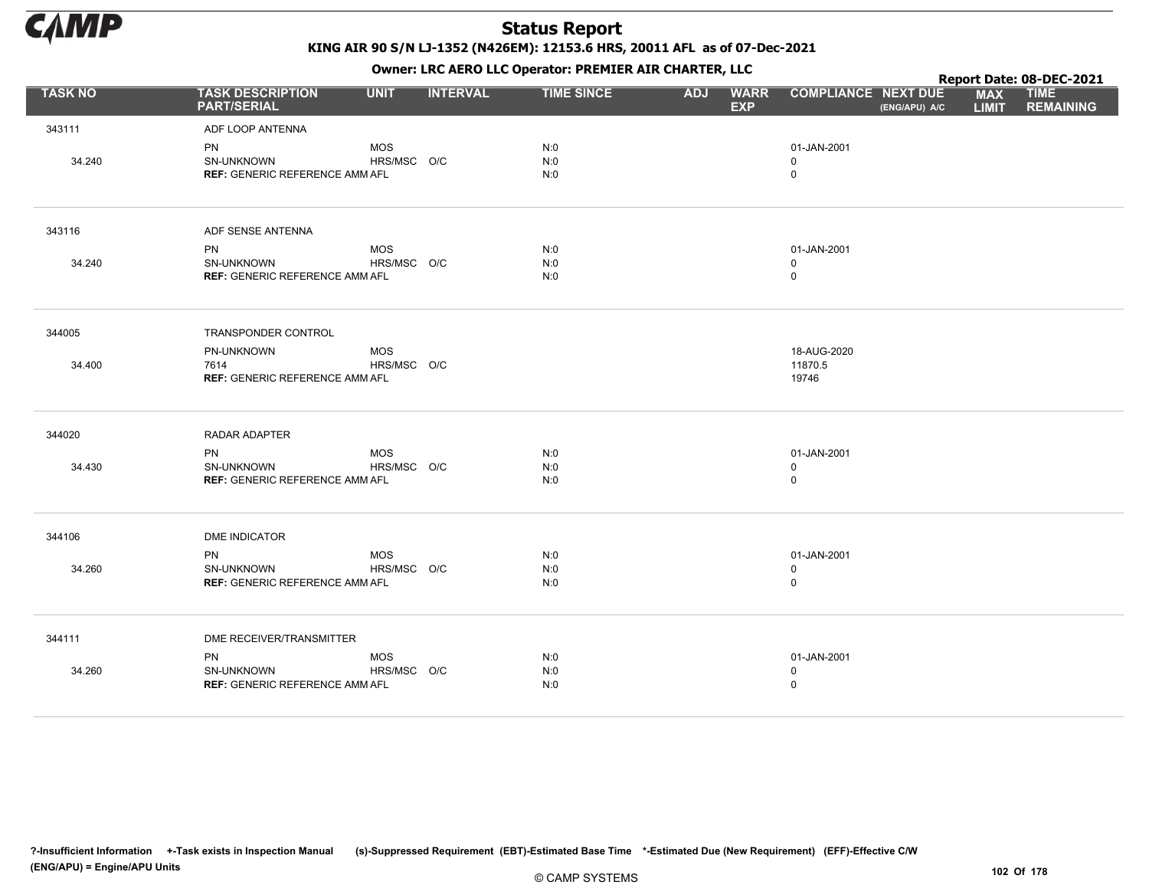

KING AIR 90 S/N LJ-1352 (N426EM): 12153.6 HRS, 20011 AFL as of 07-Dec-2021

Owner: LRC AERO LLC Operator: PREMIER AIR CHARTER, LLC

|                |                                                                  |                           | Report Date: 08-DEC-2021 |                   |            |                           |                                            |               |                            |                                 |
|----------------|------------------------------------------------------------------|---------------------------|--------------------------|-------------------|------------|---------------------------|--------------------------------------------|---------------|----------------------------|---------------------------------|
| <b>TASK NO</b> | <b>TASK DESCRIPTION</b><br><b>PART/SERIAL</b>                    | <b>UNIT</b>               | <b>INTERVAL</b>          | <b>TIME SINCE</b> | <b>ADJ</b> | <b>WARR</b><br><b>EXP</b> | <b>COMPLIANCE NEXT DUE</b>                 | (ENG/APU) A/C | <b>MAX</b><br><b>LIMIT</b> | <b>TIME</b><br><b>REMAINING</b> |
| 343111         | ADF LOOP ANTENNA                                                 |                           |                          |                   |            |                           |                                            |               |                            |                                 |
| 34.240         | PN<br>SN-UNKNOWN<br><b>REF: GENERIC REFERENCE AMM AFL</b>        | <b>MOS</b><br>HRS/MSC O/C |                          | N:0<br>N:0<br>N:0 |            |                           | 01-JAN-2001<br>$\mathbf 0$<br>$\mathsf{O}$ |               |                            |                                 |
| 343116         | ADF SENSE ANTENNA                                                |                           |                          |                   |            |                           |                                            |               |                            |                                 |
|                | <b>PN</b>                                                        | <b>MOS</b>                |                          | N:0               |            |                           | 01-JAN-2001                                |               |                            |                                 |
| 34.240         | SN-UNKNOWN<br><b>REF: GENERIC REFERENCE AMM AFL</b>              | HRS/MSC O/C               |                          | N:0<br>N:0        |            |                           | $\mathbf 0$<br>0                           |               |                            |                                 |
| 344005         | TRANSPONDER CONTROL                                              |                           |                          |                   |            |                           |                                            |               |                            |                                 |
| 34.400         | PN-UNKNOWN<br>7614<br><b>REF: GENERIC REFERENCE AMM AFL</b>      | <b>MOS</b><br>HRS/MSC O/C |                          |                   |            |                           | 18-AUG-2020<br>11870.5<br>19746            |               |                            |                                 |
| 344020         | RADAR ADAPTER                                                    |                           |                          |                   |            |                           |                                            |               |                            |                                 |
| 34.430         | <b>PN</b><br>SN-UNKNOWN<br><b>REF: GENERIC REFERENCE AMM AFL</b> | <b>MOS</b><br>HRS/MSC O/C |                          | N:0<br>N:0<br>N:0 |            |                           | 01-JAN-2001<br>0<br>0                      |               |                            |                                 |
| 344106         | <b>DME INDICATOR</b>                                             |                           |                          |                   |            |                           |                                            |               |                            |                                 |
| 34.260         | <b>PN</b><br>SN-UNKNOWN<br><b>REF: GENERIC REFERENCE AMM AFL</b> | <b>MOS</b><br>HRS/MSC O/C |                          | N:0<br>N:0<br>N:0 |            |                           | 01-JAN-2001<br>0<br>0                      |               |                            |                                 |
| 344111         | DME RECEIVER/TRANSMITTER                                         |                           |                          |                   |            |                           |                                            |               |                            |                                 |
| 34.260         | <b>PN</b><br>SN-UNKNOWN<br><b>REF: GENERIC REFERENCE AMM AFL</b> | <b>MOS</b><br>HRS/MSC O/C |                          | N:0<br>N:0<br>N:0 |            |                           | 01-JAN-2001<br>0<br>0                      |               |                            |                                 |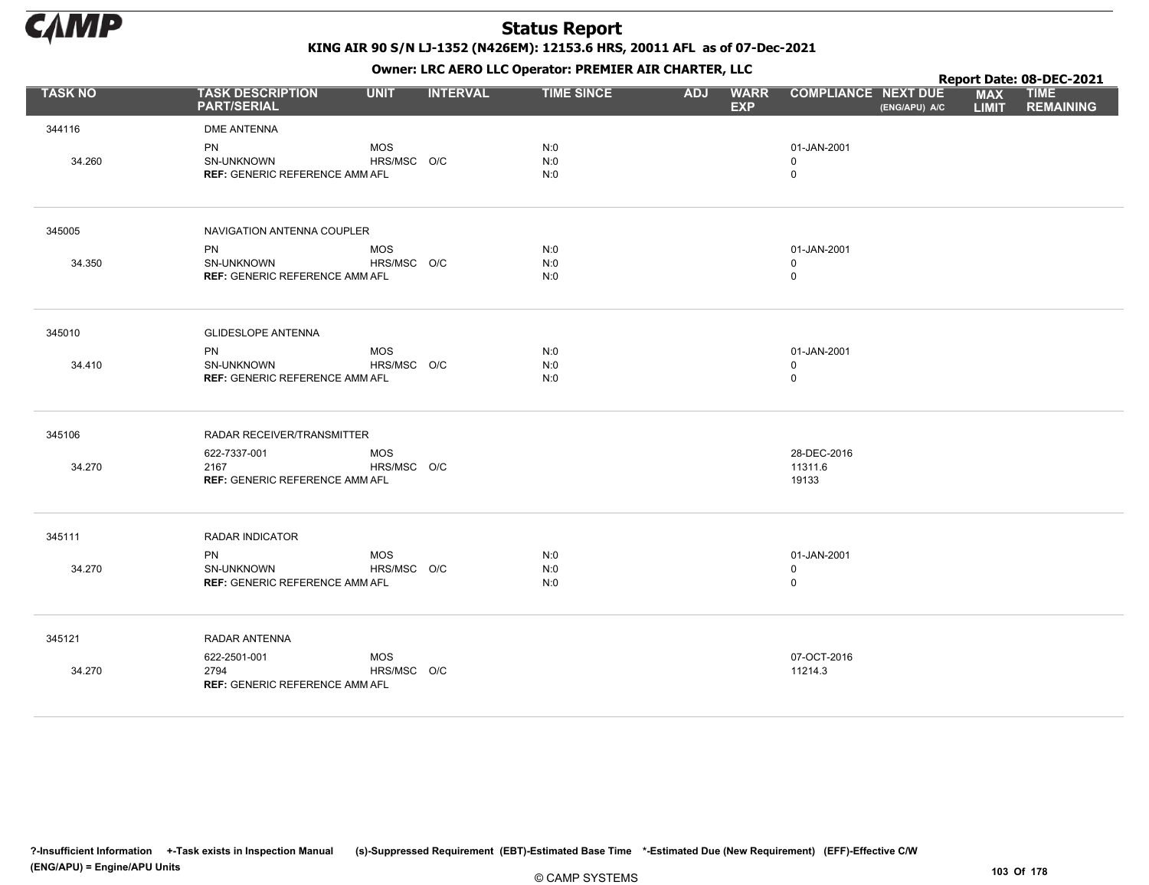

KING AIR 90 S/N LJ-1352 (N426EM): 12153.6 HRS, 20011 AFL as of 07-Dec-2021

Owner: LRC AERO LLC Operator: PREMIER AIR CHARTER, LLC

|                |                                                                  |                           | Report Date: 08-DEC-2021 |                   |            |                           |                                           |               |                            |                                 |
|----------------|------------------------------------------------------------------|---------------------------|--------------------------|-------------------|------------|---------------------------|-------------------------------------------|---------------|----------------------------|---------------------------------|
| <b>TASK NO</b> | <b>TASK DESCRIPTION</b><br><b>PART/SERIAL</b>                    | <b>UNIT</b>               | <b>INTERVAL</b>          | <b>TIME SINCE</b> | <b>ADJ</b> | <b>WARR</b><br><b>EXP</b> | <b>COMPLIANCE NEXT DUE</b>                | (ENG/APU) A/C | <b>MAX</b><br><b>LIMIT</b> | <b>TIME</b><br><b>REMAINING</b> |
| 344116         | <b>DME ANTENNA</b>                                               |                           |                          |                   |            |                           |                                           |               |                            |                                 |
| 34.260         | PN<br>SN-UNKNOWN<br><b>REF: GENERIC REFERENCE AMM AFL</b>        | <b>MOS</b><br>HRS/MSC O/C |                          | N:0<br>N:0<br>N:0 |            |                           | 01-JAN-2001<br>$\mathbf 0$<br>$\mathbf 0$ |               |                            |                                 |
| 345005         | NAVIGATION ANTENNA COUPLER                                       |                           |                          |                   |            |                           |                                           |               |                            |                                 |
| 34.350         | PN<br>SN-UNKNOWN<br><b>REF: GENERIC REFERENCE AMM AFL</b>        | <b>MOS</b><br>HRS/MSC O/C |                          | N:0<br>N:0<br>N:0 |            |                           | 01-JAN-2001<br>$\mathbf 0$<br>0           |               |                            |                                 |
| 345010         | <b>GLIDESLOPE ANTENNA</b>                                        |                           |                          |                   |            |                           |                                           |               |                            |                                 |
| 34.410         | PN<br>SN-UNKNOWN<br><b>REF: GENERIC REFERENCE AMM AFL</b>        | <b>MOS</b><br>HRS/MSC O/C |                          | N:0<br>N:0<br>N:0 |            |                           | 01-JAN-2001<br>$\mathbf 0$<br>0           |               |                            |                                 |
| 345106         | RADAR RECEIVER/TRANSMITTER                                       |                           |                          |                   |            |                           |                                           |               |                            |                                 |
| 34.270         | 622-7337-001<br>2167<br><b>REF: GENERIC REFERENCE AMM AFL</b>    | <b>MOS</b><br>HRS/MSC O/C |                          |                   |            |                           | 28-DEC-2016<br>11311.6<br>19133           |               |                            |                                 |
| 345111         | RADAR INDICATOR                                                  |                           |                          |                   |            |                           |                                           |               |                            |                                 |
| 34.270         | <b>PN</b><br>SN-UNKNOWN<br><b>REF: GENERIC REFERENCE AMM AFL</b> | <b>MOS</b><br>HRS/MSC O/C |                          | N:0<br>N:0<br>N:0 |            |                           | 01-JAN-2001<br>0<br>$\mathbf 0$           |               |                            |                                 |
| 345121         | RADAR ANTENNA                                                    |                           |                          |                   |            |                           |                                           |               |                            |                                 |
| 34.270         | 622-2501-001<br>2794<br><b>REF: GENERIC REFERENCE AMM AFL</b>    | <b>MOS</b><br>HRS/MSC O/C |                          |                   |            |                           | 07-OCT-2016<br>11214.3                    |               |                            |                                 |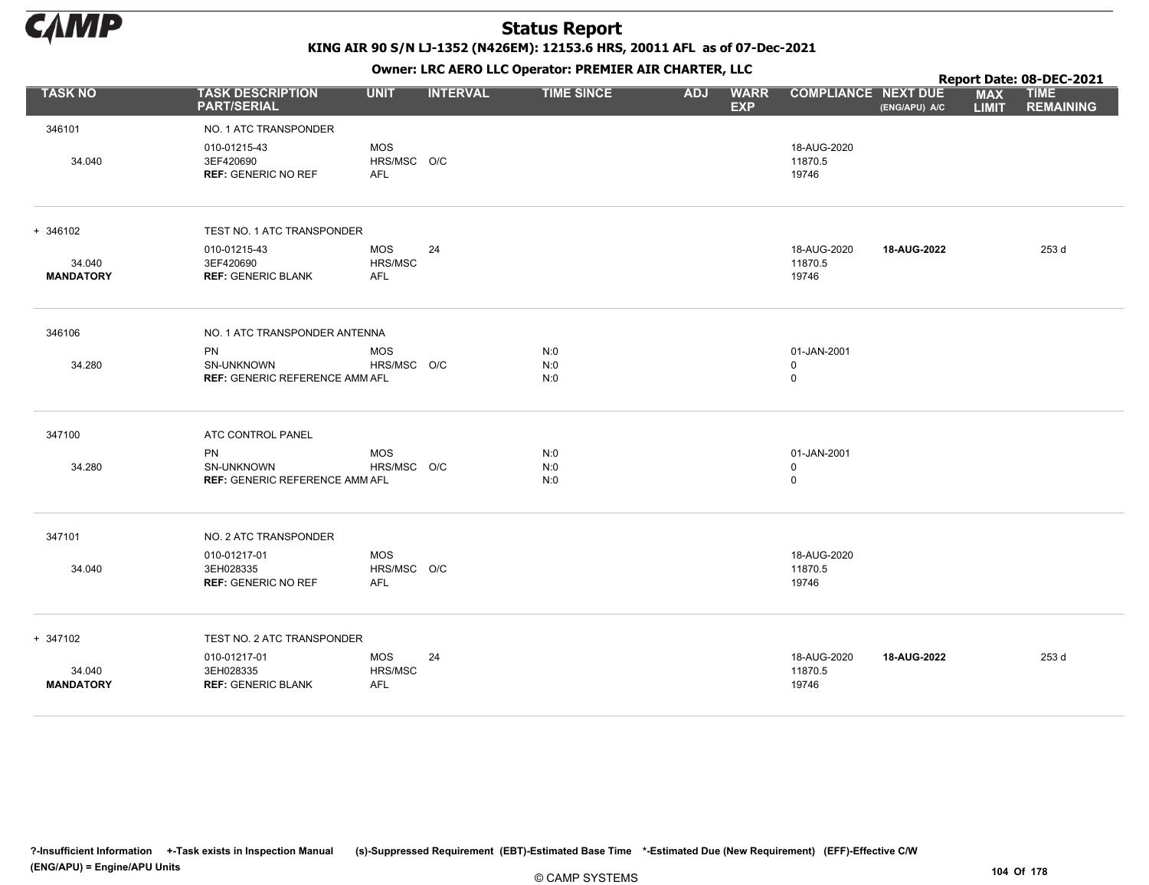

KING AIR 90 S/N LJ-1352 (N426EM): 12153.6 HRS, 20011 AFL as of 07-Dec-2021

|                            |                                                                  | OWHER LIKE ALKO LLC OPERATOR PREPILER AIR CHARTER, LLC |                 |                   |            |                           |                                 |               | Report Date: 08-DEC-2021   |                                 |  |  |
|----------------------------|------------------------------------------------------------------|--------------------------------------------------------|-----------------|-------------------|------------|---------------------------|---------------------------------|---------------|----------------------------|---------------------------------|--|--|
| <b>TASK NO</b>             | <b>TASK DESCRIPTION</b><br><b>PART/SERIAL</b>                    | <b>UNIT</b>                                            | <b>INTERVAL</b> | <b>TIME SINCE</b> | <b>ADJ</b> | <b>WARR</b><br><b>EXP</b> | <b>COMPLIANCE NEXT DUE</b>      | (ENG/APU) A/C | <b>MAX</b><br><b>LIMIT</b> | <b>TIME</b><br><b>REMAINING</b> |  |  |
| 346101                     | NO. 1 ATC TRANSPONDER                                            |                                                        |                 |                   |            |                           |                                 |               |                            |                                 |  |  |
| 34.040                     | 010-01215-43<br>3EF420690<br><b>REF: GENERIC NO REF</b>          | <b>MOS</b><br>HRS/MSC O/C<br><b>AFL</b>                |                 |                   |            |                           | 18-AUG-2020<br>11870.5<br>19746 |               |                            |                                 |  |  |
| + 346102                   | TEST NO. 1 ATC TRANSPONDER                                       |                                                        |                 |                   |            |                           |                                 |               |                            |                                 |  |  |
| 34.040<br><b>MANDATORY</b> | 010-01215-43<br>3EF420690<br><b>REF: GENERIC BLANK</b>           | <b>MOS</b><br>HRS/MSC<br><b>AFL</b>                    | 24              |                   |            |                           | 18-AUG-2020<br>11870.5<br>19746 | 18-AUG-2022   |                            | 253 d                           |  |  |
| 346106                     | NO. 1 ATC TRANSPONDER ANTENNA                                    |                                                        |                 |                   |            |                           |                                 |               |                            |                                 |  |  |
| 34.280                     | <b>PN</b><br>SN-UNKNOWN<br><b>REF: GENERIC REFERENCE AMM AFL</b> | <b>MOS</b><br>HRS/MSC O/C                              |                 | N:0<br>N:0<br>N:0 |            |                           | 01-JAN-2001<br>0<br>0           |               |                            |                                 |  |  |
| 347100                     | ATC CONTROL PANEL                                                |                                                        |                 |                   |            |                           |                                 |               |                            |                                 |  |  |
| 34.280                     | <b>PN</b><br>SN-UNKNOWN<br><b>REF: GENERIC REFERENCE AMM AFL</b> | <b>MOS</b><br>HRS/MSC O/C                              |                 | N:0<br>N:0<br>N:0 |            |                           | 01-JAN-2001<br>0<br>0           |               |                            |                                 |  |  |
| 347101                     | NO. 2 ATC TRANSPONDER                                            |                                                        |                 |                   |            |                           |                                 |               |                            |                                 |  |  |
| 34.040                     | 010-01217-01<br>3EH028335<br><b>REF: GENERIC NO REF</b>          | <b>MOS</b><br>HRS/MSC O/C<br><b>AFL</b>                |                 |                   |            |                           | 18-AUG-2020<br>11870.5<br>19746 |               |                            |                                 |  |  |
| + 347102                   | TEST NO. 2 ATC TRANSPONDER                                       |                                                        |                 |                   |            |                           |                                 |               |                            |                                 |  |  |
| 34.040<br><b>MANDATORY</b> | 010-01217-01<br>3EH028335<br><b>REF: GENERIC BLANK</b>           | <b>MOS</b><br>HRS/MSC<br><b>AFL</b>                    | 24              |                   |            |                           | 18-AUG-2020<br>11870.5<br>19746 | 18-AUG-2022   |                            | 253 d                           |  |  |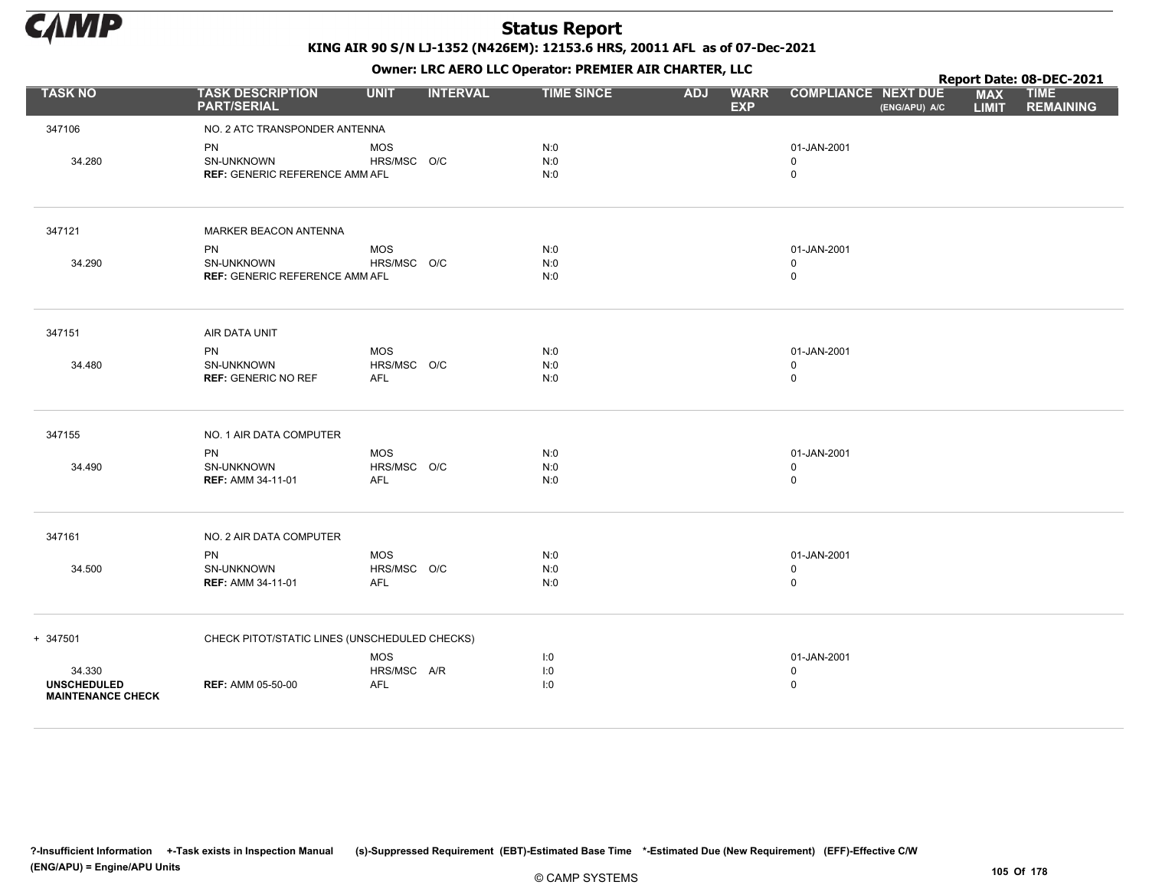

Owner: LRC AERO LLC Operator: PREMIER AIR CHARTER, LLC

|                                                          |                                                                  |                                         | Report Date: 08-DEC-2021 |                   |                                         |                                           |               |                            |                                 |
|----------------------------------------------------------|------------------------------------------------------------------|-----------------------------------------|--------------------------|-------------------|-----------------------------------------|-------------------------------------------|---------------|----------------------------|---------------------------------|
| <b>TASK NO</b>                                           | <b>TASK DESCRIPTION</b><br><b>PART/SERIAL</b>                    | <b>UNIT</b>                             | <b>INTERVAL</b>          | <b>TIME SINCE</b> | <b>ADJ</b><br><b>WARR</b><br><b>EXP</b> | <b>COMPLIANCE NEXT DUE</b>                | (ENG/APU) A/C | <b>MAX</b><br><b>LIMIT</b> | <b>TIME</b><br><b>REMAINING</b> |
| 347106                                                   | NO. 2 ATC TRANSPONDER ANTENNA                                    |                                         |                          |                   |                                         |                                           |               |                            |                                 |
| 34.280                                                   | <b>PN</b><br>SN-UNKNOWN<br><b>REF: GENERIC REFERENCE AMM AFL</b> | <b>MOS</b><br>HRS/MSC O/C               |                          | N:0<br>N:0<br>N:0 |                                         | 01-JAN-2001<br>$\mathbf 0$<br>$\mathsf 0$ |               |                            |                                 |
| 347121                                                   | MARKER BEACON ANTENNA                                            |                                         |                          |                   |                                         |                                           |               |                            |                                 |
| 34.290                                                   | PN<br>SN-UNKNOWN<br><b>REF: GENERIC REFERENCE AMM AFL</b>        | <b>MOS</b><br>HRS/MSC O/C               |                          | N:0<br>N:0<br>N:0 |                                         | 01-JAN-2001<br>0<br>$\mathsf 0$           |               |                            |                                 |
| 347151                                                   | AIR DATA UNIT                                                    |                                         |                          |                   |                                         |                                           |               |                            |                                 |
| 34.480                                                   | <b>PN</b><br>SN-UNKNOWN<br><b>REF: GENERIC NO REF</b>            | <b>MOS</b><br>HRS/MSC O/C<br><b>AFL</b> |                          | N:0<br>N:0<br>N:0 |                                         | 01-JAN-2001<br>$\mathbf 0$<br>$\mathsf 0$ |               |                            |                                 |
| 347155                                                   | NO. 1 AIR DATA COMPUTER                                          |                                         |                          |                   |                                         |                                           |               |                            |                                 |
| 34.490                                                   | <b>PN</b><br>SN-UNKNOWN<br><b>REF: AMM 34-11-01</b>              | <b>MOS</b><br>HRS/MSC O/C<br><b>AFL</b> |                          | N:0<br>N:0<br>N:0 |                                         | 01-JAN-2001<br>$\mathbf 0$<br>$\mathbf 0$ |               |                            |                                 |
| 347161                                                   | NO. 2 AIR DATA COMPUTER                                          |                                         |                          |                   |                                         |                                           |               |                            |                                 |
| 34.500                                                   | <b>PN</b><br>SN-UNKNOWN<br><b>REF: AMM 34-11-01</b>              | <b>MOS</b><br>HRS/MSC O/C<br><b>AFL</b> |                          | N:0<br>N:0<br>N:0 |                                         | 01-JAN-2001<br>0<br>$\mathbf 0$           |               |                            |                                 |
| + 347501                                                 | CHECK PITOT/STATIC LINES (UNSCHEDULED CHECKS)                    |                                         |                          |                   |                                         |                                           |               |                            |                                 |
| 34.330<br><b>UNSCHEDULED</b><br><b>MAINTENANCE CHECK</b> | <b>REF: AMM 05-50-00</b>                                         | <b>MOS</b><br>HRS/MSC A/R<br><b>AFL</b> |                          | 1:0<br>1:0<br>1:0 |                                         | 01-JAN-2001<br>$\mathbf 0$<br>$\mathbf 0$ |               |                            |                                 |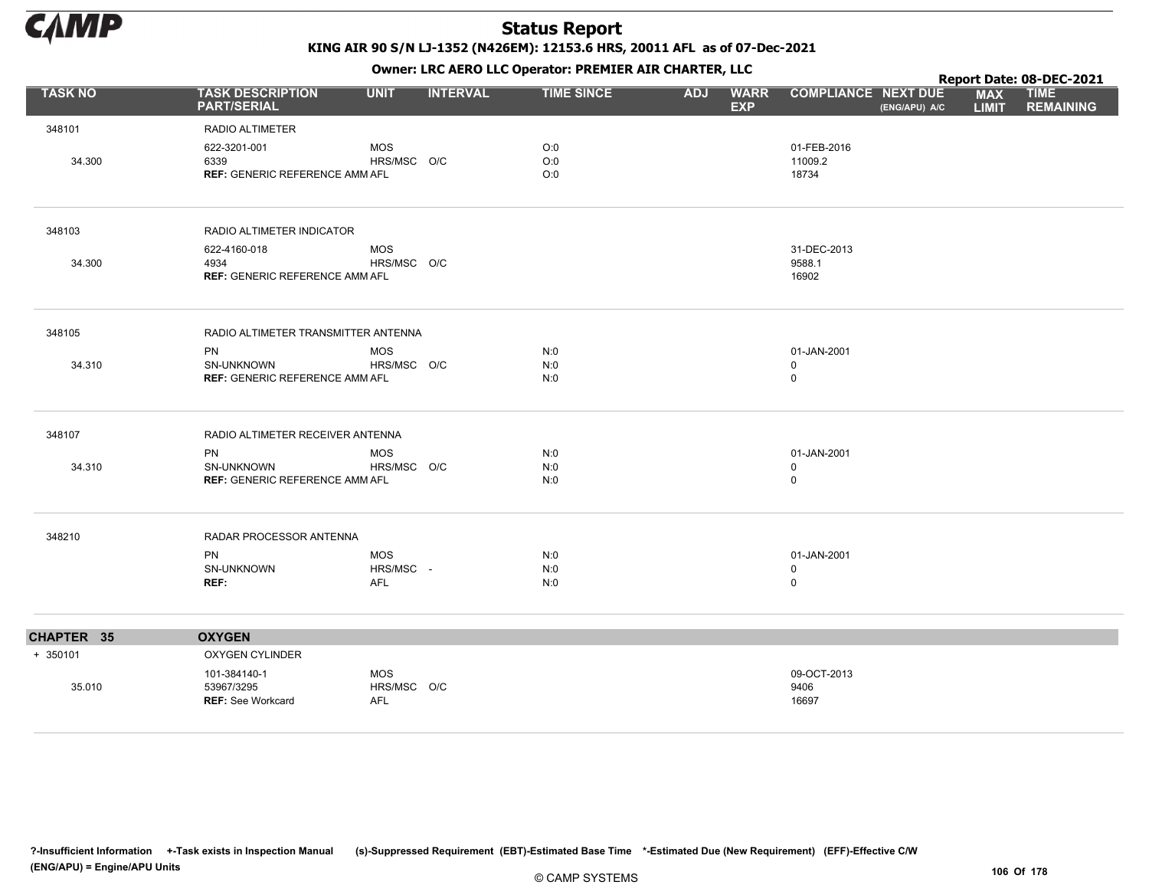

|                |                                               |                           | ---             | Report Date: 08-DEC-2021 |            |                           |                                             |                            |                                 |
|----------------|-----------------------------------------------|---------------------------|-----------------|--------------------------|------------|---------------------------|---------------------------------------------|----------------------------|---------------------------------|
| <b>TASK NO</b> | <b>TASK DESCRIPTION</b><br><b>PART/SERIAL</b> | <b>UNIT</b>               | <b>INTERVAL</b> | <b>TIME SINCE</b>        | <b>ADJ</b> | <b>WARR</b><br><b>EXP</b> | <b>COMPLIANCE NEXT DUE</b><br>(ENG/APU) A/C | <b>MAX</b><br><b>LIMIT</b> | <b>TIME</b><br><b>REMAINING</b> |
| 348101         | RADIO ALTIMETER                               |                           |                 |                          |            |                           |                                             |                            |                                 |
|                | 622-3201-001                                  | <b>MOS</b>                |                 | O:0                      |            |                           | 01-FEB-2016                                 |                            |                                 |
| 34.300         | 6339                                          | HRS/MSC O/C               |                 | O:0                      |            |                           | 11009.2                                     |                            |                                 |
|                | <b>REF: GENERIC REFERENCE AMM AFL</b>         |                           |                 | O:0                      |            |                           | 18734                                       |                            |                                 |
| 348103         | RADIO ALTIMETER INDICATOR                     |                           |                 |                          |            |                           |                                             |                            |                                 |
|                | 622-4160-018                                  | MOS                       |                 |                          |            |                           | 31-DEC-2013                                 |                            |                                 |
| 34.300         | 4934<br><b>REF: GENERIC REFERENCE AMM AFL</b> | HRS/MSC O/C               |                 |                          |            |                           | 9588.1<br>16902                             |                            |                                 |
|                |                                               |                           |                 |                          |            |                           |                                             |                            |                                 |
| 348105         | RADIO ALTIMETER TRANSMITTER ANTENNA           |                           |                 |                          |            |                           |                                             |                            |                                 |
| 34.310         | PN<br>SN-UNKNOWN                              | <b>MOS</b><br>HRS/MSC O/C |                 | N:0<br>N:0               |            |                           | 01-JAN-2001<br>$\mathbf 0$                  |                            |                                 |
|                | <b>REF: GENERIC REFERENCE AMM AFL</b>         |                           |                 | N:0                      |            |                           | $\mathbf 0$                                 |                            |                                 |
| 348107         | RADIO ALTIMETER RECEIVER ANTENNA              |                           |                 |                          |            |                           |                                             |                            |                                 |
|                | PN                                            | <b>MOS</b>                |                 | N:0                      |            |                           | 01-JAN-2001                                 |                            |                                 |
| 34.310         | SN-UNKNOWN                                    | HRS/MSC O/C               |                 | N:0                      |            |                           | 0                                           |                            |                                 |
|                | <b>REF: GENERIC REFERENCE AMM AFL</b>         |                           |                 | N:0                      |            |                           | $\mathsf 0$                                 |                            |                                 |
| 348210         | RADAR PROCESSOR ANTENNA                       |                           |                 |                          |            |                           |                                             |                            |                                 |
|                | PN                                            | <b>MOS</b>                |                 | N:0                      |            |                           | 01-JAN-2001                                 |                            |                                 |
|                | SN-UNKNOWN                                    | HRS/MSC -                 |                 | N:0                      |            |                           | 0                                           |                            |                                 |
|                | REF:                                          | <b>AFL</b>                |                 | N:0                      |            |                           | $\mathbf 0$                                 |                            |                                 |
| CHAPTER 35     | <b>OXYGEN</b>                                 |                           |                 |                          |            |                           |                                             |                            |                                 |
| $+ 350101$     | OXYGEN CYLINDER                               |                           |                 |                          |            |                           |                                             |                            |                                 |
|                | 101-384140-1                                  | <b>MOS</b>                |                 |                          |            |                           | 09-OCT-2013                                 |                            |                                 |
| 35.010         | 53967/3295<br><b>REF: See Workcard</b>        | HRS/MSC O/C<br><b>AFL</b> |                 |                          |            |                           | 9406<br>16697                               |                            |                                 |
|                |                                               |                           |                 |                          |            |                           |                                             |                            |                                 |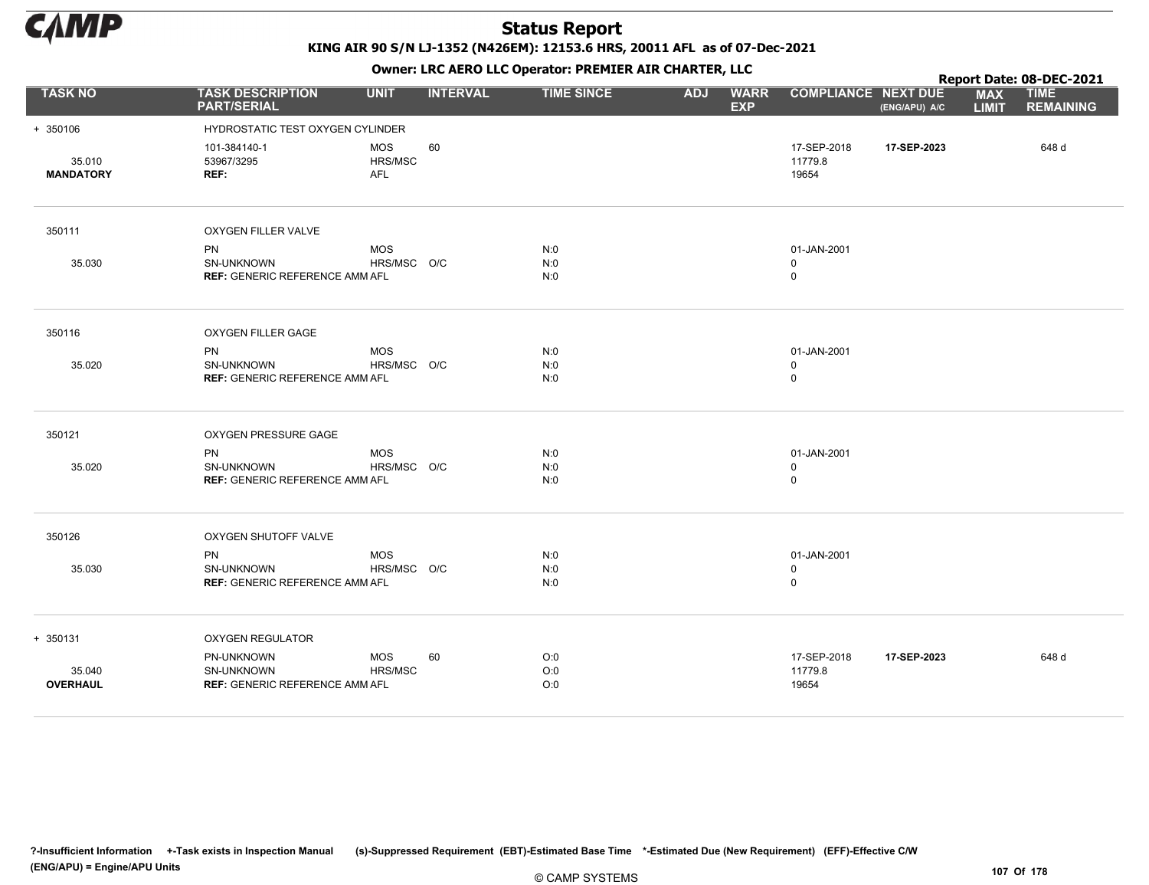

KING AIR 90 S/N LJ-1352 (N426EM): 12153.6 HRS, 20011 AFL as of 07-Dec-2021

|                            | OWHER LIKE ALKO LLC OPERATOR PREPILER AIR CHARTER, LLC                  |                              |                 |                   |            |                           |                                 |               | Report Date: 08-DEC-2021   |                                 |  |  |
|----------------------------|-------------------------------------------------------------------------|------------------------------|-----------------|-------------------|------------|---------------------------|---------------------------------|---------------|----------------------------|---------------------------------|--|--|
| <b>TASK NO</b>             | <b>TASK DESCRIPTION</b><br><b>PART/SERIAL</b>                           | <b>UNIT</b>                  | <b>INTERVAL</b> | <b>TIME SINCE</b> | <b>ADJ</b> | <b>WARR</b><br><b>EXP</b> | <b>COMPLIANCE NEXT DUE</b>      | (ENG/APU) A/C | <b>MAX</b><br><b>LIMIT</b> | <b>TIME</b><br><b>REMAINING</b> |  |  |
| + 350106                   | HYDROSTATIC TEST OXYGEN CYLINDER                                        |                              |                 |                   |            |                           |                                 |               |                            |                                 |  |  |
| 35.010<br><b>MANDATORY</b> | 101-384140-1<br>53967/3295<br>REF:                                      | MOS<br>HRS/MSC<br><b>AFL</b> | 60              |                   |            |                           | 17-SEP-2018<br>11779.8<br>19654 | 17-SEP-2023   |                            | 648 d                           |  |  |
| 350111                     | OXYGEN FILLER VALVE                                                     |                              |                 |                   |            |                           |                                 |               |                            |                                 |  |  |
| 35.030                     | <b>PN</b><br><b>SN-UNKNOWN</b><br><b>REF: GENERIC REFERENCE AMM AFL</b> | <b>MOS</b><br>HRS/MSC O/C    |                 | N:0<br>N:0<br>N:0 |            |                           | 01-JAN-2001<br>$\mathbf 0$<br>0 |               |                            |                                 |  |  |
| 350116                     | OXYGEN FILLER GAGE                                                      |                              |                 |                   |            |                           |                                 |               |                            |                                 |  |  |
| 35.020                     | <b>PN</b><br>SN-UNKNOWN<br><b>REF: GENERIC REFERENCE AMM AFL</b>        | <b>MOS</b><br>HRS/MSC O/C    |                 | N:0<br>N:0<br>N:0 |            |                           | 01-JAN-2001<br>$\mathbf 0$<br>0 |               |                            |                                 |  |  |
| 350121                     | OXYGEN PRESSURE GAGE                                                    |                              |                 |                   |            |                           |                                 |               |                            |                                 |  |  |
| 35.020                     | <b>PN</b><br>SN-UNKNOWN<br><b>REF: GENERIC REFERENCE AMM AFL</b>        | <b>MOS</b><br>HRS/MSC O/C    |                 | N:0<br>N:0<br>N:0 |            |                           | 01-JAN-2001<br>0<br>0           |               |                            |                                 |  |  |
| 350126                     | OXYGEN SHUTOFF VALVE                                                    |                              |                 |                   |            |                           |                                 |               |                            |                                 |  |  |
| 35.030                     | PN<br>SN-UNKNOWN<br><b>REF: GENERIC REFERENCE AMM AFL</b>               | <b>MOS</b><br>HRS/MSC O/C    |                 | N:0<br>N:0<br>N:0 |            |                           | 01-JAN-2001<br>0<br>$\mathbf 0$ |               |                            |                                 |  |  |
| + 350131                   | <b>OXYGEN REGULATOR</b>                                                 |                              |                 |                   |            |                           |                                 |               |                            |                                 |  |  |
| 35.040<br><b>OVERHAUL</b>  | PN-UNKNOWN<br>SN-UNKNOWN<br><b>REF: GENERIC REFERENCE AMM AFL</b>       | <b>MOS</b><br>HRS/MSC        | 60              | O:0<br>O:0<br>O:0 |            |                           | 17-SEP-2018<br>11779.8<br>19654 | 17-SEP-2023   |                            | 648 d                           |  |  |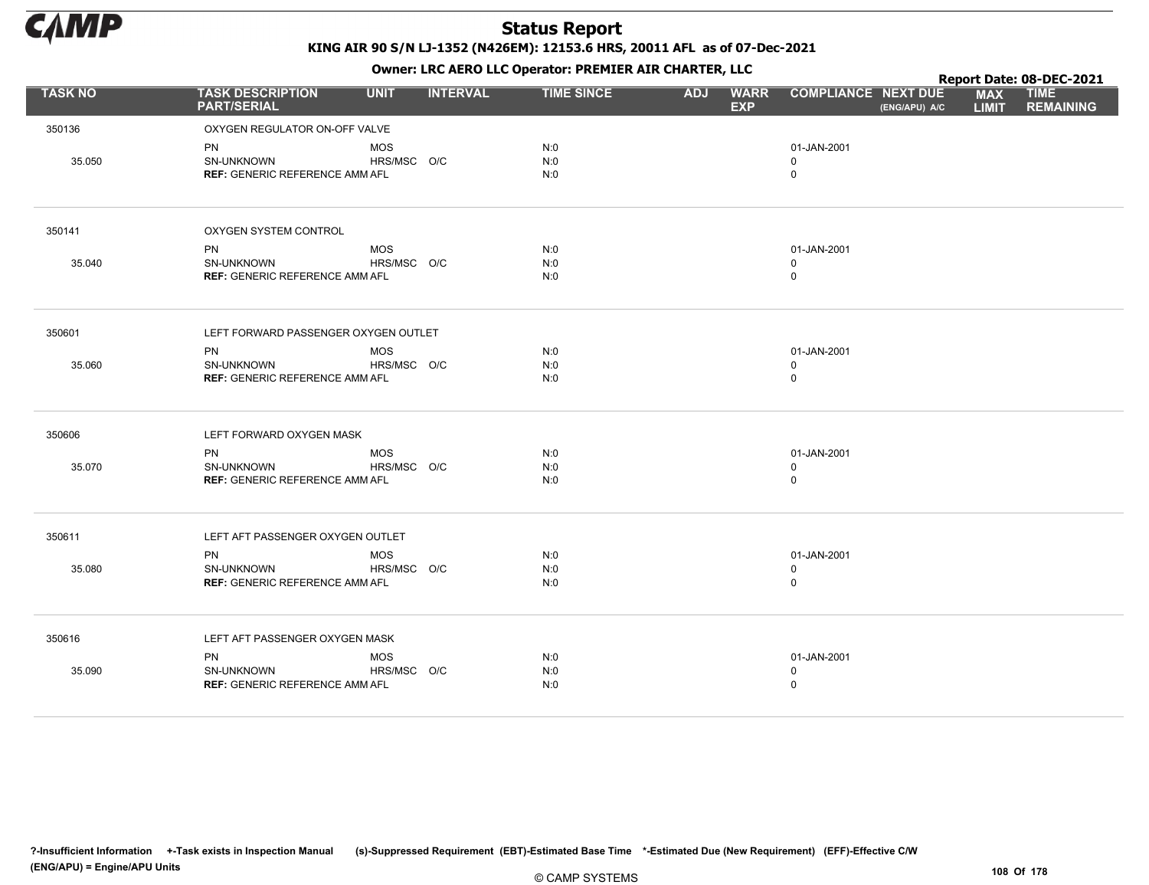

|                |                                               |             |                 |                   |            | $\mathbf{r}$              |                                             |                            | Report Date: 08-DEC-2021        |
|----------------|-----------------------------------------------|-------------|-----------------|-------------------|------------|---------------------------|---------------------------------------------|----------------------------|---------------------------------|
| <b>TASK NO</b> | <b>TASK DESCRIPTION</b><br><b>PART/SERIAL</b> | <b>UNIT</b> | <b>INTERVAL</b> | <b>TIME SINCE</b> | <b>ADJ</b> | <b>WARR</b><br><b>EXP</b> | <b>COMPLIANCE NEXT DUE</b><br>(ENG/APU) A/C | <b>MAX</b><br><b>LIMIT</b> | <b>TIME</b><br><b>REMAINING</b> |
| 350136         | OXYGEN REGULATOR ON-OFF VALVE                 |             |                 |                   |            |                           |                                             |                            |                                 |
|                | <b>PN</b>                                     | <b>MOS</b>  |                 | N:0               |            |                           | 01-JAN-2001                                 |                            |                                 |
| 35.050         | SN-UNKNOWN                                    | HRS/MSC O/C |                 | N:0               |            |                           | $\Omega$                                    |                            |                                 |
|                | <b>REF: GENERIC REFERENCE AMM AFL</b>         |             |                 | N:0               |            |                           | $\mathbf 0$                                 |                            |                                 |
| 350141         | OXYGEN SYSTEM CONTROL                         |             |                 |                   |            |                           |                                             |                            |                                 |
|                | <b>PN</b>                                     | <b>MOS</b>  |                 | N:0               |            |                           | 01-JAN-2001                                 |                            |                                 |
| 35.040         | SN-UNKNOWN                                    | HRS/MSC O/C |                 | N:0               |            |                           | $\mathbf 0$                                 |                            |                                 |
|                | <b>REF: GENERIC REFERENCE AMM AFL</b>         |             |                 | N:0               |            |                           | $\mathbf 0$                                 |                            |                                 |
| 350601         | LEFT FORWARD PASSENGER OXYGEN OUTLET          |             |                 |                   |            |                           |                                             |                            |                                 |
|                | PN                                            | <b>MOS</b>  |                 | N:0               |            |                           | 01-JAN-2001                                 |                            |                                 |
| 35.060         | SN-UNKNOWN                                    | HRS/MSC O/C |                 | N:0               |            |                           | $\mathbf 0$                                 |                            |                                 |
|                | <b>REF: GENERIC REFERENCE AMM AFL</b>         |             |                 | N:0               |            |                           | $\mathbf 0$                                 |                            |                                 |
| 350606         | LEFT FORWARD OXYGEN MASK                      |             |                 |                   |            |                           |                                             |                            |                                 |
|                | <b>PN</b>                                     | <b>MOS</b>  |                 | N:0               |            |                           | 01-JAN-2001                                 |                            |                                 |
| 35.070         | <b>SN-UNKNOWN</b>                             | HRS/MSC O/C |                 | N:0<br>N:0        |            |                           | $\Omega$<br>$\mathsf 0$                     |                            |                                 |
|                | <b>REF: GENERIC REFERENCE AMM AFL</b>         |             |                 |                   |            |                           |                                             |                            |                                 |
| 350611         | LEFT AFT PASSENGER OXYGEN OUTLET              |             |                 |                   |            |                           |                                             |                            |                                 |
|                | <b>PN</b>                                     | <b>MOS</b>  |                 | N:0               |            |                           | 01-JAN-2001                                 |                            |                                 |
| 35.080         | SN-UNKNOWN                                    | HRS/MSC O/C |                 | N:0               |            |                           | 0                                           |                            |                                 |
|                | <b>REF: GENERIC REFERENCE AMM AFL</b>         |             |                 | N:0               |            |                           | $\mathbf 0$                                 |                            |                                 |
| 350616         | LEFT AFT PASSENGER OXYGEN MASK                |             |                 |                   |            |                           |                                             |                            |                                 |
|                | <b>PN</b>                                     | <b>MOS</b>  |                 | N:0               |            |                           | 01-JAN-2001                                 |                            |                                 |
| 35.090         | SN-UNKNOWN                                    | HRS/MSC O/C |                 | N:0               |            |                           | $\mathbf 0$                                 |                            |                                 |
|                | <b>REF: GENERIC REFERENCE AMM AFL</b>         |             |                 | N:0               |            |                           | $\mathbf 0$                                 |                            |                                 |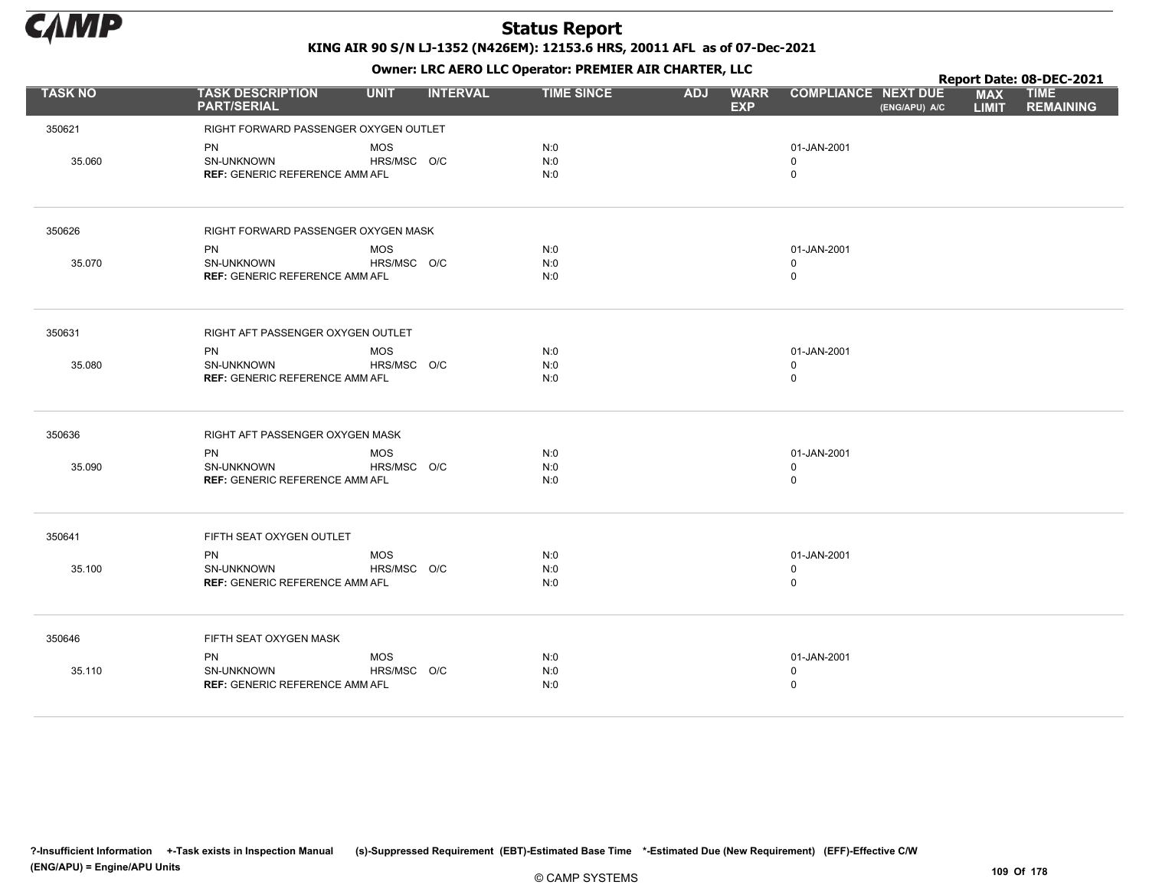

Owner: LRC AERO LLC Operator: PREMIER AIR CHARTER, LLC

|                |                                                                  |                           |                 | OWHER, LKC ALKO LLC OPERATOR. PREPILER AIR CHARTER, LLC |            |                           |                                           |               |                            | Report Date: 08-DEC-2021        |
|----------------|------------------------------------------------------------------|---------------------------|-----------------|---------------------------------------------------------|------------|---------------------------|-------------------------------------------|---------------|----------------------------|---------------------------------|
| <b>TASK NO</b> | <b>TASK DESCRIPTION</b><br><b>PART/SERIAL</b>                    | <b>UNIT</b>               | <b>INTERVAL</b> | <b>TIME SINCE</b>                                       | <b>ADJ</b> | <b>WARR</b><br><b>EXP</b> | <b>COMPLIANCE NEXT DUE</b>                | (ENG/APU) A/C | <b>MAX</b><br><b>LIMIT</b> | <b>TIME</b><br><b>REMAINING</b> |
| 350621         | RIGHT FORWARD PASSENGER OXYGEN OUTLET                            |                           |                 |                                                         |            |                           |                                           |               |                            |                                 |
| 35.060         | PN<br>SN-UNKNOWN<br><b>REF: GENERIC REFERENCE AMM AFL</b>        | <b>MOS</b><br>HRS/MSC O/C |                 | N:0<br>N:0<br>N:0                                       |            |                           | 01-JAN-2001<br>$\mathbf 0$<br>$\mathbf 0$ |               |                            |                                 |
| 350626         | RIGHT FORWARD PASSENGER OXYGEN MASK                              |                           |                 |                                                         |            |                           |                                           |               |                            |                                 |
|                | <b>PN</b>                                                        | <b>MOS</b>                |                 | N:0                                                     |            |                           | 01-JAN-2001                               |               |                            |                                 |
| 35.070         | SN-UNKNOWN<br><b>REF: GENERIC REFERENCE AMM AFL</b>              | HRS/MSC O/C               |                 | N:0<br>N:0                                              |            |                           | $\mathbf 0$<br>$\mathbf 0$                |               |                            |                                 |
| 350631         | RIGHT AFT PASSENGER OXYGEN OUTLET                                |                           |                 |                                                         |            |                           |                                           |               |                            |                                 |
| 35.080         | <b>PN</b><br>SN-UNKNOWN<br><b>REF: GENERIC REFERENCE AMM AFL</b> | <b>MOS</b><br>HRS/MSC O/C |                 | N:0<br>N:0<br>N:0                                       |            |                           | 01-JAN-2001<br>$\mathbf 0$<br>$\mathbf 0$ |               |                            |                                 |
| 350636         | RIGHT AFT PASSENGER OXYGEN MASK                                  |                           |                 |                                                         |            |                           |                                           |               |                            |                                 |
| 35.090         | PN<br>SN-UNKNOWN<br><b>REF: GENERIC REFERENCE AMM AFL</b>        | <b>MOS</b><br>HRS/MSC O/C |                 | N:0<br>N:0<br>N:0                                       |            |                           | 01-JAN-2001<br>0<br>0                     |               |                            |                                 |
| 350641         | FIFTH SEAT OXYGEN OUTLET                                         |                           |                 |                                                         |            |                           |                                           |               |                            |                                 |
| 35.100         | <b>PN</b><br>SN-UNKNOWN<br><b>REF: GENERIC REFERENCE AMM AFL</b> | <b>MOS</b><br>HRS/MSC O/C |                 | N:0<br>N:0<br>N:0                                       |            |                           | 01-JAN-2001<br>$\mathbf 0$<br>0           |               |                            |                                 |
| 350646         | FIFTH SEAT OXYGEN MASK                                           |                           |                 |                                                         |            |                           |                                           |               |                            |                                 |
| 35.110         | <b>PN</b><br>SN-UNKNOWN<br><b>REF: GENERIC REFERENCE AMM AFL</b> | <b>MOS</b><br>HRS/MSC O/C |                 | N:0<br>N:0<br>N:0                                       |            |                           | 01-JAN-2001<br>$\mathbf 0$<br>0           |               |                            |                                 |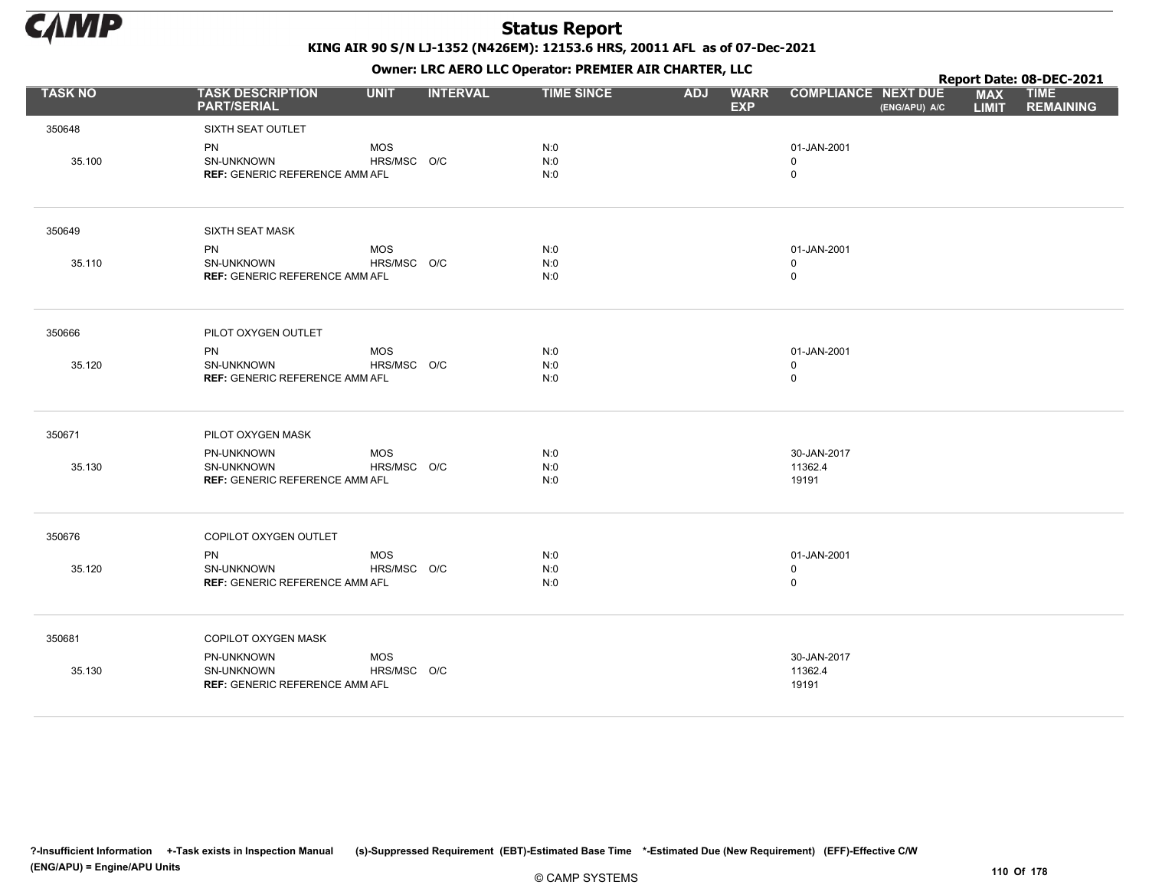

KING AIR 90 S/N LJ-1352 (N426EM): 12153.6 HRS, 20011 AFL as of 07-Dec-2021

Owner: LRC AERO LLC Operator: PREMIER AIR CHARTER, LLC

|                |                                                                          |                           |                 | OWHER. LKC ALKO LLC OPERATOR. PREPILER AIR CHARTER, LLC |            |                           |                                            |               |                            | Report Date: 08-DEC-2021        |
|----------------|--------------------------------------------------------------------------|---------------------------|-----------------|---------------------------------------------------------|------------|---------------------------|--------------------------------------------|---------------|----------------------------|---------------------------------|
| <b>TASK NO</b> | <b>TASK DESCRIPTION</b><br><b>PART/SERIAL</b>                            | <b>UNIT</b>               | <b>INTERVAL</b> | <b>TIME SINCE</b>                                       | <b>ADJ</b> | <b>WARR</b><br><b>EXP</b> | <b>COMPLIANCE NEXT DUE</b>                 | (ENG/APU) A/C | <b>MAX</b><br><b>LIMIT</b> | <b>TIME</b><br><b>REMAINING</b> |
| 350648         | SIXTH SEAT OUTLET                                                        |                           |                 |                                                         |            |                           |                                            |               |                            |                                 |
| 35.100         | <b>PN</b><br><b>SN-UNKNOWN</b><br><b>REF: GENERIC REFERENCE AMM AFL</b>  | <b>MOS</b><br>HRS/MSC O/C |                 | N:0<br>N:0<br>N:0                                       |            |                           | 01-JAN-2001<br>$\mathbf 0$<br>$\mathsf{O}$ |               |                            |                                 |
| 350649         | <b>SIXTH SEAT MASK</b>                                                   |                           |                 |                                                         |            |                           |                                            |               |                            |                                 |
|                | <b>PN</b>                                                                | MOS                       |                 | N:0                                                     |            |                           | 01-JAN-2001                                |               |                            |                                 |
| 35.110         | SN-UNKNOWN<br><b>REF: GENERIC REFERENCE AMM AFL</b>                      | HRS/MSC O/C               |                 | N:0<br>N:0                                              |            |                           | 0<br>$\mathsf{O}$                          |               |                            |                                 |
| 350666         | PILOT OXYGEN OUTLET                                                      |                           |                 |                                                         |            |                           |                                            |               |                            |                                 |
| 35.120         | <b>PN</b><br>SN-UNKNOWN<br><b>REF: GENERIC REFERENCE AMM AFL</b>         | <b>MOS</b><br>HRS/MSC O/C |                 | N:0<br>N:0<br>N:0                                       |            |                           | 01-JAN-2001<br>$\mathbf 0$<br>0            |               |                            |                                 |
| 350671         | PILOT OXYGEN MASK                                                        |                           |                 |                                                         |            |                           |                                            |               |                            |                                 |
| 35.130         | PN-UNKNOWN<br><b>SN-UNKNOWN</b><br><b>REF: GENERIC REFERENCE AMM AFL</b> | <b>MOS</b><br>HRS/MSC O/C |                 | N:0<br>N:0<br>N:0                                       |            |                           | 30-JAN-2017<br>11362.4<br>19191            |               |                            |                                 |
| 350676         | COPILOT OXYGEN OUTLET                                                    |                           |                 |                                                         |            |                           |                                            |               |                            |                                 |
| 35.120         | <b>PN</b><br>SN-UNKNOWN<br><b>REF: GENERIC REFERENCE AMM AFL</b>         | MOS<br>HRS/MSC O/C        |                 | N:0<br>N:0<br>N:0                                       |            |                           | 01-JAN-2001<br>0<br>0                      |               |                            |                                 |
| 350681         | COPILOT OXYGEN MASK                                                      |                           |                 |                                                         |            |                           |                                            |               |                            |                                 |
| 35.130         | PN-UNKNOWN<br><b>SN-UNKNOWN</b><br><b>REF: GENERIC REFERENCE AMM AFL</b> | <b>MOS</b><br>HRS/MSC O/C |                 |                                                         |            |                           | 30-JAN-2017<br>11362.4<br>19191            |               |                            |                                 |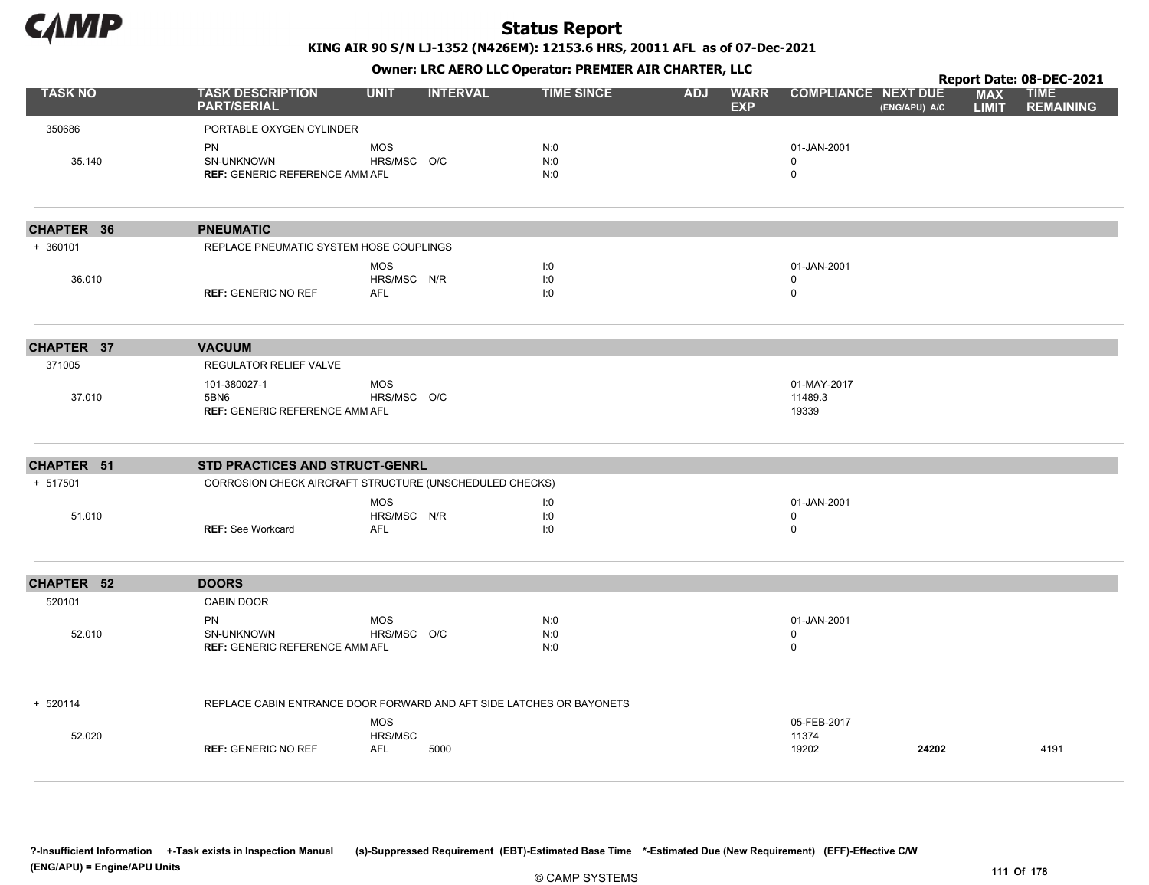

KING AIR 90 S/N LJ-1352 (N426EM): 12153.6 HRS, 20011 AFL as of 07-Dec-2021

Owner: LRC AERO LLC Operator: PREMIER AIR CHARTER, LLC

|                   |                                                                      |                                         |                 |                   |            |                           |                                 |               |                            | Report Date: 08-DEC-2021        |
|-------------------|----------------------------------------------------------------------|-----------------------------------------|-----------------|-------------------|------------|---------------------------|---------------------------------|---------------|----------------------------|---------------------------------|
| <b>TASK NO</b>    | <b>TASK DESCRIPTION</b><br><b>PART/SERIAL</b>                        | <b>UNIT</b>                             | <b>INTERVAL</b> | <b>TIME SINCE</b> | <b>ADJ</b> | <b>WARR</b><br><b>EXP</b> | <b>COMPLIANCE NEXT DUE</b>      | (ENG/APU) A/C | <b>MAX</b><br><b>LIMIT</b> | <b>TIME</b><br><b>REMAINING</b> |
| 350686            | PORTABLE OXYGEN CYLINDER                                             |                                         |                 |                   |            |                           |                                 |               |                            |                                 |
| 35.140            | PN<br>SN-UNKNOWN<br>REF: GENERIC REFERENCE AMM AFL                   | <b>MOS</b><br>HRS/MSC O/C               |                 | N:0<br>N:0<br>N:0 |            |                           | 01-JAN-2001<br>0<br>0           |               |                            |                                 |
| CHAPTER 36        | <b>PNEUMATIC</b>                                                     |                                         |                 |                   |            |                           |                                 |               |                            |                                 |
| $+ 360101$        | REPLACE PNEUMATIC SYSTEM HOSE COUPLINGS                              |                                         |                 |                   |            |                           |                                 |               |                            |                                 |
| 36.010            | <b>REF: GENERIC NO REF</b>                                           | <b>MOS</b><br>HRS/MSC N/R<br><b>AFL</b> |                 | I:0<br>I:0<br>1:0 |            |                           | 01-JAN-2001<br>0<br>0           |               |                            |                                 |
| CHAPTER 37        | <b>VACUUM</b>                                                        |                                         |                 |                   |            |                           |                                 |               |                            |                                 |
| 371005            | REGULATOR RELIEF VALVE                                               |                                         |                 |                   |            |                           |                                 |               |                            |                                 |
| 37.010            | 101-380027-1<br>5BN6<br><b>REF: GENERIC REFERENCE AMM AFL</b>        | <b>MOS</b><br>HRS/MSC O/C               |                 |                   |            |                           | 01-MAY-2017<br>11489.3<br>19339 |               |                            |                                 |
| CHAPTER 51        | <b>STD PRACTICES AND STRUCT-GENRL</b>                                |                                         |                 |                   |            |                           |                                 |               |                            |                                 |
| + 517501          | CORROSION CHECK AIRCRAFT STRUCTURE (UNSCHEDULED CHECKS)              |                                         |                 |                   |            |                           |                                 |               |                            |                                 |
|                   |                                                                      | <b>MOS</b>                              |                 | I:0               |            |                           | 01-JAN-2001                     |               |                            |                                 |
| 51.010            | <b>REF: See Workcard</b>                                             | HRS/MSC N/R<br><b>AFL</b>               |                 | I:0<br>1:0        |            |                           | 0<br>0                          |               |                            |                                 |
| <b>CHAPTER 52</b> | <b>DOORS</b>                                                         |                                         |                 |                   |            |                           |                                 |               |                            |                                 |
| 520101            | CABIN DOOR                                                           |                                         |                 |                   |            |                           |                                 |               |                            |                                 |
| 52.010            | PN<br>SN-UNKNOWN<br><b>REF: GENERIC REFERENCE AMM AFL</b>            | <b>MOS</b><br>HRS/MSC O/C               |                 | N:0<br>N:0<br>N:0 |            |                           | 01-JAN-2001<br>0<br>0           |               |                            |                                 |
| + 520114          | REPLACE CABIN ENTRANCE DOOR FORWARD AND AFT SIDE LATCHES OR BAYONETS |                                         |                 |                   |            |                           |                                 |               |                            |                                 |
| 52.020            | <b>REF: GENERIC NO REF</b>                                           | <b>MOS</b><br>HRS/MSC<br><b>AFL</b>     | 5000            |                   |            |                           | 05-FEB-2017<br>11374<br>19202   | 24202         |                            | 4191                            |
|                   |                                                                      |                                         |                 |                   |            |                           |                                 |               |                            |                                 |

?-Insufficient Information +-Task exists in Inspection Manual (s)-Suppressed Requirement (EBT)-Estimated Base Time \*-Estimated Due (New Requirement) (EFF)-Effective C/W (ENG/APU) = Engine/APU Units 111 Of 178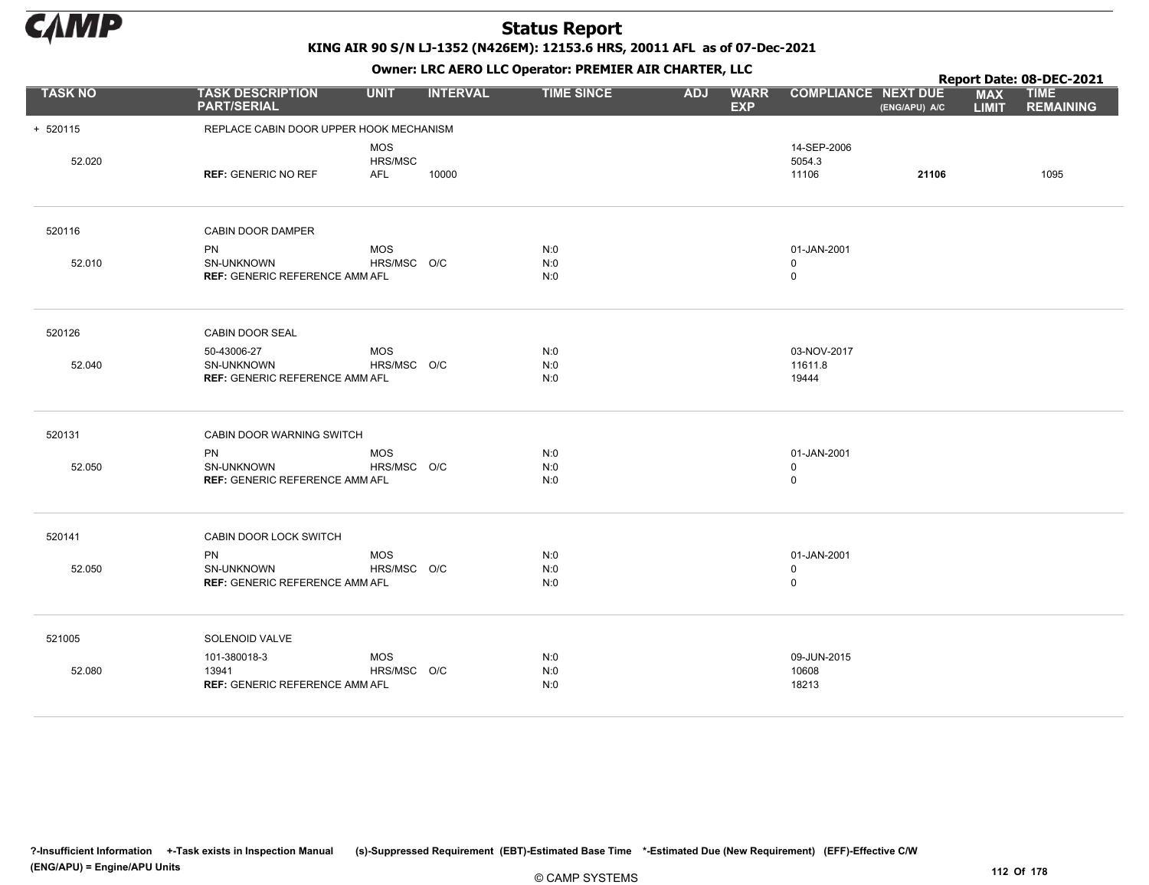

KING AIR 90 S/N LJ-1352 (N426EM): 12153.6 HRS, 20011 AFL as of 07-Dec-2021

|                |                                                                    |                                     |                 | OWHER. LKC ALKO LLC OPERATOR. PREPILER AIR CHARTER, LLC |            |                           |                                           |               |                            | Report Date: 08-DEC-2021        |
|----------------|--------------------------------------------------------------------|-------------------------------------|-----------------|---------------------------------------------------------|------------|---------------------------|-------------------------------------------|---------------|----------------------------|---------------------------------|
| <b>TASK NO</b> | <b>TASK DESCRIPTION</b><br><b>PART/SERIAL</b>                      | <b>UNIT</b>                         | <b>INTERVAL</b> | <b>TIME SINCE</b>                                       | <b>ADJ</b> | <b>WARR</b><br><b>EXP</b> | <b>COMPLIANCE NEXT DUE</b>                | (ENG/APU) A/C | <b>MAX</b><br><b>LIMIT</b> | <b>TIME</b><br><b>REMAINING</b> |
| $+ 520115$     | REPLACE CABIN DOOR UPPER HOOK MECHANISM                            |                                     |                 |                                                         |            |                           |                                           |               |                            |                                 |
| 52.020         | <b>REF: GENERIC NO REF</b>                                         | <b>MOS</b><br>HRS/MSC<br><b>AFL</b> | 10000           |                                                         |            |                           | 14-SEP-2006<br>5054.3<br>11106            | 21106         |                            | 1095                            |
| 520116         | CABIN DOOR DAMPER                                                  |                                     |                 |                                                         |            |                           |                                           |               |                            |                                 |
| 52.010         | <b>PN</b><br>SN-UNKNOWN<br><b>REF: GENERIC REFERENCE AMM AFL</b>   | <b>MOS</b><br>HRS/MSC O/C           |                 | N:0<br>N:0<br>N:0                                       |            |                           | 01-JAN-2001<br>$\mathbf 0$<br>$\mathbf 0$ |               |                            |                                 |
| 520126         | CABIN DOOR SEAL                                                    |                                     |                 |                                                         |            |                           |                                           |               |                            |                                 |
| 52.040         | 50-43006-27<br>SN-UNKNOWN<br><b>REF: GENERIC REFERENCE AMM AFL</b> | <b>MOS</b><br>HRS/MSC O/C           |                 | N:0<br>N:0<br>N:0                                       |            |                           | 03-NOV-2017<br>11611.8<br>19444           |               |                            |                                 |
| 520131         | CABIN DOOR WARNING SWITCH                                          |                                     |                 |                                                         |            |                           |                                           |               |                            |                                 |
| 52.050         | <b>PN</b><br>SN-UNKNOWN<br><b>REF: GENERIC REFERENCE AMM AFL</b>   | <b>MOS</b><br>HRS/MSC O/C           |                 | N:0<br>N:0<br>N:0                                       |            |                           | 01-JAN-2001<br>0<br>$\mathbf 0$           |               |                            |                                 |
| 520141         | CABIN DOOR LOCK SWITCH                                             |                                     |                 |                                                         |            |                           |                                           |               |                            |                                 |
| 52.050         | <b>PN</b><br>SN-UNKNOWN<br><b>REF: GENERIC REFERENCE AMM AFL</b>   | <b>MOS</b><br>HRS/MSC O/C           |                 | N:0<br>N:0<br>N:0                                       |            |                           | 01-JAN-2001<br>0<br>$\mathbf 0$           |               |                            |                                 |
| 521005         | SOLENOID VALVE                                                     |                                     |                 |                                                         |            |                           |                                           |               |                            |                                 |
| 52.080         | 101-380018-3<br>13941<br><b>REF: GENERIC REFERENCE AMM AFL</b>     | <b>MOS</b><br>HRS/MSC O/C           |                 | N:0<br>N:0<br>N:0                                       |            |                           | 09-JUN-2015<br>10608<br>18213             |               |                            |                                 |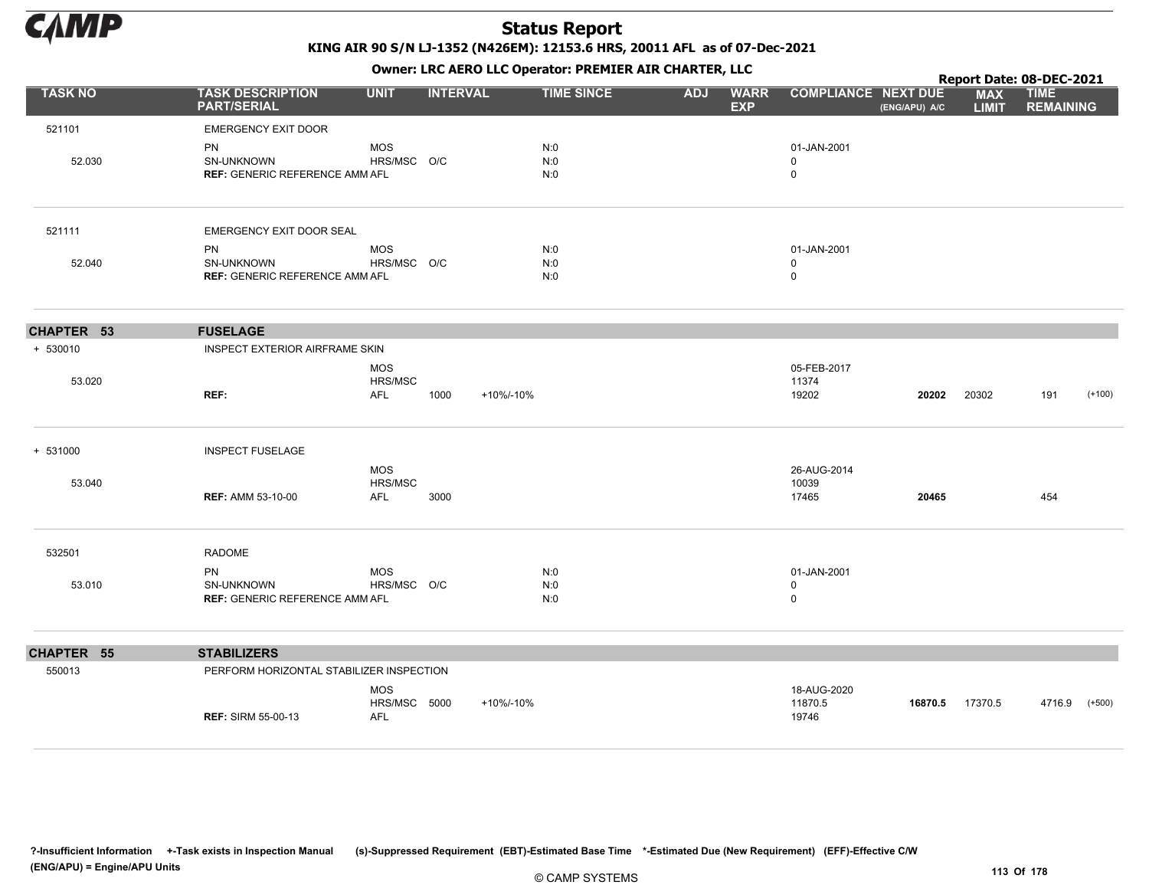

KING AIR 90 S/N LJ-1352 (N426EM): 12153.6 HRS, 20011 AFL as of 07-Dec-2021

|                |                                                                  |                                          |                 |           | OWHER. LKC ALKO LLC OPERATOR. PREPILER AIR CHARTER, LLC |            |                           |                                           |               | Report Date: 08-DEC-2021   |                                 |          |
|----------------|------------------------------------------------------------------|------------------------------------------|-----------------|-----------|---------------------------------------------------------|------------|---------------------------|-------------------------------------------|---------------|----------------------------|---------------------------------|----------|
| <b>TASK NO</b> | <b>TASK DESCRIPTION</b><br><b>PART/SERIAL</b>                    | <b>UNIT</b>                              | <b>INTERVAL</b> |           | <b>TIME SINCE</b>                                       | <b>ADJ</b> | <b>WARR</b><br><b>EXP</b> | <b>COMPLIANCE NEXT DUE</b>                | (ENG/APU) A/C | <b>MAX</b><br><b>LIMIT</b> | <b>TIME</b><br><b>REMAINING</b> |          |
| 521101         | <b>EMERGENCY EXIT DOOR</b>                                       |                                          |                 |           |                                                         |            |                           |                                           |               |                            |                                 |          |
| 52.030         | PN<br>SN-UNKNOWN<br><b>REF: GENERIC REFERENCE AMM AFL</b>        | <b>MOS</b><br>HRS/MSC O/C                |                 |           | N:0<br>N:0<br>N:0                                       |            |                           | 01-JAN-2001<br>$\mathbf 0$<br>$\pmb{0}$   |               |                            |                                 |          |
| 521111         | EMERGENCY EXIT DOOR SEAL                                         |                                          |                 |           |                                                         |            |                           |                                           |               |                            |                                 |          |
| 52.040         | PN<br>SN-UNKNOWN<br><b>REF: GENERIC REFERENCE AMM AFL</b>        | <b>MOS</b><br>HRS/MSC O/C                |                 |           | N:0<br>N:0<br>N:0                                       |            |                           | 01-JAN-2001<br>$\mathbf 0$<br>$\mathbf 0$ |               |                            |                                 |          |
| CHAPTER 53     | <b>FUSELAGE</b>                                                  |                                          |                 |           |                                                         |            |                           |                                           |               |                            |                                 |          |
| + 530010       | INSPECT EXTERIOR AIRFRAME SKIN                                   |                                          |                 |           |                                                         |            |                           |                                           |               |                            |                                 |          |
| 53.020         | REF:                                                             | <b>MOS</b><br>HRS/MSC<br><b>AFL</b>      | 1000            | +10%/-10% |                                                         |            |                           | 05-FEB-2017<br>11374<br>19202             | 20202         | 20302                      | 191                             | $(+100)$ |
| + 531000       | <b>INSPECT FUSELAGE</b>                                          |                                          |                 |           |                                                         |            |                           |                                           |               |                            |                                 |          |
| 53.040         | <b>REF: AMM 53-10-00</b>                                         | MOS<br>HRS/MSC<br>AFL                    | 3000            |           |                                                         |            |                           | 26-AUG-2014<br>10039<br>17465             | 20465         |                            | 454                             |          |
| 532501         | <b>RADOME</b>                                                    |                                          |                 |           |                                                         |            |                           |                                           |               |                            |                                 |          |
| 53.010         | <b>PN</b><br>SN-UNKNOWN<br><b>REF: GENERIC REFERENCE AMM AFL</b> | <b>MOS</b><br>HRS/MSC O/C                |                 |           | N:0<br>N:0<br>N:0                                       |            |                           | 01-JAN-2001<br>$\mathbf 0$<br>$\mathbf 0$ |               |                            |                                 |          |
| CHAPTER 55     | <b>STABILIZERS</b>                                               |                                          |                 |           |                                                         |            |                           |                                           |               |                            |                                 |          |
| 550013         | PERFORM HORIZONTAL STABILIZER INSPECTION                         |                                          |                 |           |                                                         |            |                           |                                           |               |                            |                                 |          |
|                | <b>REF: SIRM 55-00-13</b>                                        | <b>MOS</b><br>HRS/MSC 5000<br><b>AFL</b> |                 | +10%/-10% |                                                         |            |                           | 18-AUG-2020<br>11870.5<br>19746           | 16870.5       | 17370.5                    | 4716.9                          | $(+500)$ |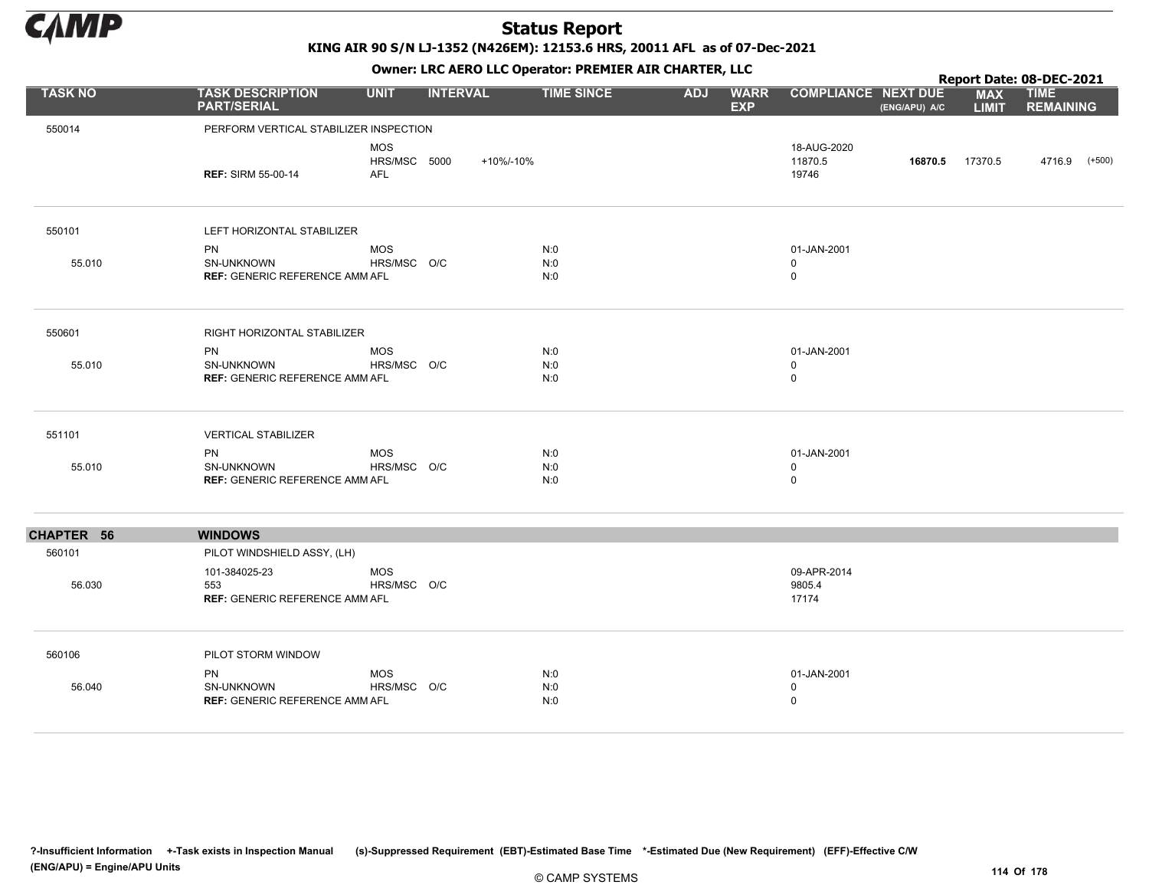

KING AIR 90 S/N LJ-1352 (N426EM): 12153.6 HRS, 20011 AFL as of 07-Dec-2021

Owner: LRC AERO LLC Operator: PREMIER AIR CHARTER, LLC

|                |                                                                         |                                   |                 | OWHER, LKC AERO LLC OPERATOR, PREPILER AIR CHARTER, LLC |                   |            |                           |                                           |                 |                            | Report Date: 08-DEC-2021        |  |
|----------------|-------------------------------------------------------------------------|-----------------------------------|-----------------|---------------------------------------------------------|-------------------|------------|---------------------------|-------------------------------------------|-----------------|----------------------------|---------------------------------|--|
| <b>TASK NO</b> | <b>TASK DESCRIPTION</b><br><b>PART/SERIAL</b>                           | <b>UNIT</b>                       | <b>INTERVAL</b> |                                                         | <b>TIME SINCE</b> | <b>ADJ</b> | <b>WARR</b><br><b>EXP</b> | <b>COMPLIANCE NEXT DUE</b>                | (ENG/APU) A/C   | <b>MAX</b><br><b>LIMIT</b> | <b>TIME</b><br><b>REMAINING</b> |  |
| 550014         | PERFORM VERTICAL STABILIZER INSPECTION                                  |                                   |                 |                                                         |                   |            |                           |                                           |                 |                            |                                 |  |
|                | <b>REF: SIRM 55-00-14</b>                                               | <b>MOS</b><br>HRS/MSC 5000<br>AFL |                 | +10%/-10%                                               |                   |            |                           | 18-AUG-2020<br>11870.5<br>19746           | 16870.5 17370.5 |                            | 4716.9 (+500)                   |  |
| 550101         | LEFT HORIZONTAL STABILIZER                                              |                                   |                 |                                                         |                   |            |                           |                                           |                 |                            |                                 |  |
| 55.010         | <b>PN</b><br><b>SN-UNKNOWN</b><br><b>REF: GENERIC REFERENCE AMM AFL</b> | <b>MOS</b><br>HRS/MSC O/C         |                 | N:0<br>N:0<br>N:0                                       |                   |            |                           | 01-JAN-2001<br>$\mathbf 0$<br>$\mathbf 0$ |                 |                            |                                 |  |
| 550601         | RIGHT HORIZONTAL STABILIZER                                             |                                   |                 |                                                         |                   |            |                           |                                           |                 |                            |                                 |  |
| 55.010         | PN<br>SN-UNKNOWN<br><b>REF: GENERIC REFERENCE AMM AFL</b>               | <b>MOS</b><br>HRS/MSC O/C         |                 | N:0<br>N:0<br>N:0                                       |                   |            |                           | 01-JAN-2001<br>0<br>$\mathbf 0$           |                 |                            |                                 |  |
| 551101         | <b>VERTICAL STABILIZER</b>                                              |                                   |                 |                                                         |                   |            |                           |                                           |                 |                            |                                 |  |
| 55.010         | PN<br>SN-UNKNOWN<br><b>REF: GENERIC REFERENCE AMM AFL</b>               | <b>MOS</b><br>HRS/MSC O/C         |                 | N:0<br>N:0<br>N:0                                       |                   |            |                           | 01-JAN-2001<br>$\mathbf 0$<br>$\mathbf 0$ |                 |                            |                                 |  |
| CHAPTER 56     | <b>WINDOWS</b>                                                          |                                   |                 |                                                         |                   |            |                           |                                           |                 |                            |                                 |  |
| 560101         | PILOT WINDSHIELD ASSY, (LH)                                             |                                   |                 |                                                         |                   |            |                           |                                           |                 |                            |                                 |  |
| 56.030         | 101-384025-23<br>553<br><b>REF: GENERIC REFERENCE AMM AFL</b>           | <b>MOS</b><br>HRS/MSC O/C         |                 |                                                         |                   |            |                           | 09-APR-2014<br>9805.4<br>17174            |                 |                            |                                 |  |
| 560106         | PILOT STORM WINDOW                                                      |                                   |                 |                                                         |                   |            |                           |                                           |                 |                            |                                 |  |
| 56.040         | PN<br>SN-UNKNOWN<br><b>REF: GENERIC REFERENCE AMM AFL</b>               | <b>MOS</b><br>HRS/MSC O/C         |                 | N:0<br>N:0<br>N:0                                       |                   |            |                           | 01-JAN-2001<br>$\mathbf 0$<br>$\mathbf 0$ |                 |                            |                                 |  |

?-Insufficient Information +-Task exists in Inspection Manual (s)-Suppressed Requirement (EBT)-Estimated Base Time \*-Estimated Due (New Requirement) (EFF)-Effective C/W (ENG/APU) = Engine/APU Units 114 Of 178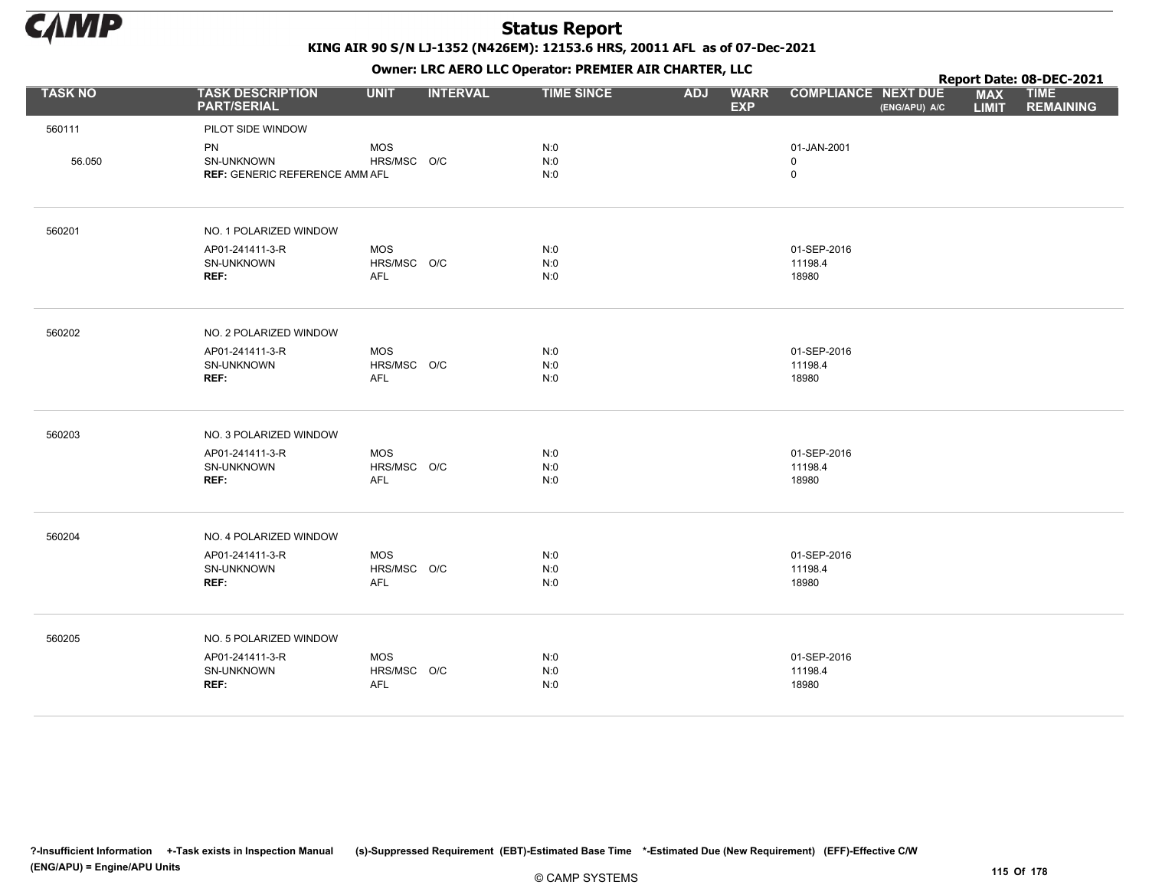

KING AIR 90 S/N LJ-1352 (N426EM): 12153.6 HRS, 20011 AFL as of 07-Dec-2021

Owner: LRC AERO LLC Operator: PREMIER AIR CHARTER, LLC

|                |                                                                  |                                         |                 | <b>OWNER.</b> LIVE ALIVE LLC Operator. FIXEPILER AIR CHARTER, LLC |            |                           |                                 |               |                            | Report Date: 08-DEC-2021        |
|----------------|------------------------------------------------------------------|-----------------------------------------|-----------------|-------------------------------------------------------------------|------------|---------------------------|---------------------------------|---------------|----------------------------|---------------------------------|
| <b>TASK NO</b> | <b>TASK DESCRIPTION</b><br><b>PART/SERIAL</b>                    | <b>UNIT</b>                             | <b>INTERVAL</b> | <b>TIME SINCE</b>                                                 | <b>ADJ</b> | <b>WARR</b><br><b>EXP</b> | <b>COMPLIANCE NEXT DUE</b>      | (ENG/APU) A/C | <b>MAX</b><br><b>LIMIT</b> | <b>TIME</b><br><b>REMAINING</b> |
| 560111         | PILOT SIDE WINDOW                                                |                                         |                 |                                                                   |            |                           |                                 |               |                            |                                 |
| 56.050         | <b>PN</b><br>SN-UNKNOWN<br><b>REF: GENERIC REFERENCE AMM AFL</b> | <b>MOS</b><br>HRS/MSC O/C               |                 | N:0<br>N:0<br>N:0                                                 |            |                           | 01-JAN-2001<br>0<br>$\mathsf 0$ |               |                            |                                 |
| 560201         | NO. 1 POLARIZED WINDOW                                           |                                         |                 |                                                                   |            |                           |                                 |               |                            |                                 |
|                | AP01-241411-3-R<br>SN-UNKNOWN<br>REF:                            | <b>MOS</b><br>HRS/MSC O/C<br><b>AFL</b> |                 | N:0<br>N:0<br>N:0                                                 |            |                           | 01-SEP-2016<br>11198.4<br>18980 |               |                            |                                 |
| 560202         | NO. 2 POLARIZED WINDOW                                           |                                         |                 |                                                                   |            |                           |                                 |               |                            |                                 |
|                | AP01-241411-3-R<br>SN-UNKNOWN<br>REF:                            | <b>MOS</b><br>HRS/MSC O/C<br>AFL        |                 | N:0<br>N:0<br>N:0                                                 |            |                           | 01-SEP-2016<br>11198.4<br>18980 |               |                            |                                 |
| 560203         | NO. 3 POLARIZED WINDOW                                           |                                         |                 |                                                                   |            |                           |                                 |               |                            |                                 |
|                | AP01-241411-3-R<br>SN-UNKNOWN<br>REF:                            | <b>MOS</b><br>HRS/MSC O/C<br>AFL        |                 | N:0<br>N:0<br>N:0                                                 |            |                           | 01-SEP-2016<br>11198.4<br>18980 |               |                            |                                 |
| 560204         | NO. 4 POLARIZED WINDOW                                           |                                         |                 |                                                                   |            |                           |                                 |               |                            |                                 |
|                | AP01-241411-3-R<br>SN-UNKNOWN<br>REF:                            | <b>MOS</b><br>HRS/MSC O/C<br><b>AFL</b> |                 | N:0<br>N:0<br>N:0                                                 |            |                           | 01-SEP-2016<br>11198.4<br>18980 |               |                            |                                 |
| 560205         | NO. 5 POLARIZED WINDOW                                           |                                         |                 |                                                                   |            |                           |                                 |               |                            |                                 |
|                | AP01-241411-3-R<br>SN-UNKNOWN<br>REF:                            | <b>MOS</b><br>HRS/MSC O/C<br>AFL        |                 | N:0<br>N:0<br>N:0                                                 |            |                           | 01-SEP-2016<br>11198.4<br>18980 |               |                            |                                 |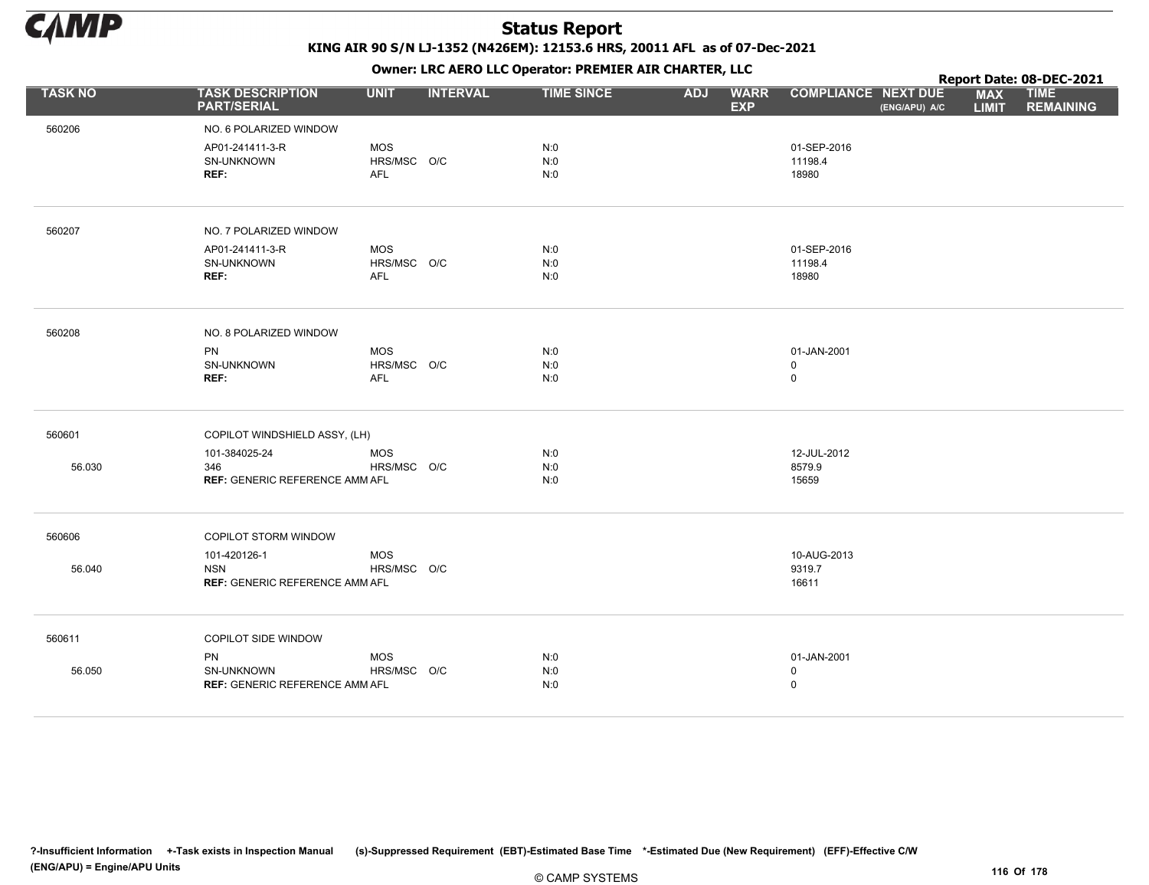

Owner: LRC AERO LLC Operator: PREMIER AIR CHARTER, LLC

|                |                                                                         |                                         |                 | OWHER, LKC AERO LLC OPERATOR, PREPILER AIR CHARTER, LLC |                                         |                                  |               |                            | Report Date: 08-DEC-2021        |
|----------------|-------------------------------------------------------------------------|-----------------------------------------|-----------------|---------------------------------------------------------|-----------------------------------------|----------------------------------|---------------|----------------------------|---------------------------------|
| <b>TASK NO</b> | <b>TASK DESCRIPTION</b><br><b>PART/SERIAL</b>                           | <b>UNIT</b>                             | <b>INTERVAL</b> | <b>TIME SINCE</b>                                       | <b>WARR</b><br><b>ADJ</b><br><b>EXP</b> | <b>COMPLIANCE NEXT DUE</b>       | (ENG/APU) A/C | <b>MAX</b><br><b>LIMIT</b> | <b>TIME</b><br><b>REMAINING</b> |
| 560206         | NO. 6 POLARIZED WINDOW                                                  |                                         |                 |                                                         |                                         |                                  |               |                            |                                 |
|                | AP01-241411-3-R<br>SN-UNKNOWN<br>REF:                                   | <b>MOS</b><br>HRS/MSC O/C<br><b>AFL</b> |                 | N:0<br>N:0<br>N:0                                       |                                         | 01-SEP-2016<br>11198.4<br>18980  |               |                            |                                 |
| 560207         | NO. 7 POLARIZED WINDOW                                                  |                                         |                 |                                                         |                                         |                                  |               |                            |                                 |
|                | AP01-241411-3-R<br>SN-UNKNOWN<br>REF:                                   | <b>MOS</b><br>HRS/MSC O/C<br><b>AFL</b> |                 | N:0<br>N:0<br>N:0                                       |                                         | 01-SEP-2016<br>11198.4<br>18980  |               |                            |                                 |
| 560208         | NO. 8 POLARIZED WINDOW                                                  |                                         |                 |                                                         |                                         |                                  |               |                            |                                 |
|                | PN<br>SN-UNKNOWN<br>REF:                                                | <b>MOS</b><br>HRS/MSC O/C<br>AFL        |                 | N:0<br>N:0<br>N:0                                       |                                         | 01-JAN-2001<br>$\mathbf 0$<br>0  |               |                            |                                 |
| 560601         | COPILOT WINDSHIELD ASSY, (LH)                                           |                                         |                 |                                                         |                                         |                                  |               |                            |                                 |
| 56.030         | 101-384025-24<br>346<br><b>REF: GENERIC REFERENCE AMM AFL</b>           | <b>MOS</b><br>HRS/MSC O/C               |                 | N:0<br>N:0<br>N:0                                       |                                         | 12-JUL-2012<br>8579.9<br>15659   |               |                            |                                 |
| 560606         | COPILOT STORM WINDOW                                                    |                                         |                 |                                                         |                                         |                                  |               |                            |                                 |
| 56.040         | 101-420126-1<br><b>NSN</b><br><b>REF: GENERIC REFERENCE AMM AFL</b>     | <b>MOS</b><br>HRS/MSC O/C               |                 |                                                         |                                         | 10-AUG-2013<br>9319.7<br>16611   |               |                            |                                 |
| 560611         | <b>COPILOT SIDE WINDOW</b>                                              |                                         |                 |                                                         |                                         |                                  |               |                            |                                 |
| 56.050         | <b>PN</b><br><b>SN-UNKNOWN</b><br><b>REF: GENERIC REFERENCE AMM AFL</b> | <b>MOS</b><br>HRS/MSC O/C               |                 | N:0<br>N:0<br>N:0                                       |                                         | 01-JAN-2001<br>0<br>$\mathsf{O}$ |               |                            |                                 |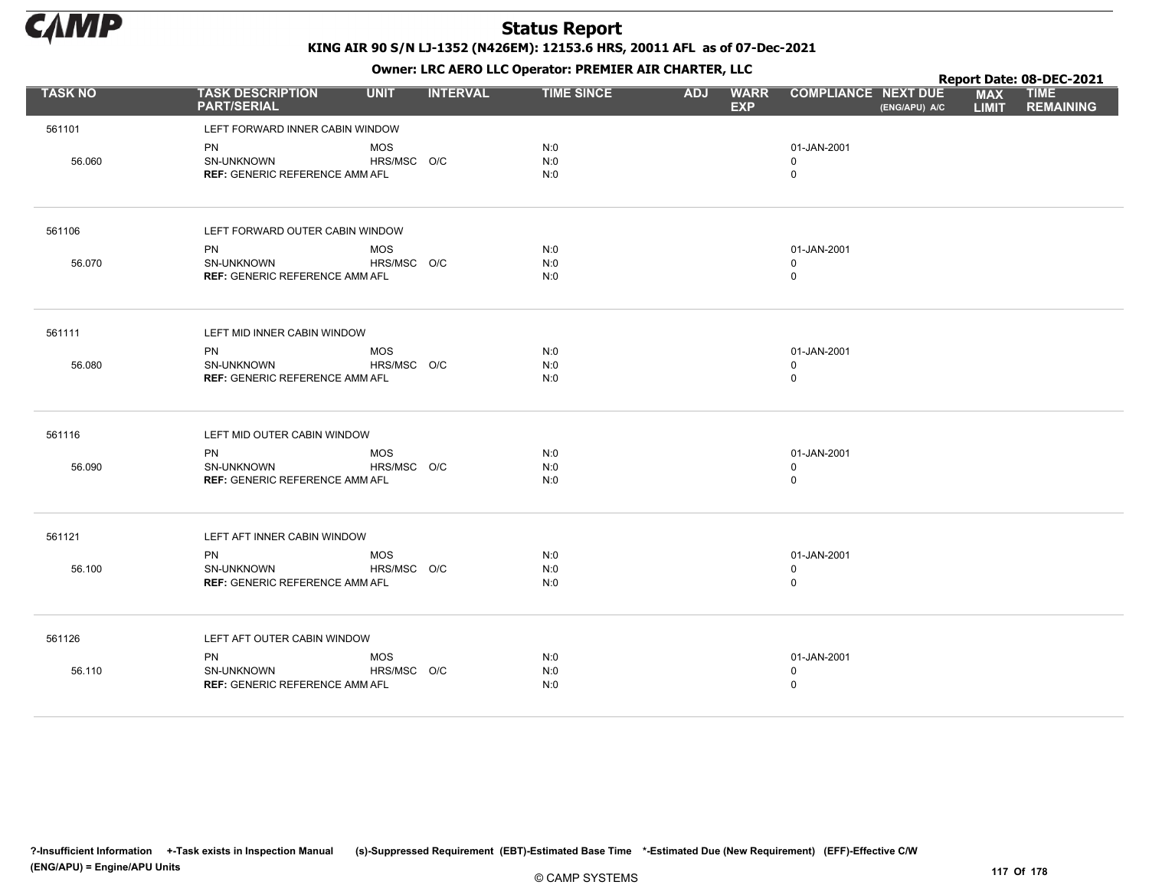

|                |                                               |             |                 |                   | . .        |                           |                                             |                            | Report Date: 08-DEC-2021        |
|----------------|-----------------------------------------------|-------------|-----------------|-------------------|------------|---------------------------|---------------------------------------------|----------------------------|---------------------------------|
| <b>TASK NO</b> | <b>TASK DESCRIPTION</b><br><b>PART/SERIAL</b> | <b>UNIT</b> | <b>INTERVAL</b> | <b>TIME SINCE</b> | <b>ADJ</b> | <b>WARR</b><br><b>EXP</b> | <b>COMPLIANCE NEXT DUE</b><br>(ENG/APU) A/C | <b>MAX</b><br><b>LIMIT</b> | <b>TIME</b><br><b>REMAINING</b> |
| 561101         | LEFT FORWARD INNER CABIN WINDOW               |             |                 |                   |            |                           |                                             |                            |                                 |
|                | PN                                            | <b>MOS</b>  |                 | N:0               |            |                           | 01-JAN-2001                                 |                            |                                 |
| 56.060         | SN-UNKNOWN                                    | HRS/MSC O/C |                 | N:0               |            |                           | 0                                           |                            |                                 |
|                | <b>REF: GENERIC REFERENCE AMM AFL</b>         |             |                 | N:0               |            |                           | $\mathbf 0$                                 |                            |                                 |
| 561106         | LEFT FORWARD OUTER CABIN WINDOW               |             |                 |                   |            |                           |                                             |                            |                                 |
|                | <b>PN</b>                                     | <b>MOS</b>  |                 | N:0               |            |                           | 01-JAN-2001                                 |                            |                                 |
| 56.070         | <b>SN-UNKNOWN</b>                             | HRS/MSC O/C |                 | N:0               |            |                           | $\mathbf 0$                                 |                            |                                 |
|                | <b>REF: GENERIC REFERENCE AMM AFL</b>         |             |                 | N:0               |            |                           | $\pmb{0}$                                   |                            |                                 |
| 561111         | LEFT MID INNER CABIN WINDOW                   |             |                 |                   |            |                           |                                             |                            |                                 |
|                | <b>PN</b>                                     | <b>MOS</b>  |                 | N:0               |            |                           | 01-JAN-2001                                 |                            |                                 |
| 56.080         | SN-UNKNOWN                                    | HRS/MSC O/C |                 | N:0               |            |                           | $\mathbf 0$                                 |                            |                                 |
|                | <b>REF: GENERIC REFERENCE AMM AFL</b>         |             |                 | N:0               |            |                           | $\mathbf 0$                                 |                            |                                 |
| 561116         | LEFT MID OUTER CABIN WINDOW                   |             |                 |                   |            |                           |                                             |                            |                                 |
|                | <b>PN</b>                                     | <b>MOS</b>  |                 | N:0               |            |                           | 01-JAN-2001                                 |                            |                                 |
| 56.090         | SN-UNKNOWN                                    | HRS/MSC O/C |                 | N:0               |            |                           | $\mathbf 0$                                 |                            |                                 |
|                | <b>REF: GENERIC REFERENCE AMM AFL</b>         |             |                 | N:0               |            |                           | $\mathbf 0$                                 |                            |                                 |
| 561121         | LEFT AFT INNER CABIN WINDOW                   |             |                 |                   |            |                           |                                             |                            |                                 |
|                | PN                                            | <b>MOS</b>  |                 | N:0               |            |                           | 01-JAN-2001                                 |                            |                                 |
| 56.100         | SN-UNKNOWN                                    | HRS/MSC O/C |                 | N:0               |            |                           | $\mathbf 0$                                 |                            |                                 |
|                | <b>REF: GENERIC REFERENCE AMM AFL</b>         |             |                 | N:0               |            |                           | $\mathbf 0$                                 |                            |                                 |
| 561126         | LEFT AFT OUTER CABIN WINDOW                   |             |                 |                   |            |                           |                                             |                            |                                 |
|                | PN                                            | <b>MOS</b>  |                 | N:0               |            |                           | 01-JAN-2001                                 |                            |                                 |
| 56.110         | SN-UNKNOWN                                    | HRS/MSC O/C |                 | N:0               |            |                           | $\mathbf 0$                                 |                            |                                 |
|                | <b>REF: GENERIC REFERENCE AMM AFL</b>         |             |                 | N:0               |            |                           | $\mathbf 0$                                 |                            |                                 |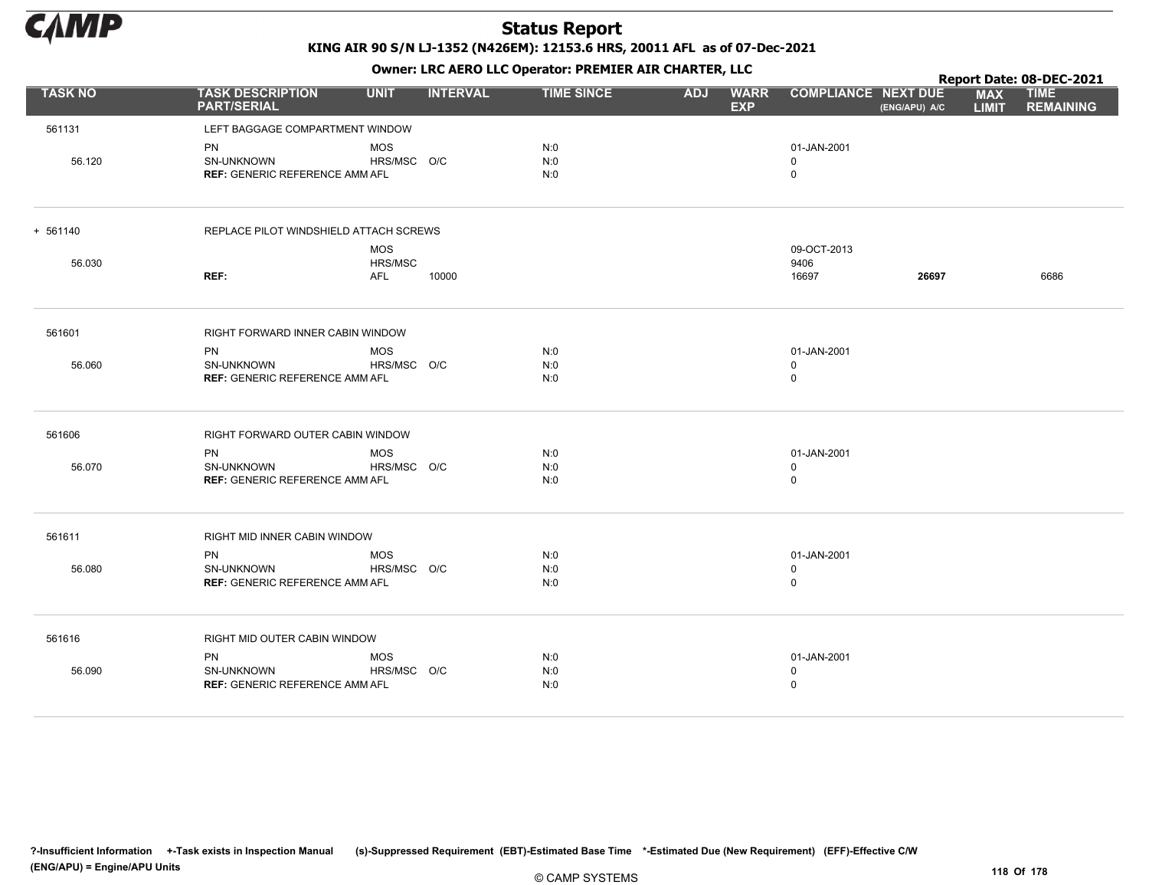

|                |                                               |             |                 |                   |            | . .                       |                            |               |                            | Report Date: 08-DEC-2021        |
|----------------|-----------------------------------------------|-------------|-----------------|-------------------|------------|---------------------------|----------------------------|---------------|----------------------------|---------------------------------|
| <b>TASK NO</b> | <b>TASK DESCRIPTION</b><br><b>PART/SERIAL</b> | <b>UNIT</b> | <b>INTERVAL</b> | <b>TIME SINCE</b> | <b>ADJ</b> | <b>WARR</b><br><b>EXP</b> | <b>COMPLIANCE NEXT DUE</b> | (ENG/APU) A/C | <b>MAX</b><br><b>LIMIT</b> | <b>TIME</b><br><b>REMAINING</b> |
| 561131         | LEFT BAGGAGE COMPARTMENT WINDOW               |             |                 |                   |            |                           |                            |               |                            |                                 |
|                | PN                                            | <b>MOS</b>  |                 | N:0               |            |                           | 01-JAN-2001                |               |                            |                                 |
| 56.120         | SN-UNKNOWN                                    | HRS/MSC O/C |                 | N:0               |            |                           | 0                          |               |                            |                                 |
|                | <b>REF: GENERIC REFERENCE AMM AFL</b>         |             |                 | N:0               |            |                           | $\mathsf 0$                |               |                            |                                 |
| $+ 561140$     | REPLACE PILOT WINDSHIELD ATTACH SCREWS        |             |                 |                   |            |                           |                            |               |                            |                                 |
|                |                                               | <b>MOS</b>  |                 |                   |            |                           | 09-OCT-2013                |               |                            |                                 |
| 56.030         |                                               | HRS/MSC     |                 |                   |            |                           | 9406                       |               |                            |                                 |
|                | REF:                                          | <b>AFL</b>  | 10000           |                   |            |                           | 16697                      | 26697         |                            | 6686                            |
| 561601         | RIGHT FORWARD INNER CABIN WINDOW              |             |                 |                   |            |                           |                            |               |                            |                                 |
|                | <b>PN</b>                                     | <b>MOS</b>  |                 | N:0               |            |                           | 01-JAN-2001                |               |                            |                                 |
| 56.060         | SN-UNKNOWN                                    | HRS/MSC O/C |                 | N:0               |            |                           | $\mathbf 0$                |               |                            |                                 |
|                | <b>REF: GENERIC REFERENCE AMM AFL</b>         |             |                 | N:0               |            |                           | $\mathsf 0$                |               |                            |                                 |
| 561606         | RIGHT FORWARD OUTER CABIN WINDOW              |             |                 |                   |            |                           |                            |               |                            |                                 |
|                | <b>PN</b>                                     | <b>MOS</b>  |                 | N:0               |            |                           | 01-JAN-2001                |               |                            |                                 |
| 56.070         | SN-UNKNOWN                                    | HRS/MSC O/C |                 | N:0               |            |                           | $\mathbf 0$                |               |                            |                                 |
|                | <b>REF: GENERIC REFERENCE AMM AFL</b>         |             |                 | N:0               |            |                           | $\mathbf 0$                |               |                            |                                 |
| 561611         | RIGHT MID INNER CABIN WINDOW                  |             |                 |                   |            |                           |                            |               |                            |                                 |
|                | PN                                            | <b>MOS</b>  |                 | N:0               |            |                           | 01-JAN-2001                |               |                            |                                 |
| 56.080         | SN-UNKNOWN                                    | HRS/MSC O/C |                 | N:0               |            |                           | $\mathbf 0$                |               |                            |                                 |
|                | <b>REF: GENERIC REFERENCE AMM AFL</b>         |             |                 | N:0               |            |                           | $\mathbf 0$                |               |                            |                                 |
| 561616         | RIGHT MID OUTER CABIN WINDOW                  |             |                 |                   |            |                           |                            |               |                            |                                 |
|                | <b>PN</b>                                     | <b>MOS</b>  |                 | N:0               |            |                           | 01-JAN-2001                |               |                            |                                 |
| 56.090         | SN-UNKNOWN                                    | HRS/MSC O/C |                 | N:0               |            |                           | $\mathbf 0$                |               |                            |                                 |
|                | <b>REF: GENERIC REFERENCE AMM AFL</b>         |             |                 | N:0               |            |                           | $\Omega$                   |               |                            |                                 |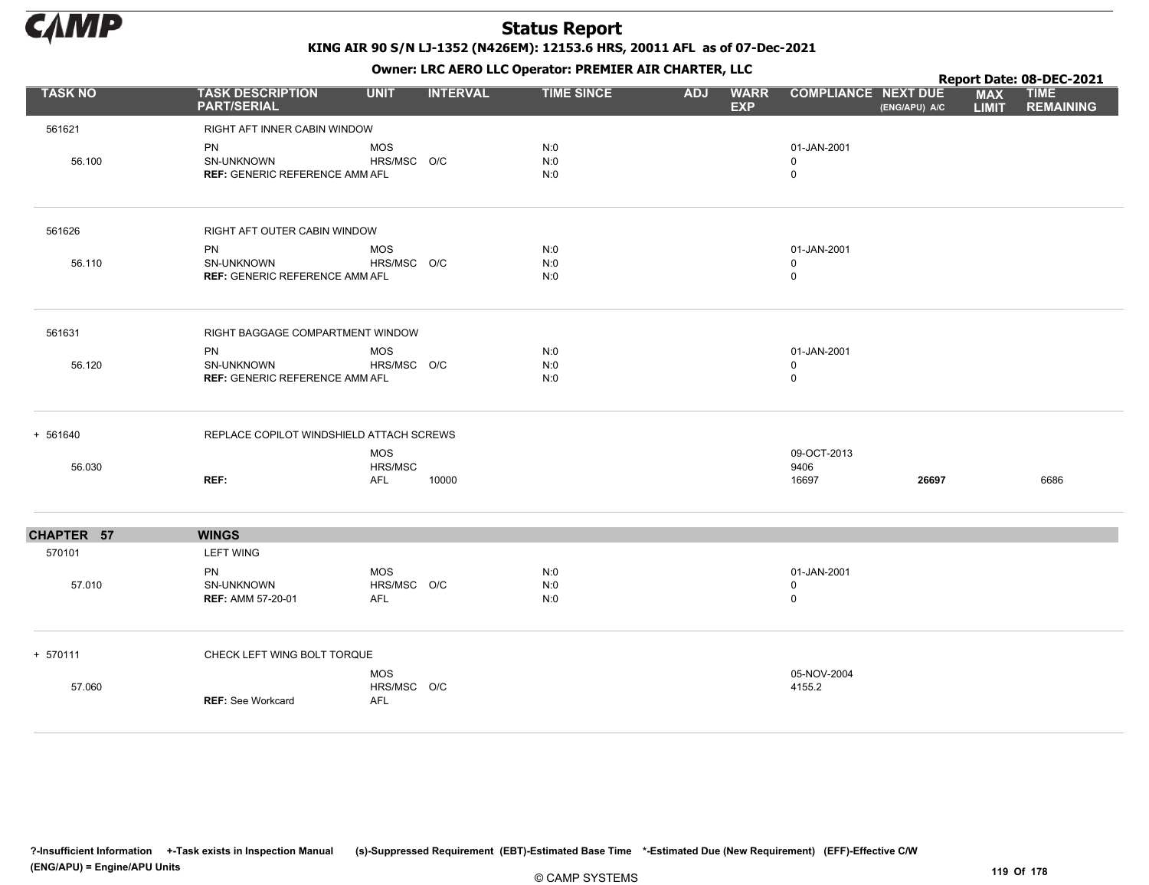

Owner: LRC AERO LLC Operator: PREMIER AIR CHARTER, LLC

|                |                                                           |                                         |                 |                   |            | $\mathbf{r}$              |                                           |               |                            | Report Date: 08-DEC-2021        |
|----------------|-----------------------------------------------------------|-----------------------------------------|-----------------|-------------------|------------|---------------------------|-------------------------------------------|---------------|----------------------------|---------------------------------|
| <b>TASK NO</b> | <b>TASK DESCRIPTION</b><br><b>PART/SERIAL</b>             | <b>UNIT</b>                             | <b>INTERVAL</b> | <b>TIME SINCE</b> | <b>ADJ</b> | <b>WARR</b><br><b>EXP</b> | <b>COMPLIANCE NEXT DUE</b>                | (ENG/APU) A/C | <b>MAX</b><br><b>LIMIT</b> | <b>TIME</b><br><b>REMAINING</b> |
| 561621         | RIGHT AFT INNER CABIN WINDOW                              |                                         |                 |                   |            |                           |                                           |               |                            |                                 |
| 56.100         | PN<br>SN-UNKNOWN<br><b>REF: GENERIC REFERENCE AMM AFL</b> | <b>MOS</b><br>HRS/MSC O/C               |                 | N:0<br>N:0<br>N:0 |            |                           | 01-JAN-2001<br>0<br>0                     |               |                            |                                 |
| 561626         | RIGHT AFT OUTER CABIN WINDOW                              |                                         |                 |                   |            |                           |                                           |               |                            |                                 |
| 56.110         | PN<br>SN-UNKNOWN<br><b>REF: GENERIC REFERENCE AMM AFL</b> | <b>MOS</b><br>HRS/MSC O/C               |                 | N:0<br>N:0<br>N:0 |            |                           | 01-JAN-2001<br>$\mathbf 0$<br>$\mathbf 0$ |               |                            |                                 |
| 561631         | RIGHT BAGGAGE COMPARTMENT WINDOW                          |                                         |                 |                   |            |                           |                                           |               |                            |                                 |
| 56.120         | PN<br>SN-UNKNOWN<br><b>REF: GENERIC REFERENCE AMM AFL</b> | <b>MOS</b><br>HRS/MSC O/C               |                 | N:0<br>N:0<br>N:0 |            |                           | 01-JAN-2001<br>0<br>0                     |               |                            |                                 |
| + 561640       | REPLACE COPILOT WINDSHIELD ATTACH SCREWS                  |                                         |                 |                   |            |                           |                                           |               |                            |                                 |
| 56.030         | REF:                                                      | <b>MOS</b><br>HRS/MSC<br><b>AFL</b>     | 10000           |                   |            |                           | 09-OCT-2013<br>9406<br>16697              | 26697         |                            | 6686                            |
| CHAPTER 57     | <b>WINGS</b>                                              |                                         |                 |                   |            |                           |                                           |               |                            |                                 |
| 570101         | <b>LEFT WING</b>                                          |                                         |                 |                   |            |                           |                                           |               |                            |                                 |
| 57.010         | <b>PN</b><br>SN-UNKNOWN<br><b>REF: AMM 57-20-01</b>       | <b>MOS</b><br>HRS/MSC O/C<br>AFL        |                 | N:0<br>N:0<br>N:0 |            |                           | 01-JAN-2001<br>0<br>0                     |               |                            |                                 |
| + 570111       | CHECK LEFT WING BOLT TORQUE                               |                                         |                 |                   |            |                           |                                           |               |                            |                                 |
| 57.060         | <b>REF: See Workcard</b>                                  | <b>MOS</b><br>HRS/MSC O/C<br><b>AFL</b> |                 |                   |            |                           | 05-NOV-2004<br>4155.2                     |               |                            |                                 |

?-Insufficient Information +-Task exists in Inspection Manual (s)-Suppressed Requirement (EBT)-Estimated Base Time \*-Estimated Due (New Requirement) (EFF)-Effective C/W (ENG/APU) = Engine/APU Units 119 Of 178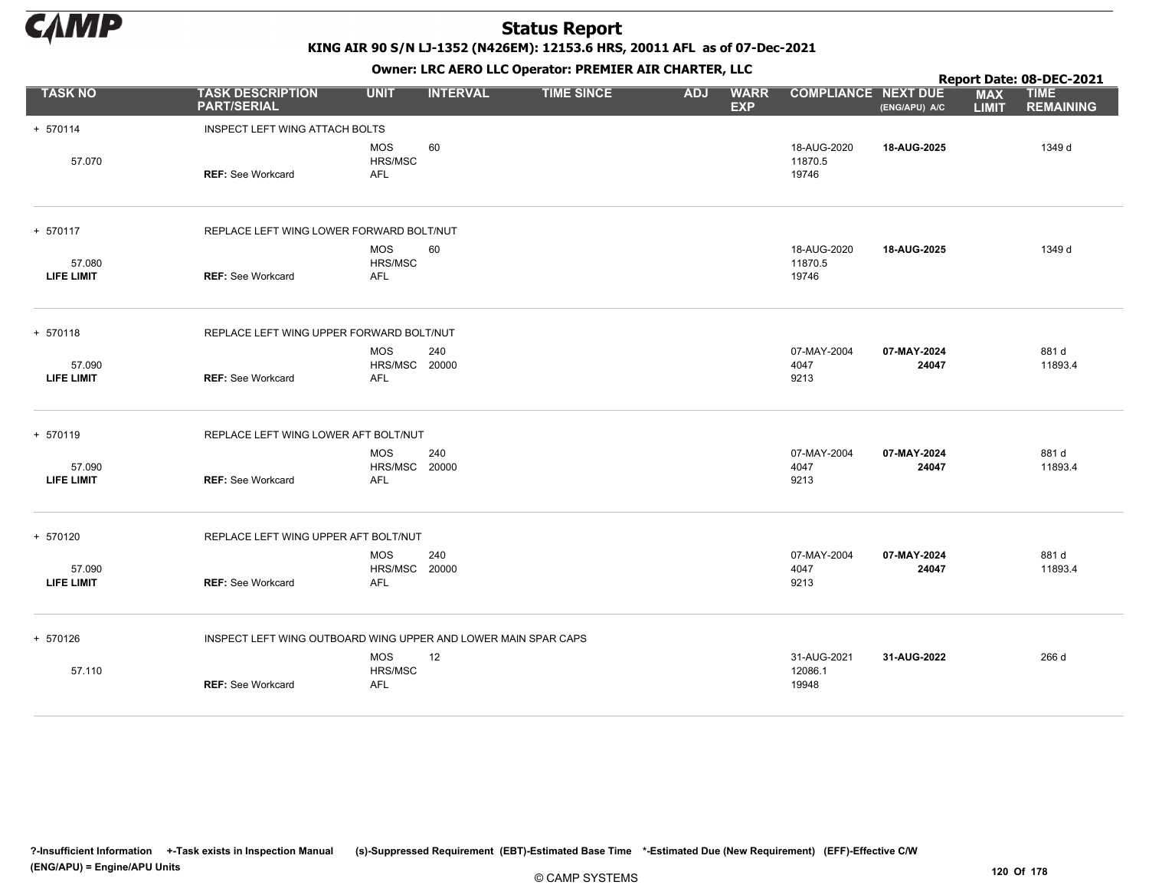

KING AIR 90 S/N LJ-1352 (N426EM): 12153.6 HRS, 20011 AFL as of 07-Dec-2021

Owner: LRC AERO LLC Operator: PREMIER AIR CHARTER, LLC

| <b>TASK DESCRIPTION</b><br><b>PART/SERIAL</b> | <b>UNIT</b>                         | <b>INTERVAL</b>                |                                                                                                                                                                                                                                |                                                                |                           |                                 |                      |                            |                                 |
|-----------------------------------------------|-------------------------------------|--------------------------------|--------------------------------------------------------------------------------------------------------------------------------------------------------------------------------------------------------------------------------|----------------------------------------------------------------|---------------------------|---------------------------------|----------------------|----------------------------|---------------------------------|
|                                               |                                     |                                | <b>TIME SINCE</b>                                                                                                                                                                                                              | <b>ADJ</b>                                                     | <b>WARR</b><br><b>EXP</b> | <b>COMPLIANCE NEXT DUE</b>      | (ENG/APU) A/C        | <b>MAX</b><br><b>LIMIT</b> | <b>TIME</b><br><b>REMAINING</b> |
|                                               |                                     |                                |                                                                                                                                                                                                                                |                                                                |                           |                                 |                      |                            |                                 |
| <b>REF: See Workcard</b>                      | <b>MOS</b><br>HRS/MSC<br><b>AFL</b> | 60                             |                                                                                                                                                                                                                                |                                                                |                           | 18-AUG-2020<br>11870.5<br>19746 | 18-AUG-2025          |                            | 1349 d                          |
|                                               |                                     |                                |                                                                                                                                                                                                                                |                                                                |                           |                                 |                      |                            |                                 |
| <b>REF: See Workcard</b>                      | <b>MOS</b><br>HRS/MSC<br><b>AFL</b> | 60                             |                                                                                                                                                                                                                                |                                                                |                           | 18-AUG-2020<br>11870.5<br>19746 | 18-AUG-2025          |                            | 1349 d                          |
|                                               |                                     |                                |                                                                                                                                                                                                                                |                                                                |                           |                                 |                      |                            |                                 |
| <b>REF: See Workcard</b>                      | <b>MOS</b><br><b>AFL</b>            | 240                            |                                                                                                                                                                                                                                |                                                                |                           | 07-MAY-2004<br>4047<br>9213     | 07-MAY-2024<br>24047 |                            | 881 d<br>11893.4                |
|                                               |                                     |                                |                                                                                                                                                                                                                                |                                                                |                           |                                 |                      |                            |                                 |
| <b>REF: See Workcard</b>                      | <b>MOS</b><br>AFL                   | 240                            |                                                                                                                                                                                                                                |                                                                |                           | 07-MAY-2004<br>4047<br>9213     | 07-MAY-2024<br>24047 |                            | 881 d<br>11893.4                |
|                                               |                                     |                                |                                                                                                                                                                                                                                |                                                                |                           |                                 |                      |                            |                                 |
| <b>REF: See Workcard</b>                      | <b>MOS</b><br>AFL                   | 240                            |                                                                                                                                                                                                                                |                                                                |                           | 07-MAY-2004<br>4047<br>9213     | 07-MAY-2024<br>24047 |                            | 881 d<br>11893.4                |
|                                               |                                     |                                |                                                                                                                                                                                                                                |                                                                |                           |                                 |                      |                            |                                 |
| <b>REF: See Workcard</b>                      | <b>MOS</b><br>HRS/MSC<br>AFL        | 12                             |                                                                                                                                                                                                                                |                                                                |                           | 31-AUG-2021<br>12086.1<br>19948 | 31-AUG-2022          |                            | 266 d                           |
|                                               |                                     | INSPECT LEFT WING ATTACH BOLTS | REPLACE LEFT WING LOWER FORWARD BOLT/NUT<br>REPLACE LEFT WING UPPER FORWARD BOLT/NUT<br><b>HRS/MSC 20000</b><br>REPLACE LEFT WING LOWER AFT BOLT/NUT<br>HRS/MSC 20000<br>REPLACE LEFT WING UPPER AFT BOLT/NUT<br>HRS/MSC 20000 | INSPECT LEFT WING OUTBOARD WING UPPER AND LOWER MAIN SPAR CAPS |                           |                                 |                      |                            |                                 |

?-Insufficient Information +-Task exists in Inspection Manual (s)-Suppressed Requirement (EBT)-Estimated Base Time \*-Estimated Due (New Requirement) (EFF)-Effective C/W (ENG/APU) = Engine/APU Units 120 Of 178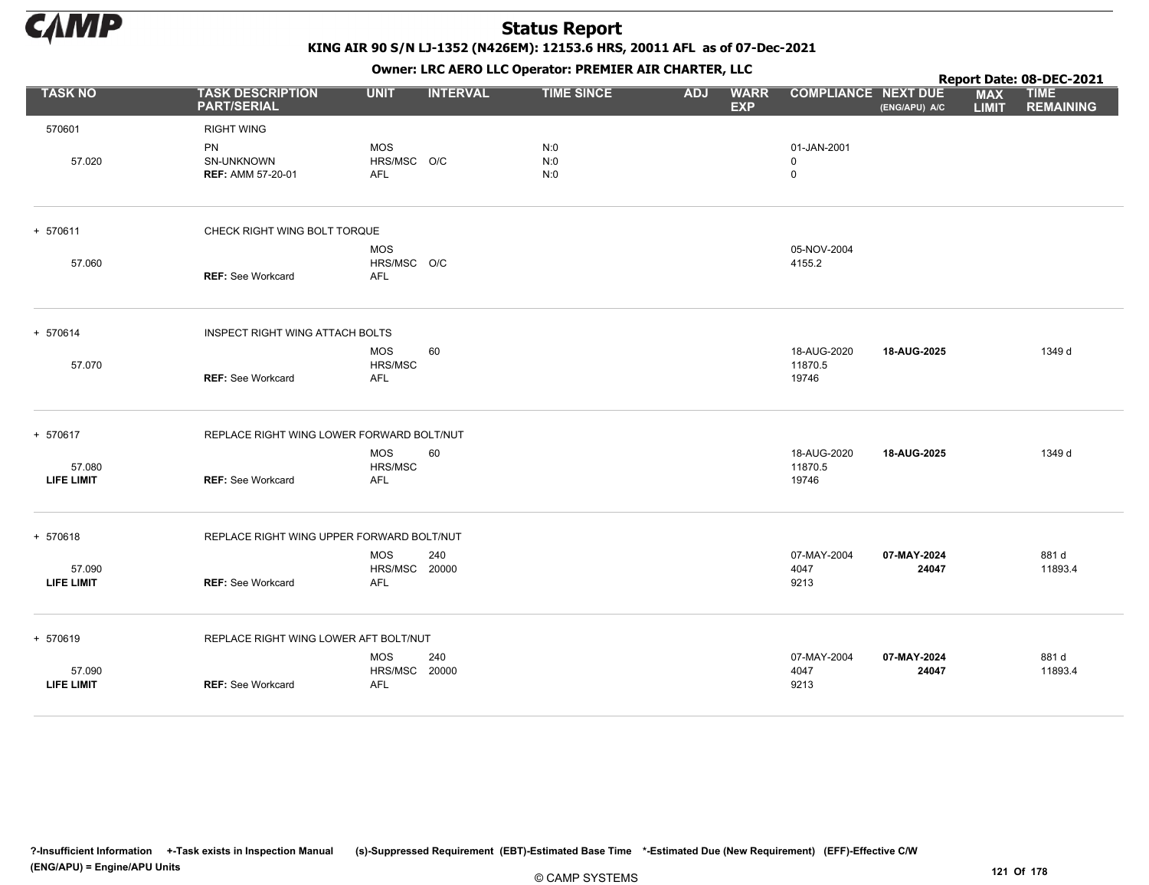

|                             |                                               |                                                  |                 |                   |            |                           |                                 |                      |                            | Report Date: 08-DEC-2021        |
|-----------------------------|-----------------------------------------------|--------------------------------------------------|-----------------|-------------------|------------|---------------------------|---------------------------------|----------------------|----------------------------|---------------------------------|
| <b>TASK NO</b>              | <b>TASK DESCRIPTION</b><br><b>PART/SERIAL</b> | <b>UNIT</b>                                      | <b>INTERVAL</b> | <b>TIME SINCE</b> | <b>ADJ</b> | <b>WARR</b><br><b>EXP</b> | <b>COMPLIANCE NEXT DUE</b>      | (ENG/APU) A/C        | <b>MAX</b><br><b>LIMIT</b> | <b>TIME</b><br><b>REMAINING</b> |
| 570601                      | <b>RIGHT WING</b>                             |                                                  |                 |                   |            |                           |                                 |                      |                            |                                 |
| 57.020                      | PN<br>SN-UNKNOWN<br><b>REF: AMM 57-20-01</b>  | <b>MOS</b><br>HRS/MSC O/C<br><b>AFL</b>          |                 | N:0<br>N:0<br>N:0 |            |                           | 01-JAN-2001<br>0<br>$\mathsf 0$ |                      |                            |                                 |
| + 570611                    | CHECK RIGHT WING BOLT TORQUE                  |                                                  |                 |                   |            |                           |                                 |                      |                            |                                 |
| 57.060                      | <b>REF:</b> See Workcard                      | <b>MOS</b><br>HRS/MSC O/C<br><b>AFL</b>          |                 |                   |            |                           | 05-NOV-2004<br>4155.2           |                      |                            |                                 |
| + 570614                    | INSPECT RIGHT WING ATTACH BOLTS               |                                                  |                 |                   |            |                           |                                 |                      |                            |                                 |
| 57.070                      | <b>REF: See Workcard</b>                      | <b>MOS</b><br>HRS/MSC<br><b>AFL</b>              | 60              |                   |            |                           | 18-AUG-2020<br>11870.5<br>19746 | 18-AUG-2025          |                            | 1349 d                          |
| + 570617                    | REPLACE RIGHT WING LOWER FORWARD BOLT/NUT     |                                                  |                 |                   |            |                           |                                 |                      |                            |                                 |
| 57.080<br><b>LIFE LIMIT</b> | <b>REF: See Workcard</b>                      | <b>MOS</b><br>HRS/MSC<br>AFL                     | 60              |                   |            |                           | 18-AUG-2020<br>11870.5<br>19746 | 18-AUG-2025          |                            | 1349 d                          |
| + 570618                    | REPLACE RIGHT WING UPPER FORWARD BOLT/NUT     |                                                  |                 |                   |            |                           |                                 |                      |                            |                                 |
| 57.090<br>LIFE LIMIT        | <b>REF: See Workcard</b>                      | <b>MOS</b><br><b>HRS/MSC 20000</b><br><b>AFL</b> | 240             |                   |            |                           | 07-MAY-2004<br>4047<br>9213     | 07-MAY-2024<br>24047 |                            | 881 d<br>11893.4                |
| + 570619                    | REPLACE RIGHT WING LOWER AFT BOLT/NUT         |                                                  |                 |                   |            |                           |                                 |                      |                            |                                 |
| 57.090<br><b>LIFE LIMIT</b> | <b>REF: See Workcard</b>                      | <b>MOS</b><br>HRS/MSC 20000<br><b>AFL</b>        | 240             |                   |            |                           | 07-MAY-2004<br>4047<br>9213     | 07-MAY-2024<br>24047 |                            | 881 d<br>11893.4                |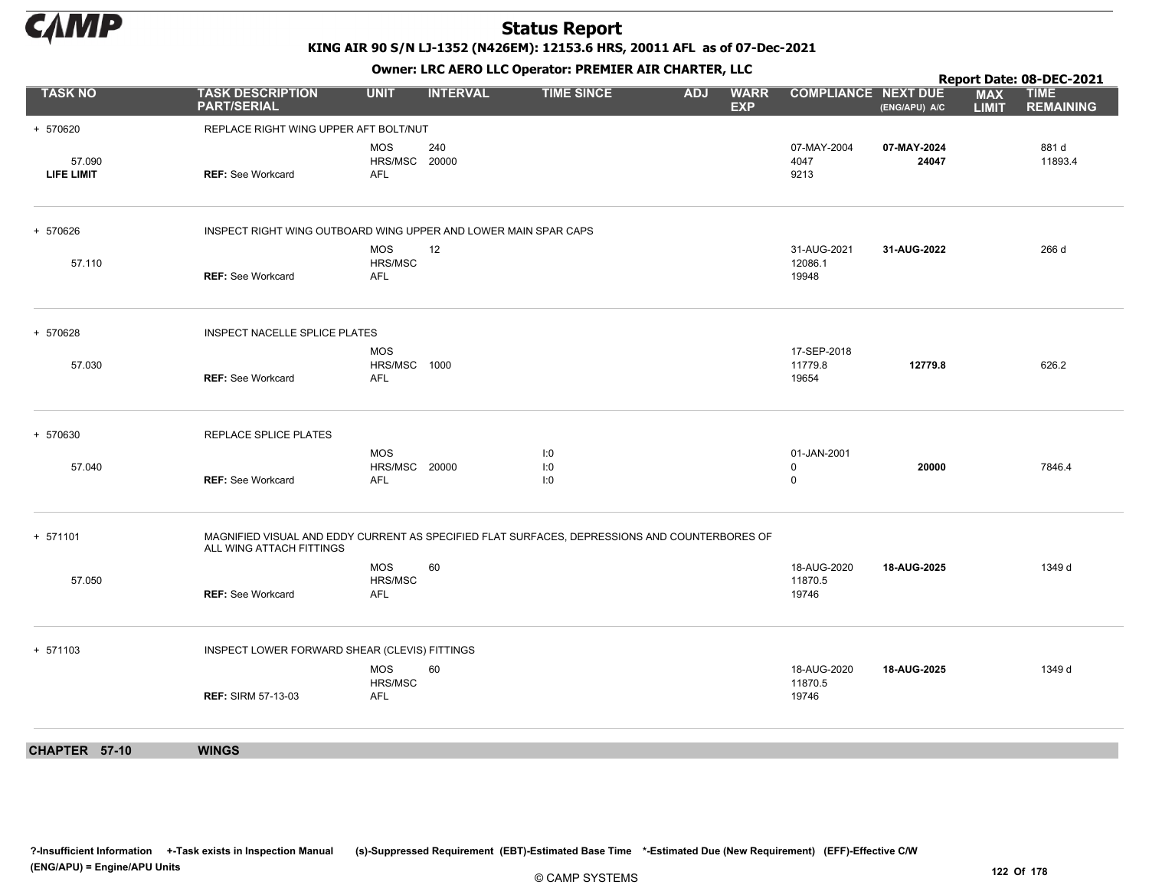

KING AIR 90 S/N LJ-1352 (N426EM): 12153.6 HRS, 20011 AFL as of 07-Dec-2021

|                             |                                                                 |                                           |                 |                                                                                               |            |                           |                                           |                      |                            | Report Date: 08-DEC-2021        |
|-----------------------------|-----------------------------------------------------------------|-------------------------------------------|-----------------|-----------------------------------------------------------------------------------------------|------------|---------------------------|-------------------------------------------|----------------------|----------------------------|---------------------------------|
| <b>TASK NO</b>              | <b>TASK DESCRIPTION</b><br><b>PART/SERIAL</b>                   | <b>UNIT</b>                               | <b>INTERVAL</b> | <b>TIME SINCE</b>                                                                             | <b>ADJ</b> | <b>WARR</b><br><b>EXP</b> | <b>COMPLIANCE NEXT DUE</b>                | (ENG/APU) A/C        | <b>MAX</b><br><b>LIMIT</b> | <b>TIME</b><br><b>REMAINING</b> |
| + 570620                    | REPLACE RIGHT WING UPPER AFT BOLT/NUT                           |                                           |                 |                                                                                               |            |                           |                                           |                      |                            |                                 |
| 57.090<br><b>LIFE LIMIT</b> | <b>REF: See Workcard</b>                                        | <b>MOS</b><br>HRS/MSC 20000<br><b>AFL</b> | 240             |                                                                                               |            |                           | 07-MAY-2004<br>4047<br>9213               | 07-MAY-2024<br>24047 |                            | 881 d<br>11893.4                |
| + 570626                    | INSPECT RIGHT WING OUTBOARD WING UPPER AND LOWER MAIN SPAR CAPS |                                           |                 |                                                                                               |            |                           |                                           |                      |                            |                                 |
| 57.110                      | <b>REF: See Workcard</b>                                        | <b>MOS</b><br>HRS/MSC<br>AFL              | 12              |                                                                                               |            |                           | 31-AUG-2021<br>12086.1<br>19948           | 31-AUG-2022          |                            | 266 d                           |
| + 570628                    | INSPECT NACELLE SPLICE PLATES                                   |                                           |                 |                                                                                               |            |                           |                                           |                      |                            |                                 |
| 57.030                      | <b>REF: See Workcard</b>                                        | <b>MOS</b><br>HRS/MSC 1000<br>AFL         |                 |                                                                                               |            |                           | 17-SEP-2018<br>11779.8<br>19654           | 12779.8              |                            | 626.2                           |
| + 570630                    | REPLACE SPLICE PLATES                                           |                                           |                 |                                                                                               |            |                           |                                           |                      |                            |                                 |
| 57.040                      | <b>REF: See Workcard</b>                                        | <b>MOS</b><br>HRS/MSC 20000<br><b>AFL</b> |                 | 1:0<br>1:0<br>I:0                                                                             |            |                           | 01-JAN-2001<br>$\mathbf 0$<br>$\mathbf 0$ | 20000                |                            | 7846.4                          |
| + 571101                    | ALL WING ATTACH FITTINGS                                        |                                           |                 | MAGNIFIED VISUAL AND EDDY CURRENT AS SPECIFIED FLAT SURFACES, DEPRESSIONS AND COUNTERBORES OF |            |                           |                                           |                      |                            |                                 |
| 57.050                      | <b>REF: See Workcard</b>                                        | <b>MOS</b><br>HRS/MSC<br><b>AFL</b>       | 60              |                                                                                               |            |                           | 18-AUG-2020<br>11870.5<br>19746           | 18-AUG-2025          |                            | 1349 d                          |
| + 571103                    | INSPECT LOWER FORWARD SHEAR (CLEVIS) FITTINGS                   |                                           |                 |                                                                                               |            |                           |                                           |                      |                            |                                 |
|                             | <b>REF: SIRM 57-13-03</b>                                       | <b>MOS</b><br>HRS/MSC<br>AFL              | 60              |                                                                                               |            |                           | 18-AUG-2020<br>11870.5<br>19746           | 18-AUG-2025          |                            | 1349 d                          |
| CHAPTER 57-10               | <b>WINGS</b>                                                    |                                           |                 |                                                                                               |            |                           |                                           |                      |                            |                                 |
|                             |                                                                 |                                           |                 |                                                                                               |            |                           |                                           |                      |                            |                                 |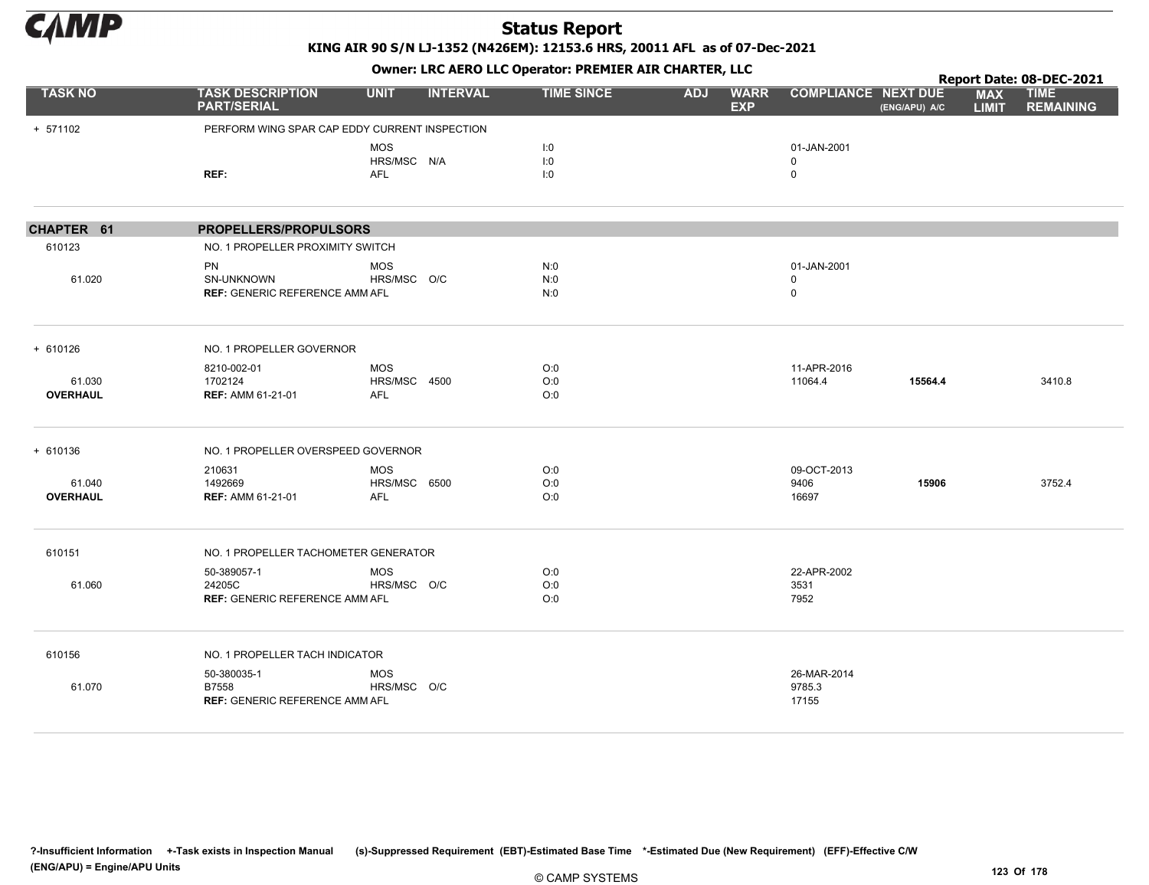

KING AIR 90 S/N LJ-1352 (N426EM): 12153.6 HRS, 20011 AFL as of 07-Dec-2021

|                           |                                                                  | OWHER, LKC AERO LLC OPERATOR, PREPILER AIR CHARTER, LLC<br><b>TASK DESCRIPTION</b><br><b>UNIT</b><br><b>INTERVAL</b><br><b>TIME SINCE</b><br><b>ADJ</b><br><b>WARR</b><br><b>COMPLIANCE NEXT DUE</b><br><b>PART/SERIAL</b><br><b>EXP</b> |  |                   |  |  |                                           |               | Report Date: 08-DEC-2021   |                                 |
|---------------------------|------------------------------------------------------------------|------------------------------------------------------------------------------------------------------------------------------------------------------------------------------------------------------------------------------------------|--|-------------------|--|--|-------------------------------------------|---------------|----------------------------|---------------------------------|
| <b>TASK NO</b>            |                                                                  |                                                                                                                                                                                                                                          |  |                   |  |  |                                           | (ENG/APU) A/C | <b>MAX</b><br><b>LIMIT</b> | <b>TIME</b><br><b>REMAINING</b> |
| + 571102                  | PERFORM WING SPAR CAP EDDY CURRENT INSPECTION                    |                                                                                                                                                                                                                                          |  |                   |  |  |                                           |               |                            |                                 |
|                           | REF:                                                             | MOS<br>HRS/MSC N/A<br><b>AFL</b>                                                                                                                                                                                                         |  | 1:0<br>1:0<br>1:0 |  |  | 01-JAN-2001<br>$\mathbf 0$<br>$\mathbf 0$ |               |                            |                                 |
| CHAPTER 61                | PROPELLERS/PROPULSORS                                            |                                                                                                                                                                                                                                          |  |                   |  |  |                                           |               |                            |                                 |
| 610123                    | NO. 1 PROPELLER PROXIMITY SWITCH                                 |                                                                                                                                                                                                                                          |  |                   |  |  |                                           |               |                            |                                 |
| 61.020                    | <b>PN</b><br>SN-UNKNOWN<br><b>REF: GENERIC REFERENCE AMM AFL</b> | <b>MOS</b><br>HRS/MSC O/C                                                                                                                                                                                                                |  | N:0<br>N:0<br>N:0 |  |  | 01-JAN-2001<br>0<br>0                     |               |                            |                                 |
| $+ 610126$                | NO. 1 PROPELLER GOVERNOR                                         |                                                                                                                                                                                                                                          |  |                   |  |  |                                           |               |                            |                                 |
| 61.030<br><b>OVERHAUL</b> | 8210-002-01<br>1702124<br><b>REF: AMM 61-21-01</b>               | <b>MOS</b><br>HRS/MSC 4500<br><b>AFL</b>                                                                                                                                                                                                 |  | O:0<br>O:0<br>O:0 |  |  | 11-APR-2016<br>11064.4                    | 15564.4       |                            | 3410.8                          |
| $+ 610136$                | NO. 1 PROPELLER OVERSPEED GOVERNOR                               |                                                                                                                                                                                                                                          |  |                   |  |  |                                           |               |                            |                                 |
| 61.040<br><b>OVERHAUL</b> | 210631<br>1492669<br><b>REF: AMM 61-21-01</b>                    | MOS<br>HRS/MSC 6500<br><b>AFL</b>                                                                                                                                                                                                        |  | O:0<br>O:0<br>O:0 |  |  | 09-OCT-2013<br>9406<br>16697              | 15906         |                            | 3752.4                          |
| 610151                    | NO. 1 PROPELLER TACHOMETER GENERATOR                             |                                                                                                                                                                                                                                          |  |                   |  |  |                                           |               |                            |                                 |
| 61.060                    | 50-389057-1<br>24205C<br><b>REF: GENERIC REFERENCE AMM AFL</b>   | <b>MOS</b><br>HRS/MSC O/C                                                                                                                                                                                                                |  | O:0<br>O:0<br>O:0 |  |  | 22-APR-2002<br>3531<br>7952               |               |                            |                                 |
| 610156                    | NO. 1 PROPELLER TACH INDICATOR                                   |                                                                                                                                                                                                                                          |  |                   |  |  |                                           |               |                            |                                 |
| 61.070                    | 50-380035-1<br>B7558<br><b>REF: GENERIC REFERENCE AMM AFL</b>    | <b>MOS</b><br>HRS/MSC O/C                                                                                                                                                                                                                |  |                   |  |  | 26-MAR-2014<br>9785.3<br>17155            |               |                            |                                 |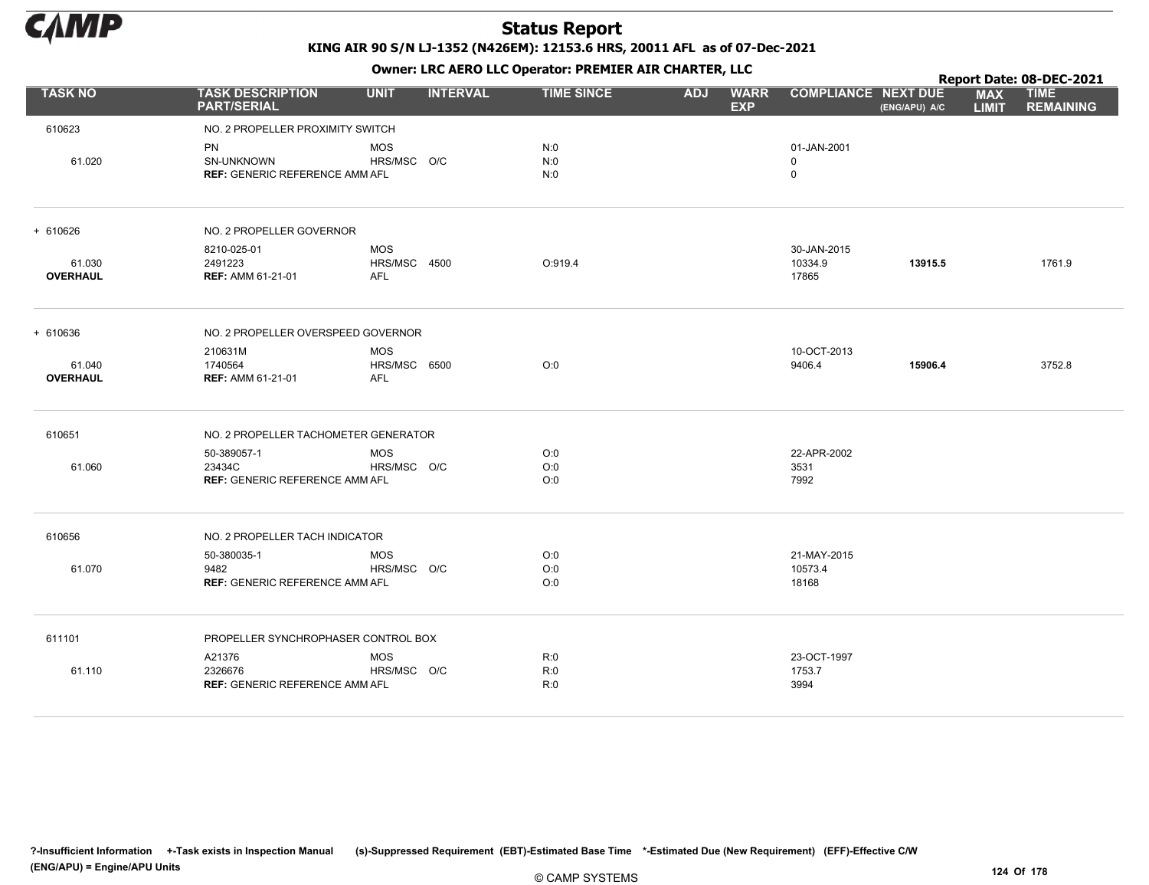

|                           | <b>TASK DESCRIPTION</b><br><b>UNIT</b><br><b>INTERVAL</b><br><b>TIME SINCE</b><br><b>ADJ</b><br><b>COMPLIANCE NEXT DUE</b><br><b>WARR</b><br><b>PART/SERIAL</b><br><b>EXP</b><br>(ENG/APU) A/C |                                          |  |                   | Report Date: 08-DEC-2021 |                                 |         |                            |                                 |
|---------------------------|------------------------------------------------------------------------------------------------------------------------------------------------------------------------------------------------|------------------------------------------|--|-------------------|--------------------------|---------------------------------|---------|----------------------------|---------------------------------|
| <b>TASK NO</b>            |                                                                                                                                                                                                |                                          |  |                   |                          |                                 |         | <b>MAX</b><br><b>LIMIT</b> | <b>TIME</b><br><b>REMAINING</b> |
| 610623                    | NO. 2 PROPELLER PROXIMITY SWITCH                                                                                                                                                               |                                          |  |                   |                          |                                 |         |                            |                                 |
| 61.020                    | PN<br><b>SN-UNKNOWN</b><br><b>REF: GENERIC REFERENCE AMM AFL</b>                                                                                                                               | <b>MOS</b><br>HRS/MSC O/C                |  | N:0<br>N:0<br>N:0 |                          | 01-JAN-2001<br>$\mathbf 0$<br>0 |         |                            |                                 |
| + 610626                  | NO. 2 PROPELLER GOVERNOR                                                                                                                                                                       |                                          |  |                   |                          |                                 |         |                            |                                 |
| 61.030<br><b>OVERHAUL</b> | 8210-025-01<br>2491223<br><b>REF: AMM 61-21-01</b>                                                                                                                                             | <b>MOS</b><br>HRS/MSC 4500<br><b>AFL</b> |  | O:919.4           |                          | 30-JAN-2015<br>10334.9<br>17865 | 13915.5 |                            | 1761.9                          |
| + 610636                  | NO. 2 PROPELLER OVERSPEED GOVERNOR                                                                                                                                                             |                                          |  |                   |                          |                                 |         |                            |                                 |
| 61.040<br><b>OVERHAUL</b> | 210631M<br>1740564<br><b>REF: AMM 61-21-01</b>                                                                                                                                                 | <b>MOS</b><br>HRS/MSC 6500<br><b>AFL</b> |  | O:0               |                          | 10-OCT-2013<br>9406.4           | 15906.4 |                            | 3752.8                          |
| 610651                    | NO. 2 PROPELLER TACHOMETER GENERATOR                                                                                                                                                           |                                          |  |                   |                          |                                 |         |                            |                                 |
| 61.060                    | 50-389057-1<br>23434C<br><b>REF: GENERIC REFERENCE AMM AFL</b>                                                                                                                                 | <b>MOS</b><br>HRS/MSC O/C                |  | O:0<br>O:0<br>O:O |                          | 22-APR-2002<br>3531<br>7992     |         |                            |                                 |
| 610656                    | NO. 2 PROPELLER TACH INDICATOR                                                                                                                                                                 |                                          |  |                   |                          |                                 |         |                            |                                 |
| 61.070                    | 50-380035-1<br>9482<br><b>REF: GENERIC REFERENCE AMM AFL</b>                                                                                                                                   | <b>MOS</b><br>HRS/MSC O/C                |  | O:0<br>O:0<br>O:O |                          | 21-MAY-2015<br>10573.4<br>18168 |         |                            |                                 |
| 611101                    | PROPELLER SYNCHROPHASER CONTROL BOX                                                                                                                                                            |                                          |  |                   |                          |                                 |         |                            |                                 |
| 61.110                    | A21376<br>2326676<br><b>REF: GENERIC REFERENCE AMM AFL</b>                                                                                                                                     | <b>MOS</b><br>HRS/MSC O/C                |  | R:0<br>R:0<br>R:0 |                          | 23-OCT-1997<br>1753.7<br>3994   |         |                            |                                 |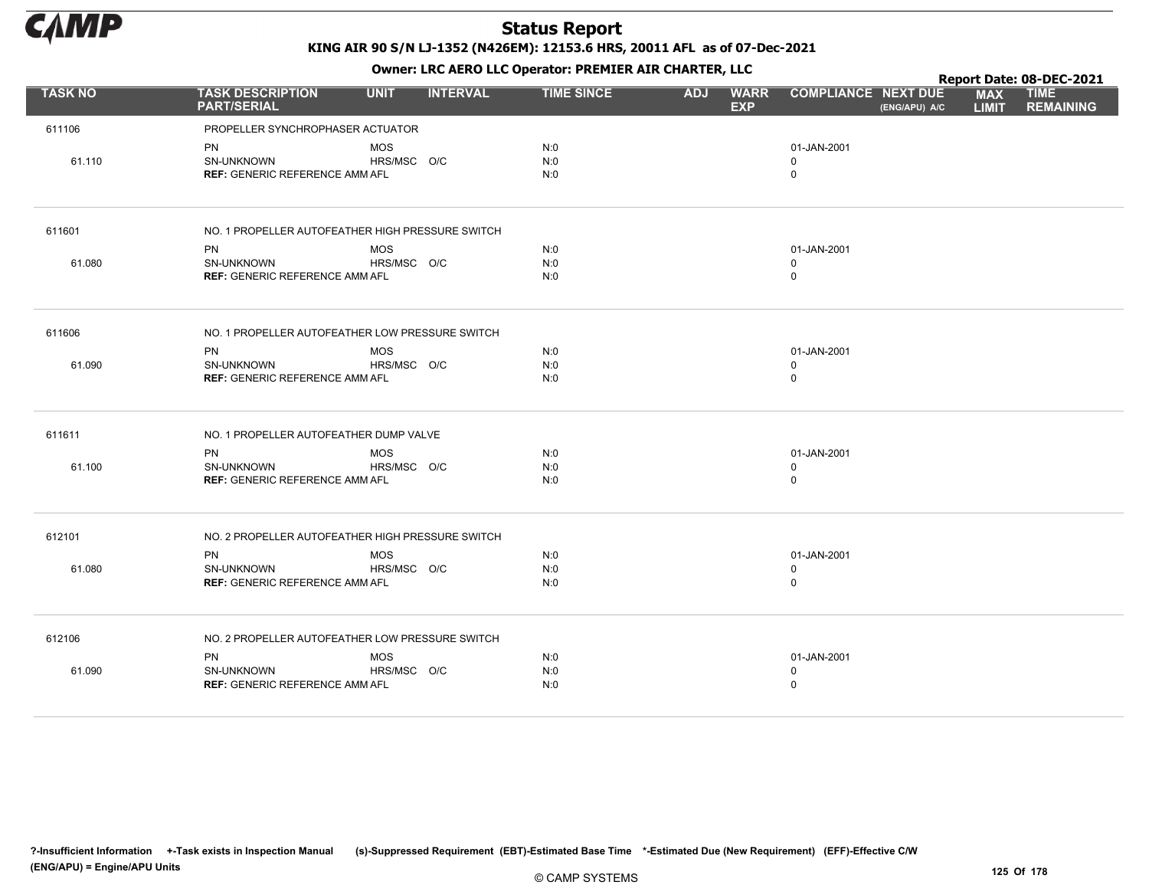

Owner: LRC AERO LLC Operator: PREMIER AIR CHARTER, LLC

|                |                                                                         |                           |                 | OWHER, LKC ALKO LLC OPERATOR. PREPILER AIR CHARTER, LLC |            |                           |                                           |               |                            | Report Date: 08-DEC-2021        |
|----------------|-------------------------------------------------------------------------|---------------------------|-----------------|---------------------------------------------------------|------------|---------------------------|-------------------------------------------|---------------|----------------------------|---------------------------------|
| <b>TASK NO</b> | <b>TASK DESCRIPTION</b><br><b>PART/SERIAL</b>                           | <b>UNIT</b>               | <b>INTERVAL</b> | <b>TIME SINCE</b>                                       | <b>ADJ</b> | <b>WARR</b><br><b>EXP</b> | <b>COMPLIANCE NEXT DUE</b>                | (ENG/APU) A/C | <b>MAX</b><br><b>LIMIT</b> | <b>TIME</b><br><b>REMAINING</b> |
| 611106         | PROPELLER SYNCHROPHASER ACTUATOR                                        |                           |                 |                                                         |            |                           |                                           |               |                            |                                 |
| 61.110         | PN<br>SN-UNKNOWN<br><b>REF: GENERIC REFERENCE AMM AFL</b>               | <b>MOS</b><br>HRS/MSC O/C |                 | N:0<br>N:0<br>N:0                                       |            |                           | 01-JAN-2001<br>$\Omega$<br>$\mathbf 0$    |               |                            |                                 |
| 611601         | NO. 1 PROPELLER AUTOFEATHER HIGH PRESSURE SWITCH                        |                           |                 |                                                         |            |                           |                                           |               |                            |                                 |
|                | <b>PN</b>                                                               | <b>MOS</b>                |                 | N:0                                                     |            |                           | 01-JAN-2001                               |               |                            |                                 |
| 61.080         | SN-UNKNOWN<br><b>REF: GENERIC REFERENCE AMM AFL</b>                     | HRS/MSC O/C               |                 | N:0<br>N:0                                              |            |                           | $\mathbf 0$<br>$\mathbf 0$                |               |                            |                                 |
| 611606         | NO. 1 PROPELLER AUTOFEATHER LOW PRESSURE SWITCH                         |                           |                 |                                                         |            |                           |                                           |               |                            |                                 |
| 61.090         | <b>PN</b><br>SN-UNKNOWN<br><b>REF: GENERIC REFERENCE AMM AFL</b>        | <b>MOS</b><br>HRS/MSC O/C |                 | N:0<br>N:0<br>N:0                                       |            |                           | 01-JAN-2001<br>$\mathbf 0$<br>$\mathbf 0$ |               |                            |                                 |
| 611611         | NO. 1 PROPELLER AUTOFEATHER DUMP VALVE                                  |                           |                 |                                                         |            |                           |                                           |               |                            |                                 |
| 61.100         | PN<br>SN-UNKNOWN<br><b>REF: GENERIC REFERENCE AMM AFL</b>               | <b>MOS</b><br>HRS/MSC O/C |                 | N:0<br>N:0<br>N:0                                       |            |                           | 01-JAN-2001<br>$\mathbf 0$<br>0           |               |                            |                                 |
| 612101         | NO. 2 PROPELLER AUTOFEATHER HIGH PRESSURE SWITCH                        |                           |                 |                                                         |            |                           |                                           |               |                            |                                 |
| 61.080         | <b>PN</b><br><b>SN-UNKNOWN</b><br><b>REF: GENERIC REFERENCE AMM AFL</b> | <b>MOS</b><br>HRS/MSC O/C |                 | N:0<br>N:0<br>N:0                                       |            |                           | 01-JAN-2001<br>$\mathbf 0$<br>0           |               |                            |                                 |
| 612106         | NO. 2 PROPELLER AUTOFEATHER LOW PRESSURE SWITCH                         |                           |                 |                                                         |            |                           |                                           |               |                            |                                 |
| 61.090         | <b>PN</b><br><b>SN-UNKNOWN</b><br><b>REF: GENERIC REFERENCE AMM AFL</b> | <b>MOS</b><br>HRS/MSC O/C |                 | N:0<br>N:0<br>N:0                                       |            |                           | 01-JAN-2001<br>$\mathbf 0$<br>$\pmb{0}$   |               |                            |                                 |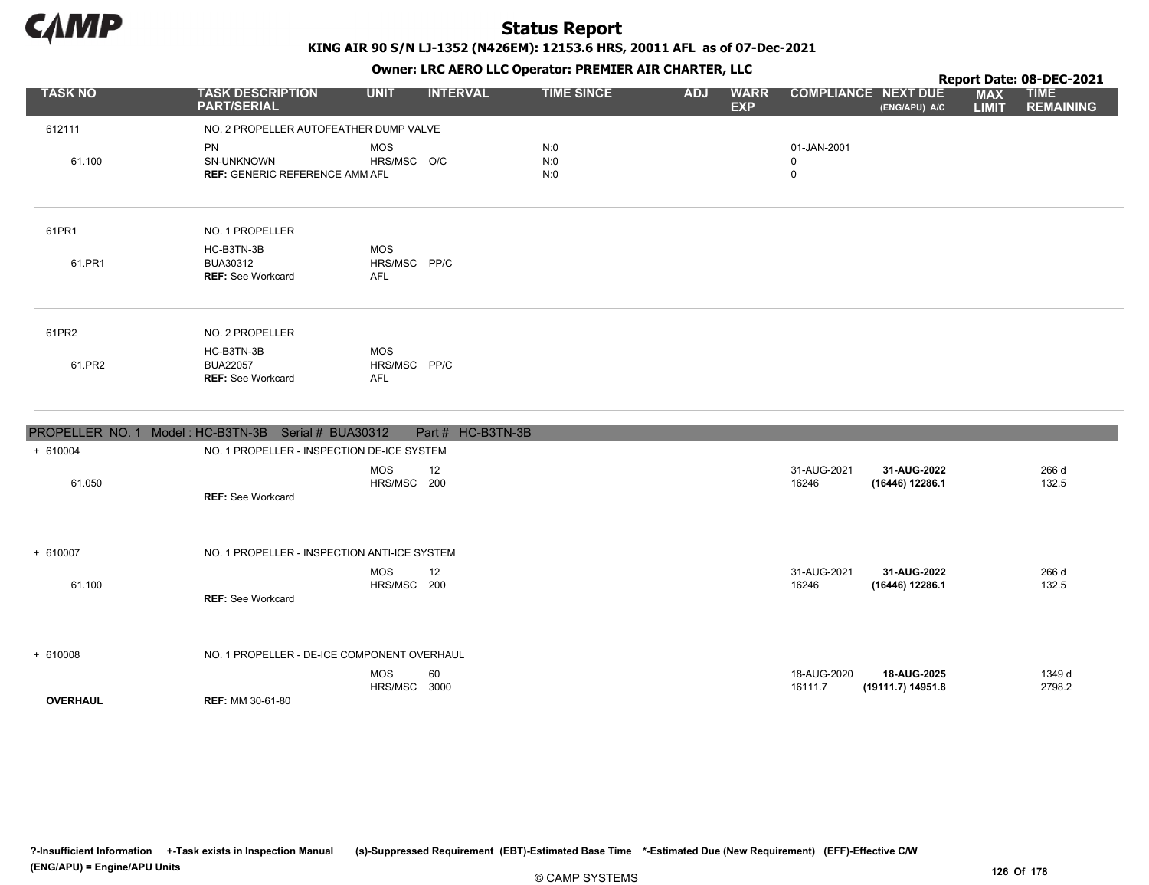

KING AIR 90 S/N LJ-1352 (N426EM): 12153.6 HRS, 20011 AFL as of 07-Dec-2021

Owner: LRC AERO LLC Operator: PREMIER AIR CHARTER, LLC

|                 |                                                           |                                          |                   |                   |            | $\mathbf{r}$              |                                 |                                             |                            | Report Date: 08-DEC-2021        |
|-----------------|-----------------------------------------------------------|------------------------------------------|-------------------|-------------------|------------|---------------------------|---------------------------------|---------------------------------------------|----------------------------|---------------------------------|
| <b>TASK NO</b>  | <b>TASK DESCRIPTION</b><br><b>PART/SERIAL</b>             | <b>UNIT</b>                              | <b>INTERVAL</b>   | <b>TIME SINCE</b> | <b>ADJ</b> | <b>WARR</b><br><b>EXP</b> |                                 | <b>COMPLIANCE NEXT DUE</b><br>(ENG/APU) A/C | <b>MAX</b><br><b>LIMIT</b> | <b>TIME</b><br><b>REMAINING</b> |
| 612111          | NO. 2 PROPELLER AUTOFEATHER DUMP VALVE                    |                                          |                   |                   |            |                           |                                 |                                             |                            |                                 |
| 61.100          | PN<br>SN-UNKNOWN<br><b>REF: GENERIC REFERENCE AMM AFL</b> | <b>MOS</b><br>HRS/MSC O/C                |                   | N:0<br>N:0<br>N:0 |            |                           | 01-JAN-2001<br>0<br>$\mathbf 0$ |                                             |                            |                                 |
| 61PR1           | NO. 1 PROPELLER                                           |                                          |                   |                   |            |                           |                                 |                                             |                            |                                 |
| 61.PR1          | HC-B3TN-3B<br>BUA30312<br><b>REF: See Workcard</b>        | <b>MOS</b><br>HRS/MSC PP/C<br><b>AFL</b> |                   |                   |            |                           |                                 |                                             |                            |                                 |
| 61PR2           | NO. 2 PROPELLER                                           |                                          |                   |                   |            |                           |                                 |                                             |                            |                                 |
| 61.PR2          | HC-B3TN-3B<br><b>BUA22057</b><br><b>REF: See Workcard</b> | <b>MOS</b><br>HRS/MSC PP/C<br><b>AFL</b> |                   |                   |            |                           |                                 |                                             |                            |                                 |
|                 | PROPELLER NO. 1 Model: HC-B3TN-3B Serial # BUA30312       |                                          | Part # HC-B3TN-3B |                   |            |                           |                                 |                                             |                            |                                 |
| $+ 610004$      | NO. 1 PROPELLER - INSPECTION DE-ICE SYSTEM                |                                          |                   |                   |            |                           |                                 |                                             |                            |                                 |
| 61.050          | <b>REF: See Workcard</b>                                  | <b>MOS</b><br>HRS/MSC 200                | 12                |                   |            |                           | 31-AUG-2021<br>16246            | 31-AUG-2022<br>(16446) 12286.1              |                            | 266 d<br>132.5                  |
| + 610007        | NO. 1 PROPELLER - INSPECTION ANTI-ICE SYSTEM              |                                          |                   |                   |            |                           |                                 |                                             |                            |                                 |
| 61.100          | REF: See Workcard                                         | <b>MOS</b><br>HRS/MSC 200                | 12                |                   |            |                           | 31-AUG-2021<br>16246            | 31-AUG-2022<br>(16446) 12286.1              |                            | 266 d<br>132.5                  |
| $+ 610008$      | NO. 1 PROPELLER - DE-ICE COMPONENT OVERHAUL               |                                          |                   |                   |            |                           |                                 |                                             |                            |                                 |
| <b>OVERHAUL</b> | <b>REF: MM 30-61-80</b>                                   | <b>MOS</b><br>HRS/MSC 3000               | 60                |                   |            |                           | 18-AUG-2020<br>16111.7          | 18-AUG-2025<br>(19111.7) 14951.8            |                            | 1349 d<br>2798.2                |

?-Insufficient Information +-Task exists in Inspection Manual (s)-Suppressed Requirement (EBT)-Estimated Base Time \*-Estimated Due (New Requirement) (EFF)-Effective C/W (ENG/APU) = Engine/APU Units 126 Of 178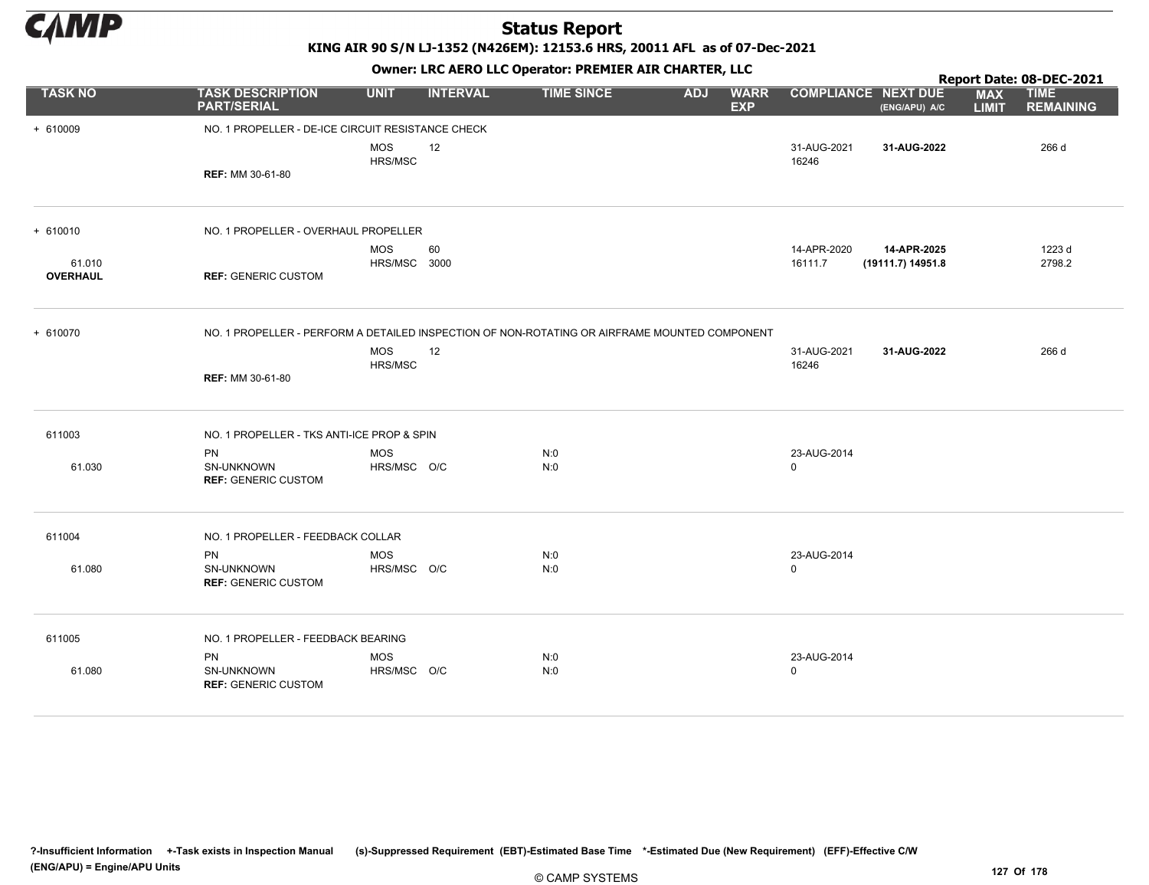

KING AIR 90 S/N LJ-1352 (N426EM): 12153.6 HRS, 20011 AFL as of 07-Dec-2021

|                 |                                                                                               |                            |                 | OWHER LIKE ALKO LLC OPERATOR PREPILER AIR CHARTER, LLC |            |                           |                            |                                  |                            | Report Date: 08-DEC-2021        |
|-----------------|-----------------------------------------------------------------------------------------------|----------------------------|-----------------|--------------------------------------------------------|------------|---------------------------|----------------------------|----------------------------------|----------------------------|---------------------------------|
| <b>TASK NO</b>  | <b>TASK DESCRIPTION</b><br><b>PART/SERIAL</b>                                                 | <b>UNIT</b>                | <b>INTERVAL</b> | <b>TIME SINCE</b>                                      | <b>ADJ</b> | <b>WARR</b><br><b>EXP</b> | <b>COMPLIANCE NEXT DUE</b> | (ENG/APU) A/C                    | <b>MAX</b><br><b>LIMIT</b> | <b>TIME</b><br><b>REMAINING</b> |
| + 610009        | NO. 1 PROPELLER - DE-ICE CIRCUIT RESISTANCE CHECK                                             |                            |                 |                                                        |            |                           |                            |                                  |                            |                                 |
|                 | <b>REF: MM 30-61-80</b>                                                                       | MOS<br>HRS/MSC             | 12              |                                                        |            |                           | 31-AUG-2021<br>16246       | 31-AUG-2022                      |                            | 266 d                           |
|                 |                                                                                               |                            |                 |                                                        |            |                           |                            |                                  |                            |                                 |
| $+ 610010$      | NO. 1 PROPELLER - OVERHAUL PROPELLER                                                          |                            |                 |                                                        |            |                           |                            |                                  |                            |                                 |
| 61.010          |                                                                                               | <b>MOS</b><br>HRS/MSC 3000 | 60              |                                                        |            |                           | 14-APR-2020<br>16111.7     | 14-APR-2025<br>(19111.7) 14951.8 |                            | 1223 d<br>2798.2                |
| <b>OVERHAUL</b> | <b>REF: GENERIC CUSTOM</b>                                                                    |                            |                 |                                                        |            |                           |                            |                                  |                            |                                 |
| + 610070        | NO. 1 PROPELLER - PERFORM A DETAILED INSPECTION OF NON-ROTATING OR AIRFRAME MOUNTED COMPONENT |                            |                 |                                                        |            |                           |                            |                                  |                            |                                 |
|                 |                                                                                               | <b>MOS</b><br>HRS/MSC      | 12              |                                                        |            |                           | 31-AUG-2021<br>16246       | 31-AUG-2022                      |                            | 266 d                           |
|                 | <b>REF: MM 30-61-80</b>                                                                       |                            |                 |                                                        |            |                           |                            |                                  |                            |                                 |
| 611003          | NO. 1 PROPELLER - TKS ANTI-ICE PROP & SPIN                                                    |                            |                 |                                                        |            |                           |                            |                                  |                            |                                 |
| 61.030          | <b>PN</b><br>SN-UNKNOWN<br><b>REF: GENERIC CUSTOM</b>                                         | <b>MOS</b><br>HRS/MSC O/C  |                 | N:0<br>N:0                                             |            |                           | 23-AUG-2014<br>0           |                                  |                            |                                 |
| 611004          | NO. 1 PROPELLER - FEEDBACK COLLAR                                                             |                            |                 |                                                        |            |                           |                            |                                  |                            |                                 |
| 61.080          | <b>PN</b><br>SN-UNKNOWN<br><b>REF: GENERIC CUSTOM</b>                                         | <b>MOS</b><br>HRS/MSC O/C  |                 | N:0<br>N:0                                             |            |                           | 23-AUG-2014<br>$\mathbf 0$ |                                  |                            |                                 |
| 611005          | NO. 1 PROPELLER - FEEDBACK BEARING                                                            |                            |                 |                                                        |            |                           |                            |                                  |                            |                                 |
|                 | <b>PN</b>                                                                                     | <b>MOS</b>                 |                 | N:0                                                    |            |                           | 23-AUG-2014                |                                  |                            |                                 |
| 61.080          | SN-UNKNOWN<br><b>REF: GENERIC CUSTOM</b>                                                      | HRS/MSC O/C                |                 | N:0                                                    |            |                           | $\mathbf 0$                |                                  |                            |                                 |
|                 |                                                                                               |                            |                 |                                                        |            |                           |                            |                                  |                            |                                 |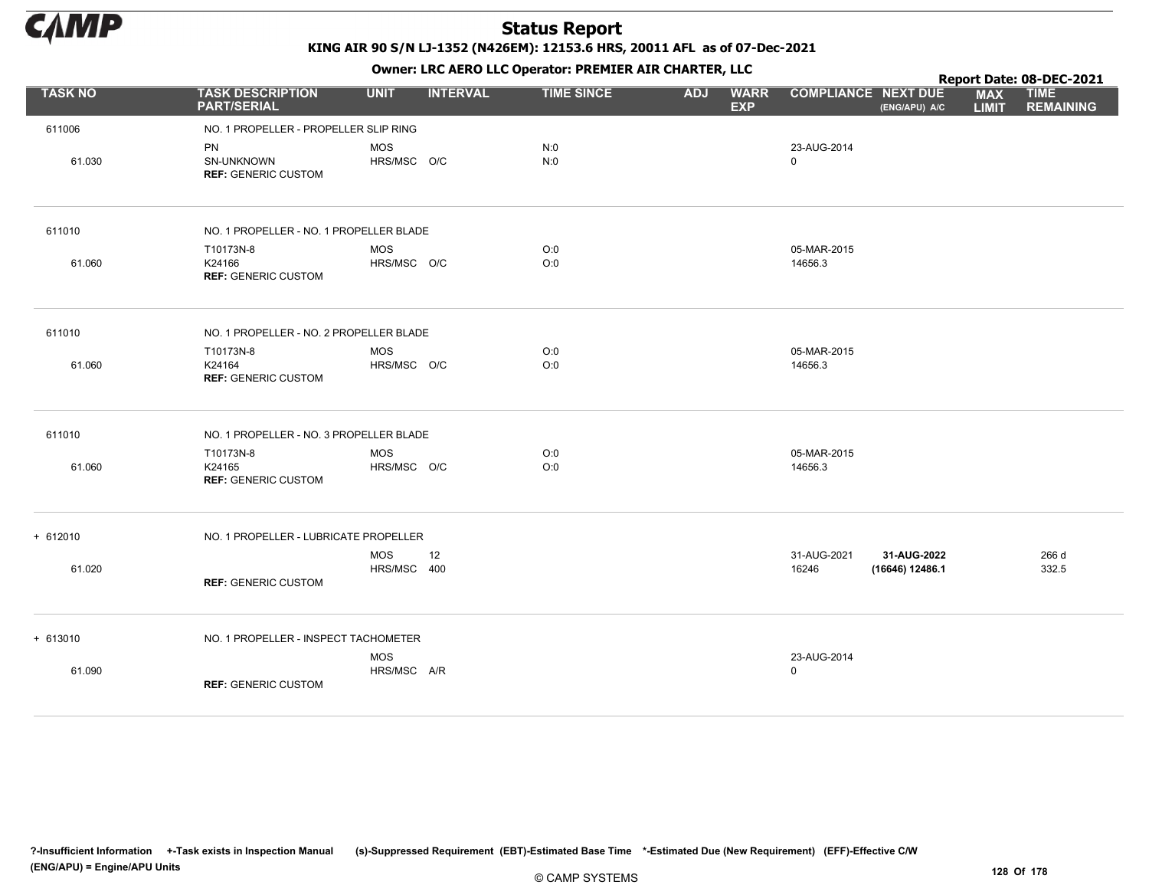

|                |                                                       |                                 |                   |            | . .                       |                            |                                             |                            | Report Date: 08-DEC-2021        |
|----------------|-------------------------------------------------------|---------------------------------|-------------------|------------|---------------------------|----------------------------|---------------------------------------------|----------------------------|---------------------------------|
| <b>TASK NO</b> | <b>TASK DESCRIPTION</b><br><b>PART/SERIAL</b>         | <b>UNIT</b><br><b>INTERVAL</b>  | <b>TIME SINCE</b> | <b>ADJ</b> | <b>WARR</b><br><b>EXP</b> |                            | <b>COMPLIANCE NEXT DUE</b><br>(ENG/APU) A/C | <b>MAX</b><br><b>LIMIT</b> | <b>TIME</b><br><b>REMAINING</b> |
| 611006         | NO. 1 PROPELLER - PROPELLER SLIP RING                 |                                 |                   |            |                           |                            |                                             |                            |                                 |
| 61.030         | <b>PN</b><br>SN-UNKNOWN<br><b>REF: GENERIC CUSTOM</b> | <b>MOS</b><br>HRS/MSC O/C       | N:0<br>N:0        |            |                           | 23-AUG-2014<br>$\mathbf 0$ |                                             |                            |                                 |
| 611010         | NO. 1 PROPELLER - NO. 1 PROPELLER BLADE               |                                 |                   |            |                           |                            |                                             |                            |                                 |
| 61.060         | T10173N-8<br>K24166<br><b>REF: GENERIC CUSTOM</b>     | MOS<br>HRS/MSC O/C              | O:0<br>O:0        |            |                           | 05-MAR-2015<br>14656.3     |                                             |                            |                                 |
| 611010         | NO. 1 PROPELLER - NO. 2 PROPELLER BLADE               |                                 |                   |            |                           |                            |                                             |                            |                                 |
| 61.060         | T10173N-8<br>K24164<br><b>REF: GENERIC CUSTOM</b>     | <b>MOS</b><br>HRS/MSC O/C       | O:0<br>O:0        |            |                           | 05-MAR-2015<br>14656.3     |                                             |                            |                                 |
| 611010         | NO. 1 PROPELLER - NO. 3 PROPELLER BLADE               |                                 |                   |            |                           |                            |                                             |                            |                                 |
| 61.060         | T10173N-8<br>K24165<br><b>REF: GENERIC CUSTOM</b>     | MOS<br>HRS/MSC O/C              | O:0<br>O:0        |            |                           | 05-MAR-2015<br>14656.3     |                                             |                            |                                 |
| $+ 612010$     | NO. 1 PROPELLER - LUBRICATE PROPELLER                 |                                 |                   |            |                           |                            |                                             |                            |                                 |
| 61.020         | <b>REF: GENERIC CUSTOM</b>                            | <b>MOS</b><br>12<br>HRS/MSC 400 |                   |            |                           | 31-AUG-2021<br>16246       | 31-AUG-2022<br>(16646) 12486.1              |                            | 266 d<br>332.5                  |
| $+ 613010$     | NO. 1 PROPELLER - INSPECT TACHOMETER                  |                                 |                   |            |                           |                            |                                             |                            |                                 |
| 61.090         | <b>REF: GENERIC CUSTOM</b>                            | <b>MOS</b><br>HRS/MSC A/R       |                   |            |                           | 23-AUG-2014<br>$\Omega$    |                                             |                            |                                 |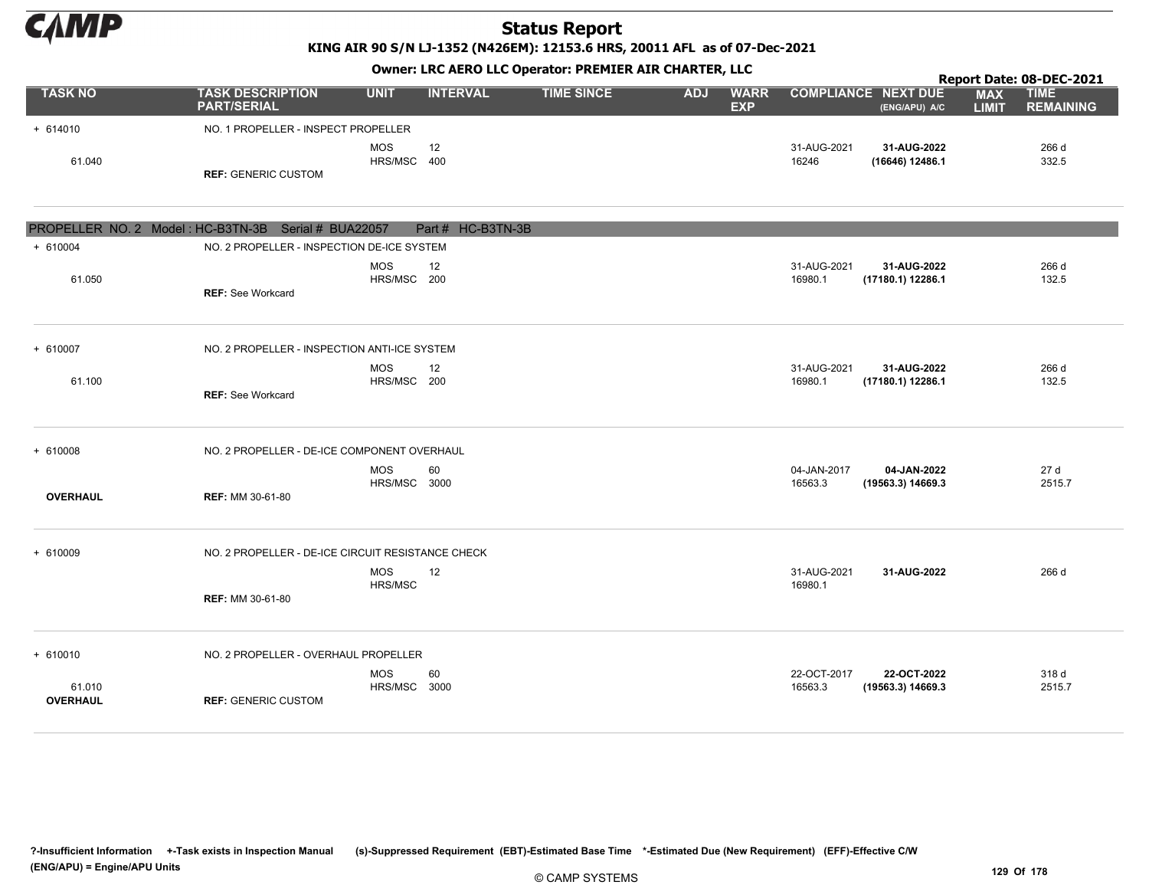

KING AIR 90 S/N LJ-1352 (N426EM): 12153.6 HRS, 20011 AFL as of 07-Dec-2021

|                           | Owner: LRC AERO LLC Operator: PREMIER AIR CHARTER, LLC<br>Report Date: 08-DEC-2021<br><b>COMPLIANCE NEXT DUE</b> |                            |                   |                   |            |                           |                        |                                  |                            |                                 |  |  |
|---------------------------|------------------------------------------------------------------------------------------------------------------|----------------------------|-------------------|-------------------|------------|---------------------------|------------------------|----------------------------------|----------------------------|---------------------------------|--|--|
| <b>TASK NO</b>            | <b>TASK DESCRIPTION</b><br><b>PART/SERIAL</b>                                                                    | <b>UNIT</b>                | <b>INTERVAL</b>   | <b>TIME SINCE</b> | <b>ADJ</b> | <b>WARR</b><br><b>EXP</b> |                        | (ENG/APU) A/C                    | <b>MAX</b><br><b>LIMIT</b> | <b>TIME</b><br><b>REMAINING</b> |  |  |
| $+ 614010$                | NO. 1 PROPELLER - INSPECT PROPELLER                                                                              |                            |                   |                   |            |                           |                        |                                  |                            |                                 |  |  |
| 61.040                    | <b>REF: GENERIC CUSTOM</b>                                                                                       | <b>MOS</b><br>HRS/MSC 400  | 12                |                   |            |                           | 31-AUG-2021<br>16246   | 31-AUG-2022<br>(16646) 12486.1   |                            | 266 d<br>332.5                  |  |  |
|                           | PROPELLER NO. 2 Model: HC-B3TN-3B Serial # BUA22057                                                              |                            | Part # HC-B3TN-3B |                   |            |                           |                        |                                  |                            |                                 |  |  |
| $+ 610004$                | NO. 2 PROPELLER - INSPECTION DE-ICE SYSTEM                                                                       |                            |                   |                   |            |                           |                        |                                  |                            |                                 |  |  |
| 61.050                    | <b>REF: See Workcard</b>                                                                                         | <b>MOS</b><br>HRS/MSC 200  | 12                |                   |            |                           | 31-AUG-2021<br>16980.1 | 31-AUG-2022<br>(17180.1) 12286.1 |                            | 266 d<br>132.5                  |  |  |
| + 610007                  | NO. 2 PROPELLER - INSPECTION ANTI-ICE SYSTEM                                                                     |                            |                   |                   |            |                           |                        |                                  |                            |                                 |  |  |
| 61.100                    | <b>REF: See Workcard</b>                                                                                         | <b>MOS</b><br>HRS/MSC 200  | 12                |                   |            |                           | 31-AUG-2021<br>16980.1 | 31-AUG-2022<br>(17180.1) 12286.1 |                            | 266 d<br>132.5                  |  |  |
| $+ 610008$                | NO. 2 PROPELLER - DE-ICE COMPONENT OVERHAUL                                                                      |                            |                   |                   |            |                           |                        |                                  |                            |                                 |  |  |
| <b>OVERHAUL</b>           | <b>REF: MM 30-61-80</b>                                                                                          | <b>MOS</b><br>HRS/MSC 3000 | 60                |                   |            |                           | 04-JAN-2017<br>16563.3 | 04-JAN-2022<br>(19563.3) 14669.3 |                            | 27 d<br>2515.7                  |  |  |
| $+ 610009$                | NO. 2 PROPELLER - DE-ICE CIRCUIT RESISTANCE CHECK                                                                | <b>MOS</b>                 | 12                |                   |            |                           | 31-AUG-2021            | 31-AUG-2022                      |                            | 266 d                           |  |  |
|                           | <b>REF: MM 30-61-80</b>                                                                                          | HRS/MSC                    |                   |                   |            |                           | 16980.1                |                                  |                            |                                 |  |  |
| $+ 610010$                | NO. 2 PROPELLER - OVERHAUL PROPELLER                                                                             |                            |                   |                   |            |                           |                        |                                  |                            |                                 |  |  |
| 61.010<br><b>OVERHAUL</b> | <b>REF: GENERIC CUSTOM</b>                                                                                       | <b>MOS</b><br>HRS/MSC 3000 | 60                |                   |            |                           | 22-OCT-2017<br>16563.3 | 22-OCT-2022<br>(19563.3) 14669.3 |                            | 318 d<br>2515.7                 |  |  |

?-Insufficient Information +-Task exists in Inspection Manual (s)-Suppressed Requirement (EBT)-Estimated Base Time \*-Estimated Due (New Requirement) (EFF)-Effective C/W (ENG/APU) = Engine/APU Units 129 Of 178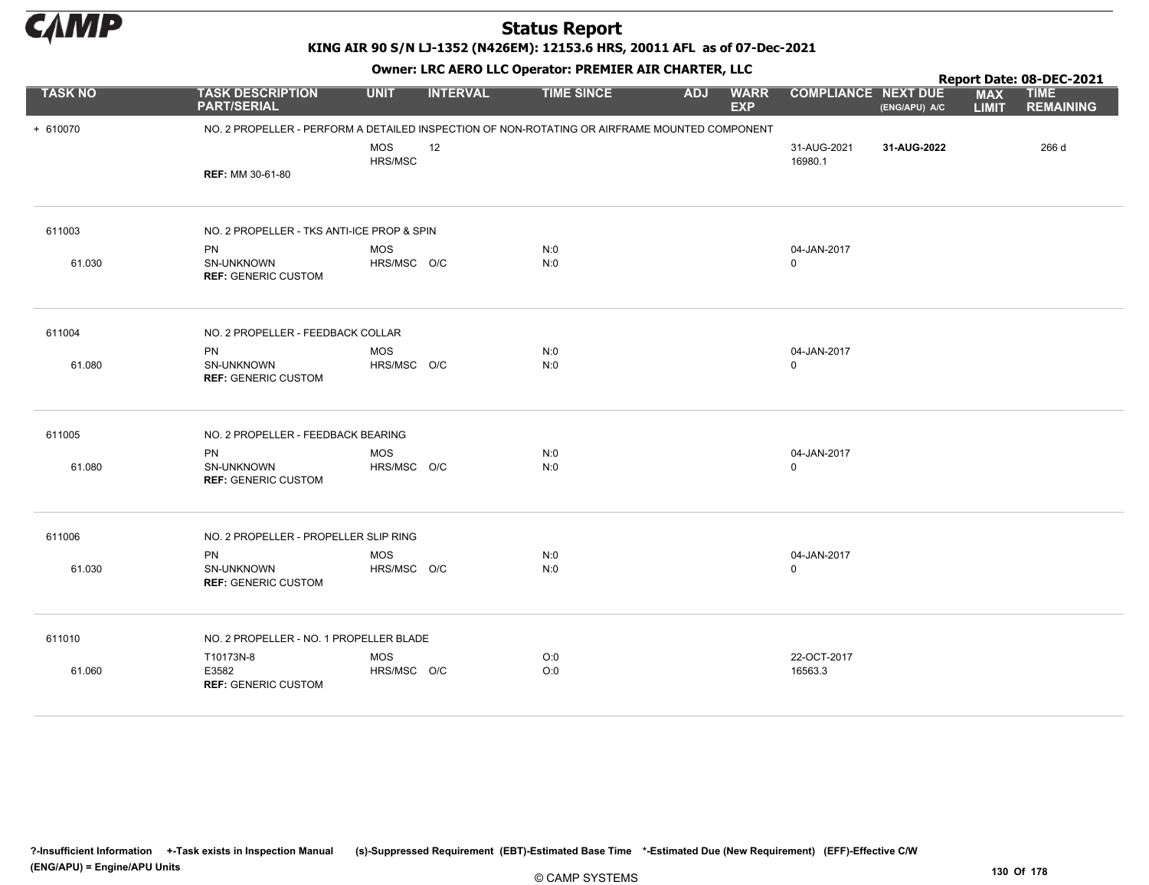

KING AIR 90 S/N LJ-1352 (N426EM): 12153.6 HRS, 20011 AFL as of 07-Dec-2021

|                |                                                       |                           | OWHER LIKE ALKO LLC OPERATOR PREPILER AIR CHARTER, LLC<br>Report Date: 08-DEC-2021<br><b>TIME SINCE</b><br><b>COMPLIANCE NEXT DUE</b><br><b>UNIT</b><br><b>INTERVAL</b><br><b>ADJ</b><br><b>WARR</b><br><b>MAX</b><br><b>EXP</b><br>(ENG/APU) A/C<br><b>LIMIT</b><br>NO. 2 PROPELLER - PERFORM A DETAILED INSPECTION OF NON-ROTATING OR AIRFRAME MOUNTED COMPONENT |            |  |  |                            |             |  |                                 |
|----------------|-------------------------------------------------------|---------------------------|--------------------------------------------------------------------------------------------------------------------------------------------------------------------------------------------------------------------------------------------------------------------------------------------------------------------------------------------------------------------|------------|--|--|----------------------------|-------------|--|---------------------------------|
| <b>TASK NO</b> | <b>TASK DESCRIPTION</b><br><b>PART/SERIAL</b>         |                           |                                                                                                                                                                                                                                                                                                                                                                    |            |  |  |                            |             |  | <b>TIME</b><br><b>REMAINING</b> |
| + 610070       |                                                       |                           |                                                                                                                                                                                                                                                                                                                                                                    |            |  |  |                            |             |  |                                 |
|                | <b>REF: MM 30-61-80</b>                               | <b>MOS</b><br>HRS/MSC     | 12                                                                                                                                                                                                                                                                                                                                                                 |            |  |  | 31-AUG-2021<br>16980.1     | 31-AUG-2022 |  | 266 d                           |
|                |                                                       |                           |                                                                                                                                                                                                                                                                                                                                                                    |            |  |  |                            |             |  |                                 |
| 611003         | NO. 2 PROPELLER - TKS ANTI-ICE PROP & SPIN            |                           |                                                                                                                                                                                                                                                                                                                                                                    |            |  |  |                            |             |  |                                 |
|                | <b>PN</b>                                             | <b>MOS</b>                |                                                                                                                                                                                                                                                                                                                                                                    | N:0        |  |  | 04-JAN-2017                |             |  |                                 |
| 61.030         | SN-UNKNOWN<br><b>REF: GENERIC CUSTOM</b>              | HRS/MSC O/C               |                                                                                                                                                                                                                                                                                                                                                                    | N:0        |  |  | 0                          |             |  |                                 |
| 611004         | NO. 2 PROPELLER - FEEDBACK COLLAR                     |                           |                                                                                                                                                                                                                                                                                                                                                                    |            |  |  |                            |             |  |                                 |
| 61.080         | <b>PN</b><br>SN-UNKNOWN<br><b>REF: GENERIC CUSTOM</b> | <b>MOS</b><br>HRS/MSC O/C |                                                                                                                                                                                                                                                                                                                                                                    | N:0<br>N:0 |  |  | 04-JAN-2017<br>$\Omega$    |             |  |                                 |
| 611005         | NO. 2 PROPELLER - FEEDBACK BEARING                    |                           |                                                                                                                                                                                                                                                                                                                                                                    |            |  |  |                            |             |  |                                 |
| 61.080         | <b>PN</b><br>SN-UNKNOWN<br><b>REF: GENERIC CUSTOM</b> | <b>MOS</b><br>HRS/MSC O/C |                                                                                                                                                                                                                                                                                                                                                                    | N:0<br>N:0 |  |  | 04-JAN-2017<br>$\mathbf 0$ |             |  |                                 |
| 611006         | NO. 2 PROPELLER - PROPELLER SLIP RING                 |                           |                                                                                                                                                                                                                                                                                                                                                                    |            |  |  |                            |             |  |                                 |
| 61.030         | PN<br>SN-UNKNOWN<br><b>REF: GENERIC CUSTOM</b>        | <b>MOS</b><br>HRS/MSC O/C |                                                                                                                                                                                                                                                                                                                                                                    | N:0<br>N:0 |  |  | 04-JAN-2017<br>0           |             |  |                                 |
| 611010         | NO. 2 PROPELLER - NO. 1 PROPELLER BLADE               |                           |                                                                                                                                                                                                                                                                                                                                                                    |            |  |  |                            |             |  |                                 |
| 61.060         | T10173N-8<br>E3582<br><b>REF: GENERIC CUSTOM</b>      | <b>MOS</b><br>HRS/MSC O/C |                                                                                                                                                                                                                                                                                                                                                                    | O:0<br>O:0 |  |  | 22-OCT-2017<br>16563.3     |             |  |                                 |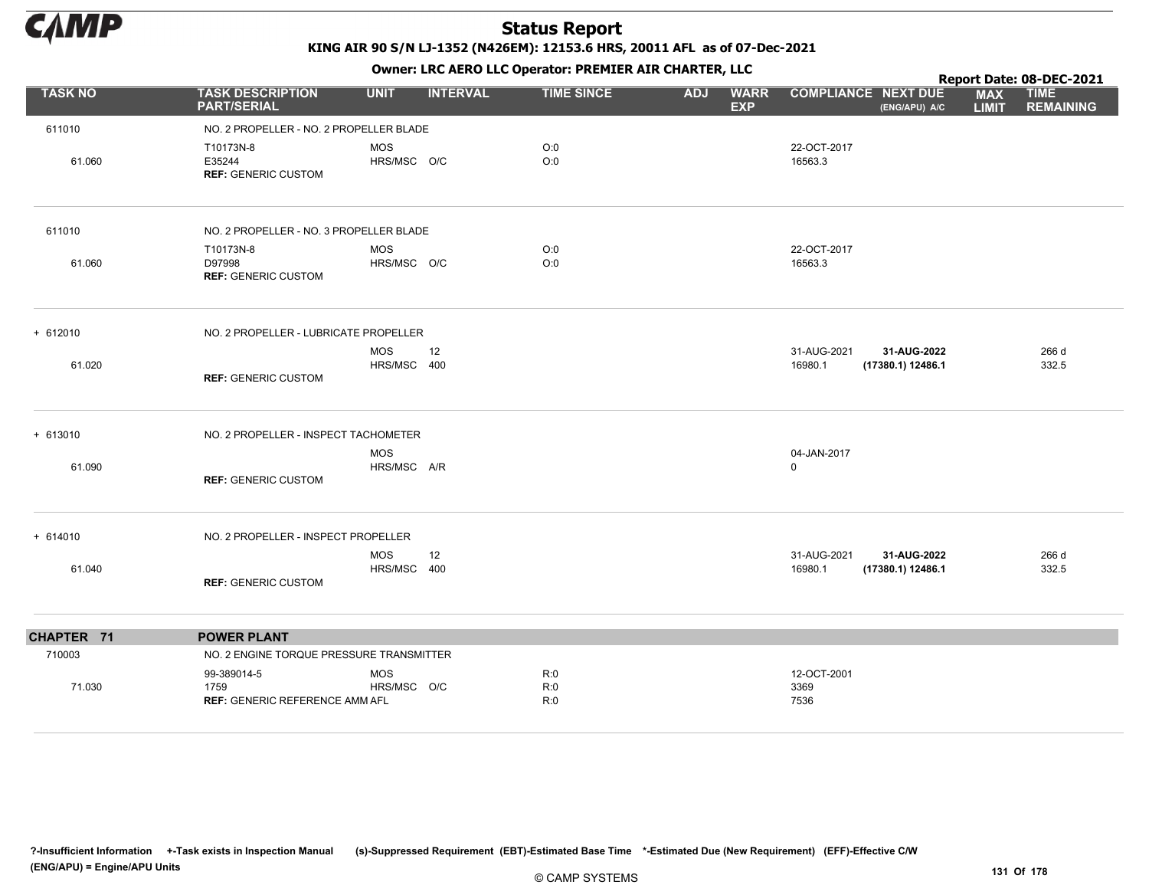

|                |                                                              |                                 |                   |                                         |                                                            | Report Date: 08-DEC-2021                                      |
|----------------|--------------------------------------------------------------|---------------------------------|-------------------|-----------------------------------------|------------------------------------------------------------|---------------------------------------------------------------|
| <b>TASK NO</b> | <b>TASK DESCRIPTION</b><br><b>PART/SERIAL</b>                | <b>INTERVAL</b><br><b>UNIT</b>  | <b>TIME SINCE</b> | <b>ADJ</b><br><b>WARR</b><br><b>EXP</b> | <b>COMPLIANCE NEXT DUE</b><br>(ENG/APU) A/C                | <b>TIME</b><br><b>MAX</b><br><b>REMAINING</b><br><b>LIMIT</b> |
| 611010         | NO. 2 PROPELLER - NO. 2 PROPELLER BLADE                      |                                 |                   |                                         |                                                            |                                                               |
| 61.060         | T10173N-8<br>E35244<br><b>REF: GENERIC CUSTOM</b>            | <b>MOS</b><br>HRS/MSC O/C       | O:0<br>O:0        |                                         | 22-OCT-2017<br>16563.3                                     |                                                               |
| 611010         | NO. 2 PROPELLER - NO. 3 PROPELLER BLADE                      |                                 |                   |                                         |                                                            |                                                               |
| 61.060         | T10173N-8<br>D97998<br><b>REF: GENERIC CUSTOM</b>            | <b>MOS</b><br>HRS/MSC O/C       | O:0<br>O:0        |                                         | 22-OCT-2017<br>16563.3                                     |                                                               |
| $+ 612010$     | NO. 2 PROPELLER - LUBRICATE PROPELLER                        |                                 |                   |                                         |                                                            |                                                               |
| 61.020         | <b>REF: GENERIC CUSTOM</b>                                   | <b>MOS</b><br>12<br>HRS/MSC 400 |                   |                                         | 31-AUG-2021<br>31-AUG-2022<br>16980.1<br>(17380.1) 12486.1 | 266 d<br>332.5                                                |
| $+ 613010$     | NO. 2 PROPELLER - INSPECT TACHOMETER                         |                                 |                   |                                         |                                                            |                                                               |
| 61.090         | <b>REF: GENERIC CUSTOM</b>                                   | <b>MOS</b><br>HRS/MSC A/R       |                   |                                         | 04-JAN-2017<br>$\mathbf 0$                                 |                                                               |
| $+ 614010$     | NO. 2 PROPELLER - INSPECT PROPELLER                          |                                 |                   |                                         |                                                            |                                                               |
| 61.040         | <b>REF: GENERIC CUSTOM</b>                                   | <b>MOS</b><br>12<br>HRS/MSC 400 |                   |                                         | 31-AUG-2021<br>31-AUG-2022<br>16980.1<br>(17380.1) 12486.1 | 266 d<br>332.5                                                |
| CHAPTER 71     | <b>POWER PLANT</b>                                           |                                 |                   |                                         |                                                            |                                                               |
| 710003         | NO. 2 ENGINE TORQUE PRESSURE TRANSMITTER                     |                                 |                   |                                         |                                                            |                                                               |
| 71.030         | 99-389014-5<br>1759<br><b>REF: GENERIC REFERENCE AMM AFL</b> | <b>MOS</b><br>HRS/MSC O/C       | R:0<br>R:0<br>R:0 |                                         | 12-OCT-2001<br>3369<br>7536                                |                                                               |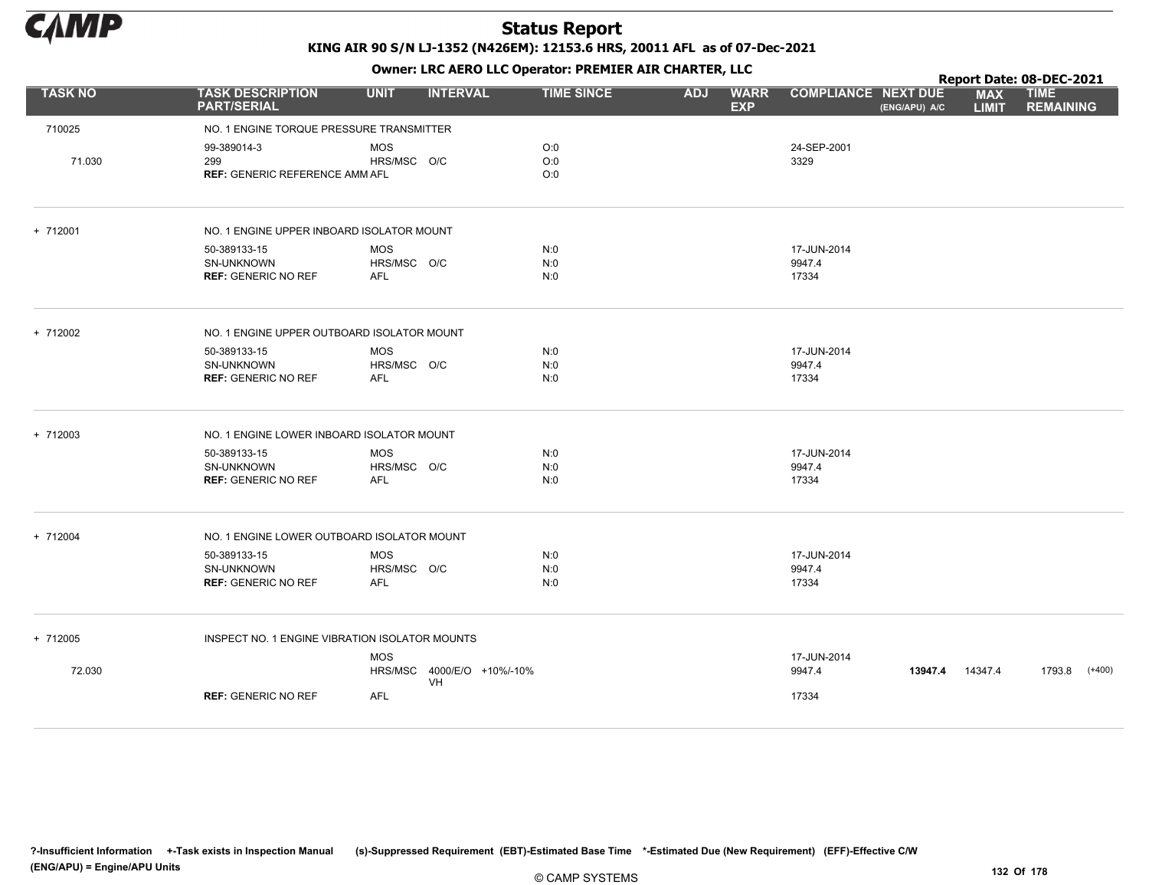

|                |                                                                 |                                         |                            |                   |            |                           |                                |               |                            | Report Date: 08-DEC-2021        |
|----------------|-----------------------------------------------------------------|-----------------------------------------|----------------------------|-------------------|------------|---------------------------|--------------------------------|---------------|----------------------------|---------------------------------|
| <b>TASK NO</b> | <b>TASK DESCRIPTION</b><br><b>PART/SERIAL</b>                   | <b>UNIT</b>                             | <b>INTERVAL</b>            | <b>TIME SINCE</b> | <b>ADJ</b> | <b>WARR</b><br><b>EXP</b> | <b>COMPLIANCE NEXT DUE</b>     | (ENG/APU) A/C | <b>MAX</b><br><b>LIMIT</b> | <b>TIME</b><br><b>REMAINING</b> |
| 710025         | NO. 1 ENGINE TORQUE PRESSURE TRANSMITTER                        |                                         |                            |                   |            |                           |                                |               |                            |                                 |
| 71.030         | 99-389014-3<br>299<br><b>REF: GENERIC REFERENCE AMM AFL</b>     | <b>MOS</b><br>HRS/MSC O/C               | O:0<br>O:0<br>O:0          |                   |            |                           | 24-SEP-2001<br>3329            |               |                            |                                 |
| $+ 712001$     | NO. 1 ENGINE UPPER INBOARD ISOLATOR MOUNT                       |                                         |                            |                   |            |                           |                                |               |                            |                                 |
|                | 50-389133-15<br>SN-UNKNOWN<br><b>REF: GENERIC NO REF</b>        | <b>MOS</b><br>HRS/MSC O/C<br><b>AFL</b> | N:0<br>N:0<br>N:0          |                   |            |                           | 17-JUN-2014<br>9947.4<br>17334 |               |                            |                                 |
| + 712002       | NO. 1 ENGINE UPPER OUTBOARD ISOLATOR MOUNT                      |                                         |                            |                   |            |                           |                                |               |                            |                                 |
|                | 50-389133-15<br><b>SN-UNKNOWN</b><br><b>REF: GENERIC NO REF</b> | <b>MOS</b><br>HRS/MSC O/C<br><b>AFL</b> | N:0<br>N:0<br>N:0          |                   |            |                           | 17-JUN-2014<br>9947.4<br>17334 |               |                            |                                 |
| + 712003       | NO. 1 ENGINE LOWER INBOARD ISOLATOR MOUNT                       |                                         |                            |                   |            |                           |                                |               |                            |                                 |
|                | 50-389133-15<br>SN-UNKNOWN<br><b>REF: GENERIC NO REF</b>        | MOS<br>HRS/MSC O/C<br><b>AFL</b>        | N:0<br>N:0<br>N:0          |                   |            |                           | 17-JUN-2014<br>9947.4<br>17334 |               |                            |                                 |
| + 712004       | NO. 1 ENGINE LOWER OUTBOARD ISOLATOR MOUNT                      |                                         |                            |                   |            |                           |                                |               |                            |                                 |
|                | 50-389133-15<br>SN-UNKNOWN<br><b>REF: GENERIC NO REF</b>        | <b>MOS</b><br>HRS/MSC O/C<br>AFL        | N:0<br>N:0<br>N:0          |                   |            |                           | 17-JUN-2014<br>9947.4<br>17334 |               |                            |                                 |
| + 712005       | INSPECT NO. 1 ENGINE VIBRATION ISOLATOR MOUNTS                  |                                         |                            |                   |            |                           |                                |               |                            |                                 |
| 72.030         |                                                                 | <b>MOS</b><br>VH                        | HRS/MSC 4000/E/O +10%/-10% |                   |            |                           | 17-JUN-2014<br>9947.4          | 13947.4       | 14347.4                    | 1793.8<br>$(+400)$              |
|                | <b>REF: GENERIC NO REF</b>                                      | AFL                                     |                            |                   |            |                           | 17334                          |               |                            |                                 |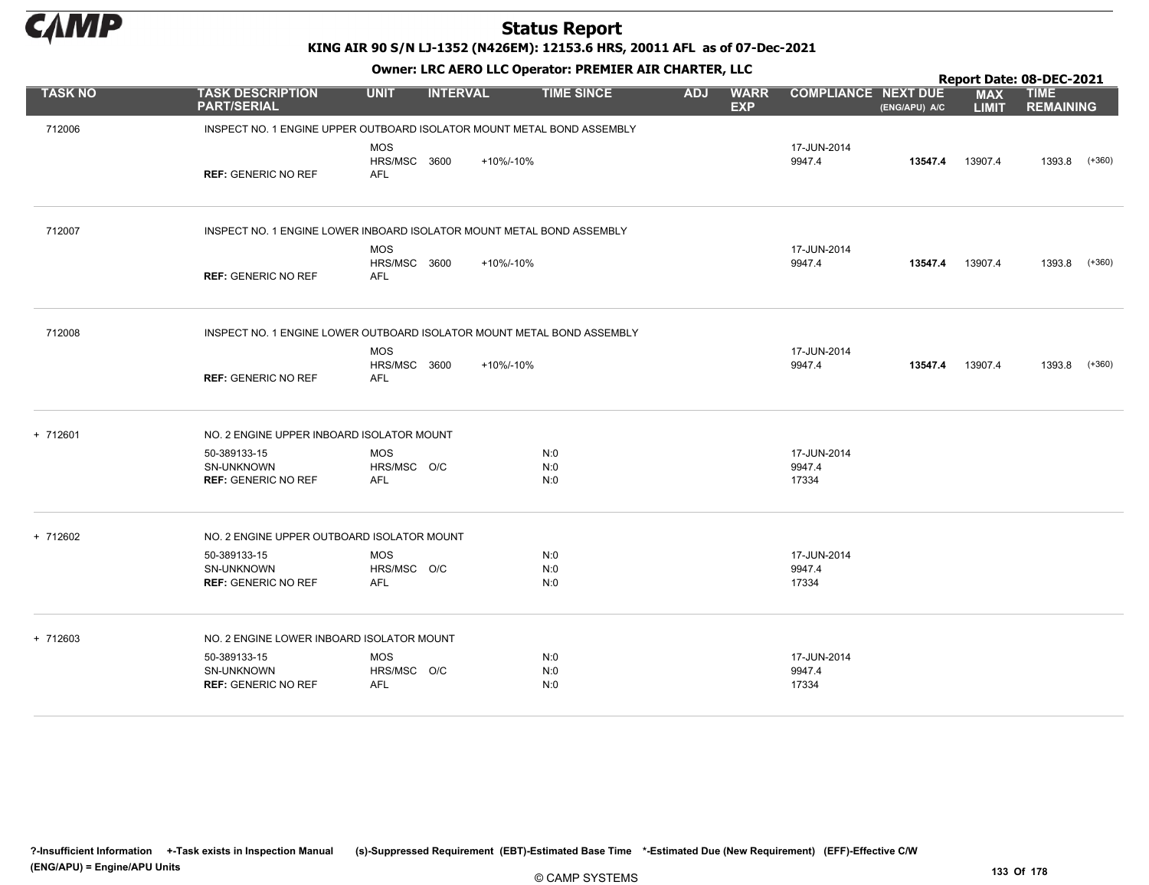

KING AIR 90 S/N LJ-1352 (N426EM): 12153.6 HRS, 20011 AFL as of 07-Dec-2021

|                |                                                                        | OWHER LIKE ALKO LLC OPERATOR PREPILER AIR CHARTER, LLC |                 |                   |            |                           |                                |               |                            | Report Date: 08-DEC-2021        |          |  |  |  |
|----------------|------------------------------------------------------------------------|--------------------------------------------------------|-----------------|-------------------|------------|---------------------------|--------------------------------|---------------|----------------------------|---------------------------------|----------|--|--|--|
| <b>TASK NO</b> | <b>TASK DESCRIPTION</b><br><b>PART/SERIAL</b>                          | <b>UNIT</b>                                            | <b>INTERVAL</b> | <b>TIME SINCE</b> | <b>ADJ</b> | <b>WARR</b><br><b>EXP</b> | <b>COMPLIANCE NEXT DUE</b>     | (ENG/APU) A/C | <b>MAX</b><br><b>LIMIT</b> | <b>TIME</b><br><b>REMAINING</b> |          |  |  |  |
| 712006         | INSPECT NO. 1 ENGINE UPPER OUTBOARD ISOLATOR MOUNT METAL BOND ASSEMBLY |                                                        |                 |                   |            |                           |                                |               |                            |                                 |          |  |  |  |
|                | <b>REF: GENERIC NO REF</b>                                             | <b>MOS</b><br><b>HRS/MSC 3600</b><br><b>AFL</b>        | +10%/-10%       |                   |            |                           | 17-JUN-2014<br>9947.4          | 13547.4       | 13907.4                    | 1393.8                          | $(+360)$ |  |  |  |
| 712007         | INSPECT NO. 1 ENGINE LOWER INBOARD ISOLATOR MOUNT METAL BOND ASSEMBLY  |                                                        |                 |                   |            |                           |                                |               |                            |                                 |          |  |  |  |
|                | <b>REF: GENERIC NO REF</b>                                             | <b>MOS</b><br>HRS/MSC 3600<br>AFL                      | +10%/-10%       |                   |            |                           | 17-JUN-2014<br>9947.4          | 13547.4       | 13907.4                    | 1393.8                          | $(+360)$ |  |  |  |
| 712008         | INSPECT NO. 1 ENGINE LOWER OUTBOARD ISOLATOR MOUNT METAL BOND ASSEMBLY |                                                        |                 |                   |            |                           |                                |               |                            |                                 |          |  |  |  |
|                | <b>REF: GENERIC NO REF</b>                                             | <b>MOS</b><br>HRS/MSC 3600<br>AFL                      | +10%/-10%       |                   |            |                           | 17-JUN-2014<br>9947.4          | 13547.4       | 13907.4                    | 1393.8                          | $(+360)$ |  |  |  |
| + 712601       | NO. 2 ENGINE UPPER INBOARD ISOLATOR MOUNT                              |                                                        |                 |                   |            |                           |                                |               |                            |                                 |          |  |  |  |
|                | 50-389133-15<br>SN-UNKNOWN<br><b>REF: GENERIC NO REF</b>               | <b>MOS</b><br>HRS/MSC O/C<br>AFL                       |                 | N:0<br>N:0<br>N:0 |            |                           | 17-JUN-2014<br>9947.4<br>17334 |               |                            |                                 |          |  |  |  |
| + 712602       | NO. 2 ENGINE UPPER OUTBOARD ISOLATOR MOUNT                             |                                                        |                 |                   |            |                           |                                |               |                            |                                 |          |  |  |  |
|                | 50-389133-15<br><b>SN-UNKNOWN</b><br><b>REF: GENERIC NO REF</b>        | <b>MOS</b><br>HRS/MSC O/C<br>AFL                       |                 | N:0<br>N:0<br>N:0 |            |                           | 17-JUN-2014<br>9947.4<br>17334 |               |                            |                                 |          |  |  |  |
| + 712603       | NO. 2 ENGINE LOWER INBOARD ISOLATOR MOUNT                              |                                                        |                 |                   |            |                           |                                |               |                            |                                 |          |  |  |  |
|                | 50-389133-15<br><b>SN-UNKNOWN</b><br><b>REF: GENERIC NO REF</b>        | <b>MOS</b><br>HRS/MSC O/C<br><b>AFL</b>                |                 | N:0<br>N:0<br>N:0 |            |                           | 17-JUN-2014<br>9947.4<br>17334 |               |                            |                                 |          |  |  |  |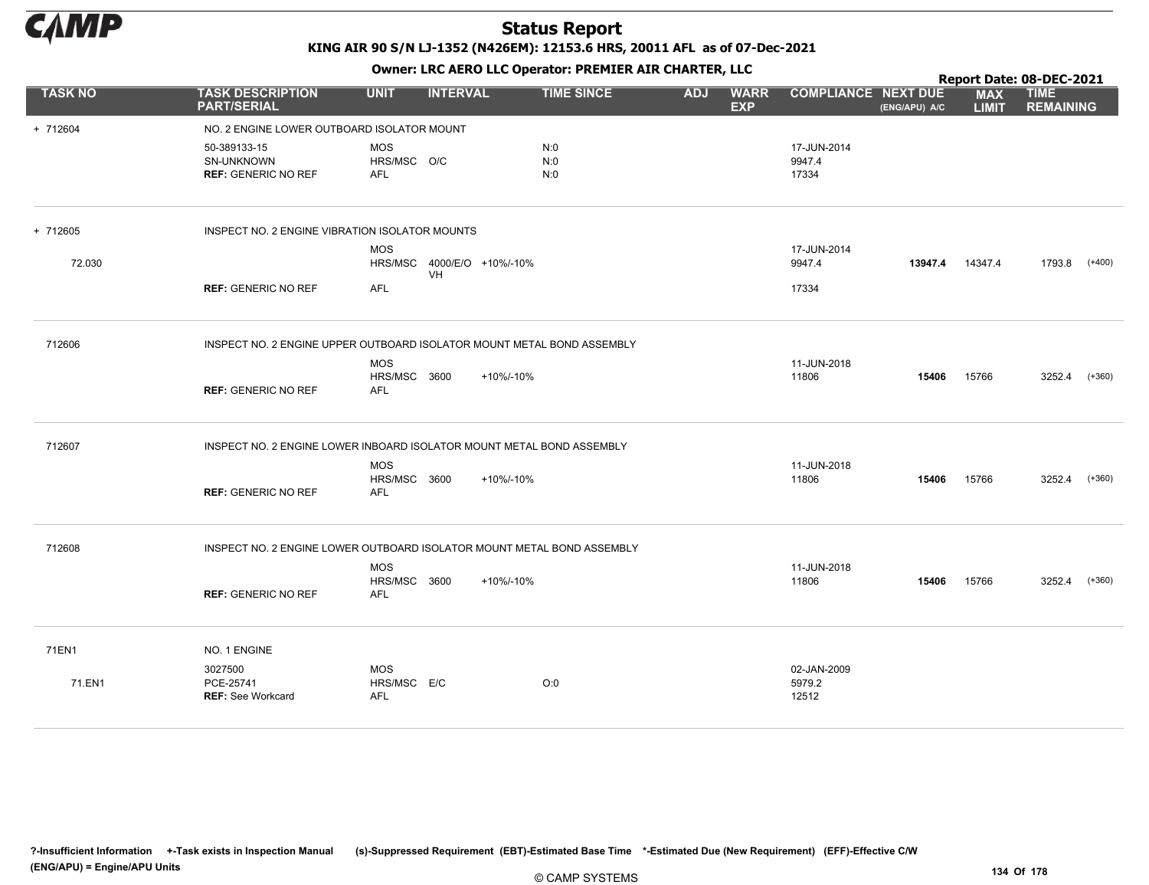

Owner: LRC AERO LLC Operator: PREMIER AIR CHARTER, LLC

|                |                                                                       |                                          |                                  |                                                                        |            |                           |                                |               |                            | Report Date: 08-DEC-2021        |
|----------------|-----------------------------------------------------------------------|------------------------------------------|----------------------------------|------------------------------------------------------------------------|------------|---------------------------|--------------------------------|---------------|----------------------------|---------------------------------|
| <b>TASK NO</b> | <b>TASK DESCRIPTION</b><br><b>PART/SERIAL</b>                         | <b>UNIT</b>                              | <b>INTERVAL</b>                  | <b>TIME SINCE</b>                                                      | <b>ADJ</b> | <b>WARR</b><br><b>EXP</b> | <b>COMPLIANCE NEXT DUE</b>     | (ENG/APU) A/C | <b>MAX</b><br><b>LIMIT</b> | <b>TIME</b><br><b>REMAINING</b> |
| + 712604       | NO. 2 ENGINE LOWER OUTBOARD ISOLATOR MOUNT                            |                                          |                                  |                                                                        |            |                           |                                |               |                            |                                 |
|                | 50-389133-15<br>SN-UNKNOWN<br><b>REF: GENERIC NO REF</b>              | <b>MOS</b><br>HRS/MSC O/C<br><b>AFL</b>  |                                  | N:0<br>N:0<br>N:0                                                      |            |                           | 17-JUN-2014<br>9947.4<br>17334 |               |                            |                                 |
| + 712605       | INSPECT NO. 2 ENGINE VIBRATION ISOLATOR MOUNTS                        |                                          |                                  |                                                                        |            |                           |                                |               |                            |                                 |
| 72.030         |                                                                       | <b>MOS</b>                               | HRS/MSC 4000/E/O +10%/-10%<br>VH |                                                                        |            |                           | 17-JUN-2014<br>9947.4          | 13947.4       | 14347.4                    | 1793.8<br>$(+400)$              |
|                | <b>REF: GENERIC NO REF</b>                                            | AFL                                      |                                  |                                                                        |            |                           | 17334                          |               |                            |                                 |
| 712606         |                                                                       |                                          |                                  | INSPECT NO. 2 ENGINE UPPER OUTBOARD ISOLATOR MOUNT METAL BOND ASSEMBLY |            |                           |                                |               |                            |                                 |
|                | <b>REF: GENERIC NO REF</b>                                            | <b>MOS</b><br>HRS/MSC 3600<br><b>AFL</b> |                                  | +10%/-10%                                                              |            |                           | 11-JUN-2018<br>11806           | 15406         | 15766                      | 3252.4<br>$(+360)$              |
| 712607         | INSPECT NO. 2 ENGINE LOWER INBOARD ISOLATOR MOUNT METAL BOND ASSEMBLY | <b>MOS</b>                               |                                  |                                                                        |            |                           | 11-JUN-2018                    |               |                            |                                 |
|                | <b>REF: GENERIC NO REF</b>                                            | HRS/MSC 3600<br><b>AFL</b>               |                                  | +10%/-10%                                                              |            |                           | 11806                          | 15406         | 15766                      | 3252.4 (+360)                   |
| 712608         |                                                                       |                                          |                                  | INSPECT NO. 2 ENGINE LOWER OUTBOARD ISOLATOR MOUNT METAL BOND ASSEMBLY |            |                           |                                |               |                            |                                 |
|                | <b>REF: GENERIC NO REF</b>                                            | <b>MOS</b><br>HRS/MSC 3600<br><b>AFL</b> |                                  | +10%/-10%                                                              |            |                           | 11-JUN-2018<br>11806           | 15406         | 15766                      | 3252.4<br>$(+360)$              |
| 71EN1          | NO. 1 ENGINE                                                          |                                          |                                  |                                                                        |            |                           |                                |               |                            |                                 |
| 71.EN1         | 3027500<br>PCE-25741<br><b>REF: See Workcard</b>                      | <b>MOS</b><br>HRS/MSC E/C<br><b>AFL</b>  |                                  | O:0                                                                    |            |                           | 02-JAN-2009<br>5979.2<br>12512 |               |                            |                                 |
|                |                                                                       |                                          |                                  |                                                                        |            |                           |                                |               |                            |                                 |

?-Insufficient Information +-Task exists in Inspection Manual (s)-Suppressed Requirement (EBT)-Estimated Base Time \*-Estimated Due (New Requirement) (EFF)-Effective C/W (ENG/APU) = Engine/APU Units 134 Of 178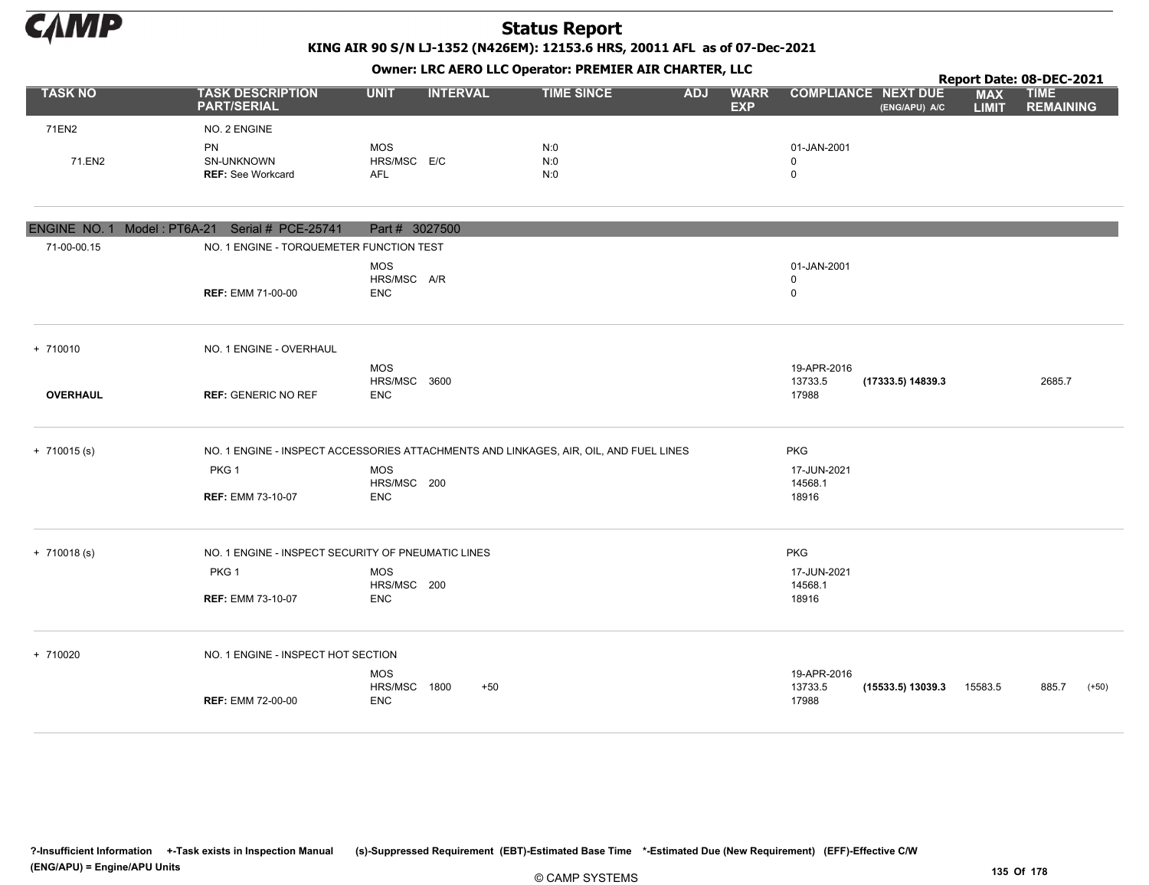

KING AIR 90 S/N LJ-1352 (N426EM): 12153.6 HRS, 20011 AFL as of 07-Dec-2021

| Owner: LRC AERO LLC Operator: PREMIER AIR CHARTER, LLC<br>Report Date: 08-DEC-2021<br><b>TASK NO</b><br><b>UNIT</b><br><b>INTERVAL</b><br><b>TASK DESCRIPTION</b><br><b>TIME SINCE</b><br><b>ADJ</b><br><b>WARR</b><br><b>COMPLIANCE NEXT DUE</b><br><b>TIME</b><br><b>MAX</b><br><b>EXP</b><br><b>PART/SERIAL</b><br>(ENG/APU) A/C<br><b>LIMIT</b><br>71EN2<br>NO. 2 ENGINE<br>PN<br><b>MOS</b><br>N:0<br>01-JAN-2001<br>71.EN2<br>SN-UNKNOWN<br>HRS/MSC E/C<br>N:0<br>$\mathbf 0$<br><b>REF: See Workcard</b><br>N:0<br>$\mathbf 0$<br><b>AFL</b><br>ENGINE NO. 1 Model: PT6A-21 Serial # PCE-25741<br>Part # 3027500<br>71-00-00.15<br>NO. 1 ENGINE - TORQUEMETER FUNCTION TEST<br><b>MOS</b><br>01-JAN-2001<br>HRS/MSC A/R<br>$\mathbf 0$<br><b>REF: EMM 71-00-00</b><br><b>ENC</b><br>$\mathsf 0$<br>NO. 1 ENGINE - OVERHAUL<br><b>MOS</b><br>19-APR-2016<br>HRS/MSC 3600<br>13733.5<br>(17333.5) 14839.3<br>2685.7<br><b>OVERHAUL</b><br><b>REF: GENERIC NO REF</b><br><b>ENC</b><br>17988<br>NO. 1 ENGINE - INSPECT ACCESSORIES ATTACHMENTS AND LINKAGES, AIR, OIL, AND FUEL LINES<br><b>PKG</b><br>PKG 1<br><b>MOS</b><br>17-JUN-2021<br>HRS/MSC 200<br>14568.1<br><b>ENC</b><br>18916<br><b>REF: EMM 73-10-07</b><br><b>PKG</b><br>NO. 1 ENGINE - INSPECT SECURITY OF PNEUMATIC LINES<br>PKG 1<br><b>MOS</b><br>17-JUN-2021<br>HRS/MSC 200<br>14568.1<br><b>ENC</b><br>18916<br><b>REF: EMM 73-10-07</b> |                                    |                                          |       |  |  |  |                                 |                   |         |                  |         |
|-------------------------------------------------------------------------------------------------------------------------------------------------------------------------------------------------------------------------------------------------------------------------------------------------------------------------------------------------------------------------------------------------------------------------------------------------------------------------------------------------------------------------------------------------------------------------------------------------------------------------------------------------------------------------------------------------------------------------------------------------------------------------------------------------------------------------------------------------------------------------------------------------------------------------------------------------------------------------------------------------------------------------------------------------------------------------------------------------------------------------------------------------------------------------------------------------------------------------------------------------------------------------------------------------------------------------------------------------------------------------------------------------------------------|------------------------------------|------------------------------------------|-------|--|--|--|---------------------------------|-------------------|---------|------------------|---------|
|                                                                                                                                                                                                                                                                                                                                                                                                                                                                                                                                                                                                                                                                                                                                                                                                                                                                                                                                                                                                                                                                                                                                                                                                                                                                                                                                                                                                                   |                                    |                                          |       |  |  |  |                                 |                   |         | <b>REMAINING</b> |         |
|                                                                                                                                                                                                                                                                                                                                                                                                                                                                                                                                                                                                                                                                                                                                                                                                                                                                                                                                                                                                                                                                                                                                                                                                                                                                                                                                                                                                                   |                                    |                                          |       |  |  |  |                                 |                   |         |                  |         |
|                                                                                                                                                                                                                                                                                                                                                                                                                                                                                                                                                                                                                                                                                                                                                                                                                                                                                                                                                                                                                                                                                                                                                                                                                                                                                                                                                                                                                   |                                    |                                          |       |  |  |  |                                 |                   |         |                  |         |
|                                                                                                                                                                                                                                                                                                                                                                                                                                                                                                                                                                                                                                                                                                                                                                                                                                                                                                                                                                                                                                                                                                                                                                                                                                                                                                                                                                                                                   |                                    |                                          |       |  |  |  |                                 |                   |         |                  |         |
|                                                                                                                                                                                                                                                                                                                                                                                                                                                                                                                                                                                                                                                                                                                                                                                                                                                                                                                                                                                                                                                                                                                                                                                                                                                                                                                                                                                                                   |                                    |                                          |       |  |  |  |                                 |                   |         |                  |         |
|                                                                                                                                                                                                                                                                                                                                                                                                                                                                                                                                                                                                                                                                                                                                                                                                                                                                                                                                                                                                                                                                                                                                                                                                                                                                                                                                                                                                                   |                                    |                                          |       |  |  |  |                                 |                   |         |                  |         |
| + 710010                                                                                                                                                                                                                                                                                                                                                                                                                                                                                                                                                                                                                                                                                                                                                                                                                                                                                                                                                                                                                                                                                                                                                                                                                                                                                                                                                                                                          |                                    |                                          |       |  |  |  |                                 |                   |         |                  |         |
|                                                                                                                                                                                                                                                                                                                                                                                                                                                                                                                                                                                                                                                                                                                                                                                                                                                                                                                                                                                                                                                                                                                                                                                                                                                                                                                                                                                                                   |                                    |                                          |       |  |  |  |                                 |                   |         |                  |         |
| $+ 710015$ (s)                                                                                                                                                                                                                                                                                                                                                                                                                                                                                                                                                                                                                                                                                                                                                                                                                                                                                                                                                                                                                                                                                                                                                                                                                                                                                                                                                                                                    |                                    |                                          |       |  |  |  |                                 |                   |         |                  |         |
|                                                                                                                                                                                                                                                                                                                                                                                                                                                                                                                                                                                                                                                                                                                                                                                                                                                                                                                                                                                                                                                                                                                                                                                                                                                                                                                                                                                                                   |                                    |                                          |       |  |  |  |                                 |                   |         |                  |         |
| $+ 710018(s)$                                                                                                                                                                                                                                                                                                                                                                                                                                                                                                                                                                                                                                                                                                                                                                                                                                                                                                                                                                                                                                                                                                                                                                                                                                                                                                                                                                                                     |                                    |                                          |       |  |  |  |                                 |                   |         |                  |         |
|                                                                                                                                                                                                                                                                                                                                                                                                                                                                                                                                                                                                                                                                                                                                                                                                                                                                                                                                                                                                                                                                                                                                                                                                                                                                                                                                                                                                                   |                                    |                                          |       |  |  |  |                                 |                   |         |                  |         |
|                                                                                                                                                                                                                                                                                                                                                                                                                                                                                                                                                                                                                                                                                                                                                                                                                                                                                                                                                                                                                                                                                                                                                                                                                                                                                                                                                                                                                   |                                    |                                          |       |  |  |  |                                 |                   |         |                  |         |
| + 710020                                                                                                                                                                                                                                                                                                                                                                                                                                                                                                                                                                                                                                                                                                                                                                                                                                                                                                                                                                                                                                                                                                                                                                                                                                                                                                                                                                                                          | NO. 1 ENGINE - INSPECT HOT SECTION |                                          |       |  |  |  |                                 |                   |         |                  |         |
|                                                                                                                                                                                                                                                                                                                                                                                                                                                                                                                                                                                                                                                                                                                                                                                                                                                                                                                                                                                                                                                                                                                                                                                                                                                                                                                                                                                                                   | <b>REF: EMM 72-00-00</b>           | <b>MOS</b><br>HRS/MSC 1800<br><b>ENC</b> | $+50$ |  |  |  | 19-APR-2016<br>13733.5<br>17988 | (15533.5) 13039.3 | 15583.5 | 885.7            | $(+50)$ |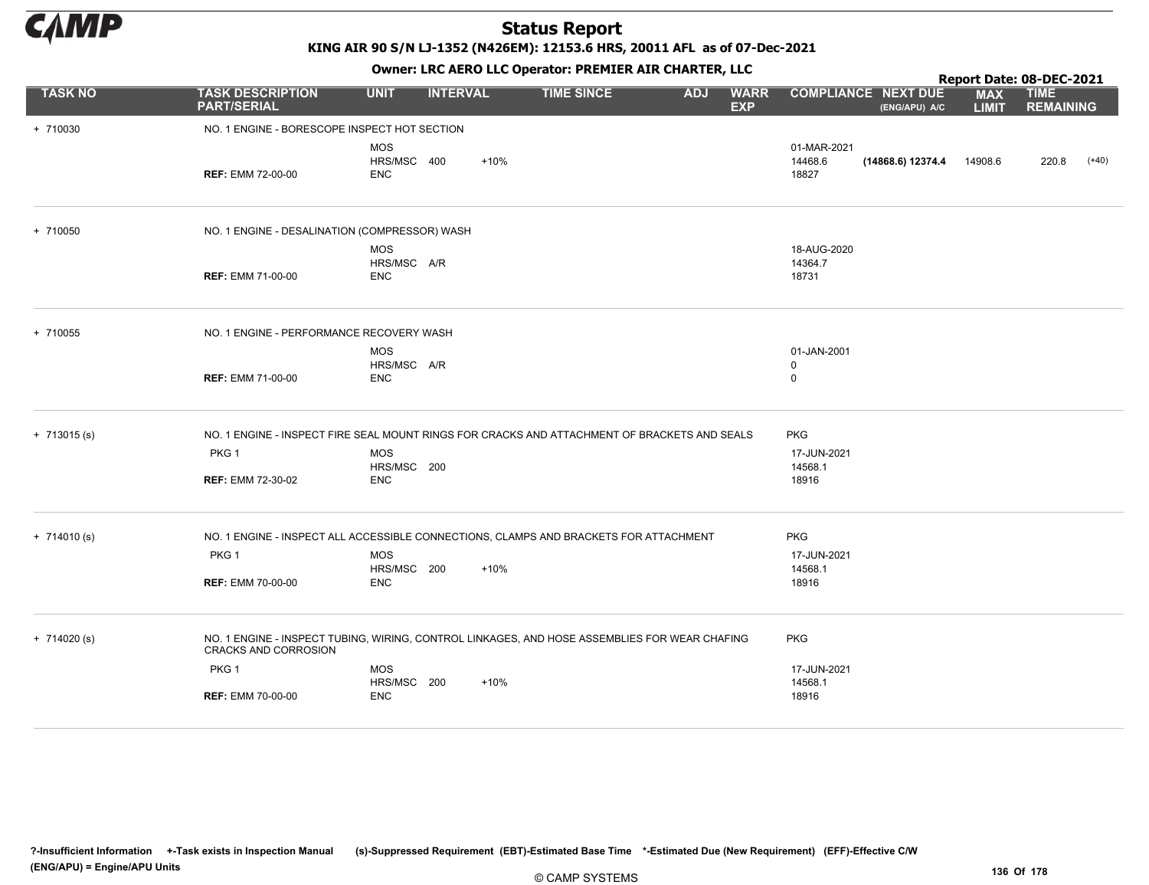

KING AIR 90 S/N LJ-1352 (N426EM): 12153.6 HRS, 20011 AFL as of 07-Dec-2021

|                |                                                                                                                       |                                         |                 | OWHER. LKC ALKO LLC OPERATOR. PREPILER AIR CHARTER, LLC |            |                           |                                 |                                             |                            | Report Date: 08-DEC-2021        |  |
|----------------|-----------------------------------------------------------------------------------------------------------------------|-----------------------------------------|-----------------|---------------------------------------------------------|------------|---------------------------|---------------------------------|---------------------------------------------|----------------------------|---------------------------------|--|
| <b>TASK NO</b> | <b>TASK DESCRIPTION</b><br><b>PART/SERIAL</b>                                                                         | <b>UNIT</b>                             | <b>INTERVAL</b> | <b>TIME SINCE</b>                                       | <b>ADJ</b> | <b>WARR</b><br><b>EXP</b> |                                 | <b>COMPLIANCE NEXT DUE</b><br>(ENG/APU) A/C | <b>MAX</b><br><b>LIMIT</b> | <b>TIME</b><br><b>REMAINING</b> |  |
| + 710030       | NO. 1 ENGINE - BORESCOPE INSPECT HOT SECTION                                                                          |                                         |                 |                                                         |            |                           |                                 |                                             |                            |                                 |  |
|                | <b>REF: EMM 72-00-00</b>                                                                                              | <b>MOS</b><br>HRS/MSC 400<br><b>ENC</b> | $+10%$          |                                                         |            |                           | 01-MAR-2021<br>14468.6<br>18827 | (14868.6) 12374.4                           | 14908.6                    | 220.8<br>$(+40)$                |  |
| + 710050       | NO. 1 ENGINE - DESALINATION (COMPRESSOR) WASH                                                                         |                                         |                 |                                                         |            |                           |                                 |                                             |                            |                                 |  |
|                | <b>REF: EMM 71-00-00</b>                                                                                              | <b>MOS</b><br>HRS/MSC A/R<br><b>ENC</b> |                 |                                                         |            |                           | 18-AUG-2020<br>14364.7<br>18731 |                                             |                            |                                 |  |
| + 710055       | NO. 1 ENGINE - PERFORMANCE RECOVERY WASH                                                                              |                                         |                 |                                                         |            |                           |                                 |                                             |                            |                                 |  |
|                |                                                                                                                       | <b>MOS</b>                              |                 |                                                         |            |                           | 01-JAN-2001                     |                                             |                            |                                 |  |
|                | <b>REF: EMM 71-00-00</b>                                                                                              | HRS/MSC A/R<br><b>ENC</b>               |                 |                                                         |            |                           | 0<br>$\mathbf 0$                |                                             |                            |                                 |  |
| $+ 713015$ (s) | NO. 1 ENGINE - INSPECT FIRE SEAL MOUNT RINGS FOR CRACKS AND ATTACHMENT OF BRACKETS AND SEALS                          |                                         |                 |                                                         |            |                           | <b>PKG</b>                      |                                             |                            |                                 |  |
|                | PKG <sub>1</sub>                                                                                                      | <b>MOS</b>                              |                 |                                                         |            |                           | 17-JUN-2021                     |                                             |                            |                                 |  |
|                | REF: EMM 72-30-02                                                                                                     | HRS/MSC 200<br><b>ENC</b>               |                 |                                                         |            |                           | 14568.1<br>18916                |                                             |                            |                                 |  |
| $+ 714010(s)$  | NO. 1 ENGINE - INSPECT ALL ACCESSIBLE CONNECTIONS, CLAMPS AND BRACKETS FOR ATTACHMENT                                 |                                         |                 |                                                         |            |                           | <b>PKG</b>                      |                                             |                            |                                 |  |
|                | PKG <sub>1</sub>                                                                                                      | <b>MOS</b>                              |                 |                                                         |            |                           | 17-JUN-2021                     |                                             |                            |                                 |  |
|                | <b>REF: EMM 70-00-00</b>                                                                                              | HRS/MSC 200<br><b>ENC</b>               | $+10%$          |                                                         |            |                           | 14568.1<br>18916                |                                             |                            |                                 |  |
| $+ 714020 (s)$ | NO. 1 ENGINE - INSPECT TUBING, WIRING, CONTROL LINKAGES, AND HOSE ASSEMBLIES FOR WEAR CHAFING<br>CRACKS AND CORROSION |                                         |                 |                                                         |            |                           | <b>PKG</b>                      |                                             |                            |                                 |  |
|                | PKG <sub>1</sub>                                                                                                      | <b>MOS</b>                              |                 |                                                         |            |                           | 17-JUN-2021                     |                                             |                            |                                 |  |
|                | <b>REF: EMM 70-00-00</b>                                                                                              | HRS/MSC 200<br><b>ENC</b>               | $+10%$          |                                                         |            |                           | 14568.1<br>18916                |                                             |                            |                                 |  |
|                |                                                                                                                       |                                         |                 |                                                         |            |                           |                                 |                                             |                            |                                 |  |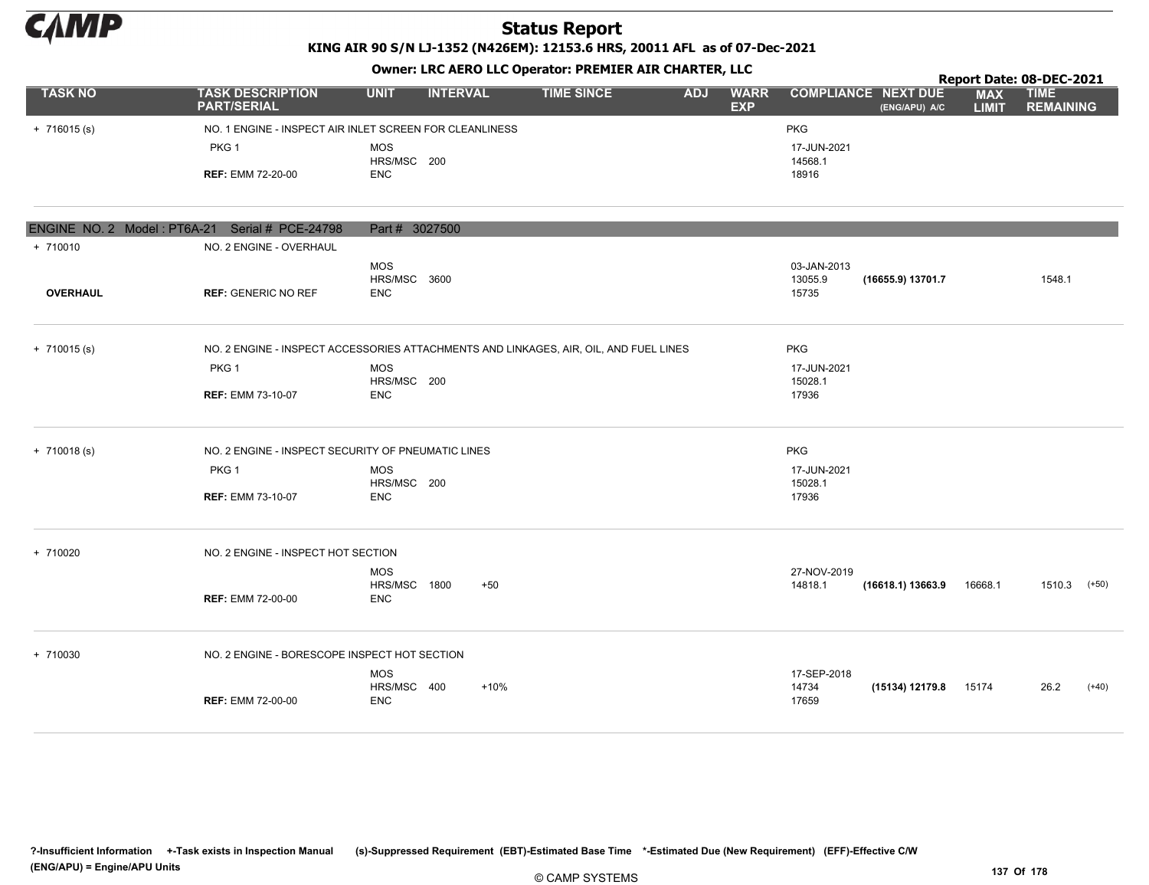

KING AIR 90 S/N LJ-1352 (N426EM): 12153.6 HRS, 20011 AFL as of 07-Dec-2021

|                |                                                         |                    |                 |                   |            |                           |                            |               |                            | Report Date: 08-DEC-2021        |
|----------------|---------------------------------------------------------|--------------------|-----------------|-------------------|------------|---------------------------|----------------------------|---------------|----------------------------|---------------------------------|
| <b>TASK NO</b> | <b>TASK DESCRIPTION</b><br><b>PART/SERIAL</b>           | <b>UNIT</b>        | <b>INTERVAL</b> | <b>TIME SINCE</b> | <b>ADJ</b> | <b>WARR</b><br><b>EXP</b> | <b>COMPLIANCE NEXT DUE</b> | (ENG/APU) A/C | <b>MAX</b><br><b>LIMIT</b> | <b>TIME</b><br><b>REMAINING</b> |
| $+ 716015 (s)$ | NO. 1 ENGINE - INSPECT AIR INLET SCREEN FOR CLEANLINESS |                    |                 |                   |            |                           | <b>PKG</b>                 |               |                            |                                 |
|                | PKG <sub>1</sub>                                        | MOS<br>HRS/MSC 200 |                 |                   |            |                           | 17-JUN-2021<br>14568.1     |               |                            |                                 |
|                | <b>REF: EMM 72-20-00</b>                                | ENC                |                 |                   |            |                           | 18916                      |               |                            |                                 |
|                |                                                         |                    |                 |                   |            |                           |                            |               |                            |                                 |
|                | ENCINE NO 2 Model: DTGA 21 Certal # DCE 24709           | Part H 2027E00     |                 |                   |            |                           |                            |               |                            |                                 |

|                 | LINGTINE INC. $\angle$ INFORCER FIRE CONTROLS TO CHAIN FULTATION | $F$ <i>a</i> $F$ $J$ $J$ $J$ $J$ $J$                                                  |             |                   |                          |
|-----------------|------------------------------------------------------------------|---------------------------------------------------------------------------------------|-------------|-------------------|--------------------------|
| $+ 710010$      | NO. 2 ENGINE - OVERHAUL                                          |                                                                                       |             |                   |                          |
|                 |                                                                  | <b>MOS</b>                                                                            | 03-JAN-2013 |                   |                          |
|                 |                                                                  | HRS/MSC 3600                                                                          | 13055.9     | (16655.9) 13701.7 | 1548.1                   |
| <b>OVERHAUL</b> | <b>REF: GENERIC NO REF</b>                                       | <b>ENC</b>                                                                            | 15735       |                   |                          |
|                 |                                                                  |                                                                                       |             |                   |                          |
| $+ 710015$ (s)  |                                                                  | NO. 2 ENGINE - INSPECT ACCESSORIES ATTACHMENTS AND LINKAGES, AIR, OIL, AND FUEL LINES | PKG         |                   |                          |
|                 | PKG <sub>1</sub>                                                 | <b>MOS</b>                                                                            | 17-JUN-2021 |                   |                          |
|                 |                                                                  | HRS/MSC 200                                                                           | 15028.1     |                   |                          |
|                 | <b>REF: EMM 73-10-07</b>                                         | <b>ENC</b>                                                                            | 17936       |                   |                          |
|                 |                                                                  |                                                                                       |             |                   |                          |
| $+ 710018(s)$   | NO. 2 ENGINE - INSPECT SECURITY OF PNEUMATIC LINES               |                                                                                       | <b>PKG</b>  |                   |                          |
|                 | PKG <sub>1</sub>                                                 | <b>MOS</b>                                                                            | 17-JUN-2021 |                   |                          |
|                 |                                                                  | HRS/MSC 200                                                                           | 15028.1     |                   |                          |
|                 | <b>REF: EMM 73-10-07</b>                                         | <b>ENC</b>                                                                            | 17936       |                   |                          |
| + 710020        | NO. 2 ENGINE - INSPECT HOT SECTION                               |                                                                                       |             |                   |                          |
|                 |                                                                  | <b>MOS</b>                                                                            | 27-NOV-2019 |                   |                          |
|                 |                                                                  | HRS/MSC 1800<br>$+50$                                                                 | 14818.1     | (16618.1) 13663.9 | 16668.1<br>1510.3 (+50)  |
|                 | <b>REF: EMM 72-00-00</b>                                         | ENC                                                                                   |             |                   |                          |
| + 710030        | NO. 2 ENGINE - BORESCOPE INSPECT HOT SECTION                     |                                                                                       |             |                   |                          |
|                 |                                                                  | <b>MOS</b>                                                                            | 17-SEP-2018 |                   |                          |
|                 |                                                                  | HRS/MSC 400<br>$+10%$                                                                 | 14734       | (15134) 12179.8   | 26.2<br>$(+40)$<br>15174 |
|                 | <b>REF: EMM 72-00-00</b>                                         | <b>ENC</b>                                                                            | 17659       |                   |                          |
|                 |                                                                  |                                                                                       |             |                   |                          |
|                 |                                                                  |                                                                                       |             |                   |                          |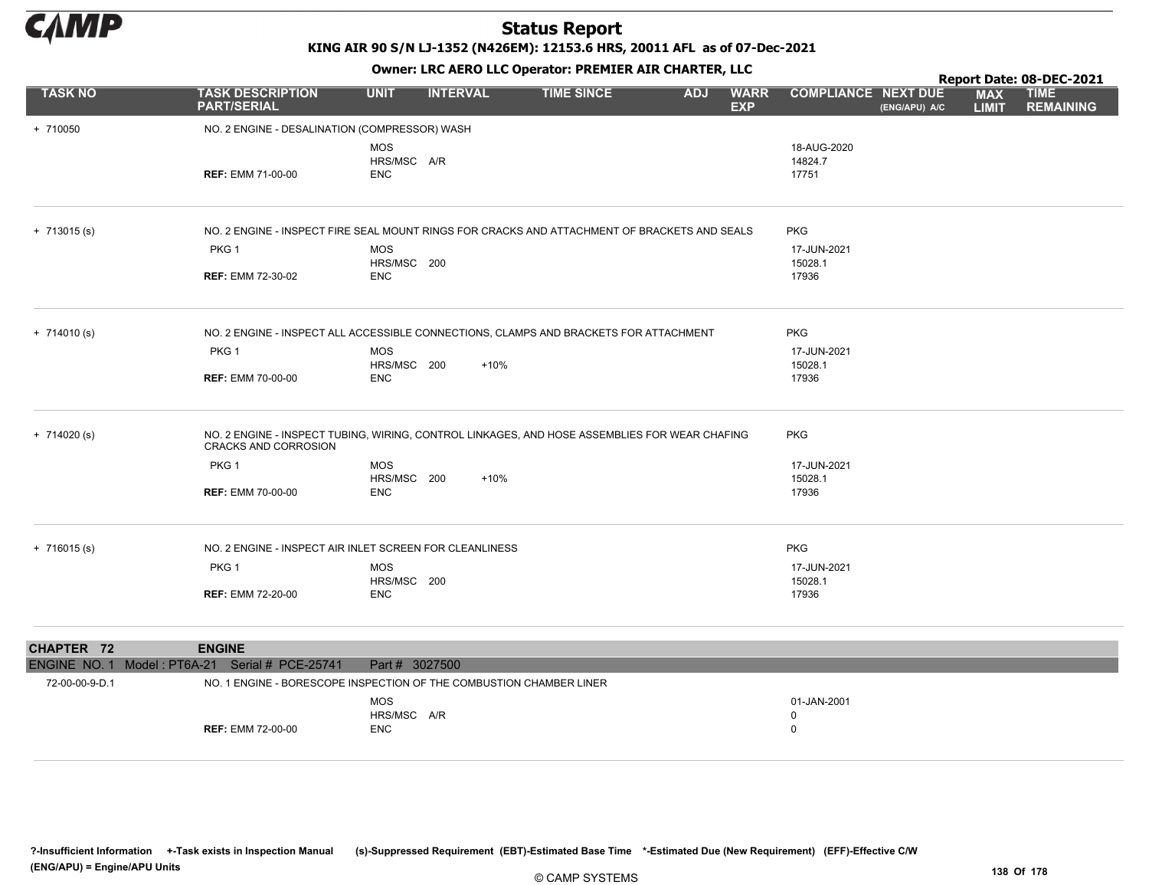

KING AIR 90 S/N LJ-1352 (N426EM): 12153.6 HRS, 20011 AFL as of 07-Dec-2021

Owner: LRC AERO LLC Operator: PREMIER AIR CHARTER, LLC

|                | OWHER LIKE ALKO LLC OPERATOR PREPILER AIR CHARTER, LLC  |                           |                 |                                                                                               |            |                           |                            | Report Date: 08-DEC-2021 |                            |                                 |  |  |
|----------------|---------------------------------------------------------|---------------------------|-----------------|-----------------------------------------------------------------------------------------------|------------|---------------------------|----------------------------|--------------------------|----------------------------|---------------------------------|--|--|
| <b>TASK NO</b> | <b>TASK DESCRIPTION</b><br><b>PART/SERIAL</b>           | <b>UNIT</b>               | <b>INTERVAL</b> | <b>TIME SINCE</b>                                                                             | <b>ADJ</b> | <b>WARR</b><br><b>EXP</b> | <b>COMPLIANCE NEXT DUE</b> | (ENG/APU) A/C            | <b>MAX</b><br><b>LIMIT</b> | <b>TIME</b><br><b>REMAINING</b> |  |  |
| + 710050       | NO. 2 ENGINE - DESALINATION (COMPRESSOR) WASH           |                           |                 |                                                                                               |            |                           |                            |                          |                            |                                 |  |  |
|                |                                                         | <b>MOS</b><br>HRS/MSC A/R |                 |                                                                                               |            |                           | 18-AUG-2020<br>14824.7     |                          |                            |                                 |  |  |
|                | <b>REF: EMM 71-00-00</b>                                | <b>ENC</b>                |                 |                                                                                               |            |                           | 17751                      |                          |                            |                                 |  |  |
| $+ 713015$ (s) |                                                         |                           |                 | NO. 2 ENGINE - INSPECT FIRE SEAL MOUNT RINGS FOR CRACKS AND ATTACHMENT OF BRACKETS AND SEALS  |            |                           | <b>PKG</b>                 |                          |                            |                                 |  |  |
|                | PKG 1                                                   | <b>MOS</b>                |                 |                                                                                               |            |                           | 17-JUN-2021                |                          |                            |                                 |  |  |
|                | <b>REF: EMM 72-30-02</b>                                | HRS/MSC 200<br><b>ENC</b> |                 |                                                                                               |            |                           | 15028.1<br>17936           |                          |                            |                                 |  |  |
|                |                                                         |                           |                 |                                                                                               |            |                           |                            |                          |                            |                                 |  |  |
| $+ 714010(s)$  |                                                         |                           |                 | NO. 2 ENGINE - INSPECT ALL ACCESSIBLE CONNECTIONS, CLAMPS AND BRACKETS FOR ATTACHMENT         |            |                           | <b>PKG</b>                 |                          |                            |                                 |  |  |
|                | PKG 1                                                   | <b>MOS</b>                |                 |                                                                                               |            |                           | 17-JUN-2021                |                          |                            |                                 |  |  |
|                |                                                         | HRS/MSC 200               | $+10%$          |                                                                                               |            |                           | 15028.1<br>17936           |                          |                            |                                 |  |  |
|                | <b>REF: EMM 70-00-00</b>                                | <b>ENC</b>                |                 |                                                                                               |            |                           |                            |                          |                            |                                 |  |  |
| $+ 714020 (s)$ | CRACKS AND CORROSION                                    |                           |                 | NO. 2 ENGINE - INSPECT TUBING, WIRING, CONTROL LINKAGES, AND HOSE ASSEMBLIES FOR WEAR CHAFING |            |                           | <b>PKG</b>                 |                          |                            |                                 |  |  |
|                | PKG <sub>1</sub>                                        | <b>MOS</b>                |                 |                                                                                               |            |                           | 17-JUN-2021                |                          |                            |                                 |  |  |
|                |                                                         | HRS/MSC 200               | $+10%$          |                                                                                               |            |                           | 15028.1                    |                          |                            |                                 |  |  |
|                | <b>REF: EMM 70-00-00</b>                                | <b>ENC</b>                |                 |                                                                                               |            |                           | 17936                      |                          |                            |                                 |  |  |
| $+ 716015$ (s) | NO. 2 ENGINE - INSPECT AIR INLET SCREEN FOR CLEANLINESS |                           |                 |                                                                                               |            |                           | <b>PKG</b>                 |                          |                            |                                 |  |  |
|                | PKG 1                                                   | <b>MOS</b><br>HRS/MSC 200 |                 |                                                                                               |            |                           | 17-JUN-2021<br>15028.1     |                          |                            |                                 |  |  |
|                | <b>REF: EMM 72-20-00</b>                                | <b>ENC</b>                |                 |                                                                                               |            |                           | 17936                      |                          |                            |                                 |  |  |

| CHAPTER 72     | <b>ENGINE</b>                                  |                                                                     |                                  |  |
|----------------|------------------------------------------------|---------------------------------------------------------------------|----------------------------------|--|
|                | ENGINE NO. 1 Model: PT6A-21 Serial # PCE-25741 | Part # 3027500                                                      |                                  |  |
| 72-00-00-9-D.1 |                                                | NO. 1 ENGINE - BORESCOPE INSPECTION OF THE COMBUSTION CHAMBER LINER |                                  |  |
|                | <b>REF: EMM 72-00-00</b>                       | MOS<br>HRS/MSC A/R<br><b>ENC</b>                                    | 01-JAN-2001<br><sup>0</sup><br>0 |  |

?-Insufficient Information +-Task exists in Inspection Manual (s)-Suppressed Requirement (EBT)-Estimated Base Time \*-Estimated Due (New Requirement) (EFF)-Effective C/W (ENG/APU) = Engine/APU Units 138 Of 178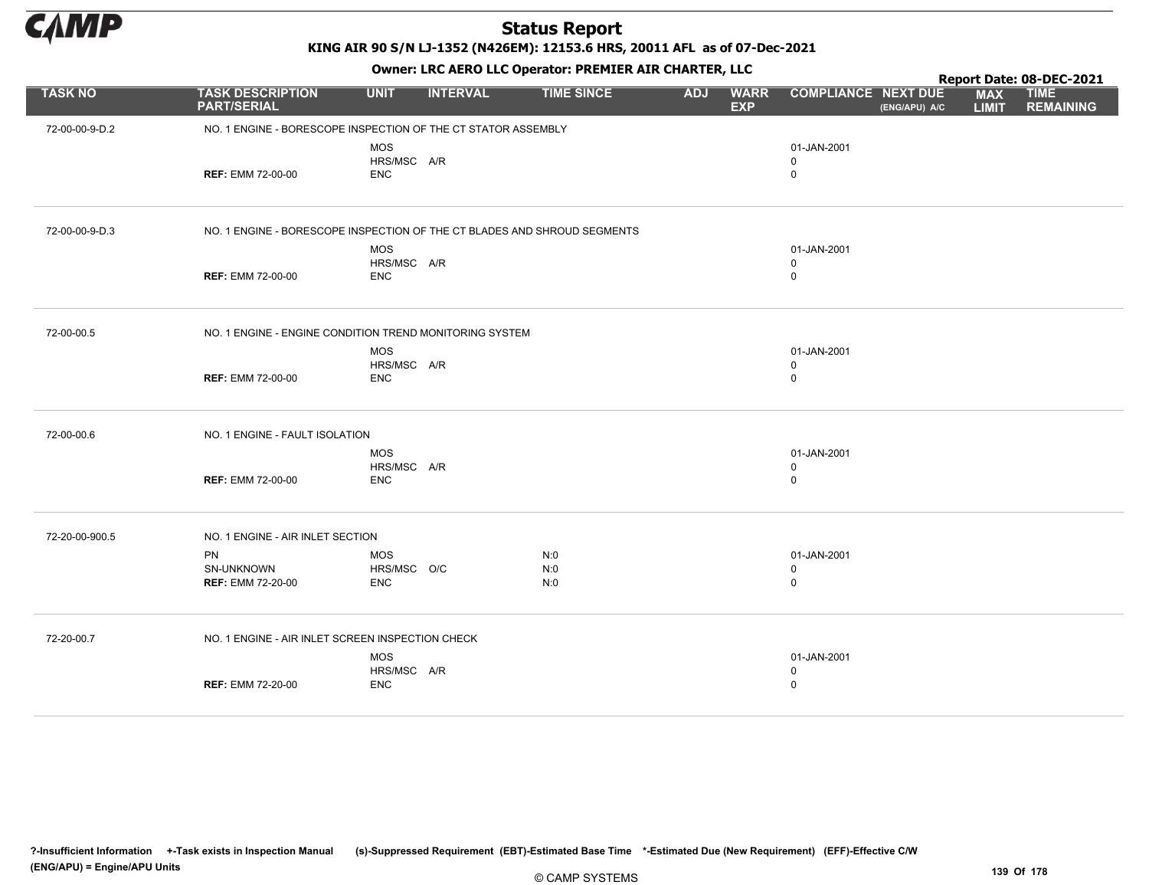

KING AIR 90 S/N LJ-1352 (N426EM): 12153.6 HRS, 20011 AFL as of 07-Dec-2021

|                |                                                                          | OWHER. LKC ALKO LLC OPERATOR. PREPILER AIR CHARTER, LLC |                 |                   |            |                           |                                           | Report Date: 08-DEC-2021 |                            |                                 |  |  |
|----------------|--------------------------------------------------------------------------|---------------------------------------------------------|-----------------|-------------------|------------|---------------------------|-------------------------------------------|--------------------------|----------------------------|---------------------------------|--|--|
| <b>TASK NO</b> | <b>TASK DESCRIPTION</b><br><b>PART/SERIAL</b>                            | <b>UNIT</b>                                             | <b>INTERVAL</b> | <b>TIME SINCE</b> | <b>ADJ</b> | <b>WARR</b><br><b>EXP</b> | <b>COMPLIANCE NEXT DUE</b>                | (ENG/APU) A/C            | <b>MAX</b><br><b>LIMIT</b> | <b>TIME</b><br><b>REMAINING</b> |  |  |
| 72-00-00-9-D.2 | NO. 1 ENGINE - BORESCOPE INSPECTION OF THE CT STATOR ASSEMBLY            |                                                         |                 |                   |            |                           |                                           |                          |                            |                                 |  |  |
|                | <b>REF: EMM 72-00-00</b>                                                 | <b>MOS</b><br>HRS/MSC A/R<br><b>ENC</b>                 |                 |                   |            |                           | 01-JAN-2001<br>$\mathsf 0$<br>$\mathsf 0$ |                          |                            |                                 |  |  |
| 72-00-00-9-D.3 | NO. 1 ENGINE - BORESCOPE INSPECTION OF THE CT BLADES AND SHROUD SEGMENTS |                                                         |                 |                   |            |                           |                                           |                          |                            |                                 |  |  |
|                | <b>REF: EMM 72-00-00</b>                                                 | <b>MOS</b><br>HRS/MSC A/R<br><b>ENC</b>                 |                 |                   |            |                           | 01-JAN-2001<br>$\mathbf 0$<br>$\mathsf 0$ |                          |                            |                                 |  |  |
| 72-00-00.5     | NO. 1 ENGINE - ENGINE CONDITION TREND MONITORING SYSTEM                  |                                                         |                 |                   |            |                           |                                           |                          |                            |                                 |  |  |
|                | <b>REF: EMM 72-00-00</b>                                                 | MOS<br>HRS/MSC A/R<br><b>ENC</b>                        |                 |                   |            |                           | 01-JAN-2001<br>$\mathbf 0$<br>$\mathsf 0$ |                          |                            |                                 |  |  |
| 72-00-00.6     | NO. 1 ENGINE - FAULT ISOLATION                                           |                                                         |                 |                   |            |                           |                                           |                          |                            |                                 |  |  |
|                | <b>REF: EMM 72-00-00</b>                                                 | MOS<br>HRS/MSC A/R<br><b>ENC</b>                        |                 |                   |            |                           | 01-JAN-2001<br>$\mathbf 0$<br>$\mathsf 0$ |                          |                            |                                 |  |  |
| 72-20-00-900.5 | NO. 1 ENGINE - AIR INLET SECTION                                         |                                                         |                 |                   |            |                           |                                           |                          |                            |                                 |  |  |
|                | <b>PN</b><br>SN-UNKNOWN<br><b>REF: EMM 72-20-00</b>                      | <b>MOS</b><br>HRS/MSC O/C<br><b>ENC</b>                 |                 | N:0<br>N:0<br>N:0 |            |                           | 01-JAN-2001<br>$\mathbf 0$<br>$\mathsf 0$ |                          |                            |                                 |  |  |
| 72-20-00.7     | NO. 1 ENGINE - AIR INLET SCREEN INSPECTION CHECK                         |                                                         |                 |                   |            |                           |                                           |                          |                            |                                 |  |  |
|                | <b>REF: EMM 72-20-00</b>                                                 | <b>MOS</b><br>HRS/MSC A/R<br><b>ENC</b>                 |                 |                   |            |                           | 01-JAN-2001<br>$\mathbf 0$<br>$\mathsf 0$ |                          |                            |                                 |  |  |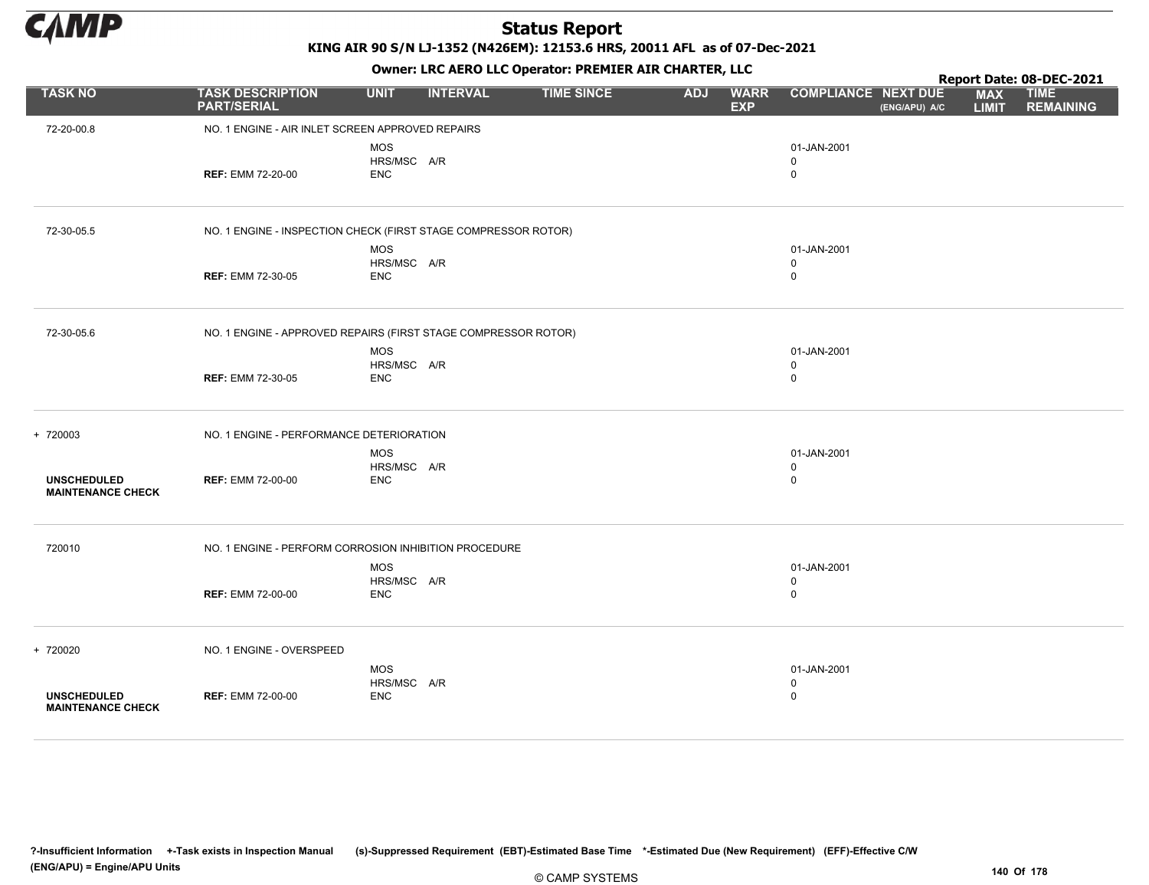

KING AIR 90 S/N LJ-1352 (N426EM): 12153.6 HRS, 20011 AFL as of 07-Dec-2021

Owner: LRC AERO LLC Operator: PREMIER AIR CHARTER, LLC

|                                                |                                                                |                           |                 |                   |            | $\overline{\phantom{a}}$  |                            |               |                            | Report Date: 08-DEC-2021        |
|------------------------------------------------|----------------------------------------------------------------|---------------------------|-----------------|-------------------|------------|---------------------------|----------------------------|---------------|----------------------------|---------------------------------|
| <b>TASK NO</b>                                 | <b>TASK DESCRIPTION</b><br><b>PART/SERIAL</b>                  | <b>UNIT</b>               | <b>INTERVAL</b> | <b>TIME SINCE</b> | <b>ADJ</b> | <b>WARR</b><br><b>EXP</b> | <b>COMPLIANCE NEXT DUE</b> | (ENG/APU) A/C | <b>MAX</b><br><b>LIMIT</b> | <b>TIME</b><br><b>REMAINING</b> |
| 72-20-00.8                                     | NO. 1 ENGINE - AIR INLET SCREEN APPROVED REPAIRS               |                           |                 |                   |            |                           |                            |               |                            |                                 |
|                                                |                                                                | <b>MOS</b>                |                 |                   |            |                           | 01-JAN-2001                |               |                            |                                 |
|                                                |                                                                | HRS/MSC A/R               |                 |                   |            |                           | $\mathbf 0$                |               |                            |                                 |
|                                                | <b>REF: EMM 72-20-00</b>                                       | <b>ENC</b>                |                 |                   |            |                           | 0                          |               |                            |                                 |
|                                                |                                                                |                           |                 |                   |            |                           |                            |               |                            |                                 |
| 72-30-05.5                                     | NO. 1 ENGINE - INSPECTION CHECK (FIRST STAGE COMPRESSOR ROTOR) |                           |                 |                   |            |                           |                            |               |                            |                                 |
|                                                |                                                                | <b>MOS</b>                |                 |                   |            |                           | 01-JAN-2001                |               |                            |                                 |
|                                                |                                                                | HRS/MSC A/R               |                 |                   |            |                           | $\mathbf 0$                |               |                            |                                 |
|                                                | <b>REF: EMM 72-30-05</b>                                       | <b>ENC</b>                |                 |                   |            |                           | $\mathbf 0$                |               |                            |                                 |
|                                                |                                                                |                           |                 |                   |            |                           |                            |               |                            |                                 |
| 72-30-05.6                                     | NO. 1 ENGINE - APPROVED REPAIRS (FIRST STAGE COMPRESSOR ROTOR) |                           |                 |                   |            |                           |                            |               |                            |                                 |
|                                                |                                                                | <b>MOS</b>                |                 |                   |            |                           | 01-JAN-2001                |               |                            |                                 |
|                                                |                                                                | HRS/MSC A/R               |                 |                   |            |                           | 0                          |               |                            |                                 |
|                                                | <b>REF: EMM 72-30-05</b>                                       | <b>ENC</b>                |                 |                   |            |                           | $\mathbf 0$                |               |                            |                                 |
| + 720003                                       | NO. 1 ENGINE - PERFORMANCE DETERIORATION                       |                           |                 |                   |            |                           |                            |               |                            |                                 |
|                                                |                                                                |                           |                 |                   |            |                           |                            |               |                            |                                 |
|                                                |                                                                | <b>MOS</b>                |                 |                   |            |                           | 01-JAN-2001                |               |                            |                                 |
| <b>UNSCHEDULED</b>                             | <b>REF: EMM 72-00-00</b>                                       | HRS/MSC A/R<br><b>ENC</b> |                 |                   |            |                           | 0<br>$\mathbf 0$           |               |                            |                                 |
| <b>MAINTENANCE CHECK</b>                       |                                                                |                           |                 |                   |            |                           |                            |               |                            |                                 |
| 720010                                         | NO. 1 ENGINE - PERFORM CORROSION INHIBITION PROCEDURE          |                           |                 |                   |            |                           |                            |               |                            |                                 |
|                                                |                                                                | <b>MOS</b>                |                 |                   |            |                           | 01-JAN-2001                |               |                            |                                 |
|                                                |                                                                | HRS/MSC A/R               |                 |                   |            |                           | 0                          |               |                            |                                 |
|                                                | <b>REF: EMM 72-00-00</b>                                       | <b>ENC</b>                |                 |                   |            |                           | 0                          |               |                            |                                 |
|                                                |                                                                |                           |                 |                   |            |                           |                            |               |                            |                                 |
| + 720020                                       | NO. 1 ENGINE - OVERSPEED                                       |                           |                 |                   |            |                           |                            |               |                            |                                 |
|                                                |                                                                | <b>MOS</b>                |                 |                   |            |                           | 01-JAN-2001                |               |                            |                                 |
|                                                |                                                                | HRS/MSC A/R               |                 |                   |            |                           | 0                          |               |                            |                                 |
| <b>UNSCHEDULED</b><br><b>MAINTENANCE CHECK</b> | <b>REF: EMM 72-00-00</b>                                       | <b>ENC</b>                |                 |                   |            |                           | 0                          |               |                            |                                 |
|                                                |                                                                |                           |                 |                   |            |                           |                            |               |                            |                                 |

?-Insufficient Information +-Task exists in Inspection Manual (s)-Suppressed Requirement (EBT)-Estimated Base Time \*-Estimated Due (New Requirement) (EFF)-Effective C/W (ENG/APU) = Engine/APU Units 140 Of 178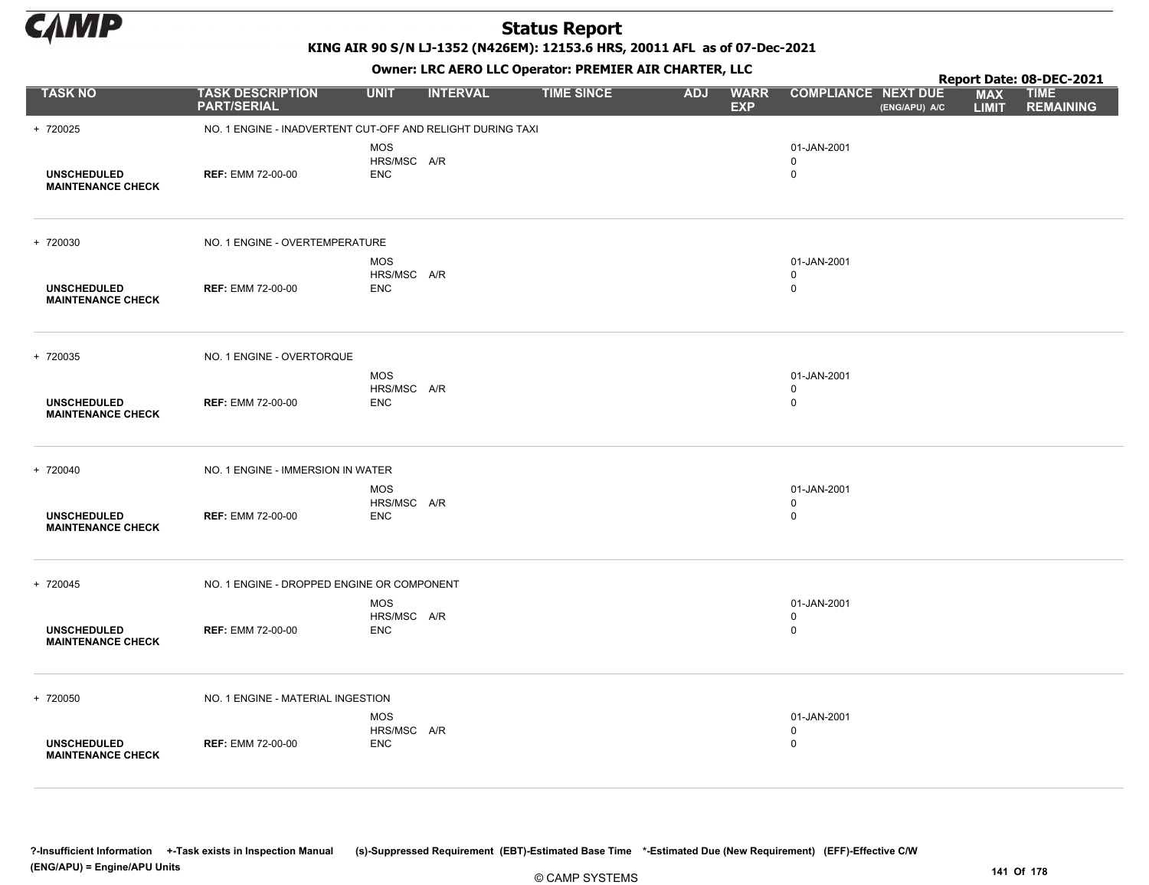

KING AIR 90 S/N LJ-1352 (N426EM): 12153.6 HRS, 20011 AFL as of 07-Dec-2021

|                                                |                                                            |                                         |                 | OWHER, LKC AERO LLC OPERATOR, PREPILER AIR CHARTER, LLC |            |                           |                                           |               |                            | Report Date: 08-DEC-2021        |
|------------------------------------------------|------------------------------------------------------------|-----------------------------------------|-----------------|---------------------------------------------------------|------------|---------------------------|-------------------------------------------|---------------|----------------------------|---------------------------------|
| <b>TASK NO</b>                                 | <b>TASK DESCRIPTION</b><br><b>PART/SERIAL</b>              | <b>UNIT</b>                             | <b>INTERVAL</b> | <b>TIME SINCE</b>                                       | <b>ADJ</b> | <b>WARR</b><br><b>EXP</b> | <b>COMPLIANCE NEXT DUE</b>                | (ENG/APU) A/C | <b>MAX</b><br><b>LIMIT</b> | <b>TIME</b><br><b>REMAINING</b> |
| + 720025                                       | NO. 1 ENGINE - INADVERTENT CUT-OFF AND RELIGHT DURING TAXI |                                         |                 |                                                         |            |                           |                                           |               |                            |                                 |
| <b>UNSCHEDULED</b><br><b>MAINTENANCE CHECK</b> | <b>REF: EMM 72-00-00</b>                                   | <b>MOS</b><br>HRS/MSC A/R<br><b>ENC</b> |                 |                                                         |            |                           | 01-JAN-2001<br>$\mathbf 0$<br>$\mathbf 0$ |               |                            |                                 |
| + 720030                                       | NO. 1 ENGINE - OVERTEMPERATURE                             |                                         |                 |                                                         |            |                           |                                           |               |                            |                                 |
| <b>UNSCHEDULED</b><br><b>MAINTENANCE CHECK</b> | <b>REF: EMM 72-00-00</b>                                   | <b>MOS</b><br>HRS/MSC A/R<br><b>ENC</b> |                 |                                                         |            |                           | 01-JAN-2001<br>$\mathbf 0$<br>$\mathbf 0$ |               |                            |                                 |
| + 720035                                       | NO. 1 ENGINE - OVERTORQUE                                  |                                         |                 |                                                         |            |                           |                                           |               |                            |                                 |
| <b>UNSCHEDULED</b><br><b>MAINTENANCE CHECK</b> | <b>REF: EMM 72-00-00</b>                                   | <b>MOS</b><br>HRS/MSC A/R<br><b>ENC</b> |                 |                                                         |            |                           | 01-JAN-2001<br>$\mathbf 0$<br>$\mathbf 0$ |               |                            |                                 |
| + 720040                                       | NO. 1 ENGINE - IMMERSION IN WATER                          |                                         |                 |                                                         |            |                           |                                           |               |                            |                                 |
| <b>UNSCHEDULED</b><br><b>MAINTENANCE CHECK</b> | <b>REF: EMM 72-00-00</b>                                   | <b>MOS</b><br>HRS/MSC A/R<br><b>ENC</b> |                 |                                                         |            |                           | 01-JAN-2001<br>0<br>$\mathsf 0$           |               |                            |                                 |
| + 720045                                       | NO. 1 ENGINE - DROPPED ENGINE OR COMPONENT                 |                                         |                 |                                                         |            |                           |                                           |               |                            |                                 |
| <b>UNSCHEDULED</b><br><b>MAINTENANCE CHECK</b> | <b>REF: EMM 72-00-00</b>                                   | <b>MOS</b><br>HRS/MSC A/R<br><b>ENC</b> |                 |                                                         |            |                           | 01-JAN-2001<br>0<br>$\mathbf 0$           |               |                            |                                 |
| + 720050                                       | NO. 1 ENGINE - MATERIAL INGESTION                          |                                         |                 |                                                         |            |                           |                                           |               |                            |                                 |
| <b>UNSCHEDULED</b><br><b>MAINTENANCE CHECK</b> | <b>REF: EMM 72-00-00</b>                                   | <b>MOS</b><br>HRS/MSC A/R<br><b>ENC</b> |                 |                                                         |            |                           | 01-JAN-2001<br>$\mathbf 0$<br>$\mathbf 0$ |               |                            |                                 |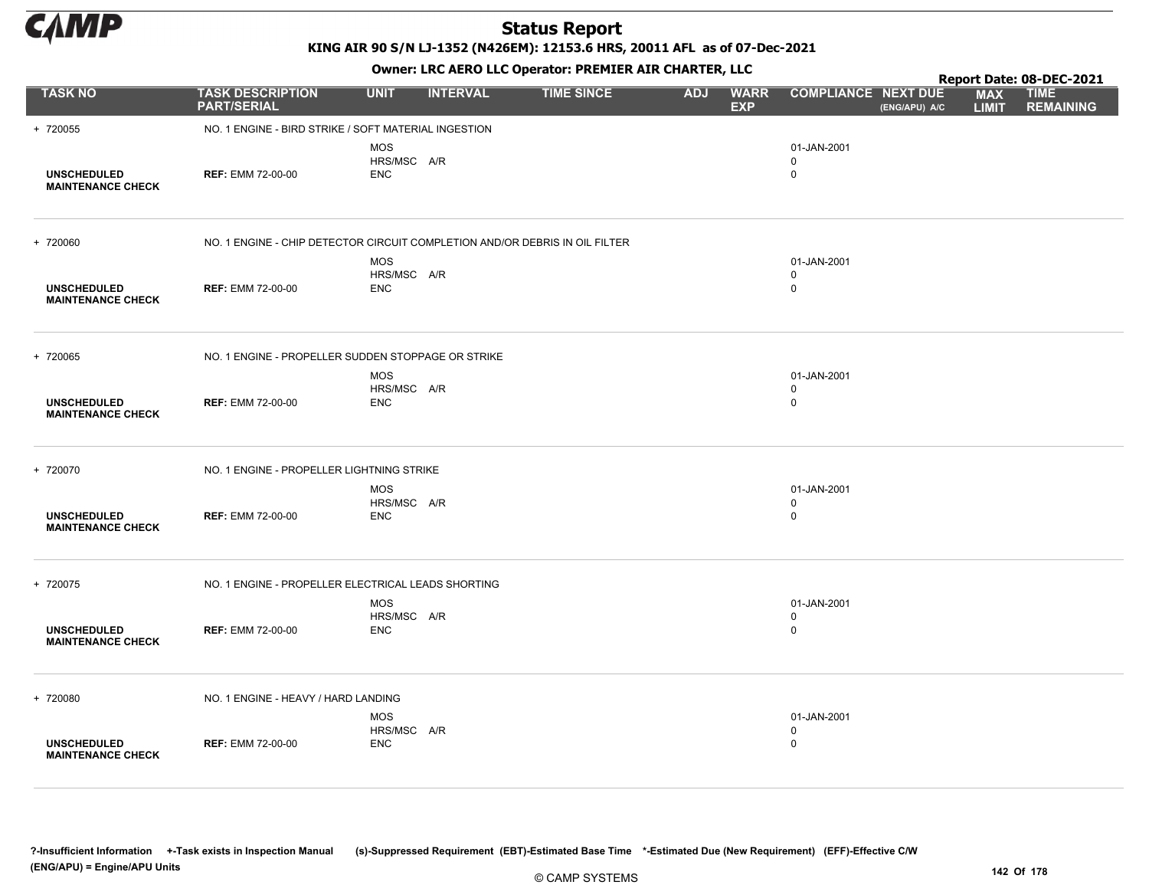

KING AIR 90 S/N LJ-1352 (N426EM): 12153.6 HRS, 20011 AFL as of 07-Dec-2021

Owner: LRC AERO LLC Operator: PREMIER AIR CHARTER, LLC

|                                                |                                                                             |                                         |                 |                   |            |                           |                                           |               |                            | Report Date: 08-DEC-2021        |
|------------------------------------------------|-----------------------------------------------------------------------------|-----------------------------------------|-----------------|-------------------|------------|---------------------------|-------------------------------------------|---------------|----------------------------|---------------------------------|
| <b>TASK NO</b>                                 | <b>TASK DESCRIPTION</b><br><b>PART/SERIAL</b>                               | <b>UNIT</b>                             | <b>INTERVAL</b> | <b>TIME SINCE</b> | <b>ADJ</b> | <b>WARR</b><br><b>EXP</b> | <b>COMPLIANCE NEXT DUE</b>                | (ENG/APU) A/C | <b>MAX</b><br><b>LIMIT</b> | <b>TIME</b><br><b>REMAINING</b> |
| + 720055                                       | NO. 1 ENGINE - BIRD STRIKE / SOFT MATERIAL INGESTION                        |                                         |                 |                   |            |                           |                                           |               |                            |                                 |
| <b>UNSCHEDULED</b><br><b>MAINTENANCE CHECK</b> | <b>REF: EMM 72-00-00</b>                                                    | <b>MOS</b><br>HRS/MSC A/R<br><b>ENC</b> |                 |                   |            |                           | 01-JAN-2001<br>$\mathbf 0$<br>0           |               |                            |                                 |
| + 720060                                       | NO. 1 ENGINE - CHIP DETECTOR CIRCUIT COMPLETION AND/OR DEBRIS IN OIL FILTER |                                         |                 |                   |            |                           |                                           |               |                            |                                 |
| <b>UNSCHEDULED</b><br><b>MAINTENANCE CHECK</b> | <b>REF: EMM 72-00-00</b>                                                    | <b>MOS</b><br>HRS/MSC A/R<br><b>ENC</b> |                 |                   |            |                           | 01-JAN-2001<br>$\mathbf 0$<br>$\mathbf 0$ |               |                            |                                 |
| + 720065                                       | NO. 1 ENGINE - PROPELLER SUDDEN STOPPAGE OR STRIKE                          |                                         |                 |                   |            |                           |                                           |               |                            |                                 |
| <b>UNSCHEDULED</b><br><b>MAINTENANCE CHECK</b> | <b>REF: EMM 72-00-00</b>                                                    | <b>MOS</b><br>HRS/MSC A/R<br><b>ENC</b> |                 |                   |            |                           | 01-JAN-2001<br>0<br>$\mathbf 0$           |               |                            |                                 |
| + 720070                                       | NO. 1 ENGINE - PROPELLER LIGHTNING STRIKE                                   |                                         |                 |                   |            |                           |                                           |               |                            |                                 |
| <b>UNSCHEDULED</b><br><b>MAINTENANCE CHECK</b> | <b>REF: EMM 72-00-00</b>                                                    | <b>MOS</b><br>HRS/MSC A/R<br><b>ENC</b> |                 |                   |            |                           | 01-JAN-2001<br>0<br>$\mathbf 0$           |               |                            |                                 |
| + 720075                                       | NO. 1 ENGINE - PROPELLER ELECTRICAL LEADS SHORTING                          |                                         |                 |                   |            |                           |                                           |               |                            |                                 |
| <b>UNSCHEDULED</b><br><b>MAINTENANCE CHECK</b> | <b>REF: EMM 72-00-00</b>                                                    | <b>MOS</b><br>HRS/MSC A/R<br><b>ENC</b> |                 |                   |            |                           | 01-JAN-2001<br>$\mathbf 0$<br>$\mathbf 0$ |               |                            |                                 |
| + 720080                                       | NO. 1 ENGINE - HEAVY / HARD LANDING                                         |                                         |                 |                   |            |                           |                                           |               |                            |                                 |
| <b>UNSCHEDULED</b><br><b>MAINTENANCE CHECK</b> | <b>REF: EMM 72-00-00</b>                                                    | <b>MOS</b><br>HRS/MSC A/R<br><b>ENC</b> |                 |                   |            |                           | 01-JAN-2001<br>$\mathbf 0$<br>0           |               |                            |                                 |

© CAMP SYSTEMS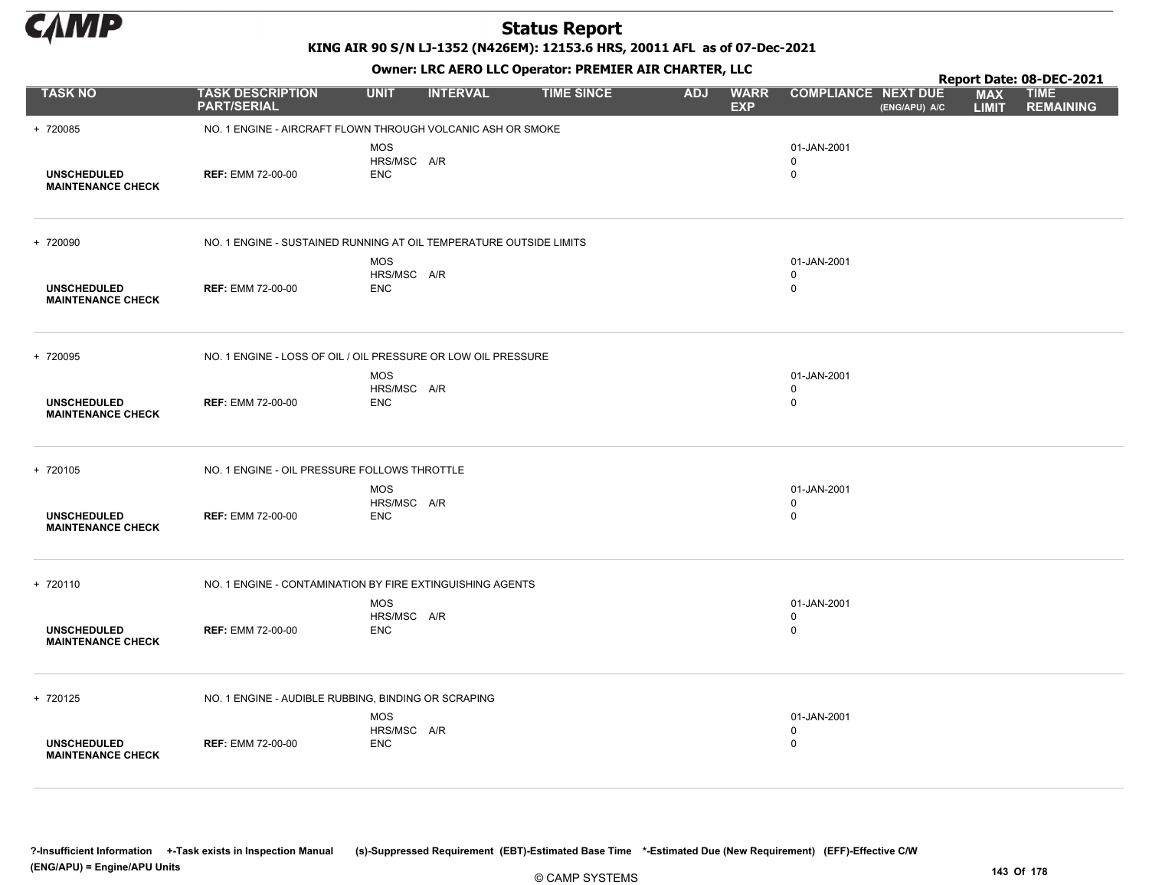

KING AIR 90 S/N LJ-1352 (N426EM): 12153.6 HRS, 20011 AFL as of 07-Dec-2021

|                                                |                                                                    |                                         |                 |                   |            |                           |                                           |               |                            | Report Date: 08-DEC-2021        |
|------------------------------------------------|--------------------------------------------------------------------|-----------------------------------------|-----------------|-------------------|------------|---------------------------|-------------------------------------------|---------------|----------------------------|---------------------------------|
| <b>TASK NO</b>                                 | <b>TASK DESCRIPTION</b><br><b>PART/SERIAL</b>                      | <b>UNIT</b>                             | <b>INTERVAL</b> | <b>TIME SINCE</b> | <b>ADJ</b> | <b>WARR</b><br><b>EXP</b> | <b>COMPLIANCE NEXT DUE</b>                | (ENG/APU) A/C | <b>MAX</b><br><b>LIMIT</b> | <b>TIME</b><br><b>REMAINING</b> |
| + 720085                                       | NO. 1 ENGINE - AIRCRAFT FLOWN THROUGH VOLCANIC ASH OR SMOKE        |                                         |                 |                   |            |                           |                                           |               |                            |                                 |
| <b>UNSCHEDULED</b><br><b>MAINTENANCE CHECK</b> | <b>REF: EMM 72-00-00</b>                                           | <b>MOS</b><br>HRS/MSC A/R<br><b>ENC</b> |                 |                   |            |                           | 01-JAN-2001<br>$\Omega$<br>$\mathbf 0$    |               |                            |                                 |
| + 720090                                       | NO. 1 ENGINE - SUSTAINED RUNNING AT OIL TEMPERATURE OUTSIDE LIMITS |                                         |                 |                   |            |                           |                                           |               |                            |                                 |
| <b>UNSCHEDULED</b><br><b>MAINTENANCE CHECK</b> | <b>REF: EMM 72-00-00</b>                                           | <b>MOS</b><br>HRS/MSC A/R<br><b>ENC</b> |                 |                   |            |                           | 01-JAN-2001<br>$\mathbf 0$<br>$\mathbf 0$ |               |                            |                                 |
| + 720095                                       | NO. 1 ENGINE - LOSS OF OIL / OIL PRESSURE OR LOW OIL PRESSURE      |                                         |                 |                   |            |                           |                                           |               |                            |                                 |
| <b>UNSCHEDULED</b><br><b>MAINTENANCE CHECK</b> | <b>REF: EMM 72-00-00</b>                                           | <b>MOS</b><br>HRS/MSC A/R<br><b>ENC</b> |                 |                   |            |                           | 01-JAN-2001<br>$\mathbf 0$<br>$\mathbf 0$ |               |                            |                                 |
| + 720105                                       | NO. 1 ENGINE - OIL PRESSURE FOLLOWS THROTTLE                       |                                         |                 |                   |            |                           |                                           |               |                            |                                 |
| <b>UNSCHEDULED</b><br><b>MAINTENANCE CHECK</b> | <b>REF: EMM 72-00-00</b>                                           | <b>MOS</b><br>HRS/MSC A/R<br><b>ENC</b> |                 |                   |            |                           | 01-JAN-2001<br>$\mathbf 0$<br>0           |               |                            |                                 |
| + 720110                                       | NO. 1 ENGINE - CONTAMINATION BY FIRE EXTINGUISHING AGENTS          |                                         |                 |                   |            |                           |                                           |               |                            |                                 |
| <b>UNSCHEDULED</b><br><b>MAINTENANCE CHECK</b> | <b>REF: EMM 72-00-00</b>                                           | <b>MOS</b><br>HRS/MSC A/R<br><b>ENC</b> |                 |                   |            |                           | 01-JAN-2001<br>$\mathbf 0$<br>0           |               |                            |                                 |
| + 720125                                       | NO. 1 ENGINE - AUDIBLE RUBBING, BINDING OR SCRAPING                |                                         |                 |                   |            |                           |                                           |               |                            |                                 |
| <b>UNSCHEDULED</b><br><b>MAINTENANCE CHECK</b> | <b>REF: EMM 72-00-00</b>                                           | <b>MOS</b><br>HRS/MSC A/R<br><b>ENC</b> |                 |                   |            |                           | 01-JAN-2001<br>0<br>$\Omega$              |               |                            |                                 |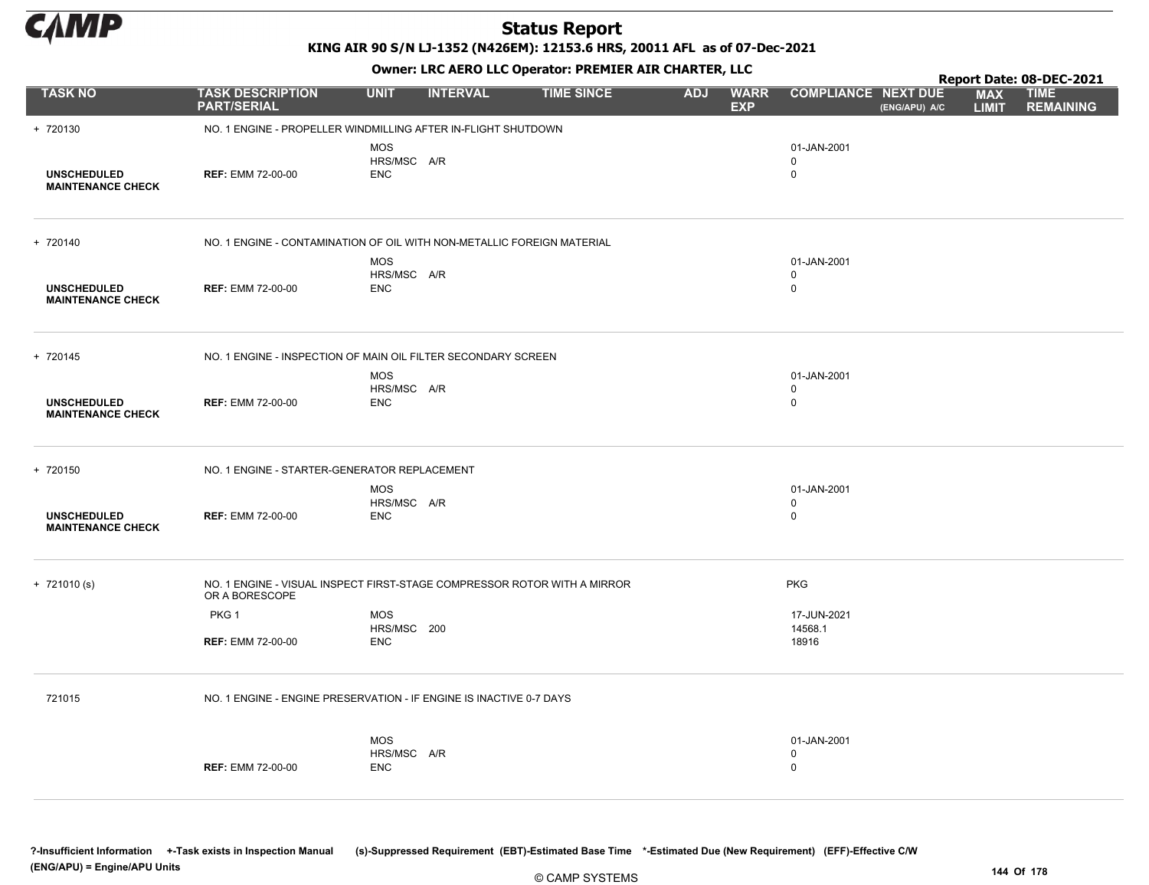

KING AIR 90 S/N LJ-1352 (N426EM): 12153.6 HRS, 20011 AFL as of 07-Dec-2021

Owner: LRC AERO LLC Operator: PREMIER AIR CHARTER, LLC

|                                                |                                                                                            |                                         | OWHER, LKC AERO LLC OPERATOR, PREPILER AIR CHARTER, LLC |                   |            |                           |                                           |               | Report Date: 08-DEC-2021   |                                 |  |  |
|------------------------------------------------|--------------------------------------------------------------------------------------------|-----------------------------------------|---------------------------------------------------------|-------------------|------------|---------------------------|-------------------------------------------|---------------|----------------------------|---------------------------------|--|--|
| <b>TASK NO</b>                                 | <b>TASK DESCRIPTION</b><br><b>PART/SERIAL</b>                                              | <b>UNIT</b>                             | <b>INTERVAL</b>                                         | <b>TIME SINCE</b> | <b>ADJ</b> | <b>WARR</b><br><b>EXP</b> | <b>COMPLIANCE NEXT DUE</b>                | (ENG/APU) A/C | <b>MAX</b><br><b>LIMIT</b> | <b>TIME</b><br><b>REMAINING</b> |  |  |
| + 720130                                       | NO. 1 ENGINE - PROPELLER WINDMILLING AFTER IN-FLIGHT SHUTDOWN                              |                                         |                                                         |                   |            |                           |                                           |               |                            |                                 |  |  |
| <b>UNSCHEDULED</b><br><b>MAINTENANCE CHECK</b> | <b>REF: EMM 72-00-00</b>                                                                   | <b>MOS</b><br>HRS/MSC A/R<br><b>ENC</b> |                                                         |                   |            |                           | 01-JAN-2001<br>$\mathbf 0$<br>$\mathbf 0$ |               |                            |                                 |  |  |
|                                                |                                                                                            |                                         |                                                         |                   |            |                           |                                           |               |                            |                                 |  |  |
| + 720140                                       | NO. 1 ENGINE - CONTAMINATION OF OIL WITH NON-METALLIC FOREIGN MATERIAL                     |                                         |                                                         |                   |            |                           |                                           |               |                            |                                 |  |  |
|                                                |                                                                                            | <b>MOS</b>                              |                                                         |                   |            |                           | 01-JAN-2001                               |               |                            |                                 |  |  |
| <b>UNSCHEDULED</b><br><b>MAINTENANCE CHECK</b> | <b>REF: EMM 72-00-00</b>                                                                   | HRS/MSC A/R<br><b>ENC</b>               |                                                         |                   |            |                           | $\mathbf 0$<br>$\mathbf 0$                |               |                            |                                 |  |  |
| + 720145                                       | NO. 1 ENGINE - INSPECTION OF MAIN OIL FILTER SECONDARY SCREEN                              |                                         |                                                         |                   |            |                           |                                           |               |                            |                                 |  |  |
|                                                |                                                                                            | <b>MOS</b>                              |                                                         |                   |            |                           | 01-JAN-2001                               |               |                            |                                 |  |  |
| <b>UNSCHEDULED</b><br><b>MAINTENANCE CHECK</b> | <b>REF: EMM 72-00-00</b>                                                                   | HRS/MSC A/R<br><b>ENC</b>               |                                                         |                   |            |                           | $\mathbf 0$<br>$\mathbf 0$                |               |                            |                                 |  |  |
| + 720150                                       | NO. 1 ENGINE - STARTER-GENERATOR REPLACEMENT                                               |                                         |                                                         |                   |            |                           |                                           |               |                            |                                 |  |  |
|                                                |                                                                                            | <b>MOS</b>                              |                                                         |                   |            |                           | 01-JAN-2001                               |               |                            |                                 |  |  |
| <b>UNSCHEDULED</b><br><b>MAINTENANCE CHECK</b> | <b>REF: EMM 72-00-00</b>                                                                   | HRS/MSC A/R<br><b>ENC</b>               |                                                         |                   |            |                           | $\mathbf 0$<br>$\mathbf 0$                |               |                            |                                 |  |  |
| $+ 721010(s)$                                  | NO. 1 ENGINE - VISUAL INSPECT FIRST-STAGE COMPRESSOR ROTOR WITH A MIRROR<br>OR A BORESCOPE |                                         |                                                         |                   |            |                           | <b>PKG</b>                                |               |                            |                                 |  |  |
|                                                | PKG 1                                                                                      | <b>MOS</b>                              |                                                         |                   |            |                           | 17-JUN-2021                               |               |                            |                                 |  |  |
|                                                | <b>REF: EMM 72-00-00</b>                                                                   | HRS/MSC 200<br><b>ENC</b>               |                                                         |                   |            |                           | 14568.1<br>18916                          |               |                            |                                 |  |  |
|                                                |                                                                                            |                                         |                                                         |                   |            |                           |                                           |               |                            |                                 |  |  |
| 721015                                         | NO. 1 ENGINE - ENGINE PRESERVATION - IF ENGINE IS INACTIVE 0-7 DAYS                        |                                         |                                                         |                   |            |                           |                                           |               |                            |                                 |  |  |
|                                                |                                                                                            | <b>MOS</b>                              |                                                         |                   |            |                           | 01-JAN-2001                               |               |                            |                                 |  |  |
|                                                | <b>REF: EMM 72-00-00</b>                                                                   | HRS/MSC A/R<br><b>ENC</b>               |                                                         |                   |            |                           | $\mathbf 0$<br>$\mathbf 0$                |               |                            |                                 |  |  |
|                                                |                                                                                            |                                         |                                                         |                   |            |                           |                                           |               |                            |                                 |  |  |
|                                                |                                                                                            |                                         |                                                         |                   |            |                           |                                           |               |                            |                                 |  |  |

?-Insufficient Information +-Task exists in Inspection Manual (s)-Suppressed Requirement (EBT)-Estimated Base Time \*-Estimated Due (New Requirement) (EFF)-Effective C/W (ENG/APU) = Engine/APU Units 144 Of 178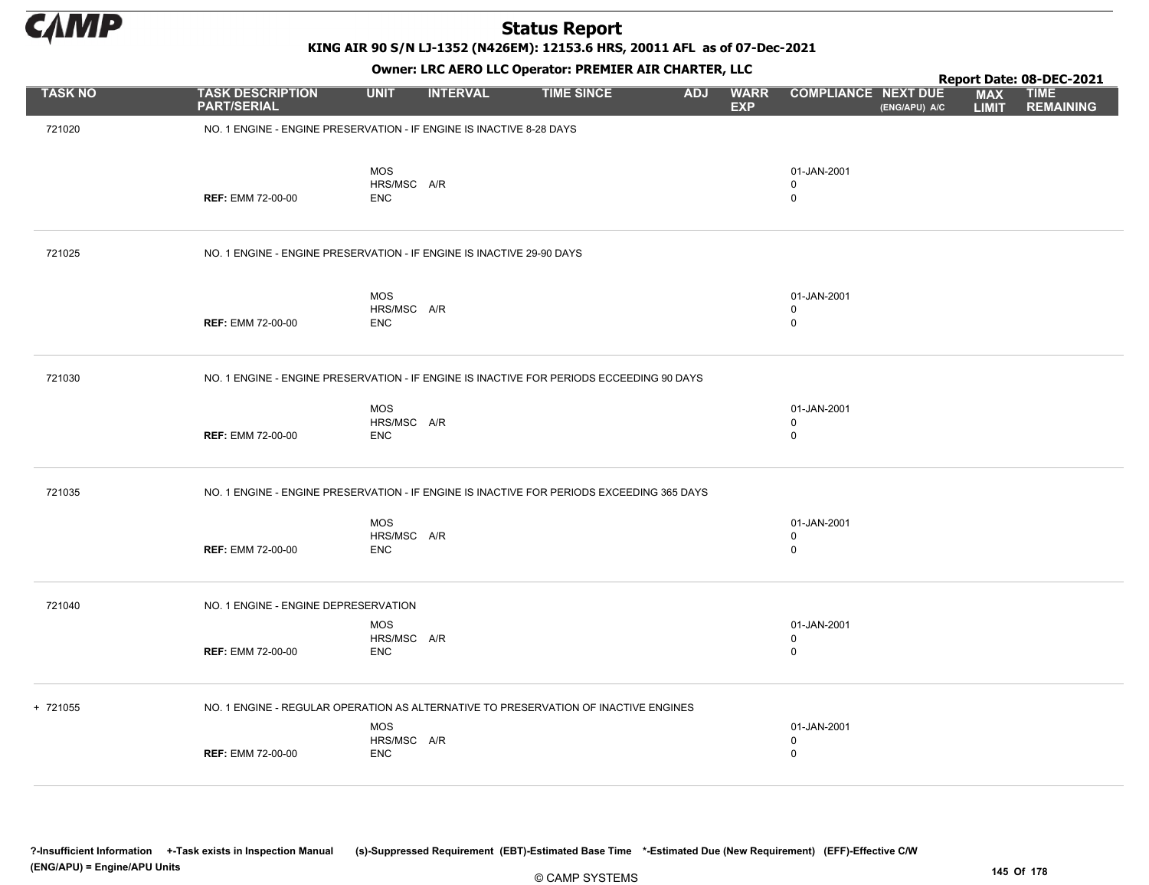

KING AIR 90 S/N LJ-1352 (N426EM): 12153.6 HRS, 20011 AFL as of 07-Dec-2021

|                |                                                                       |                                | Owner: LRC AERO LLC Operator: PREMIER AIR CHARTER, LLC                                    |                          |                                           |               |                            | Report Date: 08-DEC-2021        |
|----------------|-----------------------------------------------------------------------|--------------------------------|-------------------------------------------------------------------------------------------|--------------------------|-------------------------------------------|---------------|----------------------------|---------------------------------|
| <b>TASK NO</b> | <b>TASK DESCRIPTION</b><br><b>PART/SERIAL</b>                         | <b>UNIT</b><br><b>INTERVAL</b> | <b>TIME SINCE</b>                                                                         | <b>ADJ</b><br><b>EXP</b> | <b>WARR</b><br><b>COMPLIANCE NEXT DUE</b> | (ENG/APU) A/C | <b>MAX</b><br><b>LIMIT</b> | <b>TIME</b><br><b>REMAINING</b> |
| 721020         | NO. 1 ENGINE - ENGINE PRESERVATION - IF ENGINE IS INACTIVE 8-28 DAYS  |                                |                                                                                           |                          |                                           |               |                            |                                 |
|                |                                                                       |                                |                                                                                           |                          |                                           |               |                            |                                 |
|                |                                                                       | <b>MOS</b><br>HRS/MSC A/R      |                                                                                           |                          | 01-JAN-2001<br>$\mathbf 0$                |               |                            |                                 |
|                | <b>REF: EMM 72-00-00</b>                                              | <b>ENC</b>                     |                                                                                           |                          | $\mathbf 0$                               |               |                            |                                 |
| 721025         | NO. 1 ENGINE - ENGINE PRESERVATION - IF ENGINE IS INACTIVE 29-90 DAYS |                                |                                                                                           |                          |                                           |               |                            |                                 |
|                |                                                                       | MOS                            |                                                                                           |                          | 01-JAN-2001                               |               |                            |                                 |
|                | <b>REF: EMM 72-00-00</b>                                              | HRS/MSC A/R<br><b>ENC</b>      |                                                                                           |                          | 0<br>$\mathbf 0$                          |               |                            |                                 |
|                |                                                                       |                                |                                                                                           |                          |                                           |               |                            |                                 |
| 721030         |                                                                       |                                | NO. 1 ENGINE - ENGINE PRESERVATION - IF ENGINE IS INACTIVE FOR PERIODS ECCEEDING 90 DAYS  |                          |                                           |               |                            |                                 |
|                |                                                                       | MOS                            |                                                                                           |                          | 01-JAN-2001                               |               |                            |                                 |
|                | <b>REF: EMM 72-00-00</b>                                              | HRS/MSC A/R<br><b>ENC</b>      |                                                                                           |                          | $\mathbf 0$<br>$\mathbf 0$                |               |                            |                                 |
| 721035         |                                                                       |                                | NO. 1 ENGINE - ENGINE PRESERVATION - IF ENGINE IS INACTIVE FOR PERIODS EXCEEDING 365 DAYS |                          |                                           |               |                            |                                 |
|                |                                                                       | <b>MOS</b>                     |                                                                                           |                          | 01-JAN-2001                               |               |                            |                                 |
|                | <b>REF: EMM 72-00-00</b>                                              | HRS/MSC A/R<br><b>ENC</b>      |                                                                                           |                          | $\mathbf 0$<br>$\mathbf 0$                |               |                            |                                 |
|                |                                                                       |                                |                                                                                           |                          |                                           |               |                            |                                 |
| 721040         | NO. 1 ENGINE - ENGINE DEPRESERVATION                                  |                                |                                                                                           |                          |                                           |               |                            |                                 |
|                |                                                                       | <b>MOS</b>                     |                                                                                           |                          | 01-JAN-2001                               |               |                            |                                 |
|                | <b>REF: EMM 72-00-00</b>                                              | HRS/MSC A/R<br><b>ENC</b>      |                                                                                           |                          | $\mathbf 0$<br>$\mathbf 0$                |               |                            |                                 |
|                |                                                                       |                                |                                                                                           |                          |                                           |               |                            |                                 |
| + 721055       |                                                                       | <b>MOS</b>                     | NO. 1 ENGINE - REGULAR OPERATION AS ALTERNATIVE TO PRESERVATION OF INACTIVE ENGINES       |                          | 01-JAN-2001                               |               |                            |                                 |
|                |                                                                       | HRS/MSC A/R                    |                                                                                           |                          | $\mathbf 0$                               |               |                            |                                 |
|                | <b>REF: EMM 72-00-00</b>                                              | <b>ENC</b>                     |                                                                                           |                          | $\mathbf 0$                               |               |                            |                                 |

?-Insufficient Information +-Task exists in Inspection Manual (s)-Suppressed Requirement (EBT)-Estimated Base Time \*-Estimated Due (New Requirement) (EFF)-Effective C/W (ENG/APU) = Engine/APU Units 145 Of 178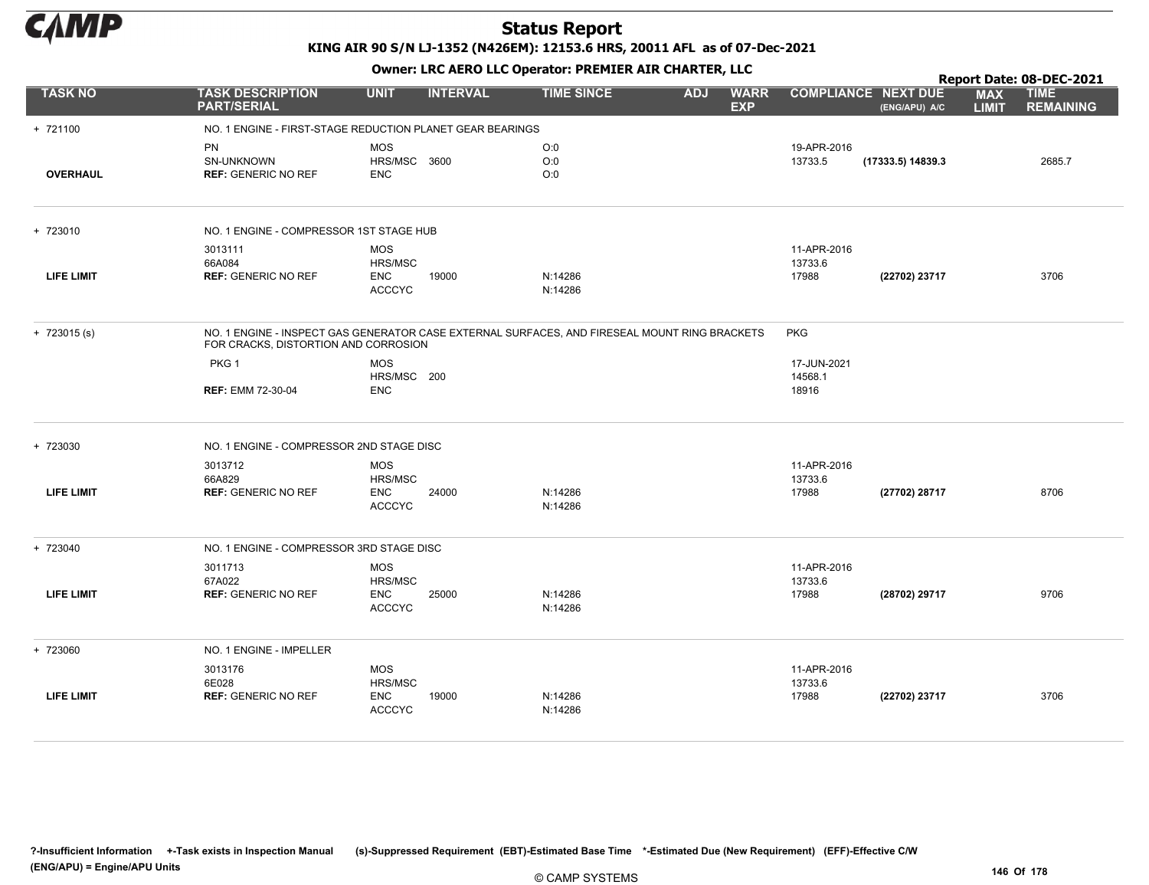

|                   |                                                           |                                                      |                 | Report Date: 08-DEC-2021                                                                      |            |                           |                                 |                   |                            |                                 |
|-------------------|-----------------------------------------------------------|------------------------------------------------------|-----------------|-----------------------------------------------------------------------------------------------|------------|---------------------------|---------------------------------|-------------------|----------------------------|---------------------------------|
| <b>TASK NO</b>    | <b>TASK DESCRIPTION</b><br><b>PART/SERIAL</b>             | <b>UNIT</b>                                          | <b>INTERVAL</b> | <b>TIME SINCE</b>                                                                             | <b>ADJ</b> | <b>WARR</b><br><b>EXP</b> | <b>COMPLIANCE NEXT DUE</b>      | (ENG/APU) A/C     | <b>MAX</b><br><b>LIMIT</b> | <b>TIME</b><br><b>REMAINING</b> |
| + 721100          | NO. 1 ENGINE - FIRST-STAGE REDUCTION PLANET GEAR BEARINGS |                                                      |                 |                                                                                               |            |                           |                                 |                   |                            |                                 |
| <b>OVERHAUL</b>   | PN<br>SN-UNKNOWN<br><b>REF: GENERIC NO REF</b>            | <b>MOS</b><br>HRS/MSC 3600<br><b>ENC</b>             |                 | O:0<br>O:0<br>O:0                                                                             |            |                           | 19-APR-2016<br>13733.5          | (17333.5) 14839.3 |                            | 2685.7                          |
| + 723010          | NO. 1 ENGINE - COMPRESSOR 1ST STAGE HUB                   |                                                      |                 |                                                                                               |            |                           |                                 |                   |                            |                                 |
|                   | 3013111                                                   | <b>MOS</b>                                           |                 |                                                                                               |            |                           | 11-APR-2016                     |                   |                            |                                 |
| <b>LIFE LIMIT</b> | 66A084<br><b>REF: GENERIC NO REF</b>                      | HRS/MSC<br>ENC<br><b>ACCCYC</b>                      | 19000           | N:14286<br>N:14286                                                                            |            |                           | 13733.6<br>17988                | (22702) 23717     |                            | 3706                            |
| $+ 723015$ (s)    | FOR CRACKS, DISTORTION AND CORROSION                      |                                                      |                 | NO. 1 ENGINE - INSPECT GAS GENERATOR CASE EXTERNAL SURFACES, AND FIRESEAL MOUNT RING BRACKETS |            |                           | <b>PKG</b>                      |                   |                            |                                 |
|                   | PKG <sub>1</sub>                                          | <b>MOS</b>                                           |                 |                                                                                               |            |                           | 17-JUN-2021                     |                   |                            |                                 |
|                   | <b>REF: EMM 72-30-04</b>                                  | HRS/MSC 200<br><b>ENC</b>                            |                 |                                                                                               |            |                           | 14568.1<br>18916                |                   |                            |                                 |
| + 723030          | NO. 1 ENGINE - COMPRESSOR 2ND STAGE DISC                  |                                                      |                 |                                                                                               |            |                           |                                 |                   |                            |                                 |
|                   | 3013712                                                   | <b>MOS</b>                                           |                 |                                                                                               |            |                           | 11-APR-2016                     |                   |                            |                                 |
| <b>LIFE LIMIT</b> | 66A829<br><b>REF: GENERIC NO REF</b>                      | HRS/MSC<br><b>ENC</b><br><b>ACCCYC</b>               | 24000           | N:14286<br>N:14286                                                                            |            |                           | 13733.6<br>17988                | (27702) 28717     |                            | 8706                            |
| + 723040          | NO. 1 ENGINE - COMPRESSOR 3RD STAGE DISC                  |                                                      |                 |                                                                                               |            |                           |                                 |                   |                            |                                 |
| <b>LIFE LIMIT</b> | 3011713<br>67A022<br><b>REF: GENERIC NO REF</b>           | <b>MOS</b><br>HRS/MSC<br><b>ENC</b><br><b>ACCCYC</b> | 25000           | N:14286<br>N:14286                                                                            |            |                           | 11-APR-2016<br>13733.6<br>17988 | (28702) 29717     |                            | 9706                            |
| + 723060          | NO. 1 ENGINE - IMPELLER                                   |                                                      |                 |                                                                                               |            |                           |                                 |                   |                            |                                 |
|                   | 3013176                                                   | <b>MOS</b>                                           |                 |                                                                                               |            |                           | 11-APR-2016                     |                   |                            |                                 |
| <b>LIFE LIMIT</b> | 6E028<br><b>REF: GENERIC NO REF</b>                       | HRS/MSC<br><b>ENC</b><br><b>ACCCYC</b>               | 19000           | N:14286<br>N:14286                                                                            |            |                           | 13733.6<br>17988                | (22702) 23717     |                            | 3706                            |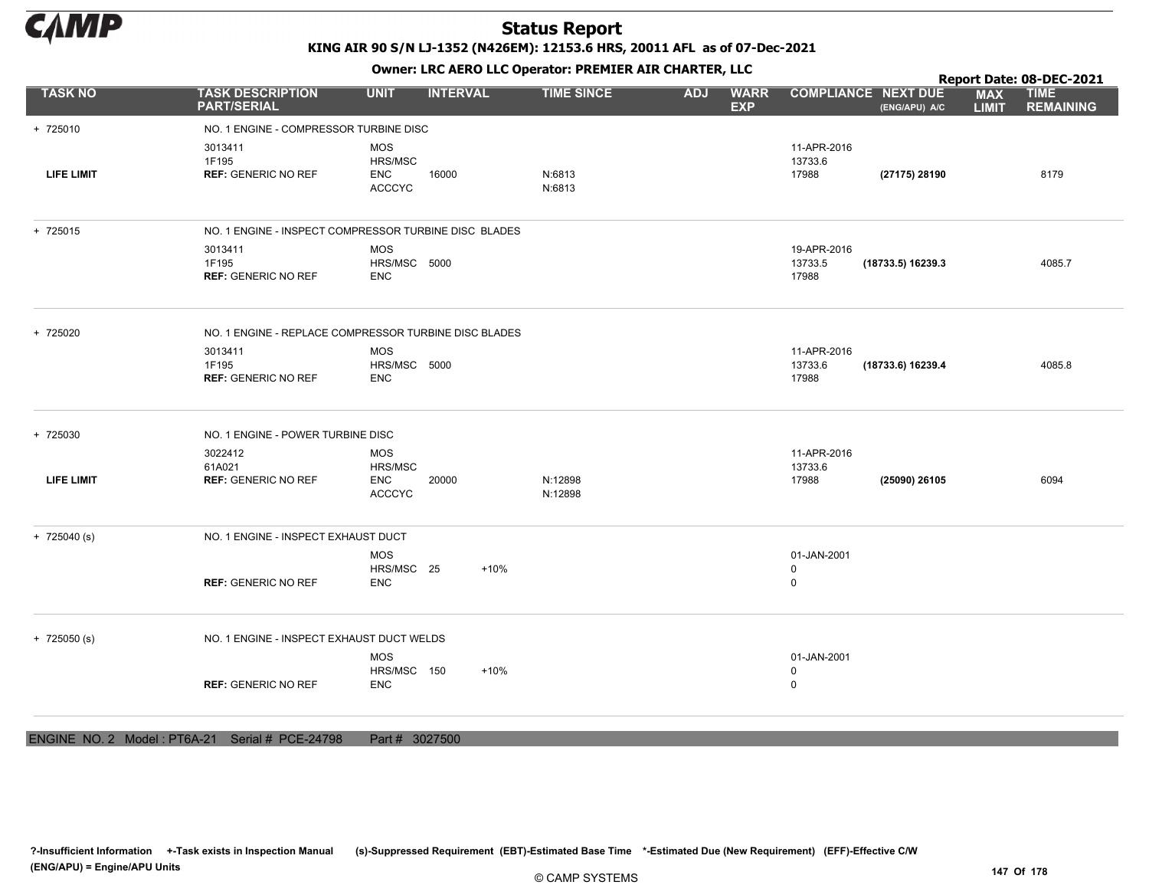

KING AIR 90 S/N LJ-1352 (N426EM): 12153.6 HRS, 20011 AFL as of 07-Dec-2021

Owner: LRC AERO LLC Operator: PREMIER AIR CHARTER, LLC

|                             |                                               | OWHER. LKC ALKO LLC OPERATOR. PREPILER AIR CHARTER, LLC |                   |                                         |                                             | Report Date: 08-DEC-2021                                      |
|-----------------------------|-----------------------------------------------|---------------------------------------------------------|-------------------|-----------------------------------------|---------------------------------------------|---------------------------------------------------------------|
| <b>TASK NO</b>              | <b>TASK DESCRIPTION</b><br><b>PART/SERIAL</b> | <b>INTERVAL</b><br><b>UNIT</b>                          | <b>TIME SINCE</b> | <b>ADJ</b><br><b>WARR</b><br><b>EXP</b> | <b>COMPLIANCE NEXT DUE</b><br>(ENG/APU) A/C | <b>TIME</b><br><b>MAX</b><br><b>REMAINING</b><br><b>LIMIT</b> |
| + 725010                    | NO. 1 ENGINE - COMPRESSOR TURBINE DISC        |                                                         |                   |                                         |                                             |                                                               |
|                             | 3013411                                       | <b>MOS</b>                                              |                   |                                         | 11-APR-2016                                 |                                                               |
| LIFE LIMIT                  | 1F195<br><b>REF: GENERIC NO REF</b>           | HRS/MSC<br><b>ENC</b><br>16000                          | N:6813            |                                         | 13733.6<br>17988<br>(27175) 28190           | 8179                                                          |
|                             |                                               | ACCCYC                                                  | N:6813            |                                         |                                             |                                                               |
| + 725015                    |                                               | NO. 1 ENGINE - INSPECT COMPRESSOR TURBINE DISC BLADES   |                   |                                         |                                             |                                                               |
|                             | 3013411                                       | <b>MOS</b>                                              |                   |                                         | 19-APR-2016                                 |                                                               |
|                             | 1F195<br><b>REF: GENERIC NO REF</b>           | HRS/MSC 5000<br><b>ENC</b>                              |                   |                                         | 13733.5<br>(18733.5) 16239.3<br>17988       | 4085.7                                                        |
| + 725020                    |                                               | NO. 1 ENGINE - REPLACE COMPRESSOR TURBINE DISC BLADES   |                   |                                         |                                             |                                                               |
|                             | 3013411                                       | <b>MOS</b>                                              |                   |                                         | 11-APR-2016                                 |                                                               |
|                             | 1F195<br><b>REF: GENERIC NO REF</b>           | HRS/MSC 5000<br><b>ENC</b>                              |                   |                                         | 13733.6<br>(18733.6) 16239.4<br>17988       | 4085.8                                                        |
| + 725030                    | NO. 1 ENGINE - POWER TURBINE DISC             |                                                         |                   |                                         |                                             |                                                               |
|                             | 3022412                                       | <b>MOS</b>                                              |                   |                                         | 11-APR-2016                                 |                                                               |
| <b>LIFE LIMIT</b>           | 61A021<br><b>REF: GENERIC NO REF</b>          | HRS/MSC<br><b>ENC</b><br>20000                          | N:12898           |                                         | 13733.6<br>17988<br>(25090) 26105           | 6094                                                          |
|                             |                                               | <b>ACCCYC</b>                                           | N:12898           |                                         |                                             |                                                               |
| $+ 725040$ (s)              | NO. 1 ENGINE - INSPECT EXHAUST DUCT           |                                                         |                   |                                         |                                             |                                                               |
|                             |                                               | <b>MOS</b>                                              |                   |                                         | 01-JAN-2001                                 |                                                               |
|                             | <b>REF: GENERIC NO REF</b>                    | HRS/MSC 25<br>$+10%$<br><b>ENC</b>                      |                   |                                         | $\mathbf 0$<br>$\mathbf 0$                  |                                                               |
| $+ 725050$ (s)              | NO. 1 ENGINE - INSPECT EXHAUST DUCT WELDS     |                                                         |                   |                                         |                                             |                                                               |
|                             |                                               | <b>MOS</b>                                              |                   |                                         | 01-JAN-2001                                 |                                                               |
|                             | <b>REF: GENERIC NO REF</b>                    | HRS/MSC 150<br>$+10%$<br><b>ENC</b>                     |                   |                                         | $\mathbf 0$<br>$\mathbf 0$                  |                                                               |
|                             |                                               |                                                         |                   |                                         |                                             |                                                               |
| ENGINE NO. 2 Model: PT6A-21 | Serial # PCE-24798                            | Part # 3027500                                          |                   |                                         |                                             |                                                               |

?-Insufficient Information +-Task exists in Inspection Manual (s)-Suppressed Requirement (EBT)-Estimated Base Time \*-Estimated Due (New Requirement) (EFF)-Effective C/W (ENG/APU) = Engine/APU Units 147 Of 178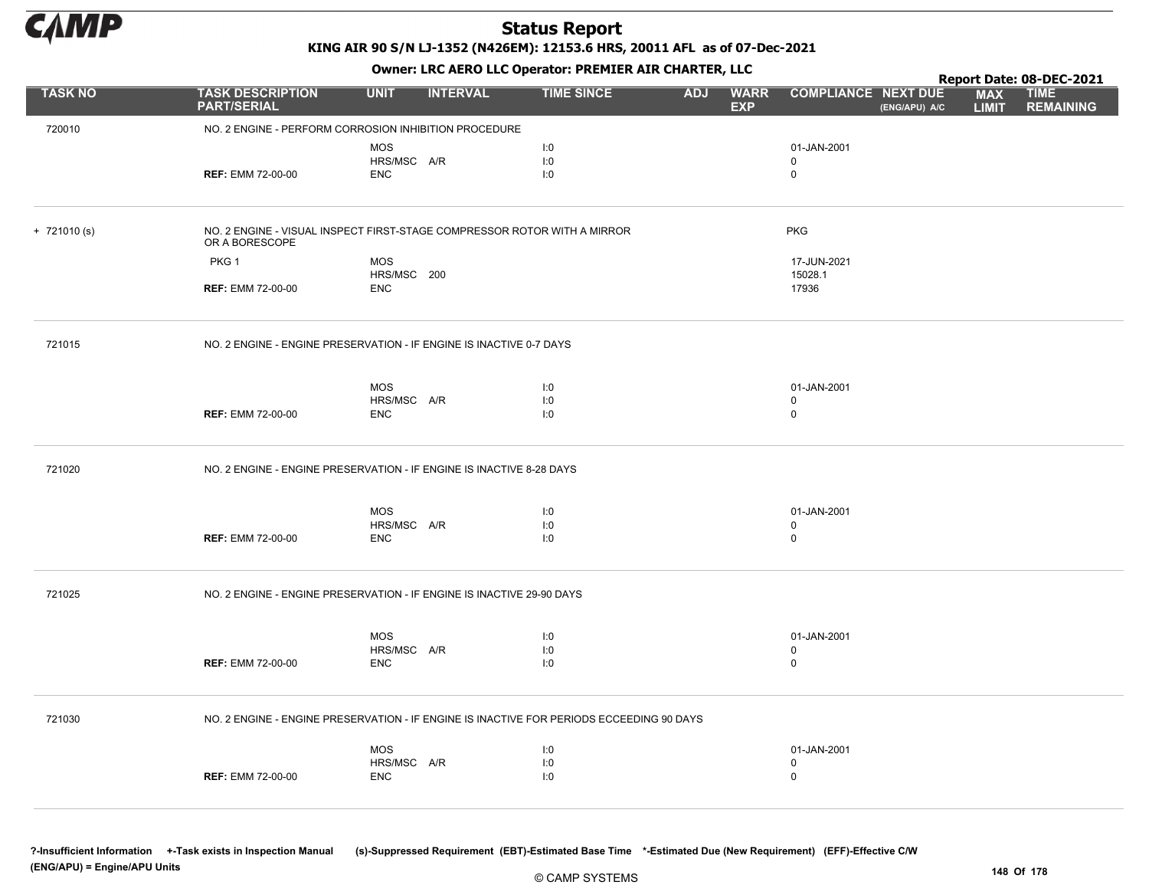

KING AIR 90 S/N LJ-1352 (N426EM): 12153.6 HRS, 20011 AFL as of 07-Dec-2021

Owner: LRC AERO LLC Operator: PREMIER AIR CHARTER, LLC

|                |                                                                                            |                           |                 |                   |            |                           |                            |               |                            | Report Date: 08-DEC-2021        |
|----------------|--------------------------------------------------------------------------------------------|---------------------------|-----------------|-------------------|------------|---------------------------|----------------------------|---------------|----------------------------|---------------------------------|
| <b>TASK NO</b> | <b>TASK DESCRIPTION</b><br><b>PART/SERIAL</b>                                              | <b>UNIT</b>               | <b>INTERVAL</b> | <b>TIME SINCE</b> | <b>ADJ</b> | <b>WARR</b><br><b>EXP</b> | <b>COMPLIANCE NEXT DUE</b> | (ENG/APU) A/C | <b>MAX</b><br><b>LIMIT</b> | <b>TIME</b><br><b>REMAINING</b> |
| 720010         | NO. 2 ENGINE - PERFORM CORROSION INHIBITION PROCEDURE                                      |                           |                 |                   |            |                           |                            |               |                            |                                 |
|                |                                                                                            | <b>MOS</b>                |                 | I:0               |            |                           | 01-JAN-2001                |               |                            |                                 |
|                |                                                                                            | HRS/MSC A/R               |                 | I:0               |            |                           | $\mathbf 0$                |               |                            |                                 |
|                | <b>REF: EMM 72-00-00</b>                                                                   | <b>ENC</b>                |                 | 1:0               |            |                           | $\mathbf 0$                |               |                            |                                 |
|                |                                                                                            |                           |                 |                   |            |                           |                            |               |                            |                                 |
| $+ 721010(s)$  | NO. 2 ENGINE - VISUAL INSPECT FIRST-STAGE COMPRESSOR ROTOR WITH A MIRROR<br>OR A BORESCOPE |                           |                 |                   |            |                           | <b>PKG</b>                 |               |                            |                                 |
|                | PKG <sub>1</sub>                                                                           | MOS                       |                 |                   |            |                           | 17-JUN-2021                |               |                            |                                 |
|                |                                                                                            | HRS/MSC 200               |                 |                   |            |                           | 15028.1                    |               |                            |                                 |
|                | <b>REF: EMM 72-00-00</b>                                                                   | <b>ENC</b>                |                 |                   |            |                           | 17936                      |               |                            |                                 |
| 721015         | NO. 2 ENGINE - ENGINE PRESERVATION - IF ENGINE IS INACTIVE 0-7 DAYS                        |                           |                 |                   |            |                           |                            |               |                            |                                 |
|                |                                                                                            |                           |                 |                   |            |                           |                            |               |                            |                                 |
|                |                                                                                            | <b>MOS</b><br>HRS/MSC A/R |                 | I:0               |            |                           | 01-JAN-2001<br>$\mathbf 0$ |               |                            |                                 |
|                | <b>REF: EMM 72-00-00</b>                                                                   | <b>ENC</b>                |                 | I:0<br>I:0        |            |                           | $\mathsf 0$                |               |                            |                                 |
|                |                                                                                            |                           |                 |                   |            |                           |                            |               |                            |                                 |
| 721020         | NO. 2 ENGINE - ENGINE PRESERVATION - IF ENGINE IS INACTIVE 8-28 DAYS                       |                           |                 |                   |            |                           |                            |               |                            |                                 |
|                |                                                                                            | <b>MOS</b>                |                 | I:0               |            |                           | 01-JAN-2001                |               |                            |                                 |
|                |                                                                                            | HRS/MSC A/R               |                 | I:0               |            |                           | $\mathbf 0$                |               |                            |                                 |
|                | <b>REF: EMM 72-00-00</b>                                                                   | <b>ENC</b>                |                 | I:0               |            |                           | $\mathbf 0$                |               |                            |                                 |
|                |                                                                                            |                           |                 |                   |            |                           |                            |               |                            |                                 |
| 721025         | NO. 2 ENGINE - ENGINE PRESERVATION - IF ENGINE IS INACTIVE 29-90 DAYS                      |                           |                 |                   |            |                           |                            |               |                            |                                 |
|                |                                                                                            |                           |                 |                   |            |                           |                            |               |                            |                                 |
|                |                                                                                            | <b>MOS</b>                |                 | I:0               |            |                           | 01-JAN-2001                |               |                            |                                 |
|                |                                                                                            | HRS/MSC A/R               |                 | I:0               |            |                           | 0                          |               |                            |                                 |
|                | <b>REF: EMM 72-00-00</b>                                                                   | <b>ENC</b>                |                 | I:0               |            |                           | $\mathbf 0$                |               |                            |                                 |
|                |                                                                                            |                           |                 |                   |            |                           |                            |               |                            |                                 |
| 721030         | NO. 2 ENGINE - ENGINE PRESERVATION - IF ENGINE IS INACTIVE FOR PERIODS ECCEEDING 90 DAYS   |                           |                 |                   |            |                           |                            |               |                            |                                 |
|                |                                                                                            | MOS                       |                 | I:0               |            |                           | 01-JAN-2001                |               |                            |                                 |
|                |                                                                                            | HRS/MSC A/R               |                 | I:0               |            |                           | $\mathbf 0$                |               |                            |                                 |
|                | <b>REF: EMM 72-00-00</b>                                                                   | <b>ENC</b>                |                 | I:0               |            |                           | $\mathbf 0$                |               |                            |                                 |
|                |                                                                                            |                           |                 |                   |            |                           |                            |               |                            |                                 |

?-Insufficient Information +-Task exists in Inspection Manual (s)-Suppressed Requirement (EBT)-Estimated Base Time \*-Estimated Due (New Requirement) (EFF)-Effective C/W (ENG/APU) = Engine/APU Units 148 Of 178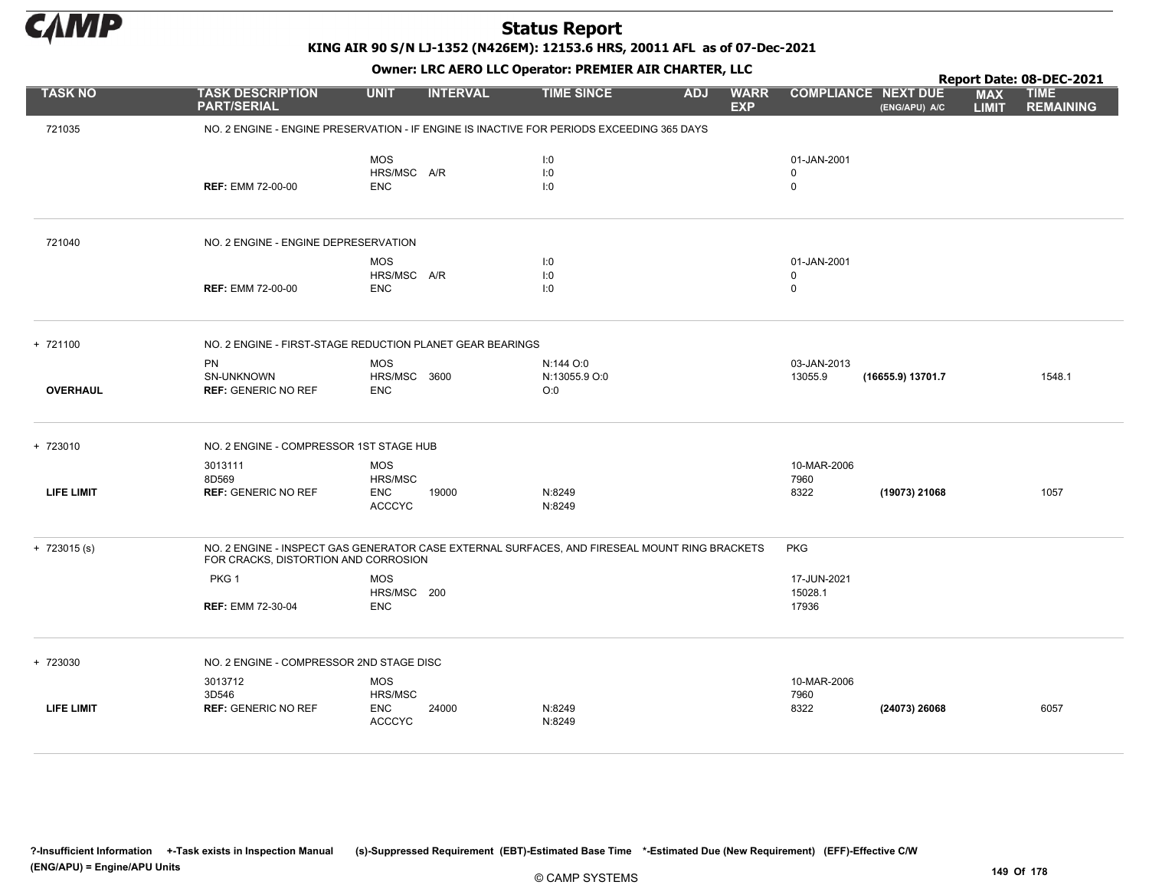

KING AIR 90 S/N LJ-1352 (N426EM): 12153.6 HRS, 20011 AFL as of 07-Dec-2021

|                   |                                                |                                                                                               |                                   |            |                                           |                                             |                            | Report Date: 08-DEC-2021        |
|-------------------|------------------------------------------------|-----------------------------------------------------------------------------------------------|-----------------------------------|------------|-------------------------------------------|---------------------------------------------|----------------------------|---------------------------------|
| <b>TASK NO</b>    | <b>TASK DESCRIPTION</b><br><b>PART/SERIAL</b>  | <b>UNIT</b><br><b>INTERVAL</b>                                                                | <b>TIME SINCE</b>                 | <b>ADJ</b> | <b>WARR</b><br><b>EXP</b>                 | <b>COMPLIANCE NEXT DUE</b><br>(ENG/APU) A/C | <b>MAX</b><br><b>LIMIT</b> | <b>TIME</b><br><b>REMAINING</b> |
| 721035            |                                                | NO. 2 ENGINE - ENGINE PRESERVATION - IF ENGINE IS INACTIVE FOR PERIODS EXCEEDING 365 DAYS     |                                   |            |                                           |                                             |                            |                                 |
|                   | <b>REF: EMM 72-00-00</b>                       | <b>MOS</b><br>HRS/MSC A/R<br><b>ENC</b>                                                       | 1:0<br>1:0<br>1:0                 |            | 01-JAN-2001<br>$\mathbf 0$<br>$\mathbf 0$ |                                             |                            |                                 |
| 721040            | NO. 2 ENGINE - ENGINE DEPRESERVATION           |                                                                                               |                                   |            |                                           |                                             |                            |                                 |
|                   | <b>REF: EMM 72-00-00</b>                       | <b>MOS</b><br>HRS/MSC A/R<br><b>ENC</b>                                                       | 1:0<br>I:0<br>1:0                 |            | 01-JAN-2001<br>$\mathbf 0$<br>$\mathbf 0$ |                                             |                            |                                 |
| + 721100          |                                                | NO. 2 ENGINE - FIRST-STAGE REDUCTION PLANET GEAR BEARINGS                                     |                                   |            |                                           |                                             |                            |                                 |
| <b>OVERHAUL</b>   | PN<br>SN-UNKNOWN<br><b>REF: GENERIC NO REF</b> | <b>MOS</b><br>HRS/MSC 3600<br><b>ENC</b>                                                      | N:144 O:0<br>N:13055.9 O:0<br>O:0 |            | 03-JAN-2013<br>13055.9                    | (16655.9) 13701.7                           |                            | 1548.1                          |
| + 723010          | NO. 2 ENGINE - COMPRESSOR 1ST STAGE HUB        |                                                                                               |                                   |            |                                           |                                             |                            |                                 |
| <b>LIFE LIMIT</b> | 3013111<br>8D569<br><b>REF: GENERIC NO REF</b> | <b>MOS</b><br><b>HRS/MSC</b><br><b>ENC</b><br>19000<br><b>ACCCYC</b>                          | N:8249<br>N:8249                  |            | 10-MAR-2006<br>7960<br>8322               | (19073) 21068                               |                            | 1057                            |
| $+ 723015(s)$     | FOR CRACKS, DISTORTION AND CORROSION           | NO. 2 ENGINE - INSPECT GAS GENERATOR CASE EXTERNAL SURFACES, AND FIRESEAL MOUNT RING BRACKETS |                                   |            | <b>PKG</b>                                |                                             |                            |                                 |
|                   | PKG <sub>1</sub><br><b>REF: EMM 72-30-04</b>   | <b>MOS</b><br>HRS/MSC 200<br><b>ENC</b>                                                       |                                   |            | 17-JUN-2021<br>15028.1<br>17936           |                                             |                            |                                 |
| + 723030          | NO. 2 ENGINE - COMPRESSOR 2ND STAGE DISC       |                                                                                               |                                   |            |                                           |                                             |                            |                                 |
|                   | 3013712<br>3D546                               | <b>MOS</b><br>HRS/MSC                                                                         |                                   |            | 10-MAR-2006<br>7960                       |                                             |                            |                                 |
| <b>LIFE LIMIT</b> | <b>REF: GENERIC NO REF</b>                     | <b>ENC</b><br>24000<br><b>ACCCYC</b>                                                          | N:8249<br>N:8249                  |            | 8322                                      | (24073) 26068                               |                            | 6057                            |
|                   |                                                |                                                                                               |                                   |            |                                           |                                             |                            |                                 |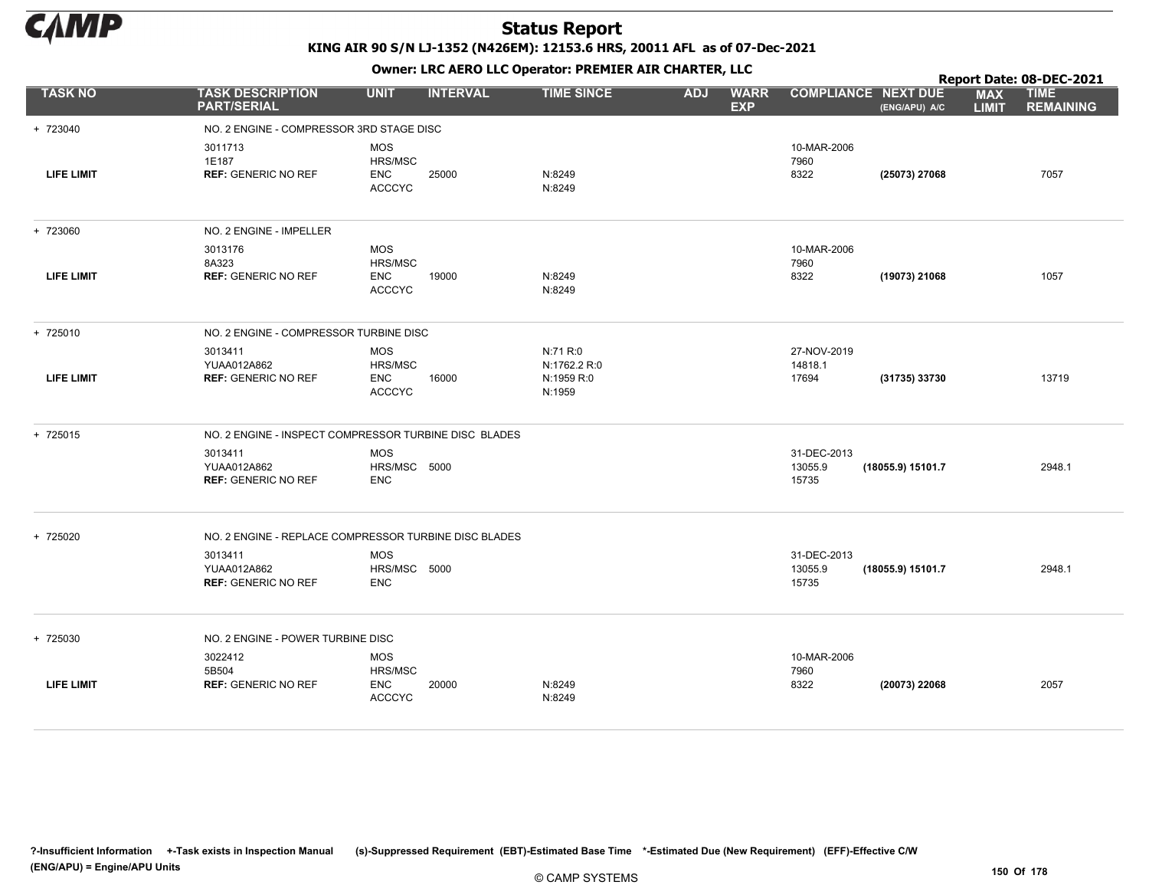

KING AIR 90 S/N LJ-1352 (N426EM): 12153.6 HRS, 20011 AFL as of 07-Dec-2021

Owner: LRC AERO LLC Operator: PREMIER AIR CHARTER, LLC

|                   |                                                       |                                                      | Report Date: 08-DEC-2021 |                                                  |                                         |                                 |                   |                            |                                 |
|-------------------|-------------------------------------------------------|------------------------------------------------------|--------------------------|--------------------------------------------------|-----------------------------------------|---------------------------------|-------------------|----------------------------|---------------------------------|
| <b>TASK NO</b>    | <b>TASK DESCRIPTION</b><br><b>PART/SERIAL</b>         | <b>UNIT</b>                                          | <b>INTERVAL</b>          | <b>TIME SINCE</b>                                | <b>ADJ</b><br><b>WARR</b><br><b>EXP</b> | <b>COMPLIANCE NEXT DUE</b>      | (ENG/APU) A/C     | <b>MAX</b><br><b>LIMIT</b> | <b>TIME</b><br><b>REMAINING</b> |
| + 723040          | NO. 2 ENGINE - COMPRESSOR 3RD STAGE DISC              |                                                      |                          |                                                  |                                         |                                 |                   |                            |                                 |
| <b>LIFE LIMIT</b> | 3011713<br>1E187<br><b>REF: GENERIC NO REF</b>        | <b>MOS</b><br>HRS/MSC<br><b>ENC</b><br><b>ACCCYC</b> | 25000                    | N:8249<br>N:8249                                 |                                         | 10-MAR-2006<br>7960<br>8322     | (25073) 27068     |                            | 7057                            |
| + 723060          | NO. 2 ENGINE - IMPELLER                               |                                                      |                          |                                                  |                                         |                                 |                   |                            |                                 |
| <b>LIFE LIMIT</b> | 3013176<br>8A323<br><b>REF: GENERIC NO REF</b>        | <b>MOS</b><br>HRS/MSC<br><b>ENC</b><br><b>ACCCYC</b> | 19000                    | N:8249<br>N:8249                                 |                                         | 10-MAR-2006<br>7960<br>8322     | (19073) 21068     |                            | 1057                            |
| + 725010          | NO. 2 ENGINE - COMPRESSOR TURBINE DISC                |                                                      |                          |                                                  |                                         |                                 |                   |                            |                                 |
| <b>LIFE LIMIT</b> | 3013411<br>YUAA012A862<br><b>REF: GENERIC NO REF</b>  | <b>MOS</b><br>HRS/MSC<br><b>ENC</b><br><b>ACCCYC</b> | 16000                    | N:71 R:0<br>N:1762.2 R:0<br>N:1959 R:0<br>N:1959 |                                         | 27-NOV-2019<br>14818.1<br>17694 | (31735) 33730     |                            | 13719                           |
| + 725015          | NO. 2 ENGINE - INSPECT COMPRESSOR TURBINE DISC BLADES |                                                      |                          |                                                  |                                         |                                 |                   |                            |                                 |
|                   | 3013411<br>YUAA012A862<br><b>REF: GENERIC NO REF</b>  | <b>MOS</b><br>HRS/MSC 5000<br><b>ENC</b>             |                          |                                                  |                                         | 31-DEC-2013<br>13055.9<br>15735 | (18055.9) 15101.7 |                            | 2948.1                          |
| + 725020          | NO. 2 ENGINE - REPLACE COMPRESSOR TURBINE DISC BLADES |                                                      |                          |                                                  |                                         |                                 |                   |                            |                                 |
|                   | 3013411<br>YUAA012A862<br><b>REF: GENERIC NO REF</b>  | <b>MOS</b><br>HRS/MSC 5000<br><b>ENC</b>             |                          |                                                  |                                         | 31-DEC-2013<br>13055.9<br>15735 | (18055.9) 15101.7 |                            | 2948.1                          |
| + 725030          | NO. 2 ENGINE - POWER TURBINE DISC                     |                                                      |                          |                                                  |                                         |                                 |                   |                            |                                 |
|                   | 3022412                                               | <b>MOS</b>                                           |                          |                                                  |                                         | 10-MAR-2006                     |                   |                            |                                 |
| <b>LIFE LIMIT</b> | 5B504<br><b>REF: GENERIC NO REF</b>                   | HRS/MSC<br><b>ENC</b><br><b>ACCCYC</b>               | 20000                    | N:8249<br>N:8249                                 |                                         | 7960<br>8322                    | (20073) 22068     |                            | 2057                            |

?-Insufficient Information +-Task exists in Inspection Manual (s)-Suppressed Requirement (EBT)-Estimated Base Time \*-Estimated Due (New Requirement) (EFF)-Effective C/W (ENG/APU) = Engine/APU Units 150 Of 178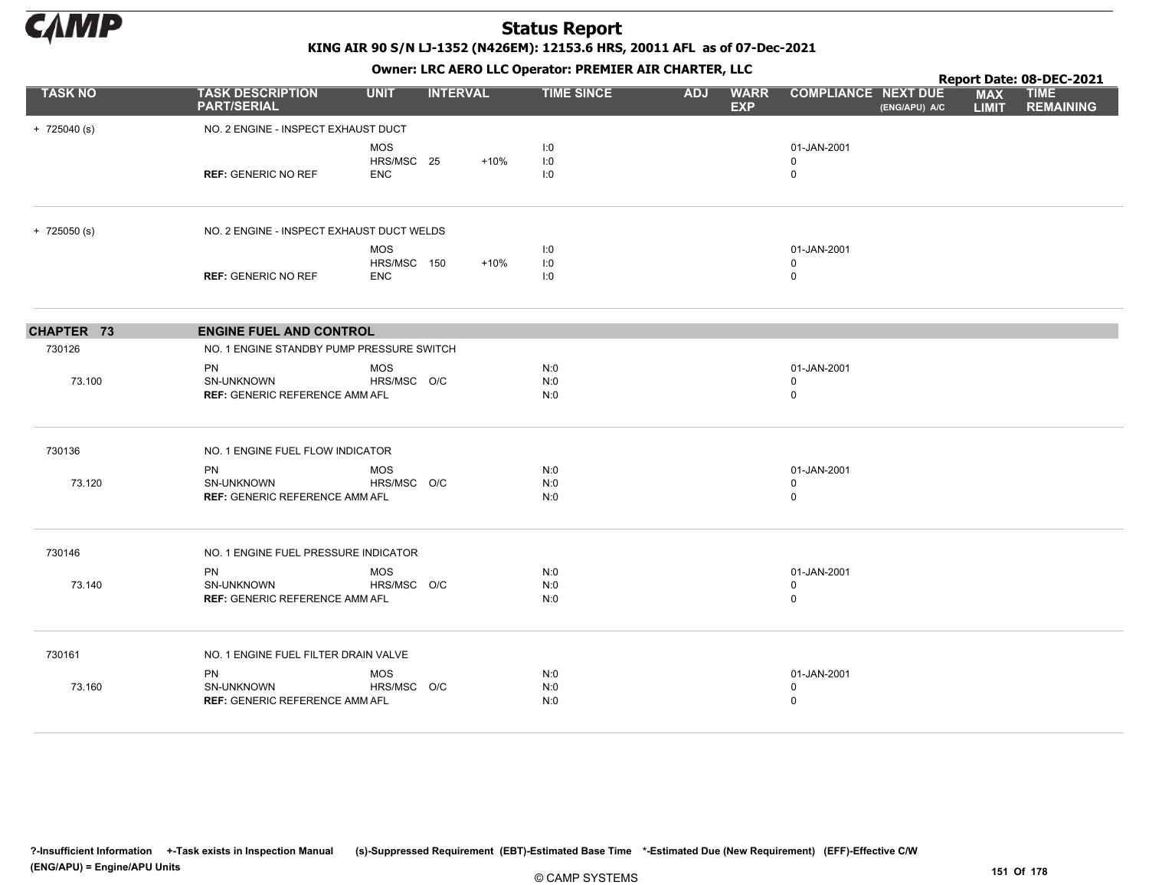

KING AIR 90 S/N LJ-1352 (N426EM): 12153.6 HRS, 20011 AFL as of 07-Dec-2021

|                |                                                                         | OWHER, LKC AERO LLC OPERATOR. PREPILER AIR CHARTER, LLC |                 |                   |                                         |                                           |               |                            |                                                             |  |  |
|----------------|-------------------------------------------------------------------------|---------------------------------------------------------|-----------------|-------------------|-----------------------------------------|-------------------------------------------|---------------|----------------------------|-------------------------------------------------------------|--|--|
| <b>TASK NO</b> | <b>TASK DESCRIPTION</b><br><b>PART/SERIAL</b>                           | <b>UNIT</b>                                             | <b>INTERVAL</b> | <b>TIME SINCE</b> | <b>ADJ</b><br><b>WARR</b><br><b>EXP</b> | <b>COMPLIANCE NEXT DUE</b>                | (ENG/APU) A/C | <b>MAX</b><br><b>LIMIT</b> | Report Date: 08-DEC-2021<br><b>TIME</b><br><b>REMAINING</b> |  |  |
| $+ 725040$ (s) | NO. 2 ENGINE - INSPECT EXHAUST DUCT                                     |                                                         |                 |                   |                                         |                                           |               |                            |                                                             |  |  |
|                | <b>REF: GENERIC NO REF</b>                                              | MOS<br>HRS/MSC 25<br><b>ENC</b>                         | $+10%$          | I:0<br>I:0<br>1:0 |                                         | 01-JAN-2001<br>$\mathbf 0$<br>0           |               |                            |                                                             |  |  |
| $+ 725050$ (s) | NO. 2 ENGINE - INSPECT EXHAUST DUCT WELDS                               |                                                         |                 |                   |                                         |                                           |               |                            |                                                             |  |  |
|                | <b>REF: GENERIC NO REF</b>                                              | <b>MOS</b><br>HRS/MSC 150<br><b>ENC</b>                 | $+10%$          | I:0<br>1:0<br>I:0 |                                         | 01-JAN-2001<br>0<br>$\mathbf 0$           |               |                            |                                                             |  |  |
| CHAPTER 73     | <b>ENGINE FUEL AND CONTROL</b>                                          |                                                         |                 |                   |                                         |                                           |               |                            |                                                             |  |  |
| 730126         | NO. 1 ENGINE STANDBY PUMP PRESSURE SWITCH                               |                                                         |                 |                   |                                         |                                           |               |                            |                                                             |  |  |
| 73.100         | <b>PN</b><br><b>SN-UNKNOWN</b><br><b>REF: GENERIC REFERENCE AMM AFL</b> | <b>MOS</b><br>HRS/MSC O/C                               |                 | N:0<br>N:0<br>N:0 |                                         | 01-JAN-2001<br>$\mathbf 0$<br>$\mathbf 0$ |               |                            |                                                             |  |  |
| 730136         | NO. 1 ENGINE FUEL FLOW INDICATOR                                        |                                                         |                 |                   |                                         |                                           |               |                            |                                                             |  |  |
| 73.120         | PN<br>SN-UNKNOWN<br><b>REF: GENERIC REFERENCE AMM AFL</b>               | <b>MOS</b><br>HRS/MSC O/C                               |                 | N:0<br>N:0<br>N:0 |                                         | 01-JAN-2001<br>0<br>$\mathbf 0$           |               |                            |                                                             |  |  |
| 730146         | NO. 1 ENGINE FUEL PRESSURE INDICATOR                                    |                                                         |                 |                   |                                         |                                           |               |                            |                                                             |  |  |
| 73.140         | <b>PN</b><br>SN-UNKNOWN<br><b>REF: GENERIC REFERENCE AMM AFL</b>        | <b>MOS</b><br>HRS/MSC O/C                               |                 | N:0<br>N:0<br>N:0 |                                         | 01-JAN-2001<br>$\mathbf 0$<br>0           |               |                            |                                                             |  |  |
| 730161         | NO. 1 ENGINE FUEL FILTER DRAIN VALVE                                    |                                                         |                 |                   |                                         |                                           |               |                            |                                                             |  |  |
| 73.160         | <b>PN</b><br>SN-UNKNOWN<br><b>REF: GENERIC REFERENCE AMM AFL</b>        | <b>MOS</b><br>HRS/MSC O/C                               |                 | N:0<br>N:0<br>N:0 |                                         | 01-JAN-2001<br>$\mathbf 0$<br>$\mathbf 0$ |               |                            |                                                             |  |  |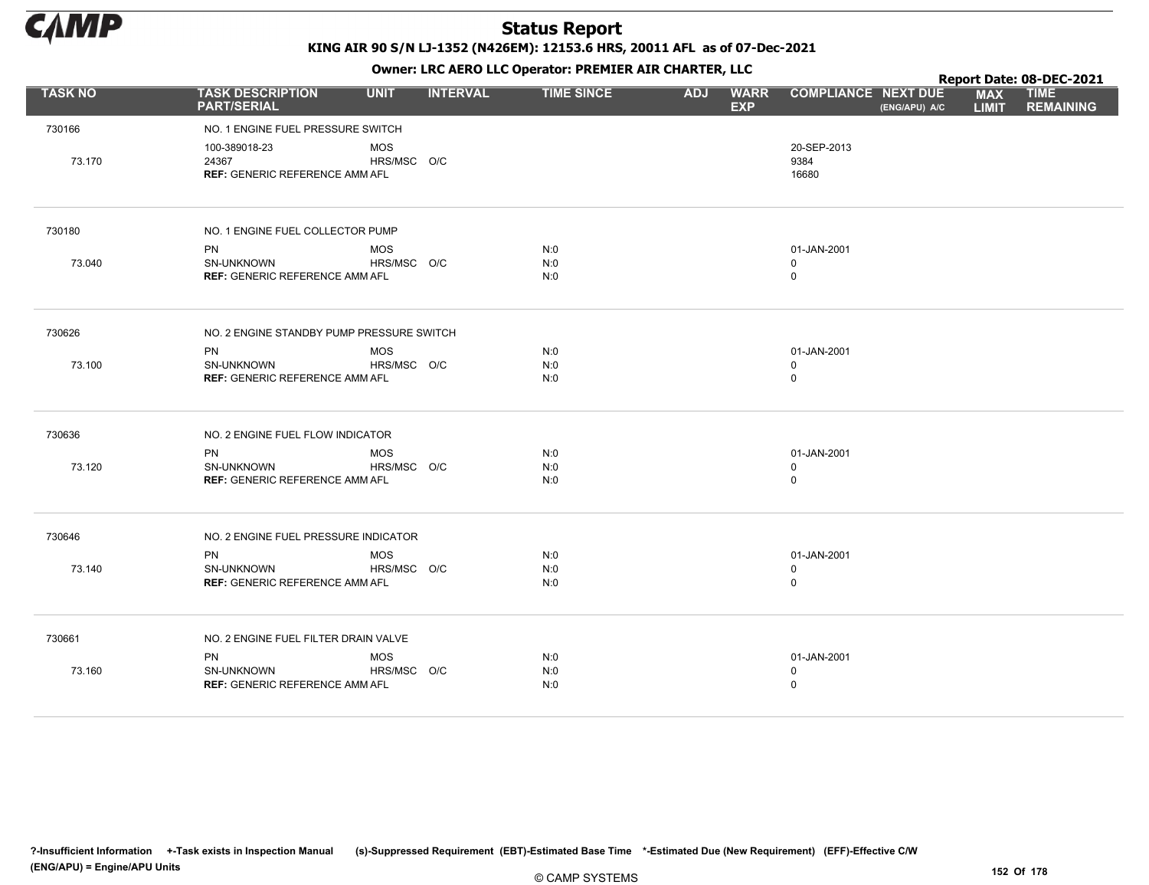

KING AIR 90 S/N LJ-1352 (N426EM): 12153.6 HRS, 20011 AFL as of 07-Dec-2021

|                |                                                                 | OWHER. LKC ALKO LLC OPERATOR. PREPILER AIR CHARTER, LLC |                 |                   |            |                           |                              |               | Report Date: 08-DEC-2021   |                                 |  |  |
|----------------|-----------------------------------------------------------------|---------------------------------------------------------|-----------------|-------------------|------------|---------------------------|------------------------------|---------------|----------------------------|---------------------------------|--|--|
| <b>TASK NO</b> | <b>TASK DESCRIPTION</b><br><b>PART/SERIAL</b>                   | <b>UNIT</b>                                             | <b>INTERVAL</b> | <b>TIME SINCE</b> | <b>ADJ</b> | <b>WARR</b><br><b>EXP</b> | <b>COMPLIANCE NEXT DUE</b>   | (ENG/APU) A/C | <b>MAX</b><br><b>LIMIT</b> | <b>TIME</b><br><b>REMAINING</b> |  |  |
| 730166         | NO. 1 ENGINE FUEL PRESSURE SWITCH                               |                                                         |                 |                   |            |                           |                              |               |                            |                                 |  |  |
| 73.170         | 100-389018-23<br>24367<br><b>REF: GENERIC REFERENCE AMM AFL</b> | <b>MOS</b><br>HRS/MSC O/C                               |                 |                   |            |                           | 20-SEP-2013<br>9384<br>16680 |               |                            |                                 |  |  |
| 730180         | NO. 1 ENGINE FUEL COLLECTOR PUMP                                |                                                         |                 |                   |            |                           |                              |               |                            |                                 |  |  |
|                | <b>PN</b>                                                       | <b>MOS</b>                                              |                 | N:0               |            |                           | 01-JAN-2001                  |               |                            |                                 |  |  |
| 73.040         | SN-UNKNOWN                                                      | HRS/MSC O/C                                             |                 | N:0               |            |                           | $\mathbf 0$                  |               |                            |                                 |  |  |
|                | <b>REF: GENERIC REFERENCE AMM AFL</b>                           |                                                         |                 | N:0               |            |                           | $\mathsf 0$                  |               |                            |                                 |  |  |
| 730626         | NO. 2 ENGINE STANDBY PUMP PRESSURE SWITCH                       |                                                         |                 |                   |            |                           |                              |               |                            |                                 |  |  |
|                | <b>PN</b>                                                       | MOS                                                     |                 | N:0               |            |                           | 01-JAN-2001                  |               |                            |                                 |  |  |
| 73.100         | SN-UNKNOWN                                                      | HRS/MSC O/C                                             |                 | N:0               |            |                           | $\mathbf 0$                  |               |                            |                                 |  |  |
|                | <b>REF: GENERIC REFERENCE AMM AFL</b>                           |                                                         |                 | N:0               |            |                           | $\mathsf 0$                  |               |                            |                                 |  |  |
| 730636         | NO. 2 ENGINE FUEL FLOW INDICATOR                                |                                                         |                 |                   |            |                           |                              |               |                            |                                 |  |  |
|                | <b>PN</b>                                                       | <b>MOS</b>                                              |                 | N:0               |            |                           | 01-JAN-2001                  |               |                            |                                 |  |  |
| 73.120         | SN-UNKNOWN                                                      | HRS/MSC O/C                                             |                 | N:0               |            |                           | $\mathbf 0$                  |               |                            |                                 |  |  |
|                | <b>REF: GENERIC REFERENCE AMM AFL</b>                           |                                                         |                 | N:0               |            |                           | $\mathsf 0$                  |               |                            |                                 |  |  |
| 730646         | NO. 2 ENGINE FUEL PRESSURE INDICATOR                            |                                                         |                 |                   |            |                           |                              |               |                            |                                 |  |  |
|                | <b>PN</b>                                                       | <b>MOS</b>                                              |                 | N:0               |            |                           | 01-JAN-2001                  |               |                            |                                 |  |  |
| 73.140         | SN-UNKNOWN                                                      | HRS/MSC O/C                                             |                 | N:0               |            |                           | $\mathbf 0$                  |               |                            |                                 |  |  |
|                | <b>REF: GENERIC REFERENCE AMM AFL</b>                           |                                                         |                 | N:0               |            |                           | $\mathsf 0$                  |               |                            |                                 |  |  |
| 730661         | NO. 2 ENGINE FUEL FILTER DRAIN VALVE                            |                                                         |                 |                   |            |                           |                              |               |                            |                                 |  |  |
|                | <b>PN</b>                                                       | <b>MOS</b>                                              |                 | N:0               |            |                           | 01-JAN-2001                  |               |                            |                                 |  |  |
| 73.160         | SN-UNKNOWN                                                      | HRS/MSC O/C                                             |                 | N:0               |            |                           | $\mathbf 0$                  |               |                            |                                 |  |  |
|                | <b>REF: GENERIC REFERENCE AMM AFL</b>                           |                                                         |                 | N:0               |            |                           | $\mathsf 0$                  |               |                            |                                 |  |  |
|                |                                                                 |                                                         |                 |                   |            |                           |                              |               |                            |                                 |  |  |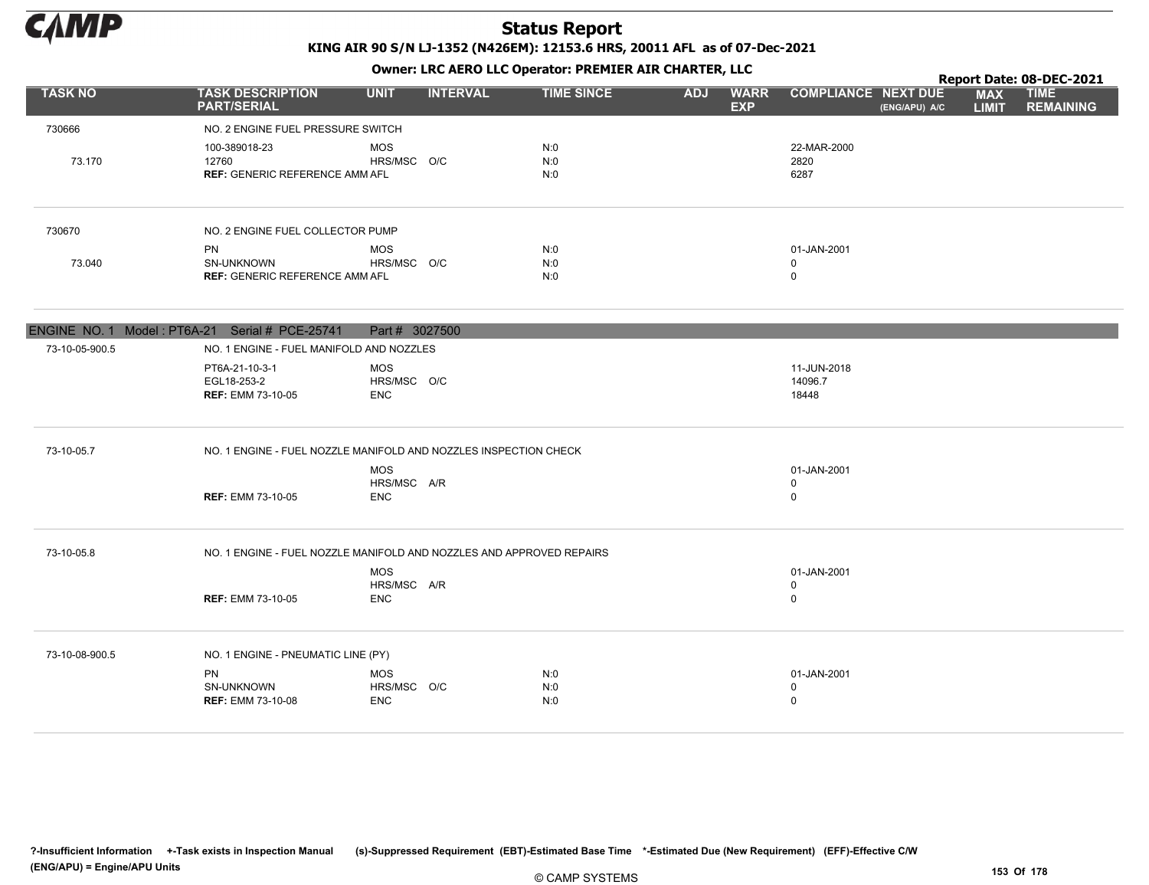

KING AIR 90 S/N LJ-1352 (N426EM): 12153.6 HRS, 20011 AFL as of 07-Dec-2021 Owner: LRC AERO LLC Operator: PREMIER AIR CHARTER, LLC

|                |                                                                      |                           |                 |                   |            | $\mathbf{r}$              |                            |               |                            | Report Date: 08-DEC-2021        |
|----------------|----------------------------------------------------------------------|---------------------------|-----------------|-------------------|------------|---------------------------|----------------------------|---------------|----------------------------|---------------------------------|
| <b>TASK NO</b> | <b>TASK DESCRIPTION</b><br><b>PART/SERIAL</b>                        | <b>UNIT</b>               | <b>INTERVAL</b> | <b>TIME SINCE</b> | <b>ADJ</b> | <b>WARR</b><br><b>EXP</b> | <b>COMPLIANCE NEXT DUE</b> | (ENG/APU) A/C | <b>MAX</b><br><b>LIMIT</b> | <b>TIME</b><br><b>REMAINING</b> |
| 730666         | NO. 2 ENGINE FUEL PRESSURE SWITCH                                    |                           |                 |                   |            |                           |                            |               |                            |                                 |
|                | 100-389018-23                                                        | <b>MOS</b>                |                 | N:0               |            |                           | 22-MAR-2000                |               |                            |                                 |
| 73.170         | 12760<br><b>REF: GENERIC REFERENCE AMM AFL</b>                       | HRS/MSC O/C               |                 | N:0<br>N:0        |            |                           | 2820<br>6287               |               |                            |                                 |
|                |                                                                      |                           |                 |                   |            |                           |                            |               |                            |                                 |
| 730670         | NO. 2 ENGINE FUEL COLLECTOR PUMP                                     |                           |                 |                   |            |                           |                            |               |                            |                                 |
|                | PN                                                                   | <b>MOS</b>                |                 | N:0               |            |                           | 01-JAN-2001                |               |                            |                                 |
| 73.040         | SN-UNKNOWN<br><b>REF: GENERIC REFERENCE AMM AFL</b>                  | HRS/MSC O/C               |                 | N:0<br>N:0        |            |                           | $\mathbf 0$<br>$\mathbf 0$ |               |                            |                                 |
|                |                                                                      |                           |                 |                   |            |                           |                            |               |                            |                                 |
|                | ENGINE NO. 1 Model: PT6A-21 Serial # PCE-25741                       | Part # 3027500            |                 |                   |            |                           |                            |               |                            |                                 |
| 73-10-05-900.5 | NO. 1 ENGINE - FUEL MANIFOLD AND NOZZLES                             |                           |                 |                   |            |                           |                            |               |                            |                                 |
|                | PT6A-21-10-3-1<br>EGL18-253-2                                        | <b>MOS</b><br>HRS/MSC O/C |                 |                   |            |                           | 11-JUN-2018<br>14096.7     |               |                            |                                 |
|                | <b>REF: EMM 73-10-05</b>                                             | <b>ENC</b>                |                 |                   |            |                           | 18448                      |               |                            |                                 |
| 73-10-05.7     | NO. 1 ENGINE - FUEL NOZZLE MANIFOLD AND NOZZLES INSPECTION CHECK     |                           |                 |                   |            |                           |                            |               |                            |                                 |
|                |                                                                      | <b>MOS</b>                |                 |                   |            |                           | 01-JAN-2001                |               |                            |                                 |
|                | <b>REF: EMM 73-10-05</b>                                             | HRS/MSC A/R<br><b>ENC</b> |                 |                   |            |                           | $\mathbf 0$<br>$\mathbf 0$ |               |                            |                                 |
|                |                                                                      |                           |                 |                   |            |                           |                            |               |                            |                                 |
| 73-10-05.8     | NO. 1 ENGINE - FUEL NOZZLE MANIFOLD AND NOZZLES AND APPROVED REPAIRS |                           |                 |                   |            |                           |                            |               |                            |                                 |
|                |                                                                      | <b>MOS</b>                |                 |                   |            |                           | 01-JAN-2001                |               |                            |                                 |
|                |                                                                      | HRS/MSC A/R               |                 |                   |            |                           | 0<br>$\mathbf 0$           |               |                            |                                 |
|                | <b>REF: EMM 73-10-05</b>                                             | <b>ENC</b>                |                 |                   |            |                           |                            |               |                            |                                 |
| 73-10-08-900.5 | NO. 1 ENGINE - PNEUMATIC LINE (PY)                                   |                           |                 |                   |            |                           |                            |               |                            |                                 |
|                | <b>PN</b>                                                            | <b>MOS</b>                |                 | N:0               |            |                           | 01-JAN-2001                |               |                            |                                 |
|                | SN-UNKNOWN<br><b>REF: EMM 73-10-08</b>                               | HRS/MSC O/C<br><b>ENC</b> |                 | N:0<br>N:0        |            |                           | $\mathbf 0$<br>$\mathbf 0$ |               |                            |                                 |
|                |                                                                      |                           |                 |                   |            |                           |                            |               |                            |                                 |

?-Insufficient Information +-Task exists in Inspection Manual (s)-Suppressed Requirement (EBT)-Estimated Base Time \*-Estimated Due (New Requirement) (EFF)-Effective C/W (ENG/APU) = Engine/APU Units 153 Of 178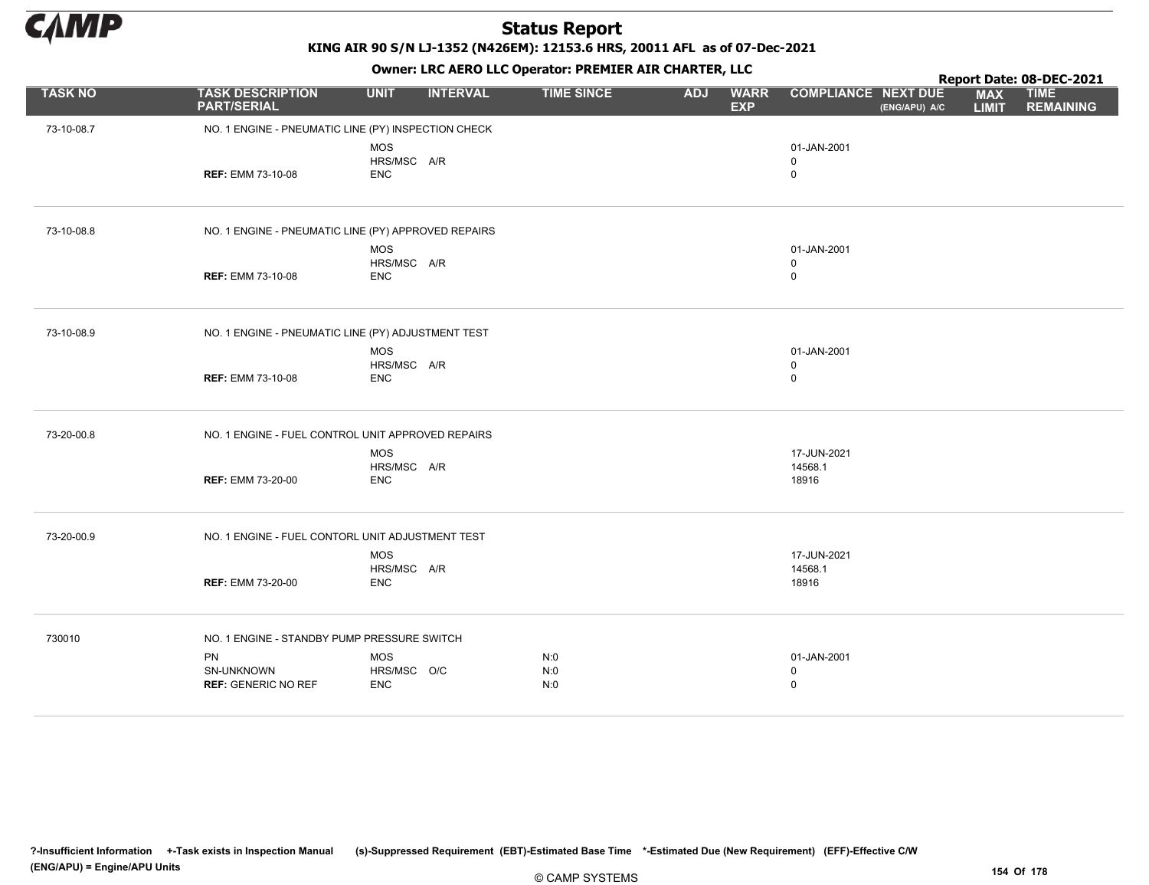

KING AIR 90 S/N LJ-1352 (N426EM): 12153.6 HRS, 20011 AFL as of 07-Dec-2021

|                |                                                     |                                         | Report Date: 08-DEC-2021 |                   |            |                           |                                           |               |                            |                                 |
|----------------|-----------------------------------------------------|-----------------------------------------|--------------------------|-------------------|------------|---------------------------|-------------------------------------------|---------------|----------------------------|---------------------------------|
| <b>TASK NO</b> | <b>TASK DESCRIPTION</b><br><b>PART/SERIAL</b>       | <b>UNIT</b>                             | <b>INTERVAL</b>          | <b>TIME SINCE</b> | <b>ADJ</b> | <b>WARR</b><br><b>EXP</b> | <b>COMPLIANCE NEXT DUE</b>                | (ENG/APU) A/C | <b>MAX</b><br><b>LIMIT</b> | <b>TIME</b><br><b>REMAINING</b> |
| 73-10-08.7     | NO. 1 ENGINE - PNEUMATIC LINE (PY) INSPECTION CHECK |                                         |                          |                   |            |                           |                                           |               |                            |                                 |
|                | <b>REF: EMM 73-10-08</b>                            | <b>MOS</b><br>HRS/MSC A/R<br><b>ENC</b> |                          |                   |            |                           | 01-JAN-2001<br>$\mathbf 0$<br>$\mathbf 0$ |               |                            |                                 |
| 73-10-08.8     | NO. 1 ENGINE - PNEUMATIC LINE (PY) APPROVED REPAIRS |                                         |                          |                   |            |                           |                                           |               |                            |                                 |
|                |                                                     | <b>MOS</b>                              |                          |                   |            |                           | 01-JAN-2001                               |               |                            |                                 |
|                | <b>REF: EMM 73-10-08</b>                            | HRS/MSC A/R<br><b>ENC</b>               |                          |                   |            |                           | $\mathbf 0$<br>$\mathbf 0$                |               |                            |                                 |
| 73-10-08.9     | NO. 1 ENGINE - PNEUMATIC LINE (PY) ADJUSTMENT TEST  |                                         |                          |                   |            |                           |                                           |               |                            |                                 |
|                |                                                     | <b>MOS</b>                              |                          |                   |            |                           | 01-JAN-2001                               |               |                            |                                 |
|                | <b>REF: EMM 73-10-08</b>                            | HRS/MSC A/R<br><b>ENC</b>               |                          |                   |            |                           | $\mathbf 0$<br>$\mathbf 0$                |               |                            |                                 |
| 73-20-00.8     | NO. 1 ENGINE - FUEL CONTROL UNIT APPROVED REPAIRS   |                                         |                          |                   |            |                           |                                           |               |                            |                                 |
|                |                                                     | MOS                                     |                          |                   |            |                           | 17-JUN-2021                               |               |                            |                                 |
|                | <b>REF: EMM 73-20-00</b>                            | HRS/MSC A/R<br><b>ENC</b>               |                          |                   |            |                           | 14568.1<br>18916                          |               |                            |                                 |
| 73-20-00.9     | NO. 1 ENGINE - FUEL CONTORL UNIT ADJUSTMENT TEST    |                                         |                          |                   |            |                           |                                           |               |                            |                                 |
|                |                                                     | <b>MOS</b>                              |                          |                   |            |                           | 17-JUN-2021                               |               |                            |                                 |
|                | <b>REF: EMM 73-20-00</b>                            | HRS/MSC A/R<br><b>ENC</b>               |                          |                   |            |                           | 14568.1<br>18916                          |               |                            |                                 |
| 730010         | NO. 1 ENGINE - STANDBY PUMP PRESSURE SWITCH         |                                         |                          |                   |            |                           |                                           |               |                            |                                 |
|                | PN                                                  | MOS                                     |                          | N:0               |            |                           | 01-JAN-2001                               |               |                            |                                 |
|                | SN-UNKNOWN<br><b>REF: GENERIC NO REF</b>            | HRS/MSC O/C<br><b>ENC</b>               |                          | N:0<br>N:0        |            |                           | 0<br>$\mathbf 0$                          |               |                            |                                 |
|                |                                                     |                                         |                          |                   |            |                           |                                           |               |                            |                                 |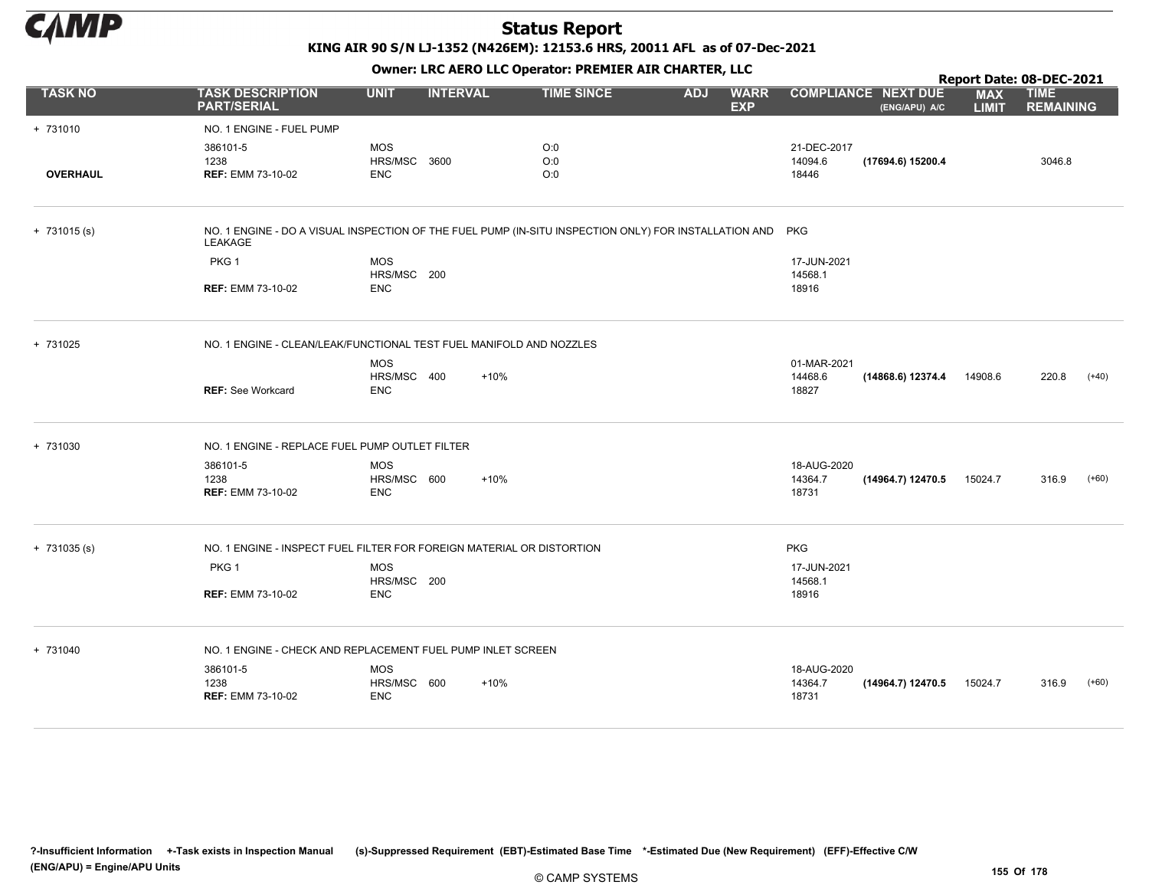

KING AIR 90 S/N LJ-1352 (N426EM): 12153.6 HRS, 20011 AFL as of 07-Dec-2021

|                 |                                                                                                                      |              |                 |                   |            |                           |             |                                             |                            | Report Date: 08-DEC-2021        |         |
|-----------------|----------------------------------------------------------------------------------------------------------------------|--------------|-----------------|-------------------|------------|---------------------------|-------------|---------------------------------------------|----------------------------|---------------------------------|---------|
| <b>TASK NO</b>  | <b>TASK DESCRIPTION</b><br><b>PART/SERIAL</b>                                                                        | <b>UNIT</b>  | <b>INTERVAL</b> | <b>TIME SINCE</b> | <b>ADJ</b> | <b>WARR</b><br><b>EXP</b> |             | <b>COMPLIANCE NEXT DUE</b><br>(ENG/APU) A/C | <b>MAX</b><br><b>LIMIT</b> | <b>TIME</b><br><b>REMAINING</b> |         |
| + 731010        | NO. 1 ENGINE - FUEL PUMP                                                                                             |              |                 |                   |            |                           |             |                                             |                            |                                 |         |
|                 | 386101-5                                                                                                             | <b>MOS</b>   |                 | O:0               |            |                           | 21-DEC-2017 |                                             |                            |                                 |         |
|                 | 1238                                                                                                                 | HRS/MSC 3600 |                 | O:0               |            |                           | 14094.6     | (17694.6) 15200.4                           |                            | 3046.8                          |         |
| <b>OVERHAUL</b> | <b>REF: EMM 73-10-02</b>                                                                                             | <b>ENC</b>   |                 | O:0               |            |                           | 18446       |                                             |                            |                                 |         |
| $+ 731015 (s)$  | NO. 1 ENGINE - DO A VISUAL INSPECTION OF THE FUEL PUMP (IN-SITU INSPECTION ONLY) FOR INSTALLATION AND PKG<br>LEAKAGE |              |                 |                   |            |                           |             |                                             |                            |                                 |         |
|                 | PKG <sub>1</sub>                                                                                                     | <b>MOS</b>   |                 |                   |            |                           | 17-JUN-2021 |                                             |                            |                                 |         |
|                 |                                                                                                                      | HRS/MSC 200  |                 |                   |            |                           | 14568.1     |                                             |                            |                                 |         |
|                 | <b>REF: EMM 73-10-02</b>                                                                                             | <b>ENC</b>   |                 |                   |            |                           | 18916       |                                             |                            |                                 |         |
| + 731025        | NO. 1 ENGINE - CLEAN/LEAK/FUNCTIONAL TEST FUEL MANIFOLD AND NOZZLES                                                  |              |                 |                   |            |                           |             |                                             |                            |                                 |         |
|                 |                                                                                                                      | <b>MOS</b>   |                 |                   |            |                           | 01-MAR-2021 |                                             |                            |                                 |         |
|                 |                                                                                                                      | HRS/MSC 400  | $+10%$          |                   |            |                           | 14468.6     | (14868.6) 12374.4                           | 14908.6                    | 220.8                           | $(+40)$ |
|                 | <b>REF: See Workcard</b>                                                                                             | <b>ENC</b>   |                 |                   |            |                           | 18827       |                                             |                            |                                 |         |
| + 731030        | NO. 1 ENGINE - REPLACE FUEL PUMP OUTLET FILTER                                                                       |              |                 |                   |            |                           |             |                                             |                            |                                 |         |
|                 | 386101-5                                                                                                             | <b>MOS</b>   |                 |                   |            |                           | 18-AUG-2020 |                                             |                            |                                 |         |
|                 | 1238                                                                                                                 | HRS/MSC 600  | $+10%$          |                   |            |                           | 14364.7     | (14964.7) 12470.5                           | 15024.7                    | 316.9                           | $(+60)$ |
|                 | <b>REF: EMM 73-10-02</b>                                                                                             | <b>ENC</b>   |                 |                   |            |                           | 18731       |                                             |                            |                                 |         |
| $+ 731035 (s)$  | NO. 1 ENGINE - INSPECT FUEL FILTER FOR FOREIGN MATERIAL OR DISTORTION                                                |              |                 |                   |            |                           | <b>PKG</b>  |                                             |                            |                                 |         |
|                 | PKG <sub>1</sub>                                                                                                     | <b>MOS</b>   |                 |                   |            |                           | 17-JUN-2021 |                                             |                            |                                 |         |
|                 |                                                                                                                      | HRS/MSC 200  |                 |                   |            |                           | 14568.1     |                                             |                            |                                 |         |
|                 | <b>REF: EMM 73-10-02</b>                                                                                             | <b>ENC</b>   |                 |                   |            |                           | 18916       |                                             |                            |                                 |         |
| + 731040        | NO. 1 ENGINE - CHECK AND REPLACEMENT FUEL PUMP INLET SCREEN                                                          |              |                 |                   |            |                           |             |                                             |                            |                                 |         |
|                 | 386101-5                                                                                                             | <b>MOS</b>   |                 |                   |            |                           | 18-AUG-2020 |                                             |                            |                                 |         |
|                 | 1238                                                                                                                 | HRS/MSC 600  | +10%            |                   |            |                           | 14364.7     | (14964.7) 12470.5                           | 15024.7                    | 316.9                           | $(+60)$ |
|                 | <b>REF: EMM 73-10-02</b>                                                                                             | <b>ENC</b>   |                 |                   |            |                           | 18731       |                                             |                            |                                 |         |
|                 |                                                                                                                      |              |                 |                   |            |                           |             |                                             |                            |                                 |         |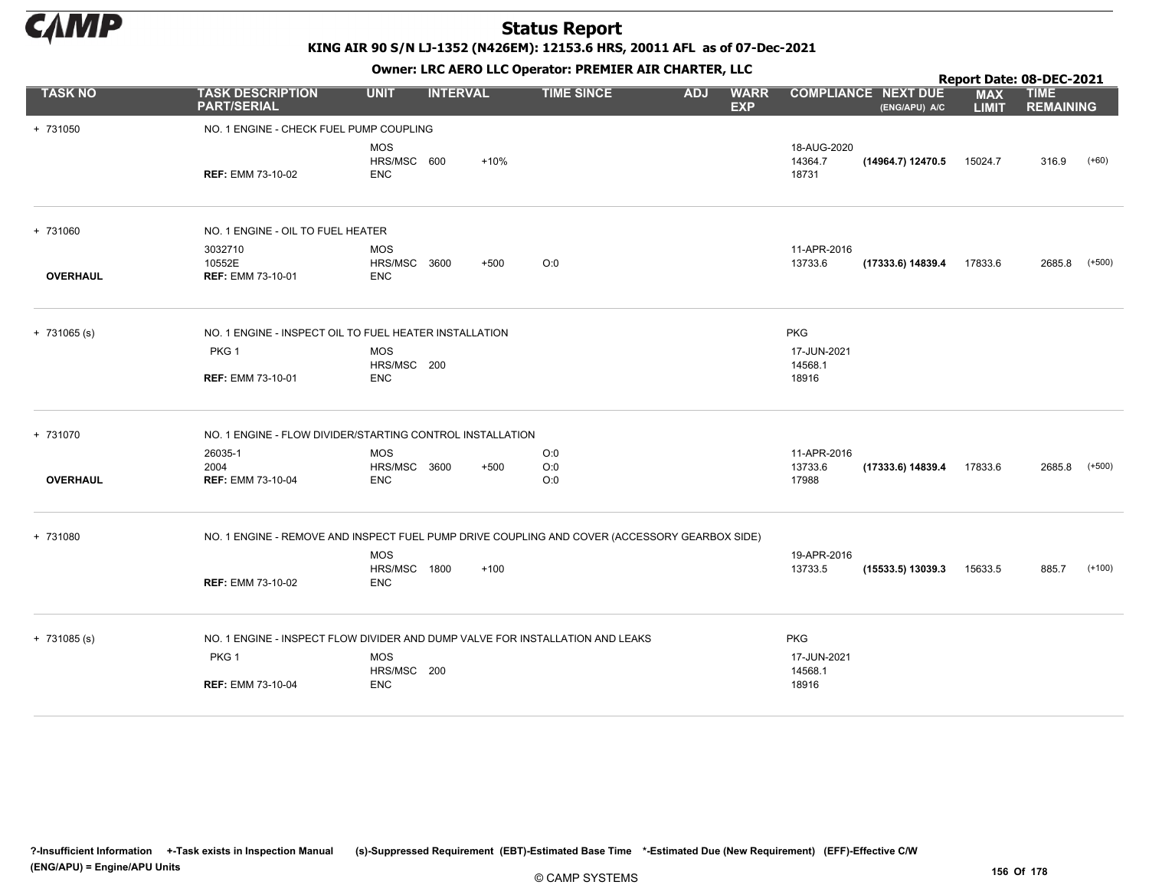

KING AIR 90 S/N LJ-1352 (N426EM): 12153.6 HRS, 20011 AFL as of 07-Dec-2021

|                 | OWIICI . EKC AEKO EEC OPCIALOI . PREMIER AIR CHARTER, EEC                                     |                                          |                 |        |                   |            |                           |                                 | Report Date: 08-DEC-2021                    |                            |                                 |          |  |  |
|-----------------|-----------------------------------------------------------------------------------------------|------------------------------------------|-----------------|--------|-------------------|------------|---------------------------|---------------------------------|---------------------------------------------|----------------------------|---------------------------------|----------|--|--|
| <b>TASK NO</b>  | <b>TASK DESCRIPTION</b><br><b>PART/SERIAL</b>                                                 | <b>UNIT</b>                              | <b>INTERVAL</b> |        | <b>TIME SINCE</b> | <b>ADJ</b> | <b>WARR</b><br><b>EXP</b> |                                 | <b>COMPLIANCE NEXT DUE</b><br>(ENG/APU) A/C | <b>MAX</b><br><b>LIMIT</b> | <b>TIME</b><br><b>REMAINING</b> |          |  |  |
| + 731050        | NO. 1 ENGINE - CHECK FUEL PUMP COUPLING                                                       |                                          |                 |        |                   |            |                           |                                 |                                             |                            |                                 |          |  |  |
|                 | <b>REF: EMM 73-10-02</b>                                                                      | <b>MOS</b><br>HRS/MSC 600<br><b>ENC</b>  |                 | $+10%$ |                   |            |                           | 18-AUG-2020<br>14364.7<br>18731 | (14964.7) 12470.5                           | 15024.7                    | 316.9                           | $(+60)$  |  |  |
| + 731060        | NO. 1 ENGINE - OIL TO FUEL HEATER                                                             |                                          |                 |        |                   |            |                           |                                 |                                             |                            |                                 |          |  |  |
| <b>OVERHAUL</b> | 3032710<br>10552E<br><b>REF: EMM 73-10-01</b>                                                 | <b>MOS</b><br>HRS/MSC 3600<br><b>ENC</b> |                 | $+500$ | O:0               |            |                           | 11-APR-2016<br>13733.6          | (17333.6) 14839.4                           | 17833.6                    | 2685.8                          | $(+500)$ |  |  |
| $+ 731065 (s)$  | NO. 1 ENGINE - INSPECT OIL TO FUEL HEATER INSTALLATION                                        |                                          |                 |        |                   |            |                           | <b>PKG</b>                      |                                             |                            |                                 |          |  |  |
|                 | PKG <sub>1</sub>                                                                              | <b>MOS</b>                               |                 |        |                   |            |                           | 17-JUN-2021                     |                                             |                            |                                 |          |  |  |
|                 | <b>REF: EMM 73-10-01</b>                                                                      | HRS/MSC 200<br><b>ENC</b>                |                 |        |                   |            |                           | 14568.1<br>18916                |                                             |                            |                                 |          |  |  |
| + 731070        | NO. 1 ENGINE - FLOW DIVIDER/STARTING CONTROL INSTALLATION                                     |                                          |                 |        |                   |            |                           |                                 |                                             |                            |                                 |          |  |  |
|                 | 26035-1                                                                                       | <b>MOS</b>                               |                 |        | O:0               |            |                           | 11-APR-2016                     |                                             |                            |                                 |          |  |  |
| <b>OVERHAUL</b> | 2004<br><b>REF: EMM 73-10-04</b>                                                              | HRS/MSC 3600<br><b>ENC</b>               |                 | $+500$ | O:0<br>O:0        |            |                           | 13733.6<br>17988                | (17333.6) 14839.4                           | 17833.6                    | 2685.8                          | (+500)   |  |  |
| + 731080        | NO. 1 ENGINE - REMOVE AND INSPECT FUEL PUMP DRIVE COUPLING AND COVER (ACCESSORY GEARBOX SIDE) |                                          |                 |        |                   |            |                           |                                 |                                             |                            |                                 |          |  |  |
|                 | <b>REF: EMM 73-10-02</b>                                                                      | <b>MOS</b><br>HRS/MSC 1800<br><b>ENC</b> |                 | $+100$ |                   |            |                           | 19-APR-2016<br>13733.5          | $(15533.5)$ 13039.3                         | 15633.5                    | 885.7                           | $(+100)$ |  |  |
| $+ 731085 (s)$  | NO. 1 ENGINE - INSPECT FLOW DIVIDER AND DUMP VALVE FOR INSTALLATION AND LEAKS                 |                                          |                 |        |                   |            |                           | <b>PKG</b>                      |                                             |                            |                                 |          |  |  |
|                 | PKG 1                                                                                         | <b>MOS</b>                               |                 |        |                   |            |                           | 17-JUN-2021                     |                                             |                            |                                 |          |  |  |
|                 | <b>REF: EMM 73-10-04</b>                                                                      | HRS/MSC 200<br><b>ENC</b>                |                 |        |                   |            |                           | 14568.1<br>18916                |                                             |                            |                                 |          |  |  |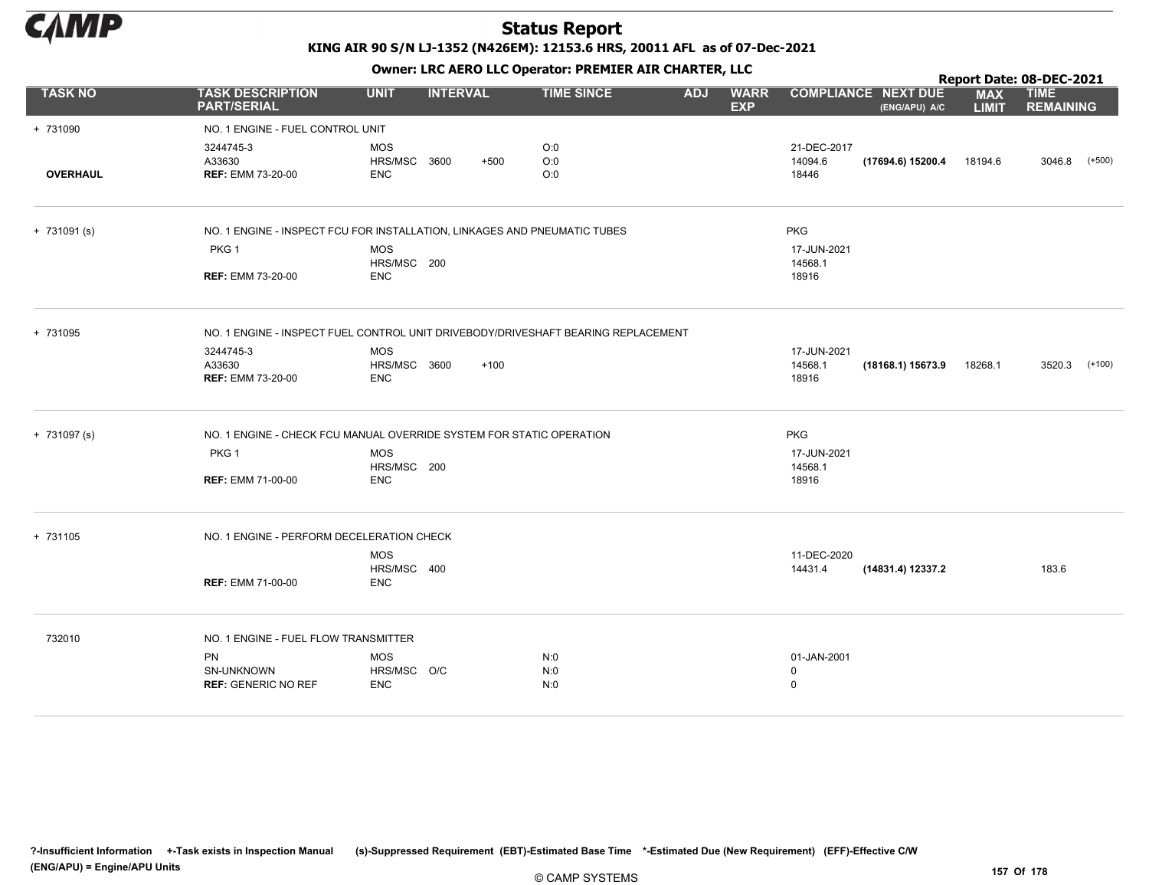

|                 |                                                                                   |                     |                 |        |                   |            |                           |             |                                             |                            | Report Date: 08-DEC-2021        |          |
|-----------------|-----------------------------------------------------------------------------------|---------------------|-----------------|--------|-------------------|------------|---------------------------|-------------|---------------------------------------------|----------------------------|---------------------------------|----------|
| <b>TASK NO</b>  | <b>TASK DESCRIPTION</b><br><b>PART/SERIAL</b>                                     | <b>UNIT</b>         | <b>INTERVAL</b> |        | <b>TIME SINCE</b> | <b>ADJ</b> | <b>WARR</b><br><b>EXP</b> |             | <b>COMPLIANCE NEXT DUE</b><br>(ENG/APU) A/C | <b>MAX</b><br><b>LIMIT</b> | <b>TIME</b><br><b>REMAINING</b> |          |
| + 731090        | NO. 1 ENGINE - FUEL CONTROL UNIT                                                  |                     |                 |        |                   |            |                           |             |                                             |                            |                                 |          |
|                 | 3244745-3                                                                         | <b>MOS</b>          |                 |        | O:0               |            |                           | 21-DEC-2017 |                                             |                            |                                 |          |
|                 | A33630                                                                            | HRS/MSC 3600        |                 | $+500$ | O:0               |            |                           | 14094.6     | (17694.6) 15200.4                           | 18194.6                    | 3046.8                          | $(+500)$ |
| <b>OVERHAUL</b> | <b>REF: EMM 73-20-00</b>                                                          | <b>ENC</b>          |                 |        | O:0               |            |                           | 18446       |                                             |                            |                                 |          |
| $+ 731091(s)$   | NO. 1 ENGINE - INSPECT FCU FOR INSTALLATION, LINKAGES AND PNEUMATIC TUBES         |                     |                 |        |                   |            |                           | <b>PKG</b>  |                                             |                            |                                 |          |
|                 | PKG <sub>1</sub>                                                                  | <b>MOS</b>          |                 |        |                   |            |                           | 17-JUN-2021 |                                             |                            |                                 |          |
|                 |                                                                                   | HRS/MSC 200         |                 |        |                   |            |                           | 14568.1     |                                             |                            |                                 |          |
|                 | <b>REF: EMM 73-20-00</b>                                                          | <b>ENC</b>          |                 |        |                   |            |                           | 18916       |                                             |                            |                                 |          |
| + 731095        | NO. 1 ENGINE - INSPECT FUEL CONTROL UNIT DRIVEBODY/DRIVESHAFT BEARING REPLACEMENT |                     |                 |        |                   |            |                           |             |                                             |                            |                                 |          |
|                 | 3244745-3                                                                         | <b>MOS</b>          |                 |        |                   |            |                           | 17-JUN-2021 |                                             |                            |                                 |          |
|                 | A33630                                                                            | <b>HRS/MSC 3600</b> |                 | $+100$ |                   |            |                           | 14568.1     | (18168.1) 15673.9                           | 18268.1                    | 3520.3                          | (+100)   |
|                 | <b>REF: EMM 73-20-00</b>                                                          | <b>ENC</b>          |                 |        |                   |            |                           | 18916       |                                             |                            |                                 |          |
| $+ 731097 (s)$  | NO. 1 ENGINE - CHECK FCU MANUAL OVERRIDE SYSTEM FOR STATIC OPERATION              |                     |                 |        |                   |            |                           | <b>PKG</b>  |                                             |                            |                                 |          |
|                 | PKG <sub>1</sub>                                                                  | <b>MOS</b>          |                 |        |                   |            |                           | 17-JUN-2021 |                                             |                            |                                 |          |
|                 |                                                                                   | HRS/MSC 200         |                 |        |                   |            |                           | 14568.1     |                                             |                            |                                 |          |
|                 | <b>REF: EMM 71-00-00</b>                                                          | <b>ENC</b>          |                 |        |                   |            |                           | 18916       |                                             |                            |                                 |          |
| + 731105        | NO. 1 ENGINE - PERFORM DECELERATION CHECK                                         |                     |                 |        |                   |            |                           |             |                                             |                            |                                 |          |
|                 |                                                                                   | <b>MOS</b>          |                 |        |                   |            |                           | 11-DEC-2020 |                                             |                            |                                 |          |
|                 |                                                                                   | HRS/MSC 400         |                 |        |                   |            |                           | 14431.4     | (14831.4) 12337.2                           |                            | 183.6                           |          |
|                 | <b>REF: EMM 71-00-00</b>                                                          | <b>ENC</b>          |                 |        |                   |            |                           |             |                                             |                            |                                 |          |
| 732010          | NO. 1 ENGINE - FUEL FLOW TRANSMITTER                                              |                     |                 |        |                   |            |                           |             |                                             |                            |                                 |          |
|                 | <b>PN</b>                                                                         | <b>MOS</b>          |                 |        | N:0               |            |                           | 01-JAN-2001 |                                             |                            |                                 |          |
|                 | SN-UNKNOWN                                                                        | HRS/MSC O/C         |                 |        | N:0               |            |                           | 0           |                                             |                            |                                 |          |
|                 | <b>REF: GENERIC NO REF</b>                                                        | <b>ENC</b>          |                 |        | N:0               |            |                           | $\mathsf 0$ |                                             |                            |                                 |          |
|                 |                                                                                   |                     |                 |        |                   |            |                           |             |                                             |                            |                                 |          |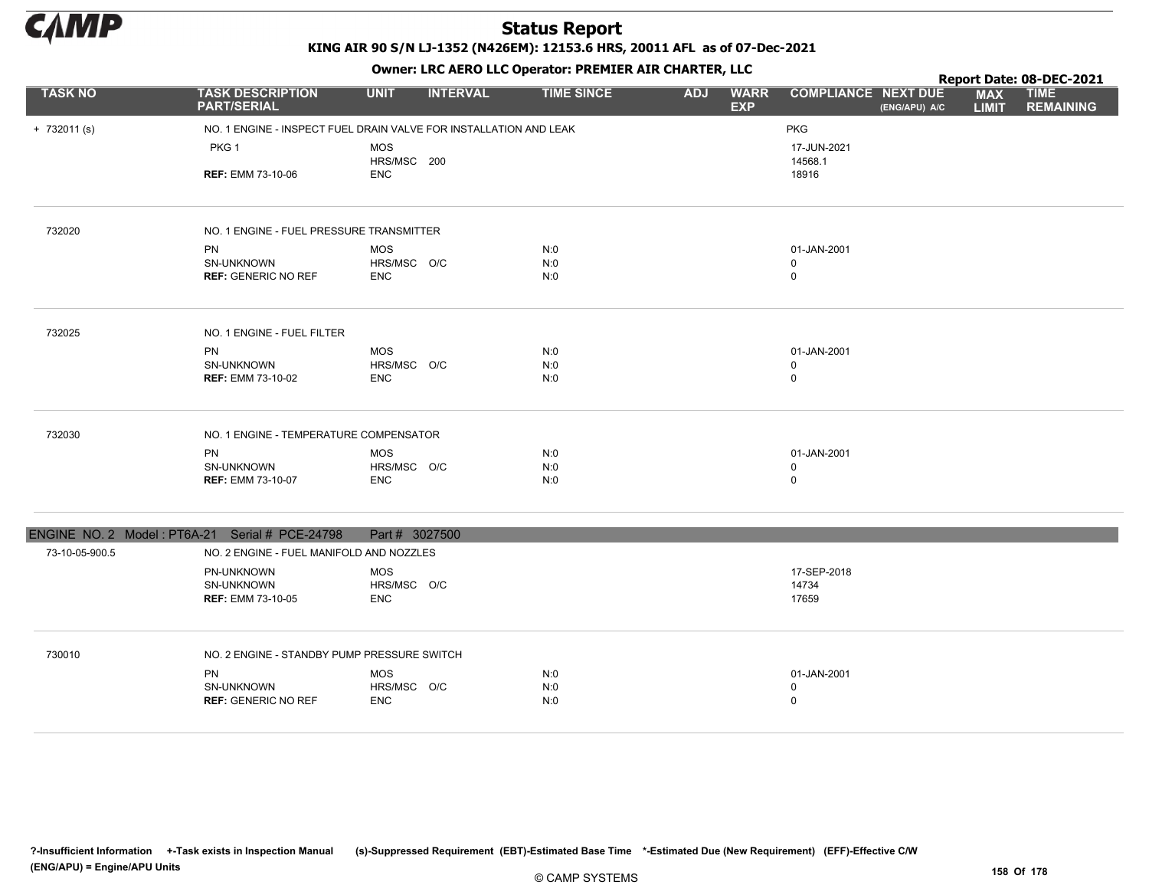

|                |                                                | <u> Chilett Elle Merce 220 Operatori i Ref Mercelli Chilillery 220</u> |                   |            |                           |                            |               |                            | Report Date: 08-DEC-2021        |
|----------------|------------------------------------------------|------------------------------------------------------------------------|-------------------|------------|---------------------------|----------------------------|---------------|----------------------------|---------------------------------|
| <b>TASK NO</b> | <b>TASK DESCRIPTION</b><br><b>PART/SERIAL</b>  | <b>INTERVAL</b><br><b>UNIT</b>                                         | <b>TIME SINCE</b> | <b>ADJ</b> | <b>WARR</b><br><b>EXP</b> | <b>COMPLIANCE NEXT DUE</b> | (ENG/APU) A/C | <b>MAX</b><br><b>LIMIT</b> | <b>TIME</b><br><b>REMAINING</b> |
| $+ 732011$ (s) |                                                | NO. 1 ENGINE - INSPECT FUEL DRAIN VALVE FOR INSTALLATION AND LEAK      |                   |            |                           | PKG                        |               |                            |                                 |
|                | PKG <sub>1</sub>                               | <b>MOS</b>                                                             |                   |            |                           | 17-JUN-2021                |               |                            |                                 |
|                | <b>REF: EMM 73-10-06</b>                       | HRS/MSC 200<br><b>ENC</b>                                              |                   |            |                           | 14568.1<br>18916           |               |                            |                                 |
|                |                                                |                                                                        |                   |            |                           |                            |               |                            |                                 |
| 732020         | NO. 1 ENGINE - FUEL PRESSURE TRANSMITTER       |                                                                        |                   |            |                           |                            |               |                            |                                 |
|                | PN                                             | <b>MOS</b>                                                             | N:0               |            |                           | 01-JAN-2001                |               |                            |                                 |
|                | SN-UNKNOWN<br><b>REF: GENERIC NO REF</b>       | HRS/MSC O/C<br><b>ENC</b>                                              | N:0<br>N:0        |            |                           | 0<br>$\mathbf 0$           |               |                            |                                 |
|                |                                                |                                                                        |                   |            |                           |                            |               |                            |                                 |
| 732025         | NO. 1 ENGINE - FUEL FILTER                     |                                                                        |                   |            |                           |                            |               |                            |                                 |
|                | <b>PN</b>                                      | <b>MOS</b>                                                             | N:0               |            |                           | 01-JAN-2001                |               |                            |                                 |
|                | <b>SN-UNKNOWN</b>                              | HRS/MSC O/C                                                            | N:0               |            |                           | 0                          |               |                            |                                 |
|                | <b>REF: EMM 73-10-02</b>                       | <b>ENC</b>                                                             | N:0               |            |                           | $\mathbf 0$                |               |                            |                                 |
| 732030         | NO. 1 ENGINE - TEMPERATURE COMPENSATOR         |                                                                        |                   |            |                           |                            |               |                            |                                 |
|                | <b>PN</b>                                      | <b>MOS</b>                                                             | N:0               |            |                           | 01-JAN-2001                |               |                            |                                 |
|                | SN-UNKNOWN                                     | HRS/MSC O/C                                                            | N:0               |            |                           | $\mathbf 0$                |               |                            |                                 |
|                | <b>REF: EMM 73-10-07</b>                       | <b>ENC</b>                                                             | N:0               |            |                           | $\mathbf 0$                |               |                            |                                 |
|                | ENGINE NO. 2 Model: PT6A-21 Serial # PCE-24798 | Part # 3027500                                                         |                   |            |                           |                            |               |                            |                                 |
| 73-10-05-900.5 | NO. 2 ENGINE - FUEL MANIFOLD AND NOZZLES       |                                                                        |                   |            |                           |                            |               |                            |                                 |
|                | PN-UNKNOWN                                     | <b>MOS</b>                                                             |                   |            |                           | 17-SEP-2018                |               |                            |                                 |
|                | SN-UNKNOWN                                     | HRS/MSC O/C                                                            |                   |            |                           | 14734                      |               |                            |                                 |
|                | <b>REF: EMM 73-10-05</b>                       | <b>ENC</b>                                                             |                   |            |                           | 17659                      |               |                            |                                 |
| 730010         | NO. 2 ENGINE - STANDBY PUMP PRESSURE SWITCH    |                                                                        |                   |            |                           |                            |               |                            |                                 |
|                | <b>PN</b>                                      | <b>MOS</b>                                                             | N:0               |            |                           | 01-JAN-2001                |               |                            |                                 |
|                | <b>SN-UNKNOWN</b>                              | HRS/MSC O/C                                                            | N:0               |            |                           | $\Omega$                   |               |                            |                                 |
|                | <b>REF: GENERIC NO REF</b>                     | <b>ENC</b>                                                             | N:0               |            |                           | $\mathbf 0$                |               |                            |                                 |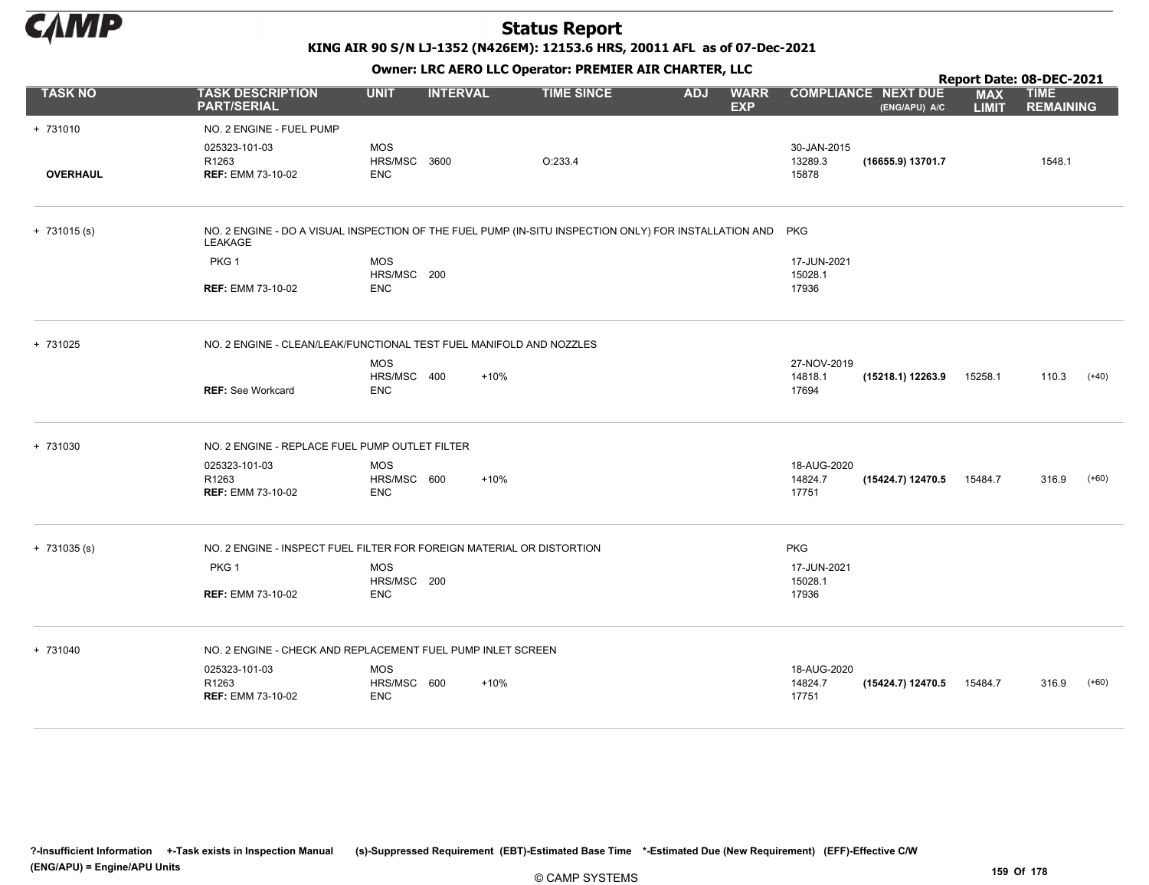

KING AIR 90 S/N LJ-1352 (N426EM): 12153.6 HRS, 20011 AFL as of 07-Dec-2021

|                 |                                                                                                                      |              |                 |                   |            |                           |             |                                             |                            | Report Date: 08-DEC-2021        |         |
|-----------------|----------------------------------------------------------------------------------------------------------------------|--------------|-----------------|-------------------|------------|---------------------------|-------------|---------------------------------------------|----------------------------|---------------------------------|---------|
| <b>TASK NO</b>  | <b>TASK DESCRIPTION</b><br><b>PART/SERIAL</b>                                                                        | <b>UNIT</b>  | <b>INTERVAL</b> | <b>TIME SINCE</b> | <b>ADJ</b> | <b>WARR</b><br><b>EXP</b> |             | <b>COMPLIANCE NEXT DUE</b><br>(ENG/APU) A/C | <b>MAX</b><br><b>LIMIT</b> | <b>TIME</b><br><b>REMAINING</b> |         |
| + 731010        | NO. 2 ENGINE - FUEL PUMP                                                                                             |              |                 |                   |            |                           |             |                                             |                            |                                 |         |
|                 | 025323-101-03                                                                                                        | <b>MOS</b>   |                 |                   |            |                           | 30-JAN-2015 |                                             |                            |                                 |         |
|                 | R1263                                                                                                                | HRS/MSC 3600 |                 | O:233.4           |            |                           | 13289.3     | (16655.9) 13701.7                           |                            | 1548.1                          |         |
| <b>OVERHAUL</b> | <b>REF: EMM 73-10-02</b>                                                                                             | <b>ENC</b>   |                 |                   |            |                           | 15878       |                                             |                            |                                 |         |
| $+ 731015(s)$   | NO. 2 ENGINE - DO A VISUAL INSPECTION OF THE FUEL PUMP (IN-SITU INSPECTION ONLY) FOR INSTALLATION AND PKG<br>LEAKAGE |              |                 |                   |            |                           |             |                                             |                            |                                 |         |
|                 | PKG <sub>1</sub>                                                                                                     | <b>MOS</b>   |                 |                   |            |                           | 17-JUN-2021 |                                             |                            |                                 |         |
|                 |                                                                                                                      | HRS/MSC 200  |                 |                   |            |                           | 15028.1     |                                             |                            |                                 |         |
|                 | <b>REF: EMM 73-10-02</b>                                                                                             | <b>ENC</b>   |                 |                   |            |                           | 17936       |                                             |                            |                                 |         |
| + 731025        | NO. 2 ENGINE - CLEAN/LEAK/FUNCTIONAL TEST FUEL MANIFOLD AND NOZZLES                                                  |              |                 |                   |            |                           |             |                                             |                            |                                 |         |
|                 |                                                                                                                      | <b>MOS</b>   |                 |                   |            |                           | 27-NOV-2019 |                                             |                            |                                 |         |
|                 |                                                                                                                      | HRS/MSC 400  | $+10%$          |                   |            |                           | 14818.1     | (15218.1) 12263.9                           | 15258.1                    | 110.3                           | $(+40)$ |
|                 | <b>REF: See Workcard</b>                                                                                             | <b>ENC</b>   |                 |                   |            |                           | 17694       |                                             |                            |                                 |         |
| + 731030        | NO. 2 ENGINE - REPLACE FUEL PUMP OUTLET FILTER                                                                       |              |                 |                   |            |                           |             |                                             |                            |                                 |         |
|                 | 025323-101-03                                                                                                        | <b>MOS</b>   |                 |                   |            |                           | 18-AUG-2020 |                                             |                            |                                 |         |
|                 | R1263                                                                                                                | HRS/MSC 600  | $+10%$          |                   |            |                           | 14824.7     | (15424.7) 12470.5                           | 15484.7                    | 316.9                           | $(+60)$ |
|                 | <b>REF: EMM 73-10-02</b>                                                                                             | <b>ENC</b>   |                 |                   |            |                           | 17751       |                                             |                            |                                 |         |
| $+ 731035 (s)$  | NO. 2 ENGINE - INSPECT FUEL FILTER FOR FOREIGN MATERIAL OR DISTORTION                                                |              |                 |                   |            |                           | <b>PKG</b>  |                                             |                            |                                 |         |
|                 | PKG <sub>1</sub>                                                                                                     | <b>MOS</b>   |                 |                   |            |                           | 17-JUN-2021 |                                             |                            |                                 |         |
|                 |                                                                                                                      | HRS/MSC 200  |                 |                   |            |                           | 15028.1     |                                             |                            |                                 |         |
|                 | <b>REF: EMM 73-10-02</b>                                                                                             | <b>ENC</b>   |                 |                   |            |                           | 17936       |                                             |                            |                                 |         |
| + 731040        | NO. 2 ENGINE - CHECK AND REPLACEMENT FUEL PUMP INLET SCREEN                                                          |              |                 |                   |            |                           |             |                                             |                            |                                 |         |
|                 | 025323-101-03                                                                                                        | <b>MOS</b>   |                 |                   |            |                           | 18-AUG-2020 |                                             |                            |                                 |         |
|                 | R1263                                                                                                                | HRS/MSC 600  | $+10%$          |                   |            |                           | 14824.7     | (15424.7) 12470.5                           | 15484.7                    | 316.9                           | $(+60)$ |
|                 | <b>REF: EMM 73-10-02</b>                                                                                             | <b>ENC</b>   |                 |                   |            |                           | 17751       |                                             |                            |                                 |         |
|                 |                                                                                                                      |              |                 |                   |            |                           |             |                                             |                            |                                 |         |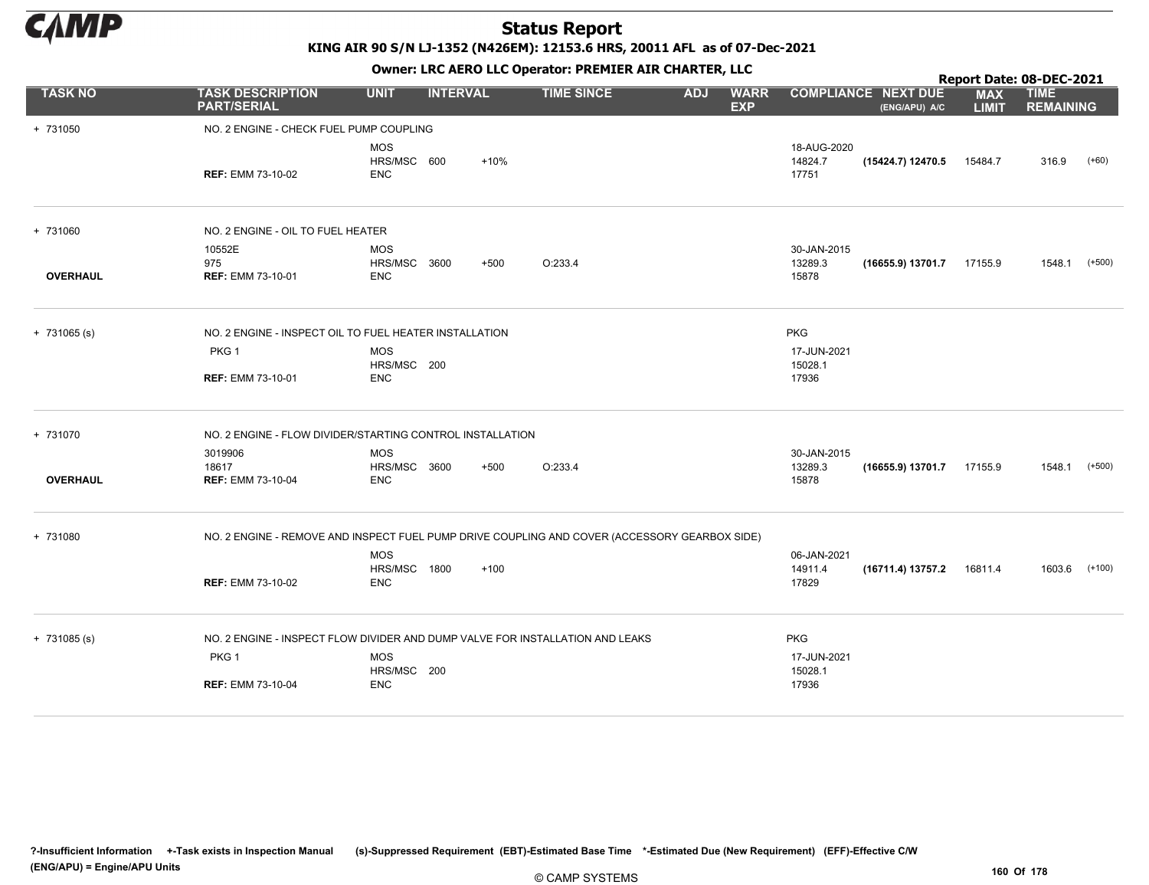

KING AIR 90 S/N LJ-1352 (N426EM): 12153.6 HRS, 20011 AFL as of 07-Dec-2021

|                 | OWIICI . EKC AEKO EEC OPCIALOI . PREMIER AIR CHARTER, EEC                                     |                                          |                 |        |                   |            |                           | Report Date: 08-DEC-2021        |                                             |                            |                                 |               |  |
|-----------------|-----------------------------------------------------------------------------------------------|------------------------------------------|-----------------|--------|-------------------|------------|---------------------------|---------------------------------|---------------------------------------------|----------------------------|---------------------------------|---------------|--|
| <b>TASK NO</b>  | <b>TASK DESCRIPTION</b><br><b>PART/SERIAL</b>                                                 | <b>UNIT</b>                              | <b>INTERVAL</b> |        | <b>TIME SINCE</b> | <b>ADJ</b> | <b>WARR</b><br><b>EXP</b> |                                 | <b>COMPLIANCE NEXT DUE</b><br>(ENG/APU) A/C | <b>MAX</b><br><b>LIMIT</b> | <b>TIME</b><br><b>REMAINING</b> |               |  |
| + 731050        | NO. 2 ENGINE - CHECK FUEL PUMP COUPLING                                                       |                                          |                 |        |                   |            |                           |                                 |                                             |                            |                                 |               |  |
|                 | <b>REF: EMM 73-10-02</b>                                                                      | <b>MOS</b><br>HRS/MSC 600<br><b>ENC</b>  |                 | $+10%$ |                   |            |                           | 18-AUG-2020<br>14824.7<br>17751 | (15424.7) 12470.5                           | 15484.7                    | 316.9                           | $(+60)$       |  |
| + 731060        | NO. 2 ENGINE - OIL TO FUEL HEATER                                                             |                                          |                 |        |                   |            |                           |                                 |                                             |                            |                                 |               |  |
| <b>OVERHAUL</b> | 10552E<br>975<br><b>REF: EMM 73-10-01</b>                                                     | <b>MOS</b><br>HRS/MSC 3600<br><b>ENC</b> | $+500$          |        | O:233.4           |            |                           | 30-JAN-2015<br>13289.3<br>15878 | (16655.9) 13701.7                           | 17155.9                    | 1548.1                          | $(+500)$      |  |
| $+ 731065 (s)$  | NO. 2 ENGINE - INSPECT OIL TO FUEL HEATER INSTALLATION                                        |                                          |                 |        |                   |            |                           | <b>PKG</b>                      |                                             |                            |                                 |               |  |
|                 | PKG <sub>1</sub>                                                                              | <b>MOS</b><br>HRS/MSC 200                |                 |        |                   |            |                           | 17-JUN-2021<br>15028.1          |                                             |                            |                                 |               |  |
|                 | <b>REF: EMM 73-10-01</b>                                                                      | <b>ENC</b>                               |                 |        |                   |            |                           | 17936                           |                                             |                            |                                 |               |  |
| + 731070        | NO. 2 ENGINE - FLOW DIVIDER/STARTING CONTROL INSTALLATION                                     |                                          |                 |        |                   |            |                           |                                 |                                             |                            |                                 |               |  |
|                 | 3019906                                                                                       | <b>MOS</b>                               |                 |        |                   |            |                           | 30-JAN-2015                     |                                             |                            |                                 |               |  |
| <b>OVERHAUL</b> | 18617<br><b>REF: EMM 73-10-04</b>                                                             | HRS/MSC 3600<br><b>ENC</b>               | $+500$          |        | O:233.4           |            |                           | 13289.3<br>15878                | (16655.9) 13701.7                           | 17155.9                    |                                 | 1548.1 (+500) |  |
| + 731080        | NO. 2 ENGINE - REMOVE AND INSPECT FUEL PUMP DRIVE COUPLING AND COVER (ACCESSORY GEARBOX SIDE) |                                          |                 |        |                   |            |                           |                                 |                                             |                            |                                 |               |  |
|                 |                                                                                               | <b>MOS</b>                               |                 |        |                   |            |                           | 06-JAN-2021                     |                                             |                            |                                 |               |  |
|                 | <b>REF: EMM 73-10-02</b>                                                                      | HRS/MSC 1800<br><b>ENC</b>               | $+100$          |        |                   |            |                           | 14911.4<br>17829                | (16711.4) 13757.2                           | 16811.4                    | 1603.6                          | $(+100)$      |  |
| $+ 731085 (s)$  | NO. 2 ENGINE - INSPECT FLOW DIVIDER AND DUMP VALVE FOR INSTALLATION AND LEAKS                 |                                          |                 |        |                   |            |                           | <b>PKG</b>                      |                                             |                            |                                 |               |  |
|                 | PKG <sub>1</sub>                                                                              | <b>MOS</b>                               |                 |        |                   |            |                           | 17-JUN-2021                     |                                             |                            |                                 |               |  |
|                 | <b>REF: EMM 73-10-04</b>                                                                      | HRS/MSC 200<br><b>ENC</b>                |                 |        |                   |            |                           | 15028.1<br>17936                |                                             |                            |                                 |               |  |
|                 |                                                                                               |                                          |                 |        |                   |            |                           |                                 |                                             |                            |                                 |               |  |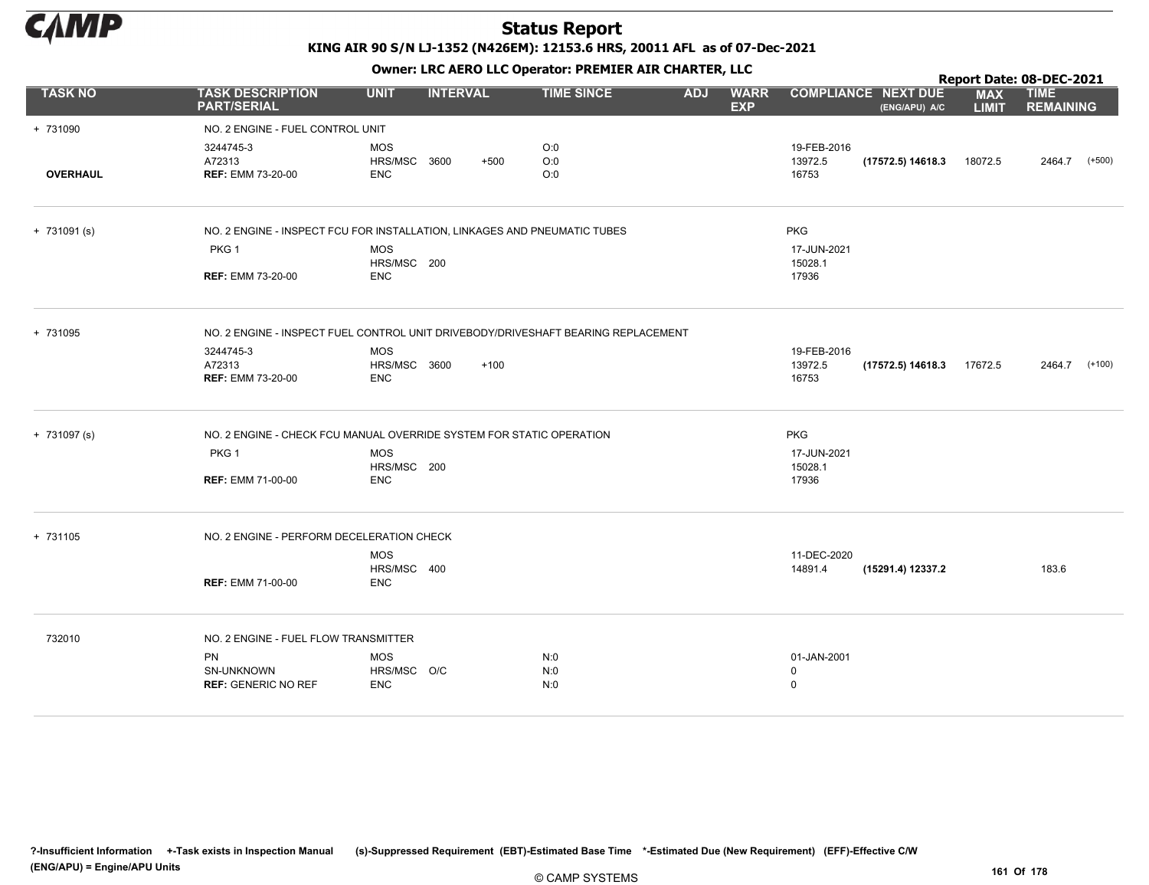

|                 |                                                                                   |                                                 |                 |                   |            |                           |                                           |                                             |                            | Report Date: 08-DEC-2021        |
|-----------------|-----------------------------------------------------------------------------------|-------------------------------------------------|-----------------|-------------------|------------|---------------------------|-------------------------------------------|---------------------------------------------|----------------------------|---------------------------------|
| <b>TASK NO</b>  | <b>TASK DESCRIPTION</b><br><b>PART/SERIAL</b>                                     | <b>UNIT</b>                                     | <b>INTERVAL</b> | <b>TIME SINCE</b> | <b>ADJ</b> | <b>WARR</b><br><b>EXP</b> |                                           | <b>COMPLIANCE NEXT DUE</b><br>(ENG/APU) A/C | <b>MAX</b><br><b>LIMIT</b> | <b>TIME</b><br><b>REMAINING</b> |
| + 731090        | NO. 2 ENGINE - FUEL CONTROL UNIT                                                  |                                                 |                 |                   |            |                           |                                           |                                             |                            |                                 |
| <b>OVERHAUL</b> | 3244745-3<br>A72313<br><b>REF: EMM 73-20-00</b>                                   | <b>MOS</b><br>HRS/MSC 3600<br><b>ENC</b>        | $+500$          | O:0<br>O:0<br>O:0 |            |                           | 19-FEB-2016<br>13972.5<br>16753           | (17572.5) 14618.3                           | 18072.5                    | 2464.7<br>$(+500)$              |
|                 |                                                                                   |                                                 |                 |                   |            |                           |                                           |                                             |                            |                                 |
| $+ 731091(s)$   | NO. 2 ENGINE - INSPECT FCU FOR INSTALLATION, LINKAGES AND PNEUMATIC TUBES         |                                                 |                 |                   |            |                           | <b>PKG</b>                                |                                             |                            |                                 |
|                 | PKG <sub>1</sub>                                                                  | <b>MOS</b><br>HRS/MSC 200                       |                 |                   |            |                           | 17-JUN-2021<br>15028.1                    |                                             |                            |                                 |
|                 | <b>REF: EMM 73-20-00</b>                                                          | <b>ENC</b>                                      |                 |                   |            |                           | 17936                                     |                                             |                            |                                 |
| + 731095        | NO. 2 ENGINE - INSPECT FUEL CONTROL UNIT DRIVEBODY/DRIVESHAFT BEARING REPLACEMENT |                                                 |                 |                   |            |                           |                                           |                                             |                            |                                 |
|                 | 3244745-3<br>A72313<br><b>REF: EMM 73-20-00</b>                                   | <b>MOS</b><br><b>HRS/MSC 3600</b><br><b>ENC</b> | $+100$          |                   |            |                           | 19-FEB-2016<br>13972.5<br>16753           | (17572.5) 14618.3                           | 17672.5                    | 2464.7<br>(+100)                |
| $+ 731097 (s)$  | NO. 2 ENGINE - CHECK FCU MANUAL OVERRIDE SYSTEM FOR STATIC OPERATION              |                                                 |                 |                   |            |                           | <b>PKG</b>                                |                                             |                            |                                 |
|                 | PKG <sub>1</sub>                                                                  | <b>MOS</b>                                      |                 |                   |            |                           | 17-JUN-2021                               |                                             |                            |                                 |
|                 | <b>REF: EMM 71-00-00</b>                                                          | HRS/MSC 200<br><b>ENC</b>                       |                 |                   |            |                           | 15028.1<br>17936                          |                                             |                            |                                 |
| + 731105        | NO. 2 ENGINE - PERFORM DECELERATION CHECK                                         |                                                 |                 |                   |            |                           |                                           |                                             |                            |                                 |
|                 | <b>REF: EMM 71-00-00</b>                                                          | <b>MOS</b><br>HRS/MSC 400<br><b>ENC</b>         |                 |                   |            |                           | 11-DEC-2020<br>14891.4                    | (15291.4) 12337.2                           |                            | 183.6                           |
| 732010          | NO. 2 ENGINE - FUEL FLOW TRANSMITTER                                              |                                                 |                 |                   |            |                           |                                           |                                             |                            |                                 |
|                 | <b>PN</b><br>SN-UNKNOWN<br><b>REF: GENERIC NO REF</b>                             | <b>MOS</b><br>HRS/MSC O/C<br><b>ENC</b>         |                 | N:0<br>N:0<br>N:0 |            |                           | 01-JAN-2001<br>$\mathbf 0$<br>$\mathsf 0$ |                                             |                            |                                 |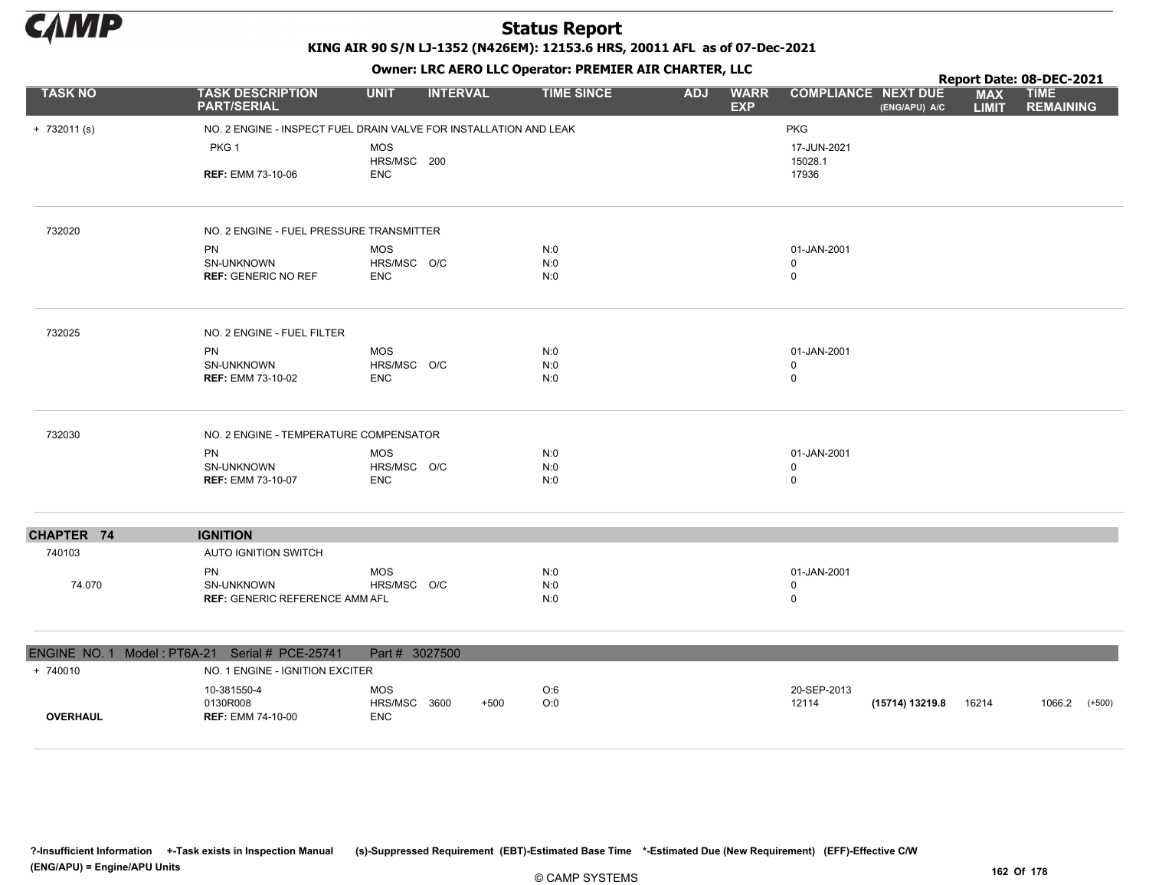

|                 |                                                                   |                           |                 | OWHER. LKC ALKO LLC OPERATOR. PREPILER AIR CHARTER, LLC |            |                           |                            |                                             | Report Date: 08-DEC-2021   |                                 |          |
|-----------------|-------------------------------------------------------------------|---------------------------|-----------------|---------------------------------------------------------|------------|---------------------------|----------------------------|---------------------------------------------|----------------------------|---------------------------------|----------|
| <b>TASK NO</b>  | <b>TASK DESCRIPTION</b><br><b>PART/SERIAL</b>                     | <b>UNIT</b>               | <b>INTERVAL</b> | <b>TIME SINCE</b>                                       | <b>ADJ</b> | <b>WARR</b><br><b>EXP</b> |                            | <b>COMPLIANCE NEXT DUE</b><br>(ENG/APU) A/C | <b>MAX</b><br><b>LIMIT</b> | <b>TIME</b><br><b>REMAINING</b> |          |
| $+ 732011$ (s)  | NO. 2 ENGINE - INSPECT FUEL DRAIN VALVE FOR INSTALLATION AND LEAK |                           |                 |                                                         |            |                           | <b>PKG</b>                 |                                             |                            |                                 |          |
|                 | PKG 1                                                             | MOS                       |                 |                                                         |            |                           | 17-JUN-2021                |                                             |                            |                                 |          |
|                 | <b>REF: EMM 73-10-06</b>                                          | HRS/MSC 200<br><b>ENC</b> |                 |                                                         |            |                           | 15028.1<br>17936           |                                             |                            |                                 |          |
| 732020          | NO. 2 ENGINE - FUEL PRESSURE TRANSMITTER                          |                           |                 |                                                         |            |                           |                            |                                             |                            |                                 |          |
|                 | PN                                                                | <b>MOS</b>                |                 | N:0                                                     |            |                           | 01-JAN-2001                |                                             |                            |                                 |          |
|                 | SN-UNKNOWN<br><b>REF: GENERIC NO REF</b>                          | HRS/MSC O/C<br><b>ENC</b> |                 | N:0<br>N:0                                              |            |                           | $\mathbf 0$<br>$\mathbf 0$ |                                             |                            |                                 |          |
|                 |                                                                   |                           |                 |                                                         |            |                           |                            |                                             |                            |                                 |          |
| 732025          | NO. 2 ENGINE - FUEL FILTER                                        |                           |                 |                                                         |            |                           |                            |                                             |                            |                                 |          |
|                 | PN                                                                | <b>MOS</b>                |                 | N:0                                                     |            |                           | 01-JAN-2001                |                                             |                            |                                 |          |
|                 | SN-UNKNOWN<br><b>REF: EMM 73-10-02</b>                            | HRS/MSC O/C<br><b>ENC</b> |                 | N:0<br>N:0                                              |            |                           | $\mathbf 0$<br>$\mathbf 0$ |                                             |                            |                                 |          |
|                 |                                                                   |                           |                 |                                                         |            |                           |                            |                                             |                            |                                 |          |
| 732030          | NO. 2 ENGINE - TEMPERATURE COMPENSATOR                            |                           |                 |                                                         |            |                           |                            |                                             |                            |                                 |          |
|                 | <b>PN</b>                                                         | <b>MOS</b>                |                 | N:0                                                     |            |                           | 01-JAN-2001                |                                             |                            |                                 |          |
|                 | SN-UNKNOWN                                                        | HRS/MSC O/C               |                 | N:0                                                     |            |                           | 0                          |                                             |                            |                                 |          |
|                 | <b>REF: EMM 73-10-07</b>                                          | <b>ENC</b>                |                 | N:0                                                     |            |                           | $\mathsf 0$                |                                             |                            |                                 |          |
| CHAPTER 74      | <b>IGNITION</b>                                                   |                           |                 |                                                         |            |                           |                            |                                             |                            |                                 |          |
| 740103          | <b>AUTO IGNITION SWITCH</b>                                       |                           |                 |                                                         |            |                           |                            |                                             |                            |                                 |          |
|                 | PN                                                                | <b>MOS</b>                |                 | N:0                                                     |            |                           | 01-JAN-2001                |                                             |                            |                                 |          |
| 74.070          | <b>SN-UNKNOWN</b>                                                 | HRS/MSC O/C               |                 | N:0<br>N:0                                              |            |                           | $\mathbf 0$<br>$\mathbf 0$ |                                             |                            |                                 |          |
|                 | <b>REF: GENERIC REFERENCE AMM AFL</b>                             |                           |                 |                                                         |            |                           |                            |                                             |                            |                                 |          |
| ENGINE NO. 1    | Model: PT6A-21 Serial # PCE-25741                                 | Part # 3027500            |                 |                                                         |            |                           |                            |                                             |                            |                                 |          |
| + 740010        | NO. 1 ENGINE - IGNITION EXCITER                                   |                           |                 |                                                         |            |                           |                            |                                             |                            |                                 |          |
|                 | 10-381550-4                                                       | <b>MOS</b>                |                 | O:6                                                     |            |                           | 20-SEP-2013                |                                             |                            |                                 |          |
| <b>OVERHAUL</b> | 0130R008<br><b>REF: EMM 74-10-00</b>                              | HRS/MSC<br><b>ENC</b>     | 3600<br>$+500$  | O:0                                                     |            |                           | 12114                      | (15714) 13219.8                             | 16214                      | 1066.2                          | $(+500)$ |
|                 |                                                                   |                           |                 |                                                         |            |                           |                            |                                             |                            |                                 |          |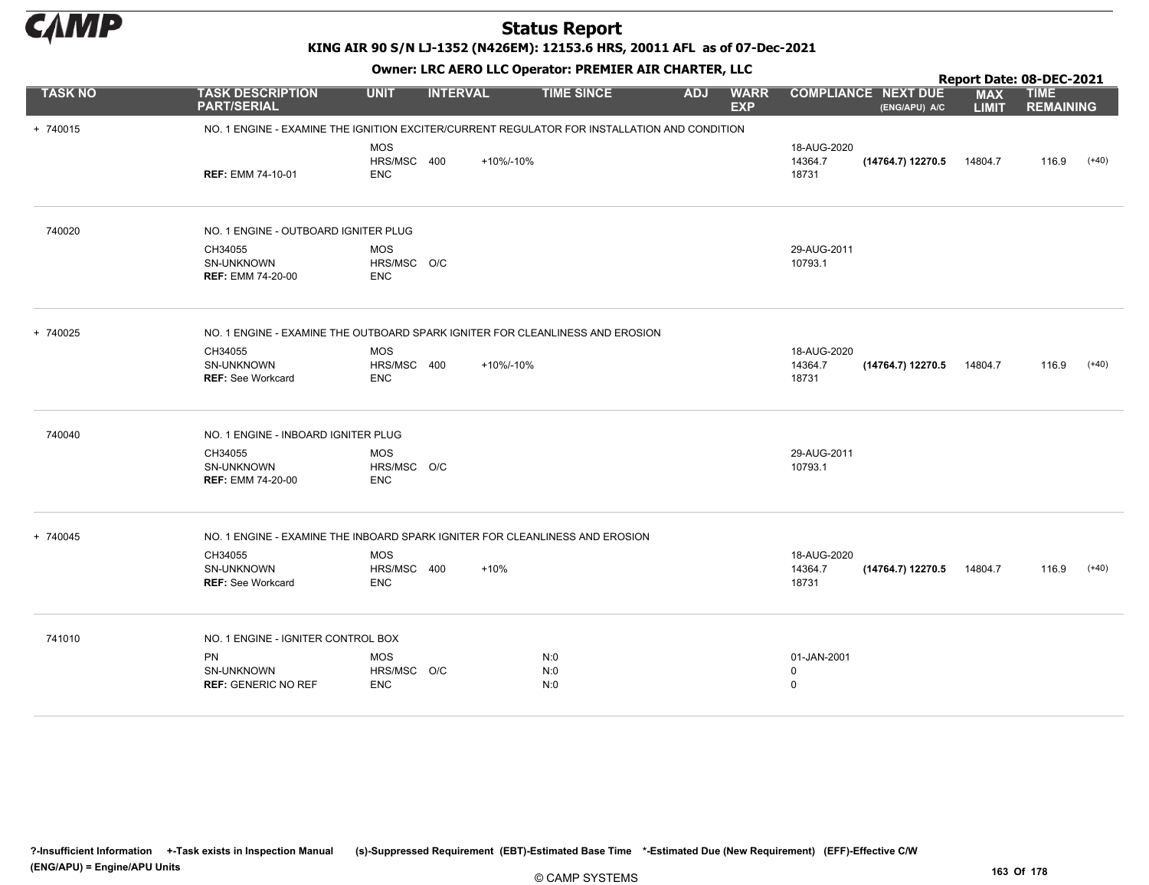

KING AIR 90 S/N LJ-1352 (N426EM): 12153.6 HRS, 20011 AFL as of 07-Dec-2021

|                | OWHER LIKE ALKO LLC OPERATOR PREPILER AIR CHARTER, LLC |                                         |                 |                                                                                              |            |                           | Report Date: 08-DEC-2021                  |                                             |                            |                                 |         |  |
|----------------|--------------------------------------------------------|-----------------------------------------|-----------------|----------------------------------------------------------------------------------------------|------------|---------------------------|-------------------------------------------|---------------------------------------------|----------------------------|---------------------------------|---------|--|
| <b>TASK NO</b> | <b>TASK DESCRIPTION</b><br><b>PART/SERIAL</b>          | <b>UNIT</b>                             | <b>INTERVAL</b> | <b>TIME SINCE</b>                                                                            | <b>ADJ</b> | <b>WARR</b><br><b>EXP</b> |                                           | <b>COMPLIANCE NEXT DUE</b><br>(ENG/APU) A/C | <b>MAX</b><br><b>LIMIT</b> | <b>TIME</b><br><b>REMAINING</b> |         |  |
| + 740015       |                                                        |                                         |                 | NO. 1 ENGINE - EXAMINE THE IGNITION EXCITER/CURRENT REGULATOR FOR INSTALLATION AND CONDITION |            |                           |                                           |                                             |                            |                                 |         |  |
|                | <b>REF: EMM 74-10-01</b>                               | <b>MOS</b><br>HRS/MSC 400<br><b>ENC</b> |                 | +10%/-10%                                                                                    |            |                           | 18-AUG-2020<br>14364.7<br>18731           | (14764.7) 12270.5                           | 14804.7                    | 116.9                           | $(+40)$ |  |
| 740020         | NO. 1 ENGINE - OUTBOARD IGNITER PLUG                   |                                         |                 |                                                                                              |            |                           |                                           |                                             |                            |                                 |         |  |
|                | CH34055<br>SN-UNKNOWN<br><b>REF: EMM 74-20-00</b>      | <b>MOS</b><br>HRS/MSC O/C<br><b>ENC</b> |                 |                                                                                              |            |                           | 29-AUG-2011<br>10793.1                    |                                             |                            |                                 |         |  |
| + 740025       |                                                        |                                         |                 | NO. 1 ENGINE - EXAMINE THE OUTBOARD SPARK IGNITER FOR CLEANLINESS AND EROSION                |            |                           |                                           |                                             |                            |                                 |         |  |
|                | CH34055<br>SN-UNKNOWN<br><b>REF: See Workcard</b>      | <b>MOS</b><br>HRS/MSC 400<br><b>ENC</b> |                 | +10%/-10%                                                                                    |            |                           | 18-AUG-2020<br>14364.7<br>18731           | (14764.7) 12270.5                           | 14804.7                    | 116.9                           | $(+40)$ |  |
| 740040         | NO. 1 ENGINE - INBOARD IGNITER PLUG                    |                                         |                 |                                                                                              |            |                           |                                           |                                             |                            |                                 |         |  |
|                | CH34055<br>SN-UNKNOWN<br><b>REF: EMM 74-20-00</b>      | <b>MOS</b><br>HRS/MSC O/C<br><b>ENC</b> |                 |                                                                                              |            |                           | 29-AUG-2011<br>10793.1                    |                                             |                            |                                 |         |  |
| + 740045       |                                                        |                                         |                 | NO. 1 ENGINE - EXAMINE THE INBOARD SPARK IGNITER FOR CLEANLINESS AND EROSION                 |            |                           |                                           |                                             |                            |                                 |         |  |
|                | CH34055<br>SN-UNKNOWN<br><b>REF: See Workcard</b>      | <b>MOS</b><br>HRS/MSC 400<br><b>ENC</b> |                 | $+10%$                                                                                       |            |                           | 18-AUG-2020<br>14364.7<br>18731           | (14764.7) 12270.5                           | 14804.7                    | 116.9                           | $(+40)$ |  |
| 741010         | NO. 1 ENGINE - IGNITER CONTROL BOX                     |                                         |                 |                                                                                              |            |                           |                                           |                                             |                            |                                 |         |  |
|                | <b>PN</b><br>SN-UNKNOWN<br><b>REF: GENERIC NO REF</b>  | <b>MOS</b><br>HRS/MSC O/C<br><b>ENC</b> |                 | N:0<br>N:0<br>N:0                                                                            |            |                           | 01-JAN-2001<br>$\mathbf 0$<br>$\mathbf 0$ |                                             |                            |                                 |         |  |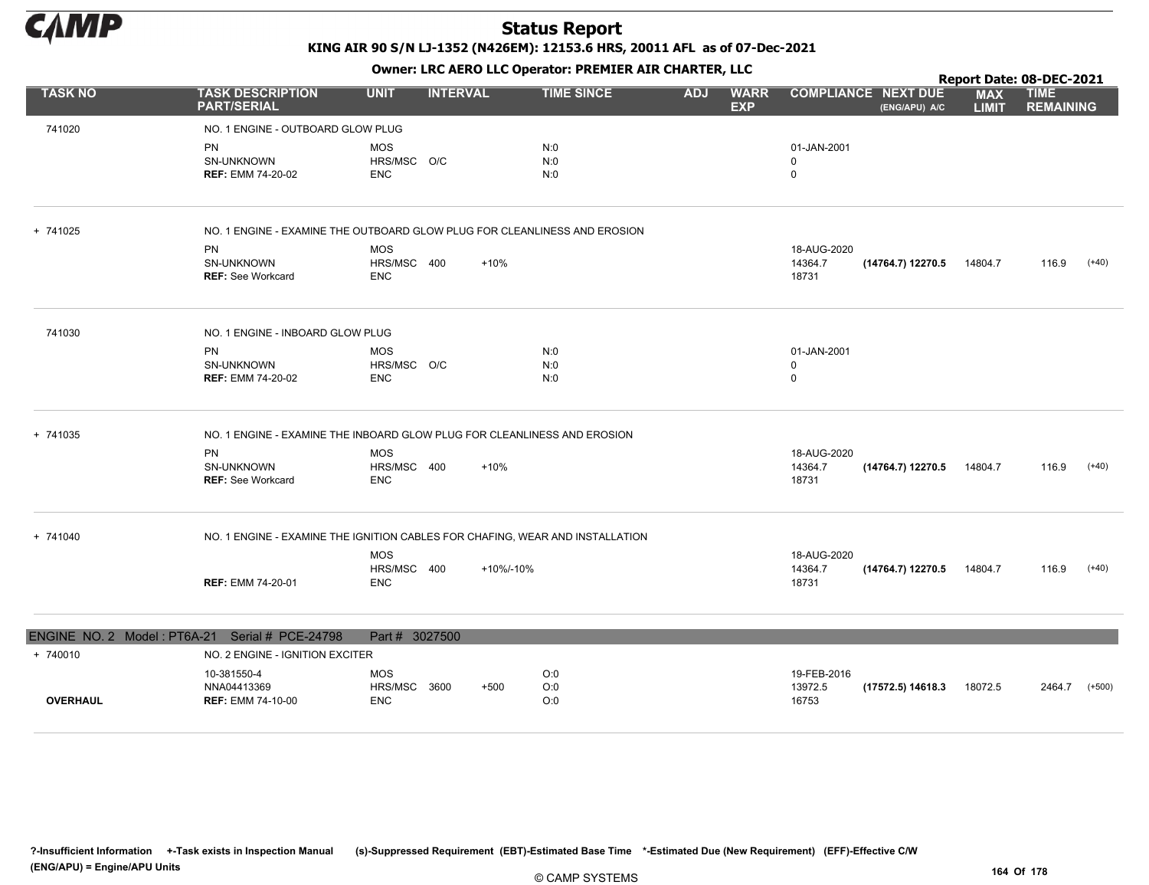

Owner: LRC AERO LLC Operator: PREMIER AIR CHARTER, LLC

|                 |                                                        |                                          |                                                                               |                                         |                                 |                                             |                            | Report Date: 08-DEC-2021        |          |
|-----------------|--------------------------------------------------------|------------------------------------------|-------------------------------------------------------------------------------|-----------------------------------------|---------------------------------|---------------------------------------------|----------------------------|---------------------------------|----------|
| <b>TASK NO</b>  | <b>TASK DESCRIPTION</b><br><b>PART/SERIAL</b>          | <b>UNIT</b><br><b>INTERVAL</b>           | <b>TIME SINCE</b>                                                             | <b>ADJ</b><br><b>WARR</b><br><b>EXP</b> |                                 | <b>COMPLIANCE NEXT DUE</b><br>(ENG/APU) A/C | <b>MAX</b><br><b>LIMIT</b> | <b>TIME</b><br><b>REMAINING</b> |          |
| 741020          | NO. 1 ENGINE - OUTBOARD GLOW PLUG                      |                                          |                                                                               |                                         |                                 |                                             |                            |                                 |          |
|                 | <b>PN</b><br>SN-UNKNOWN<br><b>REF: EMM 74-20-02</b>    | <b>MOS</b><br>HRS/MSC O/C<br><b>ENC</b>  | N:0<br>N:0<br>N:0                                                             |                                         | 01-JAN-2001<br>0<br>$\mathbf 0$ |                                             |                            |                                 |          |
| + 741025        |                                                        |                                          | NO. 1 ENGINE - EXAMINE THE OUTBOARD GLOW PLUG FOR CLEANLINESS AND EROSION     |                                         |                                 |                                             |                            |                                 |          |
|                 | <b>PN</b><br>SN-UNKNOWN<br><b>REF: See Workcard</b>    | <b>MOS</b><br>HRS/MSC 400<br><b>ENC</b>  | $+10%$                                                                        |                                         | 18-AUG-2020<br>14364.7<br>18731 | $(14764.7)$ 12270.5 14804.7                 |                            | 116.9                           | $(+40)$  |
| 741030          | NO. 1 ENGINE - INBOARD GLOW PLUG                       |                                          |                                                                               |                                         |                                 |                                             |                            |                                 |          |
|                 | <b>PN</b><br>SN-UNKNOWN<br><b>REF: EMM 74-20-02</b>    | <b>MOS</b><br>HRS/MSC O/C<br><b>ENC</b>  | N:0<br>N:0<br>N:0                                                             |                                         | 01-JAN-2001<br>0<br>$\mathbf 0$ |                                             |                            |                                 |          |
| + 741035        |                                                        |                                          | NO. 1 ENGINE - EXAMINE THE INBOARD GLOW PLUG FOR CLEANLINESS AND EROSION      |                                         |                                 |                                             |                            |                                 |          |
|                 | <b>PN</b><br>SN-UNKNOWN<br>REF: See Workcard           | <b>MOS</b><br>HRS/MSC 400<br><b>ENC</b>  | $+10%$                                                                        |                                         | 18-AUG-2020<br>14364.7<br>18731 | (14764.7) 12270.5                           | 14804.7                    | 116.9                           | $(+40)$  |
| + 741040        |                                                        |                                          | NO. 1 ENGINE - EXAMINE THE IGNITION CABLES FOR CHAFING, WEAR AND INSTALLATION |                                         |                                 |                                             |                            |                                 |          |
|                 | <b>REF: EMM 74-20-01</b>                               | <b>MOS</b><br>HRS/MSC 400<br><b>ENC</b>  | +10%/-10%                                                                     |                                         | 18-AUG-2020<br>14364.7<br>18731 | (14764.7) 12270.5                           | 14804.7                    | 116.9                           | $(+40)$  |
|                 | ENGINE NO. 2 Model: PT6A-21 Serial # PCE-24798         | Part # 3027500                           |                                                                               |                                         |                                 |                                             |                            |                                 |          |
| + 740010        | NO. 2 ENGINE - IGNITION EXCITER                        |                                          |                                                                               |                                         |                                 |                                             |                            |                                 |          |
| <b>OVERHAUL</b> | 10-381550-4<br>NNA04413369<br><b>REF: EMM 74-10-00</b> | <b>MOS</b><br>HRS/MSC 3600<br><b>ENC</b> | O:0<br>O:0<br>$+500$<br>O:0                                                   |                                         | 19-FEB-2016<br>13972.5<br>16753 | (17572.5) 14618.3                           | 18072.5                    | 2464.7                          | $(+500)$ |
|                 |                                                        |                                          |                                                                               |                                         |                                 |                                             |                            |                                 |          |

?-Insufficient Information +-Task exists in Inspection Manual (s)-Suppressed Requirement (EBT)-Estimated Base Time \*-Estimated Due (New Requirement) (EFF)-Effective C/W (ENG/APU) = Engine/APU Units 164 Of 178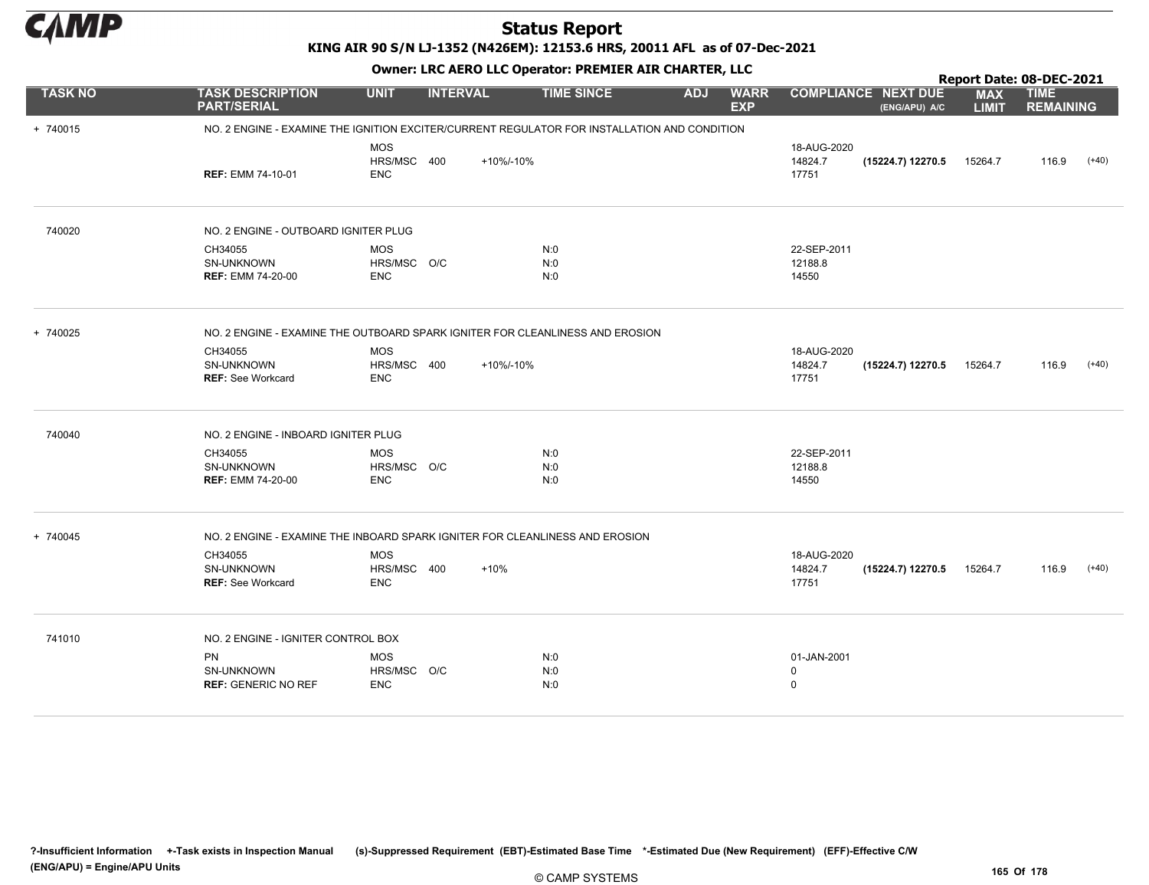

#### KING AIR 90 S/N LJ-1352 (N426EM): 12153.6 HRS, 20011 AFL as of 07-Dec-2021

|                | OWHER LIKE ALKO LLC OPERATOR PREMIER AIR CHARTER, LLC                                        |                                         |                 |                   |                                         | Report Date: 08-DEC-2021                  |                                             |                            |                                 |         |  |
|----------------|----------------------------------------------------------------------------------------------|-----------------------------------------|-----------------|-------------------|-----------------------------------------|-------------------------------------------|---------------------------------------------|----------------------------|---------------------------------|---------|--|
| <b>TASK NO</b> | <b>TASK DESCRIPTION</b><br><b>PART/SERIAL</b>                                                | <b>UNIT</b>                             | <b>INTERVAL</b> | <b>TIME SINCE</b> | <b>ADJ</b><br><b>WARR</b><br><b>EXP</b> |                                           | <b>COMPLIANCE NEXT DUE</b><br>(ENG/APU) A/C | <b>MAX</b><br><b>LIMIT</b> | <b>TIME</b><br><b>REMAINING</b> |         |  |
| + 740015       | NO. 2 ENGINE - EXAMINE THE IGNITION EXCITER/CURRENT REGULATOR FOR INSTALLATION AND CONDITION |                                         |                 |                   |                                         |                                           |                                             |                            |                                 |         |  |
|                | <b>REF: EMM 74-10-01</b>                                                                     | <b>MOS</b><br>HRS/MSC 400<br><b>ENC</b> | +10%/-10%       |                   |                                         | 18-AUG-2020<br>14824.7<br>17751           | (15224.7) 12270.5                           | 15264.7                    | 116.9                           | $(+40)$ |  |
| 740020         | NO. 2 ENGINE - OUTBOARD IGNITER PLUG                                                         |                                         |                 |                   |                                         |                                           |                                             |                            |                                 |         |  |
|                | CH34055<br><b>SN-UNKNOWN</b><br><b>REF: EMM 74-20-00</b>                                     | <b>MOS</b><br>HRS/MSC O/C<br><b>ENC</b> |                 | N:0<br>N:0<br>N:0 |                                         | 22-SEP-2011<br>12188.8<br>14550           |                                             |                            |                                 |         |  |
| + 740025       | NO. 2 ENGINE - EXAMINE THE OUTBOARD SPARK IGNITER FOR CLEANLINESS AND EROSION                |                                         |                 |                   |                                         |                                           |                                             |                            |                                 |         |  |
|                | CH34055<br>SN-UNKNOWN<br><b>REF: See Workcard</b>                                            | <b>MOS</b><br>HRS/MSC 400<br><b>ENC</b> | +10%/-10%       |                   |                                         | 18-AUG-2020<br>14824.7<br>17751           | (15224.7) 12270.5                           | 15264.7                    | 116.9                           | $(+40)$ |  |
| 740040         | NO. 2 ENGINE - INBOARD IGNITER PLUG                                                          |                                         |                 |                   |                                         |                                           |                                             |                            |                                 |         |  |
|                | CH34055<br><b>SN-UNKNOWN</b><br><b>REF: EMM 74-20-00</b>                                     | <b>MOS</b><br>HRS/MSC O/C<br><b>ENC</b> |                 | N:0<br>N:0<br>N:0 |                                         | 22-SEP-2011<br>12188.8<br>14550           |                                             |                            |                                 |         |  |
| + 740045       | NO. 2 ENGINE - EXAMINE THE INBOARD SPARK IGNITER FOR CLEANLINESS AND EROSION                 |                                         |                 |                   |                                         |                                           |                                             |                            |                                 |         |  |
|                | CH34055<br>SN-UNKNOWN<br><b>REF: See Workcard</b>                                            | <b>MOS</b><br>HRS/MSC 400<br><b>ENC</b> | $+10%$          |                   |                                         | 18-AUG-2020<br>14824.7<br>17751           | (15224.7) 12270.5                           | 15264.7                    | 116.9                           | $(+40)$ |  |
| 741010         | NO. 2 ENGINE - IGNITER CONTROL BOX                                                           |                                         |                 |                   |                                         |                                           |                                             |                            |                                 |         |  |
|                | <b>PN</b><br>SN-UNKNOWN<br><b>REF: GENERIC NO REF</b>                                        | <b>MOS</b><br>HRS/MSC O/C<br><b>ENC</b> |                 | N:0<br>N:0<br>N:0 |                                         | 01-JAN-2001<br>$\mathbf 0$<br>$\mathbf 0$ |                                             |                            |                                 |         |  |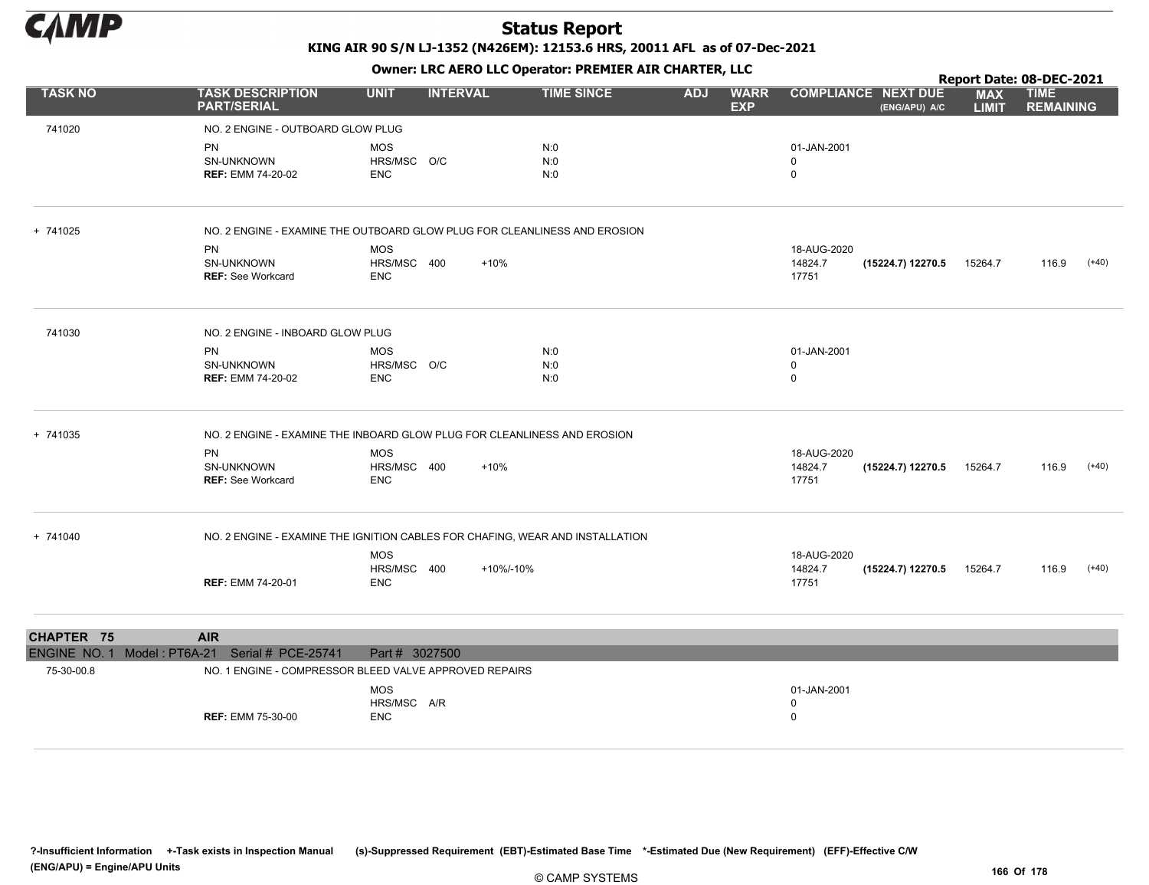

|                             |                                                                               |                                         |                 |                   |            |                           |                                            |                                             | Report Date: 08-DEC-2021   |                                 |         |
|-----------------------------|-------------------------------------------------------------------------------|-----------------------------------------|-----------------|-------------------|------------|---------------------------|--------------------------------------------|---------------------------------------------|----------------------------|---------------------------------|---------|
| <b>TASK NO</b>              | <b>TASK DESCRIPTION</b><br><b>PART/SERIAL</b>                                 | <b>UNIT</b>                             | <b>INTERVAL</b> | <b>TIME SINCE</b> | <b>ADJ</b> | <b>WARR</b><br><b>EXP</b> |                                            | <b>COMPLIANCE NEXT DUE</b><br>(ENG/APU) A/C | <b>MAX</b><br><b>LIMIT</b> | <b>TIME</b><br><b>REMAINING</b> |         |
| 741020                      | NO. 2 ENGINE - OUTBOARD GLOW PLUG                                             |                                         |                 |                   |            |                           |                                            |                                             |                            |                                 |         |
|                             | <b>PN</b><br>SN-UNKNOWN<br><b>REF: EMM 74-20-02</b>                           | <b>MOS</b><br>HRS/MSC O/C<br><b>ENC</b> |                 | N:0<br>N:0<br>N:0 |            |                           | 01-JAN-2001<br>0<br>$\mathbf 0$            |                                             |                            |                                 |         |
| + 741025                    | NO. 2 ENGINE - EXAMINE THE OUTBOARD GLOW PLUG FOR CLEANLINESS AND EROSION     |                                         |                 |                   |            |                           |                                            |                                             |                            |                                 |         |
|                             | <b>PN</b><br>SN-UNKNOWN<br><b>REF: See Workcard</b>                           | <b>MOS</b><br>HRS/MSC 400<br><b>ENC</b> | $+10%$          |                   |            |                           | 18-AUG-2020<br>14824.7<br>17751            | (15224.7) 12270.5                           | 15264.7                    | 116.9                           | $(+40)$ |
| 741030                      | NO. 2 ENGINE - INBOARD GLOW PLUG                                              |                                         |                 |                   |            |                           |                                            |                                             |                            |                                 |         |
|                             | PN.<br>SN-UNKNOWN<br><b>REF: EMM 74-20-02</b>                                 | <b>MOS</b><br>HRS/MSC O/C<br><b>ENC</b> |                 | N:0<br>N:0<br>N:0 |            |                           | 01-JAN-2001<br>$\mathbf 0$<br>$\mathbf 0$  |                                             |                            |                                 |         |
| + 741035                    | NO. 2 ENGINE - EXAMINE THE INBOARD GLOW PLUG FOR CLEANLINESS AND EROSION      |                                         |                 |                   |            |                           |                                            |                                             |                            |                                 |         |
|                             | <b>PN</b><br><b>SN-UNKNOWN</b><br><b>REF: See Workcard</b>                    | <b>MOS</b><br>HRS/MSC 400<br><b>ENC</b> | $+10%$          |                   |            |                           | 18-AUG-2020<br>14824.7<br>17751            | (15224.7) 12270.5                           | 15264.7                    | 116.9                           | $(+40)$ |
| + 741040                    | NO. 2 ENGINE - EXAMINE THE IGNITION CABLES FOR CHAFING, WEAR AND INSTALLATION |                                         |                 |                   |            |                           |                                            |                                             |                            |                                 |         |
|                             | <b>REF: EMM 74-20-01</b>                                                      | <b>MOS</b><br>HRS/MSC 400<br><b>ENC</b> | +10%/-10%       |                   |            |                           | 18-AUG-2020<br>14824.7<br>17751            | (15224.7) 12270.5                           | 15264.7                    | 116.9                           | (+40)   |
| CHAPTER 75                  | <b>AIR</b>                                                                    |                                         |                 |                   |            |                           |                                            |                                             |                            |                                 |         |
| ENGINE NO. 1 Model: PT6A-21 | Serial # PCE-25741                                                            | Part # 3027500                          |                 |                   |            |                           |                                            |                                             |                            |                                 |         |
| 75-30-00.8                  | NO. 1 ENGINE - COMPRESSOR BLEED VALVE APPROVED REPAIRS                        |                                         |                 |                   |            |                           |                                            |                                             |                            |                                 |         |
|                             | <b>REF: EMM 75-30-00</b>                                                      | <b>MOS</b><br>HRS/MSC A/R<br><b>ENC</b> |                 |                   |            |                           | 01-JAN-2001<br>$\mathbf{0}$<br>$\mathbf 0$ |                                             |                            |                                 |         |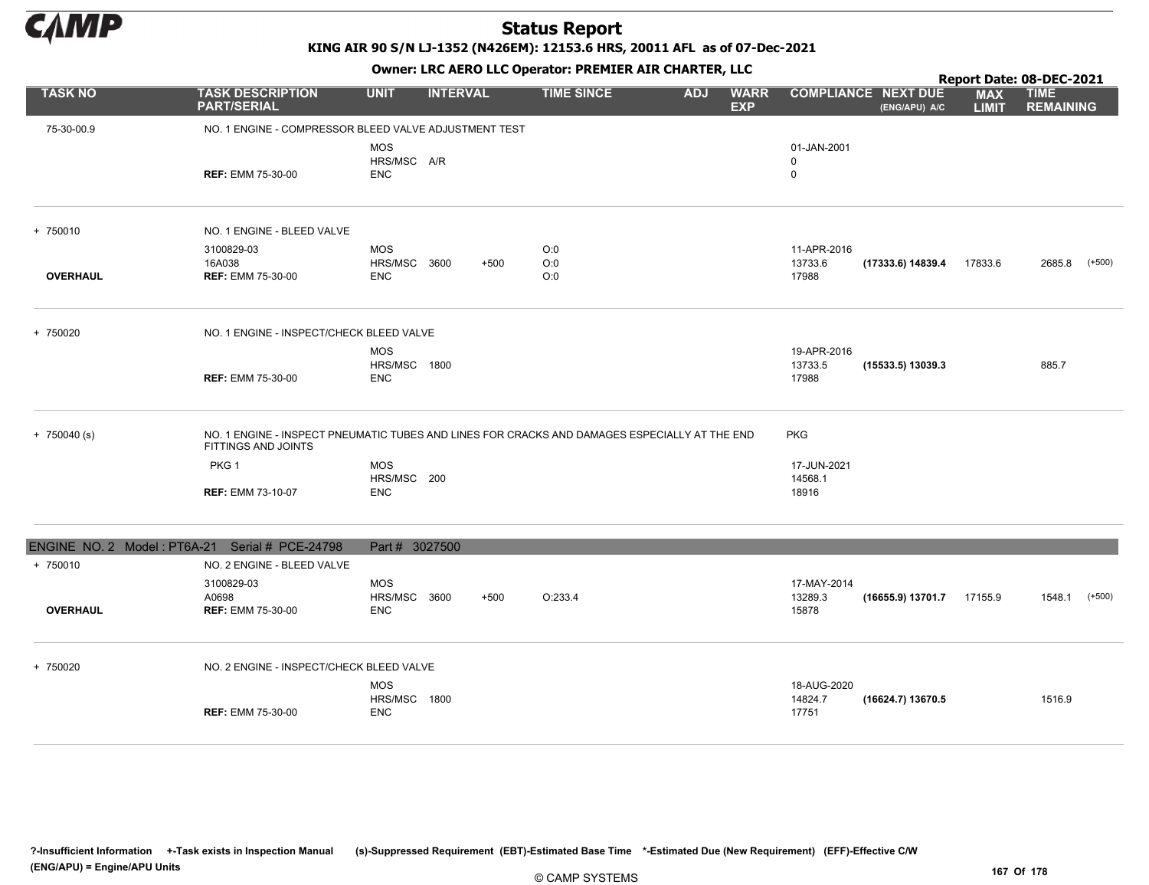

KING AIR 90 S/N LJ-1352 (N426EM): 12153.6 HRS, 20011 AFL as of 07-Dec-2021

Owner: LRC AERO LLC Operator: PREMIER AIR CHARTER, LLC

|                                                |                                                                                                                      |                            |                 |        |                   |            | Report Date: 08-DEC-2021  |                            |                                             |                            |                                 |          |
|------------------------------------------------|----------------------------------------------------------------------------------------------------------------------|----------------------------|-----------------|--------|-------------------|------------|---------------------------|----------------------------|---------------------------------------------|----------------------------|---------------------------------|----------|
| <b>TASK NO</b>                                 | <b>TASK DESCRIPTION</b><br><b>PART/SERIAL</b>                                                                        | <b>UNIT</b>                | <b>INTERVAL</b> |        | <b>TIME SINCE</b> | <b>ADJ</b> | <b>WARR</b><br><b>EXP</b> |                            | <b>COMPLIANCE NEXT DUE</b><br>(ENG/APU) A/C | <b>MAX</b><br><b>LIMIT</b> | <b>TIME</b><br><b>REMAINING</b> |          |
| 75-30-00.9                                     | NO. 1 ENGINE - COMPRESSOR BLEED VALVE ADJUSTMENT TEST                                                                |                            |                 |        |                   |            |                           |                            |                                             |                            |                                 |          |
|                                                |                                                                                                                      | <b>MOS</b>                 |                 |        |                   |            |                           | 01-JAN-2001                |                                             |                            |                                 |          |
|                                                | <b>REF: EMM 75-30-00</b>                                                                                             | HRS/MSC A/R<br><b>ENC</b>  |                 |        |                   |            |                           | $\mathbf 0$<br>$\mathbf 0$ |                                             |                            |                                 |          |
|                                                |                                                                                                                      |                            |                 |        |                   |            |                           |                            |                                             |                            |                                 |          |
| + 750010                                       | NO. 1 ENGINE - BLEED VALVE                                                                                           |                            |                 |        |                   |            |                           |                            |                                             |                            |                                 |          |
|                                                | 3100829-03                                                                                                           | <b>MOS</b>                 |                 |        | O:0               |            |                           | 11-APR-2016                |                                             |                            |                                 |          |
|                                                | 16A038                                                                                                               | HRS/MSC 3600               |                 | $+500$ | O:0               |            |                           | 13733.6                    | (17333.6) 14839.4                           | 17833.6                    | 2685.8                          | $(+500)$ |
| <b>OVERHAUL</b>                                | <b>REF: EMM 75-30-00</b>                                                                                             | ENC                        |                 |        | O:0               |            |                           | 17988                      |                                             |                            |                                 |          |
| + 750020                                       | NO. 1 ENGINE - INSPECT/CHECK BLEED VALVE                                                                             |                            |                 |        |                   |            |                           |                            |                                             |                            |                                 |          |
|                                                |                                                                                                                      | <b>MOS</b>                 |                 |        |                   |            |                           | 19-APR-2016                |                                             |                            |                                 |          |
|                                                | <b>REF: EMM 75-30-00</b>                                                                                             | HRS/MSC 1800<br><b>ENC</b> |                 |        |                   |            |                           | 13733.5<br>17988           | (15533.5) 13039.3                           |                            | 885.7                           |          |
| $+ 750040$ (s)                                 | NO. 1 ENGINE - INSPECT PNEUMATIC TUBES AND LINES FOR CRACKS AND DAMAGES ESPECIALLY AT THE END<br>FITTINGS AND JOINTS |                            |                 |        |                   |            |                           | <b>PKG</b>                 |                                             |                            |                                 |          |
|                                                | PKG 1                                                                                                                | <b>MOS</b>                 |                 |        |                   |            |                           | 17-JUN-2021                |                                             |                            |                                 |          |
|                                                |                                                                                                                      | HRS/MSC 200                |                 |        |                   |            |                           | 14568.1                    |                                             |                            |                                 |          |
|                                                | <b>REF: EMM 73-10-07</b>                                                                                             | <b>ENC</b>                 |                 |        |                   |            |                           | 18916                      |                                             |                            |                                 |          |
| ENGINE NO. 2 Model: PT6A-21 Serial # PCE-24798 |                                                                                                                      | Part # 3027500             |                 |        |                   |            |                           |                            |                                             |                            |                                 |          |
| + 750010                                       | NO. 2 ENGINE - BLEED VALVE                                                                                           |                            |                 |        |                   |            |                           |                            |                                             |                            |                                 |          |
|                                                | 3100829-03                                                                                                           | <b>MOS</b>                 |                 |        |                   |            |                           | 17-MAY-2014                |                                             |                            |                                 |          |
| <b>OVERHAUL</b>                                | A0698<br><b>REF: EMM 75-30-00</b>                                                                                    | HRS/MSC 3600<br><b>ENC</b> |                 | $+500$ | O:233.4           |            |                           | 13289.3<br>15878           | (16655.9) 13701.7                           | 17155.9                    | 1548.1                          | $(+500)$ |
|                                                |                                                                                                                      |                            |                 |        |                   |            |                           |                            |                                             |                            |                                 |          |
| + 750020                                       | NO. 2 ENGINE - INSPECT/CHECK BLEED VALVE                                                                             |                            |                 |        |                   |            |                           |                            |                                             |                            |                                 |          |
|                                                |                                                                                                                      | <b>MOS</b>                 |                 |        |                   |            |                           | 18-AUG-2020                |                                             |                            |                                 |          |
|                                                | <b>REF: EMM 75-30-00</b>                                                                                             | HRS/MSC 1800<br><b>ENC</b> |                 |        |                   |            |                           | 14824.7<br>17751           | (16624.7) 13670.5                           |                            | 1516.9                          |          |

?-Insufficient Information +-Task exists in Inspection Manual (s)-Suppressed Requirement (EBT)-Estimated Base Time \*-Estimated Due (New Requirement) (EFF)-Effective C/W (ENG/APU) = Engine/APU Units 167 Of 178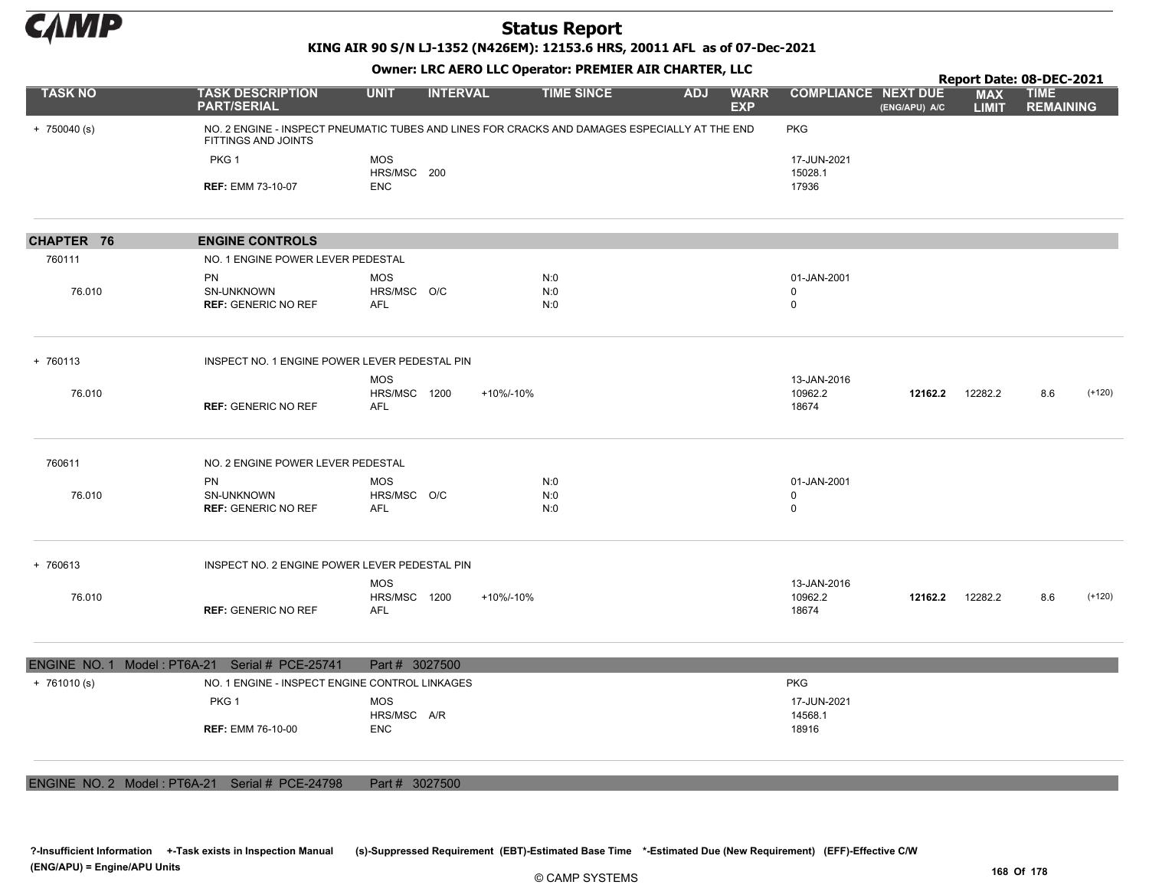

KING AIR 90 S/N LJ-1352 (N426EM): 12153.6 HRS, 20011 AFL as of 07-Dec-2021

Owner: LRC AERO LLC Operator: PREMIER AIR CHARTER, LLC

|                     |                                                       |                                                                                               |                   |                                         |                                 | Report Date: 08-DEC-2021 |                            |                                 |          |
|---------------------|-------------------------------------------------------|-----------------------------------------------------------------------------------------------|-------------------|-----------------------------------------|---------------------------------|--------------------------|----------------------------|---------------------------------|----------|
| <b>TASK NO</b>      | <b>TASK DESCRIPTION</b><br><b>PART/SERIAL</b>         | <b>UNIT</b><br><b>INTERVAL</b>                                                                | <b>TIME SINCE</b> | <b>ADJ</b><br><b>WARR</b><br><b>EXP</b> | <b>COMPLIANCE NEXT DUE</b>      | (ENG/APU) A/C            | <b>MAX</b><br><b>LIMIT</b> | <b>TIME</b><br><b>REMAINING</b> |          |
| $+ 750040$ (s)      | FITTINGS AND JOINTS                                   | NO. 2 ENGINE - INSPECT PNEUMATIC TUBES AND LINES FOR CRACKS AND DAMAGES ESPECIALLY AT THE END |                   |                                         | <b>PKG</b>                      |                          |                            |                                 |          |
|                     | PKG 1<br><b>REF: EMM 73-10-07</b>                     | <b>MOS</b><br>HRS/MSC 200<br><b>ENC</b>                                                       |                   |                                         | 17-JUN-2021<br>15028.1<br>17936 |                          |                            |                                 |          |
|                     |                                                       |                                                                                               |                   |                                         |                                 |                          |                            |                                 |          |
| CHAPTER 76          | <b>ENGINE CONTROLS</b>                                |                                                                                               |                   |                                         |                                 |                          |                            |                                 |          |
| 760111              | NO. 1 ENGINE POWER LEVER PEDESTAL                     |                                                                                               |                   |                                         |                                 |                          |                            |                                 |          |
| 76.010              | <b>PN</b><br>SN-UNKNOWN<br><b>REF: GENERIC NO REF</b> | <b>MOS</b><br>HRS/MSC O/C<br><b>AFL</b>                                                       | N:0<br>N:0<br>N:0 |                                         | 01-JAN-2001<br>0<br>$\mathbf 0$ |                          |                            |                                 |          |
| + 760113            | INSPECT NO. 1 ENGINE POWER LEVER PEDESTAL PIN         |                                                                                               |                   |                                         |                                 |                          |                            |                                 |          |
| 76.010              | <b>REF: GENERIC NO REF</b>                            | <b>MOS</b><br>HRS/MSC 1200<br><b>AFL</b>                                                      | +10%/-10%         |                                         | 13-JAN-2016<br>10962.2<br>18674 | 12162.2                  | 12282.2                    | 8.6                             | $(+120)$ |
| 760611              | NO. 2 ENGINE POWER LEVER PEDESTAL                     |                                                                                               |                   |                                         |                                 |                          |                            |                                 |          |
| 76.010              | PN<br>SN-UNKNOWN<br><b>REF: GENERIC NO REF</b>        | <b>MOS</b><br>HRS/MSC O/C<br><b>AFL</b>                                                       | N:0<br>N:0<br>N:0 |                                         | 01-JAN-2001<br>0<br>$\mathbf 0$ |                          |                            |                                 |          |
| + 760613            | INSPECT NO. 2 ENGINE POWER LEVER PEDESTAL PIN         |                                                                                               |                   |                                         |                                 |                          |                            |                                 |          |
| 76.010              | <b>REF: GENERIC NO REF</b>                            | <b>MOS</b><br>HRS/MSC 1200<br><b>AFL</b>                                                      | +10%/-10%         |                                         | 13-JAN-2016<br>10962.2<br>18674 | 12162.2                  | 12282.2                    | 8.6<br>$(+120)$                 |          |
| <b>ENGINE NO. 1</b> | Model: PT6A-21 Serial # PCE-25741                     | Part # 3027500                                                                                |                   |                                         |                                 |                          |                            |                                 |          |
| $+ 761010(s)$       | NO. 1 ENGINE - INSPECT ENGINE CONTROL LINKAGES        |                                                                                               |                   |                                         | <b>PKG</b>                      |                          |                            |                                 |          |
|                     | PKG <sub>1</sub>                                      | <b>MOS</b><br>HRS/MSC A/R                                                                     |                   |                                         | 17-JUN-2021<br>14568.1          |                          |                            |                                 |          |
|                     | <b>REF: EMM 76-10-00</b>                              | <b>ENC</b>                                                                                    |                   |                                         | 18916                           |                          |                            |                                 |          |
|                     |                                                       |                                                                                               |                   |                                         |                                 |                          |                            |                                 |          |

ENGINE NO. 2 Model : PT6A-21 Serial # PCE-24798 Part # 3027500

?-Insufficient Information +-Task exists in Inspection Manual (s)-Suppressed Requirement (EBT)-Estimated Base Time \*-Estimated Due (New Requirement) (EFF)-Effective C/W (ENG/APU) = Engine/APU Units 168 Of 178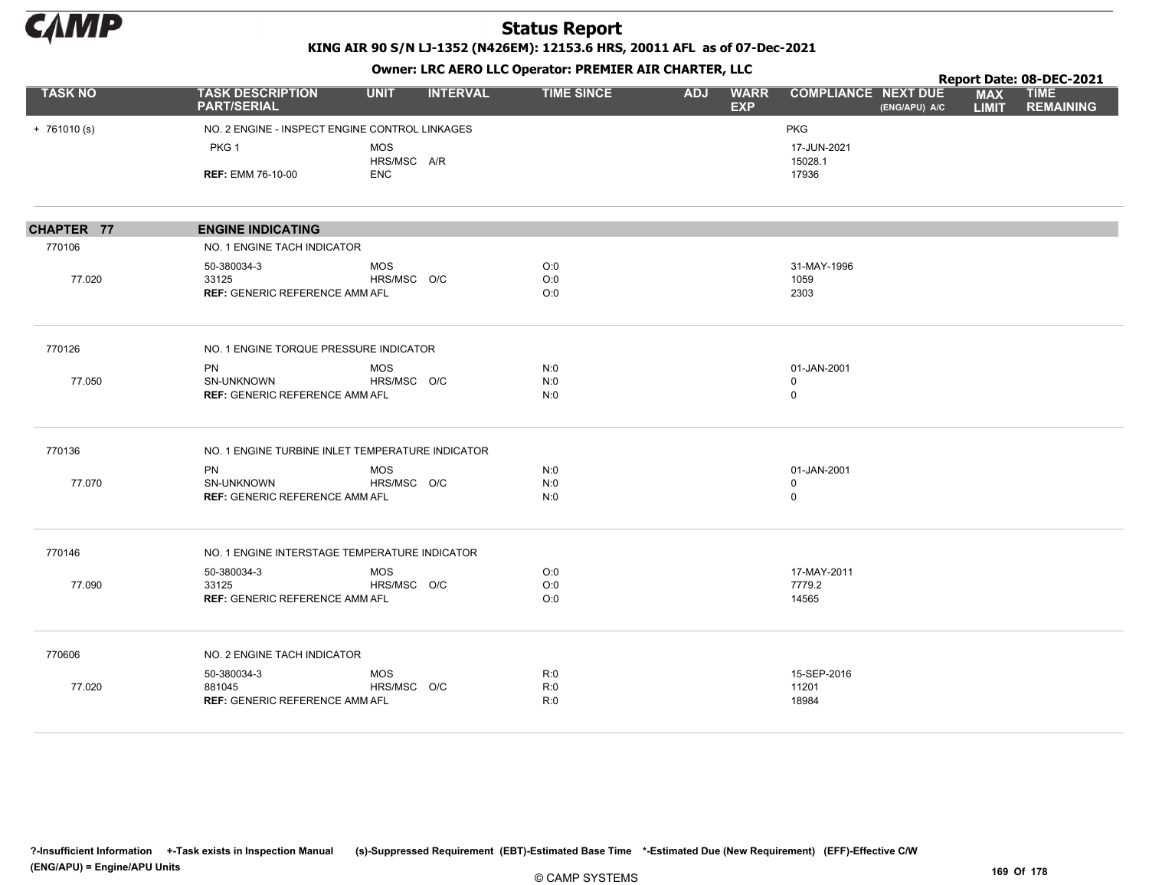

KING AIR 90 S/N LJ-1352 (N426EM): 12153.6 HRS, 20011 AFL as of 07-Dec-2021

|                                                          |                                                  |                           |                 | OWHER. LKC ALKO LLC OPERATOR. PREPILER AIR CHARTER, LLC |            |                           |                            |               |                            | Report Date: 08-DEC-2021        |
|----------------------------------------------------------|--------------------------------------------------|---------------------------|-----------------|---------------------------------------------------------|------------|---------------------------|----------------------------|---------------|----------------------------|---------------------------------|
| <b>TASK NO</b>                                           | <b>TASK DESCRIPTION</b><br><b>PART/SERIAL</b>    | <b>UNIT</b>               | <b>INTERVAL</b> | <b>TIME SINCE</b>                                       | <b>ADJ</b> | <b>WARR</b><br><b>EXP</b> | <b>COMPLIANCE NEXT DUE</b> | (ENG/APU) A/C | <b>MAX</b><br><b>LIMIT</b> | <b>TIME</b><br><b>REMAINING</b> |
| $+ 761010(s)$                                            | NO. 2 ENGINE - INSPECT ENGINE CONTROL LINKAGES   |                           |                 |                                                         |            |                           | PKG                        |               |                            |                                 |
|                                                          | PKG <sub>1</sub>                                 | <b>MOS</b>                |                 |                                                         |            |                           | 17-JUN-2021                |               |                            |                                 |
| 770106<br>77.020<br>770126<br>77.050<br>770136<br>77.070 | <b>REF: EMM 76-10-00</b>                         | HRS/MSC A/R<br><b>ENC</b> |                 |                                                         |            |                           | 15028.1<br>17936           |               |                            |                                 |
|                                                          |                                                  |                           |                 |                                                         |            |                           |                            |               |                            |                                 |
| CHAPTER 77                                               | <b>ENGINE INDICATING</b>                         |                           |                 |                                                         |            |                           |                            |               |                            |                                 |
|                                                          | NO. 1 ENGINE TACH INDICATOR                      |                           |                 |                                                         |            |                           |                            |               |                            |                                 |
|                                                          | 50-380034-3                                      | <b>MOS</b>                |                 | O:0                                                     |            |                           | 31-MAY-1996                |               |                            |                                 |
|                                                          | 33125<br><b>REF: GENERIC REFERENCE AMM AFL</b>   | HRS/MSC O/C               |                 | O:0<br>O:0                                              |            |                           | 1059<br>2303               |               |                            |                                 |
|                                                          |                                                  |                           |                 |                                                         |            |                           |                            |               |                            |                                 |
|                                                          | NO. 1 ENGINE TORQUE PRESSURE INDICATOR           |                           |                 |                                                         |            |                           |                            |               |                            |                                 |
|                                                          | PN                                               | <b>MOS</b>                |                 | N:0                                                     |            |                           | 01-JAN-2001                |               |                            |                                 |
|                                                          | SN-UNKNOWN<br>REF: GENERIC REFERENCE AMM AFL     | HRS/MSC O/C               |                 | N:0<br>N:0                                              |            |                           | $\mathbf 0$<br>$\mathbf 0$ |               |                            |                                 |
|                                                          | NO. 1 ENGINE TURBINE INLET TEMPERATURE INDICATOR |                           |                 |                                                         |            |                           |                            |               |                            |                                 |
|                                                          | <b>PN</b>                                        | <b>MOS</b>                |                 | N:0                                                     |            |                           | 01-JAN-2001                |               |                            |                                 |
|                                                          | <b>SN-UNKNOWN</b>                                | HRS/MSC O/C               |                 | N:0                                                     |            |                           | $\mathbf 0$                |               |                            |                                 |
|                                                          | <b>REF: GENERIC REFERENCE AMM AFL</b>            |                           |                 | N:0                                                     |            |                           | $\mathbf 0$                |               |                            |                                 |
| 770146                                                   | NO. 1 ENGINE INTERSTAGE TEMPERATURE INDICATOR    |                           |                 |                                                         |            |                           |                            |               |                            |                                 |
|                                                          | 50-380034-3                                      | <b>MOS</b>                |                 | O:0                                                     |            |                           | 17-MAY-2011                |               |                            |                                 |
| 77.090                                                   | 33125                                            | HRS/MSC O/C               |                 | O:0                                                     |            |                           | 7779.2                     |               |                            |                                 |
|                                                          | <b>REF: GENERIC REFERENCE AMM AFL</b>            |                           |                 | O:0                                                     |            |                           | 14565                      |               |                            |                                 |
| 770606                                                   | NO. 2 ENGINE TACH INDICATOR                      |                           |                 |                                                         |            |                           |                            |               |                            |                                 |
|                                                          | 50-380034-3                                      | <b>MOS</b>                |                 | R:0                                                     |            |                           | 15-SEP-2016                |               |                            |                                 |
| 77.020                                                   | 881045<br><b>REF: GENERIC REFERENCE AMM AFL</b>  | HRS/MSC O/C               |                 | R:0<br>R:0                                              |            |                           | 11201<br>18984             |               |                            |                                 |
|                                                          |                                                  |                           |                 |                                                         |            |                           |                            |               |                            |                                 |
|                                                          |                                                  |                           |                 |                                                         |            |                           |                            |               |                            |                                 |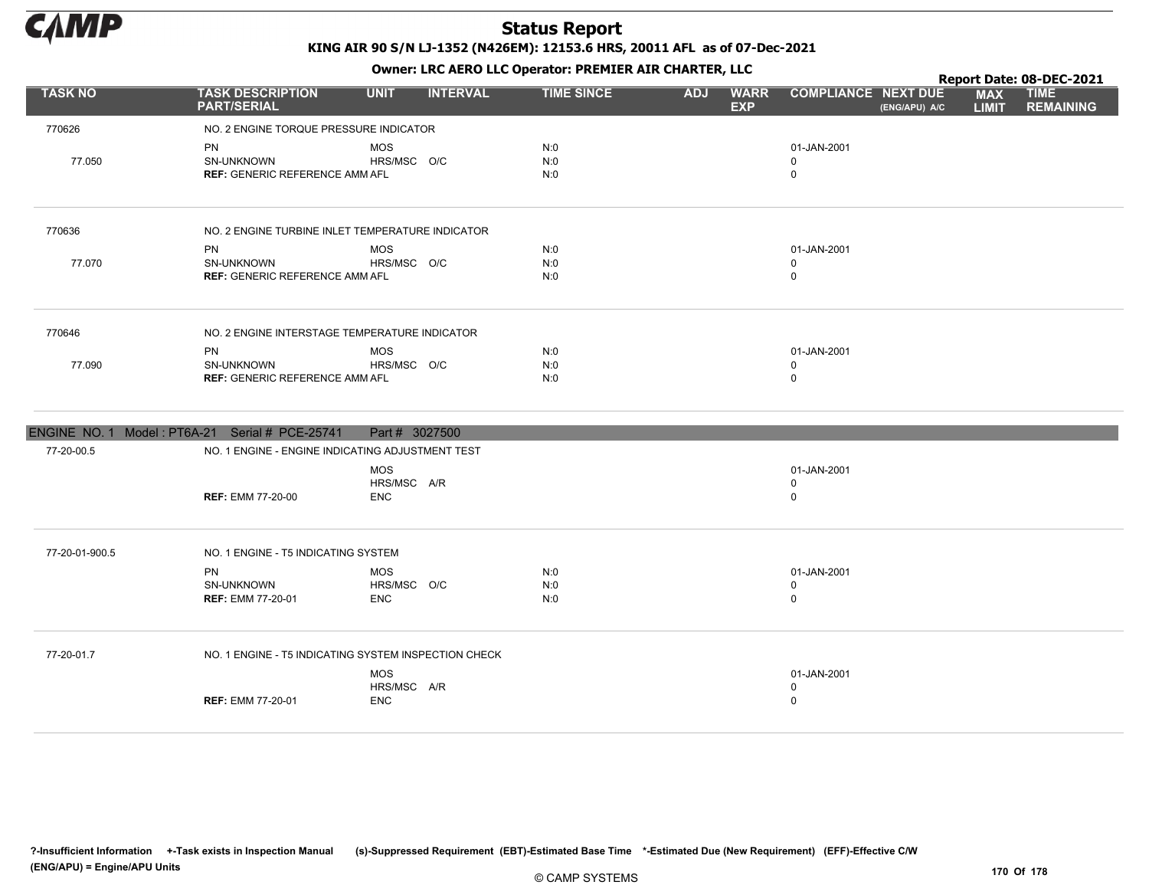

Owner: LRC AERO LLC Operator: PREMIER AIR CHARTER, LLC

|                | <b>OWHER: LKC AERO LLC OPERATOR: PREMIER AIR CHARTER, LLC</b><br>Report Date: 08-DEC-2021 |                |                 |                   |            |                           |                            |               |                            |                                 |
|----------------|-------------------------------------------------------------------------------------------|----------------|-----------------|-------------------|------------|---------------------------|----------------------------|---------------|----------------------------|---------------------------------|
| <b>TASK NO</b> | <b>TASK DESCRIPTION</b><br><b>PART/SERIAL</b>                                             | <b>UNIT</b>    | <b>INTERVAL</b> | <b>TIME SINCE</b> | <b>ADJ</b> | <b>WARR</b><br><b>EXP</b> | <b>COMPLIANCE NEXT DUE</b> | (ENG/APU) A/C | <b>MAX</b><br><b>LIMIT</b> | <b>TIME</b><br><b>REMAINING</b> |
| 770626         | NO. 2 ENGINE TORQUE PRESSURE INDICATOR                                                    |                |                 |                   |            |                           |                            |               |                            |                                 |
|                | <b>PN</b>                                                                                 | <b>MOS</b>     |                 | N:0               |            |                           | 01-JAN-2001                |               |                            |                                 |
| 77.050         | <b>SN-UNKNOWN</b>                                                                         | HRS/MSC O/C    |                 | N:0               |            |                           | $\mathbf 0$                |               |                            |                                 |
|                | <b>REF: GENERIC REFERENCE AMM AFL</b>                                                     |                |                 | N:0               |            |                           | $\mathbf 0$                |               |                            |                                 |
| 770636         | NO. 2 ENGINE TURBINE INLET TEMPERATURE INDICATOR                                          |                |                 |                   |            |                           |                            |               |                            |                                 |
|                | <b>PN</b>                                                                                 | <b>MOS</b>     |                 | N:0               |            |                           | 01-JAN-2001                |               |                            |                                 |
| 77.070         | <b>SN-UNKNOWN</b>                                                                         | HRS/MSC O/C    |                 | N:0               |            |                           | $\mathbf 0$                |               |                            |                                 |
|                | <b>REF: GENERIC REFERENCE AMM AFL</b>                                                     |                |                 | N:0               |            |                           | $\mathbf 0$                |               |                            |                                 |
| 770646         | NO. 2 ENGINE INTERSTAGE TEMPERATURE INDICATOR                                             |                |                 |                   |            |                           |                            |               |                            |                                 |
|                | <b>PN</b>                                                                                 | <b>MOS</b>     |                 | N:0               |            |                           | 01-JAN-2001                |               |                            |                                 |
| 77.090         | SN-UNKNOWN<br><b>REF: GENERIC REFERENCE AMM AFL</b>                                       | HRS/MSC O/C    |                 | N:0<br>N:0        |            |                           | 0<br>$\Omega$              |               |                            |                                 |
|                | ENGINE NO. 1 Model: PT6A-21 Serial # PCE-25741                                            | Part # 3027500 |                 |                   |            |                           |                            |               |                            |                                 |
| 77-20-00.5     | NO. 1 ENGINE - ENGINE INDICATING ADJUSTMENT TEST                                          |                |                 |                   |            |                           |                            |               |                            |                                 |
|                |                                                                                           | <b>MOS</b>     |                 |                   |            |                           | 01-JAN-2001                |               |                            |                                 |
|                |                                                                                           | HRS/MSC A/R    |                 |                   |            |                           | 0                          |               |                            |                                 |
|                | <b>REF: EMM 77-20-00</b>                                                                  | <b>ENC</b>     |                 |                   |            |                           | $\mathbf 0$                |               |                            |                                 |
| 77-20-01-900.5 | NO. 1 ENGINE - T5 INDICATING SYSTEM                                                       |                |                 |                   |            |                           |                            |               |                            |                                 |
|                | PN                                                                                        | <b>MOS</b>     |                 | N:0               |            |                           | 01-JAN-2001                |               |                            |                                 |
|                | SN-UNKNOWN                                                                                | HRS/MSC O/C    |                 | N:0               |            |                           | 0                          |               |                            |                                 |
|                | <b>REF: EMM 77-20-01</b>                                                                  | <b>ENC</b>     |                 | N:0               |            |                           | $\Omega$                   |               |                            |                                 |

77-20-01.7 NO. 1 ENGINE - T5 INDICATING SYSTEM INSPECTION CHECK REF: EMM 77-20-01 0 MOS HRS/MSC A/R ENC 01-JAN-2001 0

?-Insufficient Information +-Task exists in Inspection Manual (s)-Suppressed Requirement (EBT)-Estimated Base Time \*-Estimated Due (New Requirement) (EFF)-Effective C/W (ENG/APU) = Engine/APU Units 170 Of 178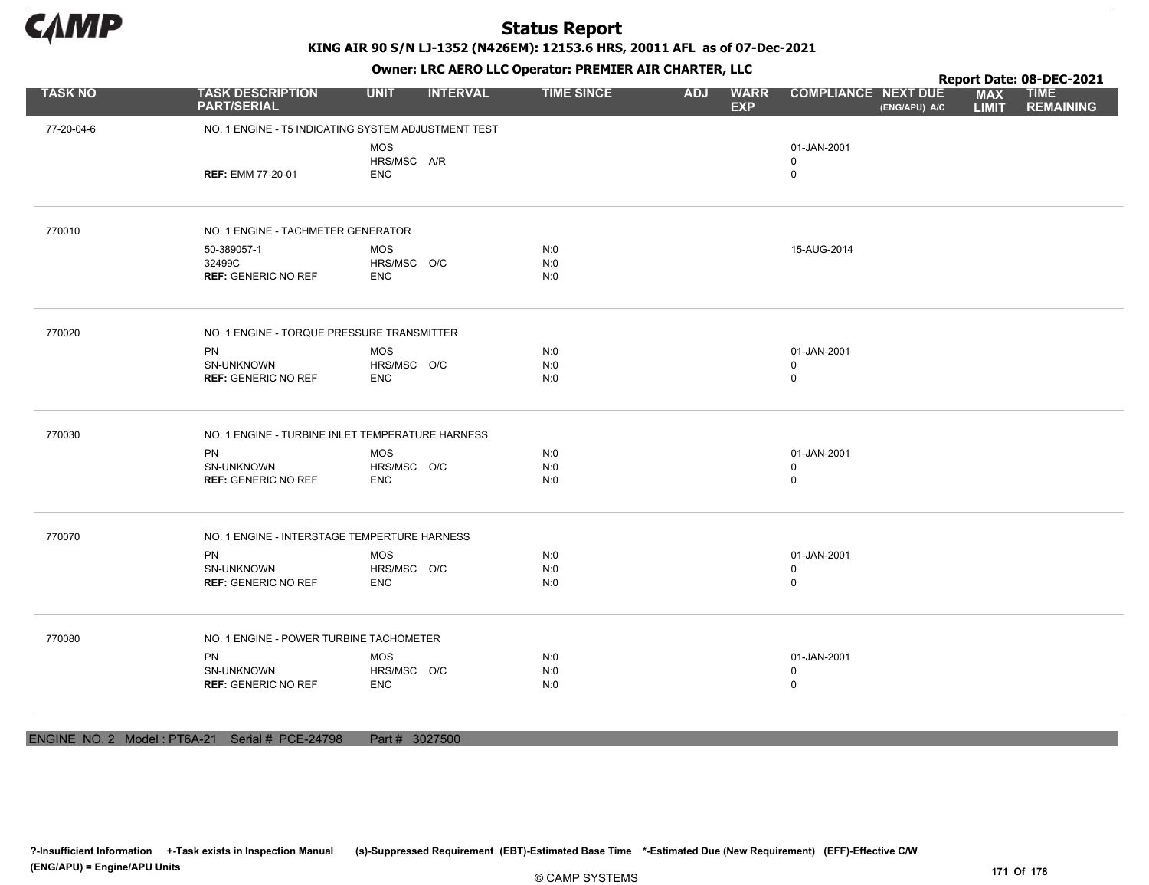

KING AIR 90 S/N LJ-1352 (N426EM): 12153.6 HRS, 20011 AFL as of 07-Dec-2021

Owner: LRC AERO LLC Operator: PREMIER AIR CHARTER, LLC

|                |                                                     |                                         |                 | OWHER, LKC ALKO LLC OPERATOR, PREPILER AIR CHARTER, LLC |            |                           |                                           |               |                            | Report Date: 08-DEC-2021        |
|----------------|-----------------------------------------------------|-----------------------------------------|-----------------|---------------------------------------------------------|------------|---------------------------|-------------------------------------------|---------------|----------------------------|---------------------------------|
| <b>TASK NO</b> | <b>TASK DESCRIPTION</b><br><b>PART/SERIAL</b>       | <b>UNIT</b>                             | <b>INTERVAL</b> | <b>TIME SINCE</b>                                       | <b>ADJ</b> | <b>WARR</b><br><b>EXP</b> | <b>COMPLIANCE NEXT DUE</b>                | (ENG/APU) A/C | <b>MAX</b><br><b>LIMIT</b> | <b>TIME</b><br><b>REMAINING</b> |
| 77-20-04-6     | NO. 1 ENGINE - T5 INDICATING SYSTEM ADJUSTMENT TEST |                                         |                 |                                                         |            |                           |                                           |               |                            |                                 |
|                | <b>REF: EMM 77-20-01</b>                            | <b>MOS</b><br>HRS/MSC A/R<br><b>ENC</b> |                 |                                                         |            |                           | 01-JAN-2001<br>$\mathbf 0$<br>$\mathbf 0$ |               |                            |                                 |
| 770010         | NO. 1 ENGINE - TACHMETER GENERATOR                  |                                         |                 |                                                         |            |                           |                                           |               |                            |                                 |
|                | 50-389057-1<br>32499C<br><b>REF: GENERIC NO REF</b> | <b>MOS</b><br>HRS/MSC O/C<br><b>ENC</b> |                 | N:0<br>N:0<br>N:0                                       |            |                           | 15-AUG-2014                               |               |                            |                                 |
| 770020         | NO. 1 ENGINE - TORQUE PRESSURE TRANSMITTER          |                                         |                 |                                                         |            |                           |                                           |               |                            |                                 |
|                | PN                                                  | <b>MOS</b>                              |                 | N:0                                                     |            |                           | 01-JAN-2001                               |               |                            |                                 |
|                | SN-UNKNOWN<br><b>REF: GENERIC NO REF</b>            | HRS/MSC O/C<br><b>ENC</b>               |                 | N:0<br>N:0                                              |            |                           | $\mathbf 0$<br>0                          |               |                            |                                 |
| 770030         | NO. 1 ENGINE - TURBINE INLET TEMPERATURE HARNESS    |                                         |                 |                                                         |            |                           |                                           |               |                            |                                 |
|                | <b>PN</b>                                           | <b>MOS</b>                              |                 | N:0                                                     |            |                           | 01-JAN-2001                               |               |                            |                                 |
|                | SN-UNKNOWN<br><b>REF: GENERIC NO REF</b>            | HRS/MSC O/C<br><b>ENC</b>               |                 | N:0<br>N:0                                              |            |                           | 0<br>$\mathbf 0$                          |               |                            |                                 |
| 770070         | NO. 1 ENGINE - INTERSTAGE TEMPERTURE HARNESS        |                                         |                 |                                                         |            |                           |                                           |               |                            |                                 |
|                | <b>PN</b>                                           | <b>MOS</b>                              |                 | N:0                                                     |            |                           | 01-JAN-2001                               |               |                            |                                 |
|                | <b>SN-UNKNOWN</b><br><b>REF: GENERIC NO REF</b>     | HRS/MSC O/C<br><b>ENC</b>               |                 | N:0<br>N:0                                              |            |                           | $\mathbf{0}$<br>$\mathsf{O}$              |               |                            |                                 |
| 770080         | NO. 1 ENGINE - POWER TURBINE TACHOMETER             |                                         |                 |                                                         |            |                           |                                           |               |                            |                                 |
|                | <b>PN</b>                                           | <b>MOS</b>                              |                 | N:0                                                     |            |                           | 01-JAN-2001                               |               |                            |                                 |
|                | SN-UNKNOWN<br><b>REF: GENERIC NO REF</b>            | HRS/MSC O/C<br><b>ENC</b>               |                 | N:0<br>N:0                                              |            |                           | 0<br>$\mathbf 0$                          |               |                            |                                 |
|                |                                                     |                                         |                 |                                                         |            |                           |                                           |               |                            |                                 |
|                |                                                     |                                         |                 |                                                         |            |                           |                                           |               |                            |                                 |

ENGINE NO. 2 Model : PT6A-21 Serial # PCE-24798 Part # 3027500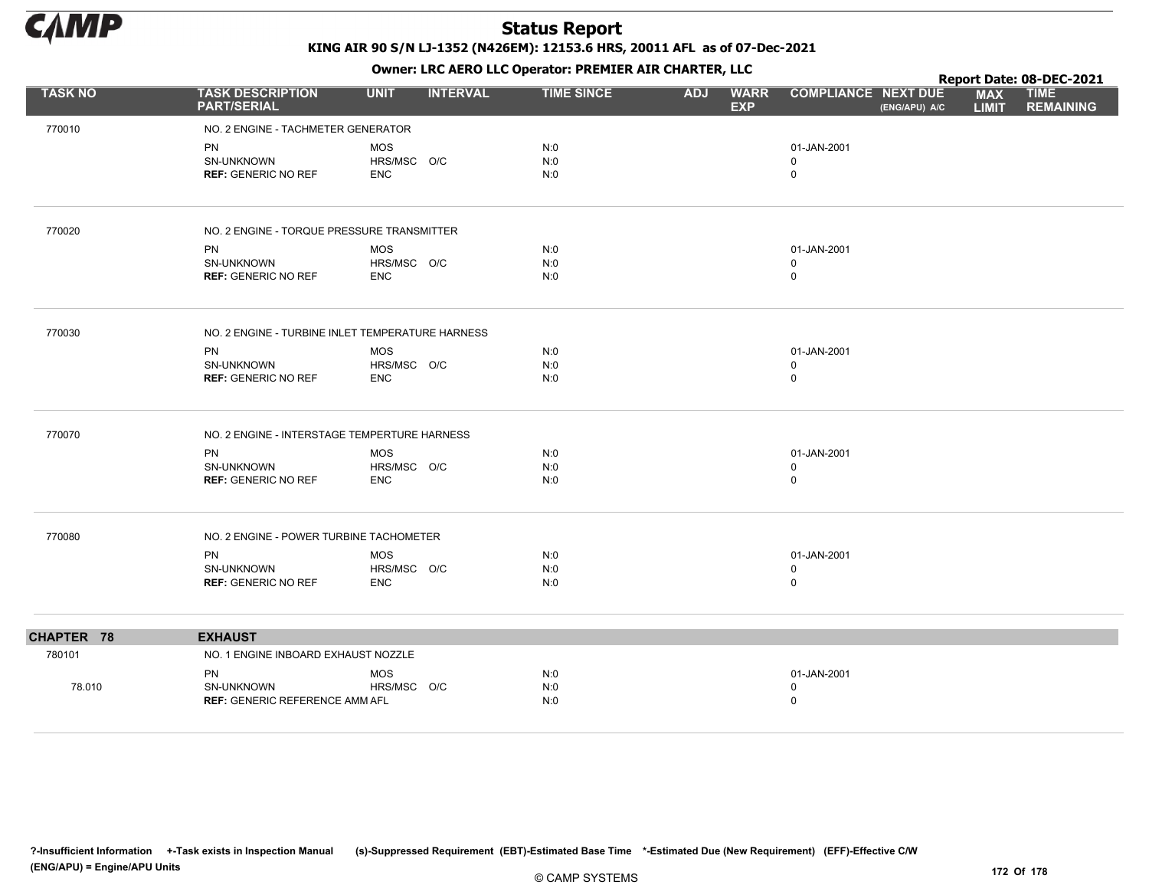

|                |                                                  |             |                 |                   |            | $\mathbf{r}$              |                            |               |                            | Report Date: 08-DEC-2021        |
|----------------|--------------------------------------------------|-------------|-----------------|-------------------|------------|---------------------------|----------------------------|---------------|----------------------------|---------------------------------|
| <b>TASK NO</b> | <b>TASK DESCRIPTION</b><br><b>PART/SERIAL</b>    | <b>UNIT</b> | <b>INTERVAL</b> | <b>TIME SINCE</b> | <b>ADJ</b> | <b>WARR</b><br><b>EXP</b> | <b>COMPLIANCE NEXT DUE</b> | (ENG/APU) A/C | <b>MAX</b><br><b>LIMIT</b> | <b>TIME</b><br><b>REMAINING</b> |
| 770010         | NO. 2 ENGINE - TACHMETER GENERATOR               |             |                 |                   |            |                           |                            |               |                            |                                 |
|                | <b>PN</b>                                        | <b>MOS</b>  |                 | N:0               |            |                           | 01-JAN-2001                |               |                            |                                 |
|                | SN-UNKNOWN                                       | HRS/MSC O/C |                 | N:0               |            |                           | 0                          |               |                            |                                 |
|                | <b>REF: GENERIC NO REF</b>                       | <b>ENC</b>  |                 | N:0               |            |                           | $\mathbf 0$                |               |                            |                                 |
| 770020         | NO. 2 ENGINE - TORQUE PRESSURE TRANSMITTER       |             |                 |                   |            |                           |                            |               |                            |                                 |
|                | PN                                               | <b>MOS</b>  |                 | N:0               |            |                           | 01-JAN-2001                |               |                            |                                 |
|                | SN-UNKNOWN                                       | HRS/MSC O/C |                 | N:0               |            |                           | $\mathbf 0$                |               |                            |                                 |
|                | <b>REF: GENERIC NO REF</b>                       | <b>ENC</b>  |                 | N:0               |            |                           | $\mathbf 0$                |               |                            |                                 |
| 770030         | NO. 2 ENGINE - TURBINE INLET TEMPERATURE HARNESS |             |                 |                   |            |                           |                            |               |                            |                                 |
|                | PN                                               | <b>MOS</b>  |                 | N:0               |            |                           | 01-JAN-2001                |               |                            |                                 |
|                | SN-UNKNOWN                                       | HRS/MSC O/C |                 | N:0               |            |                           | $\Omega$                   |               |                            |                                 |
|                | <b>REF: GENERIC NO REF</b>                       | <b>ENC</b>  |                 | N:0               |            |                           | $\mathbf 0$                |               |                            |                                 |
| 770070         | NO. 2 ENGINE - INTERSTAGE TEMPERTURE HARNESS     |             |                 |                   |            |                           |                            |               |                            |                                 |
|                | PN                                               | <b>MOS</b>  |                 | N:0               |            |                           | 01-JAN-2001                |               |                            |                                 |
|                | SN-UNKNOWN                                       | HRS/MSC O/C |                 | N:0               |            |                           | $\mathbf 0$                |               |                            |                                 |
|                | <b>REF: GENERIC NO REF</b>                       | <b>ENC</b>  |                 | N:0               |            |                           | $\mathbf 0$                |               |                            |                                 |
| 770080         | NO. 2 ENGINE - POWER TURBINE TACHOMETER          |             |                 |                   |            |                           |                            |               |                            |                                 |
|                | <b>PN</b>                                        | <b>MOS</b>  |                 | N:0               |            |                           | 01-JAN-2001                |               |                            |                                 |
|                | SN-UNKNOWN                                       | HRS/MSC O/C |                 | N:0               |            |                           | $\mathbf 0$                |               |                            |                                 |
|                | <b>REF: GENERIC NO REF</b>                       | <b>ENC</b>  |                 | N:0               |            |                           | $\mathbf 0$                |               |                            |                                 |
| CHAPTER 78     | <b>EXHAUST</b>                                   |             |                 |                   |            |                           |                            |               |                            |                                 |
| 780101         | NO. 1 ENGINE INBOARD EXHAUST NOZZLE              |             |                 |                   |            |                           |                            |               |                            |                                 |
|                | <b>PN</b>                                        | <b>MOS</b>  |                 | N:0               |            |                           | 01-JAN-2001                |               |                            |                                 |
| 78.010         | SN-UNKNOWN                                       | HRS/MSC O/C |                 | N:0               |            |                           | 0                          |               |                            |                                 |
|                | <b>REF: GENERIC REFERENCE AMM AFL</b>            |             |                 | N:0               |            |                           | $\mathbf 0$                |               |                            |                                 |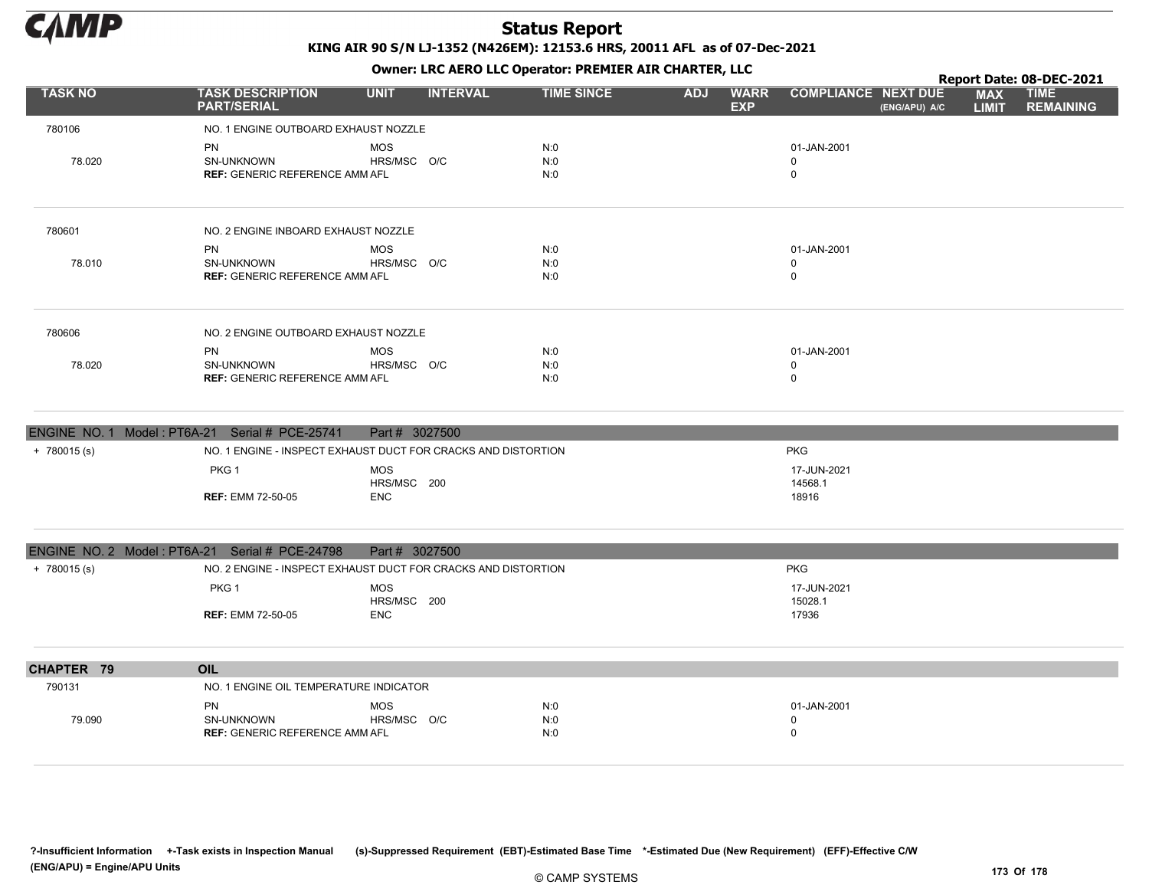

Owner: LRC AERO LLC Operator: PREMIER AIR CHARTER, LLC

|                |                                                                         |                                |                   |            |                           |                                             |                            | Report Date: 08-DEC-2021        |
|----------------|-------------------------------------------------------------------------|--------------------------------|-------------------|------------|---------------------------|---------------------------------------------|----------------------------|---------------------------------|
| <b>TASK NO</b> | <b>TASK DESCRIPTION</b><br><b>PART/SERIAL</b>                           | <b>INTERVAL</b><br><b>UNIT</b> | <b>TIME SINCE</b> | <b>ADJ</b> | <b>WARR</b><br><b>EXP</b> | <b>COMPLIANCE NEXT DUE</b><br>(ENG/APU) A/C | <b>MAX</b><br><b>LIMIT</b> | <b>TIME</b><br><b>REMAINING</b> |
| 780106         | NO. 1 ENGINE OUTBOARD EXHAUST NOZZLE                                    |                                |                   |            |                           |                                             |                            |                                 |
| 78.020         | <b>PN</b><br><b>SN-UNKNOWN</b><br><b>REF: GENERIC REFERENCE AMM AFL</b> | MOS<br>HRS/MSC O/C             | N:0<br>N:0<br>N:0 |            | 01-JAN-2001<br>0<br>0     |                                             |                            |                                 |
| 780601         | NO. 2 ENGINE INBOARD EXHAUST NOZZLE                                     |                                |                   |            |                           |                                             |                            |                                 |
| 78.010         | <b>PN</b><br><b>SN-UNKNOWN</b><br><b>REF: GENERIC REFERENCE AMM AFL</b> | MOS<br>HRS/MSC O/C             | N:0<br>N:0<br>N:0 |            | 01-JAN-2001<br>0<br>0     |                                             |                            |                                 |
| 780606         | NO. 2 ENGINE OUTBOARD EXHAUST NOZZLE                                    |                                |                   |            |                           |                                             |                            |                                 |
| 78.020         | PN<br><b>SN-UNKNOWN</b><br><b>REF: GENERIC REFERENCE AMM AFL</b>        | MOS<br>HRS/MSC O/C             | N:0<br>N:0<br>N:0 |            | 01-JAN-2001<br>0<br>0     |                                             |                            |                                 |

|               | ENGINE NO. 1 Model: PT6A-21 Serial # PCE-25741 | Part # 3027500                                                |                        |  |
|---------------|------------------------------------------------|---------------------------------------------------------------|------------------------|--|
| $+ 780015(s)$ |                                                | NO. 1 ENGINE - INSPECT EXHAUST DUCT FOR CRACKS AND DISTORTION | <b>PKG</b>             |  |
|               | PKG <sub>1</sub>                               | <b>MOS</b><br>HRS/MSC 200                                     | 17-JUN-2021<br>14568.1 |  |
|               | <b>REF:</b> EMM 72-50-05                       | <b>ENC</b>                                                    | 18916                  |  |

|                | ENGINE NO. 2 Model: PT6A-21 Serial # PCE-24798 | Part # 3027500                                                |                        |
|----------------|------------------------------------------------|---------------------------------------------------------------|------------------------|
| $+ 780015$ (s) |                                                | NO. 2 ENGINE - INSPECT EXHAUST DUCT FOR CRACKS AND DISTORTION | <b>PKG</b>             |
|                | PKG 1                                          | MOS<br>HRS/MSC 200                                            | 17-JUN-2021<br>15028.1 |
|                | <b>REF: EMM 72-50-05</b>                       | ENC                                                           | 17936                  |
|                |                                                |                                                               |                        |
| CHAPTER 79     | OIL                                            |                                                               |                        |
| 790131         | NO. 1 ENGINE OIL TEMPERATURE INDICATOR         |                                                               |                        |

|        | PN                                    | <b>MOS</b>     | N:C           | 01-JAN-2001 |
|--------|---------------------------------------|----------------|---------------|-------------|
| 79.090 | <b>SN-UNKNOWN</b>                     | HRS/MSC<br>O/C | N:0<br>$\sim$ |             |
|        | <b>REF: GENERIC REFERENCE AMM AFL</b> |                | N:0           |             |
|        |                                       |                |               |             |

?-Insufficient Information +-Task exists in Inspection Manual (s)-Suppressed Requirement (EBT)-Estimated Base Time \*-Estimated Due (New Requirement) (EFF)-Effective C/W (ENG/APU) = Engine/APU Units 173 Of 178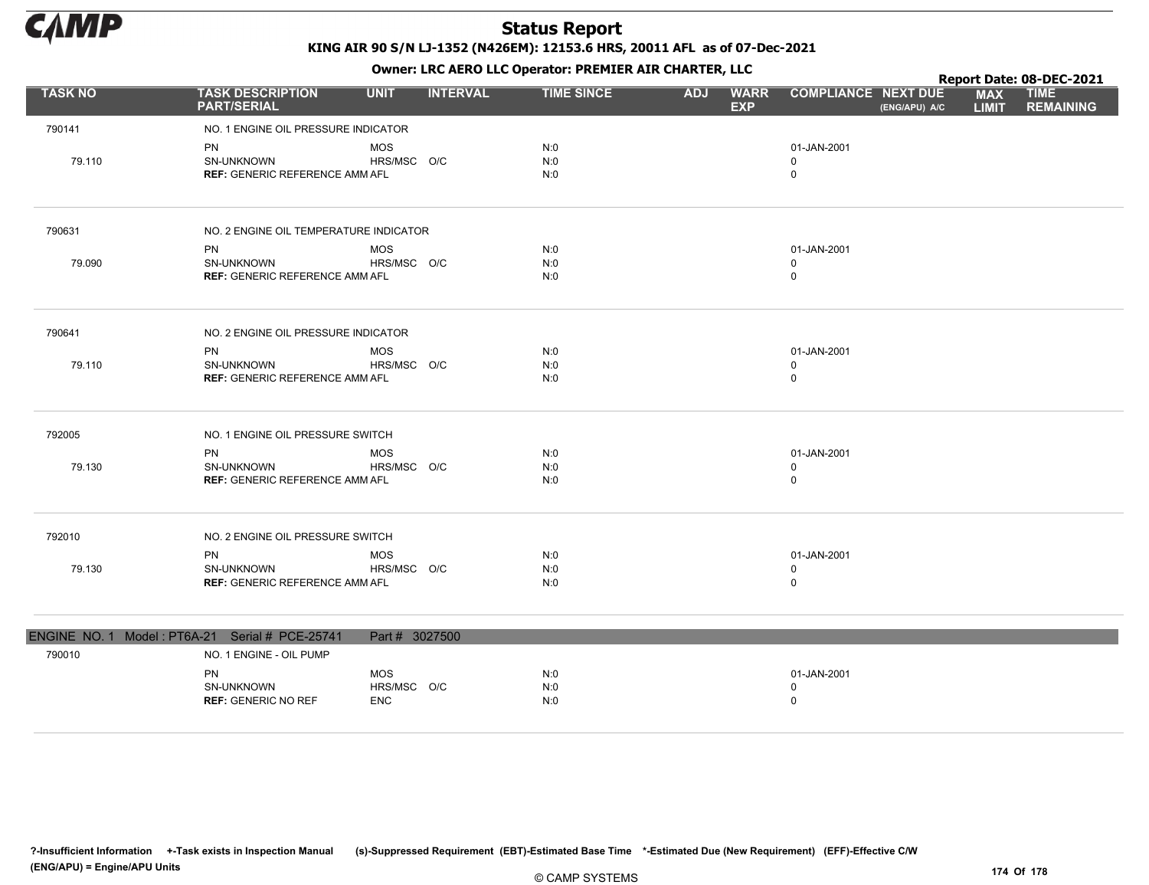

|                |                                                                         |                                         |                 |                   |            | . .                       |                                           |               |                            | Report Date: 08-DEC-2021        |
|----------------|-------------------------------------------------------------------------|-----------------------------------------|-----------------|-------------------|------------|---------------------------|-------------------------------------------|---------------|----------------------------|---------------------------------|
| <b>TASK NO</b> | <b>TASK DESCRIPTION</b><br><b>PART/SERIAL</b>                           | <b>UNIT</b>                             | <b>INTERVAL</b> | <b>TIME SINCE</b> | <b>ADJ</b> | <b>WARR</b><br><b>EXP</b> | <b>COMPLIANCE NEXT DUE</b>                | (ENG/APU) A/C | <b>MAX</b><br><b>LIMIT</b> | <b>TIME</b><br><b>REMAINING</b> |
| 790141         | NO. 1 ENGINE OIL PRESSURE INDICATOR                                     |                                         |                 |                   |            |                           |                                           |               |                            |                                 |
| 79.110         | <b>PN</b><br><b>SN-UNKNOWN</b><br><b>REF: GENERIC REFERENCE AMM AFL</b> | <b>MOS</b><br>HRS/MSC O/C               |                 | N:0<br>N:0<br>N:0 |            |                           | 01-JAN-2001<br>$\mathbf 0$<br>$\mathbf 0$ |               |                            |                                 |
| 790631         | NO. 2 ENGINE OIL TEMPERATURE INDICATOR                                  |                                         |                 |                   |            |                           |                                           |               |                            |                                 |
| 79.090         | <b>PN</b><br>SN-UNKNOWN<br><b>REF: GENERIC REFERENCE AMM AFL</b>        | <b>MOS</b><br>HRS/MSC O/C               |                 | N:0<br>N:0<br>N:0 |            |                           | 01-JAN-2001<br>$\mathbf 0$<br>$\mathbf 0$ |               |                            |                                 |
| 790641         | NO. 2 ENGINE OIL PRESSURE INDICATOR                                     |                                         |                 |                   |            |                           |                                           |               |                            |                                 |
| 79.110         | <b>PN</b><br>SN-UNKNOWN<br><b>REF: GENERIC REFERENCE AMM AFL</b>        | <b>MOS</b><br>HRS/MSC O/C               |                 | N:0<br>N:0<br>N:0 |            |                           | 01-JAN-2001<br>0<br>$\mathbf 0$           |               |                            |                                 |
| 792005         | NO. 1 ENGINE OIL PRESSURE SWITCH                                        |                                         |                 |                   |            |                           |                                           |               |                            |                                 |
| 79.130         | <b>PN</b><br>SN-UNKNOWN<br><b>REF: GENERIC REFERENCE AMM AFL</b>        | <b>MOS</b><br>HRS/MSC O/C               |                 | N:0<br>N:0<br>N:0 |            |                           | 01-JAN-2001<br>0<br>$\mathbf 0$           |               |                            |                                 |
| 792010         | NO. 2 ENGINE OIL PRESSURE SWITCH                                        |                                         |                 |                   |            |                           |                                           |               |                            |                                 |
| 79.130         | <b>PN</b><br>SN-UNKNOWN<br><b>REF: GENERIC REFERENCE AMM AFL</b>        | <b>MOS</b><br>HRS/MSC O/C               |                 | N:0<br>N:0<br>N:0 |            |                           | 01-JAN-2001<br>$\mathbf 0$<br>$\mathbf 0$ |               |                            |                                 |
|                | ENGINE NO. 1 Model: PT6A-21 Serial # PCE-25741                          | Part # 3027500                          |                 |                   |            |                           |                                           |               |                            |                                 |
| 790010         | NO. 1 ENGINE - OIL PUMP                                                 |                                         |                 |                   |            |                           |                                           |               |                            |                                 |
|                | <b>PN</b><br>SN-UNKNOWN<br><b>REF: GENERIC NO REF</b>                   | <b>MOS</b><br>HRS/MSC O/C<br><b>ENC</b> |                 | N:0<br>N:0<br>N:0 |            |                           | 01-JAN-2001<br>$\mathbf 0$<br>$\mathbf 0$ |               |                            |                                 |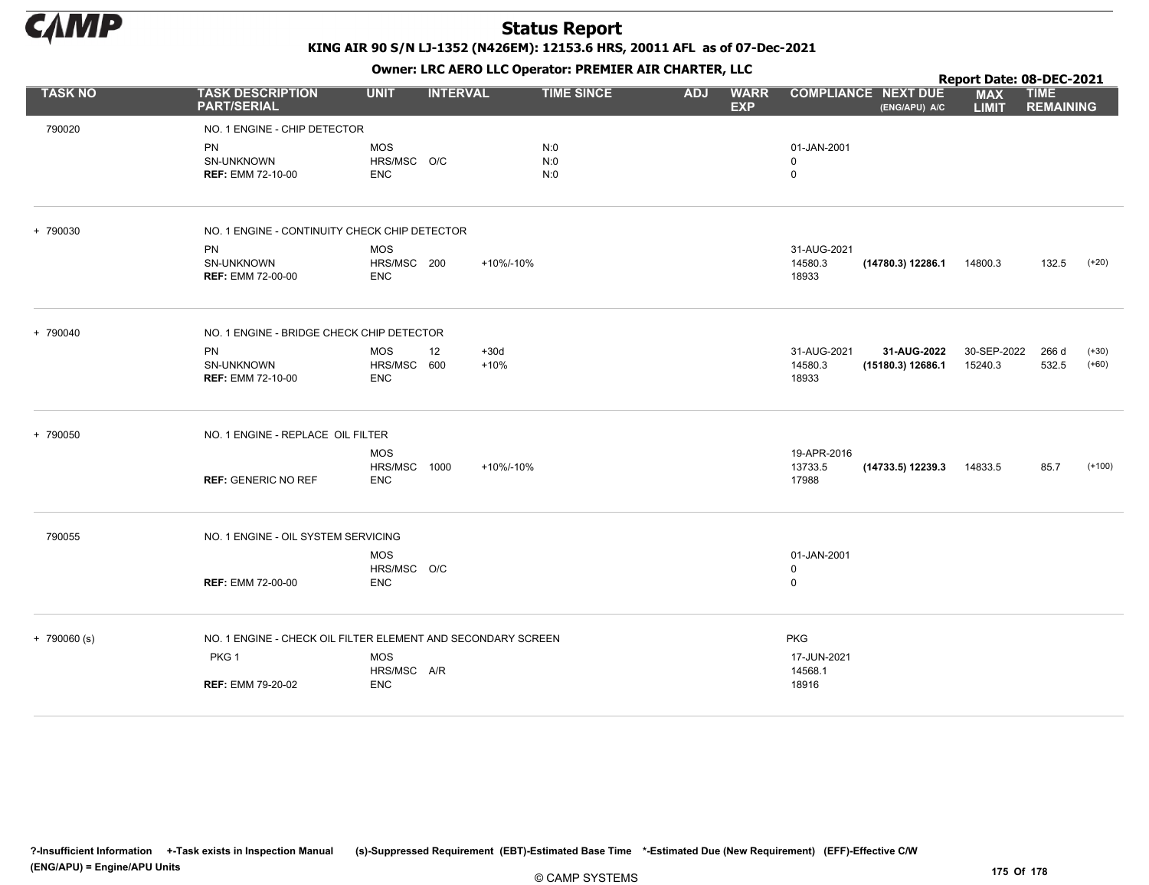

|                |                                                                                                              |                                          |                  |                   |            |                           |                                               |                                             | Report Date: 08-DEC-2021   |                                 |                    |
|----------------|--------------------------------------------------------------------------------------------------------------|------------------------------------------|------------------|-------------------|------------|---------------------------|-----------------------------------------------|---------------------------------------------|----------------------------|---------------------------------|--------------------|
| <b>TASK NO</b> | <b>TASK DESCRIPTION</b><br><b>PART/SERIAL</b>                                                                | <b>UNIT</b>                              | <b>INTERVAL</b>  | <b>TIME SINCE</b> | <b>ADJ</b> | <b>WARR</b><br><b>EXP</b> |                                               | <b>COMPLIANCE NEXT DUE</b><br>(ENG/APU) A/C | <b>MAX</b><br><b>LIMIT</b> | <b>TIME</b><br><b>REMAINING</b> |                    |
| 790020         | NO. 1 ENGINE - CHIP DETECTOR<br><b>PN</b><br>SN-UNKNOWN<br><b>REF: EMM 72-10-00</b>                          | <b>MOS</b><br>HRS/MSC O/C<br><b>ENC</b>  |                  | N:0<br>N:0<br>N:0 |            |                           | 01-JAN-2001<br>0<br>$\mathbf 0$               |                                             |                            |                                 |                    |
| + 790030       | NO. 1 ENGINE - CONTINUITY CHECK CHIP DETECTOR<br><b>PN</b><br>SN-UNKNOWN<br><b>REF: EMM 72-00-00</b>         | <b>MOS</b><br>HRS/MSC 200<br><b>ENC</b>  | +10%/-10%        |                   |            |                           | 31-AUG-2021<br>14580.3<br>18933               | (14780.3) 12286.1                           | 14800.3                    | 132.5                           | $(+20)$            |
| + 790040       | NO. 1 ENGINE - BRIDGE CHECK CHIP DETECTOR<br><b>PN</b><br>SN-UNKNOWN<br><b>REF: EMM 72-10-00</b>             | MOS<br>12<br>HRS/MSC 600<br><b>ENC</b>   | $+30d$<br>$+10%$ |                   |            |                           | 31-AUG-2021<br>14580.3<br>18933               | 31-AUG-2022<br>(15180.3) 12686.1            | 30-SEP-2022<br>15240.3     | 266 d<br>532.5                  | $(+30)$<br>$(+60)$ |
| + 790050       | NO. 1 ENGINE - REPLACE OIL FILTER<br><b>REF: GENERIC NO REF</b>                                              | <b>MOS</b><br>HRS/MSC 1000<br><b>ENC</b> | +10%/-10%        |                   |            |                           | 19-APR-2016<br>13733.5<br>17988               | (14733.5) 12239.3                           | 14833.5                    | 85.7                            | $(+100)$           |
| 790055         | NO. 1 ENGINE - OIL SYSTEM SERVICING<br><b>REF: EMM 72-00-00</b>                                              | <b>MOS</b><br>HRS/MSC O/C<br><b>ENC</b>  |                  |                   |            |                           | 01-JAN-2001<br>0<br>$\mathbf 0$               |                                             |                            |                                 |                    |
| $+ 790060$ (s) | NO. 1 ENGINE - CHECK OIL FILTER ELEMENT AND SECONDARY SCREEN<br>PKG <sub>1</sub><br><b>REF: EMM 79-20-02</b> | <b>MOS</b><br>HRS/MSC A/R<br><b>ENC</b>  |                  |                   |            |                           | <b>PKG</b><br>17-JUN-2021<br>14568.1<br>18916 |                                             |                            |                                 |                    |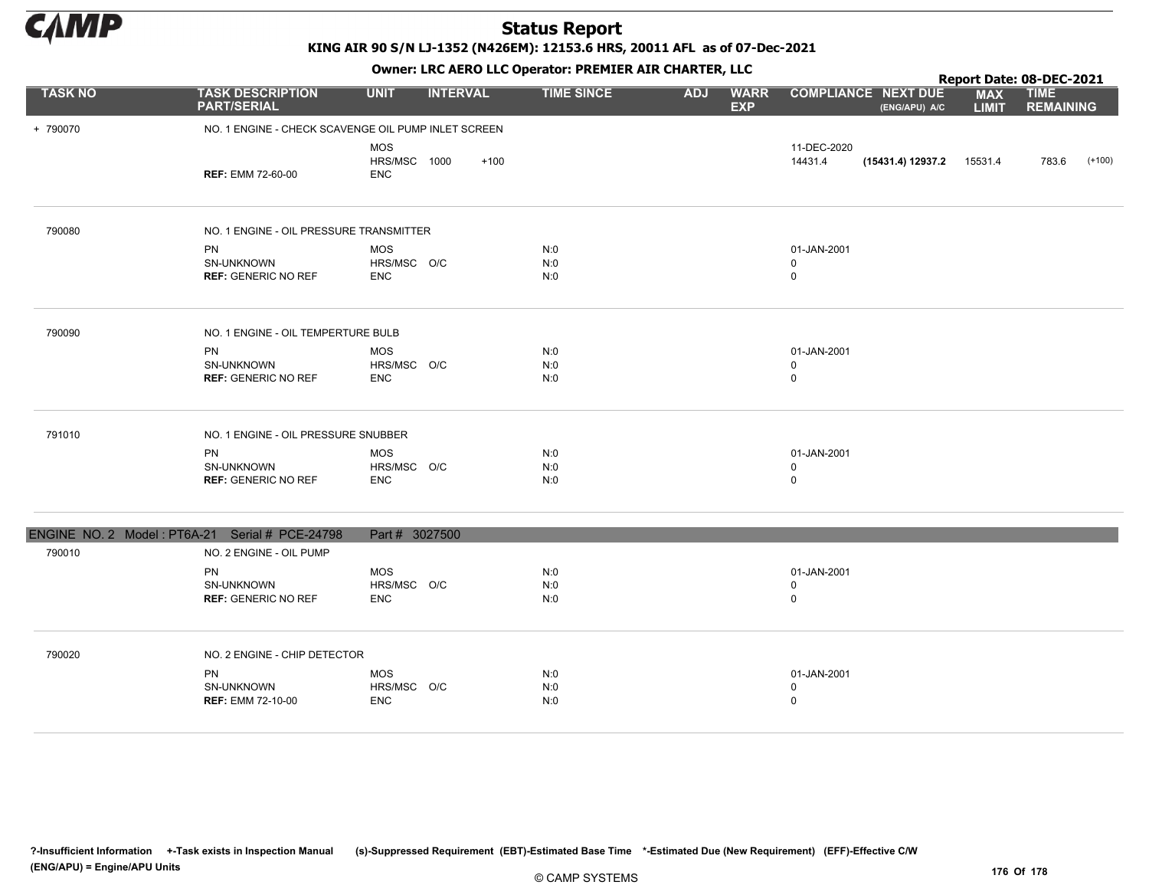

KING AIR 90 S/N LJ-1352 (N426EM): 12153.6 HRS, 20011 AFL as of 07-Dec-2021

Owner: LRC AERO LLC Operator: PREMIER AIR CHARTER, LLC

|                |                                                       |                                                     | OWHER, LKC ALKO LLC OPERATOR, PREPILER AIR CHARTER, LLC |                                         |                                                       |                            | Report Date: 08-DEC-2021        |
|----------------|-------------------------------------------------------|-----------------------------------------------------|---------------------------------------------------------|-----------------------------------------|-------------------------------------------------------|----------------------------|---------------------------------|
| <b>TASK NO</b> | <b>TASK DESCRIPTION</b><br><b>PART/SERIAL</b>         | <b>UNIT</b><br><b>INTERVAL</b>                      | <b>TIME SINCE</b>                                       | <b>ADJ</b><br><b>WARR</b><br><b>EXP</b> | <b>COMPLIANCE NEXT DUE</b><br>(ENG/APU) A/C           | <b>MAX</b><br><b>LIMIT</b> | <b>TIME</b><br><b>REMAINING</b> |
| + 790070       |                                                       | NO. 1 ENGINE - CHECK SCAVENGE OIL PUMP INLET SCREEN |                                                         |                                         |                                                       |                            |                                 |
|                | <b>REF: EMM 72-60-00</b>                              | <b>MOS</b><br>HRS/MSC 1000<br>$+100$<br><b>ENC</b>  |                                                         |                                         | 11-DEC-2020<br>14431.4<br>$(15431.4) 12937.2$ 15531.4 |                            | 783.6<br>$(+100)$               |
| 790080         | NO. 1 ENGINE - OIL PRESSURE TRANSMITTER               |                                                     |                                                         |                                         |                                                       |                            |                                 |
|                | <b>PN</b><br>SN-UNKNOWN<br><b>REF: GENERIC NO REF</b> | <b>MOS</b><br>HRS/MSC O/C<br><b>ENC</b>             | N:0<br>N:0<br>N:0                                       |                                         | 01-JAN-2001<br>0<br>$\mathsf 0$                       |                            |                                 |
| 790090         | NO. 1 ENGINE - OIL TEMPERTURE BULB                    |                                                     |                                                         |                                         |                                                       |                            |                                 |
|                | <b>PN</b><br>SN-UNKNOWN<br><b>REF: GENERIC NO REF</b> | <b>MOS</b><br>HRS/MSC O/C<br><b>ENC</b>             | N:0<br>N:0<br>N:0                                       |                                         | 01-JAN-2001<br>$\mathbf 0$<br>$\mathsf 0$             |                            |                                 |
| 791010         | NO. 1 ENGINE - OIL PRESSURE SNUBBER                   |                                                     |                                                         |                                         |                                                       |                            |                                 |
|                | PN<br>SN-UNKNOWN<br><b>REF: GENERIC NO REF</b>        | <b>MOS</b><br>HRS/MSC O/C<br><b>ENC</b>             | N:0<br>N:0<br>N:0                                       |                                         | 01-JAN-2001<br>$\mathsf 0$<br>$\mathsf 0$             |                            |                                 |
|                | ENGINE NO. 2 Model: PT6A-21 Serial # PCE-24798        | Part # 3027500                                      |                                                         |                                         |                                                       |                            |                                 |
| 790010         | NO. 2 ENGINE - OIL PUMP                               |                                                     |                                                         |                                         |                                                       |                            |                                 |
|                | <b>PN</b><br>SN-UNKNOWN<br><b>REF: GENERIC NO REF</b> | <b>MOS</b><br>HRS/MSC O/C<br><b>ENC</b>             | N:0<br>N:0<br>N:0                                       |                                         | 01-JAN-2001<br>$\mathbf 0$<br>$\mathsf 0$             |                            |                                 |
| 790020         | NO. 2 ENGINE - CHIP DETECTOR                          |                                                     |                                                         |                                         |                                                       |                            |                                 |
|                | <b>PN</b><br>SN-UNKNOWN<br><b>REF: EMM 72-10-00</b>   | <b>MOS</b><br>HRS/MSC O/C<br><b>ENC</b>             | N:0<br>N:0<br>N:0                                       |                                         | 01-JAN-2001<br>$\mathbf 0$<br>$\mathbf 0$             |                            |                                 |

?-Insufficient Information +-Task exists in Inspection Manual (s)-Suppressed Requirement (EBT)-Estimated Base Time \*-Estimated Due (New Requirement) (EFF)-Effective C/W (ENG/APU) = Engine/APU Units 176 Of 178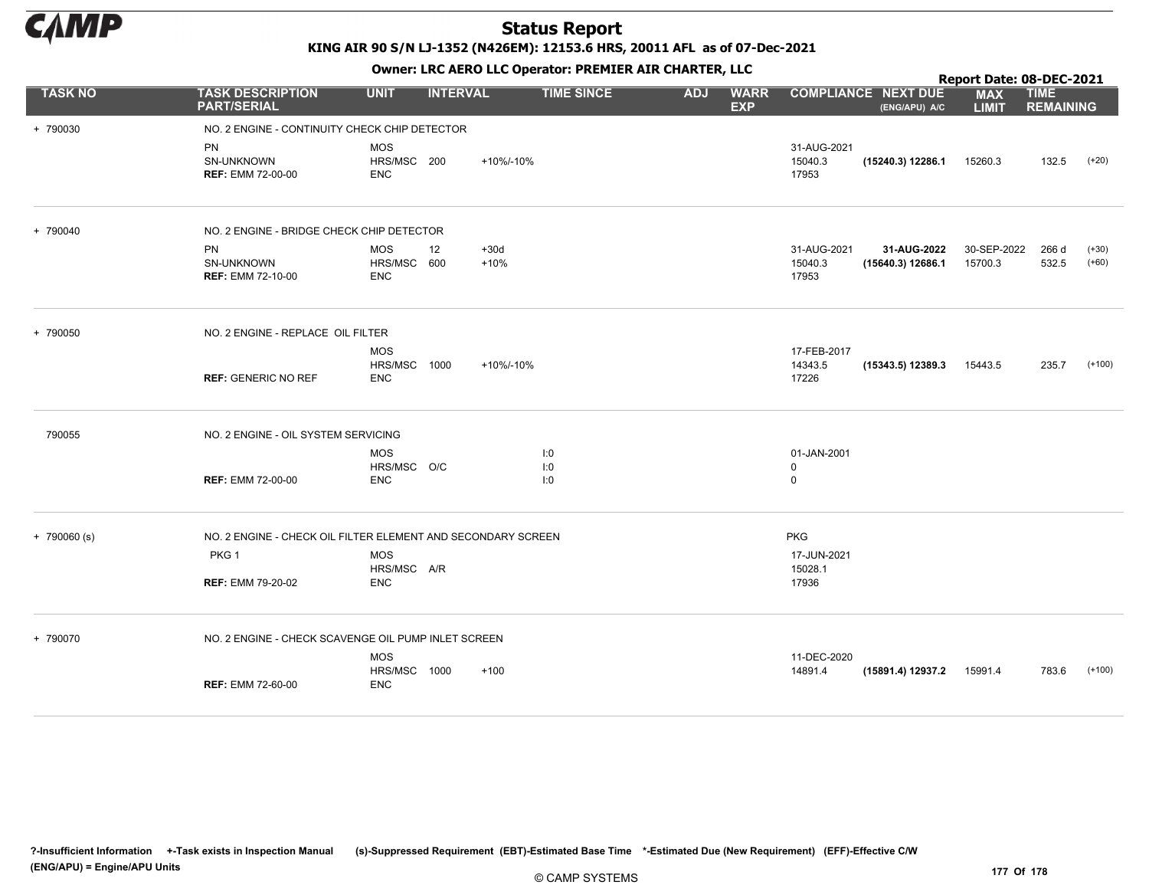

KING AIR 90 S/N LJ-1352 (N426EM): 12153.6 HRS, 20011 AFL as of 07-Dec-2021

|                |                                                              |                                          |                 | OWHER LIKE ALKO LLC OPERATOR PREPILER AIR CHARTER, LLC |            |                           |                                 |                                             |                                              |                                 |                    |
|----------------|--------------------------------------------------------------|------------------------------------------|-----------------|--------------------------------------------------------|------------|---------------------------|---------------------------------|---------------------------------------------|----------------------------------------------|---------------------------------|--------------------|
| <b>TASK NO</b> | <b>TASK DESCRIPTION</b><br><b>PART/SERIAL</b>                | <b>UNIT</b>                              | <b>INTERVAL</b> | <b>TIME SINCE</b>                                      | <b>ADJ</b> | <b>WARR</b><br><b>EXP</b> |                                 | <b>COMPLIANCE NEXT DUE</b><br>(ENG/APU) A/C | <b>MAX</b><br><b>LIMIT</b>                   | <b>TIME</b><br><b>REMAINING</b> |                    |
| + 790030       | NO. 2 ENGINE - CONTINUITY CHECK CHIP DETECTOR                |                                          |                 |                                                        |            |                           |                                 |                                             |                                              |                                 |                    |
|                | <b>PN</b><br>SN-UNKNOWN<br><b>REF: EMM 72-00-00</b>          | <b>MOS</b><br>HRS/MSC 200<br><b>ENC</b>  |                 | +10%/-10%                                              |            |                           | 31-AUG-2021<br>15040.3<br>17953 | (15240.3) 12286.1                           | 15260.3                                      | 132.5                           | $(+20)$            |
| + 790040       | NO. 2 ENGINE - BRIDGE CHECK CHIP DETECTOR                    |                                          |                 |                                                        |            |                           |                                 |                                             | 30-SEP-2022<br>15700.3<br>15443.5<br>15991.4 |                                 |                    |
|                | <b>PN</b><br>SN-UNKNOWN<br><b>REF: EMM 72-10-00</b>          | <b>MOS</b><br>HRS/MSC 600<br><b>ENC</b>  | 12              | $+30d$<br>$+10%$                                       |            |                           | 31-AUG-2021<br>15040.3<br>17953 | 31-AUG-2022<br>(15640.3) 12686.1            |                                              | 266 d<br>532.5                  | $(+30)$<br>$(+60)$ |
| + 790050       | NO. 2 ENGINE - REPLACE OIL FILTER                            |                                          |                 |                                                        |            |                           |                                 |                                             |                                              |                                 |                    |
| 790055         | <b>REF: GENERIC NO REF</b>                                   | <b>MOS</b><br>HRS/MSC 1000<br><b>ENC</b> |                 | +10%/-10%                                              |            |                           | 17-FEB-2017<br>14343.5<br>17226 | (15343.5) 12389.3                           |                                              | 235.7                           | $(+100)$           |
|                | NO. 2 ENGINE - OIL SYSTEM SERVICING                          |                                          |                 |                                                        |            |                           |                                 |                                             | Report Date: 08-DEC-2021                     |                                 |                    |
|                |                                                              | <b>MOS</b>                               |                 | I:0                                                    |            |                           | 01-JAN-2001                     |                                             |                                              |                                 |                    |
|                | <b>REF: EMM 72-00-00</b>                                     | HRS/MSC O/C<br><b>ENC</b>                |                 | I:0<br>I:0                                             |            |                           | $\mathbf 0$<br>$\mathsf 0$      |                                             |                                              |                                 |                    |
| $+ 790060$ (s) | NO. 2 ENGINE - CHECK OIL FILTER ELEMENT AND SECONDARY SCREEN |                                          |                 |                                                        |            |                           | <b>PKG</b>                      |                                             |                                              |                                 |                    |
|                | PKG <sub>1</sub>                                             | <b>MOS</b>                               |                 |                                                        |            |                           | 17-JUN-2021                     |                                             |                                              |                                 |                    |
|                | <b>REF: EMM 79-20-02</b>                                     | HRS/MSC A/R<br><b>ENC</b>                |                 |                                                        |            |                           | 15028.1<br>17936                |                                             |                                              |                                 |                    |
| + 790070       | NO. 2 ENGINE - CHECK SCAVENGE OIL PUMP INLET SCREEN          |                                          |                 |                                                        |            |                           |                                 |                                             |                                              |                                 |                    |
|                | <b>REF: EMM 72-60-00</b>                                     | <b>MOS</b><br>HRS/MSC 1000<br><b>ENC</b> |                 | $+100$                                                 |            |                           | 11-DEC-2020<br>14891.4          | (15891.4) 12937.2                           |                                              | 783.6                           | $(+100)$           |
|                |                                                              |                                          |                 |                                                        |            |                           |                                 |                                             |                                              |                                 |                    |